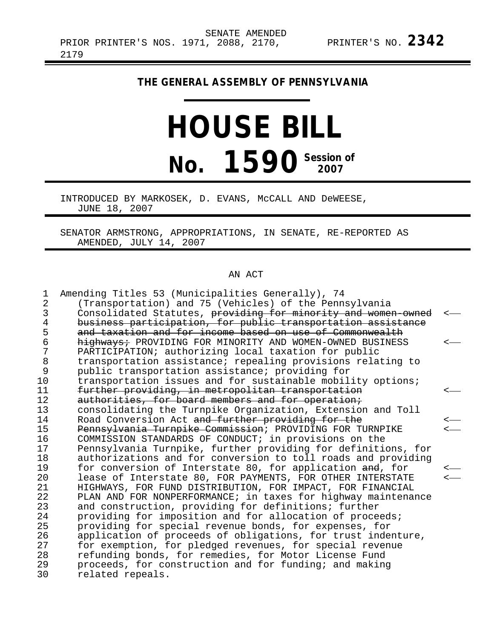## **THE GENERAL ASSEMBLY OF PENNSYLVANIA**

## **HOUSE BILL No. 1590** Session of

INTRODUCED BY MARKOSEK, D. EVANS, McCALL AND DeWEESE, JUNE 18, 2007

SENATOR ARMSTRONG, APPROPRIATIONS, IN SENATE, RE-REPORTED AS AMENDED, JULY 14, 2007

## AN ACT

| 1              | Amending Titles 53 (Municipalities Generally), 74             |                          |
|----------------|---------------------------------------------------------------|--------------------------|
| $\overline{2}$ | (Transportation) and 75 (Vehicles) of the Pennsylvania        |                          |
| 3              | Consolidated Statutes, providing for minority and women owned |                          |
| 4              | business participation, for public transportation assistance  |                          |
| 5              | and taxation and for income based on use of Commonwealth      |                          |
| 6              | highways: PROVIDING FOR MINORITY AND WOMEN-OWNED BUSINESS     |                          |
| 7              | PARTICIPATION; authorizing local taxation for public          |                          |
| 8              | transportation assistance; repealing provisions relating to   |                          |
| 9              | public transportation assistance; providing for               |                          |
| 10             | transportation issues and for sustainable mobility options;   |                          |
| 11             | further providing, in metropolitan transportation             |                          |
| 12             | authorities, for board members and for operation;             |                          |
| 13             | consolidating the Turnpike Organization, Extension and Toll   |                          |
| 14             | Road Conversion Act and further providing for the             |                          |
| 15             | Pennsylvania Turnpike Commission; PROVIDING FOR TURNPIKE      |                          |
| 16             | COMMISSION STANDARDS OF CONDUCT; in provisions on the         |                          |
| 17             | Pennsylvania Turnpike, further providing for definitions, for |                          |
| 18             | authorizations and for conversion to toll roads and providing |                          |
| 19             | for conversion of Interstate 80, for application and, for     |                          |
| 20             | lease of Interstate 80, FOR PAYMENTS, FOR OTHER INTERSTATE    | $\overline{\phantom{a}}$ |
| 21             | HIGHWAYS, FOR FUND DISTRIBUTION, FOR IMPACT, FOR FINANCIAL    |                          |
| 22             | PLAN AND FOR NONPERFORMANCE; in taxes for highway maintenance |                          |
| 23             | and construction, providing for definitions; further          |                          |
| 24             | providing for imposition and for allocation of proceeds;      |                          |
| 25             | providing for special revenue bonds, for expenses, for        |                          |
| 26             | application of proceeds of obligations, for trust indenture,  |                          |
| 27<br>28       | for exemption, for pledged revenues, for special revenue      |                          |
| 29             | refunding bonds, for remedies, for Motor License Fund         |                          |
| 30             | proceeds, for construction and for funding; and making        |                          |
|                | related repeals.                                              |                          |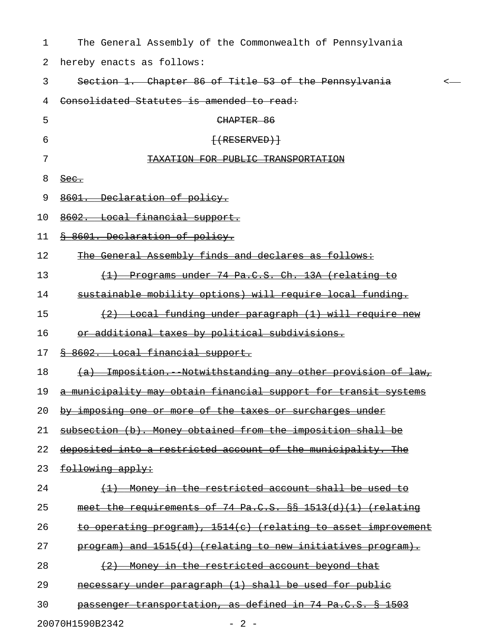| 1  | The General Assembly of the Commonwealth of Pennsylvania                   |
|----|----------------------------------------------------------------------------|
| 2  | hereby enacts as follows:                                                  |
| 3  | Section 1. Chapter 86 of Title 53 of the Pennsylvania<br><-                |
| 4  | Consolidated Statutes is amended to read:                                  |
| 5  | CHAPTER 86                                                                 |
| 6  | $+$ (RESERVED) $+$                                                         |
| 7  | TAXATION FOR PUBLIC TRANSPORTATION                                         |
| 8  | $\frac{\text{Sec.}}{\text{Sec.}}$                                          |
| 9  | 8601. Declaration of policy.                                               |
| 10 | 8602. Local financial support.                                             |
| 11 | 8 8601. Declaration of policy.                                             |
| 12 | The General Assembly finds and declares as follows:                        |
| 13 | <u>Programs under 74 Pa.C.S. Ch. 13A (relating to</u><br>$\leftrightarrow$ |
| 14 | sustainable mobility options) will require local funding.                  |
| 15 | <u>(2) Local funding under paragraph (1) will require new</u>              |
| 16 | or additional taxes by political subdivisions.                             |
| 17 | 8 8602. Local financial support.                                           |
| 18 | <u>(a) Imposition. Notwithstanding any other provision of law,</u>         |
| 19 | a municipality may obtain financial support for transit systems            |
| 20 | by imposing one or more of the taxes or surcharges under                   |
| 21 | subsection (b). Money obtained from the imposition shall be                |
| 22 | deposited into a restricted account of the municipality. The               |
| 23 | following apply:                                                           |
| 24 | (1) Money in the restricted account shall be used to                       |
| 25 | meet the requirements of 74 Pa.C.S. $\S$ 1513(d)(1) (relating              |
| 26 | to operating program), 1514(c) (relating to asset improvement              |
| 27 | program) and 1515(d) (relating to new initiatives program).                |
| 28 | (2) Money in the restricted account beyond that                            |
| 29 | necessary under paragraph (1) shall be used for public                     |
| 30 | passenger transportation, as defined in 74 Pa.C.S. § 1503                  |
|    | 20070H1590B2342<br>$-2 -$                                                  |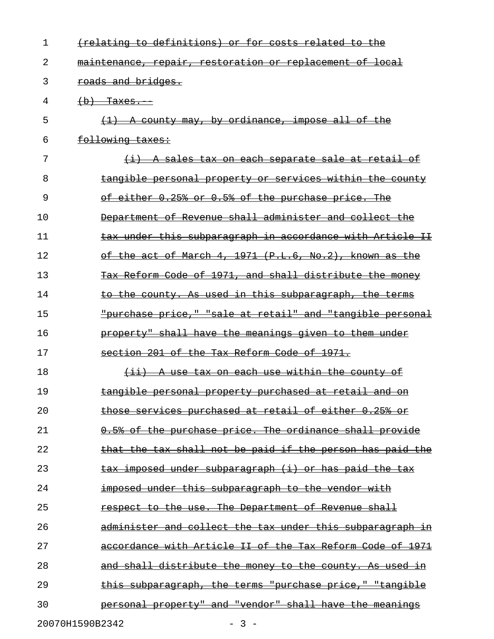| $\mathbf{1}$ | (relating to definitions) or for costs related to the            |
|--------------|------------------------------------------------------------------|
| 2            | maintenance, repair, restoration or replacement of local         |
| 3            | roads and bridges.                                               |
| 4            | $(b)$ Taxes.                                                     |
| 5            | A county may, by ordinance, impose all of the                    |
| 6            | following taxes:                                                 |
| 7            | A sales tax on each separate sale at retail of                   |
| 8            | tangible personal property or services within the county         |
| 9            | of either 0.25% or 0.5% of the purchase price. The               |
| 10           | Department of Revenue shall administer and collect the           |
| 11           | tax under this subparagraph in accordance with Article II        |
| 12           | of the act of March 4, 1971 (P.L.6, No.2), known as the          |
| 13           | Tax Reform Code of 1971, and shall distribute the money          |
| 14           | to the county. As used in this subparagraph, the terms           |
| 15           | "purchase price," "sale at retail" and "tangible personal        |
| 16           | property" shall have the meanings given to them under            |
| 17           | section 201 of the Tax Reform Code of 1971.                      |
| 18           | (ii) A use tax on each use within the county of                  |
| 19           | tangible personal property purchased at retail and on            |
| 20           | those services purchased at retail of either 0.25% or            |
| 21           | 0.5% of the purchase price. The ordinance shall provide          |
| 22           | that the tax shall not be paid if the person has paid the        |
| 23           | <u>tax imposed under subparagraph (i) or has paid the tax</u>    |
| 24           | <u>imposed under this subparagraph to the vendor with</u>        |
| 25           | respect to the use. The Department of Revenue shall              |
| 26           | <u>administer and collect the tax under this subparagraph in</u> |
| 27           | accordance with Article II of the Tax Reform Code of 1971        |
| 28           | and shall distribute the money to the county. As used in         |
| 29           | this subparagraph, the terms "purchase price," "tangible         |
| 30           | personal property" and "vendor" shall have the meanings          |
|              |                                                                  |

20070H1590B2342 - 3 -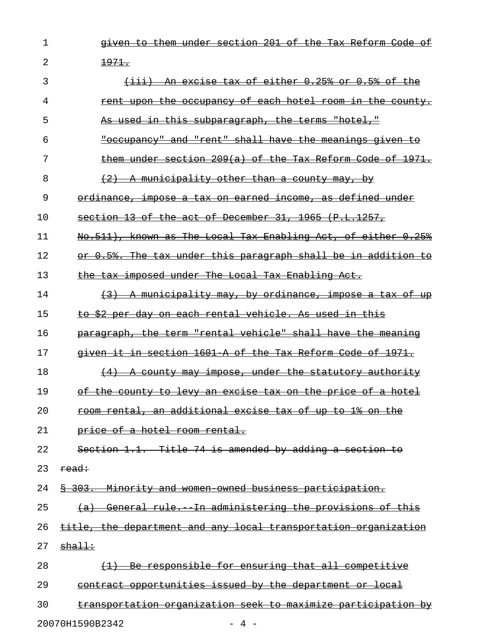- 1 given to them under section 201 of the Tax Reform Code of
- 2  $\frac{1971}{.}$

| 3<br>(iii) An excise tax of either 0.25% or 0.5% of the                    |
|----------------------------------------------------------------------------|
| rent upon the occupancy of each hotel room in the county.<br>4             |
| 5<br><del>As used in this subparagraph, the terms "hotel,"</del>           |
| "occupancy" and "rent" shall have the meanings given<br>6<br>-to           |
| 7<br>them under section 209(a) of the Tax Reform Code of 1971.             |
| 8<br>A municipality other than a county may,                               |
| 9<br>ordinance, impose a tax on earned income, as defined under            |
| 1 <sub>0</sub><br>section 13 of the act of December 31, 1965 (P.L.1257,    |
| 11<br>No.511), known as The Local Tax Enabling Act, of either 0.25%        |
| 12<br>or 0.5%. The tax under this paragraph shall be in addition to        |
| 13<br>the tax imposed under The Local Tax Enabling Act.                    |
| 14<br>(3) A municipality may, by ordinance, impose a tax of up             |
| 15<br>to \$2 per day on each rental vehicle. As used in this               |
| 16<br>paragraph, the term "rental vehicle" shall have the meaning          |
| given it in section 1601 A of the Tax Reform Code of 1971.<br>17           |
| 18<br>(4) A county may impose, under the statutory authority               |
| 19<br>of the county to levy an excise tax on the price of a hotel          |
| 2.0<br><u>room rental, an additional excise tax of up to 1% on the </u>    |
| 21<br>price of a hotel room rental.                                        |
| Section 1.1. Title 74 is amended by adding a section to<br>22              |
| 23<br>read:                                                                |
| \$ 303. Minority and women owned business participation.<br>24             |
| 25<br>(a) General rule. In administering the provisions of this            |
| 26<br>title, the department and any local transportation organization      |
| 27<br><u>shall:</u>                                                        |
| 28<br>(1) Be responsible for ensuring that all competitive                 |
| 29<br>contract opportunities issued by the department or local             |
| 30<br><u>transportation organization seek to maximize participation by</u> |
| 20070H1590B2342<br>$-4 -$                                                  |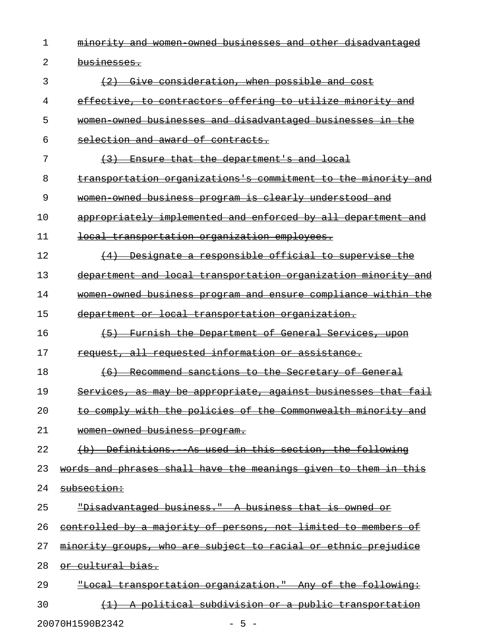1 minority and women owned businesses and other disadvantaged 2 businesses. 3 (2) Give consideration, when possible and cost 4 effective, to contractors offering to utilize minority and 5 women owned businesses and disadvantaged businesses in the 6 selection and award of contracts. 7 (3) Ensure that the department's and local 8 transportation organizations's commitment to the minority and 9 women owned business program is clearly understood and 10 appropriately implemented and enforced by all department and 11 local transportation organization employees. 12 (4) Designate a responsible official to supervise the 13 department and local transportation organization minority and 14 women owned business program and ensure compliance within the 15 department or local transportation organization. 16 (5) Furnish the Department of General Services, upon \_\_\_\_\_\_\_\_\_\_\_\_\_\_\_\_\_\_\_\_\_\_\_\_\_\_\_\_\_\_\_\_\_\_\_\_\_\_\_\_\_\_\_\_\_\_\_\_\_\_\_\_\_ 17 request, all requested information or assistance. 18 (6) Recommend sanctions to the Secretary of General 19 Services, as may be appropriate, against businesses that fail 20 to comply with the policies of the Commonwealth minority and 21 women-owned business program. 22 (b) Definitions. As used in this section, the following 23 words and phrases shall have the meanings given to them in this 24 subsection: 25 Pisadvantaged business." A business that is owned or 26 controlled by a majority of persons, not limited to members of 27 minority groups, who are subject to racial or ethnic prejudice 28 or cultural bias. 29 . The Total transportation organization." Any of the following: 30 (1) A political subdivision or a public transportation

20070H1590B2342 - 5 -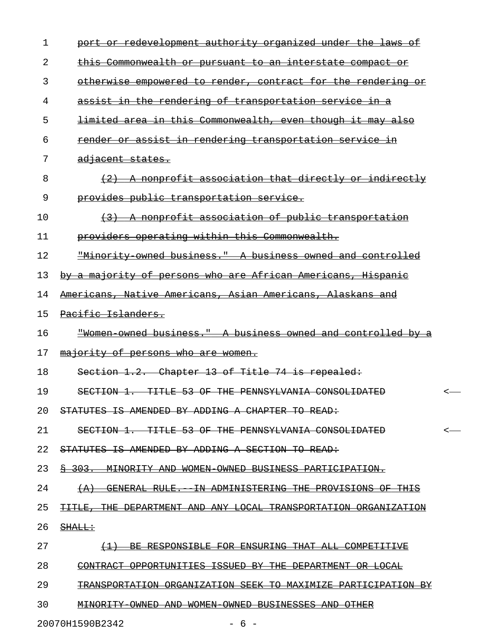| 1  | port or redevelopment authority organized under the laws of     |   |
|----|-----------------------------------------------------------------|---|
| 2  | this Commonwealth or pursuant to an interstate compact or       |   |
| 3  | otherwise empowered to render, contract for the rendering or    |   |
| 4  | assist in the rendering of transportation service in a          |   |
| 5  | limited area in this Commonwealth, even though it may also      |   |
| 6  | render or assist in rendering transportation service in         |   |
| 7  | <del>adjacent states.</del>                                     |   |
| 8  | (2) A nonprofit association that directly or indirectly         |   |
| 9  | provides public transportation service.                         |   |
| 10 | (3) A nonprofit association of public transportation            |   |
| 11 | providers operating within this Commonwealth.                   |   |
| 12 | "Minority owned business." A business owned and controlled      |   |
| 13 | by a majority of persons who are African Americans, Hispanic    |   |
| 14 | Americans, Native Americans, Asian Americans, Alaskans and      |   |
| 15 | Pacific Islanders.                                              |   |
| 16 | "Women owned business." A business owned and controlled by a    |   |
| 17 | majority of persons who are women.                              |   |
| 18 | Section 1.2. Chapter 13 of Title 74 is repealed:                |   |
| 19 | SECTION 1. TITLE 53 OF THE PENNSYLVANIA CONSOLIDATED            |   |
| 20 | STATUTES IS AMENDED BY ADDING A CHAPTER TO READ:                |   |
| 21 | SECTION 1. TITLE 53 OF THE PENNSYLVANIA CONSOLIDATED            | < |
| 22 | STATUTES IS AMENDED BY ADDING A SECTION TO READ:                |   |
| 23 | \$ 303. MINORITY AND WOMEN OWNED BUSINESS PARTICIPATION.        |   |
| 24 | (A) GENERAL RULE. IN ADMINISTERING THE PROVISIONS OF THIS       |   |
| 25 | TITLE, THE DEPARTMENT AND ANY LOCAL TRANSPORTATION ORGANIZATION |   |
| 26 | <del>SHALL:</del>                                               |   |
| 27 | (1) BE RESPONSIBLE FOR ENSURING THAT ALL COMPETITIVE            |   |
| 28 | CONTRACT OPPORTUNITIES ISSUED BY THE DEPARTMENT OR LOCAL        |   |
| 29 | TRANSPORTATION ORGANIZATION SEEK TO MAXIMIZE PARTICIPATION BY   |   |
| 30 | MINORITY OWNED AND WOMEN OWNED BUSINESSES AND OTHER             |   |

20070H1590B2342 - 6 -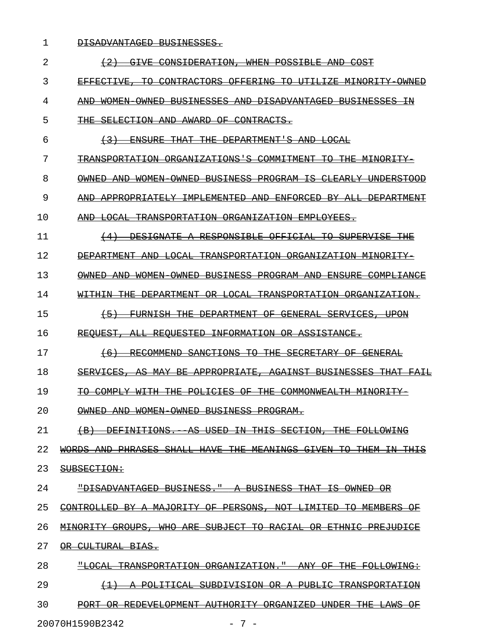1 DISADVANTAGED BUSINESSES.

| 2  | <del>GTVE</del>                                                                                                                                                             |
|----|-----------------------------------------------------------------------------------------------------------------------------------------------------------------------------|
| 3  | EFFECTIVE,<br>ŦА<br>CONTRACTORS<br><del>OFFERING</del><br>ŦА<br><del>UTILI ZE</del><br>MINORITY                                                                             |
| 4  | <del>WOMEN</del><br><del>OWNED</del><br><del>BUSINESSES</del><br>AND-<br>DISADVANTAGED<br><b>BUSINESSES</b><br>AND                                                          |
| 5  | CONTRACTS.<br><del>SELECTION</del><br><del>AND</del><br>AWARD.<br>AF-                                                                                                       |
| 6  | <del>FNSUR F.</del><br>平开展<br><del>DEPARTMENT'S</del><br><b>AND</b><br><del>LOCAL</del>                                                                                     |
| 7  | <del>TRANSPORTATION</del><br><del>ORGANIZATIONS'S</del><br>COMMITMENT<br>ŦО<br><del></del><br>MINORIT                                                                       |
| 8  | <del>WOMEN</del><br><del>BUSINESS</del><br><del>PROGRAM IS</del><br><del>CLEARLY</del><br><del>OWNED</del><br><del>AND</del><br><del>OWNED</del><br>IINDERSTOOD             |
| 9  | <del>APPROPRIATELY</del><br>TMPLEMENTED<br><b>ENFORCED</b><br>$\Delta$ T.T.<br><b>DEPARTME</b><br>AND<br>-RY                                                                |
| 10 | TRANSPORTATION ORGANIZATION<br><b>EMPLOYEES.</b>                                                                                                                            |
| 11 | DESIGNATE<br>RESPONSIBLE OFFICIAL<br>ŦО<br><i>SUPERVISE</i>                                                                                                                 |
| 12 | DEPARTMENT AND<br><del>I.OCAL</del><br>TRANSPORTATION ORGANIZATION<br>MINORIT                                                                                               |
| 13 | WOMEN-<br><b>OWNED</b><br>BUSINESS<br>PROGRAM AND<br><del>FNSURF.</del><br>COMPLIANCE<br><del>OWNED</del><br><del>AND</del>                                                 |
| 14 | DEPARTMENT<br><del>I.ACAI.</del><br><del>TRANSPORTATION</del><br>ORGANIZATION<br>AR—                                                                                        |
| 15 | FIIRNT SH<br>DEPARTMENT OF<br><del>GENERAL</del><br><del>SERVICES</del>                                                                                                     |
| 16 | ASSISTANCE.<br><b>REOUESTED</b><br><del>INFORMATION OR</del>                                                                                                                |
| 17 | <b>RECOMMEND</b><br>SANCTIONS<br>ŦА<br><del>THE.</del><br><b>SECRETARY</b><br>GENERAL<br>$+6$                                                                               |
| 18 | ERVICES<br>ᅀᇰᅌ<br>MAY .<br>APPROPRTATE<br>AGAINST<br><b>BUSINESSES</b><br>-RF                                                                                               |
| 19 | <del>POLICIES</del><br><b>THE</b><br>COMMONWEALTH<br>COMPLY<br>ΘE                                                                                                           |
| 20 | ∩WNED<br><b>OWNED</b><br>BUSINESS<br>PROGRAM.<br>M∩M⊡N                                                                                                                      |
| 21 | <b>DEFINITIONS</b><br>ΆS<br><del>USED</del><br><del>THT S</del><br><del>SECTION</del><br>ŦĦE<br><b>FOLLOWING</b><br><del>(В</del><br>ΤN                                     |
| 22 | <b>PHRASES</b><br><b>SHALI</b><br><b>HAVE</b><br><del>THE</del><br><b>MEANINGS</b><br><b>THEM</b><br>WORDS<br><del>AND</del><br><del>GIVEN</del><br>ŦΘ<br>ŦΉ<br><b>THIS</b> |
| 23 | SUBSECTION:                                                                                                                                                                 |
| 24 | "DISADVANTAGED<br>BUSINESS.<br><b>BUSINESS</b><br><del>THAT</del><br>ŦS<br><b>OWNED</b><br>θR                                                                               |
| 25 | <b>MAJORITY</b><br>PERSONS,<br>CONTROLLED<br>Β¥<br>θF<br><b>NOT</b><br><del>LIMITED</del><br>Ŧθ<br><b>MEMBERS</b><br>ΘF<br>Α                                                |
| 26 | <b>WHO</b><br><b>SUBJECT</b><br>Ŧθ<br>RACIAI<br><b>MINORITY</b><br><del>GROUPS .</del><br>ARE<br><del>ETHNIC</del><br><b>PREJUDICE</b><br>ΘR                                |
| 27 | <del>CULTURAL</del><br><del>BIAS.</del><br>θR                                                                                                                               |
| 28 | <b>"LOCAL</b><br><b>TRANSPORTATION</b><br>ORGANIZATION.<br><del>THE</del><br>θ₽<br><del>FOLLOWING:</del><br>ANY                                                             |
| 29 | <del>POLITICAL</del><br>SUBDIVISION<br><b>TRANSPORTATION</b><br>$\leftrightarrow$<br>θR<br><del>PUBLIC</del><br>Α                                                           |
| 30 | <b>PORT</b><br>REDEVELOPMENT<br><del>AUTHORITY</del><br><del>ORGANIZED</del><br><del>UNDER</del><br><del>THE</del><br><del>LAWS</del><br>θF<br>ΘR                           |
|    |                                                                                                                                                                             |

20070H1590B2342 - 7 -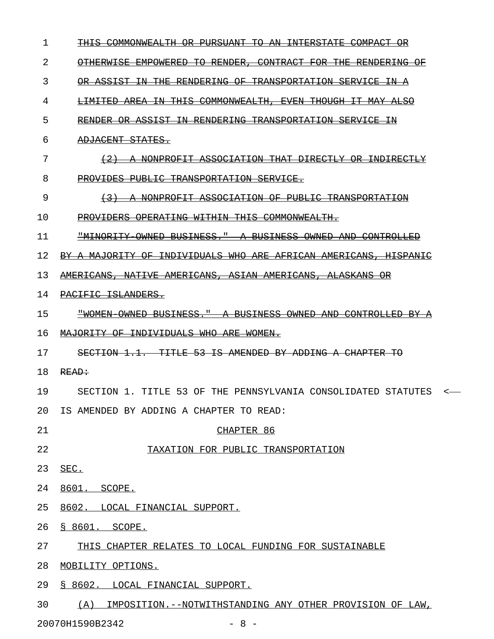| 1               | <del>COMMONWEALTH</del><br><del>PHR SHANT</del><br><del>TNTERSTATE</del><br><del>TO</del><br>-AN-<br>COMPACT |
|-----------------|--------------------------------------------------------------------------------------------------------------|
| 2               | OTHERWISE EMPOWERED<br><del>TO RENDER,</del><br><del>CONTRACT FOR</del><br><del>THE RENDERING</del>          |
| 3               | OR ASSIST IN THE RENDERING OF TRANSPORTATION SERVICE<br>−±N−                                                 |
| 4               | <del>LIMITED AREA IN THIS COMMONWEALTH. EVEN THOUGH IT MAY ALSO</del>                                        |
| 5               | <del>RENDER OR ASSIST IN RENDERING TRANSPORTATION SERVICE IN</del>                                           |
| 6               | ADJACENT STATES.                                                                                             |
| 7               | <del>A NONPROFIT ASSOCIATION THAT DIRECTLY OR INDIRECTI</del><br>$+2$                                        |
| 8               | PROVIDES PUBLIC TRANSPORTATION SERVICE.                                                                      |
| 9               | A NONPROFIT ASSOCIATION OF PUBLIC TRANSPORTATION<br>$\leftarrow$ 3 $\rightarrow$                             |
| 10              | PROVIDERS OPERATING WITHIN THIS COMMONWEALTH.                                                                |
| 11              | <u> "MINORITY OWNED BUSINESS." A BUSINESS OWNED AND CONTROLLED</u>                                           |
| 12              | BY A MAJORITY OF INDIVIDUALS WHO ARE AFRICAN AMERICANS.<br><del>HISPANT</del>                                |
| 13              | <u> AMERICANS, NATIVE AMERICANS, ASIAN AMERICANS, ALASKANS</u>                                               |
| 14              | PACIFIC ISLANDERS.                                                                                           |
| 15              | "WOMEN OWNED BUSINESS." A BUSINESS OWNED AND CONTROLLED<br>-BY                                               |
| 16              | <u> MAJORITY OF INDIVIDUALS WHO ARE WOMEN.</u>                                                               |
| 17              | SECTION 1.1. TITLE<br><u>53 IS AMENDED BY ADDING A CHAPTER</u><br>ŦА                                         |
| 18              | READ:                                                                                                        |
| 19              | SECTION 1. TITLE 53 OF THE PENNSYLVANIA CONSOLIDATED STATUTES<br><                                           |
| 20 <sub>o</sub> | IS AMENDED BY ADDING A CHAPTER TO READ:                                                                      |
| 21              | CHAPTER 86                                                                                                   |
| 22              | TAXATION FOR PUBLIC TRANSPORTATION                                                                           |
| 23              | SEC.                                                                                                         |
| 24              | 8601. SCOPE.                                                                                                 |
| 25              | 8602. LOCAL FINANCIAL SUPPORT.                                                                               |
| 26              | § 8601. SCOPE.                                                                                               |
| 27              | THIS CHAPTER RELATES TO LOCAL FUNDING FOR SUSTAINABLE                                                        |
| 28              | MOBILITY OPTIONS.                                                                                            |
| 29              | § 8602. LOCAL FINANCIAL SUPPORT.                                                                             |
| 30              | (A) IMPOSITION.--NOTWITHSTANDING ANY OTHER PROVISION OF LAW,                                                 |

20070H1590B2342 - 8 -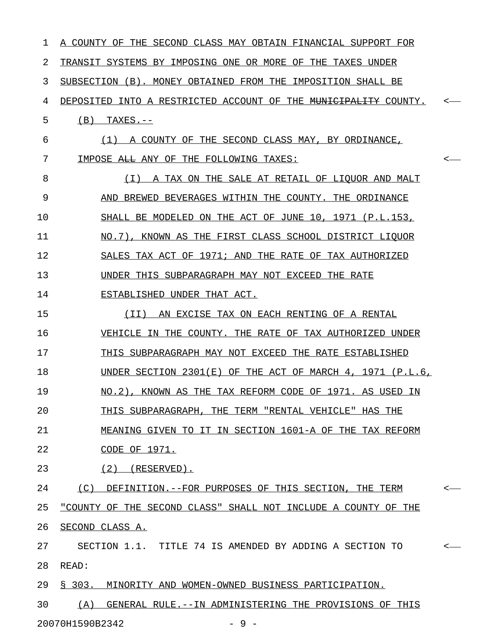| 1  | A COUNTY OF THE SECOND CLASS MAY OBTAIN FINANCIAL SUPPORT FOR              |              |
|----|----------------------------------------------------------------------------|--------------|
| 2  | TRANSIT SYSTEMS BY IMPOSING ONE OR MORE OF THE TAXES UNDER                 |              |
| 3  | SUBSECTION (B). MONEY OBTAINED FROM THE<br>IMPOSITION SHALL BE             |              |
| 4  | DEPOSITED INTO A RESTRICTED ACCOUNT OF THE <del>MUNICIPALITY</del> COUNTY. | $\leftarrow$ |
| 5  | (B)<br>$TAXES. --$                                                         |              |
| 6  | (1)<br>A COUNTY OF THE SECOND CLASS MAY, BY ORDINANCE,                     |              |
| 7  | IMPOSE ALL ANY OF THE FOLLOWING TAXES:                                     | $\leftarrow$ |
| 8  | ( I )<br>A TAX ON THE SALE AT RETAIL OF LIOUOR AND MALT                    |              |
| 9  | AND BREWED BEVERAGES WITHIN THE COUNTY. THE ORDINANCE                      |              |
| 10 | SHALL BE MODELED ON THE ACT OF JUNE 10, 1971 (P.L.153,                     |              |
| 11 | NO.7), KNOWN AS THE FIRST CLASS SCHOOL DISTRICT LIQUOR                     |              |
| 12 | SALES TAX ACT OF 1971; AND THE RATE OF TAX AUTHORIZED                      |              |
| 13 | UNDER THIS SUBPARAGRAPH MAY NOT EXCEED THE RATE                            |              |
| 14 | ESTABLISHED UNDER THAT ACT.                                                |              |
| 15 | (II)<br>AN EXCISE TAX ON EACH RENTING OF A RENTAL                          |              |
| 16 | VEHICLE IN THE COUNTY. THE RATE OF TAX AUTHORIZED UNDER                    |              |
| 17 | THIS SUBPARAGRAPH MAY NOT EXCEED THE RATE ESTABLISHED                      |              |
| 18 | UNDER SECTION $2301(E)$ OF THE ACT OF MARCH 4, 1971 (P.L.6,                |              |
| 19 | NO.2), KNOWN AS THE TAX REFORM CODE OF 1971. AS USED IN                    |              |
| 20 | THIS SUBPARAGRAPH, THE TERM "RENTAL VEHICLE" HAS THE                       |              |
| 21 | MEANING GIVEN TO IT IN SECTION 1601-A OF THE TAX REFORM                    |              |
| 22 | CODE OF 1971.                                                              |              |
| 23 | $(2)$ (RESERVED).                                                          |              |
| 24 | (C) DEFINITION. -- FOR PURPOSES OF THIS SECTION, THE TERM                  | $\leftarrow$ |
| 25 | "COUNTY OF THE SECOND CLASS" SHALL NOT INCLUDE A COUNTY OF THE             |              |
| 26 | SECOND CLASS A.                                                            |              |
| 27 | SECTION 1.1. TITLE 74 IS AMENDED BY ADDING A SECTION TO                    | $\leftarrow$ |
| 28 | READ:                                                                      |              |
| 29 | § 303. MINORITY AND WOMEN-OWNED BUSINESS PARTICIPATION.                    |              |
| 30 | (A) GENERAL RULE.--IN ADMINISTERING THE PROVISIONS OF THIS                 |              |
|    |                                                                            |              |

20070H1590B2342 - 9 -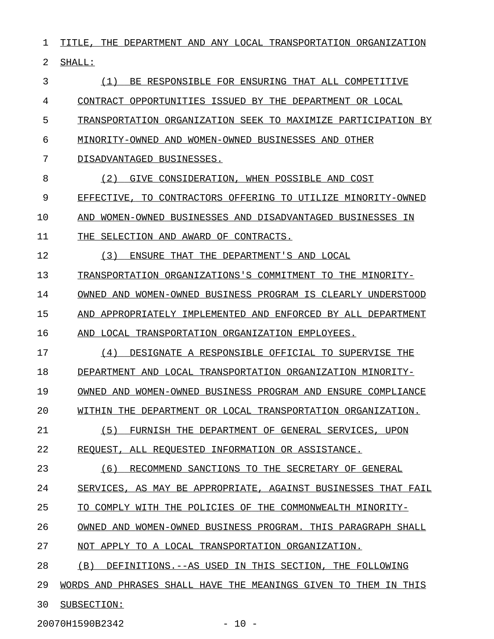$1$  TITLE, THE DEPARTMENT AND ANY LOCAL TRANSPORTATION ORGANIZATION 2 SHALL: 3 6 (1) BE RESPONSIBLE FOR ENSURING THAT ALL COMPETITIVE 4 CONTRACT OPPORTUNITIES ISSUED BY THE DEPARTMENT OR LOCAL 5 TRANSPORTATION ORGANIZATION SEEK TO MAXIMIZE PARTICIPATION BY 6 MINORITY-OWNED AND WOMEN-OWNED BUSINESSES AND OTHER 7 DISADVANTAGED BUSINESSES. 8 (2) GIVE CONSIDERATION, WHEN POSSIBLE AND COST 9 EFFECTIVE, TO CONTRACTORS OFFERING TO UTILIZE MINORITY-OWNED 10 AND WOMEN-OWNED BUSINESSES AND DISADVANTAGED BUSINESSES IN 11 THE SELECTION AND AWARD OF CONTRACTS. 12 (3) ENSURE THAT THE DEPARTMENT'S AND LOCAL 13 TRANSPORTATION ORGANIZATIONS'S COMMITMENT TO THE MINORITY-14 OWNED AND WOMEN-OWNED BUSINESS PROGRAM IS CLEARLY UNDERSTOOD 15 AND APPROPRIATELY IMPLEMENTED AND ENFORCED BY ALL DEPARTMENT 16 AND LOCAL TRANSPORTATION ORGANIZATION EMPLOYEES. 17 (4) DESIGNATE A RESPONSIBLE OFFICIAL TO SUPERVISE THE 18 DEPARTMENT AND LOCAL TRANSPORTATION ORGANIZATION MINORITY-19 OWNED AND WOMEN-OWNED BUSINESS PROGRAM AND ENSURE COMPLIANCE 20 WITHIN THE DEPARTMENT OR LOCAL TRANSPORTATION ORGANIZATION. 21 (5) FURNISH THE DEPARTMENT OF GENERAL SERVICES, UPON 22 REQUEST, ALL REQUESTED INFORMATION OR ASSISTANCE. 23 (6) RECOMMEND SANCTIONS TO THE SECRETARY OF GENERAL 24 SERVICES, AS MAY BE APPROPRIATE, AGAINST BUSINESSES THAT FAIL 25 TO COMPLY WITH THE POLICIES OF THE COMMONWEALTH MINORITY-26 OWNED AND WOMEN-OWNED BUSINESS PROGRAM. THIS PARAGRAPH SHALL 27 NOT APPLY TO A LOCAL TRANSPORTATION ORGANIZATION. 28 (B) DEFINITIONS.--AS USED IN THIS SECTION, THE FOLLOWING 29 WORDS AND PHRASES SHALL HAVE THE MEANINGS GIVEN TO THEM IN THIS 30 SUBSECTION:

20070H1590B2342 - 10 -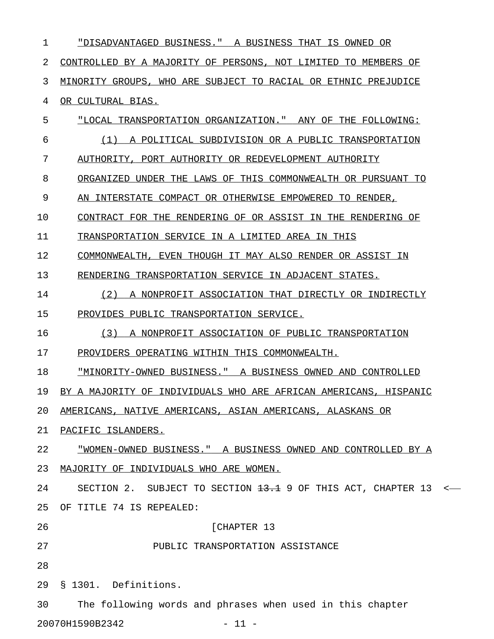| 1  | "DISADVANTAGED BUSINESS." A BUSINESS THAT IS OWNED OR                |  |
|----|----------------------------------------------------------------------|--|
| 2  | CONTROLLED BY A MAJORITY OF PERSONS, NOT LIMITED TO MEMBERS OF       |  |
| 3  | MINORITY GROUPS, WHO ARE SUBJECT TO RACIAL OR ETHNIC PREJUDICE       |  |
| 4  | <u>OR CULTURAL BIAS.</u>                                             |  |
| 5  | "LOCAL TRANSPORTATION ORGANIZATION." ANY OF THE FOLLOWING:           |  |
| 6  | (1) A POLITICAL SUBDIVISION OR A PUBLIC TRANSPORTATION               |  |
| 7  | AUTHORITY, PORT AUTHORITY OR REDEVELOPMENT AUTHORITY                 |  |
| 8  | ORGANIZED UNDER THE LAWS OF THIS COMMONWEALTH OR PURSUANT TO         |  |
| 9  | AN INTERSTATE COMPACT OR OTHERWISE EMPOWERED TO RENDER,              |  |
| 10 | CONTRACT FOR THE RENDERING OF OR ASSIST IN THE RENDERING OF          |  |
| 11 | TRANSPORTATION SERVICE IN A LIMITED AREA IN THIS                     |  |
| 12 | COMMONWEALTH, EVEN THOUGH IT MAY ALSO RENDER OR ASSIST IN            |  |
| 13 | RENDERING TRANSPORTATION SERVICE IN ADJACENT STATES.                 |  |
| 14 | (2)<br>A NONPROFIT ASSOCIATION THAT DIRECTLY OR INDIRECTLY           |  |
| 15 | PROVIDES PUBLIC TRANSPORTATION SERVICE.                              |  |
| 16 | A NONPROFIT ASSOCIATION OF PUBLIC TRANSPORTATION<br>(3)              |  |
| 17 | PROVIDERS OPERATING WITHIN THIS COMMONWEALTH.                        |  |
| 18 | "MINORITY-OWNED BUSINESS." A BUSINESS OWNED AND CONTROLLED           |  |
| 19 | BY A MAJORITY OF INDIVIDUALS WHO ARE AFRICAN AMERICANS, HISPANIC     |  |
| 20 | AMERICANS, NATIVE AMERICANS, ASIAN AMERICANS, ALASKANS OR            |  |
| 21 | PACIFIC ISLANDERS.                                                   |  |
| 22 | <u> "WOMEN-OWNED BUSINESS." A BUSINESS OWNED AND CONTROLLED BY A</u> |  |
| 23 | MAJORITY OF INDIVIDUALS WHO ARE WOMEN.                               |  |
| 24 | SECTION 2. SUBJECT TO SECTION $13.+1$ 9 OF THIS ACT, CHAPTER 13 <-   |  |
| 25 | OF TITLE 74 IS REPEALED:                                             |  |
| 26 | [CHAPTER 13                                                          |  |
| 27 | PUBLIC TRANSPORTATION ASSISTANCE                                     |  |
| 28 |                                                                      |  |
| 29 | § 1301. Definitions.                                                 |  |
| 30 | The following words and phrases when used in this chapter            |  |
|    | 20070H1590B2342<br>$-11 -$                                           |  |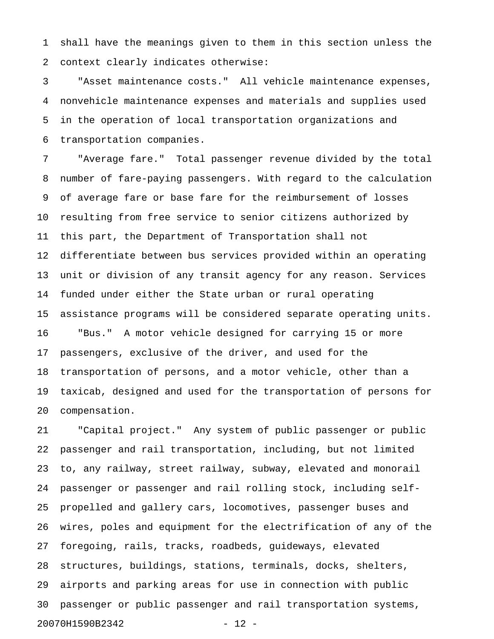1 shall have the meanings given to them in this section unless the 2 context clearly indicates otherwise:

3 "Asset maintenance costs." All vehicle maintenance expenses, 4 nonvehicle maintenance expenses and materials and supplies used 5 in the operation of local transportation organizations and 6 transportation companies.

7 "Average fare." Total passenger revenue divided by the total 8 number of fare-paying passengers. With regard to the calculation 9 of average fare or base fare for the reimbursement of losses 10 resulting from free service to senior citizens authorized by 11 this part, the Department of Transportation shall not 12 differentiate between bus services provided within an operating 13 unit or division of any transit agency for any reason. Services 14 funded under either the State urban or rural operating 15 assistance programs will be considered separate operating units. 16 "Bus." A motor vehicle designed for carrying 15 or more 17 passengers, exclusive of the driver, and used for the 18 transportation of persons, and a motor vehicle, other than a 19 taxicab, designed and used for the transportation of persons for 20 compensation.

21 "Capital project." Any system of public passenger or public 22 passenger and rail transportation, including, but not limited 23 to, any railway, street railway, subway, elevated and monorail 24 passenger or passenger and rail rolling stock, including self-25 propelled and gallery cars, locomotives, passenger buses and 26 wires, poles and equipment for the electrification of any of the 27 foregoing, rails, tracks, roadbeds, guideways, elevated 28 structures, buildings, stations, terminals, docks, shelters, 29 airports and parking areas for use in connection with public 30 passenger or public passenger and rail transportation systems, 20070H1590B2342 - 12 -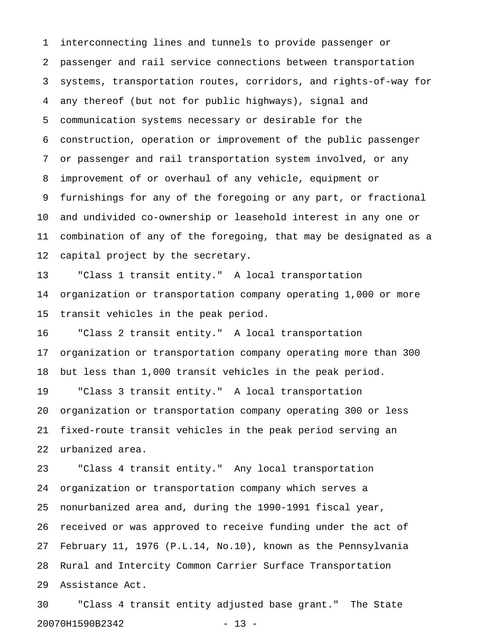1 interconnecting lines and tunnels to provide passenger or 2 passenger and rail service connections between transportation 3 systems, transportation routes, corridors, and rights-of-way for 4 any thereof (but not for public highways), signal and 5 communication systems necessary or desirable for the 6 construction, operation or improvement of the public passenger 7 or passenger and rail transportation system involved, or any 8 improvement of or overhaul of any vehicle, equipment or 9 furnishings for any of the foregoing or any part, or fractional 10 and undivided co-ownership or leasehold interest in any one or 11 combination of any of the foregoing, that may be designated as a 12 capital project by the secretary.

13 "Class 1 transit entity." A local transportation 14 organization or transportation company operating 1,000 or more 15 transit vehicles in the peak period.

16 "Class 2 transit entity." A local transportation 17 organization or transportation company operating more than 300 18 but less than 1,000 transit vehicles in the peak period. 19 "Class 3 transit entity." A local transportation 20 organization or transportation company operating 300 or less 21 fixed-route transit vehicles in the peak period serving an

22 urbanized area.

23 "Class 4 transit entity." Any local transportation 24 organization or transportation company which serves a 25 nonurbanized area and, during the 1990-1991 fiscal year, 26 received or was approved to receive funding under the act of 27 February 11, 1976 (P.L.14, No.10), known as the Pennsylvania 28 Rural and Intercity Common Carrier Surface Transportation 29 Assistance Act.

30 "Class 4 transit entity adjusted base grant." The State 20070H1590B2342 - 13 -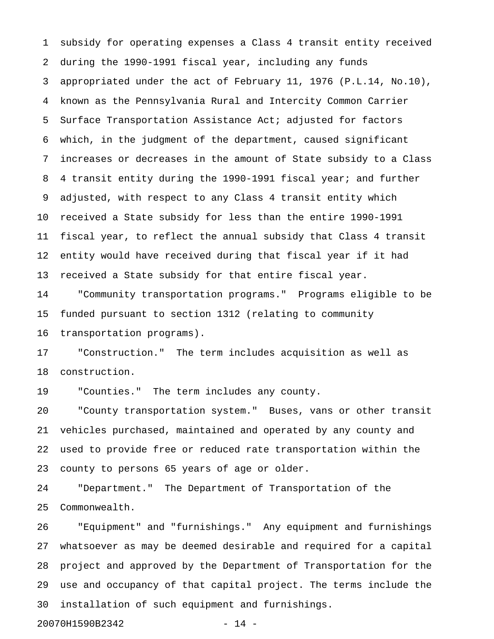1 subsidy for operating expenses a Class 4 transit entity received 2 during the 1990-1991 fiscal year, including any funds 3 appropriated under the act of February 11, 1976 (P.L.14, No.10), 4 known as the Pennsylvania Rural and Intercity Common Carrier 5 Surface Transportation Assistance Act; adjusted for factors 6 which, in the judgment of the department, caused significant 7 increases or decreases in the amount of State subsidy to a Class 8 4 transit entity during the 1990-1991 fiscal year; and further 9 adjusted, with respect to any Class 4 transit entity which 10 received a State subsidy for less than the entire 1990-1991 11 fiscal year, to reflect the annual subsidy that Class 4 transit 12 entity would have received during that fiscal year if it had 13 received a State subsidy for that entire fiscal year.

14 "Community transportation programs." Programs eligible to be 15 funded pursuant to section 1312 (relating to community 16 transportation programs).

17 "Construction." The term includes acquisition as well as 18 construction.

19 "Counties." The term includes any county.

20 "County transportation system." Buses, vans or other transit 21 vehicles purchased, maintained and operated by any county and 22 used to provide free or reduced rate transportation within the 23 county to persons 65 years of age or older.

24 "Department." The Department of Transportation of the 25 Commonwealth.

26 "Equipment" and "furnishings." Any equipment and furnishings 27 whatsoever as may be deemed desirable and required for a capital 28 project and approved by the Department of Transportation for the 29 use and occupancy of that capital project. The terms include the 30 installation of such equipment and furnishings.

20070H1590B2342 - 14 -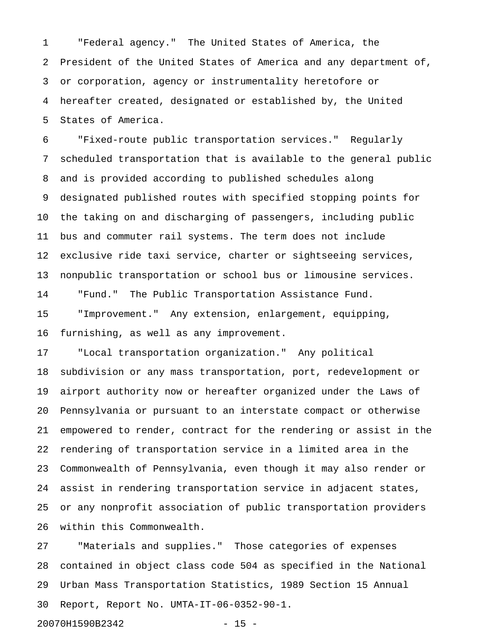1 "Federal agency." The United States of America, the 2 President of the United States of America and any department of, 3 or corporation, agency or instrumentality heretofore or 4 hereafter created, designated or established by, the United 5 States of America.

6 "Fixed-route public transportation services." Regularly 7 scheduled transportation that is available to the general public 8 and is provided according to published schedules along 9 designated published routes with specified stopping points for 10 the taking on and discharging of passengers, including public 11 bus and commuter rail systems. The term does not include 12 exclusive ride taxi service, charter or sightseeing services, 13 nonpublic transportation or school bus or limousine services. 14 "Fund." The Public Transportation Assistance Fund. 15 "Improvement." Any extension, enlargement, equipping, 16 furnishing, as well as any improvement.

17 "Local transportation organization." Any political 18 subdivision or any mass transportation, port, redevelopment or 19 airport authority now or hereafter organized under the Laws of 20 Pennsylvania or pursuant to an interstate compact or otherwise 21 empowered to render, contract for the rendering or assist in the 22 rendering of transportation service in a limited area in the 23 Commonwealth of Pennsylvania, even though it may also render or 24 assist in rendering transportation service in adjacent states, 25 or any nonprofit association of public transportation providers 26 within this Commonwealth.

27 "Materials and supplies." Those categories of expenses 28 contained in object class code 504 as specified in the National 29 Urban Mass Transportation Statistics, 1989 Section 15 Annual 30 Report, Report No. UMTA-IT-06-0352-90-1.

20070H1590B2342 - 15 -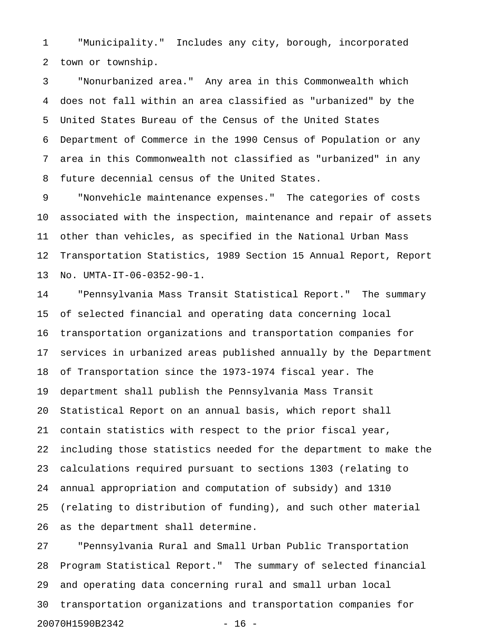1 "Municipality." Includes any city, borough, incorporated 2 town or township.

3 "Nonurbanized area." Any area in this Commonwealth which 4 does not fall within an area classified as "urbanized" by the 5 United States Bureau of the Census of the United States 6 Department of Commerce in the 1990 Census of Population or any 7 area in this Commonwealth not classified as "urbanized" in any 8 future decennial census of the United States.

9 "Nonvehicle maintenance expenses." The categories of costs 10 associated with the inspection, maintenance and repair of assets 11 other than vehicles, as specified in the National Urban Mass 12 Transportation Statistics, 1989 Section 15 Annual Report, Report 13 No. UMTA-IT-06-0352-90-1.

14 "Pennsylvania Mass Transit Statistical Report." The summary 15 of selected financial and operating data concerning local 16 transportation organizations and transportation companies for 17 services in urbanized areas published annually by the Department 18 of Transportation since the 1973-1974 fiscal year. The 19 department shall publish the Pennsylvania Mass Transit 20 Statistical Report on an annual basis, which report shall 21 contain statistics with respect to the prior fiscal year, 22 including those statistics needed for the department to make the 23 calculations required pursuant to sections 1303 (relating to 24 annual appropriation and computation of subsidy) and 1310 25 (relating to distribution of funding), and such other material 26 as the department shall determine.

27 "Pennsylvania Rural and Small Urban Public Transportation 28 Program Statistical Report." The summary of selected financial 29 and operating data concerning rural and small urban local 30 transportation organizations and transportation companies for 20070H1590B2342 - 16 -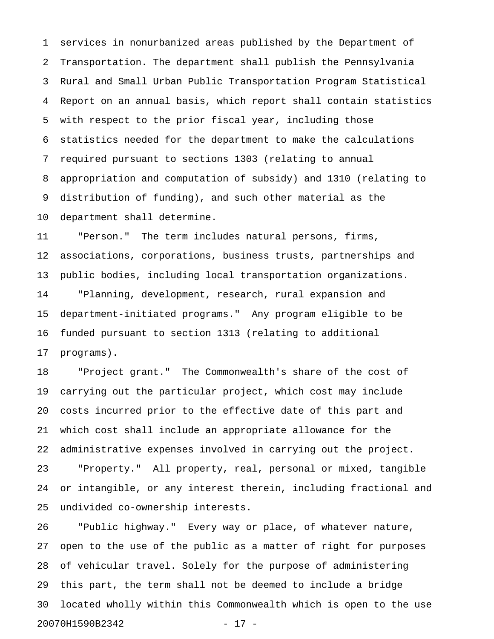1 services in nonurbanized areas published by the Department of 2 Transportation. The department shall publish the Pennsylvania 3 Rural and Small Urban Public Transportation Program Statistical 4 Report on an annual basis, which report shall contain statistics 5 with respect to the prior fiscal year, including those 6 statistics needed for the department to make the calculations 7 required pursuant to sections 1303 (relating to annual 8 appropriation and computation of subsidy) and 1310 (relating to 9 distribution of funding), and such other material as the 10 department shall determine.

11 "Person." The term includes natural persons, firms, 12 associations, corporations, business trusts, partnerships and 13 public bodies, including local transportation organizations. 14 "Planning, development, research, rural expansion and 15 department-initiated programs." Any program eligible to be 16 funded pursuant to section 1313 (relating to additional 17 programs).

18 "Project grant." The Commonwealth's share of the cost of 19 carrying out the particular project, which cost may include 20 costs incurred prior to the effective date of this part and 21 which cost shall include an appropriate allowance for the 22 administrative expenses involved in carrying out the project. 23 "Property." All property, real, personal or mixed, tangible 24 or intangible, or any interest therein, including fractional and 25 undivided co-ownership interests.

26 "Public highway." Every way or place, of whatever nature, 27 open to the use of the public as a matter of right for purposes 28 of vehicular travel. Solely for the purpose of administering 29 this part, the term shall not be deemed to include a bridge 30 located wholly within this Commonwealth which is open to the use 20070H1590B2342 - 17 -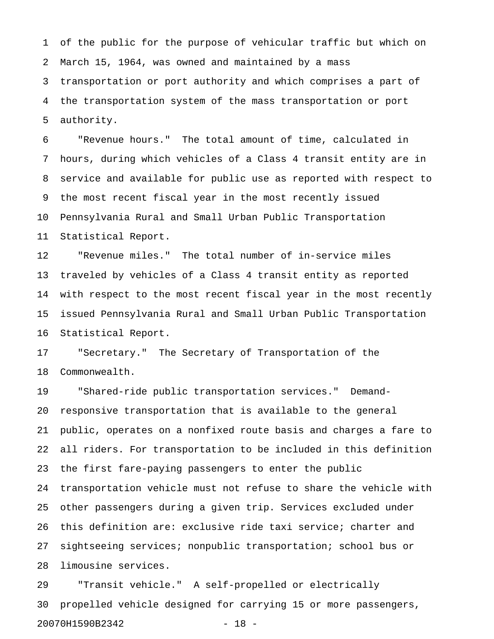1 of the public for the purpose of vehicular traffic but which on 2 March 15, 1964, was owned and maintained by a mass 3 transportation or port authority and which comprises a part of 4 the transportation system of the mass transportation or port 5 authority.

6 "Revenue hours." The total amount of time, calculated in 7 hours, during which vehicles of a Class 4 transit entity are in 8 service and available for public use as reported with respect to 9 the most recent fiscal year in the most recently issued 10 Pennsylvania Rural and Small Urban Public Transportation 11 Statistical Report.

12 "Revenue miles." The total number of in-service miles 13 traveled by vehicles of a Class 4 transit entity as reported 14 with respect to the most recent fiscal year in the most recently 15 issued Pennsylvania Rural and Small Urban Public Transportation 16 Statistical Report.

17 "Secretary." The Secretary of Transportation of the 18 Commonwealth.

19 "Shared-ride public transportation services." Demand-20 responsive transportation that is available to the general 21 public, operates on a nonfixed route basis and charges a fare to 22 all riders. For transportation to be included in this definition 23 the first fare-paying passengers to enter the public 24 transportation vehicle must not refuse to share the vehicle with 25 other passengers during a given trip. Services excluded under 26 this definition are: exclusive ride taxi service; charter and 27 sightseeing services; nonpublic transportation; school bus or 28 limousine services.

29 "Transit vehicle." A self-propelled or electrically 30 propelled vehicle designed for carrying 15 or more passengers, 20070H1590B2342 - 18 -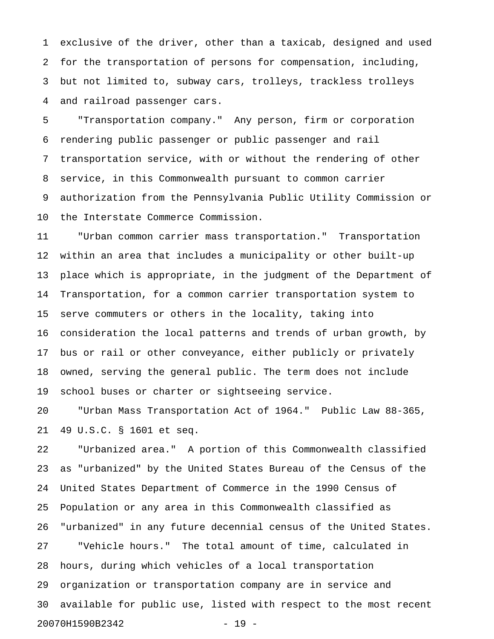1 exclusive of the driver, other than a taxicab, designed and used 2 for the transportation of persons for compensation, including, 3 but not limited to, subway cars, trolleys, trackless trolleys 4 and railroad passenger cars.

5 "Transportation company." Any person, firm or corporation 6 rendering public passenger or public passenger and rail 7 transportation service, with or without the rendering of other 8 service, in this Commonwealth pursuant to common carrier 9 authorization from the Pennsylvania Public Utility Commission or 10 the Interstate Commerce Commission.

11 "Urban common carrier mass transportation." Transportation 12 within an area that includes a municipality or other built-up 13 place which is appropriate, in the judgment of the Department of 14 Transportation, for a common carrier transportation system to 15 serve commuters or others in the locality, taking into 16 consideration the local patterns and trends of urban growth, by 17 bus or rail or other conveyance, either publicly or privately 18 owned, serving the general public. The term does not include 19 school buses or charter or sightseeing service.

20 "Urban Mass Transportation Act of 1964." Public Law 88-365, 21 49 U.S.C. § 1601 et seq.

22 "Urbanized area." A portion of this Commonwealth classified 23 as "urbanized" by the United States Bureau of the Census of the 24 United States Department of Commerce in the 1990 Census of 25 Population or any area in this Commonwealth classified as 26 "urbanized" in any future decennial census of the United States. 27 "Vehicle hours." The total amount of time, calculated in 28 hours, during which vehicles of a local transportation 29 organization or transportation company are in service and 30 available for public use, listed with respect to the most recent 20070H1590B2342 - 19 -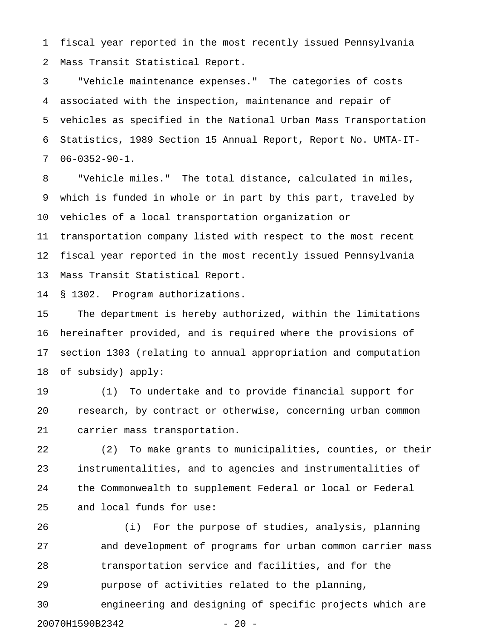1 fiscal year reported in the most recently issued Pennsylvania 2 Mass Transit Statistical Report.

3 "Vehicle maintenance expenses." The categories of costs 4 associated with the inspection, maintenance and repair of 5 vehicles as specified in the National Urban Mass Transportation 6 Statistics, 1989 Section 15 Annual Report, Report No. UMTA-IT-7 06-0352-90-1.

8 "Vehicle miles." The total distance, calculated in miles, 9 which is funded in whole or in part by this part, traveled by 10 vehicles of a local transportation organization or 11 transportation company listed with respect to the most recent 12 fiscal year reported in the most recently issued Pennsylvania 13 Mass Transit Statistical Report.

14 § 1302. Program authorizations.

15 The department is hereby authorized, within the limitations 16 hereinafter provided, and is required where the provisions of 17 section 1303 (relating to annual appropriation and computation 18 of subsidy) apply:

19 (1) To undertake and to provide financial support for 20 research, by contract or otherwise, concerning urban common 21 carrier mass transportation.

22 (2) To make grants to municipalities, counties, or their 23 instrumentalities, and to agencies and instrumentalities of 24 the Commonwealth to supplement Federal or local or Federal 25 and local funds for use:

26 (i) For the purpose of studies, analysis, planning 27 and development of programs for urban common carrier mass 28 transportation service and facilities, and for the 29 purpose of activities related to the planning, 30 engineering and designing of specific projects which are

20070H1590B2342 - 20 -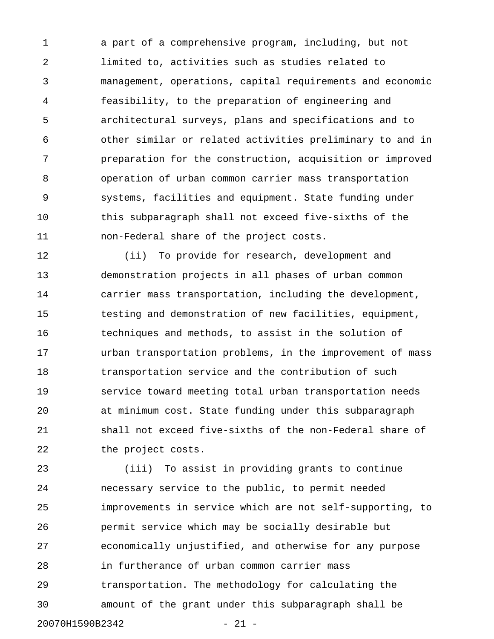1 a part of a comprehensive program, including, but not 2 limited to, activities such as studies related to 3 management, operations, capital requirements and economic 4 feasibility, to the preparation of engineering and 5 architectural surveys, plans and specifications and to 6 other similar or related activities preliminary to and in 7 preparation for the construction, acquisition or improved 8 operation of urban common carrier mass transportation 9 systems, facilities and equipment. State funding under 10 this subparagraph shall not exceed five-sixths of the 11 non-Federal share of the project costs.

12 (ii) To provide for research, development and 13 demonstration projects in all phases of urban common 14 carrier mass transportation, including the development, 15 testing and demonstration of new facilities, equipment, 16 techniques and methods, to assist in the solution of 17 urban transportation problems, in the improvement of mass 18 transportation service and the contribution of such 19 service toward meeting total urban transportation needs 20 at minimum cost. State funding under this subparagraph 21 shall not exceed five-sixths of the non-Federal share of 22 the project costs.

23 (iii) To assist in providing grants to continue 24 necessary service to the public, to permit needed 25 improvements in service which are not self-supporting, to 26 permit service which may be socially desirable but 27 economically unjustified, and otherwise for any purpose 28 in furtherance of urban common carrier mass 29 transportation. The methodology for calculating the 30 amount of the grant under this subparagraph shall be

20070H1590B2342 - 21 -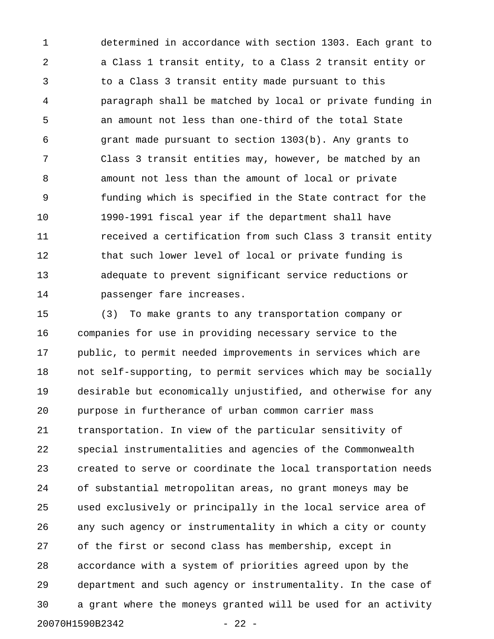1 determined in accordance with section 1303. Each grant to 2 a Class 1 transit entity, to a Class 2 transit entity or 3 to a Class 3 transit entity made pursuant to this 4 paragraph shall be matched by local or private funding in 5 an amount not less than one-third of the total State 6 grant made pursuant to section 1303(b). Any grants to 7 Class 3 transit entities may, however, be matched by an 8 amount not less than the amount of local or private 9 funding which is specified in the State contract for the 10 1990-1991 fiscal year if the department shall have 11 **11** received a certification from such Class 3 transit entity 12 that such lower level of local or private funding is 13 adequate to prevent significant service reductions or 14 passenger fare increases.

15 (3) To make grants to any transportation company or 16 companies for use in providing necessary service to the 17 public, to permit needed improvements in services which are 18 not self-supporting, to permit services which may be socially 19 desirable but economically unjustified, and otherwise for any 20 purpose in furtherance of urban common carrier mass 21 transportation. In view of the particular sensitivity of 22 special instrumentalities and agencies of the Commonwealth 23 created to serve or coordinate the local transportation needs 24 of substantial metropolitan areas, no grant moneys may be 25 used exclusively or principally in the local service area of 26 any such agency or instrumentality in which a city or county 27 of the first or second class has membership, except in 28 accordance with a system of priorities agreed upon by the 29 department and such agency or instrumentality. In the case of 30 a grant where the moneys granted will be used for an activity 20070H1590B2342 - 22 -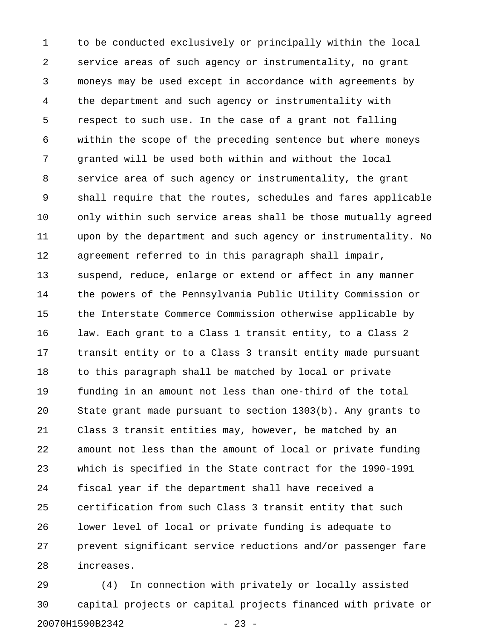1 to be conducted exclusively or principally within the local 2 service areas of such agency or instrumentality, no grant 3 moneys may be used except in accordance with agreements by 4 the department and such agency or instrumentality with 5 respect to such use. In the case of a grant not falling 6 within the scope of the preceding sentence but where moneys 7 granted will be used both within and without the local 8 service area of such agency or instrumentality, the grant 9 shall require that the routes, schedules and fares applicable 10 only within such service areas shall be those mutually agreed 11 upon by the department and such agency or instrumentality. No 12 agreement referred to in this paragraph shall impair, 13 suspend, reduce, enlarge or extend or affect in any manner 14 the powers of the Pennsylvania Public Utility Commission or 15 the Interstate Commerce Commission otherwise applicable by 16 law. Each grant to a Class 1 transit entity, to a Class 2 17 transit entity or to a Class 3 transit entity made pursuant 18 to this paragraph shall be matched by local or private 19 funding in an amount not less than one-third of the total 20 State grant made pursuant to section 1303(b). Any grants to 21 Class 3 transit entities may, however, be matched by an 22 amount not less than the amount of local or private funding 23 which is specified in the State contract for the 1990-1991 24 fiscal year if the department shall have received a 25 certification from such Class 3 transit entity that such 26 lower level of local or private funding is adequate to 27 prevent significant service reductions and/or passenger fare 28 increases.

29 (4) In connection with privately or locally assisted 30 capital projects or capital projects financed with private or 20070H1590B2342 - 23 -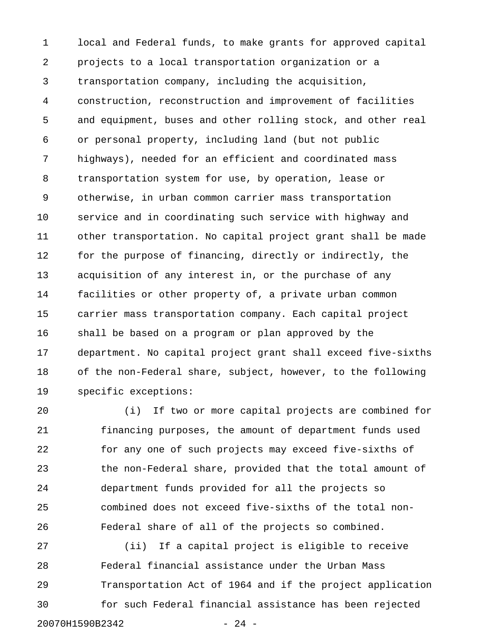1 local and Federal funds, to make grants for approved capital 2 projects to a local transportation organization or a 3 transportation company, including the acquisition, 4 construction, reconstruction and improvement of facilities 5 and equipment, buses and other rolling stock, and other real 6 or personal property, including land (but not public 7 highways), needed for an efficient and coordinated mass 8 transportation system for use, by operation, lease or 9 otherwise, in urban common carrier mass transportation 10 service and in coordinating such service with highway and 11 other transportation. No capital project grant shall be made 12 for the purpose of financing, directly or indirectly, the 13 acquisition of any interest in, or the purchase of any 14 facilities or other property of, a private urban common 15 carrier mass transportation company. Each capital project 16 shall be based on a program or plan approved by the 17 department. No capital project grant shall exceed five-sixths 18 of the non-Federal share, subject, however, to the following 19 specific exceptions:

20 (i) If two or more capital projects are combined for 21 financing purposes, the amount of department funds used 22 for any one of such projects may exceed five-sixths of 23 the non-Federal share, provided that the total amount of 24 department funds provided for all the projects so 25 combined does not exceed five-sixths of the total non-26 Federal share of all of the projects so combined.

27 (ii) If a capital project is eligible to receive 28 Federal financial assistance under the Urban Mass 29 Transportation Act of 1964 and if the project application 30 for such Federal financial assistance has been rejected 20070H1590B2342 - 24 -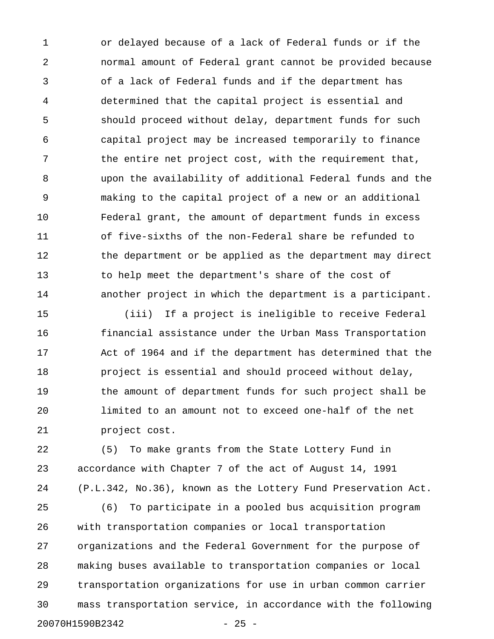1 or delayed because of a lack of Federal funds or if the 2 normal amount of Federal grant cannot be provided because 3 of a lack of Federal funds and if the department has 4 determined that the capital project is essential and 5 should proceed without delay, department funds for such 6 capital project may be increased temporarily to finance 7 the entire net project cost, with the requirement that, 8 upon the availability of additional Federal funds and the 9 making to the capital project of a new or an additional 10 Federal grant, the amount of department funds in excess 11 of five-sixths of the non-Federal share be refunded to 12 the department or be applied as the department may direct 13 to help meet the department's share of the cost of 14 another project in which the department is a participant.

15 (iii) If a project is ineligible to receive Federal 16 financial assistance under the Urban Mass Transportation 17 Act of 1964 and if the department has determined that the 18 project is essential and should proceed without delay, 19 the amount of department funds for such project shall be 20 limited to an amount not to exceed one-half of the net 21 project cost.

22 (5) To make grants from the State Lottery Fund in 23 accordance with Chapter 7 of the act of August 14, 1991 24 (P.L.342, No.36), known as the Lottery Fund Preservation Act.

25 (6) To participate in a pooled bus acquisition program 26 with transportation companies or local transportation 27 organizations and the Federal Government for the purpose of 28 making buses available to transportation companies or local 29 transportation organizations for use in urban common carrier 30 mass transportation service, in accordance with the following 20070H1590B2342 - 25 -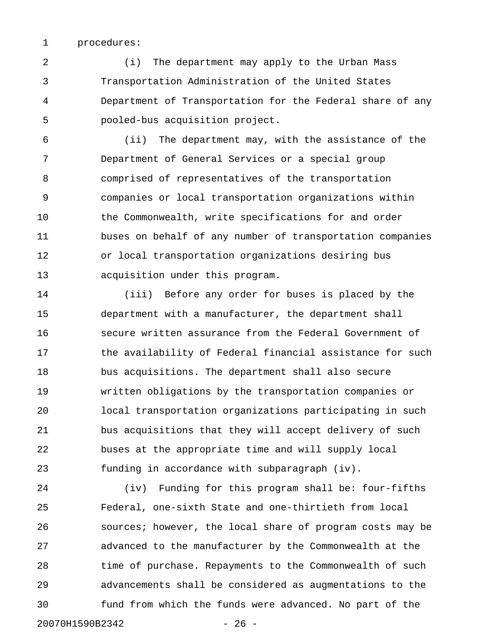1 procedures:

2 (i) The department may apply to the Urban Mass 3 Transportation Administration of the United States 4 Department of Transportation for the Federal share of any 5 pooled-bus acquisition project.

6 (ii) The department may, with the assistance of the 7 Department of General Services or a special group 8 comprised of representatives of the transportation 9 companies or local transportation organizations within 10 the Commonwealth, write specifications for and order 11 buses on behalf of any number of transportation companies 12 or local transportation organizations desiring bus 13 acquisition under this program.

14 (iii) Before any order for buses is placed by the 15 department with a manufacturer, the department shall 16 secure written assurance from the Federal Government of 17 the availability of Federal financial assistance for such 18 bus acquisitions. The department shall also secure 19 written obligations by the transportation companies or 20 local transportation organizations participating in such 21 bus acquisitions that they will accept delivery of such 22 buses at the appropriate time and will supply local 23 funding in accordance with subparagraph (iv).

24 (iv) Funding for this program shall be: four-fifths 25 Federal, one-sixth State and one-thirtieth from local 26 sources; however, the local share of program costs may be 27 advanced to the manufacturer by the Commonwealth at the 28 time of purchase. Repayments to the Commonwealth of such 29 advancements shall be considered as augmentations to the 30 fund from which the funds were advanced. No part of the 20070H1590B2342 - 26 -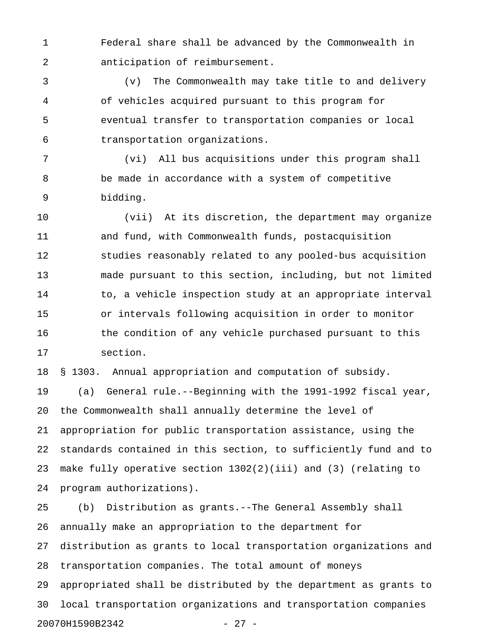1 Federal share shall be advanced by the Commonwealth in 2 anticipation of reimbursement.

3 (v) The Commonwealth may take title to and delivery 4 of vehicles acquired pursuant to this program for 5 eventual transfer to transportation companies or local 6 transportation organizations.

7 (vi) All bus acquisitions under this program shall 8 be made in accordance with a system of competitive 9 bidding.

10 (vii) At its discretion, the department may organize 11 and fund, with Commonwealth funds, postacquisition 12 studies reasonably related to any pooled-bus acquisition 13 made pursuant to this section, including, but not limited 14 to, a vehicle inspection study at an appropriate interval 15 or intervals following acquisition in order to monitor 16 the condition of any vehicle purchased pursuant to this 17 section.

18 § 1303. Annual appropriation and computation of subsidy. 19 (a) General rule.--Beginning with the 1991-1992 fiscal year,

20 the Commonwealth shall annually determine the level of

21 appropriation for public transportation assistance, using the 22 standards contained in this section, to sufficiently fund and to 23 make fully operative section 1302(2)(iii) and (3) (relating to 24 program authorizations).

25 (b) Distribution as grants.--The General Assembly shall 26 annually make an appropriation to the department for 27 distribution as grants to local transportation organizations and 28 transportation companies. The total amount of moneys 29 appropriated shall be distributed by the department as grants to 30 local transportation organizations and transportation companies 20070H1590B2342 - 27 -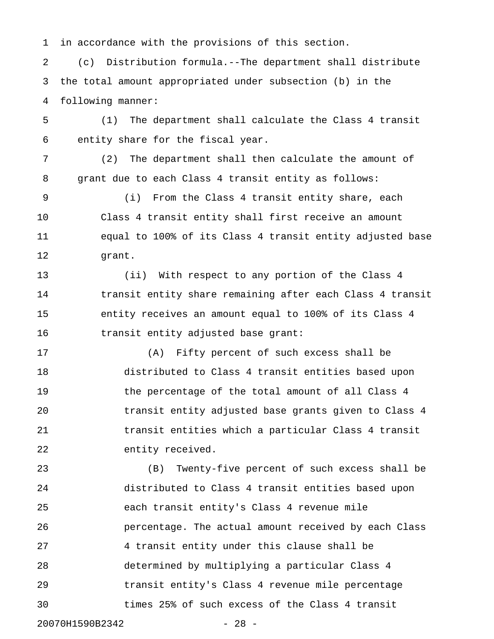1 in accordance with the provisions of this section.

2 (c) Distribution formula.--The department shall distribute 3 the total amount appropriated under subsection (b) in the 4 following manner:

5 (1) The department shall calculate the Class 4 transit 6 entity share for the fiscal year.

7 (2) The department shall then calculate the amount of 8 grant due to each Class 4 transit entity as follows:

9 (i) From the Class 4 transit entity share, each 10 Class 4 transit entity shall first receive an amount 11 equal to 100% of its Class 4 transit entity adjusted base 12 grant.

13 (ii) With respect to any portion of the Class 4 14 transit entity share remaining after each Class 4 transit 15 entity receives an amount equal to 100% of its Class 4 16 transit entity adjusted base grant:

17 (A) Fifty percent of such excess shall be 18 distributed to Class 4 transit entities based upon 19 the percentage of the total amount of all Class 4 20 transit entity adjusted base grants given to Class 4 21 transit entities which a particular Class 4 transit 22 entity received.

23 (B) Twenty-five percent of such excess shall be 24 distributed to Class 4 transit entities based upon 25 each transit entity's Class 4 revenue mile 26 percentage. The actual amount received by each Class 27 4 transit entity under this clause shall be 28 determined by multiplying a particular Class 4 29 transit entity's Class 4 revenue mile percentage 30 times 25% of such excess of the Class 4 transit

20070H1590B2342 - 28 -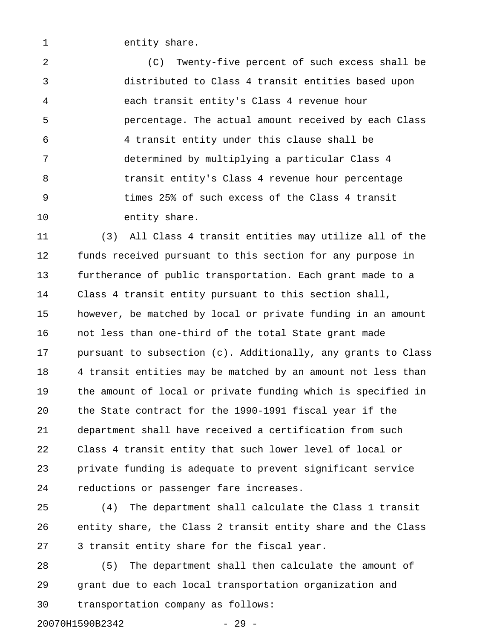1 entity share.

2 (C) Twenty-five percent of such excess shall be 3 distributed to Class 4 transit entities based upon 4 each transit entity's Class 4 revenue hour 5 percentage. The actual amount received by each Class 6 4 transit entity under this clause shall be 7 determined by multiplying a particular Class 4 8 transit entity's Class 4 revenue hour percentage 9 times 25% of such excess of the Class 4 transit 10 entity share.

11 (3) All Class 4 transit entities may utilize all of the 12 funds received pursuant to this section for any purpose in 13 furtherance of public transportation. Each grant made to a 14 Class 4 transit entity pursuant to this section shall, 15 however, be matched by local or private funding in an amount 16 not less than one-third of the total State grant made 17 pursuant to subsection (c). Additionally, any grants to Class 18 4 transit entities may be matched by an amount not less than 19 the amount of local or private funding which is specified in 20 the State contract for the 1990-1991 fiscal year if the 21 department shall have received a certification from such 22 Class 4 transit entity that such lower level of local or 23 private funding is adequate to prevent significant service 24 reductions or passenger fare increases.

25 (4) The department shall calculate the Class 1 transit 26 entity share, the Class 2 transit entity share and the Class 27 3 transit entity share for the fiscal year.

28 (5) The department shall then calculate the amount of 29 grant due to each local transportation organization and 30 transportation company as follows:

20070H1590B2342 - 29 -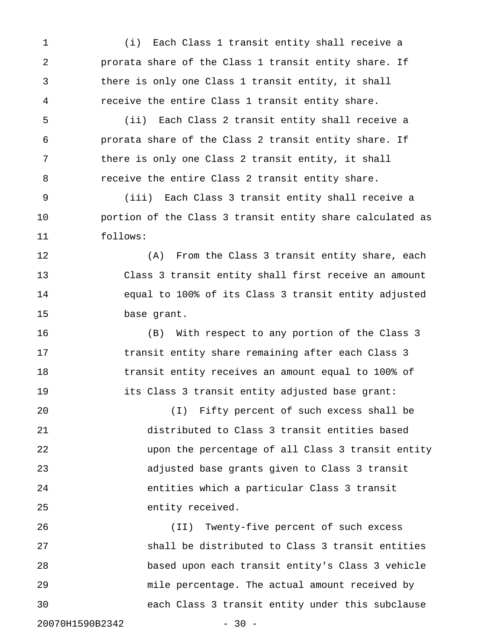1 (i) Each Class 1 transit entity shall receive a 2 prorata share of the Class 1 transit entity share. If 3 there is only one Class 1 transit entity, it shall 4 receive the entire Class 1 transit entity share.

5 (ii) Each Class 2 transit entity shall receive a 6 prorata share of the Class 2 transit entity share. If 7 there is only one Class 2 transit entity, it shall 8 receive the entire Class 2 transit entity share.

9 (iii) Each Class 3 transit entity shall receive a 10 portion of the Class 3 transit entity share calculated as 11 follows:

12 (A) From the Class 3 transit entity share, each 13 Class 3 transit entity shall first receive an amount 14 equal to 100% of its Class 3 transit entity adjusted 15 base grant.

16 (B) With respect to any portion of the Class 3 17 transit entity share remaining after each Class 3 18 transit entity receives an amount equal to 100% of 19 its Class 3 transit entity adjusted base grant:

20 (I) Fifty percent of such excess shall be 21 distributed to Class 3 transit entities based 22 upon the percentage of all Class 3 transit entity 23 adjusted base grants given to Class 3 transit 24 entities which a particular Class 3 transit 25 entity received.

26 (II) Twenty-five percent of such excess 27 shall be distributed to Class 3 transit entities 28 based upon each transit entity's Class 3 vehicle 29 mile percentage. The actual amount received by 30 each Class 3 transit entity under this subclause

20070H1590B2342 - 30 -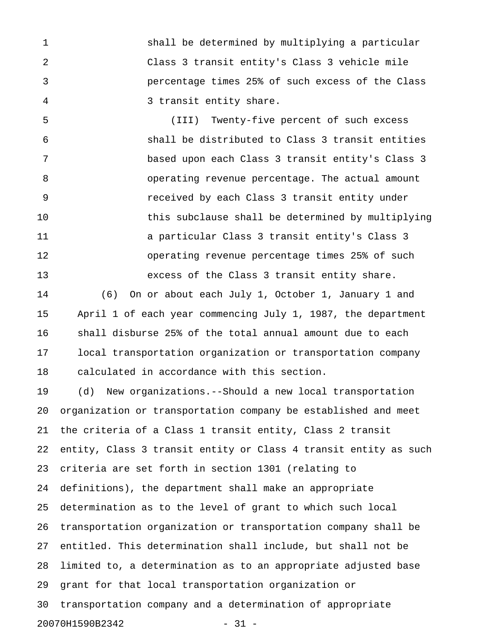1 shall be determined by multiplying a particular 2 Class 3 transit entity's Class 3 vehicle mile 3 percentage times 25% of such excess of the Class 4 3 transit entity share.

5 (III) Twenty-five percent of such excess 6 shall be distributed to Class 3 transit entities 7 based upon each Class 3 transit entity's Class 3 8 operating revenue percentage. The actual amount 9 received by each Class 3 transit entity under 10 this subclause shall be determined by multiplying 11 a particular Class 3 transit entity's Class 3 12 operating revenue percentage times 25% of such 13 excess of the Class 3 transit entity share.

14 (6) On or about each July 1, October 1, January 1 and 15 April 1 of each year commencing July 1, 1987, the department 16 shall disburse 25% of the total annual amount due to each 17 local transportation organization or transportation company 18 calculated in accordance with this section.

19 (d) New organizations.--Should a new local transportation 20 organization or transportation company be established and meet 21 the criteria of a Class 1 transit entity, Class 2 transit 22 entity, Class 3 transit entity or Class 4 transit entity as such 23 criteria are set forth in section 1301 (relating to 24 definitions), the department shall make an appropriate 25 determination as to the level of grant to which such local 26 transportation organization or transportation company shall be 27 entitled. This determination shall include, but shall not be 28 limited to, a determination as to an appropriate adjusted base 29 grant for that local transportation organization or 30 transportation company and a determination of appropriate 20070H1590B2342 - 31 -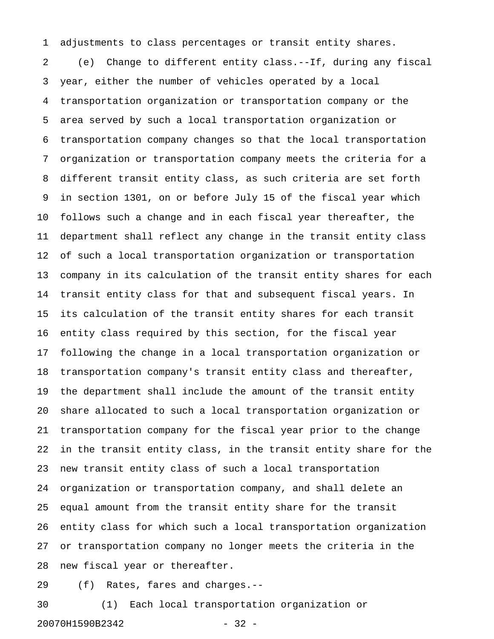1 adjustments to class percentages or transit entity shares.

2 (e) Change to different entity class.--If, during any fiscal 3 year, either the number of vehicles operated by a local 4 transportation organization or transportation company or the 5 area served by such a local transportation organization or 6 transportation company changes so that the local transportation 7 organization or transportation company meets the criteria for a 8 different transit entity class, as such criteria are set forth 9 in section 1301, on or before July 15 of the fiscal year which 10 follows such a change and in each fiscal year thereafter, the 11 department shall reflect any change in the transit entity class 12 of such a local transportation organization or transportation 13 company in its calculation of the transit entity shares for each 14 transit entity class for that and subsequent fiscal years. In 15 its calculation of the transit entity shares for each transit 16 entity class required by this section, for the fiscal year 17 following the change in a local transportation organization or 18 transportation company's transit entity class and thereafter, 19 the department shall include the amount of the transit entity 20 share allocated to such a local transportation organization or 21 transportation company for the fiscal year prior to the change 22 in the transit entity class, in the transit entity share for the 23 new transit entity class of such a local transportation 24 organization or transportation company, and shall delete an 25 equal amount from the transit entity share for the transit 26 entity class for which such a local transportation organization 27 or transportation company no longer meets the criteria in the 28 new fiscal year or thereafter.

29 (f) Rates, fares and charges.--

30 (1) Each local transportation organization or 20070H1590B2342 - 32 -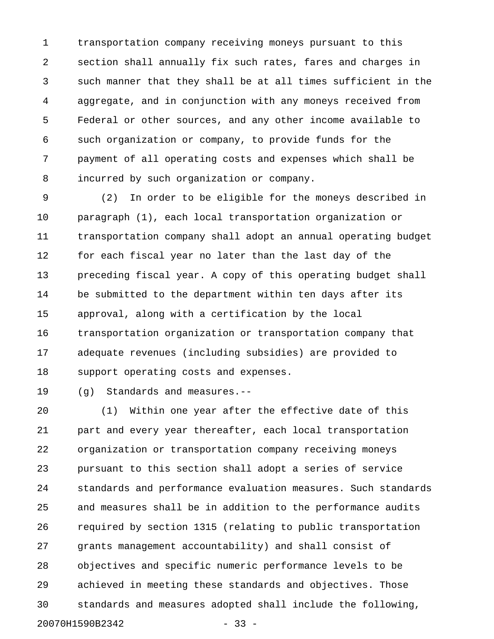1 transportation company receiving moneys pursuant to this 2 section shall annually fix such rates, fares and charges in 3 such manner that they shall be at all times sufficient in the 4 aggregate, and in conjunction with any moneys received from 5 Federal or other sources, and any other income available to 6 such organization or company, to provide funds for the 7 payment of all operating costs and expenses which shall be 8 incurred by such organization or company.

9 (2) In order to be eligible for the moneys described in 10 paragraph (1), each local transportation organization or 11 transportation company shall adopt an annual operating budget 12 for each fiscal year no later than the last day of the 13 preceding fiscal year. A copy of this operating budget shall 14 be submitted to the department within ten days after its 15 approval, along with a certification by the local 16 transportation organization or transportation company that 17 adequate revenues (including subsidies) are provided to 18 support operating costs and expenses.

19 (g) Standards and measures.--

20 (1) Within one year after the effective date of this 21 part and every year thereafter, each local transportation 22 organization or transportation company receiving moneys 23 pursuant to this section shall adopt a series of service 24 standards and performance evaluation measures. Such standards 25 and measures shall be in addition to the performance audits 26 required by section 1315 (relating to public transportation 27 grants management accountability) and shall consist of 28 objectives and specific numeric performance levels to be 29 achieved in meeting these standards and objectives. Those 30 standards and measures adopted shall include the following, 20070H1590B2342 - 33 -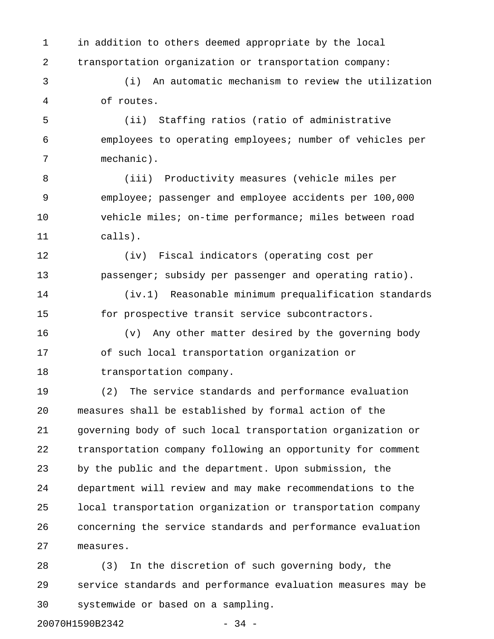1 in addition to others deemed appropriate by the local 2 transportation organization or transportation company:

3 (i) An automatic mechanism to review the utilization 4 of routes.

5 (ii) Staffing ratios (ratio of administrative 6 employees to operating employees; number of vehicles per 7 mechanic).

8 (iii) Productivity measures (vehicle miles per 9 employee; passenger and employee accidents per 100,000 10 vehicle miles; on-time performance; miles between road 11 calls).

12 (iv) Fiscal indicators (operating cost per 13 **passenger;** subsidy per passenger and operating ratio).

14 (iv.1) Reasonable minimum prequalification standards 15 for prospective transit service subcontractors.

16 (v) Any other matter desired by the governing body 17 of such local transportation organization or 18 transportation company.

19 (2) The service standards and performance evaluation 20 measures shall be established by formal action of the 21 governing body of such local transportation organization or 22 transportation company following an opportunity for comment 23 by the public and the department. Upon submission, the 24 department will review and may make recommendations to the 25 local transportation organization or transportation company 26 concerning the service standards and performance evaluation 27 measures.

28 (3) In the discretion of such governing body, the 29 service standards and performance evaluation measures may be 30 systemwide or based on a sampling.

20070H1590B2342 - 34 -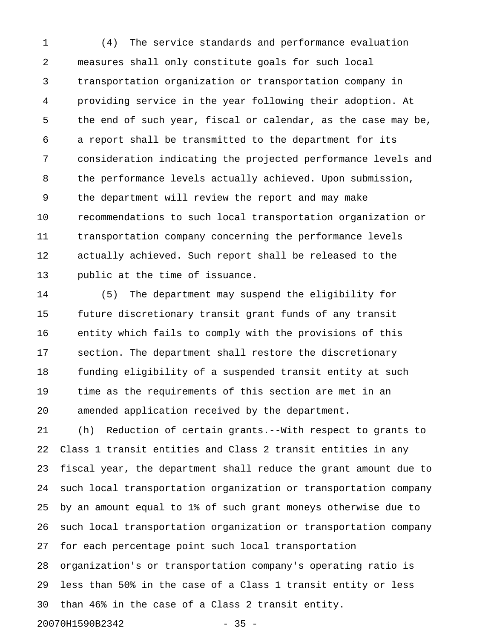1 (4) The service standards and performance evaluation 2 measures shall only constitute goals for such local 3 transportation organization or transportation company in 4 providing service in the year following their adoption. At 5 the end of such year, fiscal or calendar, as the case may be, 6 a report shall be transmitted to the department for its 7 consideration indicating the projected performance levels and 8 the performance levels actually achieved. Upon submission, 9 the department will review the report and may make 10 recommendations to such local transportation organization or 11 transportation company concerning the performance levels 12 actually achieved. Such report shall be released to the 13 public at the time of issuance.

14 (5) The department may suspend the eligibility for 15 future discretionary transit grant funds of any transit 16 entity which fails to comply with the provisions of this 17 section. The department shall restore the discretionary 18 funding eligibility of a suspended transit entity at such 19 time as the requirements of this section are met in an 20 amended application received by the department.

21 (h) Reduction of certain grants.--With respect to grants to 22 Class 1 transit entities and Class 2 transit entities in any 23 fiscal year, the department shall reduce the grant amount due to 24 such local transportation organization or transportation company 25 by an amount equal to 1% of such grant moneys otherwise due to 26 such local transportation organization or transportation company 27 for each percentage point such local transportation 28 organization's or transportation company's operating ratio is 29 less than 50% in the case of a Class 1 transit entity or less 30 than 46% in the case of a Class 2 transit entity. 20070H1590B2342 - 35 -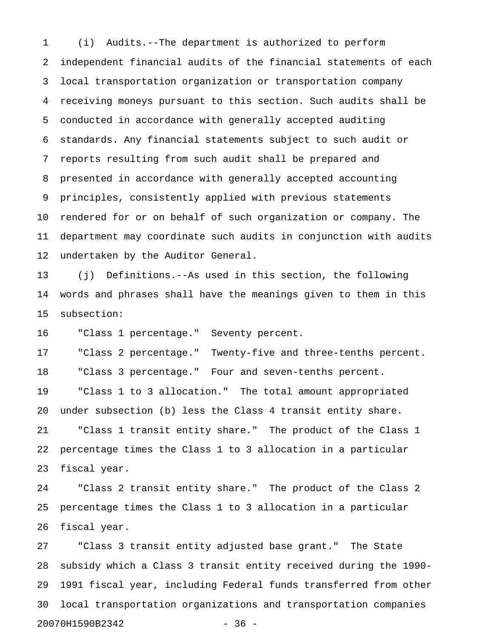1 (i) Audits.--The department is authorized to perform 2 independent financial audits of the financial statements of each 3 local transportation organization or transportation company 4 receiving moneys pursuant to this section. Such audits shall be 5 conducted in accordance with generally accepted auditing 6 standards. Any financial statements subject to such audit or 7 reports resulting from such audit shall be prepared and 8 presented in accordance with generally accepted accounting 9 principles, consistently applied with previous statements 10 rendered for or on behalf of such organization or company. The 11 department may coordinate such audits in conjunction with audits 12 undertaken by the Auditor General.

13 (j) Definitions.--As used in this section, the following 14 words and phrases shall have the meanings given to them in this 15 subsection:

16 "Class 1 percentage." Seventy percent.

17 "Class 2 percentage." Twenty-five and three-tenths percent. 18 "Class 3 percentage." Four and seven-tenths percent. 19 "Class 1 to 3 allocation." The total amount appropriated 20 under subsection (b) less the Class 4 transit entity share. 21 "Class 1 transit entity share." The product of the Class 1 22 percentage times the Class 1 to 3 allocation in a particular 23 fiscal year.

24 "Class 2 transit entity share." The product of the Class 2 25 percentage times the Class 1 to 3 allocation in a particular 26 fiscal year.

27 "Class 3 transit entity adjusted base grant." The State 28 subsidy which a Class 3 transit entity received during the 1990- 29 1991 fiscal year, including Federal funds transferred from other 30 local transportation organizations and transportation companies 20070H1590B2342 - 36 -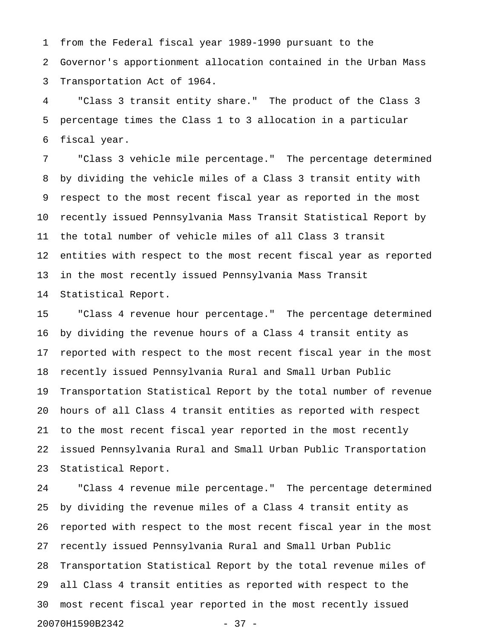1 from the Federal fiscal year 1989-1990 pursuant to the 2 Governor's apportionment allocation contained in the Urban Mass 3 Transportation Act of 1964.

4 "Class 3 transit entity share." The product of the Class 3 5 percentage times the Class 1 to 3 allocation in a particular 6 fiscal year.

7 "Class 3 vehicle mile percentage." The percentage determined 8 by dividing the vehicle miles of a Class 3 transit entity with 9 respect to the most recent fiscal year as reported in the most 10 recently issued Pennsylvania Mass Transit Statistical Report by 11 the total number of vehicle miles of all Class 3 transit 12 entities with respect to the most recent fiscal year as reported 13 in the most recently issued Pennsylvania Mass Transit 14 Statistical Report.

15 "Class 4 revenue hour percentage." The percentage determined 16 by dividing the revenue hours of a Class 4 transit entity as 17 reported with respect to the most recent fiscal year in the most 18 recently issued Pennsylvania Rural and Small Urban Public 19 Transportation Statistical Report by the total number of revenue 20 hours of all Class 4 transit entities as reported with respect 21 to the most recent fiscal year reported in the most recently 22 issued Pennsylvania Rural and Small Urban Public Transportation 23 Statistical Report.

24 "Class 4 revenue mile percentage." The percentage determined 25 by dividing the revenue miles of a Class 4 transit entity as 26 reported with respect to the most recent fiscal year in the most 27 recently issued Pennsylvania Rural and Small Urban Public 28 Transportation Statistical Report by the total revenue miles of 29 all Class 4 transit entities as reported with respect to the 30 most recent fiscal year reported in the most recently issued 20070H1590B2342 - 37 -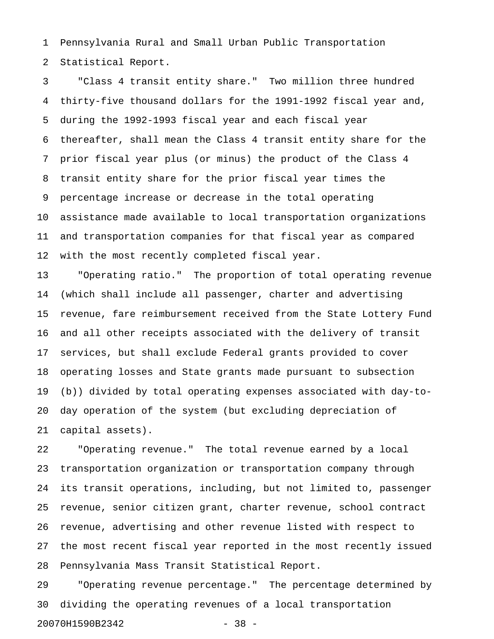1 Pennsylvania Rural and Small Urban Public Transportation 2 Statistical Report.

3 "Class 4 transit entity share." Two million three hundred 4 thirty-five thousand dollars for the 1991-1992 fiscal year and, 5 during the 1992-1993 fiscal year and each fiscal year 6 thereafter, shall mean the Class 4 transit entity share for the 7 prior fiscal year plus (or minus) the product of the Class 4 8 transit entity share for the prior fiscal year times the 9 percentage increase or decrease in the total operating 10 assistance made available to local transportation organizations 11 and transportation companies for that fiscal year as compared 12 with the most recently completed fiscal year.

13 "Operating ratio." The proportion of total operating revenue 14 (which shall include all passenger, charter and advertising 15 revenue, fare reimbursement received from the State Lottery Fund 16 and all other receipts associated with the delivery of transit 17 services, but shall exclude Federal grants provided to cover 18 operating losses and State grants made pursuant to subsection 19 (b)) divided by total operating expenses associated with day-to-20 day operation of the system (but excluding depreciation of 21 capital assets).

22 "Operating revenue." The total revenue earned by a local 23 transportation organization or transportation company through 24 its transit operations, including, but not limited to, passenger 25 revenue, senior citizen grant, charter revenue, school contract 26 revenue, advertising and other revenue listed with respect to 27 the most recent fiscal year reported in the most recently issued 28 Pennsylvania Mass Transit Statistical Report.

29 "Operating revenue percentage." The percentage determined by 30 dividing the operating revenues of a local transportation 20070H1590B2342 - 38 -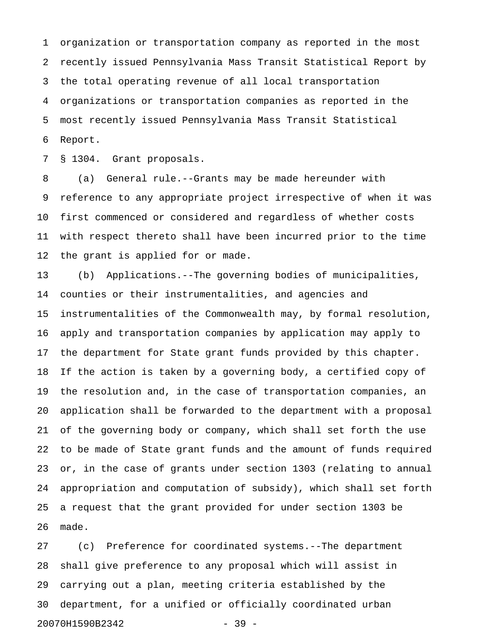1 organization or transportation company as reported in the most 2 recently issued Pennsylvania Mass Transit Statistical Report by 3 the total operating revenue of all local transportation 4 organizations or transportation companies as reported in the 5 most recently issued Pennsylvania Mass Transit Statistical 6 Report.

7 § 1304. Grant proposals.

8 (a) General rule.--Grants may be made hereunder with 9 reference to any appropriate project irrespective of when it was 10 first commenced or considered and regardless of whether costs 11 with respect thereto shall have been incurred prior to the time 12 the grant is applied for or made.

13 (b) Applications.--The governing bodies of municipalities, 14 counties or their instrumentalities, and agencies and 15 instrumentalities of the Commonwealth may, by formal resolution, 16 apply and transportation companies by application may apply to 17 the department for State grant funds provided by this chapter. 18 If the action is taken by a governing body, a certified copy of 19 the resolution and, in the case of transportation companies, an 20 application shall be forwarded to the department with a proposal 21 of the governing body or company, which shall set forth the use 22 to be made of State grant funds and the amount of funds required 23 or, in the case of grants under section 1303 (relating to annual 24 appropriation and computation of subsidy), which shall set forth 25 a request that the grant provided for under section 1303 be 26 made.

27 (c) Preference for coordinated systems.--The department 28 shall give preference to any proposal which will assist in 29 carrying out a plan, meeting criteria established by the 30 department, for a unified or officially coordinated urban 20070H1590B2342 - 39 -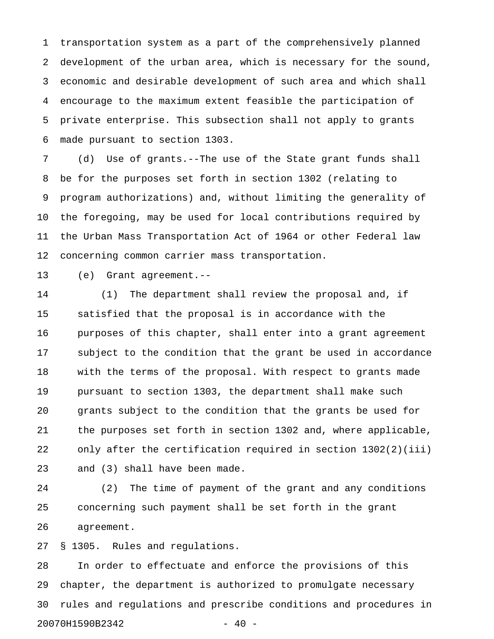1 transportation system as a part of the comprehensively planned 2 development of the urban area, which is necessary for the sound, 3 economic and desirable development of such area and which shall 4 encourage to the maximum extent feasible the participation of 5 private enterprise. This subsection shall not apply to grants 6 made pursuant to section 1303.

7 (d) Use of grants.--The use of the State grant funds shall 8 be for the purposes set forth in section 1302 (relating to 9 program authorizations) and, without limiting the generality of 10 the foregoing, may be used for local contributions required by 11 the Urban Mass Transportation Act of 1964 or other Federal law 12 concerning common carrier mass transportation.

13 (e) Grant agreement.--

14 (1) The department shall review the proposal and, if 15 satisfied that the proposal is in accordance with the 16 purposes of this chapter, shall enter into a grant agreement 17 subject to the condition that the grant be used in accordance 18 with the terms of the proposal. With respect to grants made 19 pursuant to section 1303, the department shall make such 20 grants subject to the condition that the grants be used for 21 the purposes set forth in section 1302 and, where applicable, 22 only after the certification required in section 1302(2)(iii) 23 and (3) shall have been made.

24 (2) The time of payment of the grant and any conditions 25 concerning such payment shall be set forth in the grant 26 agreement.

27 § 1305. Rules and regulations.

28 In order to effectuate and enforce the provisions of this 29 chapter, the department is authorized to promulgate necessary 30 rules and regulations and prescribe conditions and procedures in 20070H1590B2342 - 40 -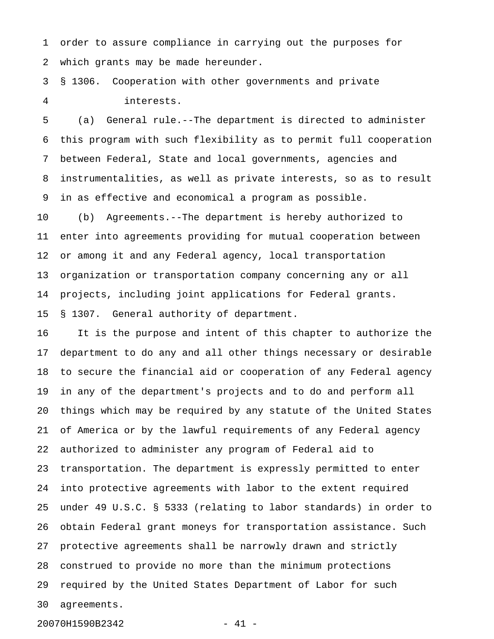1 order to assure compliance in carrying out the purposes for 2 which grants may be made hereunder.

3 § 1306. Cooperation with other governments and private 4 interests.

5 (a) General rule.--The department is directed to administer 6 this program with such flexibility as to permit full cooperation 7 between Federal, State and local governments, agencies and 8 instrumentalities, as well as private interests, so as to result 9 in as effective and economical a program as possible.

10 (b) Agreements.--The department is hereby authorized to 11 enter into agreements providing for mutual cooperation between 12 or among it and any Federal agency, local transportation 13 organization or transportation company concerning any or all 14 projects, including joint applications for Federal grants. 15 § 1307. General authority of department.

16 It is the purpose and intent of this chapter to authorize the 17 department to do any and all other things necessary or desirable 18 to secure the financial aid or cooperation of any Federal agency 19 in any of the department's projects and to do and perform all 20 things which may be required by any statute of the United States 21 of America or by the lawful requirements of any Federal agency 22 authorized to administer any program of Federal aid to 23 transportation. The department is expressly permitted to enter 24 into protective agreements with labor to the extent required 25 under 49 U.S.C. § 5333 (relating to labor standards) in order to 26 obtain Federal grant moneys for transportation assistance. Such 27 protective agreements shall be narrowly drawn and strictly 28 construed to provide no more than the minimum protections 29 required by the United States Department of Labor for such 30 agreements.

20070H1590B2342 - 41 -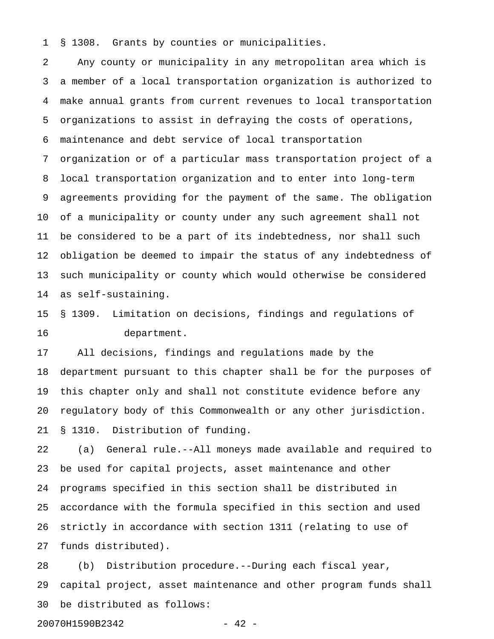1 § 1308. Grants by counties or municipalities.

2 Any county or municipality in any metropolitan area which is 3 a member of a local transportation organization is authorized to 4 make annual grants from current revenues to local transportation 5 organizations to assist in defraying the costs of operations, 6 maintenance and debt service of local transportation 7 organization or of a particular mass transportation project of a 8 local transportation organization and to enter into long-term 9 agreements providing for the payment of the same. The obligation 10 of a municipality or county under any such agreement shall not 11 be considered to be a part of its indebtedness, nor shall such 12 obligation be deemed to impair the status of any indebtedness of 13 such municipality or county which would otherwise be considered 14 as self-sustaining.

15 § 1309. Limitation on decisions, findings and regulations of 16 department.

17 All decisions, findings and regulations made by the 18 department pursuant to this chapter shall be for the purposes of 19 this chapter only and shall not constitute evidence before any 20 regulatory body of this Commonwealth or any other jurisdiction. 21 § 1310. Distribution of funding.

22 (a) General rule.--All moneys made available and required to 23 be used for capital projects, asset maintenance and other 24 programs specified in this section shall be distributed in 25 accordance with the formula specified in this section and used 26 strictly in accordance with section 1311 (relating to use of 27 funds distributed).

28 (b) Distribution procedure.--During each fiscal year, 29 capital project, asset maintenance and other program funds shall 30 be distributed as follows:

20070H1590B2342 - 42 -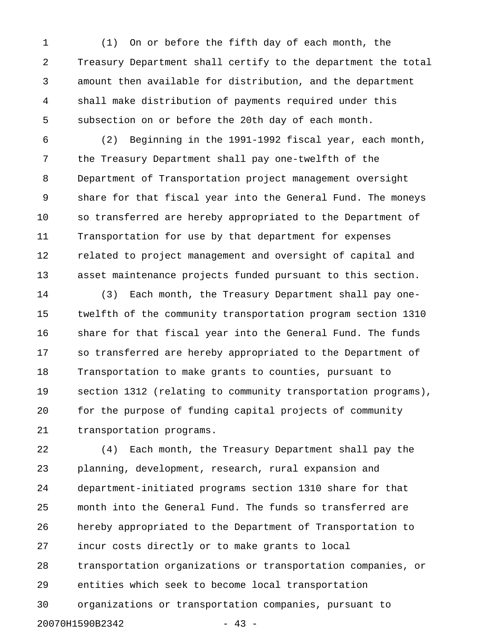1 (1) On or before the fifth day of each month, the 2 Treasury Department shall certify to the department the total 3 amount then available for distribution, and the department 4 shall make distribution of payments required under this 5 subsection on or before the 20th day of each month.

6 (2) Beginning in the 1991-1992 fiscal year, each month, 7 the Treasury Department shall pay one-twelfth of the 8 Department of Transportation project management oversight 9 share for that fiscal year into the General Fund. The moneys 10 so transferred are hereby appropriated to the Department of 11 Transportation for use by that department for expenses 12 related to project management and oversight of capital and 13 asset maintenance projects funded pursuant to this section.

14 (3) Each month, the Treasury Department shall pay one-15 twelfth of the community transportation program section 1310 16 share for that fiscal year into the General Fund. The funds 17 so transferred are hereby appropriated to the Department of 18 Transportation to make grants to counties, pursuant to 19 section 1312 (relating to community transportation programs), 20 for the purpose of funding capital projects of community 21 transportation programs.

22 (4) Each month, the Treasury Department shall pay the 23 planning, development, research, rural expansion and 24 department-initiated programs section 1310 share for that 25 month into the General Fund. The funds so transferred are 26 hereby appropriated to the Department of Transportation to 27 incur costs directly or to make grants to local 28 transportation organizations or transportation companies, or 29 entities which seek to become local transportation 30 organizations or transportation companies, pursuant to 20070H1590B2342 - 43 -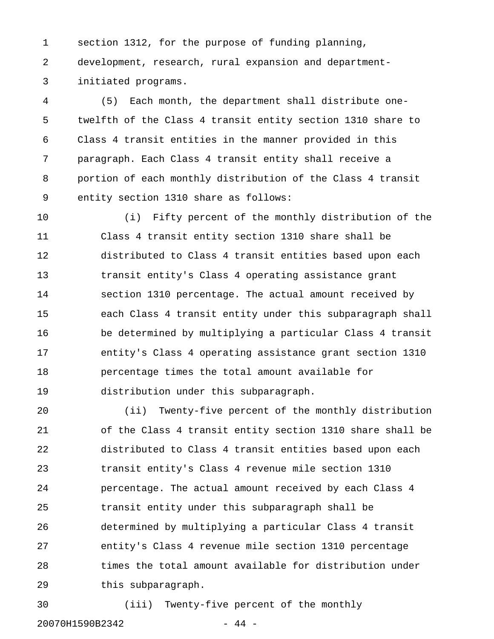1 section 1312, for the purpose of funding planning, 2 development, research, rural expansion and department-3 initiated programs.

4 (5) Each month, the department shall distribute one-5 twelfth of the Class 4 transit entity section 1310 share to 6 Class 4 transit entities in the manner provided in this 7 paragraph. Each Class 4 transit entity shall receive a 8 portion of each monthly distribution of the Class 4 transit 9 entity section 1310 share as follows:

10 (i) Fifty percent of the monthly distribution of the 11 Class 4 transit entity section 1310 share shall be 12 distributed to Class 4 transit entities based upon each 13 transit entity's Class 4 operating assistance grant 14 section 1310 percentage. The actual amount received by 15 each Class 4 transit entity under this subparagraph shall 16 be determined by multiplying a particular Class 4 transit 17 entity's Class 4 operating assistance grant section 1310 18 percentage times the total amount available for 19 distribution under this subparagraph.

20 (ii) Twenty-five percent of the monthly distribution 21 of the Class 4 transit entity section 1310 share shall be 22 distributed to Class 4 transit entities based upon each 23 transit entity's Class 4 revenue mile section 1310 24 percentage. The actual amount received by each Class 4 25 transit entity under this subparagraph shall be 26 determined by multiplying a particular Class 4 transit 27 entity's Class 4 revenue mile section 1310 percentage 28 times the total amount available for distribution under 29 this subparagraph.

30 (iii) Twenty-five percent of the monthly

20070H1590B2342 - 44 -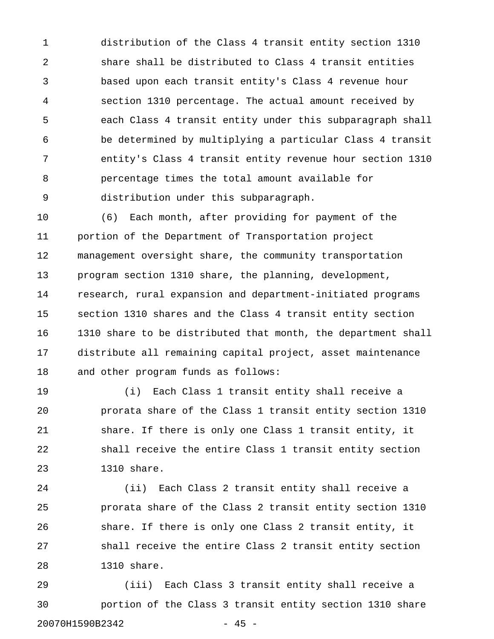1 distribution of the Class 4 transit entity section 1310 2 share shall be distributed to Class 4 transit entities 3 based upon each transit entity's Class 4 revenue hour 4 section 1310 percentage. The actual amount received by 5 each Class 4 transit entity under this subparagraph shall 6 be determined by multiplying a particular Class 4 transit 7 entity's Class 4 transit entity revenue hour section 1310 8 percentage times the total amount available for 9 distribution under this subparagraph.

10 (6) Each month, after providing for payment of the 11 portion of the Department of Transportation project 12 management oversight share, the community transportation 13 program section 1310 share, the planning, development, 14 research, rural expansion and department-initiated programs 15 section 1310 shares and the Class 4 transit entity section 16 1310 share to be distributed that month, the department shall 17 distribute all remaining capital project, asset maintenance 18 and other program funds as follows:

19 (i) Each Class 1 transit entity shall receive a 20 prorata share of the Class 1 transit entity section 1310 21 share. If there is only one Class 1 transit entity, it 22 shall receive the entire Class 1 transit entity section 23 1310 share.

24 (ii) Each Class 2 transit entity shall receive a 25 prorata share of the Class 2 transit entity section 1310 26 share. If there is only one Class 2 transit entity, it 27 shall receive the entire Class 2 transit entity section 28 1310 share.

29 (iii) Each Class 3 transit entity shall receive a 30 portion of the Class 3 transit entity section 1310 share 20070H1590B2342 - 45 -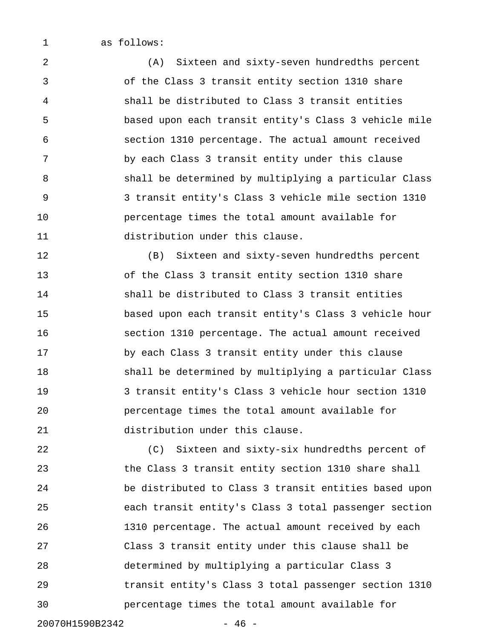1 as follows:

2 (A) Sixteen and sixty-seven hundredths percent 3 of the Class 3 transit entity section 1310 share 4 shall be distributed to Class 3 transit entities 5 based upon each transit entity's Class 3 vehicle mile 6 section 1310 percentage. The actual amount received 7 by each Class 3 transit entity under this clause 8 shall be determined by multiplying a particular Class 9 3 transit entity's Class 3 vehicle mile section 1310 10 percentage times the total amount available for 11 distribution under this clause.

12 (B) Sixteen and sixty-seven hundredths percent 13 of the Class 3 transit entity section 1310 share 14 shall be distributed to Class 3 transit entities 15 based upon each transit entity's Class 3 vehicle hour 16 section 1310 percentage. The actual amount received 17 by each Class 3 transit entity under this clause 18 shall be determined by multiplying a particular Class 19 3 transit entity's Class 3 vehicle hour section 1310 20 percentage times the total amount available for 21 distribution under this clause.

22 (C) Sixteen and sixty-six hundredths percent of 23 the Class 3 transit entity section 1310 share shall 24 be distributed to Class 3 transit entities based upon 25 each transit entity's Class 3 total passenger section 26 1310 percentage. The actual amount received by each 27 Class 3 transit entity under this clause shall be 28 determined by multiplying a particular Class 3 29 transit entity's Class 3 total passenger section 1310 30 percentage times the total amount available for

20070H1590B2342 - 46 -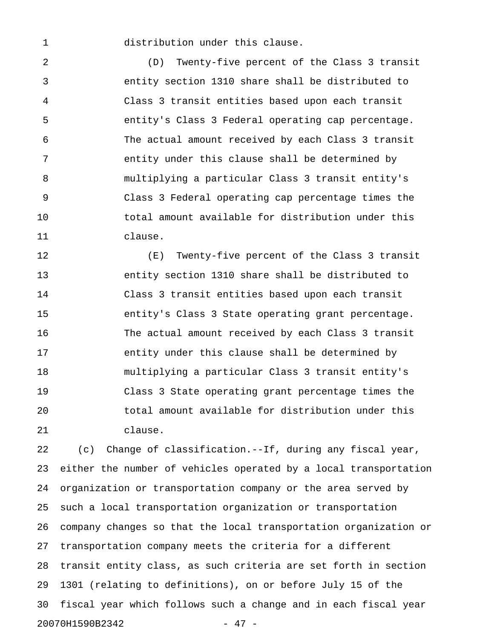1 distribution under this clause.

2 (D) Twenty-five percent of the Class 3 transit 3 entity section 1310 share shall be distributed to 4 Class 3 transit entities based upon each transit 5 entity's Class 3 Federal operating cap percentage. 6 The actual amount received by each Class 3 transit 7 entity under this clause shall be determined by 8 multiplying a particular Class 3 transit entity's 9 Class 3 Federal operating cap percentage times the 10 total amount available for distribution under this 11 clause.

12 (E) Twenty-five percent of the Class 3 transit 13 entity section 1310 share shall be distributed to 14 Class 3 transit entities based upon each transit 15 entity's Class 3 State operating grant percentage. 16 The actual amount received by each Class 3 transit 17 entity under this clause shall be determined by 18 multiplying a particular Class 3 transit entity's 19 Class 3 State operating grant percentage times the 20 total amount available for distribution under this 21 clause.

22 (c) Change of classification.--If, during any fiscal year, 23 either the number of vehicles operated by a local transportation 24 organization or transportation company or the area served by 25 such a local transportation organization or transportation 26 company changes so that the local transportation organization or 27 transportation company meets the criteria for a different 28 transit entity class, as such criteria are set forth in section 29 1301 (relating to definitions), on or before July 15 of the 30 fiscal year which follows such a change and in each fiscal year 20070H1590B2342 - 47 -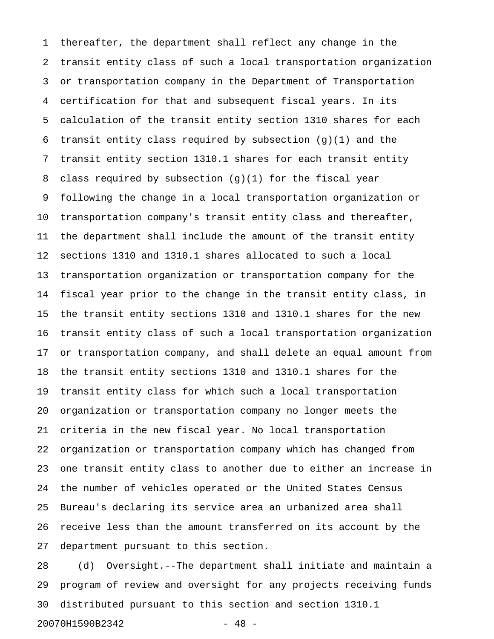1 thereafter, the department shall reflect any change in the 2 transit entity class of such a local transportation organization 3 or transportation company in the Department of Transportation 4 certification for that and subsequent fiscal years. In its 5 calculation of the transit entity section 1310 shares for each 6 transit entity class required by subsection (g)(1) and the 7 transit entity section 1310.1 shares for each transit entity 8 class required by subsection  $(g)(1)$  for the fiscal year 9 following the change in a local transportation organization or 10 transportation company's transit entity class and thereafter, 11 the department shall include the amount of the transit entity 12 sections 1310 and 1310.1 shares allocated to such a local 13 transportation organization or transportation company for the 14 fiscal year prior to the change in the transit entity class, in 15 the transit entity sections 1310 and 1310.1 shares for the new 16 transit entity class of such a local transportation organization 17 or transportation company, and shall delete an equal amount from 18 the transit entity sections 1310 and 1310.1 shares for the 19 transit entity class for which such a local transportation 20 organization or transportation company no longer meets the 21 criteria in the new fiscal year. No local transportation 22 organization or transportation company which has changed from 23 one transit entity class to another due to either an increase in 24 the number of vehicles operated or the United States Census 25 Bureau's declaring its service area an urbanized area shall 26 receive less than the amount transferred on its account by the 27 department pursuant to this section.

28 (d) Oversight.--The department shall initiate and maintain a 29 program of review and oversight for any projects receiving funds 30 distributed pursuant to this section and section 1310.1

20070H1590B2342 - 48 -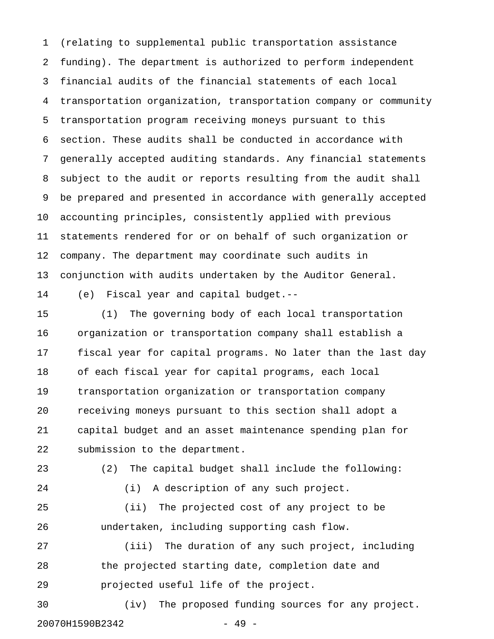1 (relating to supplemental public transportation assistance 2 funding). The department is authorized to perform independent 3 financial audits of the financial statements of each local 4 transportation organization, transportation company or community 5 transportation program receiving moneys pursuant to this 6 section. These audits shall be conducted in accordance with 7 generally accepted auditing standards. Any financial statements 8 subject to the audit or reports resulting from the audit shall 9 be prepared and presented in accordance with generally accepted 10 accounting principles, consistently applied with previous 11 statements rendered for or on behalf of such organization or 12 company. The department may coordinate such audits in 13 conjunction with audits undertaken by the Auditor General.

14 (e) Fiscal year and capital budget.--

15 (1) The governing body of each local transportation 16 organization or transportation company shall establish a 17 fiscal year for capital programs. No later than the last day 18 of each fiscal year for capital programs, each local 19 transportation organization or transportation company 20 receiving moneys pursuant to this section shall adopt a 21 capital budget and an asset maintenance spending plan for 22 submission to the department.

23 (2) The capital budget shall include the following:

24 (i) A description of any such project.

25 (ii) The projected cost of any project to be 26 undertaken, including supporting cash flow.

27 (iii) The duration of any such project, including 28 the projected starting date, completion date and 29 projected useful life of the project.

30 (iv) The proposed funding sources for any project. 20070H1590B2342 - 49 -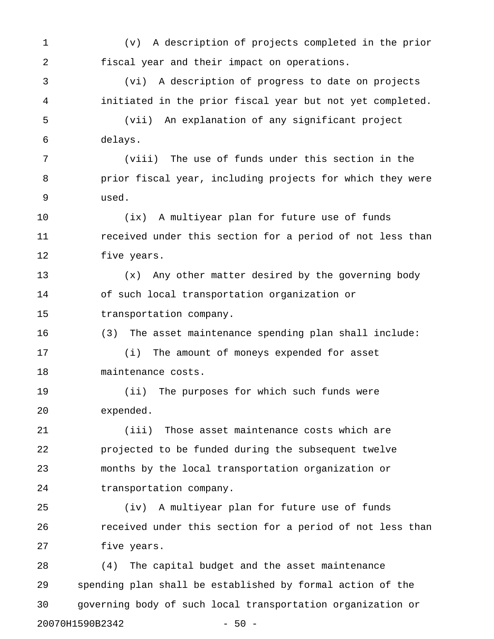1 (v) A description of projects completed in the prior 2 fiscal year and their impact on operations. 3 (vi) A description of progress to date on projects 4 initiated in the prior fiscal year but not yet completed. 5 (vii) An explanation of any significant project 6 delays. 7 (viii) The use of funds under this section in the 8 prior fiscal year, including projects for which they were 9 used. 10 (ix) A multiyear plan for future use of funds 11 **11** received under this section for a period of not less than 12 five years. 13 (x) Any other matter desired by the governing body 14 of such local transportation organization or 15 transportation company. 16 (3) The asset maintenance spending plan shall include: 17 (i) The amount of moneys expended for asset 18 maintenance costs. 19 (ii) The purposes for which such funds were 20 expended. 21 (iii) Those asset maintenance costs which are 22 projected to be funded during the subsequent twelve 23 months by the local transportation organization or 24 transportation company. 25 (iv) A multiyear plan for future use of funds 26 **received under this section for a period of not less than** 27 five years. 28 (4) The capital budget and the asset maintenance 29 spending plan shall be established by formal action of the 30 governing body of such local transportation organization or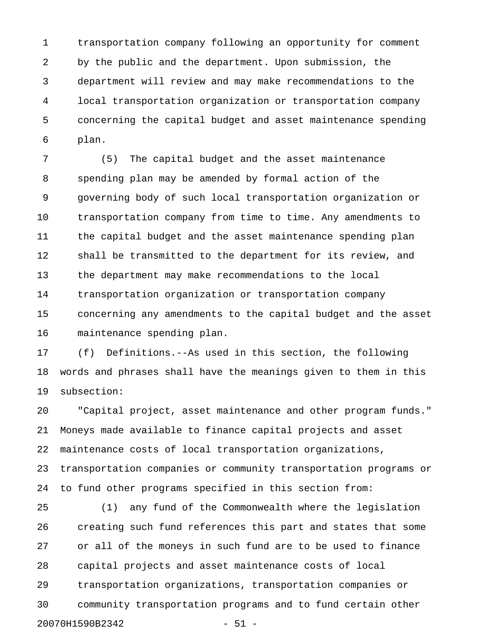1 transportation company following an opportunity for comment 2 by the public and the department. Upon submission, the 3 department will review and may make recommendations to the 4 local transportation organization or transportation company 5 concerning the capital budget and asset maintenance spending 6 plan.

7 (5) The capital budget and the asset maintenance 8 spending plan may be amended by formal action of the 9 governing body of such local transportation organization or 10 transportation company from time to time. Any amendments to 11 the capital budget and the asset maintenance spending plan 12 shall be transmitted to the department for its review, and 13 the department may make recommendations to the local 14 transportation organization or transportation company 15 concerning any amendments to the capital budget and the asset 16 maintenance spending plan.

17 (f) Definitions.--As used in this section, the following 18 words and phrases shall have the meanings given to them in this 19 subsection:

20 "Capital project, asset maintenance and other program funds." 21 Moneys made available to finance capital projects and asset 22 maintenance costs of local transportation organizations, 23 transportation companies or community transportation programs or 24 to fund other programs specified in this section from:

25 (1) any fund of the Commonwealth where the legislation 26 creating such fund references this part and states that some 27 or all of the moneys in such fund are to be used to finance 28 capital projects and asset maintenance costs of local 29 transportation organizations, transportation companies or 30 community transportation programs and to fund certain other 20070H1590B2342 - 51 -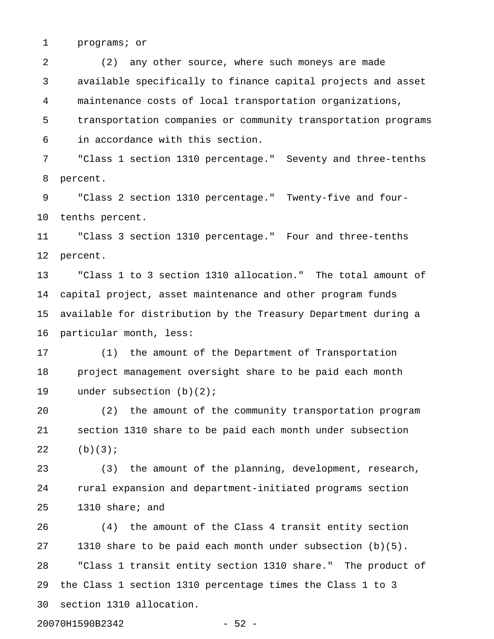1 programs; or

2 (2) any other source, where such moneys are made 3 available specifically to finance capital projects and asset 4 maintenance costs of local transportation organizations, 5 transportation companies or community transportation programs 6 in accordance with this section.

7 "Class 1 section 1310 percentage." Seventy and three-tenths 8 percent.

9 "Class 2 section 1310 percentage." Twenty-five and four-10 tenths percent.

11 "Class 3 section 1310 percentage." Four and three-tenths 12 percent.

13 "Class 1 to 3 section 1310 allocation." The total amount of 14 capital project, asset maintenance and other program funds 15 available for distribution by the Treasury Department during a 16 particular month, less:

17 (1) the amount of the Department of Transportation 18 project management oversight share to be paid each month 19 under subsection (b)(2);

20 (2) the amount of the community transportation program 21 section 1310 share to be paid each month under subsection 22 (b)(3);

23 (3) the amount of the planning, development, research, 24 rural expansion and department-initiated programs section 25 1310 share; and

26 (4) the amount of the Class 4 transit entity section 27 1310 share to be paid each month under subsection (b)(5). 28 "Class 1 transit entity section 1310 share." The product of 29 the Class 1 section 1310 percentage times the Class 1 to 3 30 section 1310 allocation.

20070H1590B2342 - 52 -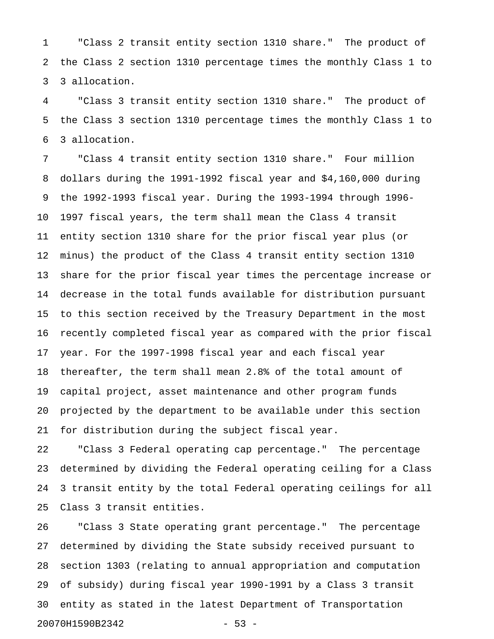1 "Class 2 transit entity section 1310 share." The product of 2 the Class 2 section 1310 percentage times the monthly Class 1 to 3 3 allocation.

4 "Class 3 transit entity section 1310 share." The product of 5 the Class 3 section 1310 percentage times the monthly Class 1 to 6 3 allocation.

7 "Class 4 transit entity section 1310 share." Four million 8 dollars during the 1991-1992 fiscal year and \$4,160,000 during 9 the 1992-1993 fiscal year. During the 1993-1994 through 1996- 10 1997 fiscal years, the term shall mean the Class 4 transit 11 entity section 1310 share for the prior fiscal year plus (or 12 minus) the product of the Class 4 transit entity section 1310 13 share for the prior fiscal year times the percentage increase or 14 decrease in the total funds available for distribution pursuant 15 to this section received by the Treasury Department in the most 16 recently completed fiscal year as compared with the prior fiscal 17 year. For the 1997-1998 fiscal year and each fiscal year 18 thereafter, the term shall mean 2.8% of the total amount of 19 capital project, asset maintenance and other program funds 20 projected by the department to be available under this section 21 for distribution during the subject fiscal year.

22 "Class 3 Federal operating cap percentage." The percentage 23 determined by dividing the Federal operating ceiling for a Class 24 3 transit entity by the total Federal operating ceilings for all 25 Class 3 transit entities.

26 "Class 3 State operating grant percentage." The percentage 27 determined by dividing the State subsidy received pursuant to 28 section 1303 (relating to annual appropriation and computation 29 of subsidy) during fiscal year 1990-1991 by a Class 3 transit 30 entity as stated in the latest Department of Transportation 20070H1590B2342 - 53 -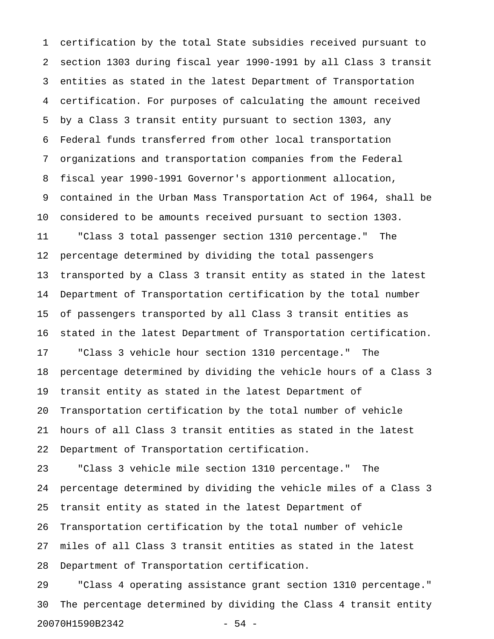1 certification by the total State subsidies received pursuant to 2 section 1303 during fiscal year 1990-1991 by all Class 3 transit 3 entities as stated in the latest Department of Transportation 4 certification. For purposes of calculating the amount received 5 by a Class 3 transit entity pursuant to section 1303, any 6 Federal funds transferred from other local transportation 7 organizations and transportation companies from the Federal 8 fiscal year 1990-1991 Governor's apportionment allocation, 9 contained in the Urban Mass Transportation Act of 1964, shall be 10 considered to be amounts received pursuant to section 1303. 11 "Class 3 total passenger section 1310 percentage." The 12 percentage determined by dividing the total passengers 13 transported by a Class 3 transit entity as stated in the latest 14 Department of Transportation certification by the total number 15 of passengers transported by all Class 3 transit entities as 16 stated in the latest Department of Transportation certification. 17 "Class 3 vehicle hour section 1310 percentage." The 18 percentage determined by dividing the vehicle hours of a Class 3 19 transit entity as stated in the latest Department of 20 Transportation certification by the total number of vehicle 21 hours of all Class 3 transit entities as stated in the latest 22 Department of Transportation certification. 23 "Class 3 vehicle mile section 1310 percentage." The 24 percentage determined by dividing the vehicle miles of a Class 3 25 transit entity as stated in the latest Department of 26 Transportation certification by the total number of vehicle 27 miles of all Class 3 transit entities as stated in the latest 28 Department of Transportation certification.

29 "Class 4 operating assistance grant section 1310 percentage." 30 The percentage determined by dividing the Class 4 transit entity 20070H1590B2342 - 54 -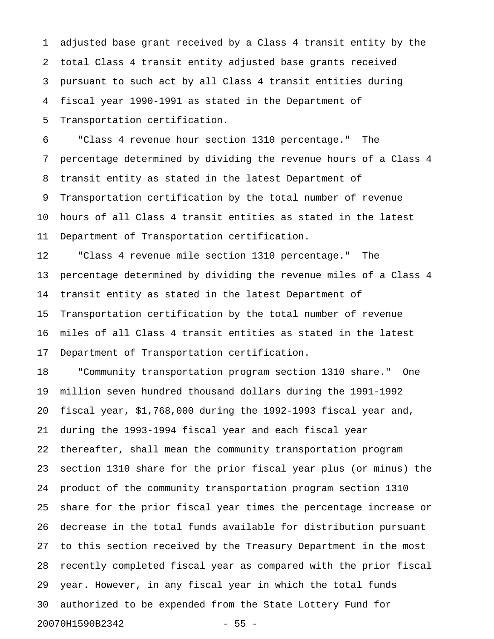1 adjusted base grant received by a Class 4 transit entity by the 2 total Class 4 transit entity adjusted base grants received 3 pursuant to such act by all Class 4 transit entities during 4 fiscal year 1990-1991 as stated in the Department of 5 Transportation certification.

6 "Class 4 revenue hour section 1310 percentage." The 7 percentage determined by dividing the revenue hours of a Class 4 8 transit entity as stated in the latest Department of 9 Transportation certification by the total number of revenue 10 hours of all Class 4 transit entities as stated in the latest 11 Department of Transportation certification.

12 "Class 4 revenue mile section 1310 percentage." The 13 percentage determined by dividing the revenue miles of a Class 4 14 transit entity as stated in the latest Department of 15 Transportation certification by the total number of revenue 16 miles of all Class 4 transit entities as stated in the latest 17 Department of Transportation certification.

18 "Community transportation program section 1310 share." One 19 million seven hundred thousand dollars during the 1991-1992 20 fiscal year, \$1,768,000 during the 1992-1993 fiscal year and, 21 during the 1993-1994 fiscal year and each fiscal year 22 thereafter, shall mean the community transportation program 23 section 1310 share for the prior fiscal year plus (or minus) the 24 product of the community transportation program section 1310 25 share for the prior fiscal year times the percentage increase or 26 decrease in the total funds available for distribution pursuant 27 to this section received by the Treasury Department in the most 28 recently completed fiscal year as compared with the prior fiscal 29 year. However, in any fiscal year in which the total funds 30 authorized to be expended from the State Lottery Fund for 20070H1590B2342 - 55 -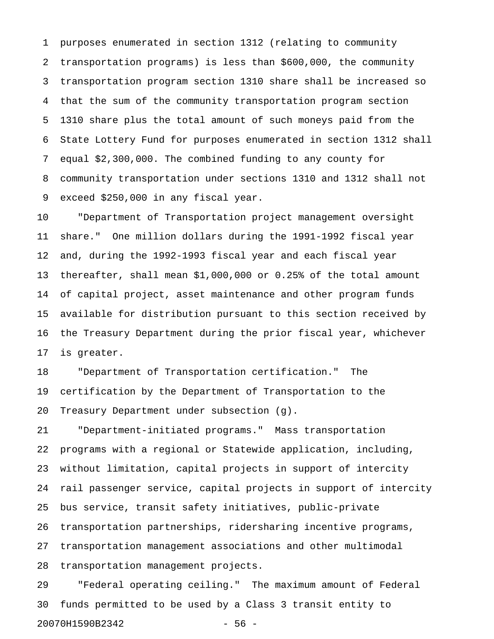1 purposes enumerated in section 1312 (relating to community 2 transportation programs) is less than \$600,000, the community 3 transportation program section 1310 share shall be increased so 4 that the sum of the community transportation program section 5 1310 share plus the total amount of such moneys paid from the 6 State Lottery Fund for purposes enumerated in section 1312 shall 7 equal \$2,300,000. The combined funding to any county for 8 community transportation under sections 1310 and 1312 shall not 9 exceed \$250,000 in any fiscal year.

10 "Department of Transportation project management oversight 11 share." One million dollars during the 1991-1992 fiscal year 12 and, during the 1992-1993 fiscal year and each fiscal year 13 thereafter, shall mean \$1,000,000 or 0.25% of the total amount 14 of capital project, asset maintenance and other program funds 15 available for distribution pursuant to this section received by 16 the Treasury Department during the prior fiscal year, whichever 17 is greater.

18 "Department of Transportation certification." The 19 certification by the Department of Transportation to the 20 Treasury Department under subsection (g).

21 "Department-initiated programs." Mass transportation 22 programs with a regional or Statewide application, including, 23 without limitation, capital projects in support of intercity 24 rail passenger service, capital projects in support of intercity 25 bus service, transit safety initiatives, public-private 26 transportation partnerships, ridersharing incentive programs, 27 transportation management associations and other multimodal 28 transportation management projects.

29 "Federal operating ceiling." The maximum amount of Federal 30 funds permitted to be used by a Class 3 transit entity to 20070H1590B2342 - 56 -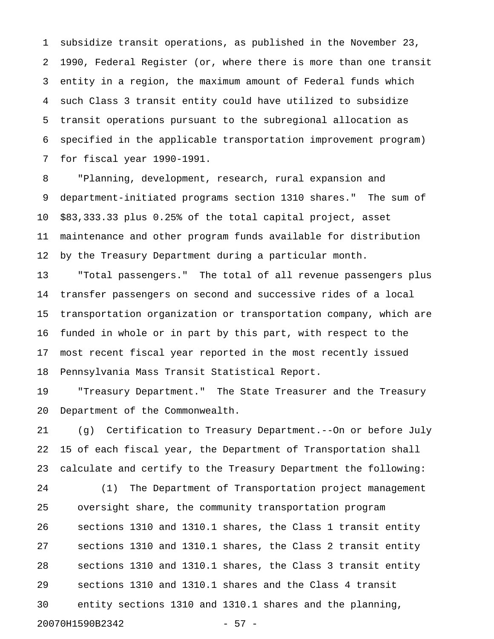1 subsidize transit operations, as published in the November 23, 2 1990, Federal Register (or, where there is more than one transit 3 entity in a region, the maximum amount of Federal funds which 4 such Class 3 transit entity could have utilized to subsidize 5 transit operations pursuant to the subregional allocation as 6 specified in the applicable transportation improvement program) 7 for fiscal year 1990-1991.

8 "Planning, development, research, rural expansion and 9 department-initiated programs section 1310 shares." The sum of 10 \$83,333.33 plus 0.25% of the total capital project, asset 11 maintenance and other program funds available for distribution 12 by the Treasury Department during a particular month.

13 "Total passengers." The total of all revenue passengers plus 14 transfer passengers on second and successive rides of a local 15 transportation organization or transportation company, which are 16 funded in whole or in part by this part, with respect to the 17 most recent fiscal year reported in the most recently issued 18 Pennsylvania Mass Transit Statistical Report.

19 "Treasury Department." The State Treasurer and the Treasury 20 Department of the Commonwealth.

21 (g) Certification to Treasury Department.--On or before July 22 15 of each fiscal year, the Department of Transportation shall 23 calculate and certify to the Treasury Department the following:

24 (1) The Department of Transportation project management 25 oversight share, the community transportation program 26 sections 1310 and 1310.1 shares, the Class 1 transit entity 27 sections 1310 and 1310.1 shares, the Class 2 transit entity 28 sections 1310 and 1310.1 shares, the Class 3 transit entity 29 sections 1310 and 1310.1 shares and the Class 4 transit 30 entity sections 1310 and 1310.1 shares and the planning, 20070H1590B2342 - 57 -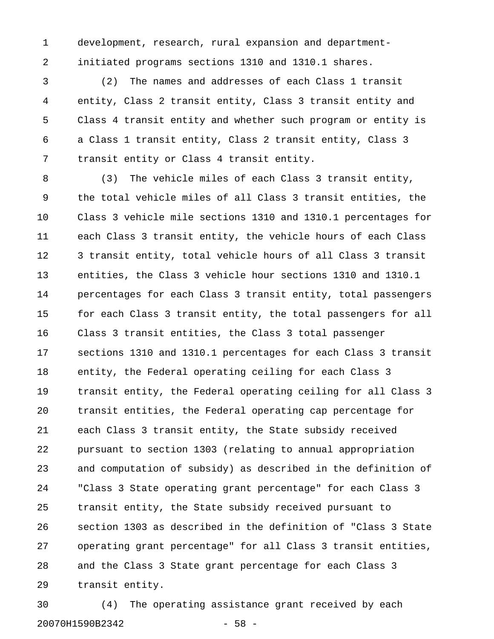1 development, research, rural expansion and department-2 initiated programs sections 1310 and 1310.1 shares.

3 (2) The names and addresses of each Class 1 transit 4 entity, Class 2 transit entity, Class 3 transit entity and 5 Class 4 transit entity and whether such program or entity is 6 a Class 1 transit entity, Class 2 transit entity, Class 3 7 transit entity or Class 4 transit entity.

8 (3) The vehicle miles of each Class 3 transit entity, 9 the total vehicle miles of all Class 3 transit entities, the 10 Class 3 vehicle mile sections 1310 and 1310.1 percentages for 11 each Class 3 transit entity, the vehicle hours of each Class 12 3 transit entity, total vehicle hours of all Class 3 transit 13 entities, the Class 3 vehicle hour sections 1310 and 1310.1 14 percentages for each Class 3 transit entity, total passengers 15 for each Class 3 transit entity, the total passengers for all 16 Class 3 transit entities, the Class 3 total passenger 17 sections 1310 and 1310.1 percentages for each Class 3 transit 18 entity, the Federal operating ceiling for each Class 3 19 transit entity, the Federal operating ceiling for all Class 3 20 transit entities, the Federal operating cap percentage for 21 each Class 3 transit entity, the State subsidy received 22 pursuant to section 1303 (relating to annual appropriation 23 and computation of subsidy) as described in the definition of 24 "Class 3 State operating grant percentage" for each Class 3 25 transit entity, the State subsidy received pursuant to 26 section 1303 as described in the definition of "Class 3 State 27 operating grant percentage" for all Class 3 transit entities, 28 and the Class 3 State grant percentage for each Class 3 29 transit entity.

30 (4) The operating assistance grant received by each 20070H1590B2342 - 58 -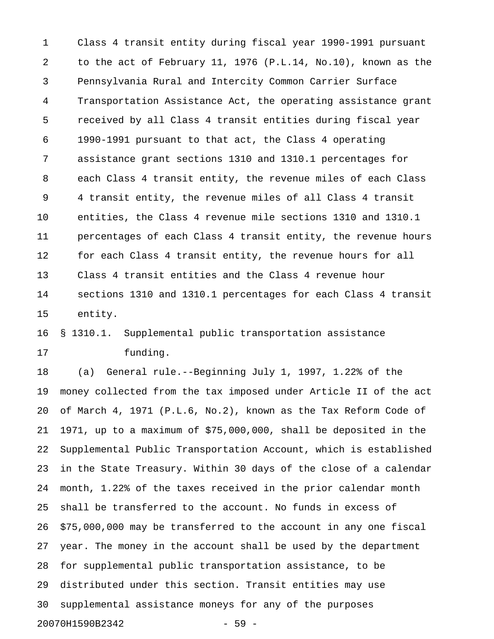1 Class 4 transit entity during fiscal year 1990-1991 pursuant 2 to the act of February 11, 1976 (P.L.14, No.10), known as the 3 Pennsylvania Rural and Intercity Common Carrier Surface 4 Transportation Assistance Act, the operating assistance grant 5 received by all Class 4 transit entities during fiscal year 6 1990-1991 pursuant to that act, the Class 4 operating 7 assistance grant sections 1310 and 1310.1 percentages for 8 each Class 4 transit entity, the revenue miles of each Class 9 4 transit entity, the revenue miles of all Class 4 transit 10 entities, the Class 4 revenue mile sections 1310 and 1310.1 11 percentages of each Class 4 transit entity, the revenue hours 12 for each Class 4 transit entity, the revenue hours for all 13 Class 4 transit entities and the Class 4 revenue hour 14 sections 1310 and 1310.1 percentages for each Class 4 transit 15 entity.

## 16 § 1310.1. Supplemental public transportation assistance 17 funding.

18 (a) General rule.--Beginning July 1, 1997, 1.22% of the 19 money collected from the tax imposed under Article II of the act 20 of March 4, 1971 (P.L.6, No.2), known as the Tax Reform Code of 21 1971, up to a maximum of \$75,000,000, shall be deposited in the 22 Supplemental Public Transportation Account, which is established 23 in the State Treasury. Within 30 days of the close of a calendar 24 month, 1.22% of the taxes received in the prior calendar month 25 shall be transferred to the account. No funds in excess of 26 \$75,000,000 may be transferred to the account in any one fiscal 27 year. The money in the account shall be used by the department 28 for supplemental public transportation assistance, to be 29 distributed under this section. Transit entities may use 30 supplemental assistance moneys for any of the purposes 20070H1590B2342 - 59 -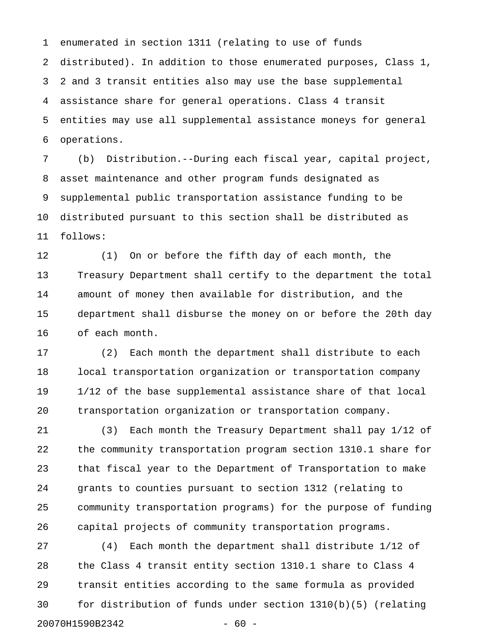1 enumerated in section 1311 (relating to use of funds 2 distributed). In addition to those enumerated purposes, Class 1, 3 2 and 3 transit entities also may use the base supplemental 4 assistance share for general operations. Class 4 transit 5 entities may use all supplemental assistance moneys for general 6 operations.

7 (b) Distribution.--During each fiscal year, capital project, 8 asset maintenance and other program funds designated as 9 supplemental public transportation assistance funding to be 10 distributed pursuant to this section shall be distributed as 11 follows:

12 (1) On or before the fifth day of each month, the 13 Treasury Department shall certify to the department the total 14 amount of money then available for distribution, and the 15 department shall disburse the money on or before the 20th day 16 of each month.

17 (2) Each month the department shall distribute to each 18 local transportation organization or transportation company 19 1/12 of the base supplemental assistance share of that local 20 transportation organization or transportation company.

21 (3) Each month the Treasury Department shall pay 1/12 of 22 the community transportation program section 1310.1 share for 23 that fiscal year to the Department of Transportation to make 24 grants to counties pursuant to section 1312 (relating to 25 community transportation programs) for the purpose of funding 26 capital projects of community transportation programs.

27 (4) Each month the department shall distribute 1/12 of 28 the Class 4 transit entity section 1310.1 share to Class 4 29 transit entities according to the same formula as provided 30 for distribution of funds under section 1310(b)(5) (relating 20070H1590B2342 - 60 -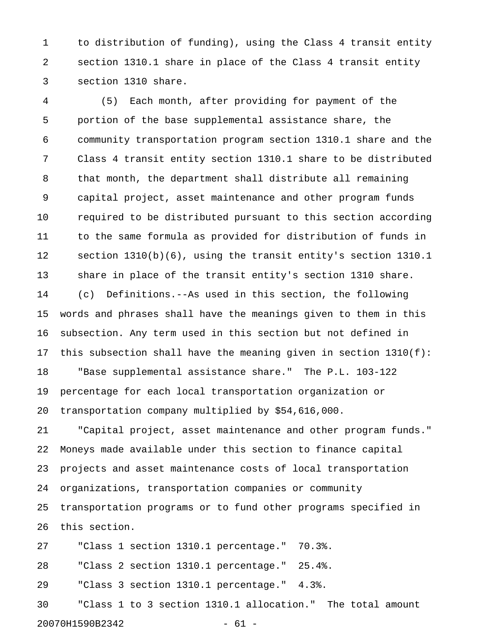1 to distribution of funding), using the Class 4 transit entity 2 section 1310.1 share in place of the Class 4 transit entity 3 section 1310 share.

4 (5) Each month, after providing for payment of the 5 portion of the base supplemental assistance share, the 6 community transportation program section 1310.1 share and the 7 Class 4 transit entity section 1310.1 share to be distributed 8 that month, the department shall distribute all remaining 9 capital project, asset maintenance and other program funds 10 required to be distributed pursuant to this section according 11 to the same formula as provided for distribution of funds in 12 section 1310(b)(6), using the transit entity's section 1310.1 13 share in place of the transit entity's section 1310 share. 14 (c) Definitions.--As used in this section, the following 15 words and phrases shall have the meanings given to them in this 16 subsection. Any term used in this section but not defined in 17 this subsection shall have the meaning given in section 1310(f): 18 "Base supplemental assistance share." The P.L. 103-122 19 percentage for each local transportation organization or 20 transportation company multiplied by \$54,616,000.

21 "Capital project, asset maintenance and other program funds." 22 Moneys made available under this section to finance capital 23 projects and asset maintenance costs of local transportation 24 organizations, transportation companies or community 25 transportation programs or to fund other programs specified in 26 this section.

27 "Class 1 section 1310.1 percentage." 70.3%.

28 "Class 2 section 1310.1 percentage." 25.4%.

29 "Class 3 section 1310.1 percentage." 4.3%.

30 "Class 1 to 3 section 1310.1 allocation." The total amount 20070H1590B2342 - 61 -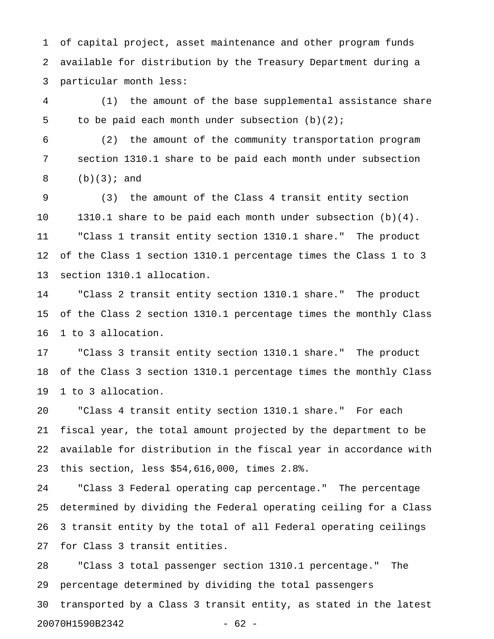1 of capital project, asset maintenance and other program funds 2 available for distribution by the Treasury Department during a 3 particular month less:

4 (1) the amount of the base supplemental assistance share 5 to be paid each month under subsection (b)(2);

6 (2) the amount of the community transportation program 7 section 1310.1 share to be paid each month under subsection 8 (b)(3); and

9 (3) the amount of the Class 4 transit entity section 10 1310.1 share to be paid each month under subsection (b)(4). 11 "Class 1 transit entity section 1310.1 share." The product 12 of the Class 1 section 1310.1 percentage times the Class 1 to 3 13 section 1310.1 allocation.

14 "Class 2 transit entity section 1310.1 share." The product 15 of the Class 2 section 1310.1 percentage times the monthly Class 16 1 to 3 allocation.

17 "Class 3 transit entity section 1310.1 share." The product 18 of the Class 3 section 1310.1 percentage times the monthly Class 19 1 to 3 allocation.

20 "Class 4 transit entity section 1310.1 share." For each 21 fiscal year, the total amount projected by the department to be 22 available for distribution in the fiscal year in accordance with 23 this section, less \$54,616,000, times 2.8%.

24 "Class 3 Federal operating cap percentage." The percentage 25 determined by dividing the Federal operating ceiling for a Class 26 3 transit entity by the total of all Federal operating ceilings 27 for Class 3 transit entities.

28 "Class 3 total passenger section 1310.1 percentage." The 29 percentage determined by dividing the total passengers 30 transported by a Class 3 transit entity, as stated in the latest 20070H1590B2342 - 62 -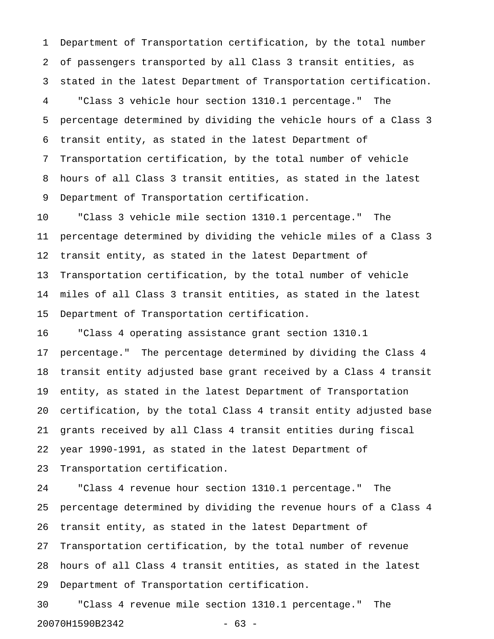1 Department of Transportation certification, by the total number 2 of passengers transported by all Class 3 transit entities, as 3 stated in the latest Department of Transportation certification. 4 "Class 3 vehicle hour section 1310.1 percentage." The 5 percentage determined by dividing the vehicle hours of a Class 3 6 transit entity, as stated in the latest Department of 7 Transportation certification, by the total number of vehicle 8 hours of all Class 3 transit entities, as stated in the latest 9 Department of Transportation certification.

10 "Class 3 vehicle mile section 1310.1 percentage." The 11 percentage determined by dividing the vehicle miles of a Class 3 12 transit entity, as stated in the latest Department of 13 Transportation certification, by the total number of vehicle 14 miles of all Class 3 transit entities, as stated in the latest 15 Department of Transportation certification.

16 "Class 4 operating assistance grant section 1310.1 17 percentage." The percentage determined by dividing the Class 4 18 transit entity adjusted base grant received by a Class 4 transit 19 entity, as stated in the latest Department of Transportation 20 certification, by the total Class 4 transit entity adjusted base 21 grants received by all Class 4 transit entities during fiscal 22 year 1990-1991, as stated in the latest Department of 23 Transportation certification.

24 "Class 4 revenue hour section 1310.1 percentage." The 25 percentage determined by dividing the revenue hours of a Class 4 26 transit entity, as stated in the latest Department of 27 Transportation certification, by the total number of revenue 28 hours of all Class 4 transit entities, as stated in the latest 29 Department of Transportation certification.

30 "Class 4 revenue mile section 1310.1 percentage." The 20070H1590B2342 - 63 -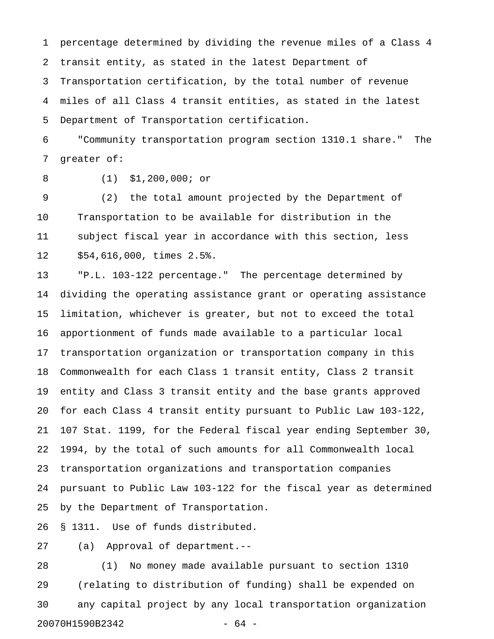1 percentage determined by dividing the revenue miles of a Class 4 2 transit entity, as stated in the latest Department of 3 Transportation certification, by the total number of revenue 4 miles of all Class 4 transit entities, as stated in the latest 5 Department of Transportation certification.

6 "Community transportation program section 1310.1 share." The 7 greater of:

8 (1) \$1,200,000; or

9 (2) the total amount projected by the Department of 10 Transportation to be available for distribution in the 11 subject fiscal year in accordance with this section, less 12 \$54,616,000, times 2.5%.

13 "P.L. 103-122 percentage." The percentage determined by 14 dividing the operating assistance grant or operating assistance 15 limitation, whichever is greater, but not to exceed the total 16 apportionment of funds made available to a particular local 17 transportation organization or transportation company in this 18 Commonwealth for each Class 1 transit entity, Class 2 transit 19 entity and Class 3 transit entity and the base grants approved 20 for each Class 4 transit entity pursuant to Public Law 103-122, 21 107 Stat. 1199, for the Federal fiscal year ending September 30, 22 1994, by the total of such amounts for all Commonwealth local 23 transportation organizations and transportation companies 24 pursuant to Public Law 103-122 for the fiscal year as determined 25 by the Department of Transportation.

26 § 1311. Use of funds distributed.

27 (a) Approval of department.--

28 (1) No money made available pursuant to section 1310 29 (relating to distribution of funding) shall be expended on 30 any capital project by any local transportation organization 20070H1590B2342 - 64 -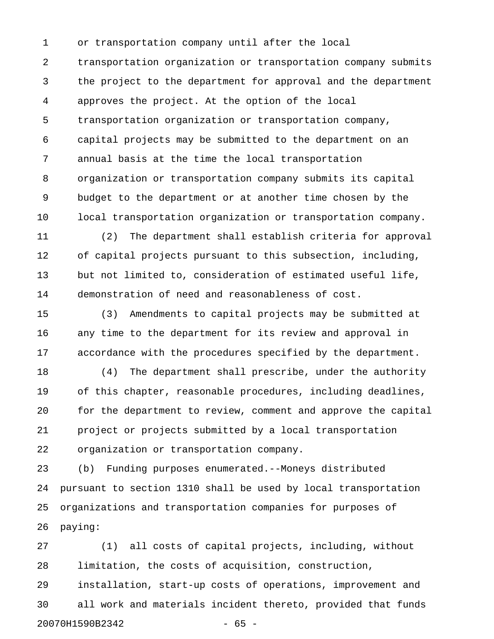1 or transportation company until after the local 2 transportation organization or transportation company submits 3 the project to the department for approval and the department 4 approves the project. At the option of the local 5 transportation organization or transportation company, 6 capital projects may be submitted to the department on an 7 annual basis at the time the local transportation 8 organization or transportation company submits its capital 9 budget to the department or at another time chosen by the 10 local transportation organization or transportation company.

11 (2) The department shall establish criteria for approval 12 of capital projects pursuant to this subsection, including, 13 but not limited to, consideration of estimated useful life, 14 demonstration of need and reasonableness of cost.

15 (3) Amendments to capital projects may be submitted at 16 any time to the department for its review and approval in 17 accordance with the procedures specified by the department.

18 (4) The department shall prescribe, under the authority 19 of this chapter, reasonable procedures, including deadlines, 20 for the department to review, comment and approve the capital 21 project or projects submitted by a local transportation 22 organization or transportation company.

23 (b) Funding purposes enumerated.--Moneys distributed 24 pursuant to section 1310 shall be used by local transportation 25 organizations and transportation companies for purposes of 26 paying:

27 (1) all costs of capital projects, including, without 28 limitation, the costs of acquisition, construction, 29 installation, start-up costs of operations, improvement and 30 all work and materials incident thereto, provided that funds 20070H1590B2342 - 65 -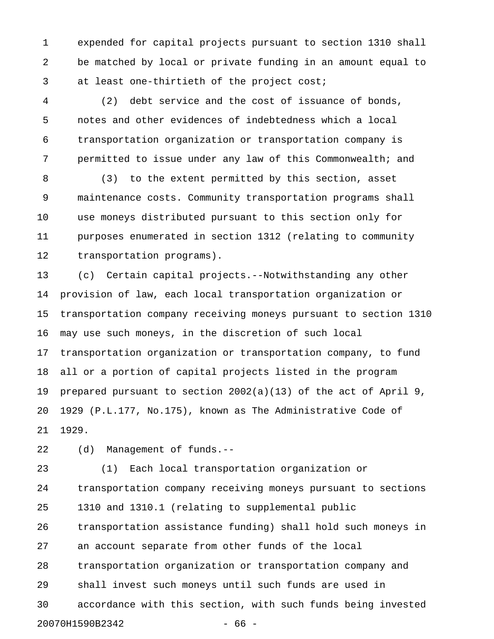1 expended for capital projects pursuant to section 1310 shall 2 be matched by local or private funding in an amount equal to 3 at least one-thirtieth of the project cost;

4 (2) debt service and the cost of issuance of bonds, 5 notes and other evidences of indebtedness which a local 6 transportation organization or transportation company is 7 permitted to issue under any law of this Commonwealth; and

8 (3) to the extent permitted by this section, asset 9 maintenance costs. Community transportation programs shall 10 use moneys distributed pursuant to this section only for 11 purposes enumerated in section 1312 (relating to community 12 transportation programs).

13 (c) Certain capital projects.--Notwithstanding any other 14 provision of law, each local transportation organization or 15 transportation company receiving moneys pursuant to section 1310 16 may use such moneys, in the discretion of such local 17 transportation organization or transportation company, to fund 18 all or a portion of capital projects listed in the program 19 prepared pursuant to section 2002(a)(13) of the act of April 9, 20 1929 (P.L.177, No.175), known as The Administrative Code of 21 1929.

22 (d) Management of funds.--

23 (1) Each local transportation organization or 24 transportation company receiving moneys pursuant to sections 25 1310 and 1310.1 (relating to supplemental public 26 transportation assistance funding) shall hold such moneys in 27 an account separate from other funds of the local 28 transportation organization or transportation company and 29 shall invest such moneys until such funds are used in 30 accordance with this section, with such funds being invested 20070H1590B2342 - 66 -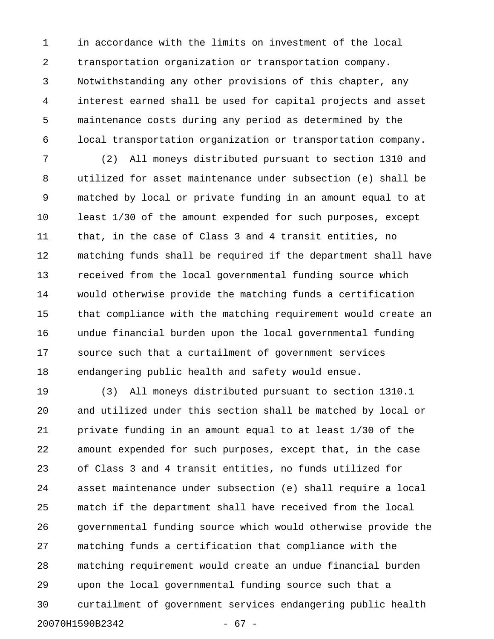1 in accordance with the limits on investment of the local 2 transportation organization or transportation company. 3 Notwithstanding any other provisions of this chapter, any 4 interest earned shall be used for capital projects and asset 5 maintenance costs during any period as determined by the 6 local transportation organization or transportation company.

7 (2) All moneys distributed pursuant to section 1310 and 8 utilized for asset maintenance under subsection (e) shall be 9 matched by local or private funding in an amount equal to at 10 least 1/30 of the amount expended for such purposes, except 11 that, in the case of Class 3 and 4 transit entities, no 12 matching funds shall be required if the department shall have 13 received from the local governmental funding source which 14 would otherwise provide the matching funds a certification 15 that compliance with the matching requirement would create an 16 undue financial burden upon the local governmental funding 17 source such that a curtailment of government services 18 endangering public health and safety would ensue.

19 (3) All moneys distributed pursuant to section 1310.1 20 and utilized under this section shall be matched by local or 21 private funding in an amount equal to at least 1/30 of the 22 amount expended for such purposes, except that, in the case 23 of Class 3 and 4 transit entities, no funds utilized for 24 asset maintenance under subsection (e) shall require a local 25 match if the department shall have received from the local 26 governmental funding source which would otherwise provide the 27 matching funds a certification that compliance with the 28 matching requirement would create an undue financial burden 29 upon the local governmental funding source such that a 30 curtailment of government services endangering public health 20070H1590B2342 - 67 -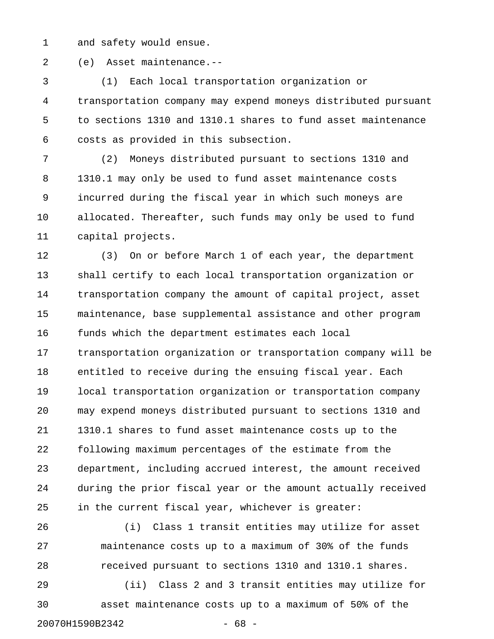1 and safety would ensue.

2 (e) Asset maintenance.--

3 (1) Each local transportation organization or 4 transportation company may expend moneys distributed pursuant 5 to sections 1310 and 1310.1 shares to fund asset maintenance 6 costs as provided in this subsection.

7 (2) Moneys distributed pursuant to sections 1310 and 8 1310.1 may only be used to fund asset maintenance costs 9 incurred during the fiscal year in which such moneys are 10 allocated. Thereafter, such funds may only be used to fund 11 capital projects.

12 (3) On or before March 1 of each year, the department 13 shall certify to each local transportation organization or 14 transportation company the amount of capital project, asset 15 maintenance, base supplemental assistance and other program 16 funds which the department estimates each local 17 transportation organization or transportation company will be 18 entitled to receive during the ensuing fiscal year. Each 19 local transportation organization or transportation company 20 may expend moneys distributed pursuant to sections 1310 and 21 1310.1 shares to fund asset maintenance costs up to the 22 following maximum percentages of the estimate from the 23 department, including accrued interest, the amount received 24 during the prior fiscal year or the amount actually received 25 in the current fiscal year, whichever is greater:

26 (i) Class 1 transit entities may utilize for asset 27 maintenance costs up to a maximum of 30% of the funds 28 received pursuant to sections 1310 and 1310.1 shares. 29 (ii) Class 2 and 3 transit entities may utilize for

30 asset maintenance costs up to a maximum of 50% of the 20070H1590B2342 - 68 -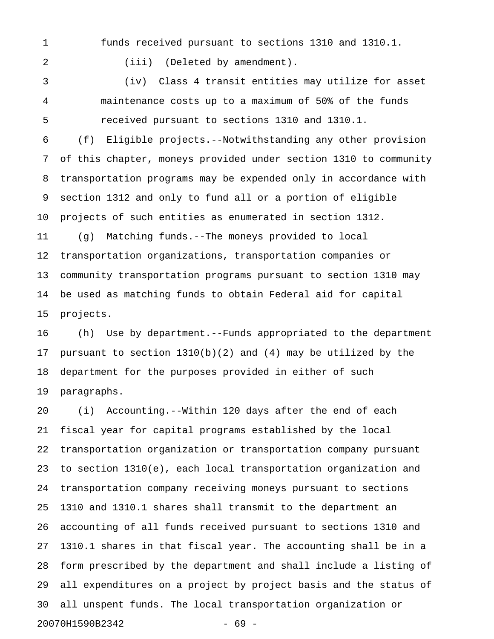1 funds received pursuant to sections 1310 and 1310.1.

2 (iii) (Deleted by amendment).

3 (iv) Class 4 transit entities may utilize for asset 4 maintenance costs up to a maximum of 50% of the funds 5 received pursuant to sections 1310 and 1310.1.

6 (f) Eligible projects.--Notwithstanding any other provision 7 of this chapter, moneys provided under section 1310 to community 8 transportation programs may be expended only in accordance with 9 section 1312 and only to fund all or a portion of eligible 10 projects of such entities as enumerated in section 1312. 11 (g) Matching funds.--The moneys provided to local 12 transportation organizations, transportation companies or 13 community transportation programs pursuant to section 1310 may 14 be used as matching funds to obtain Federal aid for capital 15 projects.

16 (h) Use by department.--Funds appropriated to the department 17 pursuant to section 1310(b)(2) and (4) may be utilized by the 18 department for the purposes provided in either of such 19 paragraphs.

20 (i) Accounting.--Within 120 days after the end of each 21 fiscal year for capital programs established by the local 22 transportation organization or transportation company pursuant 23 to section 1310(e), each local transportation organization and 24 transportation company receiving moneys pursuant to sections 25 1310 and 1310.1 shares shall transmit to the department an 26 accounting of all funds received pursuant to sections 1310 and 27 1310.1 shares in that fiscal year. The accounting shall be in a 28 form prescribed by the department and shall include a listing of 29 all expenditures on a project by project basis and the status of 30 all unspent funds. The local transportation organization or 20070H1590B2342 - 69 -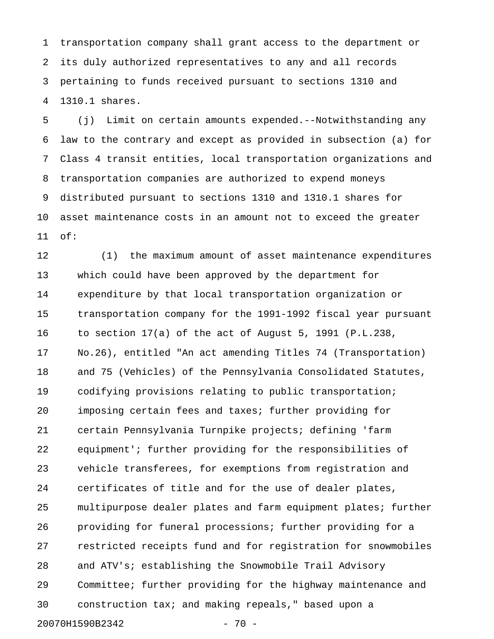1 transportation company shall grant access to the department or 2 its duly authorized representatives to any and all records 3 pertaining to funds received pursuant to sections 1310 and 4 1310.1 shares.

5 (j) Limit on certain amounts expended.--Notwithstanding any 6 law to the contrary and except as provided in subsection (a) for 7 Class 4 transit entities, local transportation organizations and 8 transportation companies are authorized to expend moneys 9 distributed pursuant to sections 1310 and 1310.1 shares for 10 asset maintenance costs in an amount not to exceed the greater 11 of:

12 (1) the maximum amount of asset maintenance expenditures 13 which could have been approved by the department for 14 expenditure by that local transportation organization or 15 transportation company for the 1991-1992 fiscal year pursuant 16 to section 17(a) of the act of August 5, 1991 (P.L.238, 17 No.26), entitled "An act amending Titles 74 (Transportation) 18 and 75 (Vehicles) of the Pennsylvania Consolidated Statutes, 19 codifying provisions relating to public transportation; 20 imposing certain fees and taxes; further providing for 21 certain Pennsylvania Turnpike projects; defining 'farm 22 equipment'; further providing for the responsibilities of 23 vehicle transferees, for exemptions from registration and 24 certificates of title and for the use of dealer plates, 25 multipurpose dealer plates and farm equipment plates; further 26 providing for funeral processions; further providing for a 27 restricted receipts fund and for registration for snowmobiles 28 and ATV's; establishing the Snowmobile Trail Advisory 29 Committee; further providing for the highway maintenance and 30 construction tax; and making repeals," based upon a 20070H1590B2342 - 70 -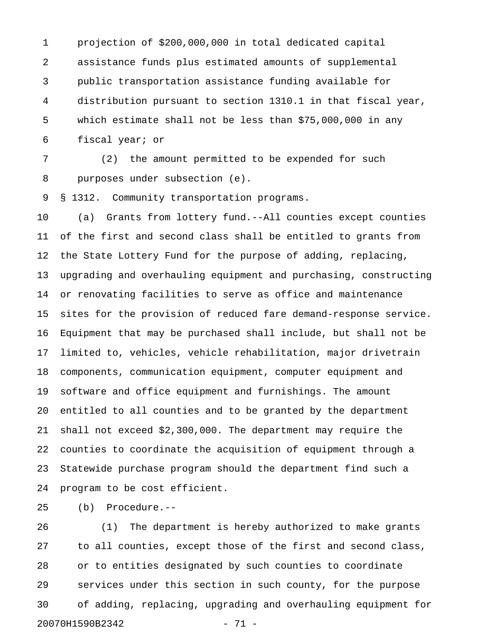1 projection of \$200,000,000 in total dedicated capital 2 assistance funds plus estimated amounts of supplemental 3 public transportation assistance funding available for 4 distribution pursuant to section 1310.1 in that fiscal year, 5 which estimate shall not be less than \$75,000,000 in any 6 fiscal year; or

7 (2) the amount permitted to be expended for such 8 purposes under subsection (e).

9 § 1312. Community transportation programs.

10 (a) Grants from lottery fund.--All counties except counties 11 of the first and second class shall be entitled to grants from 12 the State Lottery Fund for the purpose of adding, replacing, 13 upgrading and overhauling equipment and purchasing, constructing 14 or renovating facilities to serve as office and maintenance 15 sites for the provision of reduced fare demand-response service. 16 Equipment that may be purchased shall include, but shall not be 17 limited to, vehicles, vehicle rehabilitation, major drivetrain 18 components, communication equipment, computer equipment and 19 software and office equipment and furnishings. The amount 20 entitled to all counties and to be granted by the department 21 shall not exceed \$2,300,000. The department may require the 22 counties to coordinate the acquisition of equipment through a 23 Statewide purchase program should the department find such a 24 program to be cost efficient.

25 (b) Procedure.--

26 (1) The department is hereby authorized to make grants 27 to all counties, except those of the first and second class, 28 or to entities designated by such counties to coordinate 29 services under this section in such county, for the purpose 30 of adding, replacing, upgrading and overhauling equipment for 20070H1590B2342 - 71 -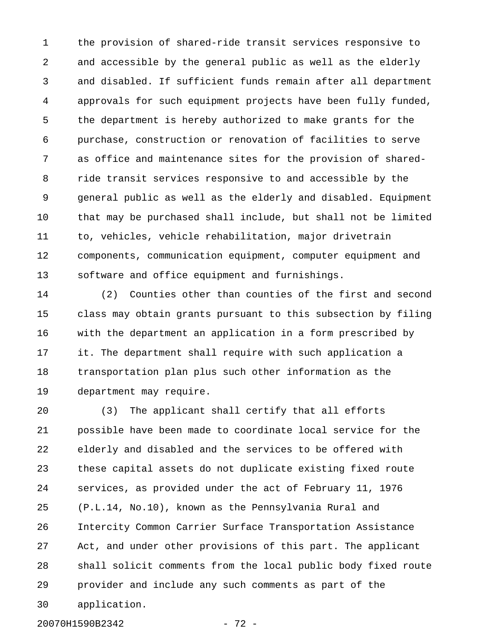1 the provision of shared-ride transit services responsive to 2 and accessible by the general public as well as the elderly 3 and disabled. If sufficient funds remain after all department 4 approvals for such equipment projects have been fully funded, 5 the department is hereby authorized to make grants for the 6 purchase, construction or renovation of facilities to serve 7 as office and maintenance sites for the provision of shared-8 ride transit services responsive to and accessible by the 9 general public as well as the elderly and disabled. Equipment 10 that may be purchased shall include, but shall not be limited 11 to, vehicles, vehicle rehabilitation, major drivetrain 12 components, communication equipment, computer equipment and 13 software and office equipment and furnishings.

14 (2) Counties other than counties of the first and second 15 class may obtain grants pursuant to this subsection by filing 16 with the department an application in a form prescribed by 17 it. The department shall require with such application a 18 transportation plan plus such other information as the 19 department may require.

20 (3) The applicant shall certify that all efforts 21 possible have been made to coordinate local service for the 22 elderly and disabled and the services to be offered with 23 these capital assets do not duplicate existing fixed route 24 services, as provided under the act of February 11, 1976 25 (P.L.14, No.10), known as the Pennsylvania Rural and 26 Intercity Common Carrier Surface Transportation Assistance 27 Act, and under other provisions of this part. The applicant 28 shall solicit comments from the local public body fixed route 29 provider and include any such comments as part of the 30 application.

20070H1590B2342 - 72 -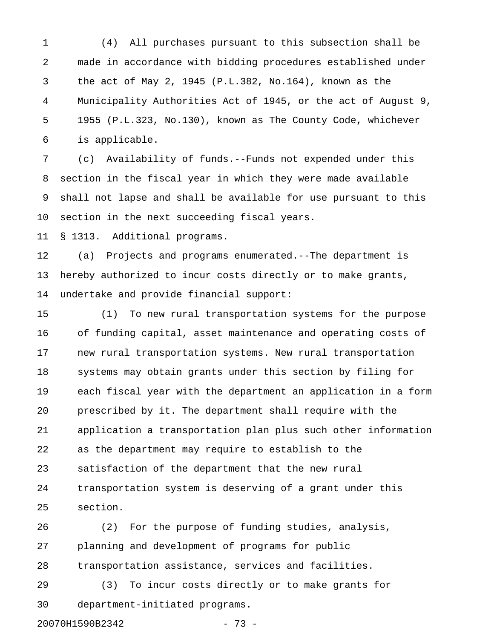1 (4) All purchases pursuant to this subsection shall be 2 made in accordance with bidding procedures established under 3 the act of May 2, 1945 (P.L.382, No.164), known as the 4 Municipality Authorities Act of 1945, or the act of August 9, 5 1955 (P.L.323, No.130), known as The County Code, whichever 6 is applicable.

7 (c) Availability of funds.--Funds not expended under this 8 section in the fiscal year in which they were made available 9 shall not lapse and shall be available for use pursuant to this 10 section in the next succeeding fiscal years.

11 § 1313. Additional programs.

12 (a) Projects and programs enumerated.--The department is 13 hereby authorized to incur costs directly or to make grants, 14 undertake and provide financial support:

15 (1) To new rural transportation systems for the purpose 16 of funding capital, asset maintenance and operating costs of 17 new rural transportation systems. New rural transportation 18 systems may obtain grants under this section by filing for 19 each fiscal year with the department an application in a form 20 prescribed by it. The department shall require with the 21 application a transportation plan plus such other information 22 as the department may require to establish to the 23 satisfaction of the department that the new rural 24 transportation system is deserving of a grant under this 25 section.

26 (2) For the purpose of funding studies, analysis, 27 planning and development of programs for public 28 transportation assistance, services and facilities.

29 (3) To incur costs directly or to make grants for 30 department-initiated programs.

20070H1590B2342 - 73 -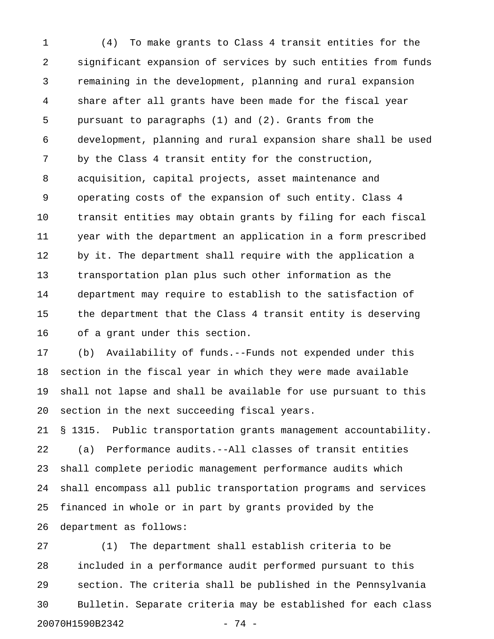1 (4) To make grants to Class 4 transit entities for the 2 significant expansion of services by such entities from funds 3 remaining in the development, planning and rural expansion 4 share after all grants have been made for the fiscal year 5 pursuant to paragraphs (1) and (2). Grants from the 6 development, planning and rural expansion share shall be used 7 by the Class 4 transit entity for the construction, 8 acquisition, capital projects, asset maintenance and 9 operating costs of the expansion of such entity. Class 4 10 transit entities may obtain grants by filing for each fiscal 11 year with the department an application in a form prescribed 12 by it. The department shall require with the application a 13 transportation plan plus such other information as the 14 department may require to establish to the satisfaction of 15 the department that the Class 4 transit entity is deserving 16 of a grant under this section.

17 (b) Availability of funds.--Funds not expended under this 18 section in the fiscal year in which they were made available 19 shall not lapse and shall be available for use pursuant to this 20 section in the next succeeding fiscal years.

21 § 1315. Public transportation grants management accountability. 22 (a) Performance audits.--All classes of transit entities 23 shall complete periodic management performance audits which 24 shall encompass all public transportation programs and services 25 financed in whole or in part by grants provided by the 26 department as follows:

27 (1) The department shall establish criteria to be 28 included in a performance audit performed pursuant to this 29 section. The criteria shall be published in the Pennsylvania 30 Bulletin. Separate criteria may be established for each class 20070H1590B2342 - 74 -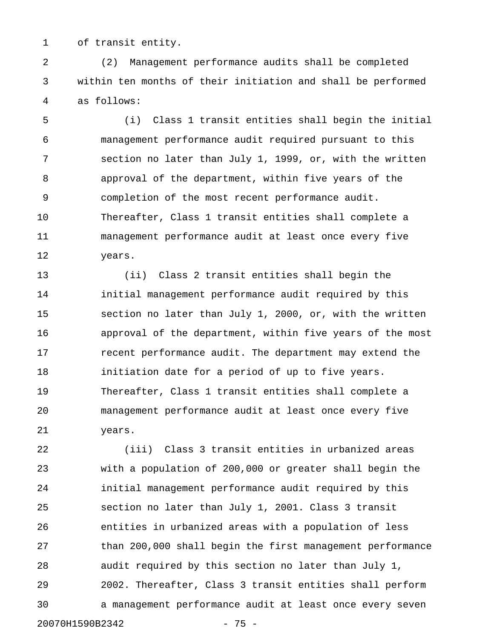1 of transit entity.

2 (2) Management performance audits shall be completed 3 within ten months of their initiation and shall be performed 4 as follows:

5 (i) Class 1 transit entities shall begin the initial 6 management performance audit required pursuant to this 7 section no later than July 1, 1999, or, with the written 8 approval of the department, within five years of the 9 completion of the most recent performance audit. 10 Thereafter, Class 1 transit entities shall complete a 11 management performance audit at least once every five 12 years.

13 (ii) Class 2 transit entities shall begin the 14 initial management performance audit required by this 15 section no later than July 1, 2000, or, with the written 16 approval of the department, within five years of the most 17 recent performance audit. The department may extend the 18 initiation date for a period of up to five years. 19 Thereafter, Class 1 transit entities shall complete a 20 management performance audit at least once every five 21 years.

22 (iii) Class 3 transit entities in urbanized areas 23 with a population of 200,000 or greater shall begin the 24 initial management performance audit required by this 25 section no later than July 1, 2001. Class 3 transit 26 entities in urbanized areas with a population of less 27 than 200,000 shall begin the first management performance 28 audit required by this section no later than July 1, 29 2002. Thereafter, Class 3 transit entities shall perform 30 a management performance audit at least once every seven 20070H1590B2342 - 75 -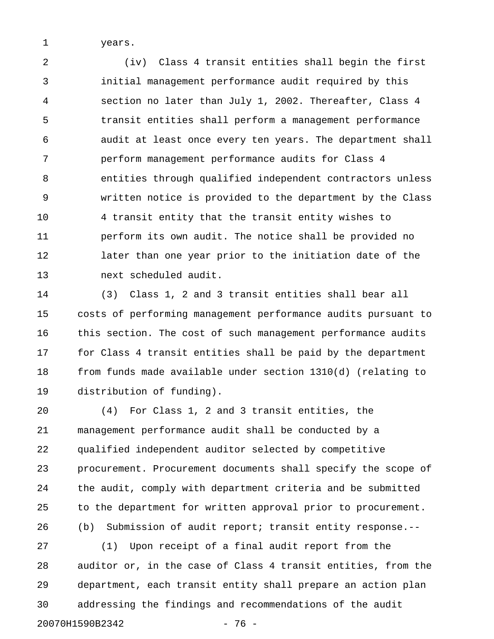1 years.

2 (iv) Class 4 transit entities shall begin the first 3 initial management performance audit required by this 4 section no later than July 1, 2002. Thereafter, Class 4 5 transit entities shall perform a management performance 6 audit at least once every ten years. The department shall 7 perform management performance audits for Class 4 8 entities through qualified independent contractors unless 9 written notice is provided to the department by the Class 10 4 transit entity that the transit entity wishes to 11 perform its own audit. The notice shall be provided no 12 later than one year prior to the initiation date of the 13 next scheduled audit.

14 (3) Class 1, 2 and 3 transit entities shall bear all 15 costs of performing management performance audits pursuant to 16 this section. The cost of such management performance audits 17 for Class 4 transit entities shall be paid by the department 18 from funds made available under section 1310(d) (relating to 19 distribution of funding).

20 (4) For Class 1, 2 and 3 transit entities, the 21 management performance audit shall be conducted by a 22 qualified independent auditor selected by competitive 23 procurement. Procurement documents shall specify the scope of 24 the audit, comply with department criteria and be submitted 25 to the department for written approval prior to procurement. 26 (b) Submission of audit report; transit entity response.--

27 (1) Upon receipt of a final audit report from the 28 auditor or, in the case of Class 4 transit entities, from the 29 department, each transit entity shall prepare an action plan 30 addressing the findings and recommendations of the audit 20070H1590B2342 - 76 -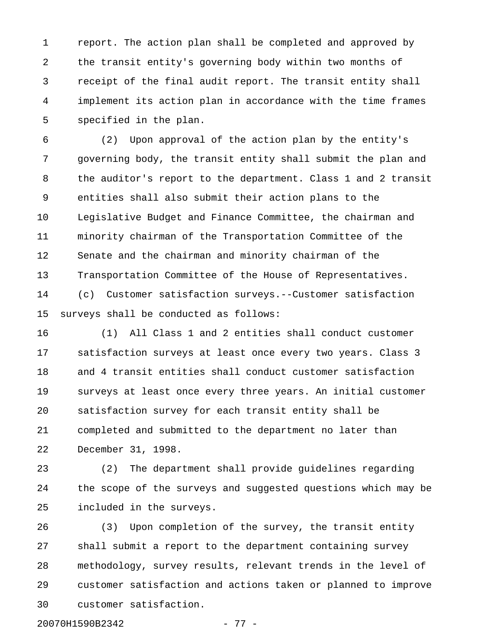1 report. The action plan shall be completed and approved by 2 the transit entity's governing body within two months of 3 receipt of the final audit report. The transit entity shall 4 implement its action plan in accordance with the time frames 5 specified in the plan.

6 (2) Upon approval of the action plan by the entity's 7 governing body, the transit entity shall submit the plan and 8 the auditor's report to the department. Class 1 and 2 transit 9 entities shall also submit their action plans to the 10 Legislative Budget and Finance Committee, the chairman and 11 minority chairman of the Transportation Committee of the 12 Senate and the chairman and minority chairman of the 13 Transportation Committee of the House of Representatives. 14 (c) Customer satisfaction surveys.--Customer satisfaction 15 surveys shall be conducted as follows:

16 (1) All Class 1 and 2 entities shall conduct customer 17 satisfaction surveys at least once every two years. Class 3 18 and 4 transit entities shall conduct customer satisfaction 19 surveys at least once every three years. An initial customer 20 satisfaction survey for each transit entity shall be 21 completed and submitted to the department no later than 22 December 31, 1998.

23 (2) The department shall provide guidelines regarding 24 the scope of the surveys and suggested questions which may be 25 included in the surveys.

26 (3) Upon completion of the survey, the transit entity 27 shall submit a report to the department containing survey 28 methodology, survey results, relevant trends in the level of 29 customer satisfaction and actions taken or planned to improve 30 customer satisfaction.

20070H1590B2342 - 77 -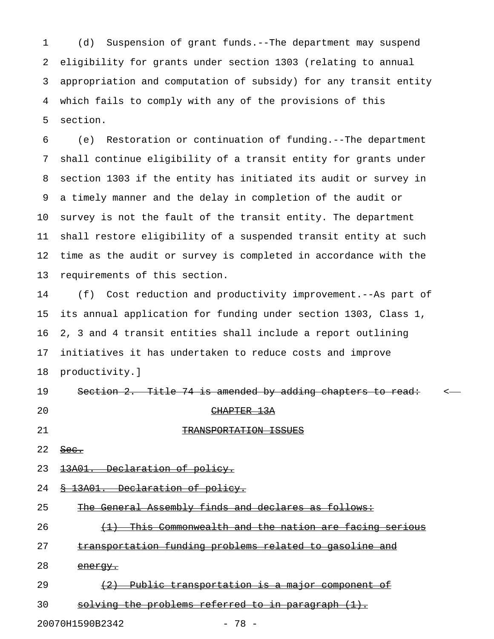1 (d) Suspension of grant funds.--The department may suspend 2 eligibility for grants under section 1303 (relating to annual 3 appropriation and computation of subsidy) for any transit entity 4 which fails to comply with any of the provisions of this 5 section.

6 (e) Restoration or continuation of funding.--The department 7 shall continue eligibility of a transit entity for grants under 8 section 1303 if the entity has initiated its audit or survey in 9 a timely manner and the delay in completion of the audit or 10 survey is not the fault of the transit entity. The department 11 shall restore eligibility of a suspended transit entity at such 12 time as the audit or survey is completed in accordance with the 13 requirements of this section.

14 (f) Cost reduction and productivity improvement.--As part of 15 its annual application for funding under section 1303, Class 1, 16 2, 3 and 4 transit entities shall include a report outlining 17 initiatives it has undertaken to reduce costs and improve 18 productivity.]

| 19 | Section 2. Title 74 is amended by adding chapters to read: |                        |  |  |
|----|------------------------------------------------------------|------------------------|--|--|
| 20 |                                                            | <del>CHAPTER 13A</del> |  |  |
| 21 |                                                            | TRANSPORTATION ISSUES  |  |  |

- $22$  Sec.
- 23 13A01. Declaration of policy.
- 24 <u>§ 13A01. Declaration of policy.</u>
- 25 The General Assembly finds and declares as follows:
- 26 (1) This Commonwealth and the nation are facing serious
- 27 transportation funding problems related to gasoline and
- 28 energy.
- 29  $(2)$  Public transportation is a major component of
- $30$  solving the problems referred to in paragraph  $(1)$ .

20070H1590B2342 - 78 -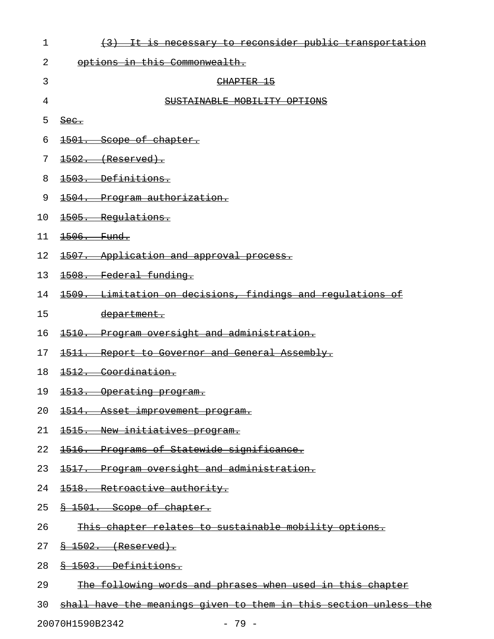| $\mathbf 1$ | (3) It is necessary to reconsider public transportation    |
|-------------|------------------------------------------------------------|
| 2           | options in this Commonwealth.                              |
| 3           | CHAPTER 15                                                 |
| 4           | SUSTAINABLE MOBILITY OPTIONS                               |
| 5           | $\frac{\text{Sec.}}{\text{Sec.}}$                          |
| 6           | 1501. Scope of chapter.                                    |
| 7           | $1502.$ (Reserved).                                        |
| 8           | 1503. Definitions.                                         |
| 9           | 1504. Program authorization.                               |
| 10          | 1505. Regulations.                                         |
| 11          | <del>1506. Fund.</del>                                     |
| 12          | 1507. Application and approval process.                    |
| 13          | 1508. Federal funding.                                     |
| 14          | 1509. Limitation on decisions, findings and regulations of |
| 15          | department.                                                |
| 16          | 1510. Program oversight and administration.                |
| 17          | 1511. Report to Governor and General Assembly.             |
| 18          | 1512. Coordination.                                        |
| 19          | <u> 1513. Operating program.</u>                           |
| 20          | 1514. Asset improvement program.                           |
| 21          | 1515. New initiatives program.                             |
| 22          | 1516. Programs of Statewide significance.                  |
| 23          | 1517. Program oversight and administration.                |
| 24          | 1518. Retroactive authority.                               |
| 25          | \$ 1501. Scope of chapter.                                 |
| 26          | This chapter relates to sustainable mobility options.      |
| 27          | $\frac{8}{8}$ 1502. (Reserved).                            |
| 28          | 8 1503. Definitions.                                       |
| 29          | The following words and phrases when used in this chapter  |
|             |                                                            |

30 shall have the meanings given to them in this section unless the

20070H1590B2342 - 79 -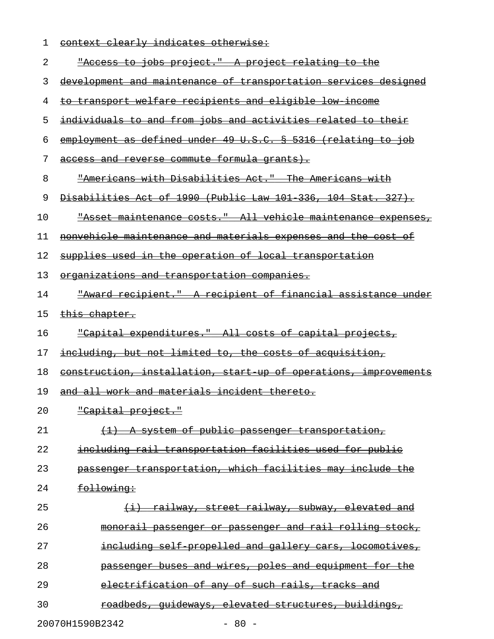| 1  | context clearly indicates otherwise:                                 |
|----|----------------------------------------------------------------------|
| 2  | "Access to jobs project." A project relating to the                  |
| 3  | development and maintenance of transportation services designed      |
| 4  | to transport welfare recipients and eligible low income              |
| 5  | individuals to and from jobs and activities related to their         |
| 6  | employment as defined under 49 U.S.C. § 5316 (relating to job        |
| 7  | access and reverse commute formula grants).                          |
| 8  | "Americans with Disabilities Act." The Americans with                |
| 9  | Disabilities Act of 1990 (Public Law 101 336, 104 Stat. 327).        |
| 10 | <u> "Asset maintenance costs." All vehicle maintenance expenses,</u> |
| 11 | nonvehicle maintenance and materials expenses and the cost of        |
| 12 | supplies used in the operation of local transportation               |
| 13 | <u>organizations and transportation companies.</u>                   |
| 14 | <u> "Award recipient." A recipient of financial assistance under</u> |
| 15 | <del>this chapter.</del>                                             |
| 16 | <u>"Capital expenditures." All costs of capital projects,</u>        |
| 17 | including, but not limited to, the costs of acquisition,             |
| 18 | construction, installation, start up of operations, improvements     |
| 19 | and all work and materials incident thereto.                         |
| 20 | <u>"Capital project."</u>                                            |
| 21 | (1) A system of public passenger transportation,                     |
| 22 | including rail transportation facilities used for public             |
| 23 | passenger transportation, which facilities may include the           |
| 24 | following:                                                           |
| 25 | <u>(i) railway, street railway, subway, elevated and</u>             |
| 26 | monorail passenger or passenger and rail rolling stock,              |
| 27 | including self propelled and gallery cars, locomotives,              |
| 28 | passenger buses and wires, poles and equipment for the               |
| 29 | electrification of any of such rails, tracks and                     |
| 30 | roadbeds, quideways, elevated structures, buildings,                 |
|    | 20070H1590B2342<br>$-80 -$                                           |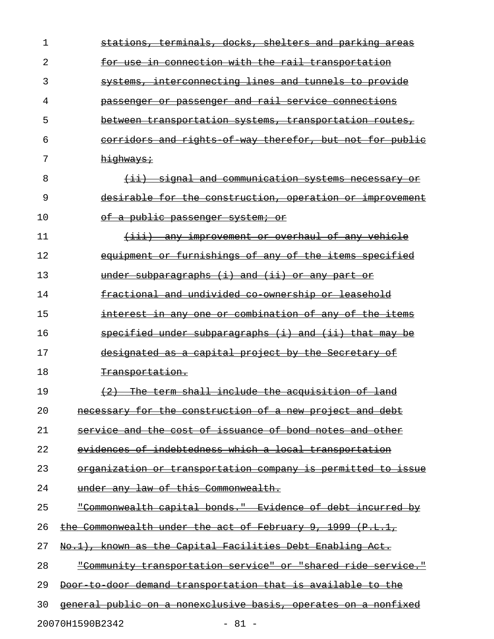| 1  | stations, terminals, docks, shelters and parking areas                                                                              |
|----|-------------------------------------------------------------------------------------------------------------------------------------|
| 2  | for use in connection with the rail transportation                                                                                  |
| 3  | systems, interconnecting lines and tunnels to provide                                                                               |
| 4  | passenger or passenger and rail service connections                                                                                 |
| 5  | between transportation systems, transportation routes,                                                                              |
| 6  | corridors and rights of way therefor, but not for public                                                                            |
| 7  | highways;                                                                                                                           |
| 8  | (ii) signal and communication systems necessary or                                                                                  |
| 9  | desirable for the construction, operation or improvement                                                                            |
| 10 | of a public passenger system; or                                                                                                    |
| 11 | (iii) any improvement or overhaul of any vehicle                                                                                    |
| 12 | equipment or furnishings of any of the items specified                                                                              |
| 13 | under subparagraphs $(i)$ and $(ii)$ or any part or                                                                                 |
| 14 | fractional and undivided co ownership or leasehold                                                                                  |
| 15 | interest in any one or combination of any of the items                                                                              |
| 16 | specified under subparagraphs (i) and (ii) that may be                                                                              |
| 17 | designated as a capital project by the Secretary of                                                                                 |
| 18 | <del>Transportation.</del>                                                                                                          |
| 19 | (2) The term shall include the acquisition of land                                                                                  |
| 20 | necessary for the construction of a new project and debt                                                                            |
| 21 | <del>issuance of bond</del><br><del>cost of</del><br><del>and the</del><br><del>and -</del><br><del>other</del><br><del>notes</del> |
| 22 | <u>evidences of indebtedness which a local transportation</u>                                                                       |
| 23 | <del>organization or transportation company is permitted to issue</del>                                                             |
| 24 | <del>under anv law of this Commonwealth.</del>                                                                                      |
| 25 | <u> "Commonwealth capital bonds." Evidence of debt incurred</u><br>-b∻                                                              |
| 26 | <del>of Februarv</del><br><u>the Commonwealth under the </u><br>-1999<br><del>-act</del><br>-9 -                                    |
| 27 | <del>known as the Capital Facilities Debt Enabling Act.</del>                                                                       |
| 28 | <u> "Community transportation service" or "shared ride service."</u>                                                                |
| 29 | <del>transportation that</del><br><del>is available</del><br><del>demand</del><br><del>door</del>                                   |
| 30 | <u>general public on a nonexclusive basis, operates on a nonfixed</u>                                                               |
|    |                                                                                                                                     |

20070H1590B2342 - 81 -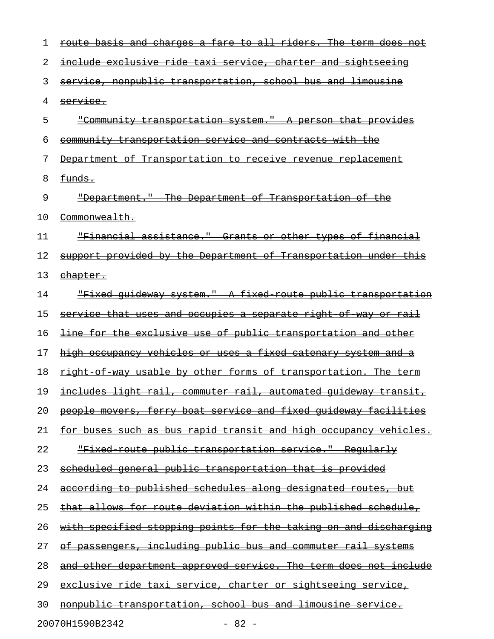| 1  | route basis and charges a fare to all riders. The term does not         |
|----|-------------------------------------------------------------------------|
| 2  | include exclusive ride taxi service, charter and sightseeing            |
| 3  | service, nonpublic transportation, school bus and limousine             |
| 4  | service.                                                                |
| 5  | "Community transportation system." A person that provides               |
| 6  | community transportation service and contracts with the                 |
| 7  | Department of Transportation to receive revenue replacement             |
| 8  | <del>funds.</del>                                                       |
| 9  | "Department." The Department of Transportation of the                   |
| 10 | <del>Commonwealth.</del>                                                |
| 11 | "Financial assistance." Grants or other types of financial              |
| 12 | support provided by the Department of Transportation under this         |
| 13 | chapter.                                                                |
| 14 | "Fixed quideway system." A fixed route public transportation            |
| 15 | service that uses and occupies a separate right of way or rail          |
| 16 | line for the exclusive use of public transportation and other           |
| 17 | high occupancy vehicles or uses a fixed catenary system and a           |
| 18 | right of way usable by other forms of transportation. The term          |
| 19 | <u>includes light rail, commuter rail, automated guideway transit,</u>  |
| 20 | people movers, ferry boat service and fixed quideway facilities         |
| 21 | for buses such as bus rapid transit and high occupancy vehicles.        |
| 22 | "Fixed route public transportation service." Reqularly                  |
| 23 | scheduled general public transportation that is provided                |
| 24 | according to published schedules along designated routes, but           |
| 25 | <u>that allows for route deviation within the published schedule,</u>   |
| 26 | with specified stopping points for the taking on and discharging        |
| 27 | <u>passengers, including public bus and commuter rail systems</u><br>Θŧ |
| 28 | and other department approved service. The term does not include        |
| 29 | exclusive ride taxi service, charter or sightseeing service,            |
| 30 | nonpublic transportation, school bus and limousine service.             |
|    | 20070H1590B2342<br>$-82 -$                                              |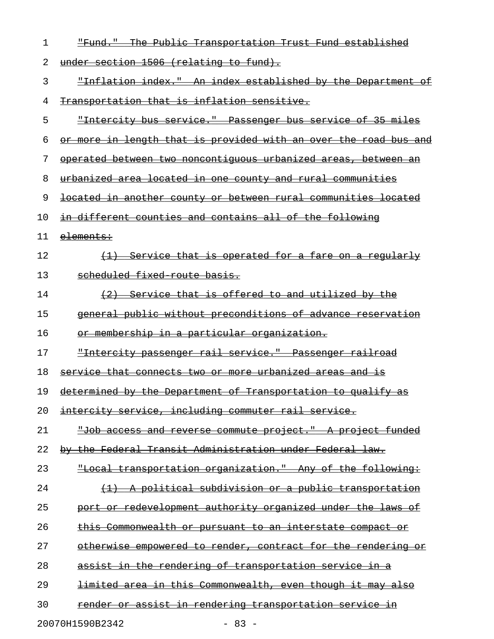| 1  | The Public Transportation Trust Fund established<br><del>"Fund."</del> |
|----|------------------------------------------------------------------------|
| 2  | under section 1506 (relating to fund).                                 |
| 3  | "Inflation index." An index established by the Department of           |
| 4  | Transportation that is inflation sensitive.                            |
| 5  | "Intercity bus service." Passenger bus service of 35 miles             |
| 6  | or more in length that is provided with an over the road bus and       |
| 7  | operated between two noncontiquous urbanized areas, between an         |
| 8  | urbanized area located in one county and rural communities             |
| 9  | located in another county or between rural communities located         |
| 10 | in different counties and contains all of the following                |
| 11 | elements:                                                              |
| 12 | (1) Service that is operated for a fare on a regularly                 |
| 13 | scheduled fixed route basis.                                           |
| 14 | (2) Service that is offered to and utilized by the                     |
| 15 | general public without preconditions of advance reservation            |
| 16 | or membership in a particular organization.                            |
| 17 | "Intercity passenger rail service." Passenger railroad                 |
| 18 | service that connects two or more urbanized areas and is               |
| 19 | determined by the Department of Transportation to qualify as           |
| 20 | intercity service, including commuter rail service.                    |
| 21 | "Job access and reverse commute project." A project funded             |
| 22 | by the Federal Transit Administration under Federal law.               |
| 23 | "Local transportation organization." Any of the following:             |
| 24 | (1) A political subdivision or a public transportation                 |
| 25 | port or redevelopment authority organized under the laws of            |
| 26 | <u>this Commonwealth or pursuant to an interstate compact or</u>       |
| 27 | otherwise empowered to render, contract for the rendering or           |
| 28 | assist in the rendering of transportation service in a                 |
| 29 | <u>limited area in this Commonwealth, even though it may also</u>      |
| 30 | render or assist in rendering transportation service in                |
|    | 20070H1590B2342<br>$-83 -$                                             |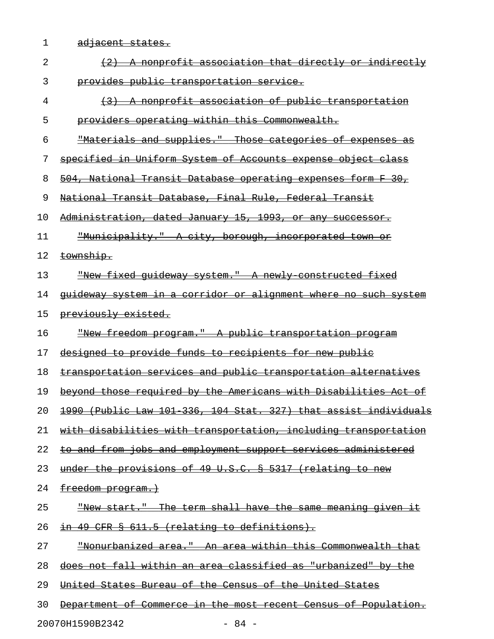- 
- 1 adjacent states.

| 2  | A nonprofit association that directly or indirectly                 |
|----|---------------------------------------------------------------------|
| 3  | provides public transportation service.                             |
| 4  | (3) A nonprofit association of public transportation                |
| 5  | providers operating within this Commonwealth.                       |
| 6  | "Materials and supplies." Those categories of expenses as           |
| 7  | specified in Uniform System of Accounts expense object class        |
| 8  | 504, National Transit Database operating expenses form F 30,        |
| 9  | National Transit Database, Final Rule, Federal Transit              |
| 10 | Administration, dated January 15, 1993, or any successor.           |
| 11 | "Municipality." A city, borough, incorporated town or               |
| 12 | township.                                                           |
| 13 | "New fixed quideway system." A newly constructed fixed              |
| 14 | quideway system in a corridor or alignment where no such system     |
| 15 | previously existed.                                                 |
| 16 | "New freedom program." A public transportation program              |
| 17 | designed to provide funds to recipients for new public              |
| 18 | transportation services and public transportation alternatives      |
| 19 | beyond those required by the Americans with Disabilities Act<br>−o± |
| 20 | 1990 (Public Law 101 336, 104 Stat. 327) that assist individuals    |
| 21 | with disabilities with transportation, including transportation     |
| 22 | to and from jobs and employment support services administered       |
| 23 | under the provisions of 49 U.S.C. § 5317 (relating to new           |
| 24 | freedom program.)                                                   |
| 25 | <u>"New start." The term shall have the same meaning given it</u>   |
| 26 | in 49 CFR § 611.5 (relating to definitions).                        |
| 27 | "Nonurbanized area." An area within this Commonwealth that          |
| 28 | does not fall within an area classified as "urbanized" by the       |
| 29 | United States Bureau of the Census of the United States             |
| 30 | Department of Commerce in the most recent Census of Population.     |
|    |                                                                     |

20070H1590B2342 - 84 -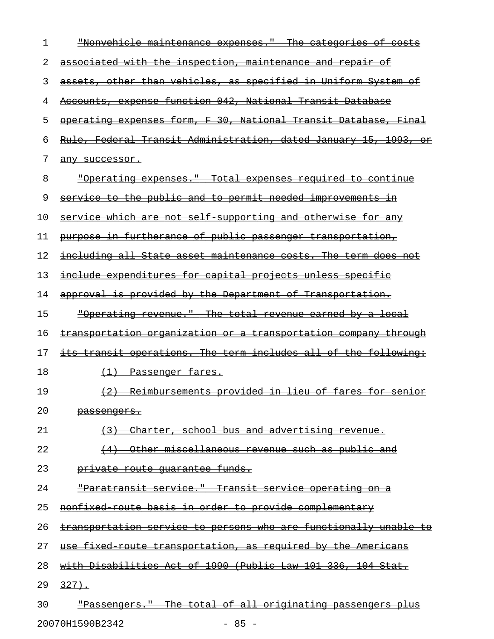| 1  | "Nonvehicle maintenance expenses."<br><del>categories of costs</del>       |
|----|----------------------------------------------------------------------------|
| 2  | associated with the inspection, maintenance and repair of                  |
| 3  | assets, other than vehicles, as specified in Uniform System of             |
| 4  | Accounts, expense function 042, National Transit Database                  |
| 5  | operating expenses form, F 30, National Transit Database, Final            |
| 6  | <u>Rule, Federal Transit Administration, dated January 15, 1993,</u><br>or |
| 7  | any successor.                                                             |
| 8  | <u> "Operating expenses." Total expenses required to continue</u>          |
| 9  | service to the public and to permit needed improvements in                 |
| 10 | service which are not self supporting and otherwise for any                |
| 11 | purpose in furtherance of public passenger transportation,                 |
| 12 | including all State asset maintenance costs. The term does not             |
| 13 | include expenditures for capital projects unless specific                  |
| 14 | approval is provided by the Department of Transportation.                  |
| 15 | <u> "Operating revenue." The total revenue earned by a local</u>           |
| 16 | transportation organization or a transportation company through            |
| 17 | its transit operations. The term includes all of the following:            |
| 18 | (1) Passenger fares.                                                       |
| 19 | (2) Reimbursements provided in lieu of fares for senior                    |
| 20 | <del>passenqers.</del>                                                     |
| 21 | Charter, school bus and advertising revenue.<br>$+3+$                      |
| 22 | Other miscellaneous revenue such as public and<br>(4)                      |
| 23 | private route quarantee funds.                                             |
| 24 | "Paratransit service." Transit service operating on a                      |
| 25 | nonfixed route basis in order to provide complementary                     |
| 26 | transportation service to persons who are functionally unable to           |
| 27 | use fixed route transportation, as required by the Americans               |
| 28 | with Disabilities Act of 1990 (Public Law 101 336, 104 Stat.               |
| 29 | $327 +$                                                                    |
| 30 | "Passengers." The total of all originating passengers plus                 |

20070H1590B2342 - 85 -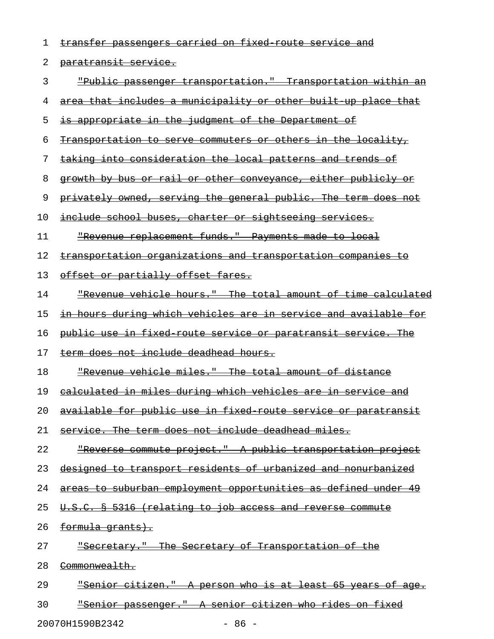| 1  | transfer passengers carried on fixed route service and                 |
|----|------------------------------------------------------------------------|
| 2  | <del>paratransit service.</del>                                        |
| 3  | <u> "Public passenger transportation."  Transportation within an</u>   |
| 4  | <u>area that includes a municipality or other built up place that</u>  |
| 5  | <u>is appropriate in the judgment of the Department of </u>            |
| 6  | <u>Transportation to serve commuters or others in the locality,</u>    |
| 7  | <u>taking into consideration the local patterns and trends of</u>      |
| 8  | growth by bus or rail or other conveyance, either publicly or          |
| 9  | privately owned, serving the general public. The term does not         |
| 10 | <u>include school buses, charter or sightseeing services.</u>          |
| 11 | "Revenue replacement funds." Payments made to local                    |
| 12 | <u>transportation organizations and transportation companies to</u>    |
| 13 | offset or partially offset fares.                                      |
| 14 | <u> "Revenue vehicle hours." The total amount of time calculated</u>   |
| 15 | <u>in hours during which vehicles are in service and available for</u> |
| 16 | <u>public use in fixed route service or paratransit service. The </u>  |
| 17 | term does not include deadhead hours.                                  |
| 18 | <u> "Revenue vehicle miles." The total amount of distance</u>          |
| 19 | <u>calculated in miles during which vehicles are in service and</u>    |
| 20 | available for public use in fixed route service or paratransit         |
| 21 | service. The term does not include deadhead miles.                     |
| 22 | <u> "Reverse commute project." A public transportation project</u>     |
| 23 | designed to transport residents of urbanized and nonurbanized          |
| 24 | areas to suburban employment opportunities as defined under 49         |
| 25 | U.S.C. § 5316 (relating to job access and reverse commute              |
| 26 | <del>formula grants).</del>                                            |
| 27 | "Secretary." The Secretary of Transportation of the                    |
| 28 | <del>Commonwealth.</del>                                               |
| 29 | <u> "Senior citizen." A person who is at least 65 years of age.</u>    |
| 30 | "Senior passenger." A senior citizen who rides on fixed                |

20070H1590B2342 - 86 -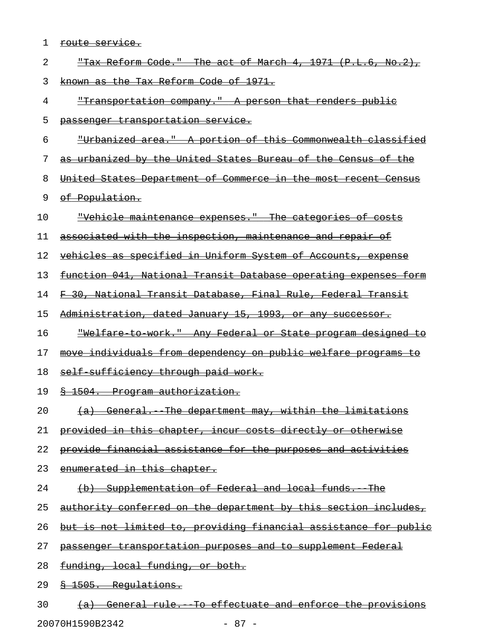| 1  | <u>route service.</u>                                                  |
|----|------------------------------------------------------------------------|
| 2  | "Tax Reform Code." The act of March 4, 1971 (P.L.6, No.2),             |
| 3  | known as the Tax Reform Code of 1971.                                  |
| 4  | <u> "Transportation company." A person that renders public</u>         |
| 5  | passenger transportation service.                                      |
| 6  | <u> "Urbanized area." A portion of this Commonwealth classified</u>    |
| 7  | as urbanized by the United States Bureau of the Census of the          |
| 8  | United States Department of Commerce in the most recent Census         |
| 9  | of Population.                                                         |
| 10 | "Vehicle maintenance expenses." The categories of costs                |
| 11 | associated with the inspection, maintenance and repair of              |
| 12 | vehicles as specified in Uniform System of Accounts, expense           |
| 13 | <u>function 041, National Transit Database operating expenses form</u> |
| 14 | F 30, National Transit Database, Final Rule, Federal Transit           |
| 15 | Administration, dated January 15, 1993, or any successor.              |
| 16 | <u>"Welfare to work." Any Federal or State program designed to</u>     |
| 17 | move individuals from dependency on public welfare programs to         |
| 18 | self sufficiency through paid work.                                    |
| 19 | <u> § 1504. Program authorization.</u>                                 |
| 20 | (a) General. The department may, within the limitations                |
| 21 | provided in this chapter, incur costs directly or otherwise            |
| 22 | provide financial assistance for the purposes and activities           |
| 23 | enumerated in this chapter.                                            |
| 24 | (b) Supplementation of Federal and local funds. The                    |
| 25 | authority conferred on the department by this section includes,        |
| 26 | but is not limited to, providing financial assistance for public       |
| 27 | passenger transportation purposes and to supplement Federal            |
| 28 | funding, local funding, or both.                                       |
| 29 | \$ 1505. Requlations.                                                  |
| 30 | (a) General rule. To effectuate and enforce the provisions             |

20070H1590B2342 - 87 -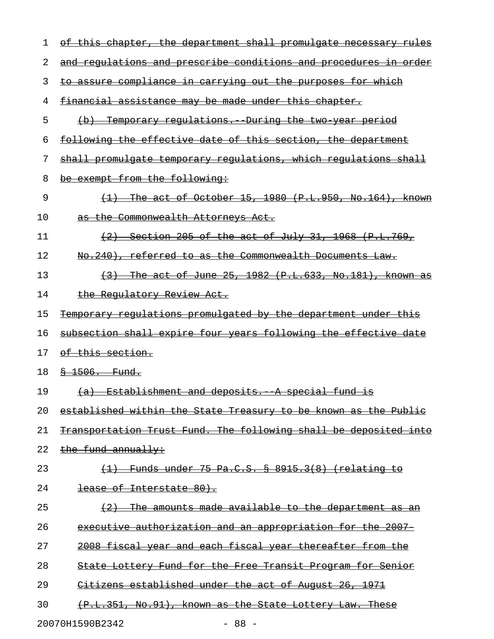| 1  | of this chapter, the department shall promulgate necessary rules     |
|----|----------------------------------------------------------------------|
| 2  | and requlations and prescribe conditions and procedures in order     |
| 3  | to assure compliance in carrying out the purposes for which          |
| 4  | financial assistance may be made under this chapter.                 |
| 5  | (b) Temporary requlations. During the two year period                |
| 6  | <u>following the effective date of this section, the department</u>  |
| 7  | shall promulgate temporary regulations, which regulations shall      |
| 8  | be exempt from the following:                                        |
| 9  | $\{1\}$ The act of October 15, 1980 (P.L.950, No.164), known         |
| 10 | as the Commonwealth Attorneys Act.                                   |
| 11 | $(2)$ Section 205 of the act of July 31, 1968 $(P.L.769, p.1)$       |
| 12 | No.240), referred to as the Commonwealth Documents Law.              |
| 13 | $\{3\}$ The act of June 25, 1982 $(P.L.633, No.181)$ , known as      |
| 14 | the Regulatory Review Act.                                           |
| 15 | Temporary regulations promulgated by the department under this       |
| 16 | subsection shall expire four years following the effective date      |
| 17 | of this section.                                                     |
| 18 | $$-1506.$ Fund.                                                      |
| 19 | (a) Establishment and deposits. A special fund is                    |
| 20 | established within the State Treasury to be known as the Public      |
| 21 | Transportation Trust Fund. The following shall be deposited into     |
| 22 | the fund annually:                                                   |
| 23 | Funds under 75 Pa.C.S. § 8915.3(8) (relating to                      |
| 24 | lease of Interstate 80).                                             |
| 25 | The amounts made available to the department as an                   |
| 26 | <u>executive authorization and an appropriation for the 2007-</u>    |
| 27 | <del>2008 fiscal year and each fiscal year thereafter from the</del> |
| 28 | State Lottery Fund for the Free Transit Program for Senior           |
| 29 | Citizens established under the act of August 26, 1971                |
| 30 | (P.L.351, No.91), known as the State Lottery Law. These              |
|    | $-88 -$<br>20070H1590B2342                                           |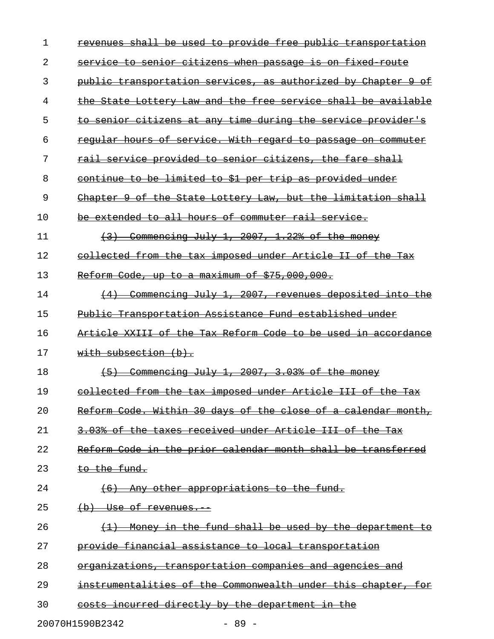| 1  | revenues shall be used to provide free public transportation  |
|----|---------------------------------------------------------------|
| 2  | service to senior citizens when passage is on fixed route     |
| 3  | public transportation services, as authorized by Chapter 9 of |
| 4  | the State Lottery Law and the free service shall be available |
| 5  | to senior citizens at any time during the service provider's  |
| 6  | reqular hours of service. With regard to passage on commuter  |
| 7  | rail service provided to senior citizens, the fare shall      |
| 8  | continue to be limited to \$1 per trip as provided under      |
| 9  | Chapter 9 of the State Lottery Law, but the limitation shall  |
| 10 | be extended to all hours of commuter rail service.            |
| 11 | $\{3\}$ Commencing July 1, 2007, 1.22% of the money           |
| 12 | collected from the tax imposed under Article II of the Tax    |
| 13 | Reform Code, up to a maximum of \$75,000,000.                 |
| 14 | (4) Commencing July 1, 2007, revenues deposited into the      |
| 15 | Public Transportation Assistance Fund established under       |
| 16 | Article XXIII of the Tax Reform Code to be used in accordance |
| 17 | with subsection $(b)$ .                                       |
| 18 | $(5)$ Commencing July 1, 2007, 3.03% of the money             |
| 19 | collected from the tax imposed under Article III of the Tax   |
| 20 | Reform Code. Within 30 days of the close of a calendar month, |
| 21 | 3.03% of the taxes received under Article III of the Tax      |
| 22 | Reform Code in the prior calendar month shall be transferred  |
| 23 | to the fund.                                                  |
| 24 | (6) Any other appropriations to the fund.                     |
| 25 | $(b)$ Use of revenues.                                        |
| 26 | (1) Money in the fund shall be used by the department to      |
| 27 | provide financial assistance to local transportation          |
| 28 | organizations, transportation companies and agencies and      |
| 29 | instrumentalities of the Commonwealth under this chapter, for |
| 30 | costs incurred directly by the department in the              |
|    | 20070H1590B2342<br>$-89 -$                                    |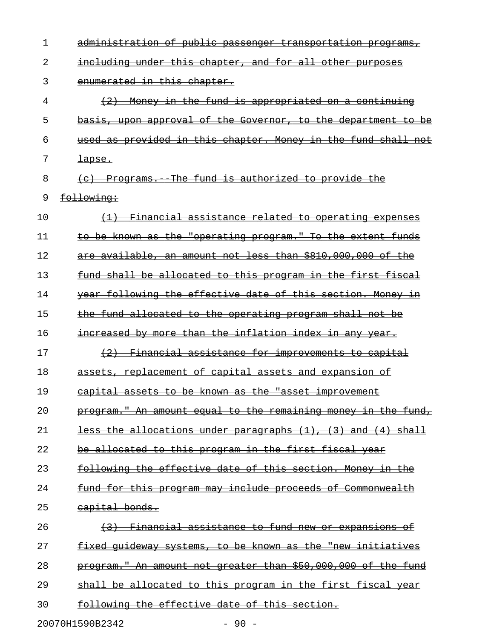| 1  | administration of public passenger transportation programs,         |
|----|---------------------------------------------------------------------|
| 2  | including under this chapter, and for all other purposes            |
| 3  | enumerated in this chapter.                                         |
| 4  | (2) Money in the fund is appropriated on a continuing               |
| 5  | basis, upon approval of the Governor, to the department to be       |
| 6  | used as provided in this chapter. Money in the fund shall not       |
| 7  | $\frac{1}{2}$                                                       |
| 8  | (e) Programs. The fund is authorized to provide the                 |
| 9  | following:                                                          |
| 10 | (1) Financial assistance related to operating expenses              |
| 11 | to be known as the "operating program." To the extent funds         |
| 12 | are available, an amount not less than \$810,000,000 of the         |
| 13 | fund shall be allocated to this program in the first fiscal         |
| 14 | year following the effective date of this section. Money in         |
| 15 | the fund allocated to the operating program shall not be            |
| 16 | increased by more than the inflation index in any year.             |
| 17 | (2) Financial assistance for improvements to capital                |
| 18 | assets, replacement of capital assets and expansion of              |
| 19 | capital assets to be known as the "asset improvement                |
| 20 | program." An amount equal to the remaining money in the fund,       |
| 21 | <u>less the allocations under paragraphs (1), (3) and (4) shall</u> |
| 22 | <u>be allocated to this program in the first fiscal year</u>        |
| 23 | following the effective date of this section. Money in the          |
| 24 | <u>fund for this program may include proceeds of Commonwealth</u>   |
| 25 | capital bonds.                                                      |
| 26 | (3) Financial assistance to fund new or expansions of               |
| 27 | fixed quideway systems, to be known as the "new initiatives         |
| 28 | program." An amount not greater than \$50,000,000 of the fund       |
| 29 | <u>shall be allocated to this program in the first fiscal year</u>  |
| 30 | following the effective date of this section.                       |
|    | 20070H1590B2342<br>$-90 -$                                          |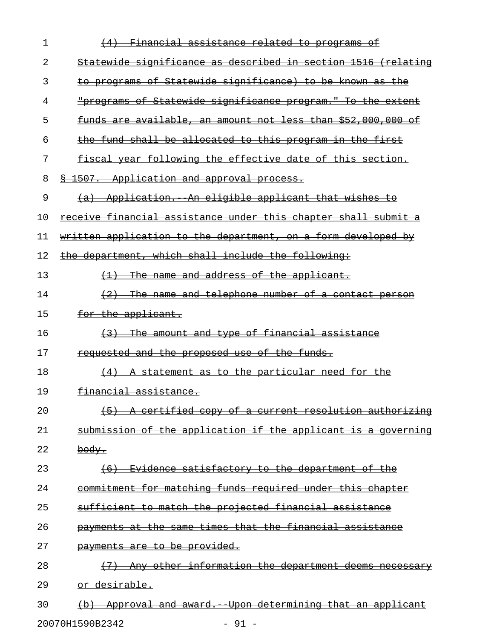| 1  | (4) Financial assistance related to programs of                |
|----|----------------------------------------------------------------|
| 2  | Statewide significance as described in section 1516 (relating  |
| 3  | to programs of Statewide significance) to be known as the      |
| 4  | "programs of Statewide significance program." To the extent    |
| 5  | funds are available, an amount not less than \$52,000,000 of   |
| 6  | the fund shall be allocated to this program in the first       |
| 7  | fiscal year following the effective date of this section.      |
| 8  | <u>&amp; 1507. Application and approval process.</u>           |
| 9  | (a) Application. An eligible applicant that wishes to          |
| 10 | receive financial assistance under this chapter shall submit a |
| 11 | written application to the department, on a form developed by  |
| 12 | the department, which shall include the following:             |
| 13 | $\{1\}$ The name and address of the applicant.                 |
| 14 | $(2)$ The name and telephone number of a contact person        |
| 15 | for the applicant.                                             |
| 16 | (3) The amount and type of financial assistance                |
| 17 | <del>requested and the proposed use of the funds.</del>        |
| 18 | $(4)$ A statement as to the particular need for the            |
| 19 | <del>financial assistance.</del>                               |
| 20 | (5) A certified copy of a current resolution authorizing       |
| 21 | submission of the application if the applicant is a governing  |
| 22 | <del>body.</del>                                               |
| 23 | (6) Evidence satisfactory to the department of the             |
| 24 | commitment for matching funds required under this chapter      |
| 25 | sufficient to match the projected financial assistance         |
| 26 | payments at the same times that the financial assistance       |
| 27 | payments are to be provided.                                   |
| 28 | (7) Any other information the department deems necessary       |
| 29 | or desirable.                                                  |
| 30 | (b) Approval and award. Upon determining that an applicant     |

20070H1590B2342 - 91 -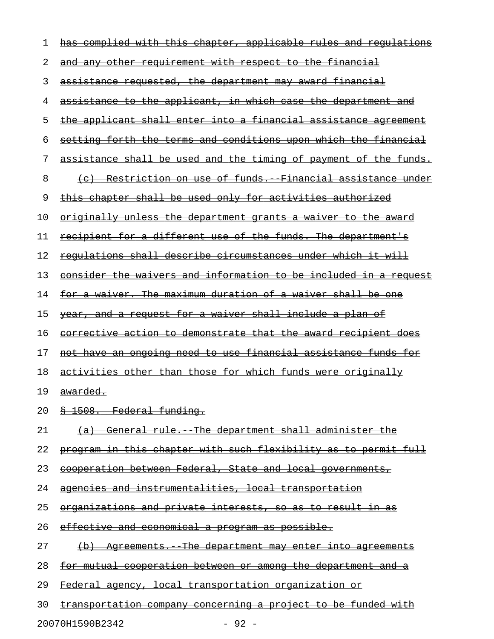| 1  | has complied with this chapter, applicable rules and regulations |
|----|------------------------------------------------------------------|
| 2  | and any other requirement with respect to the financial          |
| 3  | assistance requested, the department may award financial         |
| 4  | assistance to the applicant, in which case the department and    |
| 5  | the applicant shall enter into a financial assistance agreement  |
| 6  | setting forth the terms and conditions upon which the financial  |
| 7  | assistance shall be used and the timing of payment of the funds. |
| 8  | (c) Restriction on use of funds. Financial assistance under      |
| 9  | this chapter shall be used only for activities authorized        |
| 10 | originally unless the department grants a waiver to the award    |
| 11 | recipient for a different use of the funds. The department's     |
| 12 | requlations shall describe circumstances under which it will     |
| 13 | consider the waivers and information to be included in a request |
| 14 | for a waiver. The maximum duration of a waiver shall be one      |
| 15 | year, and a request for a waiver shall include a plan of         |
| 16 | corrective action to demonstrate that the award recipient does   |
| 17 | not have an ongoing need to use financial assistance funds for   |
| 18 | activities other than those for which funds were originally      |
| 19 | awarded.                                                         |
| 20 | \$ 1508. Federal funding.                                        |
| 21 | (a) General rule. The department shall administer the            |
| 22 | program in this chapter with such flexibility as to permit full  |
| 23 | cooperation between Federal, State and local governments,        |
| 24 | agencies and instrumentalities, local transportation             |
| 25 | organizations and private interests, so as to result in as       |
| 26 | effective and economical a program as possible.                  |
| 27 | (b) Agreements. The department may enter into agreements         |
| 28 | for mutual cooperation between or among the department and a     |
| 29 | Federal agency, local transportation organization or             |
| 30 | transportation company concerning a project to be funded with    |

20070H1590B2342 - 92 -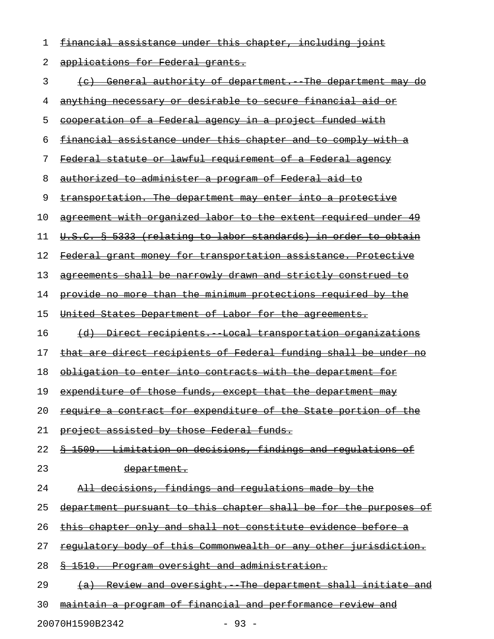| 1  | financial assistance under this chapter,<br><del>including</del>         |
|----|--------------------------------------------------------------------------|
| 2  | applications for Federal grants.                                         |
| 3  | (c) General authority of department. The department may<br><del>do</del> |
| 4  | anything necessary or desirable to secure financial aid or               |
| 5  | cooperation of a Federal agency in a project funded with                 |
| 6  | financial assistance under this chapter and to comply with a             |
| 7  | Federal statute or lawful requirement of a Federal agency                |
| 8  | <u>authorized to administer a program of Federal aid to</u>              |
| 9  | transportation. The department may enter into a protective               |
| 10 | agreement with organized labor to the extent required under 49           |
| 11 | <u> U.S.C. § 5333 (relating to labor standards) in order to obtain</u>   |
| 12 | Federal grant money for transportation assistance. Protective            |
| 13 | agreements shall be narrowly drawn and strictly construed to             |
| 14 | provide no more than the minimum protections required by the             |
| 15 | United States Department of Labor for the agreements.                    |
| 16 | (d) Direct recipients. Local transportation organizations                |
| 17 | that are direct recipients of Federal funding shall be under no          |
| 18 | obligation to enter into contracts with the department for               |
| 19 | expenditure of those funds, except that the department may               |
| 20 | require a contract for expenditure of the State portion of the           |
| 21 | project assisted by those Federal funds.                                 |
| 22 | \$ 1509. Limitation on decisions, findings and regulations of            |
| 23 | <del>department.</del>                                                   |
| 24 | All decisions, findings and requlations made by the                      |
| 25 | department pursuant to this chapter shall be for the purposes of         |
| 26 | this chapter only and shall not constitute evidence before a             |
| 27 | regulatory body of this Commonwealth or any other jurisdiction.          |
| 28 | § 1510. Program oversight and administration.                            |
| 29 | (a) Review and oversight. The department shall initiate and              |
| 30 | maintain a program of financial and performance review and               |

20070H1590B2342 - 93 -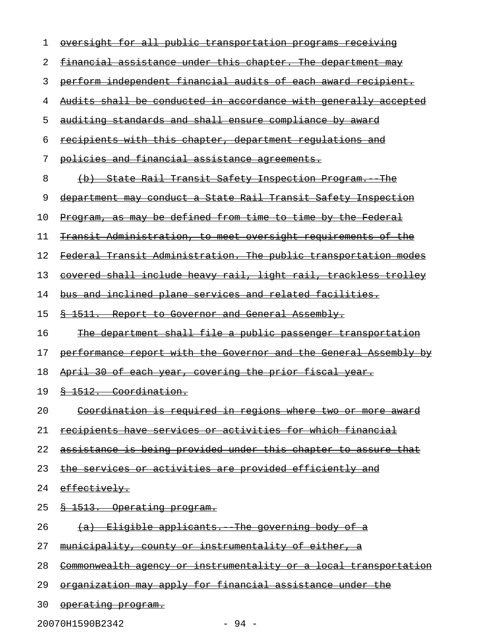| 1  | oversight for all public transportation programs receiving                                                    |
|----|---------------------------------------------------------------------------------------------------------------|
| 2  | financial assistance under this chapter. The department may                                                   |
| 3  | perform independent financial audits of each award recipient.                                                 |
| 4  | Audits shall be conducted in accordance with generally accepted                                               |
| 5  | auditing standards and shall ensure compliance by award                                                       |
| 6  | recipients with this chapter, department requlations and                                                      |
| 7  | policies and financial assistance agreements.                                                                 |
| 8  | (b) State Rail Transit Safety Inspection Program. The                                                         |
| 9  | department may conduct a State Rail Transit Safety Inspection                                                 |
| 10 | Program, as may be defined from time to time by the Federal                                                   |
| 11 | Transit Administration, to meet oversight requirements of the                                                 |
| 12 | Federal Transit Administration. The public transportation modes                                               |
| 13 | covered shall include heavy rail, light rail, trackless trolley                                               |
| 14 | <u>bus and inclined plane services and related facilities.</u>                                                |
| 15 | \$ 1511. Report to Governor and General Assembly.                                                             |
| 16 | The department shall file a public passenger transportation                                                   |
|    |                                                                                                               |
| 17 | performance report with the Governor and the General Assembly by                                              |
| 18 | April 30 of each year, covering the prior fiscal year.                                                        |
| 19 | 8 1512. Coordination.                                                                                         |
| 20 | <u>Coordination is required in regions where</u><br><del>two</del><br><del>or more</del><br><del>-award</del> |
| 21 | recipients have services or activities for which financial                                                    |
| 22 | assistance is being provided under this chapter to assure that                                                |
| 23 | the services or activities are provided efficiently and                                                       |
| 24 | effectively.                                                                                                  |
| 25 | 1513. Operating program.                                                                                      |
| 26 | The governing body of<br><del>Eligible applicants.</del><br><del>(a)</del>                                    |
| 27 | <u>instrumentality of either,</u><br><del>municipality,</del><br><del>county</del><br>⊖£                      |
| 28 | <del>Commonwealth agency</del><br><u>instrumentality or a local transportation</u><br>−O£                     |
| 29 | organization may apply for financial assistance under                                                         |

20070H1590B2342 - 94 -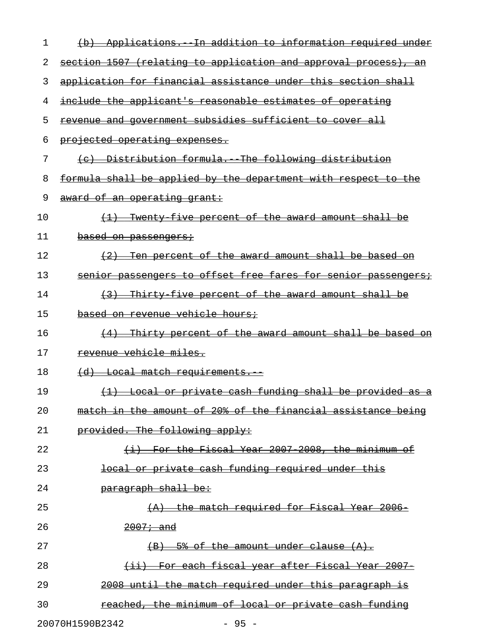| 1  | Applications. In addition to information required under<br><del>(d)</del> |
|----|---------------------------------------------------------------------------|
| 2  | section 1507 (relating to application and approval process), an           |
| 3  | application for financial assistance under this section shall             |
| 4  | include the applicant's reasonable estimates of operating                 |
| 5  | revenue and government subsidies sufficient to cover all                  |
| 6  | projected operating expenses.                                             |
| 7  | (c) Distribution formula. The following distribution                      |
| 8  | formula shall be applied by the department with respect to the            |
| 9  | award of an operating grant:                                              |
| 10 | (1) Twenty five percent of the award amount shall be                      |
| 11 | based on passengers;                                                      |
| 12 | (2) Ten percent of the award amount shall be based on                     |
| 13 | senior passengers to offset free fares for senior passengers;             |
| 14 | (3) Thirty five percent of the award amount shall be                      |
| 15 | <del>based on revenue vehicle hours;</del>                                |
| 16 | (4) Thirty percent of the award amount shall be based on                  |
| 17 | revenue vehicle miles.                                                    |
| 18 | <del>(d) Local match requirements. -</del>                                |
| 19 | (1) Local or private cash funding shall be provided as a                  |
| 20 | match in the amount of 20% of the financial assistance being              |
| 21 | provided. The following apply:                                            |
| 22 | (i) For the Fiscal Year 2007 2008, the minimum of                         |
| 23 | local or private cash funding required under this                         |
| 24 | paragraph shall be:                                                       |
| 25 | (A) the match required for Fiscal Year 2006-                              |
| 26 | $2007 - and$                                                              |
| 27 | $(B)$ 5% of the amount under clause $(A)$ .                               |
| 28 | (ii) For each fiscal year after Fiscal Year 2007                          |
| 29 | 2008 until the match required under this paragraph is                     |
| 30 | reached, the minimum of local or private cash funding                     |
|    | 20070H1590B2342<br>$-95 -$                                                |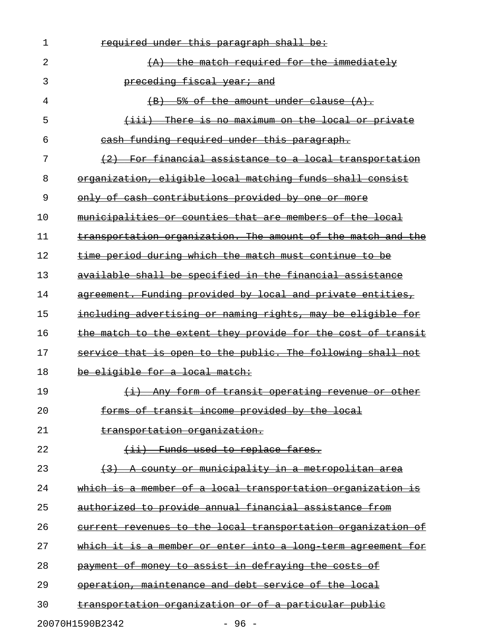| 1              | required under this paragraph shall be:                      |
|----------------|--------------------------------------------------------------|
| $\mathfrak{D}$ | the match required for the immediately                       |
| 3              | preceding fiscal year; and                                   |
| 4              | 5% of the amount under clause (A).                           |
| 5              | <u>(iii) There is no maximum on the local or private</u>     |
| 6              | cash funding required under this paragraph.                  |
| 7              | (2) For financial assistance to a local transportation       |
| 8              | organization, eligible local matching funds shall consist    |
| 9              | only of cash contributions provided by one or more           |
| 10             | municipalities or counties that are members of the local     |
| 11             | transportation organization. The amount of the match and the |
| 12             | time period during which the match must continue to be       |
| 13             | available shall be specified in the financial assistance     |
| 14             | agreement. Funding provided by local and private entities,   |
| 15             | including advertising or naming rights, may be eligible for  |
| 16             | the match to the extent they provide for the cost of transit |
| 17             | service that is open to the public. The following shall not  |
| 18             | be eligible for a local match:                               |
| 19             | (i) Any form of transit operating revenue or other           |
| 20             | forms of transit income provided by the local                |
| 21             | transportation organization.                                 |
| 22             | (ii) Funds used to replace fares.                            |
| 23             | (3) A county or municipality in a metropolitan area          |
| 24             | which is a member of a local transportation organization is  |
| 25             | authorized to provide annual financial assistance from       |
| 26             | current revenues to the local transportation organization of |
| 27             | which it is a member or enter into a long term agreement for |
| 28             | payment of money to assist in defraying the costs of         |
| 29             | operation, maintenance and debt service of the local         |
| 30             | transportation organization or of a particular public        |
|                | 20070H1590B2342<br>- 96 -                                    |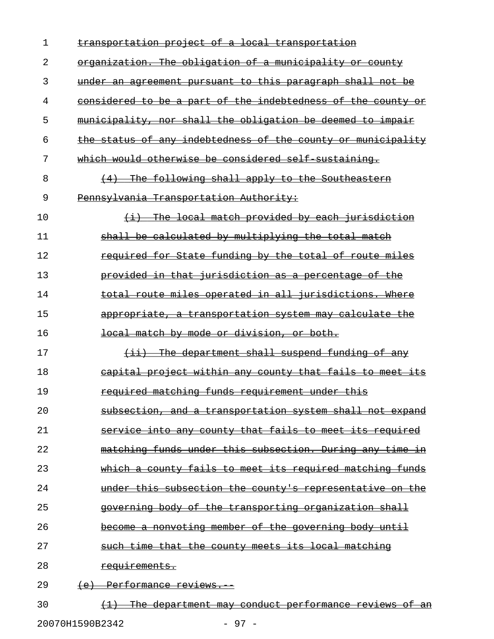| 1  | transportation project of a local transportation                                 |
|----|----------------------------------------------------------------------------------|
| 2  | organization. The obligation of a municipality or county                         |
| 3  | under an agreement pursuant to this paragraph shall not be                       |
| 4  | considered to be a part of the indebtedness of the county or                     |
| 5  | municipality, nor shall the obligation be deemed to impair                       |
| 6  | the status of any indebtedness of the county or municipality                     |
| 7  | which would otherwise be considered self sustaining.                             |
| 8  | (4) The following shall apply to the Southeastern                                |
| 9  | Pennsylvania Transportation Authority:                                           |
| 10 | (i) The local match provided by each jurisdiction                                |
| 11 | shall be calculated by multiplying the total match                               |
| 12 | required for State funding by the total of route miles                           |
| 13 | provided in that jurisdiction as a percentage of the                             |
| 14 | total route miles operated in all jurisdictions. Where                           |
| 15 | appropriate, a transportation system may calculate the                           |
| 16 | local match by mode or division, or both.                                        |
| 17 | $(i)$ The department shall suspend funding of any                                |
| 18 | capital project within any county that fails to meet its                         |
| 19 | required matching funds requirement under this                                   |
| 20 | subsection, and a transportation system shall not expand                         |
| 21 | service into any county that fails to meet its required                          |
| 22 | matching funds under this subsection. During any time in                         |
| 23 | which a county fails to meet its required matching funds                         |
| 24 | under this subsection the county's representative on the                         |
| 25 | governing body of the transporting organization shall                            |
| 26 | become a nonvoting member of the governing body until                            |
| 27 | such time that the county meets its local matching                               |
| 28 | requirements.                                                                    |
| 29 | <del>(e) Performance reviews.</del>                                              |
| 30 | <u>The department may conduct performance reviews of an</u><br>$\leftrightarrow$ |

20070H1590B2342 - 97 -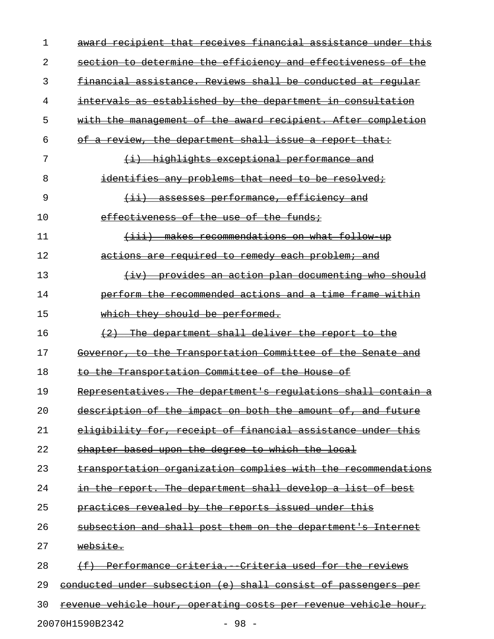| $\mathbf 1$ | award recipient that receives financial assistance under this          |
|-------------|------------------------------------------------------------------------|
| 2           | section to determine the efficiency and effectiveness of the           |
| 3           | financial assistance. Reviews shall be conducted at regular            |
| 4           | intervals as established by the department in consultation             |
| 5           | with the management of the award recipient. After completion           |
| 6           | of a review, the department shall issue a report that:                 |
| 7           | $(i)$ highlights exceptional performance and                           |
| 8           | identifies any problems that need to be resolved;                      |
| 9           | <u>(ii) assesses performance, efficiency and</u>                       |
| 10          | effectiveness of the use of the funds;                                 |
| 11          | (iii) makes recommendations on what follow up                          |
| 12          | actions are required to remedy each problem; and                       |
| 13          | (iv) provides an action plan documenting who should                    |
| 14          | perform the recommended actions and a time frame within                |
| 15          | which they should be performed.                                        |
| 16          | (2) The department shall deliver the report to the                     |
| 17          | Governor, to the Transportation Committee of the Senate and            |
| 18          | to the Transportation Committee of the House of                        |
| 19          | Representatives. The department's requiations shall contain a          |
| 20          | description of the impact on both the amount of, and future            |
| 21          | eligibility for, receipt of financial assistance under this            |
| 22          | chapter based upon the degree to which the local                       |
| 23          | transportation organization complies with the recommendations          |
| 24          | in the report. The department shall develop a list of best             |
| 25          | practices revealed by the reports issued under this                    |
| 26          | subsection and shall post them on the department's Internet            |
| 27          | website.                                                               |
| 28          | (f) Performance criteria. Criteria used for the reviews                |
| 29          | conducted under subsection (e) shall consist of passengers per         |
| 30          | <u>revenue vehicle hour, operating costs per revenue vehicle hour,</u> |
|             |                                                                        |

20070H1590B2342 - 98 -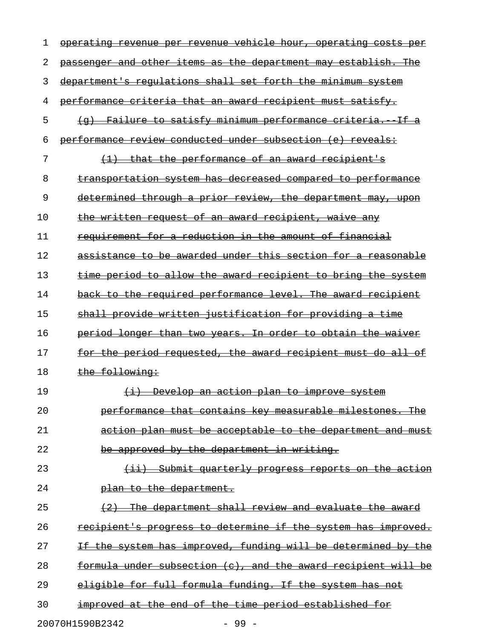| 1  | hour, operating<br><del>vehicle</del><br><del>operatıng</del><br><del>revenuc</del><br><del>costs</del><br><del>venue</del> |
|----|-----------------------------------------------------------------------------------------------------------------------------|
| 2  | passenger and other items as the department may establish. The                                                              |
| 3  | department's requlations shall set forth the minimum system                                                                 |
| 4  | performance criteria that an award recipient must satisfy.                                                                  |
| 5  | Failure to satisfy minimum performance criteria.<br>$\leftarrow \dashv$                                                     |
| 6  | performance review conducted under subsection (e) reveals:                                                                  |
| 7  | that the performance of an award recipient's                                                                                |
| 8  | transportation system has decreased compared to performance                                                                 |
| 9  | <u>determined through a prior review, the department may, upon</u>                                                          |
| 10 | the written request of an award recipient, waive any                                                                        |
| 11 | requirement for a reduction in the amount of financial                                                                      |
| 12 | assistance to be awarded under this section for a reasonable                                                                |
| 13 | time period to allow the award recipient to bring the system                                                                |
| 14 | back to the required performance level. The award recipient                                                                 |
| 15 | shall provide written justification for providing a time                                                                    |
| 16 | period longer than two years. In order to obtain the waiver                                                                 |
| 17 | the period requested, the award recipient must do all<br><del>for</del><br>⊖ŧ                                               |
| 18 | the following:                                                                                                              |
| 19 | Develop an action plan to improve system<br>$\leftrightarrow$                                                               |
| 20 | performance that contains key measurable milestones. The                                                                    |
| 21 | action plan must be acceptable to the department and must                                                                   |
| 22 | be approved by the department in writing.                                                                                   |
| 23 | Submit quarterly progress reports on the action<br>$\overline{\phantom{0}}$                                                 |
| 24 | plan to the department.                                                                                                     |
| 25 | The department shall review and evaluate the award<br>$+2$                                                                  |
| 26 | recipient's progress to determine if the system has improved.                                                               |
| 27 | If the system has improved, funding will be determined by the                                                               |
| 28 | formula under subsection (c), and the award recipient will be                                                               |
| 29 | eligible for full formula funding. If the system has not                                                                    |
| 30 | improved at the end of the time period established for                                                                      |
|    | 20070H1590B2342<br>$-99 -$                                                                                                  |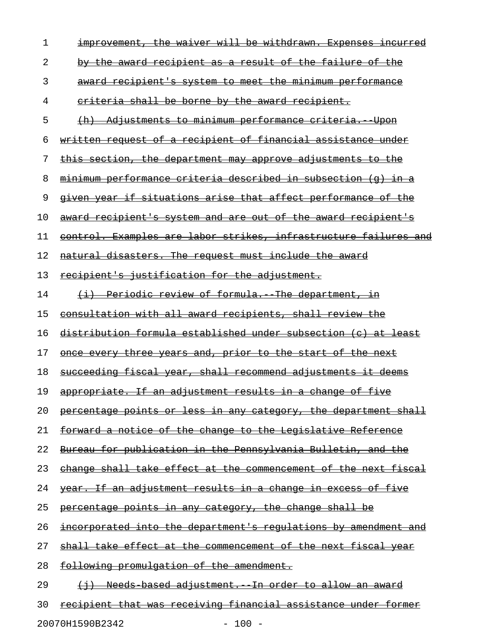| 1  | improvement, the waiver will be withdrawn. Expenses incurred           |
|----|------------------------------------------------------------------------|
| 2  | by the award recipient as a result of the failure of the               |
| 3  | award recipient's system to meet the minimum performance               |
| 4  | eriteria shall be borne by the award recipient.                        |
| 5  | (h) Adjustments to minimum performance criteria. Upon                  |
| 6  | written request of a recipient of financial assistance under           |
| 7  | this section, the department may approve adjustments to the            |
| 8  | minimum performance criteria described in subsection (q) in a          |
| 9  | <u>given year if situations arise that affect performance of the</u>   |
| 10 | award recipient's system and are out of the award recipient's          |
| 11 | control. Examples are labor strikes, infrastructure failures and       |
| 12 | natural disasters. The request must include the award                  |
| 13 | <u>recipient's justification for the adjustment.</u>                   |
| 14 | (i) Periodic review of formula. The department, in                     |
| 15 | consultation with all award recipients, shall review the               |
| 16 | distribution formula established under subsection (c) at least         |
| 17 | once every three years and, prior to the start of the next             |
| 18 | succeeding fiscal year, shall recommend adjustments it deems           |
| 19 | appropriate. If an adjustment results in a change of five              |
| 20 | percentage points or less in any category, the department shall        |
| 21 | <u>forward a notice of the change to the Legislative Reference</u>     |
| 22 | Bureau for publication in the Pennsylvania Bulletin, and the           |
| 23 | change shall take effect at the commencement of the next fiscal        |
| 24 | year. If an adjustment results in a change in excess of five           |
| 25 | percentage points in any category, the change shall be                 |
| 26 | <u>incorporated into the department's regulations by amendment and</u> |
| 27 | <u>shall take effect at the commencement of the next fiscal year</u>   |
| 28 | following promulgation of the amendment.                               |
| 29 | (i) Needs based adjustment. In order to allow an award                 |
| 30 | <u>recipient that was receiving financial assistance under former</u>  |
|    |                                                                        |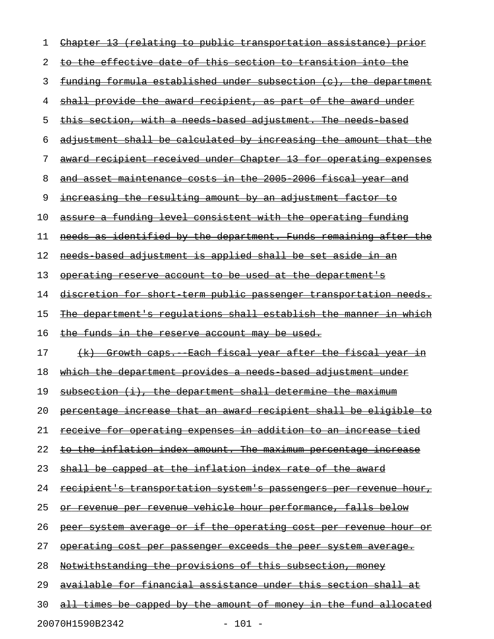| 1  | Chapter 13 (relating to public transportation assistance) prior          |
|----|--------------------------------------------------------------------------|
| 2  | <u>to the effective date of this section to transition into the </u>     |
| 3  | funding formula established under subsection (c), the department         |
| 4  | <u>shall provide the award recipient, as part of the award under</u>     |
| 5  | <u>this section, with a needs based adjustment. The needs based</u>      |
| 6  | adjustment shall be calculated by increasing the amount that the         |
| 7  | <u>award recipient received under Chapter 13 for operating expenses</u>  |
| 8  | and asset maintenance costs in the 2005 2006 fiscal year and             |
| 9  | <u>increasing the resulting amount by an adjustment factor to</u>        |
| 10 | assure a funding level consistent with the operating funding             |
| 11 | needs as identified by the department. Funds remaining after the         |
| 12 | needs based adjustment is applied shall be set aside in an               |
| 13 | <u>operating reserve account to be used at the department's</u>          |
| 14 | <u>discretion for short term public passenger transportation needs.</u>  |
| 15 | The department's regulations shall establish the manner in which         |
| 16 | <u>the funds in the reserve account may be used.</u>                     |
| 17 | (k) Growth caps. Each fiscal year after the fiscal year in               |
| 18 | <u>which the department provides a needs based adjustment under </u>     |
| 19 | subsection (i), the department shall determine the maximum               |
| 20 | <u>percentage increase that an award recipient shall be eligible to</u>  |
| 21 | receive for operating expenses in addition to an increase tied           |
| 22 | to the inflation index amount. The maximum percentage increase           |
| 23 | shall be capped at the inflation index rate of the award                 |
| 24 | <u>recipient's transportation system's passengers per revenue hour, </u> |
| 25 | <u>or revenue per revenue vehicle hour performance, falls below</u>      |
| 26 | peer system average or if the operating cost per revenue hour or         |
| 27 | <u>operating cost per passenger exceeds the peer system average.</u>     |
| 28 | Notwithstanding the provisions of this subsection, money                 |
| 29 | available for financial assistance under this section shall at           |
| 30 | <u>all times be capped by the amount of money in the fund allocated</u>  |
|    |                                                                          |

20070H1590B2342 - 101 -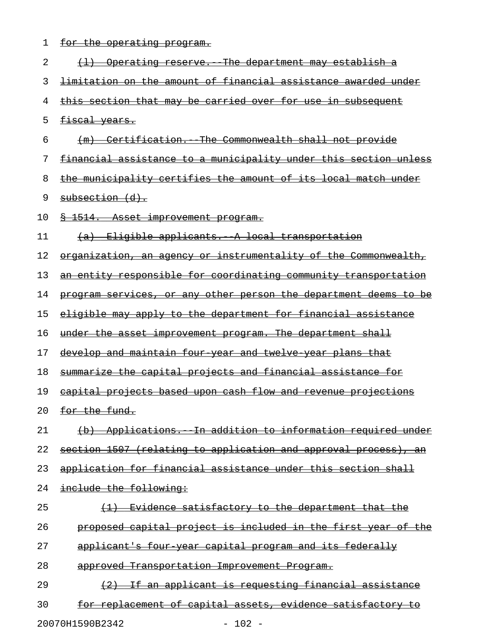1 for the operating program.

| 2                           | (1) Operating reserve. The department may establish a                 |
|-----------------------------|-----------------------------------------------------------------------|
| 3                           | <u>limitation on the amount of financial assistance awarded under</u> |
| 4                           | this section that may be carried over for use in subsequent           |
| 5                           | fiscal years.                                                         |
| 6                           | (m) Certification. The Commonwealth shall not provide                 |
| 7                           | financial assistance to a municipality under this section unless      |
| 8                           | the municipality certifies the amount of its local match under        |
| 9                           | subsection (d).                                                       |
| 10                          | <u>§ 1514. Asset improvement program.</u>                             |
| 11                          | (a) Eligible applicants. A local transportation                       |
| 12                          | organization, an agency or instrumentality of the Commonwealth,       |
| 13                          | an entity responsible for coordinating community transportation       |
| 14                          | program services, or any other person the department deems to be      |
| 15                          | <u>eligible may apply to the department for financial assistance</u>  |
| 16                          | under the asset improvement program. The department shall             |
| 17                          | <u>develop and maintain four year and twelve year plans that</u>      |
| 18                          | summarize the capital projects and financial assistance for           |
| 19                          | capital projects based upon cash flow and revenue projections         |
| 20                          | for the fund.                                                         |
| 21                          | (b) Applications. In addition to information required under           |
| 22                          | section 1507 (relating to application and approval process), an       |
| 23                          | application for financial assistance under this section shall         |
| 24                          | include the following:                                                |
| 25                          | Evidence satisfactory to the department that the                      |
| 26                          | proposed capital project is included in the first year of the         |
| 27                          | applicant's four year capital program and its federally               |
| 28                          | approved Transportation Improvement Program.                          |
| 29                          | (2) If an applicant is requesting financial assistance                |
| 30                          | for replacement of capital assets, evidence satisfactory to           |
| 20070H1590B2342<br>$-102 -$ |                                                                       |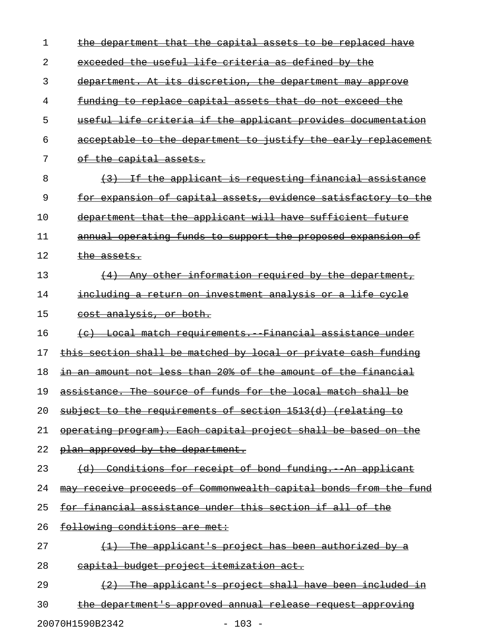| 1  | the department that the capital assets to be replaced have           |
|----|----------------------------------------------------------------------|
| 2  | exceeded the useful life criteria as defined by the                  |
| 3  | department. At its discretion, the department may approve            |
| 4  | <u>funding to replace capital assets that do not exceed the</u>      |
| 5  | useful life criteria if the applicant provides documentation         |
| 6  | acceptable to the department to justify the early replacement        |
| 7  | of the capital assets.                                               |
| 8  | (3) If the applicant is requesting financial assistance              |
| 9  | <u>for expansion of capital assets, evidence satisfactory to the</u> |
| 10 | department that the applicant will have sufficient future            |
| 11 | annual operating funds to support the proposed expansion of          |
| 12 | the assets.                                                          |
| 13 | $(4)$ Any other information required by the department,              |
| 14 | <u>including a return on investment analysis or a life cycle</u>     |
| 15 | cost analysis, or both.                                              |
| 16 | (c) Local match requirements. Financial assistance under             |
| 17 | this section shall be matched by local or private cash funding       |
| 18 | in an amount not less than 20% of the amount of the financial        |
| 19 | assistance. The source of funds for the local match shall be         |
| 20 | subject to the requirements of section 1513(d) (relating to          |
| 21 | operating program). Each capital project shall be based on the       |
| 22 | plan approved by the department.                                     |
| 23 | (d) Conditions for receipt of bond funding. An applicant             |
| 24 | may receive proceeds of Commonwealth capital bonds from the fund     |
| 25 | <u>for financial assistance under this section if all of the </u>    |
| 26 | following conditions are met:                                        |
| 27 | (1) The applicant's project has been authorized by a                 |
| 28 | capital budget project itemization act.                              |
| 29 | $(2)$ The applicant's project shall have been included in            |
| 30 | the department's approved annual release request approving           |

20070H1590B2342 - 103 -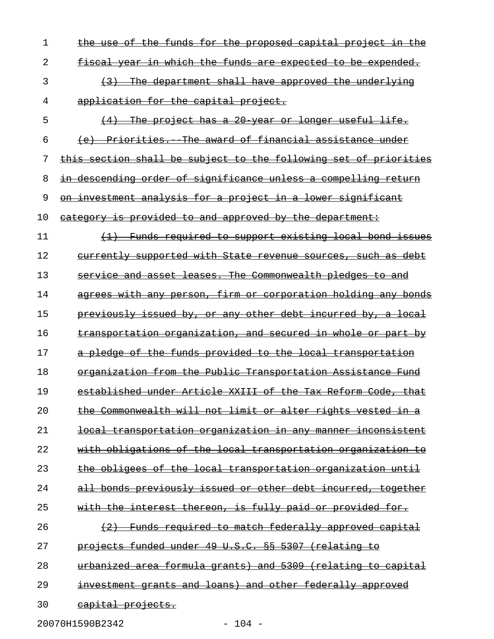| 1  | the use of the funds for the proposed capital project in the                             |
|----|------------------------------------------------------------------------------------------|
| 2  | fiscal year in which the funds are expected to be expended.                              |
| 3  | (3) The department shall have approved the underlying                                    |
| 4  | application for the capital project.                                                     |
| 5  | The project has a 20 year or longer useful life.<br>(4)                                  |
| 6  | (e) Priorities. The award of financial assistance under                                  |
| 7  | this section shall be subject to the following set of priorities                         |
| 8  | in descending order of significance unless a compelling return                           |
| 9  | on investment analysis for a project in a lower significant                              |
| 10 | category is provided to and approved by the department:                                  |
| 11 | (1) Funds required to support existing local bond issues                                 |
| 12 | currently supported with State revenue sources, such as debt                             |
| 13 | service and asset leases. The Commonwealth pledges to and                                |
| 14 | agrees with any person, firm or corporation holding any bonds                            |
| 15 | previously issued by, or any other debt incurred by, a local                             |
| 16 | transportation organization, and secured in whole or part by                             |
| 17 | a pledge of the funds provided to the local transportation                               |
| 18 | organization from the Public Transportation Assistance Fund                              |
| 19 | established under Article XXIII of the Tax Reform Code, that                             |
| 20 | the Commonwealth will not limit or alter rights vested in a                              |
| 21 | transportation organization in any manner<br><del>inconsistent</del><br><del>local</del> |
| 22 | <u>with obligations of the local transportation organization to</u>                      |
| 23 | obligees of the local transportation organization until                                  |
| 24 | all bonds previously issued or other debt incurred, together                             |
| 25 | with the interest thereon, is fully paid or provided for.                                |
| 26 | Funds required to match federally approved capital                                       |
| 27 | projects funded under 49 U.S.C. §§ 5307 (relating to                                     |
| 28 | urbanized area formula grants) and 5309 (relating to capital                             |
| 29 | investment grants and loans) and other federally approved                                |
| 30 | capital projects.                                                                        |
|    |                                                                                          |

20070H1590B2342 - 104 -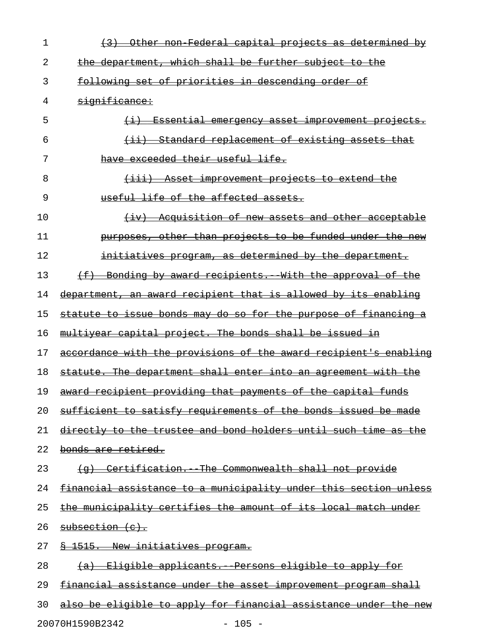| 1  | (3) Other non Federal capital projects as determined by          |
|----|------------------------------------------------------------------|
| 2  | the department, which shall be further subject to the            |
| 3  | following set of priorities in descending order of               |
| 4  | significance:                                                    |
| 5  | <del>(i) Essential emergency asset improvement projects.</del>   |
| 6  | (ii) Standard replacement of existing assets that                |
| 7  | have exceeded their useful life.                                 |
| 8  | <u>(iii) Asset improvement projects to extend the</u>            |
| 9  | useful life of the affected assets.                              |
| 10 | (iv) Acquisition of new assets and other acceptable              |
| 11 | purposes, other than projects to be funded under the new         |
| 12 | initiatives program, as determined by the department.            |
| 13 | (f) Bonding by award recipients. With the approval of the        |
| 14 | department, an award recipient that is allowed by its enabling   |
| 15 | statute to issue bonds may do so for the purpose of financing a  |
| 16 | multiyear capital project. The bonds shall be issued in          |
| 17 | accordance with the provisions of the award recipient's enabling |
| 18 | statute. The department shall enter into an agreement with the   |
| 19 | award recipient providing that payments of the capital funds     |
| 20 | sufficient to satisfy requirements of the bonds issued be made   |
| 21 | directly to the trustee and bond holders until such time as the  |
| 22 | <del>bonds are retired.</del>                                    |
| 23 | (g) Certification. The Commonwealth shall not provide            |
| 24 | financial assistance to a municipality under this section unless |
| 25 | the municipality certifies the amount of its local match under   |
| 26 | subsection (c).                                                  |
| 27 | § 1515. New initiatives program.                                 |
| 28 | <u>(a) Eligible applicants. Persons eligible to apply for</u>    |
| 29 | financial assistance under the asset improvement program shall   |
| 30 | also be eligible to apply for financial assistance under the new |
|    |                                                                  |

20070H1590B2342 - 105 -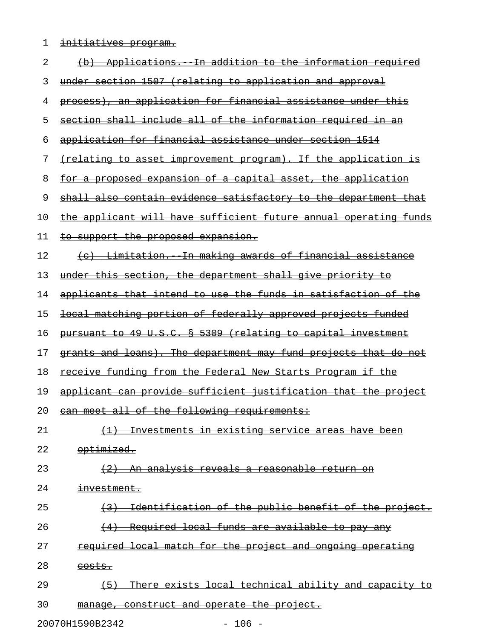1 initiatives program.

| 2  | (b) Applications. In addition to the information required                           |
|----|-------------------------------------------------------------------------------------|
| 3  | under section 1507 (relating to application and approval                            |
| 4  | process), an application for financial assistance under this                        |
| 5  | section shall include all of the information required in an                         |
| 6  | application for financial assistance under section 1514                             |
| 7  | <u> {relating to asset improvement program}. If the application is</u>              |
| 8  | <u>for a proposed expansion of a capital asset, the application</u>                 |
| 9  | shall also contain evidence satisfactory to the department that                     |
| 10 | the applicant will have sufficient future annual operating funds                    |
| 11 | <u>to support the proposed expansion.</u>                                           |
| 12 | (c) Limitation. In making awards of financial assistance                            |
| 13 | under this section, the department shall give priority to                           |
| 14 | applicants that intend to use the funds in satisfaction of the                      |
| 15 | <u>local matching portion of federally approved projects funded</u>                 |
| 16 | pursuant to 49 U.S.C. § 5309 (relating to capital investment                        |
| 17 | grants and loans). The department may fund projects that do not                     |
| 18 | receive funding from the Federal New Starts Program if the                          |
| 19 | applicant can provide sufficient justification that the project                     |
| 20 | can meet all of the following requirements:                                         |
| 21 | (1) Investments in existing service areas have been                                 |
| 22 | optimized.                                                                          |
| 23 | (2) An analysis reveals a reasonable return on                                      |
| 24 | investment.                                                                         |
| 25 | Identification of the public benefit of the project.<br>$\leftarrow$ 3 $\leftarrow$ |
| 26 | (4) Required local funds are available to pay any                                   |
| 27 | required local match for the project and ongoing operating                          |
| 28 | <del>costs.</del>                                                                   |
| 29 | There exists local technical ability and capacity to<br>$\left(5\right)$            |
| 30 | manage, construct and operate the project.                                          |

20070H1590B2342 - 106 -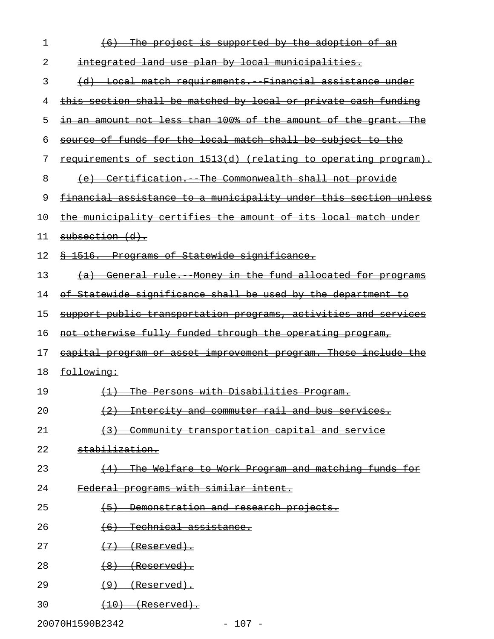| 1  | (6) The project is supported by the adoption of an                      |
|----|-------------------------------------------------------------------------|
| 2  | integrated land use plan by local municipalities.                       |
| 3  | (d) Local match requirements. Financial assistance under                |
| 4  | this section shall be matched by local or private cash funding          |
| 5  | in an amount not less than 100% of the amount of the grant. The         |
| 6  | source of funds for the local match shall be subject to the             |
| 7  | <u>requirements of section 1513(d) (relating to operating program).</u> |
| 8  | (e) Certification. The Commonwealth shall not provide                   |
| 9  | financial assistance to a municipality under this section unless        |
| 10 | the municipality certifies the amount of its local match under          |
| 11 | subsection (d).                                                         |
| 12 | <del>§ 1516.  Programs of Statewide significance.</del>                 |
| 13 | (a) General rule. Money in the fund allocated for programs              |
| 14 | of Statewide significance shall be used by the department to            |
| 15 | support public transportation programs, activities and services         |
| 16 | not otherwise fully funded through the operating program,               |
| 17 | capital program or asset improvement program. These include the         |
| 18 | <del>following:</del>                                                   |
| 19 | (1) The Persons with Disabilities Program.                              |
| 20 | (2) Intercity and commuter rail and bus services.                       |
| 21 | (3) Community transportation capital and service                        |
| 22 | stabilization.                                                          |
| 23 | (4) The Welfare to Work Program and matching funds for                  |
| 24 | Federal programs with similar intent.                                   |
| 25 | (5) Demonstration and research projects.                                |
| 26 | $(6)$ Technical assistance.                                             |
| 27 | $(7)$ (Reserved).                                                       |
| 28 | $(8)$ (Reserved).                                                       |
| 29 | $(9)$ (Reserved).                                                       |
| 30 | $(10)$ (Reserved).                                                      |

20070H1590B2342 - 107 -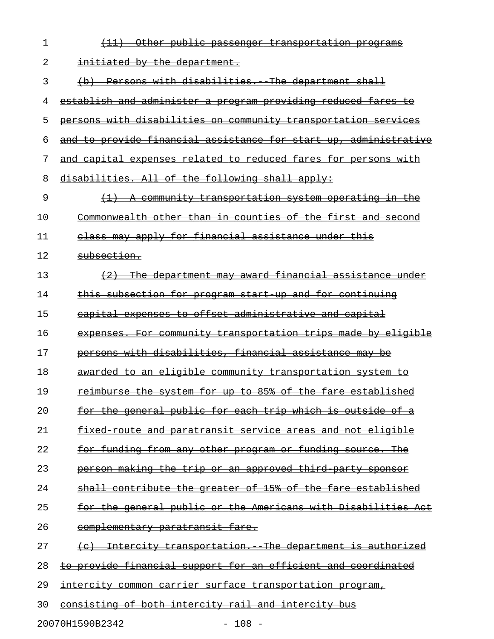| 1  | $\left(11\right)$<br><u>Other public passenger transportation programs</u> |
|----|----------------------------------------------------------------------------|
| 2  | initiated by the department.                                               |
| 3  | (b) Persons with disabilities. The department shall                        |
| 4  | <u>establish and administer a program providing reduced fares to</u>       |
| 5  | persons with disabilities on community transportation services             |
| 6  | and to provide financial assistance for start up, administrative           |
| 7  | and capital expenses related to reduced fares for persons with             |
| 8  | disabilities. All of the following shall apply:                            |
| 9  | $(1)$ A community transportation system operating in the                   |
| 10 | Commonwealth other than in counties of the first and second                |
| 11 | class may apply for financial assistance under this                        |
| 12 | subsection.                                                                |
| 13 | (2) The department may award financial assistance under                    |
| 14 | this subsection for program start up and for continuing                    |
| 15 | capital expenses to offset administrative and capital                      |
| 16 | expenses. For community transportation trips made by eligible              |
| 17 | persons with disabilities, financial assistance may be                     |
| 18 | awarded to an eligible community transportation system to                  |
| 19 | reimburse the system for up to 85% of the fare established                 |
| 20 | for the general public for each trip which is outside of a                 |
| 21 | fixed route and paratransit service areas and not eligible                 |
| 22 | for funding from any other program or funding source. The                  |
| 23 | person making the trip or an approved third party sponsor                  |
| 24 | shall contribute the greater of 15% of the fare established                |
| 25 | for the general public or the Americans with Disabilities Act              |
| 26 | complementary paratransit fare.                                            |
| 27 | Intercity transportation. The department is authorized                     |
| 28 | to provide financial support for an efficient and coordinated              |
| 29 | intercity common carrier surface transportation program,                   |
| 30 | consisting of both intercity rail and intercity bus                        |

20070H1590B2342 - 108 -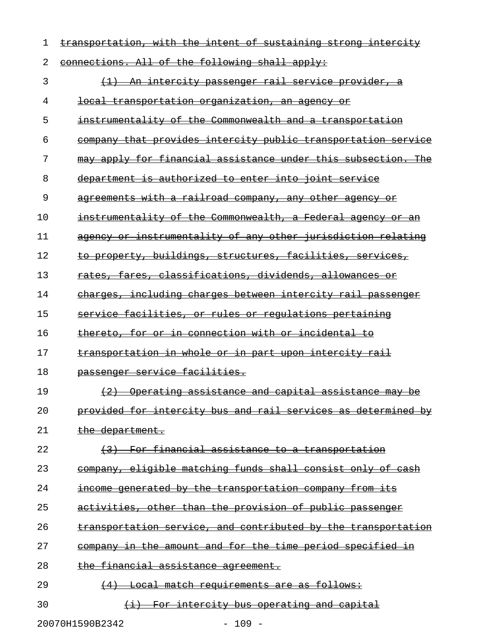| 1  | transportation, with the intent of sustaining strong intercity |
|----|----------------------------------------------------------------|
| 2  | connections. All of the following shall apply:                 |
| 3  | <u>(1) An intercity passenger rail service provider, a</u>     |
| 4  | <del>local transportation organization, an agency or</del>     |
| 5  | instrumentality of the Commonwealth and a transportation       |
| 6  | company that provides intercity public transportation service  |
| 7  | may apply for financial assistance under this subsection. The  |
| 8  | department is authorized to enter into joint service           |
| 9  | agreements with a railroad company, any other agency or        |
| 10 | instrumentality of the Commonwealth, a Federal agency or an    |
| 11 | agency or instrumentality of any other jurisdiction relating   |
| 12 | to property, buildings, structures, facilities, services,      |
| 13 | rates, fares, classifications, dividends, allowances or        |
| 14 | charges, including charges between intercity rail passenger    |
| 15 | service facilities, or rules or regulations pertaining         |
| 16 | thereto, for or in connection with or incidental to            |
| 17 | transportation in whole or in part upon intercity rail         |
| 18 | passenger service facilities.                                  |
| 19 | (2) Operating assistance and capital assistance may be         |
| 20 | provided for intercity bus and rail services as determined by  |
| 21 | the department.                                                |
| 22 | (3) For financial assistance to a transportation               |
| 23 | company, eligible matching funds shall consist only of cash    |
| 24 | income generated by the transportation company from its        |
| 25 | activities, other than the provision of public passenger       |
| 26 | transportation service, and contributed by the transportation  |
| 27 | company in the amount and for the time period specified in     |
| 28 | the financial assistance agreement.                            |
| 29 | (4) Local match requirements are as follows:                   |
| 30 | (i) For intercity bus operating and capital                    |

20070H1590B2342 - 109 -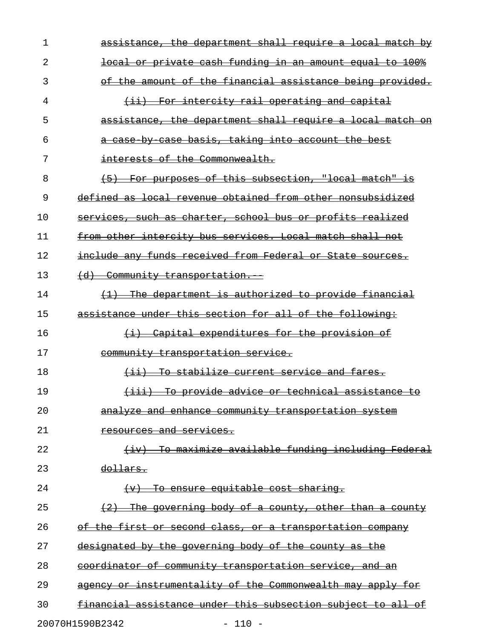| 1  | assistance, the department shall require a local match by                       |
|----|---------------------------------------------------------------------------------|
| 2  | local or private cash funding in an amount equal to 100%                        |
| 3  | of the amount of the financial assistance being provided.                       |
| 4  | (ii) For intercity rail operating and capital                                   |
| 5  | assistance, the department shall require a local match on                       |
| 6  | a case by case basis, taking into account the best                              |
| 7  | interests of the Commonwealth.                                                  |
| 8  | (5) For purposes of this subsection, "local match" is                           |
| 9  | defined as local revenue obtained from other nonsubsidized                      |
| 10 | services, such as charter, school bus or profits realized                       |
| 11 | from other intercity bus services. Local match shall not                        |
| 12 | include any funds received from Federal or State sources.                       |
| 13 | (d) Community transportation.                                                   |
| 14 | (1) The department is authorized to provide financial                           |
| 15 | assistance under this section for all of the following:                         |
| 16 | (i) Capital expenditures for the provision of                                   |
| 17 | community transportation service.                                               |
| 18 | (ii) To stabilize current service and fares.                                    |
| 19 | (iii) To provide advice or technical assistance to                              |
| 20 | analyze and enhance community transportation system                             |
| 21 | resources and services.                                                         |
| 22 | To maximize available funding including Federal<br>$\leftarrow$ iv $\leftarrow$ |
| 23 | dollars.                                                                        |
| 24 | To ensure equitable cost sharing.<br>$\leftarrow$                               |
| 25 | $(2)$ The governing body of a county, other than a county                       |
| 26 | of the first or second class, or a transportation company                       |
| 27 | designated by the governing body of the county as the                           |
| 28 | coordinator of community transportation service, and an                         |
| 29 | or instrumentality of the Commonwealth may apply for<br><del>agency -</del>     |
| 30 | financial assistance under this subsection subject to all of                    |
|    | 20070H1590B2342<br>$-110 -$                                                     |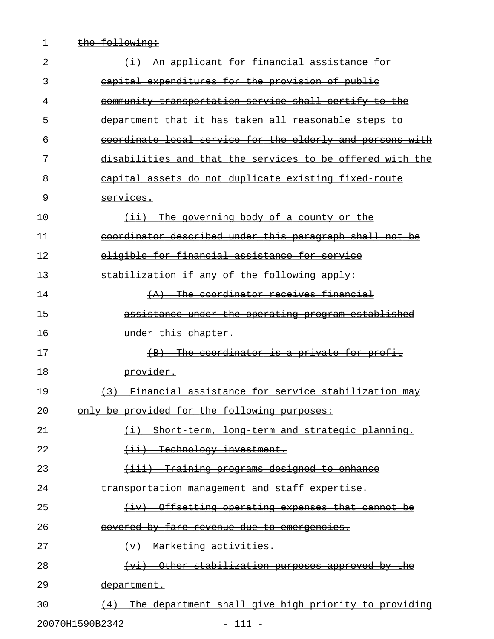1 the following: 2  $\leftarrow$   $\leftarrow$   $\leftarrow$   $\leftarrow$   $\leftarrow$   $\leftarrow$   $\leftarrow$   $\leftarrow$   $\leftarrow$   $\leftarrow$   $\leftarrow$   $\leftarrow$   $\leftarrow$   $\leftarrow$   $\leftarrow$   $\leftarrow$   $\leftarrow$   $\leftarrow$   $\leftarrow$   $\leftarrow$   $\leftarrow$   $\leftarrow$   $\leftarrow$   $\leftarrow$   $\leftarrow$   $\leftarrow$   $\leftarrow$   $\leftarrow$   $\leftarrow$   $\leftarrow$   $\leftarrow$   $\leftarrow$   $\leftarrow$   $\leftarrow$   $\leftarrow$   $\leftarrow$   $\left$ 3 capital expenditures for the provision of public 4 community transportation service shall certify to the 5 department that it has taken all reasonable steps to 6 coordinate local service for the elderly and persons with 7 disabilities and that the services to be offered with the 8 capital assets do not duplicate existing fixed route 9 services. 10  $\overline{\text{+ii}}$  The governing body of a county or the 11 coordinator described under this paragraph shall not be 12 eligible for financial assistance for service 13 stabilization if any of the following apply: 14 (A) The coordinator receives financial 15 assistance under the operating program established 16 ander this chapter. 17 The coordinator is a private for profit  $(B)$  The coordinator is a private for profit 18 **provider.** 19 (3) Financial assistance for service stabilization may 20 only be provided for the following purposes: 21 (i) Short-term, long-term and strategic planning. 22 (ii) Technology investment. 23 (iii) Training programs designed to enhance 24 transportation management and staff expertise. 25 (iv) Offsetting operating expenses that cannot be \_\_\_\_\_\_\_\_\_\_\_\_\_\_\_\_\_\_\_\_\_\_\_\_\_\_\_\_\_\_\_\_\_\_\_\_\_\_\_\_\_\_\_\_\_\_\_\_\_\_ 26 covered by fare revenue due to emergencies. 27 (v) Marketing activities. 28 (vi) Other stabilization purposes approved by the 29 department. 30 (4) The department shall give high priority to providing

20070H1590B2342 - 111 -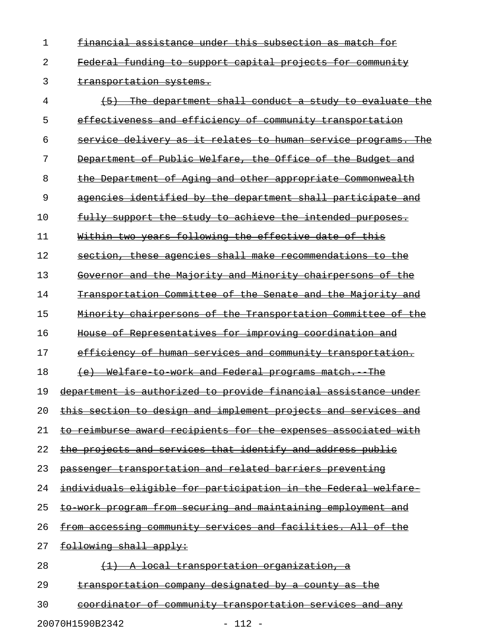1 financial assistance under this subsection as match for 2 Federal funding to support capital projects for community

3 transportation systems.

 $4$   $\longleftrightarrow$  The department shall conduct a study to evaluate the 5 effectiveness and efficiency of community transportation 6 service delivery as it relates to human service programs. The 7 Department of Public Welfare, the Office of the Budget and 8 the Department of Aging and other appropriate Commonwealth 9 agencies identified by the department shall participate and 10 fully support the study to achieve the intended purposes. 11 Within two years following the effective date of this 12 section, these agencies shall make recommendations to the 13 Governor and the Majority and Minority chairpersons of the 14 Transportation Committee of the Senate and the Majority and 15 Minority chairpersons of the Transportation Committee of the 16 House of Representatives for improving coordination and 17 efficiency of human services and community transportation. 18 (e) Welfare to work and Federal programs match. The 19 department is authorized to provide financial assistance under 20 this section to design and implement projects and services and 21 to reimburse award recipients for the expenses associated with 22 the projects and services that identify and address public 23 passenger transportation and related barriers preventing 24 individuals eligible for participation in the Federal welfare 25 to work program from securing and maintaining employment and 26 from accessing community services and facilities. All of the 27 following shall apply: 28  $(1)$  A local transportation organization, a 29 transportation company designated by a county as the 30 coordinator of community transportation services and any

20070H1590B2342 - 112 -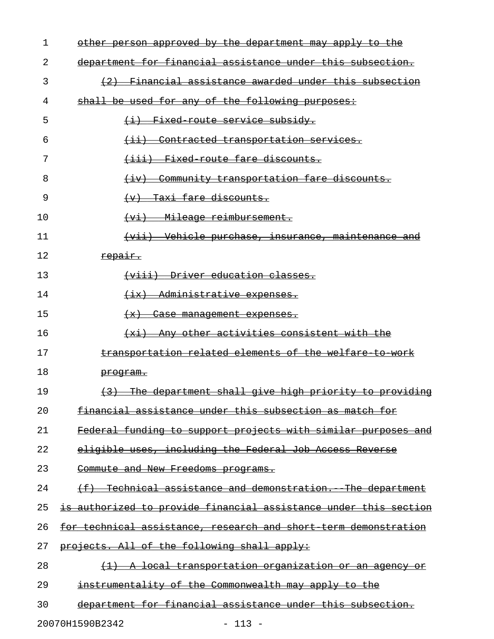| 1  | other person approved by the department may apply to the                    |
|----|-----------------------------------------------------------------------------|
| 2  | department for financial assistance under this subsection.                  |
| 3  | (2) Financial assistance awarded under this subsection                      |
| 4  | shall be used for any of the following purposes:                            |
| 5  | (i) Fixed route service subsidy.                                            |
| 6  | Contracted transportation services.<br>$\overline{ \leftrightarrow}$        |
| 7  | (iii) Fixed route fare discounts.                                           |
| 8  | Community transportation fare discounts.<br>$\left( \pm \mathrm{v} \right)$ |
| 9  | <del>Taxi fare discounts.</del><br>$\left(\mathbf{v}\right)$                |
| 10 | - Mileage reimbursement.<br>$(v_i)$                                         |
| 11 | (vii) Vehicle purchase, insurance, maintenance and                          |
| 12 | repair.                                                                     |
| 13 | <del>(viii) Driver education classes.</del>                                 |
| 14 | (ix) Administrative expenses.                                               |
| 15 | <del>(x)</del><br><del>Case management expenses.</del>                      |
| 16 | (xi) Any other activities consistent with the                               |
| 17 | transportation related elements of the welfare to work                      |
| 18 | program.                                                                    |
| 19 | (3) The department shall give high priority to providing                    |
| 20 | <u>financial assistance under this subsection as match for</u>              |
| 21 | Federal funding to support projects with similar purposes and               |
| 22 | eligible uses, including the Federal Job Access Reverse                     |
| 23 | Commute and New Freedoms programs.                                          |
| 24 | (f) Technical assistance and demonstration. The department                  |
| 25 | is authorized to provide financial assistance under this section            |
| 26 | for technical assistance, research and short term demonstration             |
| 27 | projects. All of the following shall apply:                                 |
| 28 | <u>(1) A local transportation organization or an agency or</u>              |
| 29 | instrumentality of the Commonwealth may apply to the                        |
| 30 | department for financial assistance under this subsection.                  |
|    |                                                                             |

20070H1590B2342 - 113 -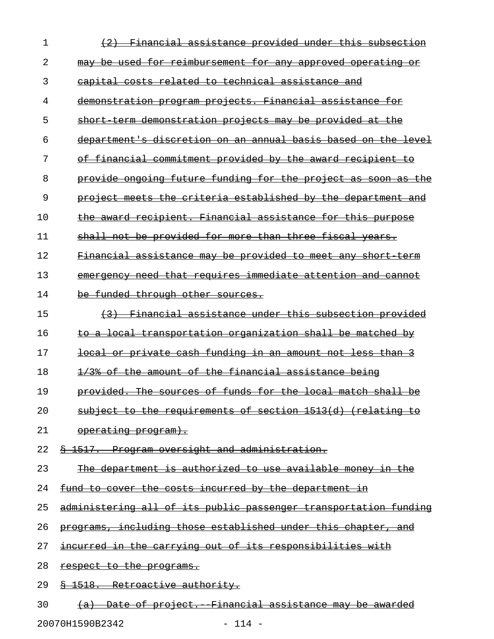| 1  | <u>Financial assistance provided under this subsection</u>       |
|----|------------------------------------------------------------------|
| 2  | may be used for reimbursement for any approved operating or      |
| 3  | capital costs related to technical assistance and                |
| 4  | demonstration program projects. Financial assistance for         |
| 5  | short term demonstration projects may be provided at the         |
| 6  | department's discretion on an annual basis based on the level    |
| 7  | of financial commitment provided by the award recipient to       |
| 8  | provide ongoing future funding for the project as soon as the    |
| 9  | project meets the criteria established by the department and     |
| 10 | the award recipient. Financial assistance for this purpose       |
| 11 | shall not be provided for more than three fiscal years.          |
| 12 | Financial assistance may be provided to meet any short term      |
| 13 | emergency need that requires immediate attention and cannot      |
| 14 | be funded through other sources.                                 |
| 15 | (3) Financial assistance under this subsection provided          |
| 16 | to a local transportation organization shall be matched by       |
| 17 | local or private cash funding in an amount not less than 3       |
| 18 | 1/3% of the amount of the financial assistance being             |
| 19 | provided. The sources of funds for the local match shall be      |
| 20 | subject to the requirements of section 1513(d) (relating to      |
| 21 | <u>operating program).</u>                                       |
| 22 | \$ 1517. Program oversight and administration.                   |
| 23 | The department is authorized to use available money in the       |
| 24 | fund to cover the costs incurred by the department in            |
| 25 | administering all of its public passenger transportation funding |
| 26 | programs, including those established under this chapter, and    |
| 27 | incurred in the carrying out of its responsibilities with        |
| 28 | respect to the programs.                                         |
| 29 | § 1518. Retroactive authority.                                   |
| 30 | (a) Date of project. Financial assistance may be awarded         |

20070H1590B2342 - 114 -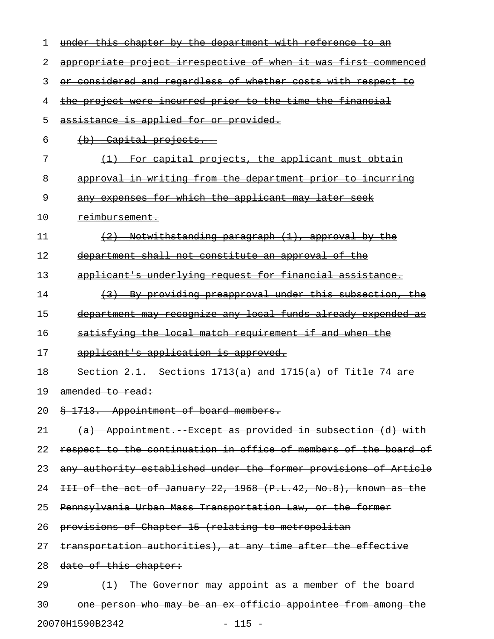| 1  | under this chapter by the department with reference to an        |
|----|------------------------------------------------------------------|
| 2  | appropriate project irrespective of when it was first commenced  |
| 3  | or considered and regardless of whether costs with respect to    |
| 4  | the project were incurred prior to the time the financial        |
| 5  | assistance is applied for or provided.                           |
| 6  | $(b)$ Capital projects.                                          |
| 7  | (1) For capital projects, the applicant must obtain              |
| 8  | approval in writing from the department prior to incurring       |
| 9  | any expenses for which the applicant may later seek              |
| 10 | <del>reimbursement.</del>                                        |
| 11 | $(2)$ Notwithstanding paragraph $(1)$ , approval by the          |
| 12 | department shall not constitute an approval of the               |
| 13 | applicant's underlying request for financial assistance.         |
| 14 | (3) By providing preapproval under this subsection, the          |
| 15 | department may recognize any local funds already expended as     |
| 16 | satisfying the local match requirement if and when the           |
| 17 | applicant's application is approved.                             |
| 18 | Section $2.1.$ Sections $1713(a)$ and $1715(a)$ of Title 74 are  |
| 19 | $amed +c +c$                                                     |
| 20 | § 1713. Appointment of board members.                            |
| 21 | (a) Appointment. Except as provided in subsection (d) with       |
| 22 | respect to the continuation in office of members of the board of |
| 23 | any authority established under the former provisions of Article |
| 24 | III of the act of January 22, 1968 (P.L.42, No.8), known as the  |
| 25 | Pennsylvania Urban Mass Transportation Law, or the former        |
| 26 | provisions of Chapter 15 (relating to metropolitan               |
| 27 | transportation authorities), at any time after the effective     |
| 28 | date of this chapter:                                            |
| 29 | $(1)$ The Governor may appoint as a member of the board          |
| 30 | one person who may be an ex officio appointee from among the     |

20070H1590B2342 - 115 -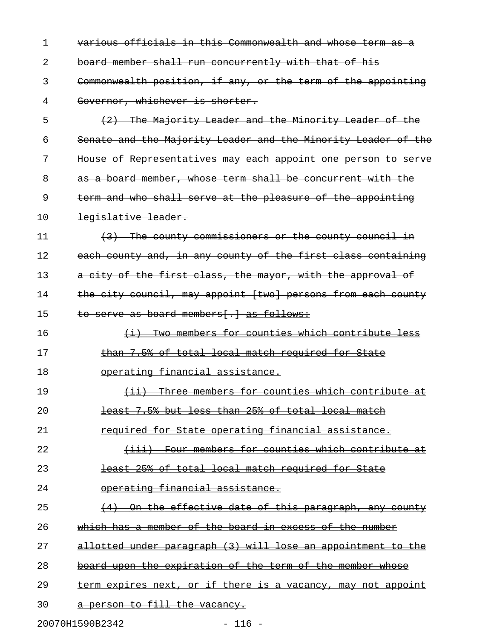1 various officials in this Commonwealth and whose term as a 2 board member shall run concurrently with that of his 3 Commonwealth position, if any, or the term of the appointing 4 Governor, whichever is shorter. 5 (2) The Majority Leader and the Minority Leader of the 6 Senate and the Majority Leader and the Minority Leader of the 7 House of Representatives may each appoint one person to serve 8 as a board member, whose term shall be concurrent with the 9 term and who shall serve at the pleasure of the appointing 10 <del>legislative leader.</del>  $11$  (3) The county commissioners or the county council in 12 each county and, in any county of the first class containing 13 a city of the first class, the mayor, with the approval of 14 the city council, may appoint [two] persons from each county 15 to serve as board members[.] as follows: 16  $\longleftrightarrow$   $\longleftrightarrow$  Two members for counties which contribute less 17 than 7.5% of total local match required for State 18 operating financial assistance. 19 (ii) Three members for counties which contribute at 20 **least 7.5% but less than 25% of total local match** 21 required for State operating financial assistance. 22 (iii) Four members for counties which contribute at 23 least 25% of total local match required for State 24 operating financial assistance. 25 (4) On the effective date of this paragraph, any county 26 which has a member of the board in excess of the number 27 allotted under paragraph (3) will lose an appointment to the 28 board upon the expiration of the term of the member whose 29 term expires next, or if there is a vacancy, may not appoint 30 a person to fill the vacancy.

20070H1590B2342 - 116 -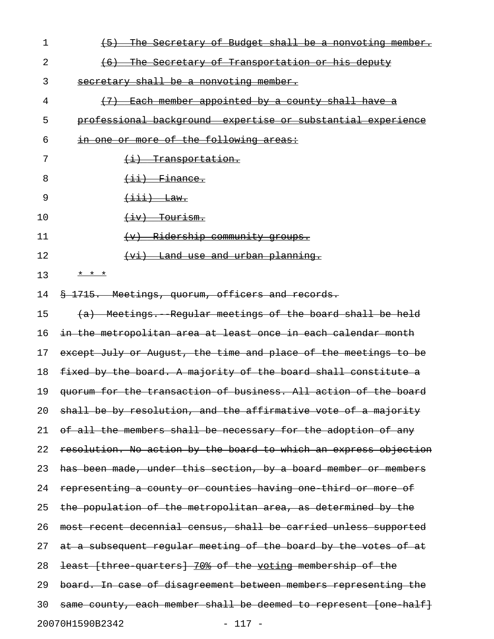| 1  | (5) The Secretary of Budget shall be a nonvoting member.                                                                                                                                                                                                                                                                                                                                                                                                                       |
|----|--------------------------------------------------------------------------------------------------------------------------------------------------------------------------------------------------------------------------------------------------------------------------------------------------------------------------------------------------------------------------------------------------------------------------------------------------------------------------------|
| 2  | (6) The Secretary of Transportation or his deputy                                                                                                                                                                                                                                                                                                                                                                                                                              |
| 3  | secretary shall be a nonvoting member.                                                                                                                                                                                                                                                                                                                                                                                                                                         |
| 4  | (7) Each member appointed by a county shall have a                                                                                                                                                                                                                                                                                                                                                                                                                             |
| 5  | professional background expertise or substantial experience                                                                                                                                                                                                                                                                                                                                                                                                                    |
| 6  | in one or more of the following areas:                                                                                                                                                                                                                                                                                                                                                                                                                                         |
| 7  | (i) Transportation.                                                                                                                                                                                                                                                                                                                                                                                                                                                            |
| 8  | $\overline{\text{+}i\text{+}}$ $\overline{\text{}}$ $\overline{\text{}}$ $\overline{\text{}}$ $\overline{\text{}}$ $\overline{\text{}}$ $\overline{\text{}}$ $\overline{\text{}}$ $\overline{\text{}}$ $\overline{\text{}}$ $\overline{\text{}}$ $\overline{\text{}}$ $\overline{\text{}}$ $\overline{\text{}}$ $\overline{\text{}}$ $\overline{\text{}}$ $\overline{\text{}}$ $\overline{\text{}}$ $\overline{\text{}}$ $\overline{\text{}}$ $\overline{\text{}}$ $\overline$ |
| 9  | $\overline{\texttt{+iii}}$ Law.                                                                                                                                                                                                                                                                                                                                                                                                                                                |
| 10 | $\overline{fiv}$ Tourism.                                                                                                                                                                                                                                                                                                                                                                                                                                                      |
| 11 | (v) Ridership community groups.                                                                                                                                                                                                                                                                                                                                                                                                                                                |
| 12 | (vi) Land use and urban planning.                                                                                                                                                                                                                                                                                                                                                                                                                                              |
| 13 | * * *                                                                                                                                                                                                                                                                                                                                                                                                                                                                          |
| 14 | § 1715. Meetings, quorum, officers and records.                                                                                                                                                                                                                                                                                                                                                                                                                                |
| 15 | (a) Meetings. Regular meetings of the board shall be held                                                                                                                                                                                                                                                                                                                                                                                                                      |
| 16 | in the metropolitan area at least once in each calendar month                                                                                                                                                                                                                                                                                                                                                                                                                  |
| 17 | except July or August, the time and place of the meetings to be                                                                                                                                                                                                                                                                                                                                                                                                                |
| 18 | fixed by the board. A majority of the board shall constitute a                                                                                                                                                                                                                                                                                                                                                                                                                 |
| 19 | quorum for the transaction of business. All action of the board                                                                                                                                                                                                                                                                                                                                                                                                                |
| 20 | shall be by resolution, and the affirmative vote of a majority                                                                                                                                                                                                                                                                                                                                                                                                                 |
| 21 | of all the members shall be necessary for the adoption of any                                                                                                                                                                                                                                                                                                                                                                                                                  |
| 22 | resolution. No action by the board to which an express objection                                                                                                                                                                                                                                                                                                                                                                                                               |
| 23 | has been made, under this section, by a board member or members                                                                                                                                                                                                                                                                                                                                                                                                                |
| 24 | representing a county or counties having one third or more of                                                                                                                                                                                                                                                                                                                                                                                                                  |
| 25 | the population of the metropolitan area, as determined by the                                                                                                                                                                                                                                                                                                                                                                                                                  |
| 26 | most recent decennial census, shall be carried unless supported                                                                                                                                                                                                                                                                                                                                                                                                                |
| 27 | at a subsequent regular meeting of the board by the votes of at                                                                                                                                                                                                                                                                                                                                                                                                                |
| 28 | least [three quarters] 70% of the voting membership of the                                                                                                                                                                                                                                                                                                                                                                                                                     |
| 29 | board. In case of disagreement between members representing the                                                                                                                                                                                                                                                                                                                                                                                                                |
| 30 | same county, each member shall be deemed to represent [one half]                                                                                                                                                                                                                                                                                                                                                                                                               |
|    | 20070H1590B2342<br>$-117 -$                                                                                                                                                                                                                                                                                                                                                                                                                                                    |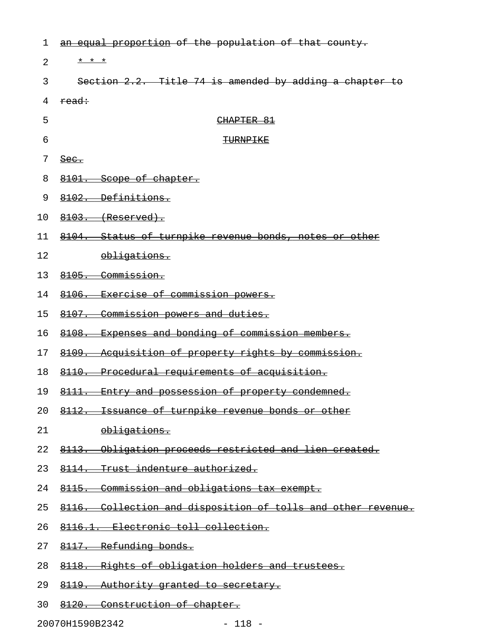| 1              | an equal proportion of the population of that county.        |
|----------------|--------------------------------------------------------------|
| $\overline{2}$ | * * *                                                        |
| 3              | Section 2.2. Title 74 is amended by adding a chapter to      |
| 4              | read:                                                        |
| 5              | CHAPTER 81                                                   |
| 6              | TURNPIKE                                                     |
| 7              | Sec.                                                         |
| 8              | 8101. Scope of chapter.                                      |
| 9              | 8102. Definitions.                                           |
| 10             | $8103.$ (Reserved).                                          |
| 11             | 8104. Status of turnpike revenue bonds, notes or other       |
| 12             | obligations.                                                 |
| 13             | 8105. Commission.                                            |
| 14             | 8106. Exercise of commission powers.                         |
| 15             | 8107. Commission powers and duties.                          |
| 16             | 8108. Expenses and bonding of commission members.            |
| 17             | 8109. Acquisition of property rights by commission.          |
| 18             | 8110. Procedural requirements of acquisition.                |
| 19             | 8111. Entry and possession of property condemned.            |
| 20             | 8112. Issuance of turnpike revenue bonds or other            |
| 21             | obligations.                                                 |
| 22             | 8113. Obligation proceeds restricted and lien created.       |
| 23             | 8114. Trust indenture authorized.                            |
| 24             | 8115. Commission and obligations tax exempt.                 |
| 25             | 8116. Collection and disposition of tolls and other revenue. |
| 26             | 8116.1. Electronic toll collection.                          |
| 27             | 8117. Refunding bonds.                                       |
| 28             | 8118. Rights of obligation holders and trustees.             |
| 29             | 8119. Authority granted to secretary.                        |
| 30             | 8120. Construction of chapter.                               |

20070H1590B2342 - 118 -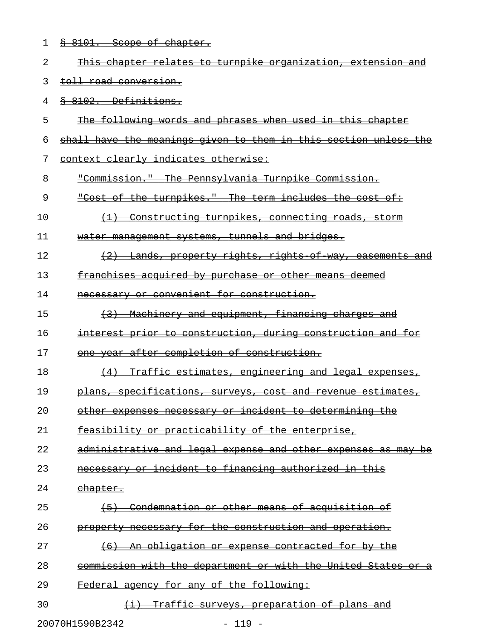1 & 8101. Scope of chapter. 2 This chapter relates to turnpike organization, extension and 3 toll road conversion. 4 § 8102. Definitions. 5 The following words and phrases when used in this chapter 6 shall have the meanings given to them in this section unless the 7 context clearly indicates otherwise: 8 "Commission." The Pennsylvania Turnpike Commission. 9 "Cost of the turnpikes." The term includes the cost of: \_\_\_\_\_\_\_\_\_\_\_\_\_\_\_\_\_\_\_\_\_\_\_\_\_\_\_\_\_\_\_\_\_\_\_\_\_\_\_\_\_\_\_\_\_\_\_\_\_\_\_\_\_\_\_\_ 10 (1) Constructing turnpikes, connecting roads, storm 11 water management systems, tunnels and bridges. 12 (2) Lands, property rights, rights of way, easements and 13 franchises acquired by purchase or other means deemed 14 mecessary or convenient for construction. 15  $(3)$  Machinery and equipment, financing charges and 16 interest prior to construction, during construction and for 17 one year after completion of construction. 18 (4) Traffic estimates, engineering and legal expenses, 19 plans, specifications, surveys, cost and revenue estimates, 20 other expenses necessary or incident to determining the 21 feasibility or practicability of the enterprise, 22 administrative and legal expense and other expenses as may be 23 mecessary or incident to financing authorized in this 24 chapter. 25 <del>(5)</del> Condemnation or other means of acquisition of 26 property necessary for the construction and operation. 27 (6) An obligation or expense contracted for by the 28 commission with the department or with the United States or a 29 Federal agency for any of the following: 30 (i) Traffic surveys, preparation of plans and

20070H1590B2342 - 119 -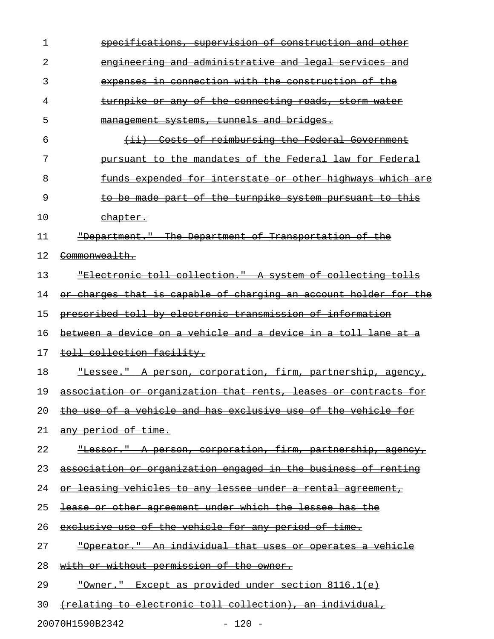| 1  | specifications, supervision of construction and other                   |
|----|-------------------------------------------------------------------------|
| 2  | engineering and administrative and legal services and                   |
| 3  | expenses in connection with the construction of the                     |
| 4  | <u>turnpike or any of the connecting roads, storm water</u>             |
| 5  | management systems, tunnels and bridges.                                |
| 6  | (ii) Costs of reimbursing the Federal Government                        |
| 7  | pursuant to the mandates of the Federal law for Federal                 |
| 8  | <u>funds expended for interstate or other highways which are</u>        |
| 9  | to be made part of the turnpike system pursuant to this                 |
| 10 | chapter.                                                                |
| 11 | "Department." The Department of Transportation of the                   |
| 12 | Commonwealth.                                                           |
| 13 | "Electronic toll collection." A system of collecting tolls              |
| 14 | <u>or charges that is capable of charging an account holder for the</u> |
| 15 | prescribed toll by electronic transmission of information               |
| 16 | between a device on a vehicle and a device in a toll lane at a          |
| 17 | toll collection facility.                                               |
| 18 | "Lessee." A person, corporation, firm, partnership, agency,             |
| 19 | association or organization that rents, leases or contracts for         |
| 20 | <u>the use of a vehicle and has exclusive use of the vehicle for</u>    |
|    |                                                                         |
| 21 | <del>any period of time.</del>                                          |
| 22 | "Lessor." A person, corporation, firm, partnership, agency,             |
| 23 | association or organization engaged in the business of renting          |
| 24 | <u>or leasing vehicles to any lessee under a rental agreement,</u>      |
| 25 | <u>lease or other agreement under which the lessee has the </u>         |
| 26 | exclusive use of the vehicle for any period of time.                    |
| 27 | "Operator." An individual that uses or operates a vehicle               |
| 28 | with or without permission of the owner.                                |
| 29 | "Owner." Except as provided under section 8116.1(e)                     |

20070H1590B2342 - 120 -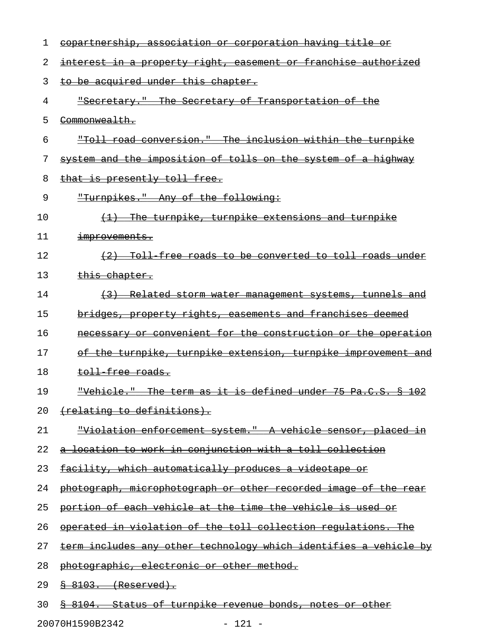| 1  | <u>copartnership, association or corporation having title or</u>        |
|----|-------------------------------------------------------------------------|
| 2  | <u>interest in a property right, easement or franchise authorized</u>   |
| 3  | to be acquired under this chapter.                                      |
| 4  | "Secretary." The Secretary of Transportation of the                     |
| 5  | <del>Commonwealth.</del>                                                |
| 6  | "Toll road conversion." The inclusion within the turnpike               |
| 7  | system and the imposition of tolls on the system of a highway           |
| 8  | that is presently toll free.                                            |
| 9  | "Turnpikes." Any of the following:                                      |
| 10 | (1) The turnpike, turnpike extensions and turnpike                      |
| 11 | <del>improvements.</del>                                                |
| 12 | (2) Toll free roads to be converted to toll roads under                 |
| 13 | <del>this chapter.</del>                                                |
| 14 | (3) Related storm water management systems, tunnels and                 |
| 15 | <u>bridges, property rights, casements and franchises deemed</u>        |
| 16 | necessary or convenient for the construction or the operation           |
| 17 | of the turnpike, turnpike extension, turnpike improvement and           |
| 18 | <del>toll free roads.</del>                                             |
| 19 | "Vehicle." The term as it is defined under 75 Pa.C.S. § 102             |
| 20 | (relating to definitions).                                              |
| 21 | <u> "Violation enforcement system." A vehicle sensor, placed in</u>     |
| 22 | <u>a location to work in conjunction with a toll collection</u>         |
| 23 | <u>facility, which automatically produces a videotape or</u>            |
| 24 | <u>photograph, microphotograph or other recorded image of the rear</u>  |
| 25 | <u>portion of each vehicle at the time the vehicle is used or</u>       |
| 26 | operated in violation of the toll collection requlations. The           |
| 27 | <u>term includes any other technology which identifies a vehicle by</u> |
| 28 | photographic, electronic or other method.                               |
| 29 | <u>§ 8103. (Reserved).</u>                                              |
| 30 | § 8104. Status of turnpike revenue bonds, notes or other                |

20070H1590B2342 - 121 -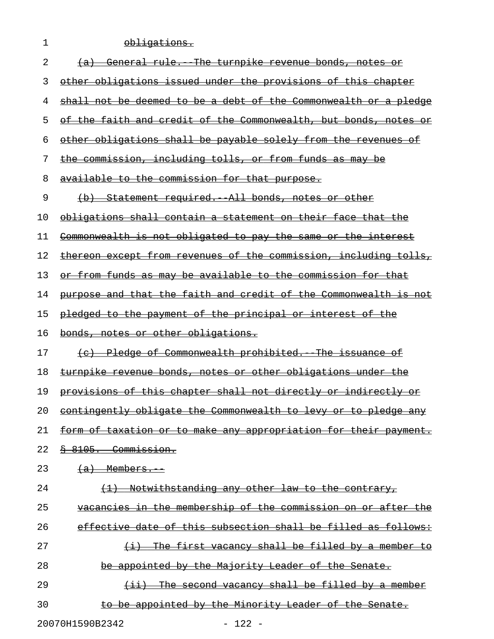| 1  | <u>obligations.</u>                                                  |
|----|----------------------------------------------------------------------|
| 2  | General rule. The turnpike revenue bonds, notes or<br><del>(a)</del> |
| 3  | other obligations issued under the provisions of this chapter        |
| 4  | shall not be deemed to be a debt of the Commonwealth or a pledge     |
| 5  | the faith and credit of the Commonwealth, but bonds, notes or        |
| 6  | other obligations shall be payable solely from the revenues          |
| 7  | the commission, including tolls, or from funds as may be             |
| 8  | available to the commission for that purpose.                        |
| 9  | (b) Statement required. All bonds, notes or other                    |
| 10 | obligations shall contain a statement on their face that the         |
| 11 | Commonwealth is not obligated to pay the same or the interest        |
| 12 | thereon except from revenues of the commission, including tolls,     |
| 13 | or from funds as may be available to the commission for that         |
| 14 | purpose and that the faith and credit of the Commonwealth is not     |
| 15 | pledged to the payment of the principal or interest of the           |
|    | bonds, notes or other obligations.                                   |
| 16 |                                                                      |
| 17 | (c) Pledge of Commonwealth prohibited. The issuance of               |
| 18 | turnpike revenue bonds, notes or other obligations under             |
| 19 | provisions of this chapter shall not directly or indirectly or       |
| 20 | contingently obligate the Commonwealth to levy or to pledge any      |
| 21 | form of taxation or to make any appropriation for their payment.     |
| 22 | <del>§ 8105. Commission.</del>                                       |
| 23 | $(a)$ Members.                                                       |
| 24 | Notwithstanding any other law to the contrary,                       |
| 25 | vacancies in the membership of the commission on or after the        |
| 26 | effective date of this subsection shall be filled as follows:        |
| 27 | (i) The first vacancy shall be filled by a member to                 |
| 28 | be appointed by the Majority Leader of the Senate.                   |
| 29 | $(i)$ The second vacancy shall be filled by a member                 |

20070H1590B2342 - 122 -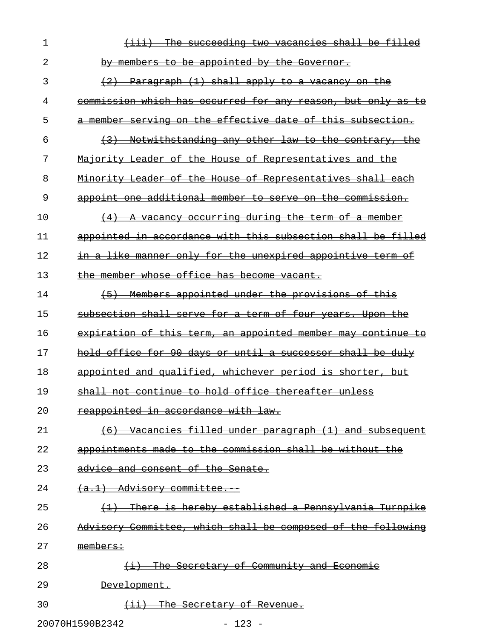| 1  | <del>succeeding two vacancies shall</del><br>-be                |
|----|-----------------------------------------------------------------|
| 2  | to be appointed by the Governor.<br><del>by members</del>       |
| 3  | Paragraph (1) shall apply to a vacancy on the                   |
| 4  | commission which has occurred for any reason, but only as<br>ŧΘ |
| 5  | a member serving on the effective date of this subsection.      |
| 6  | Notwithstanding any other law to the contrary, the              |
| 7  | Majority Leader of the House of Representatives and the         |
| 8  | Minority Leader of the House of Representatives shall each      |
| 9  | appoint one additional member to serve on the commission.       |
| 10 | A vacancy occurring during the term of a member                 |
| 11 | appointed in accordance with this subsection shall be filled    |
| 12 | in a like manner only for the unexpired appointive term of      |
| 13 | the member whose office has become vacant.                      |
| 14 | - Members appointed under the provisions of this<br>$+5$        |
| 15 | subsection shall serve for a term of four years. Upon the       |
| 16 | expiration of this term, an appointed member may continue<br>€o |
| 17 | hold office for 90 days or until a successor shall be duly      |
| 18 | appointed and qualified, whichever period is shorter, but       |
| 19 | shall not continue to hold office thereafter unless             |
| 20 | reappointed in accordance with law.                             |
| 21 | (6) Vacancies filled under paragraph (1) and subsequent         |
| 22 | appointments made to the commission shall be without the        |
| 23 | advice and consent of the Senate.                               |
| 24 | $(a,1)$ Advisory committee.                                     |
| 25 | There is hereby established a Pennsylvania Turnpike             |
| 26 | Advisory Committee, which shall be composed of the following    |
| 27 | members:                                                        |
| 28 | $(i)$ The Secretary of Community and Economic                   |
| 29 | <del>Development.</del>                                         |
| 30 | The Secretary of Revenue.                                       |
|    | 20070H1590B2342<br>$-123 -$                                     |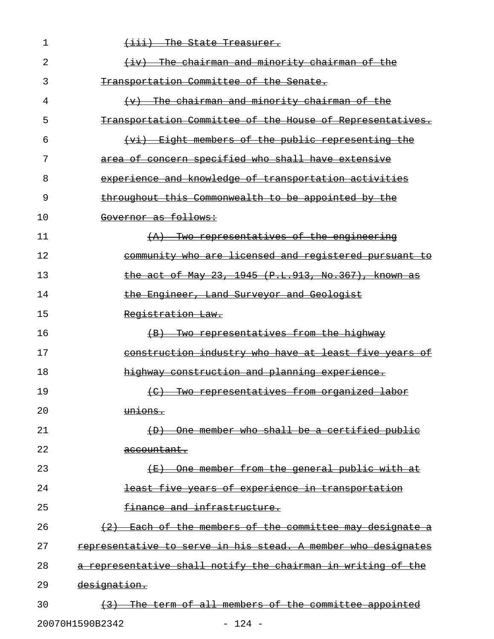| 1  | $\overline{$ +iii) The State Treasurer.                                  |
|----|--------------------------------------------------------------------------|
| 2  | (iv) The chairman and minority chairman of the                           |
| 3  | Transportation Committee of the Senate.                                  |
| 4  | The chairman and minority chairman of the<br>$\leftarrow$                |
| 5  | Transportation Committee of the House of Representatives.                |
| 6  | (vi) Eight members of the public representing the                        |
| 7  | area of concern specified who shall have extensive                       |
| 8  | experience and knowledge of transportation activities                    |
| 9  | throughout this Commonwealth to be appointed by the                      |
| 10 | Governor as follows:                                                     |
| 11 | <del>Two representatives of the engineering</del><br>$\left( -A \right)$ |
| 12 | community who are licensed and registered pursuant to                    |
| 13 | the act of May 23, 1945 (P.L.913, No.367), known as                      |
| 14 | the Engineer, Land Surveyor and Geologist                                |
| 15 | Registration Law.                                                        |
| 16 | (B) Two representatives from the highway                                 |
| 17 | construction industry who have at least five years of                    |
| 18 | highway construction and planning experience.                            |
| 19 | (C) Two representatives from organized labor                             |
| 20 | unions.                                                                  |
| 21 | (D) One member who shall be a certified public                           |
| 22 | accountant.                                                              |
| 23 | (E) One member from the general public with at                           |
| 24 | least five years of experience in transportation                         |
| 25 | finance and infrastructure.                                              |
| 26 | (2) Each of the members of the committee may designate a                 |
| 27 | representative to serve in his stead. A member who designates            |
| 28 | a representative shall notify the chairman in writing of the             |
| 29 | designation.                                                             |
| 30 | (3) The term of all members of the committee appointed                   |
|    | 20070H1590B2342<br>$-124 -$                                              |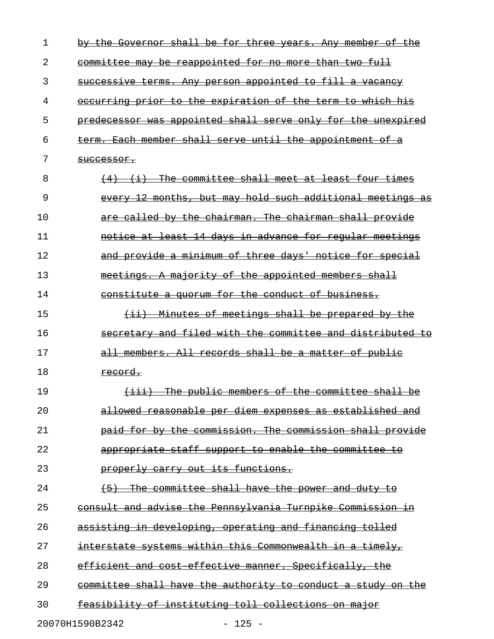| 1  | Governor shall be for three years. Any member of the<br><del>the</del>                    |
|----|-------------------------------------------------------------------------------------------|
| 2  | committee may be reappointed for no more than two full                                    |
| 3  | successive terms. Any person appointed to fill a vacancy                                  |
| 4  | occurring prior to the expiration of the term to which his                                |
| 5  | predecessor was appointed shall serve only for the unexpired                              |
| 6  | term. Each member shall serve until the appointment of a                                  |
| 7  | <del>successor.</del>                                                                     |
| 8  | (i) The committee shall meet at least four times                                          |
| 9  | 12 months, but may hold such additional meetings<br><del>every</del><br>-as               |
| 10 | are called by the chairman. The chairman shall provide                                    |
| 11 | notice at least 14 days in advance for regular meetings                                   |
| 12 | and provide a minimum of three days' notice for special                                   |
| 13 | meetings. A majority of the appointed members shall                                       |
| 14 | constitute a quorum for the conduct of business.                                          |
| 15 | Minutes of meetings shall be prepared by the<br>$\overline{+i+}$                          |
| 16 | secretary and filed with the committee and distributed to                                 |
| 17 | all members. All records shall be a matter of public                                      |
| 18 | record.                                                                                   |
| 19 | The public members of the committee shall be<br>$\leftrightarrow$ $\leftrightarrow$ $\to$ |
| 20 | allowed reasonable per diem expenses as established and                                   |
| 21 | paid for by the commission. The commission shall provide                                  |
| 22 | appropriate staff support to enable the committee to                                      |
| 23 | properly carry out its functions.                                                         |
| 24 | The committee shall have the power and duty to<br>$+5+$                                   |
| 25 | consult and advise the Pennsylvania Turnpike Commission in                                |
| 26 | assisting in developing, operating and financing tolled                                   |
| 27 | interstate systems within this Commonwealth in a timely,                                  |
| 28 | efficient and cost effective manner. Specifically, the                                    |
| 29 | committee shall have the authority to conduct a study on the                              |
| 30 | feasibility of instituting toll collections on major                                      |
|    | 20070H1590B2342<br>$125 -$                                                                |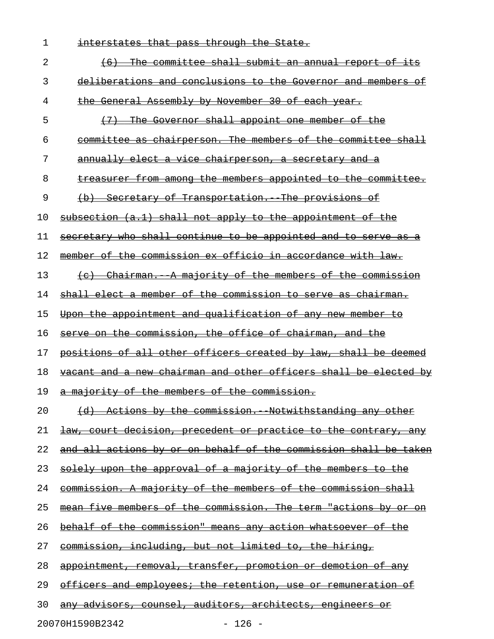| 1  | interstates that pass through the State.                               |
|----|------------------------------------------------------------------------|
| 2  | The committee shall submit an annual report of its<br>$+6$             |
| 3  | deliberations and conclusions to the Governor and members of           |
| 4  | the General Assembly by November 30 of each year.                      |
| 5  | The Governor shall appoint one member of the                           |
| 6  | committee as chairperson. The members of the committee shall           |
| 7  | annually elect a vice chairperson, a secretary and a                   |
| 8  | treasurer from among the members appointed to the committee.           |
| 9  | Secretary of Transportation. The provisions of                         |
| 10 | subsection (a.1) shall not apply to the appointment of the             |
| 11 | secretary who shall continue to be appointed and to serve as           |
| 12 | member of the commission ex officio in accordance with law.            |
| 13 | (c) Chairman. A majority of the members of the commission              |
| 14 | shall elect a member of the commission to serve as chairman.           |
| 15 | Upon the appointment and qualification of any new member to            |
| 16 | serve on the commission, the office of chairman, and the               |
| 17 | positions of all other officers created by law, shall be deemed        |
| 18 | vacant and a new chairman and other officers shall be elected by       |
| 19 | a majority of the members of the commission.                           |
| 20 | <u>(d) Actions by the commission. Notwithstanding any other</u>        |
| 21 | <u>law, court decision, precedent or practice to the contrary, any</u> |
| 22 | and all actions by or on behalf of the commission shall be taken       |
| 23 | solely upon the approval of a majority of the members to the           |
| 24 | commission. A majority of the members of the commission shall          |
| 25 | mean five members of the commission. The term "actions by or on        |
| 26 | <u>behalf of the commission" means any action whatsoever of the </u>   |
| 27 | <u>commission, including, but not limited to, the hiring, </u>         |
| 28 | appointment, removal, transfer, promotion or demotion of any           |
| 29 | officers and employees; the retention, use or remuneration of          |
| 30 | <u>any advisors, counsel, auditors, architects, engineers or</u>       |

20070H1590B2342 - 126 -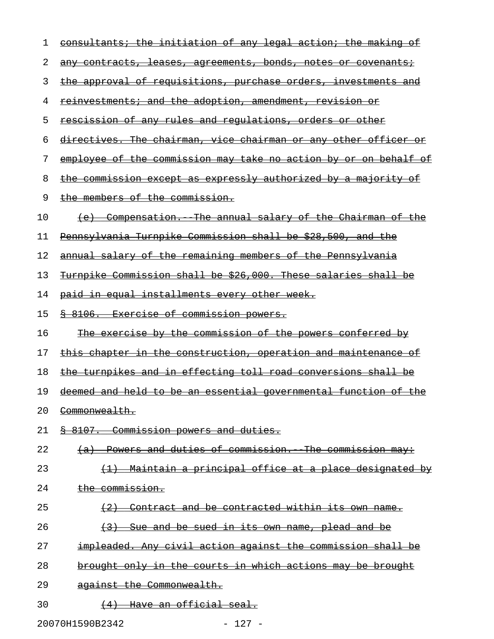| 1  | consultants; the initiation of any legal action; the making of          |
|----|-------------------------------------------------------------------------|
| 2  | any contracts, leases, agreements, bonds, notes or covenants;           |
| 3  | <u>the approval of requisitions, purchase orders, investments and </u>  |
| 4  | <u>reinvestments; and the adoption, amendment, revision or</u>          |
| 5  | <u>rescission of any rules and regulations, orders or other</u>         |
| 6  | directives. The chairman, vice chairman or any other officer or         |
| 7  | <u>employee of the commission may take no action by or on behalf of</u> |
| 8  | <u>the commission except as expressly authorized by a majority of</u>   |
| 9  | the members of the commission.                                          |
| 10 | (e) Compensation. The annual salary of the Chairman of the              |
| 11 | Pennsylvania Turnpike Commission shall be \$28,500, and the             |
| 12 | annual salary of the remaining members of the Pennsylvania              |
| 13 | Turnpike Commission shall be \$26,000. These salaries shall be          |
| 14 | paid in equal installments every other week.                            |
| 15 | <u>&amp; 8106. Exercise of commission powers.</u>                       |
| 16 | <u>The exercise by the commission of the powers conferred by</u>        |
| 17 | <u>this chapter in the construction, operation and maintenance of</u>   |
| 18 | the turnpikes and in effecting toll road conversions shall be           |
| 19 | deemed and held to be an essential governmental function of the         |
| 20 | <del>Commonwealth.</del>                                                |
| 21 | § 8107. Commission powers and duties.                                   |
| 22 | (a) Powers and duties of commission. The commission may:                |
| 23 | (1) Maintain a principal office at a place designated by                |
| 24 | the commission.                                                         |
| 25 | (2) Contract and be contracted within its own name.                     |
| 26 | (3) Sue and be sued in its own name, plead and be                       |
| 27 | impleaded. Any civil action against the commission shall be             |
| 28 | brought only in the courts in which actions may be brought              |
| 29 | against the Commonwealth.                                               |
| 30 | (4) Have an official seal.                                              |
|    |                                                                         |

20070H1590B2342 - 127 -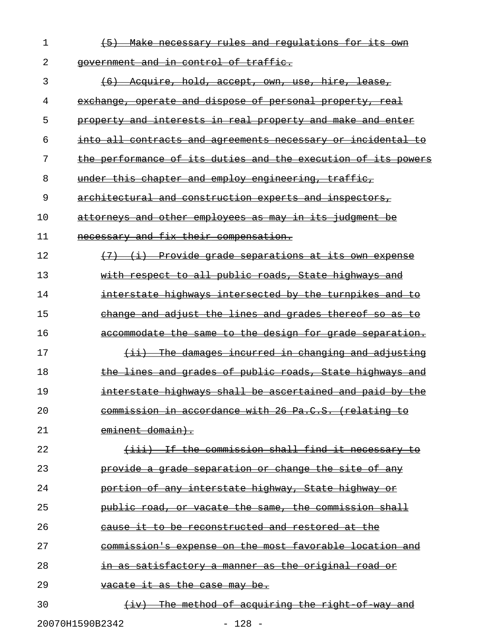| 1  | (5) Make necessary rules and regulations for its own                |
|----|---------------------------------------------------------------------|
| 2  | government and in control of traffic.                               |
| 3  | <del>(6) Acquire, hold, accept, own, use, hire, lease,</del>        |
| 4  | exchange, operate and dispose of personal property, real            |
| 5  | property and interests in real property and make and enter          |
| 6  | <u>into all contracts and agreements necessary or incidental to</u> |
| 7  | the performance of its duties and the execution of its powers       |
| 8  | under this chapter and employ engineering, traffic,                 |
| 9  | architectural and construction experts and inspectors,              |
| 10 | attorneys and other employees as may in its judgment be             |
| 11 | necessary and fix their compensation.                               |
| 12 | (7) (i) Provide grade separations at its own expense                |
| 13 | with respect to all public roads, State highways and                |
| 14 | interstate highways intersected by the turnpikes and to             |
| 15 | change and adjust the lines and grades thereof so as to             |
| 16 | accommodate the same to the design for grade separation.            |
| 17 | $(i)$ The damages incurred in changing and adjusting                |
| 18 | the lines and grades of public roads, State highways and            |
| 19 | interstate highways shall be ascertained and paid by the            |
| 20 | commission in accordance with 26 Pa.C.S. (relating to               |
| 21 | eminent domain).                                                    |
| 22 | (iii) If the commission shall find it necessary to                  |
| 23 | provide a grade separation or change the site of any                |
| 24 | portion of any interstate highway, State highway or                 |
| 25 | public road, or vacate the same, the commission shall               |
| 26 | cause it to be reconstructed and restored at the                    |
| 27 | commission's expense on the most favorable location and             |
| 28 | in as satisfactory a manner as the original road or                 |
| 29 | vacate it as the case may be.                                       |
| 30 | The method of acquiring the right of way and<br>$+1$ v $+$          |

20070H1590B2342 - 128 -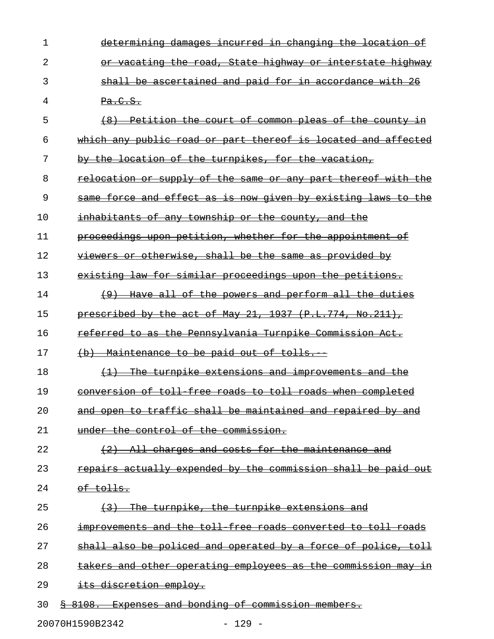| 1  | determining damages incurred in changing the location of      |
|----|---------------------------------------------------------------|
| 2  | or vacating the road, State highway or interstate highway     |
| 3  | shall be ascertained and paid for in accordance with 26       |
| 4  | Pa.C.S.                                                       |
| 5  | (8) Petition the court of common pleas of the county in       |
| 6  | which any public road or part thereof is located and affected |
| 7  | by the location of the turnpikes, for the vacation,           |
| 8  | relocation or supply of the same or any part thereof with the |
| 9  | same force and effect as is now given by existing laws to the |
| 10 | <u>inhabitants of any township or the county, and the</u>     |
| 11 | proceedings upon petition, whether for the appointment of     |
| 12 | viewers or otherwise, shall be the same as provided by        |
| 13 | existing law for similar proceedings upon the petitions.      |
| 14 | (9) Have all of the powers and perform all the duties         |
| 15 | prescribed by the act of May 21, 1937 (P.L.774, No.211),      |
| 16 | referred to as the Pennsylvania Turnpike Commission Act.      |
| 17 | (b) Maintenance to be paid out of tolls.                      |
| 18 | (1) The turnpike extensions and improvements and the          |
| 19 | conversion of toll free roads to toll roads when completed    |
| 20 | and open to traffic shall be maintained and repaired by and   |
| 21 | under the control of the commission.                          |
| 22 | (2) All charges and costs for the maintenance and             |
| 23 | repairs actually expended by the commission shall be paid out |
| 24 | <del>of tolls.</del>                                          |
| 25 | (3) The turnpike, the turnpike extensions and                 |
| 26 | improvements and the toll free roads converted to toll roads  |
| 27 | shall also be policed and operated by a force of police, toll |
| 28 | takers and other operating employees as the commission may in |
| 29 | its discretion employ.                                        |
| 30 | \$ 8108. Expenses and bonding of commission members.          |

20070H1590B2342 - 129 -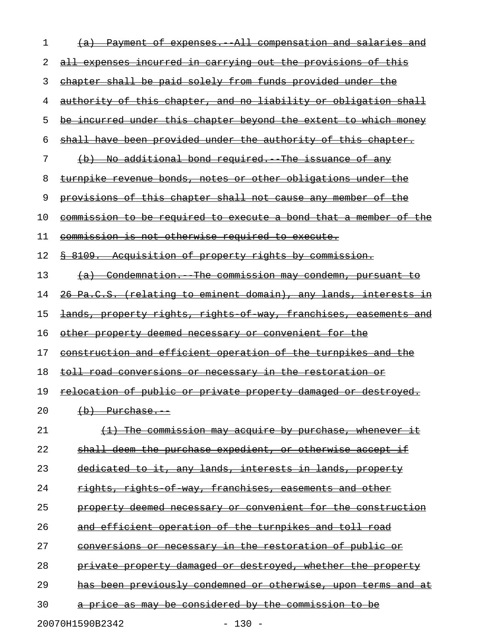| 1  | (a) Payment of expenses. All compensation and salaries and              |
|----|-------------------------------------------------------------------------|
| 2  | all expenses incurred in carrying out the provisions of this            |
| 3  | chapter shall be paid solely from funds provided under the              |
| 4  | authority of this chapter, and no liability or obligation shall         |
| 5  | be incurred under this chapter beyond the extent to which money         |
| 6  | shall have been provided under the authority of this chapter.           |
| 7  | (b) No additional bond required. The issuance of any                    |
| 8  | turnpike revenue bonds, notes or other obligations under the            |
| 9  | provisions of this chapter shall not cause any member of the            |
| 10 | <u>commission to be required to execute a bond that a member of the</u> |
| 11 | <u>commission is not otherwise required to execute.</u>                 |
| 12 | <u> § 8109. Acquisition of property rights by commission.</u>           |
| 13 | (a) Condemnation. The commission may condemn, pursuant to               |
| 14 | 26 Pa.C.S. (relating to eminent domain), any lands, interests in        |
| 15 | <u>lands, property rights, rights of way, franchises, easements and</u> |
| 16 | other property deemed necessary or convenient for the                   |
| 17 | construction and efficient operation of the turnpikes and the           |
| 18 | <u>toll road conversions or necessary in the restoration or </u>        |
| 19 | <u>relocation of public or private property damaged or destroyed.</u>   |
| 20 | $(b)$ Purchase.                                                         |
| 21 | The commission may acquire by purchase, whenever it                     |
| 22 | shall deem the purchase expedient, or otherwise accept if               |
| 23 | dedicated to it, any lands, interests in lands, property                |
| 24 | rights, rights of way, franchises, easements and other                  |
| 25 | property deemed necessary or convenient for the construction            |
| 26 | and efficient operation of the turnpikes and toll road                  |
| 27 | conversions or necessary in the restoration of public or                |
| 28 | private property damaged or destroyed, whether the property             |
| 29 | has been previously condemned or otherwise, upon terms and at           |
| 30 | price as may be considered by the commission to be                      |
|    |                                                                         |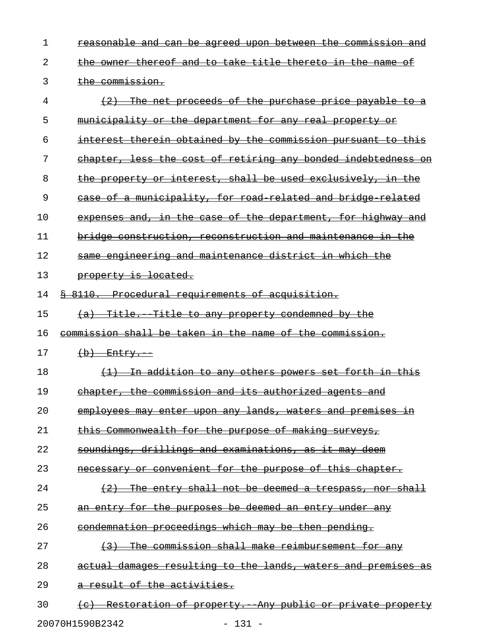| 1  | <del>reasonable and can be agreed upon between the commission and</del>                                      |
|----|--------------------------------------------------------------------------------------------------------------|
| 2  | the owner thereof and to take title thereto in the name of                                                   |
| 3  | the commission.                                                                                              |
| 4  | $(2)$ The net proceeds of the purchase price payable to a                                                    |
| 5  | municipality or the department for any real property or                                                      |
| 6  | interest therein obtained by the commission pursuant to this                                                 |
| 7  | chapter, less the cost of retiring any bonded indebtedness on                                                |
| 8  | the property or interest, shall be used exclusively, in the                                                  |
| 9  | case of a municipality, for road related and bridge related                                                  |
| 10 | expenses and, in the case of the department, for highway and                                                 |
| 11 | bridge construction, reconstruction and maintenance in the                                                   |
| 12 | <u>same engineering and maintenance district in which the </u>                                               |
| 13 | property is located.                                                                                         |
| 14 | <u>§ 8110. Procedural requirements of acquisition.</u>                                                       |
| 15 | (a) Title. Title to any property condemned by the                                                            |
| 16 | <u>commission shall be taken in the name of the commission.</u>                                              |
| 17 | $(b)$ Entry.                                                                                                 |
| 18 | (1) In addition to any others powers set forth in this                                                       |
| 19 | chapter, the commission and its authorized agents and                                                        |
| 20 | employees may enter upon any lands, waters and premises in                                                   |
| 21 | Commonwealth for the purpose of making surveys,                                                              |
| 22 | <u>soundings, drillings and examinations, as it may</u>                                                      |
| 23 | or convenient for the purpose of this chapter.<br><del>necessarv</del>                                       |
| 24 | <del>The</del><br><del>entry shall not be deemed</del><br><del>a trespass,</del><br><del>shall</del><br>-nor |
| 25 | <del>an entry for the purposes be deemed an entry under any</del>                                            |
| 26 | condemnation proceedings which may be then pending.                                                          |
| 27 | commission shall make reimbursement for any                                                                  |
| 28 | <u>damages resulting to the lands, waters and premises as</u><br><del>actual</del>                           |
| 29 | <del>a result of the activities.</del>                                                                       |
| 30 | <u>Restoration of property. Any public or private property</u>                                               |
|    |                                                                                                              |

20070H1590B2342 - 131 -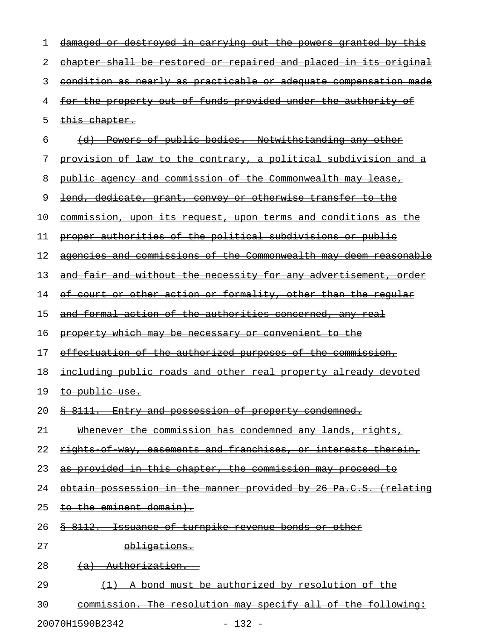| 1  | damaged or destroyed in carrying out the powers granted by this         |
|----|-------------------------------------------------------------------------|
| 2  | <u>chapter shall be restored or repaired and placed in its original</u> |
| 3  | condition as nearly as practicable or adequate compensation made        |
| 4  | for the property out of funds provided under the authority of           |
| 5  | this chapter.                                                           |
| 6  | (d) Powers of public bodies. Notwithstanding any other                  |
| 7  | <u>provision of law to the contrary, a political subdivision and a</u>  |
| 8  | public agency and commission of the Commonwealth may lease,             |
| 9  | lend, dedicate, grant, convey or otherwise transfer to the              |
| 10 | <u>commission, upon its request, upon terms and conditions as the</u>   |
| 11 | proper authorities of the political subdivisions or public              |
| 12 | agencies and commissions of the Commonwealth may deem reasonable        |
| 13 | and fair and without the necessity for any advertisement, order         |
| 14 | of court or other action or formality, other than the regular           |
| 15 | and formal action of the authorities concerned, any real                |
| 16 | property which may be necessary or convenient to the                    |
| 17 | effectuation of the authorized purposes of the commission,              |
| 18 | <u>including public roads and other real property already devoted</u>   |
| 19 | to public use.                                                          |
| 20 | \$ 8111. Entry and possession of property condemned.                    |
| 21 | Whenever the commission has condemned any lands, rights,                |
| 22 | rights of way, easements and franchises, or interests therein,          |
| 23 | as provided in this chapter, the commission may proceed to              |
| 24 | obtain possession in the manner provided by 26 Pa.C.S. (relating        |
| 25 | to the eminent domain).                                                 |
| 26 | \$ 8112. Issuance of turnpike revenue bonds or other                    |
| 27 | obligations.                                                            |
| 28 | (a) Authorization.                                                      |
| 29 | (1) A bond must be authorized by resolution of the                      |
| 30 | commission. The resolution may specify all of the following:            |
|    |                                                                         |

20070H1590B2342 - 132 -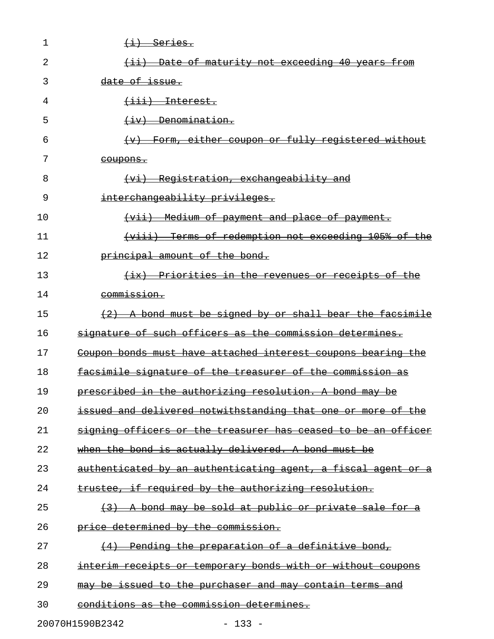| 1  | <del>(i) Series.</del>                                        |
|----|---------------------------------------------------------------|
| 2  | <u>(ii) Date of maturity not exceeding 40 years from</u>      |
| 3  | <del>date of issue.</del>                                     |
| 4  | <del>(iii) Interest.</del>                                    |
| 5  | $\overline{(+iv)}$ Denomination.                              |
| 6  | <u>Form, either coupon or fully registered without</u>        |
| 7  | <del>coupons.</del>                                           |
| 8  | (vi) Registration, exchangeability and                        |
| 9  | interchangeability privileges.                                |
| 10 | <u>(vii) Medium of payment and place of payment.</u>          |
| 11 | (viii) Terms of redemption not exceeding 105% of the          |
| 12 | principal amount of the bond.                                 |
| 13 | (ix) Priorities in the revenues or receipts of the            |
| 14 | commission.                                                   |
| 15 | $(2)$ A bond must be signed by or shall bear the facsimile    |
| 16 | signature of such officers as the commission determines.      |
| 17 | Coupon bonds must have attached interest coupons bearing the  |
| 18 | facsimile signature of the treasurer of the commission as     |
| 19 | prescribed in the authorizing resolution. A bond may be       |
| 20 | issued and delivered notwithstanding that one or more of the  |
| 21 | signing officers or the treasurer has ceased to be an officer |
| 22 | when the bond is actually delivered. A bond must be           |
| 23 | authenticated by an authenticating agent, a fiscal agent or a |
| 24 | trustee, if required by the authorizing resolution.           |
| 25 | $(3)$ A bond may be sold at public or private sale for a      |
| 26 | price determined by the commission.                           |
| 27 | (4) Pending the preparation of a definitive bond,             |
| 28 | interim receipts or temporary bonds with or without coupons   |
| 29 | may be issued to the purchaser and may contain terms and      |
| 30 | conditions as the commission determines.                      |
|    | 20070H1590B2342<br>$-133 -$                                   |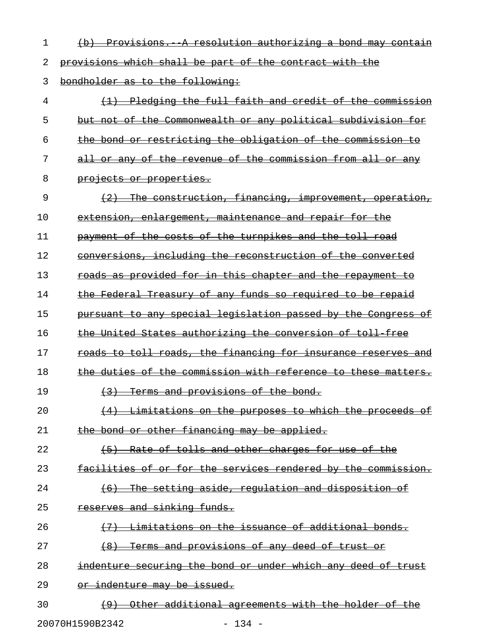1 (b) Provisions. A resolution authorizing a bond may contain

2 provisions which shall be part of the contract with the

3 bondholder as to the following:

4 (1) Pledging the full faith and credit of the commission 5 but not of the Commonwealth or any political subdivision for 6 the bond or restricting the obligation of the commission to 7 all or any of the revenue of the commission from all or any 8 projects or properties. 9 (2) The construction, financing, improvement, operation, 10 extension, enlargement, maintenance and repair for the 11 payment of the costs of the turnpikes and the toll road 12 conversions, including the reconstruction of the converted 13 roads as provided for in this chapter and the repayment to 14 the Federal Treasury of any funds so required to be repaid 15 pursuant to any special legislation passed by the Congress of 16 the United States authorizing the conversion of toll free 17 roads to toll roads, the financing for insurance reserves and 18 the duties of the commission with reference to these matters. 19  $(3)$  Terms and provisions of the bond.  $20$   $(4)$  Limitations on the purposes to which the proceeds of 21 the bond or other financing may be applied. 22 (5) Rate of tolls and other charges for use of the 23 facilities of or for the services rendered by the commission. 24 (6) The setting aside, regulation and disposition of 25 reserves and sinking funds.  $26$   $\longleftrightarrow$   $\overline{47}$  Limitations on the issuance of additional bonds. 27 (8) Terms and provisions of any deed of trust or 28 indenture securing the bond or under which any deed of trust 29 or indenture may be issued. 30 (9) Other additional agreements with the holder of

20070H1590B2342 - 134 -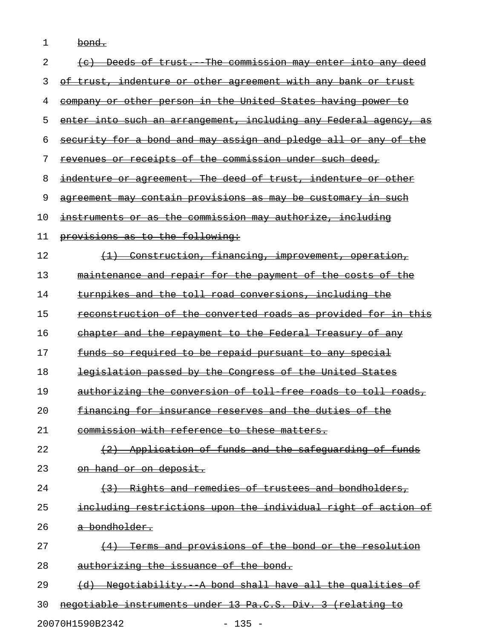| 1  | <del>bond.</del>                                                        |
|----|-------------------------------------------------------------------------|
| 2  | (c) Deeds of trust. The commission may enter into any deed              |
| 3  | of trust, indenture or other agreement with any bank or trust           |
| 4  | company or other person in the United States having power to            |
| 5  | enter into such an arrangement, including any Federal agency, as        |
| 6  | security for a bond and may assign and pledge all or any of the         |
| 7  | revenues or receipts of the commission under such deed,                 |
| 8  | indenture or agreement. The deed of trust, indenture or other           |
| 9  | <u>agreement may contain provisions as may be customary in such</u>     |
| 10 | instruments or as the commission may authorize, including               |
| 11 | provisions as to the following:                                         |
| 12 | (1) Construction, financing, improvement, operation,                    |
| 13 | maintenance and repair for the payment of the costs of the              |
| 14 | turnpikes and the toll road conversions, including the                  |
| 15 | reconstruction of the converted roads as provided for in this           |
| 16 | chapter and the repayment to the Federal Treasury of any                |
| 17 | funds so required to be repaid pursuant to any special                  |
| 18 | legislation passed by the Congress of the United States                 |
| 19 | authorizing the conversion of toll free roads to toll roads,            |
| 20 | financing for insurance reserves and the duties of the                  |
| 21 | commission with reference to these matters.                             |
| 22 | Application of funds and the safequarding of funds                      |
| 23 | on hand or on deposit.                                                  |
| 24 | (3) Rights and remedies of trustees and bondholders,                    |
| 25 | including restrictions upon the individual right of action of           |
| 26 | <del>a bondholder.</del>                                                |
| 27 | Terms and provisions of the bond or the resolution                      |
| 28 | authorizing the issuance of the bond.                                   |
| 29 | Negotiability. A bond shall have all the qualities of<br>$\overline{a}$ |
| 30 | negotiable instruments under 13 Pa.C.S. Div. 3 (relating to             |
|    |                                                                         |

20070H1590B2342 - 135 -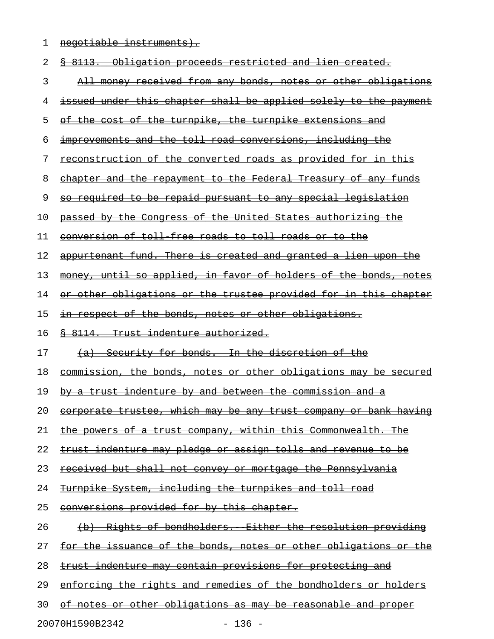1 negotiable instruments).

| 2  | <u>§ 8113. Obligation proceeds restricted and lien created.</u>         |
|----|-------------------------------------------------------------------------|
| 3  | All money received from any bonds, notes or other obligations           |
| 4  | issued under this chapter shall be applied solely to the payment        |
| 5  | of the cost of the turnpike, the turnpike extensions and                |
| 6  | improvements and the toll road conversions, including the               |
| 7  | reconstruction of the converted roads as provided for in this           |
| 8  | chapter and the repayment to the Federal Treasury of any funds          |
| 9  | so required to be repaid pursuant to any special legislation            |
| 10 | passed by the Congress of the United States authorizing the             |
| 11 | conversion of toll free roads to toll roads or to the                   |
| 12 | appurtenant fund. There is created and granted a lien upon the          |
| 13 | money, until so applied, in favor of holders of the bonds, notes        |
| 14 | <u>or other obligations or the trustee provided for in this chapter</u> |
| 15 | in respect of the bonds, notes or other obligations.                    |
| 16 | § 8114. Trust indenture authorized.                                     |
|    | (a) Security for bonds. In the discretion of the                        |
| 17 |                                                                         |
| 18 | commission, the bonds, notes or other obligations may be secured        |
| 19 | by a trust indenture by and between the commission and a                |
| 20 | <u>corporate trustee, which may be any trust company or bank having</u> |
| 21 | the powers of a trust company, within this Commonwealth. The            |
| 22 | trust indenture may pledge or assign tolls and revenue to be            |
| 23 | <u>received but shall not convey or mortgage the Pennsylvania</u>       |
| 24 | Turnpike System, including the turnpikes and toll road                  |
| 25 | conversions provided for by this chapter.                               |
| 26 | (b) Rights of bondholders. Either the resolution providing              |
| 27 | for the issuance of the bonds, notes or other obligations or the        |
| 28 | trust indenture may contain provisions for protecting and               |
| 29 | enforcing the rights and remedies of the bondholders or holders         |
| 30 | of notes or other obligations as may be reasonable and proper           |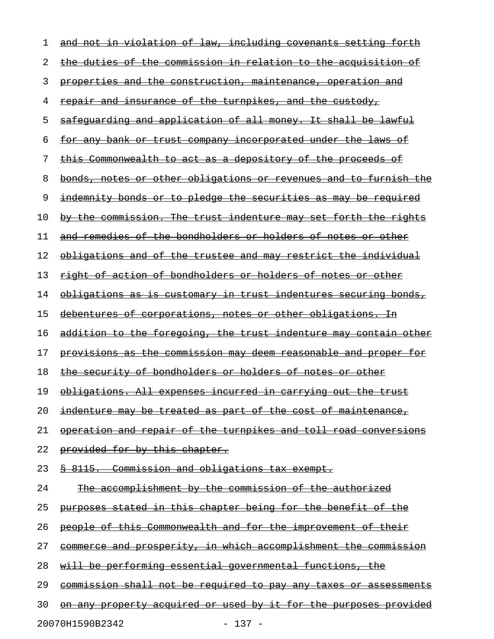| ı  | and not in violation of law, including covenants setting forth          |
|----|-------------------------------------------------------------------------|
| 2  | the duties of the commission in relation to the acquisition of          |
| 3  | properties and the construction, maintenance, operation and             |
| 4  | <u>repair and insurance of the turnpikes, and the custody,</u>          |
| 5  | safequarding and application of all money. It shall be lawful           |
| 6  | <u>for any bank or trust company incorporated under the laws of</u>     |
| 7  | <u>this Commonwealth to act as a depository of the proceeds of</u>      |
| 8  | bonds, notes or other obligations or revenues and to furnish the        |
| 9  | indemnity bonds or to pledge the securities as may be required          |
| 10 | by the commission. The trust indenture may set forth the rights         |
| 11 | and remedies of the bondholders or holders of notes or other            |
| 12 | obligations and of the trustee and may restrict the individual          |
| 13 | <u>right of action of bondholders or holders of notes or other</u>      |
| 14 | <u>obligations as is customary in trust indentures securing bonds,</u>  |
| 15 | debentures of corporations, notes or other obligations. In              |
| 16 | <u>addition to the foregoing, the trust indenture may contain other</u> |
| 17 | <u>provisions as the commission may deem reasonable and proper for</u>  |
| 18 | the security of bondholders or holders of notes or other                |
| 19 | obligations. All expenses incurred in carrying out the trust            |
| 20 | <u>indenture may be treated as part of the cost of maintenance,</u>     |
| 21 | operation and repair of the turnpikes and toll road conversions         |
| 22 | provided for by this chapter.                                           |
| 23 | § 8115. Commission and obligations tax exempt.                          |
| 24 | The accomplishment by the commission of the authorized                  |
| 25 | purposes stated in this chapter being for the benefit of the            |
| 26 | people of this Commonwealth and for the improvement of their            |
| 27 | commerce and prosperity, in which accomplishment the commission         |
| 28 | will be performing essential governmental functions, the                |
| 29 | <u>commission shall not be required to pay any taxes or assessments</u> |
| 30 | <u>on any property acquired or used by it for the purposes provided</u> |
|    | 20070H1590B2342<br>$-137 -$                                             |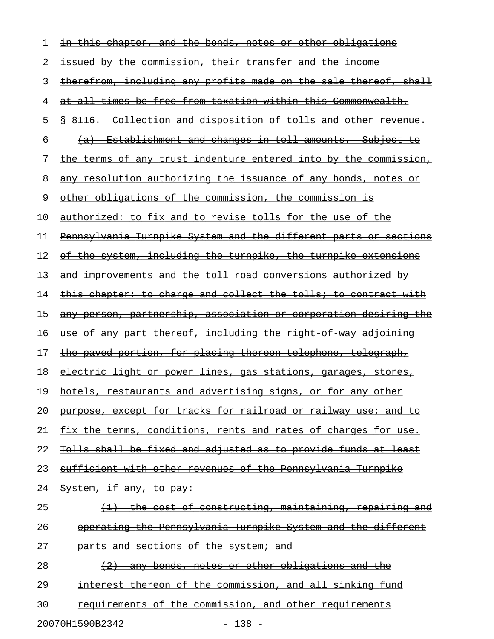| 1  | <u>in this chapter, and the bonds, notes or other obligations </u>         |
|----|----------------------------------------------------------------------------|
| 2  | issued by the commission, their transfer and the income                    |
| 3  | therefrom, including any profits made on the sale thereof, shall           |
| 4  | at all times be free from taxation within this Commonwealth.               |
| 5  | \$ 8116. Collection and disposition of tolls and other revenue.            |
| 6  | <u>(a) Establishment and changes in toll amounts. Subject to</u>           |
| 7  | the terms of any trust indenture entered into by the commission,           |
| 8  | <u>any resolution authorizing the issuance of any bonds, notes or</u>      |
| 9  | other obligations of the commission, the commission is                     |
| 10 | authorized: to fix and to revise tolls for the use of the                  |
| 11 | Pennsylvania Turnpike System and the different parts or sections           |
| 12 | of the system, including the turnpike, the turnpike extensions             |
| 13 | <u>and improvements and the toll road conversions authorized by</u>        |
| 14 | this chapter: to charge and collect the tolls; to contract with            |
| 15 | <u>any person, partnership, association or corporation desiring the</u>    |
| 16 | <u>use of any part thereof, including the right of way adjoining</u>       |
| 17 | the paved portion, for placing thereon telephone, telegraph,               |
| 18 | <u>electric light or power lines, gas stations, garages, stores, </u>      |
| 19 | hotels, restaurants and advertising signs, or for any other                |
| 20 | purpose, except for tracks for railroad or railway use; and to             |
| 21 | fix the terms, conditions, rents and rates of charges for use.             |
| 22 | Tolls shall be fixed and adjusted as to provide funds at least             |
| 23 | sufficient with other revenues of the Pennsylvania Turnpike                |
| 24 | System, if any, to pay:                                                    |
| 25 | the cost of constructing, maintaining, repairing and                       |
| 26 | operating the Pennsylvania Turnpike System and the different               |
| 27 | parts and sections of the system; and                                      |
| 28 | any bonds, notes or other obligations and the<br>$\leftarrow$ $\leftarrow$ |
| 29 | interest thereon of the commission, and all sinking fund                   |
| 30 | requirements of the commission, and other requirements                     |
|    |                                                                            |

20070H1590B2342 - 138 -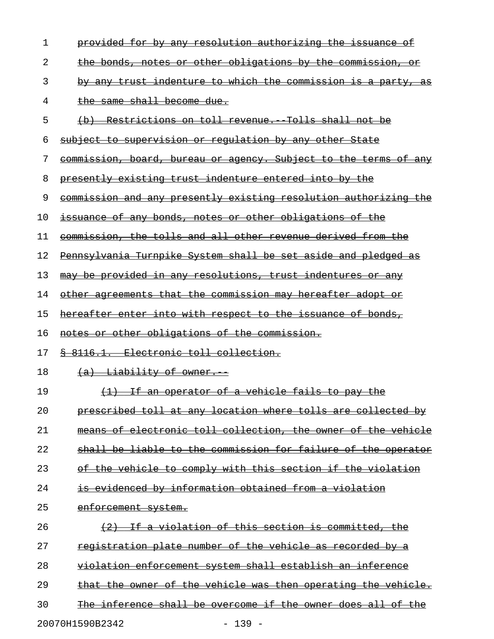| 1  | provided for by any resolution authorizing the issuance of                                         |
|----|----------------------------------------------------------------------------------------------------|
| 2  | the bonds, notes or other obligations by the commission, or                                        |
| 3  | by any trust indenture to which the commission is a party, as                                      |
| 4  | the same shall become due.                                                                         |
| 5  | (b) Restrictions on toll revenue. Tolls shall not be                                               |
| 6  | subject to supervision or requlation by any other State                                            |
| 7  | commission, board, bureau or agency. Subject to the terms of any                                   |
| 8  | presently existing trust indenture entered into by the                                             |
| 9  | commission and any presently existing resolution authorizing the                                   |
| 10 | issuance of any bonds, notes or other obligations of the                                           |
| 11 | commission, the tolls and all other revenue derived from the                                       |
| 12 | Pennsylvania Turnpike System shall be set aside and pledged as                                     |
| 13 | may be provided in any resolutions, trust indentures or any                                        |
| 14 | other agreements that the commission may hereafter adopt or                                        |
| 15 | hereafter enter into with respect to the issuance of bonds,                                        |
| 16 | notes or other obligations of the commission.                                                      |
| 17 | 8 8116.1. Electronic toll collection.                                                              |
| 18 | (a) Liability of owner.                                                                            |
| 19 | (1) If an operator of a vehicle fails to pay the                                                   |
| 20 | prescribed toll at any location where tolls are collected by                                       |
| 21 | electronic toll collection, the owner of the vehicle<br>⊖£                                         |
| 22 | to the commission for failure of the<br><del>liable</del><br><del>operator</del>                   |
| 23 | <u>to comply with this section if the violation</u><br><del>vehicle</del><br><del>the</del>        |
| 24 | <u>evidenced by information obtained from a violation</u>                                          |
| 25 | <del>enforcement system.</del>                                                                     |
| 26 | <u>a violation of this section is committed, the </u>                                              |
| 27 | registration plate number of the<br><del>vehicle</del><br><del>as recorded</del><br><del>lov</del> |
| 28 | <del>system shall establish an</del><br>violation enforcement<br><del>inference</del>              |
| 29 | <del>vehicle was then operating the</del><br><del>of the</del><br><del>vehicle.</del><br>owner     |
| 30 | <del>inference shall be overcome if the owner does all of</del>                                    |
|    | $-139 -$<br>20070H1590B2342                                                                        |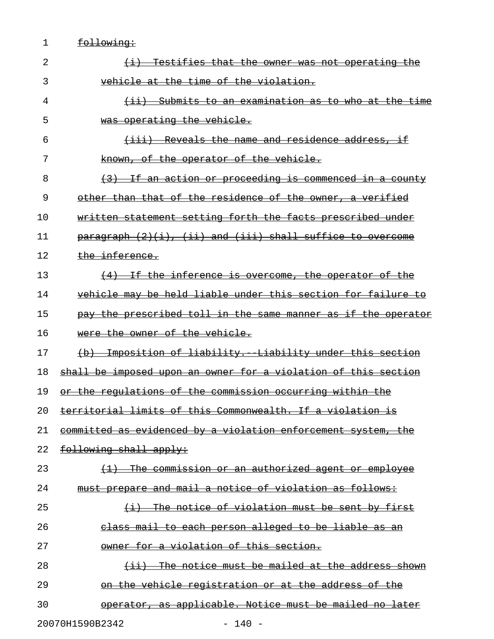1 <u>following:</u>

| 2                           | Testifies that the owner was not operating the                                             |  |
|-----------------------------|--------------------------------------------------------------------------------------------|--|
| 3                           | vehicle at the time of the violation.                                                      |  |
| 4                           | <u>(ii) Submits to an examination as to who at the time</u>                                |  |
| 5                           | was operating the vehicle.                                                                 |  |
| 6                           | $\{$ iii) Reveals the name and residence address, if                                       |  |
| 7                           | known, of the operator of the vehicle.                                                     |  |
| 8                           | $\left\langle 3\right\rangle$ If an action or proceeding is commenced in a county          |  |
| 9                           | other than that of the residence of the owner, a verified                                  |  |
| 10                          | written statement setting forth the facts prescribed under                                 |  |
| 11                          | $\frac{\text{parameter}}{\text{average}}$ (2)(i), (ii) and (iii) shall suffice to overcome |  |
| 12                          | the inference.                                                                             |  |
| 13                          | (4) If the inference is overcome, the operator of the                                      |  |
| 14                          | <u>vehicle may be held liable under this section for failure to</u>                        |  |
| 15                          | pay the prescribed toll in the same manner as if the operator                              |  |
| 16                          | were the owner of the vehicle.                                                             |  |
| 17                          | (b) Imposition of liability. Liability under this section                                  |  |
| 18                          | shall be imposed upon an owner for a violation of this section                             |  |
| 19                          | or the regulations of the commission occurring within the                                  |  |
| 20                          | territorial limits of this Commonwealth. If a violation is                                 |  |
| 21                          | committed as evidenced by a violation enforcement system, the                              |  |
| 22                          | following shall apply:                                                                     |  |
| 23                          | <u>commission or an authorized agent or employee</u>                                       |  |
| 24                          | must prepare and mail a notice of violation as follows:                                    |  |
| 25                          | The notice of violation must be sent by first                                              |  |
| 26                          | class mail to each person alleged to be liable as an                                       |  |
| 27                          | owner for a violation of this section.                                                     |  |
| 28                          | The notice must be mailed at the address shown                                             |  |
| 29                          | <u>on the vehicle registration or at the address of the </u>                               |  |
| 30                          | operator, as applicable. Notice must be mailed no later                                    |  |
| 20070H1590B2342<br>$-140 -$ |                                                                                            |  |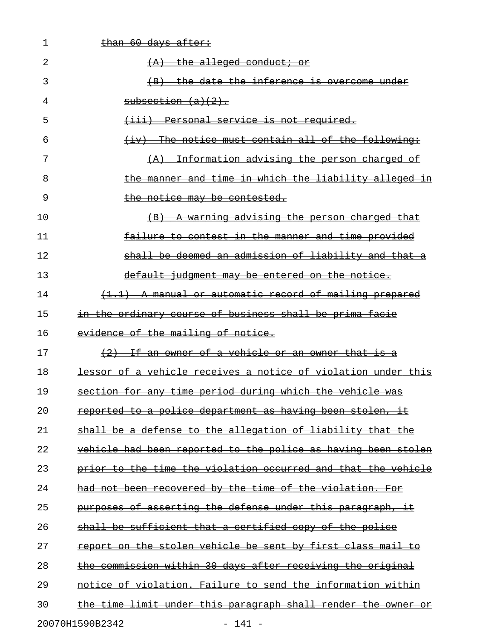| 1  | than 60 days after:                                           |
|----|---------------------------------------------------------------|
| 2  | $(A)$ the alleged conduct; or                                 |
| 3  | (B) the date the inference is overcome under                  |
| 4  | subsection (a)(2).                                            |
| 5  | (iii) Personal service is not required.                       |
| 6  | $(iv)$ The notice must contain all of the following:          |
| 7  | (A) Information advising the person charged of                |
| 8  | the manner and time in which the liability alleged in         |
| 9  | the notice may be contested.                                  |
| 10 | (B) A warning advising the person charged that                |
| 11 | failure to contest in the manner and time provided            |
| 12 | shall be deemed an admission of liability and that a          |
| 13 | default judgment may be entered on the notice.                |
| 14 | (1.1) A manual or automatic record of mailing prepared        |
| 15 | in the ordinary course of business shall be prima facie       |
| 16 | evidence of the mailing of notice.                            |
| 17 | (2) If an owner of a vehicle or an owner that is a            |
| 18 | lessor of a vehicle receives a notice of violation under this |
| 19 | section for any time period during which the vehicle was      |
| 20 | reported to a police department as having been stolen, it     |
| 21 | shall be a defense to the allegation of liability that the    |
| 22 | vehicle had been reported to the police as having been stolen |
| 23 | prior to the time the violation occurred and that the vehicle |
| 24 | had not been recovered by the time of the violation. For      |
| 25 | purposes of asserting the defense under this paragraph, it    |
| 26 | shall be sufficient that a certified copy of the police       |
| 27 | report on the stolen vehicle be sent by first class mail to   |
| 28 | the commission within 30 days after receiving the original    |
| 29 | notice of violation. Failure to send the information within   |
| 30 | the time limit under this paragraph shall render the owner or |
|    | 20070H1590B2342<br>$-141 -$                                   |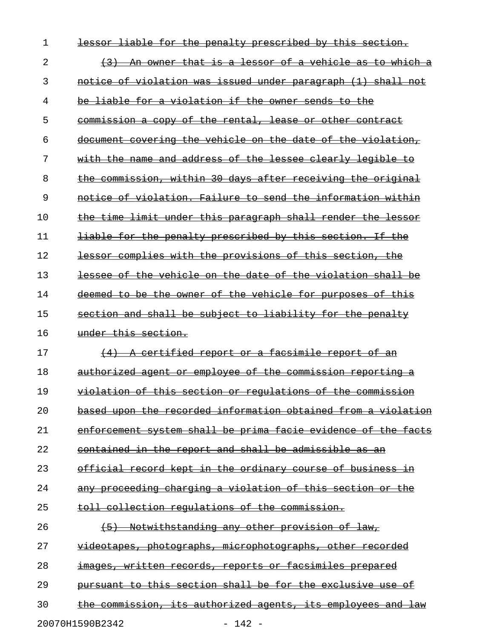| 1  | the penalty prescribed by this section.<br><del>liable for</del><br><del>lessor</del> |
|----|---------------------------------------------------------------------------------------|
| 2  | An owner that is a lessor of a vehicle as to which a                                  |
| 3  | notice of violation was issued under paragraph (1) shall not                          |
| 4  | <del>liable for a violation if the owner sends to the</del><br><del>be-</del>         |
| 5  | commission a copy of the rental, lease or other contract                              |
| 6  | document covering the vehicle on the date of the violation,                           |
| 7  | with the name and address of the lessee clearly legible to                            |
| 8  | the commission, within 30 days after receiving the original                           |
| 9  | notice of violation. Failure to send the information within                           |
| 10 | the time limit under this paragraph shall render the lessor                           |
| 11 | liable for the penalty prescribed by this section. If the                             |
| 12 | lessor complies with the provisions of this section, the                              |
| 13 | lessee of the vehicle on the date of the violation shall be                           |
| 14 | deemed to be the owner of the vehicle for purposes of this                            |
| 15 | section and shall be subject to liability for the penalty                             |
| 16 | under this section.                                                                   |
| 17 | (4) A certified report or a facsimile report of an                                    |
| 18 | authorized agent or employee of the commission reporting a                            |
| 19 | violation of this section or requlations of the commission                            |
| 20 | based upon the recorded information obtained from a violation                         |
| 21 | enforcement system shall be prima facie evidence of the facts                         |
| 22 | contained in the report and shall be admissible as an                                 |
| 23 | official record kept in the ordinary course of business in                            |
| 24 | any proceeding charging a violation of this section or the                            |
| 25 | toll collection regulations of the commission.                                        |
| 26 | Notwithstanding any other provision of law,<br>$+5$                                   |
| 27 | videotapes, photographs, microphotographs, other recorded                             |
| 28 | images, written records, reports or facsimiles prepared                               |
| 29 | pursuant to this section shall be for the exclusive use of                            |
| 30 | the commission, its authorized agents, its employees and law                          |
|    | 20070H1590B2342<br>$142 -$                                                            |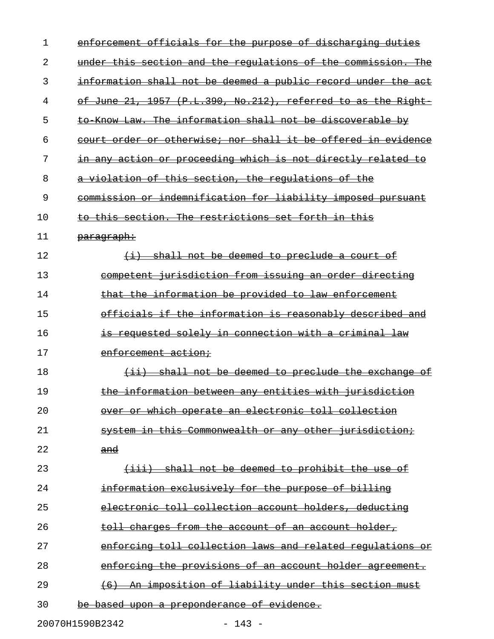| 1  | enforcement officials for the purpose of discharging duties              |
|----|--------------------------------------------------------------------------|
| 2  | under this section and the regulations of the commission. The            |
| 3  | information shall not be deemed a public record under the act            |
| 4  | of June 21, 1957 (P.L.390, No.212), referred to as the Right             |
| 5  | to Know Law. The information shall not be discoverable by                |
| 6  | court order or otherwise; nor shall it be offered in evidence            |
| 7  | in any action or proceeding which is not directly related<br>ŧө          |
| 8  | a violation of this section, the regulations of the                      |
| 9  | commission or indemnification for liability imposed pursuant             |
| 10 | to this section. The restrictions set forth in this                      |
| 11 | <del>paragraph:</del>                                                    |
| 12 | (i) shall not be deemed to preclude a court of                           |
| 13 | competent jurisdiction from issuing an order directing                   |
| 14 | that the information be provided to law enforcement                      |
| 15 | officials if the information is reasonably described and                 |
| 16 | <del>is requested solely in connection with a criminal law</del>         |
| 17 | enforcement action;                                                      |
| 18 | shall not be deemed to preclude the exchange<br>$\leftrightarrow$<br>−o± |
| 19 | the information between any entities with jurisdiction                   |
| 20 | over or which operate an electronic toll collection                      |
| 21 | system in this Commonwealth or any other jurisdiction;                   |
| 22 | and                                                                      |
| 23 | (iii) shall not be deemed to prohibit the use of                         |
| 24 | information exclusively for the purpose of billing                       |
| 25 | electronic toll collection account holders, deducting                    |
| 26 | toll charges from the account of an account holder,                      |
| 27 | enforcing toll collection laws and related regulations or                |
| 28 | enforcing the provisions of an account holder agreement.                 |
| 29 | (6) An imposition of liability under this section must                   |
| 30 | be based upon a preponderance of evidence.                               |
|    |                                                                          |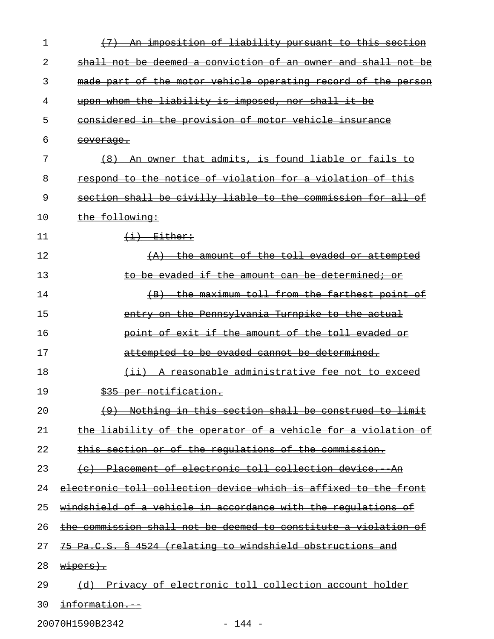| 1  | An imposition of liability pursuant to this section                        |
|----|----------------------------------------------------------------------------|
| 2  | shall not be deemed a conviction of an owner and shall not be              |
| 3  | made part of the motor vehicle operating record of the person              |
| 4  | upon whom the liability is imposed, nor shall it be                        |
| 5  | considered in the provision of motor vehicle insurance                     |
| 6  | <del>coverage.</del>                                                       |
| 7  | An owner that admits, is found liable or fails to<br>(8)                   |
| 8  | respond to the notice of violation for a violation of this                 |
| 9  | section shall be civilly liable to the commission for all of               |
| 10 | the following:                                                             |
| 11 | $\leftarrow$ $\leftarrow$ $\frac{E\texttt{ither}}{}$                       |
| 12 | (A) the amount of the toll evaded or attempted                             |
| 13 | to be evaded if the amount can be determined; or                           |
| 14 | the maximum toll from the farthest point of<br>$\left( \mathrm{B} \right)$ |
| 15 | entry on the Pennsylvania Turnpike to the actual                           |
| 16 | point of exit if the amount of the toll evaded or                          |
| 17 | attempted to be evaded cannot be determined.                               |
| 18 | (ii) A reasonable administrative fee not to exceed                         |
| 19 | \$35 per notification.                                                     |
| 20 | (9) Nothing in this section shall be construed to limit                    |
| 21 | the liability of the operator of a vehicle for a violation of              |
| 22 | this section or of the regulations of the commission.                      |
| 23 | (e) Placement of electronic toll collection device. An                     |
| 24 | electronic toll collection device which is affixed to the front            |
| 25 | windshield of a vehicle in accordance with the requlations of              |
| 26 | the commission shall not be deemed to constitute a violation of            |
| 27 | 75 Pa.C.S. § 4524 (relating to windshield obstructions and                 |
| 28 | wipers).                                                                   |
| 29 | (d) Privacy of electronic toll collection account holder                   |
| 30 | <del>information.</del>                                                    |

20070H1590B2342 - 144 -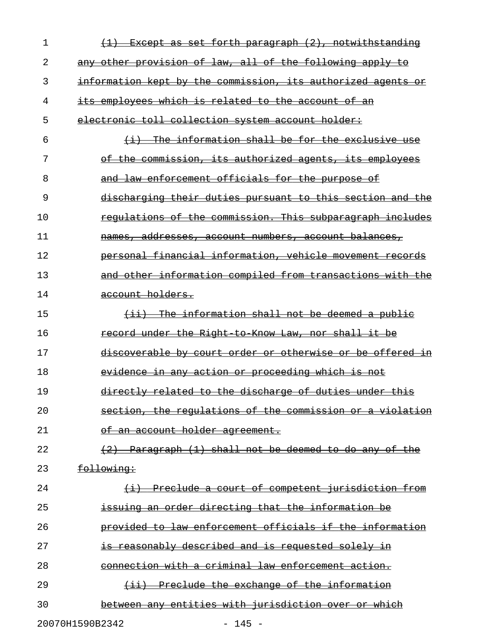| 1  | $(1)$ Except as set forth paragraph $(2)$ , notwithstanding  |
|----|--------------------------------------------------------------|
| 2  | any other provision of law, all of the following apply to    |
| 3  | information kept by the commission, its authorized agents or |
| 4  | its employees which is related to the account of an          |
| 5  | electronic toll collection system account holder:            |
| 6  | $(i)$ The information shall be for the exclusive use         |
| 7  | of the commission, its authorized agents, its employees      |
| 8  | and law enforcement officials for the purpose of             |
| 9  | discharging their duties pursuant to this section and the    |
| 10 | regulations of the commission. This subparagraph includes    |
| 11 | names, addresses, account numbers, account balances,         |
| 12 | personal financial information, vehicle movement records     |
| 13 | and other information compiled from transactions with the    |
| 14 | account holders.                                             |
| 15 | (ii) The information shall not be deemed a public            |
| 16 | record under the Right to Know Law, nor shall it be          |
| 17 | discoverable by court order or otherwise or be offered in    |
| 18 | evidence in any action or proceeding which is not            |
| 19 | directly related to the discharge of duties under this       |
| 20 | section, the regulations of the commission or a violation    |
| 21 | <del>of an account holder agreement.</del>                   |
| 22 | (2) Paragraph (1) shall not be deemed to do any of the       |
| 23 | following:                                                   |
| 24 | (i) Preclude a court of competent jurisdiction from          |
| 25 | issuing an order directing that the information be           |
| 26 | provided to law enforcement officials if the information     |
| 27 | is reasonably described and is requested solely in           |
| 28 | connection with a criminal law enforcement action.           |
| 29 | (ii) Preclude the exchange of the information                |
| 30 | between any entities with jurisdiction over or which         |
|    | 20070H1590B2342<br>$-145 -$                                  |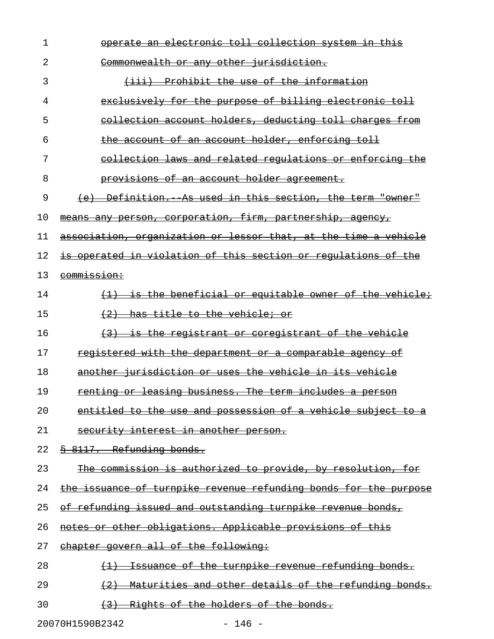| 1  | <u>operate an electronic toll collection system in this </u>     |
|----|------------------------------------------------------------------|
| 2  | Commonwealth or any other jurisdiction.                          |
| 3  | (iii) Prohibit the use of the information                        |
| 4  | exclusively for the purpose of billing electronic toll           |
| 5  | collection account holders, deducting toll charges from          |
| 6  | the account of an account holder, enforcing toll                 |
| 7  | collection laws and related requlations or enforcing the         |
| 8  | provisions of an account holder agreement.                       |
| 9  | (e) Definition. As used in this section, the term "owner"        |
| 10 | means any person, corporation, firm, partnership, agency,        |
| 11 | association, organization or lessor that, at the time a vehicle  |
| 12 | is operated in violation of this section or regulations of the   |
| 13 | <del>commission:</del>                                           |
| 14 | (1) is the beneficial or equitable owner of the vehicle;         |
| 15 | (2) has title to the vehicle; or                                 |
| 16 | (3) is the registrant or coregistrant of the vehicle             |
| 17 | registered with the department or a comparable agency of         |
| 18 | another jurisdiction or uses the vehicle in its vehicle          |
| 19 | renting or leasing business. The term includes a person          |
| 20 | entitled to the use and possession of a vehicle subject to a     |
| 21 | security interest in another person.                             |
| 22 | 8 8117. Refunding bonds.                                         |
| 23 | The commission is authorized to provide, by resolution, for      |
| 24 | the issuance of turnpike revenue refunding bonds for the purpose |
| 25 | of refunding issued and outstanding turnpike revenue bonds,      |
| 26 | notes or other obligations. Applicable provisions of this        |
| 27 | chapter govern all of the following:                             |
| 28 | Issuance of the turnpike revenue refunding bonds.                |
| 29 | Maturities and other details of the refunding bonds.<br>$+2$     |
| 30 | (3) Rights of the holders of the bonds.                          |

20070H1590B2342 - 146 -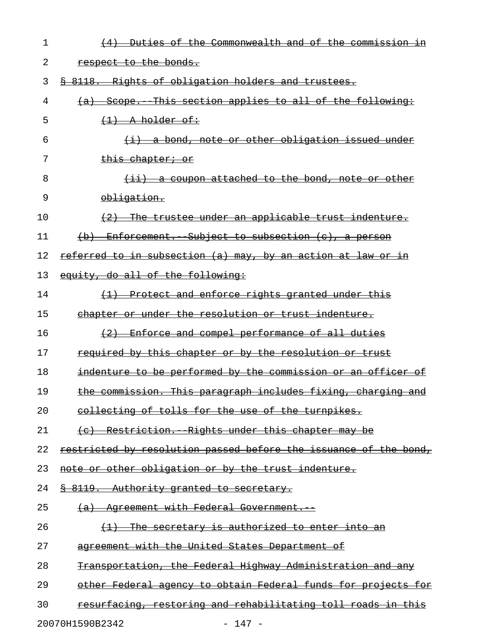| 1  | <u>Duties of the Commonwealth and of the commission in</u><br>$\left(4\right)$ |
|----|--------------------------------------------------------------------------------|
| 2  | respect to the bonds.                                                          |
| 3  | \$ 8118. Rights of obligation holders and trustees.                            |
| 4  | (a) Scope. This section applies to all of the following:                       |
| 5  | $(1)$ A holder of:                                                             |
| 6  | $(i)$ a bond, note or other obligation issued under                            |
| 7  | <del>this chapter; or</del>                                                    |
| 8  | $(i)$ a coupon attached to the bond, note or other                             |
| 9  | obligation.                                                                    |
| 10 | (2) The trustee under an applicable trust indenture.                           |
| 11 | $(b)$ Enforcement. Subject to subsection $(c)$ , a person                      |
| 12 | referred to in subsection (a) may, by an action at law or in                   |
| 13 | equity, do all of the following:                                               |
| 14 | (1) Protect and enforce rights granted under this                              |
| 15 | chapter or under the resolution or trust indenture.                            |
| 16 | (2) Enforce and compel performance of all duties                               |
| 17 | required by this chapter or by the resolution or trust                         |
| 18 | indenture to be performed by the commission or an officer of                   |
| 19 | the commission. This paragraph includes fixing, charging and                   |
| 20 | collecting of tolls for the use of the turnpikes.                              |
| 21 | (e) Restriction. Rights under this chapter may be                              |
| 22 | restricted by resolution passed before the issuance of the bond,               |
| 23 | note or other obligation or by the trust indenture.                            |
| 24 | <u>&amp; 8119. Authority granted to secretary.</u>                             |
| 25 | (a) Agreement with Federal Government.                                         |
| 26 | The secretary is authorized to enter into an                                   |
| 27 | agreement with the United States Department of                                 |
| 28 | Transportation, the Federal Highway Administration and any                     |
| 29 | other Federal agency to obtain Federal funds for projects for                  |
| 30 | resurfacing, restoring and rehabilitating toll roads in this                   |
|    |                                                                                |

20070H1590B2342 - 147 -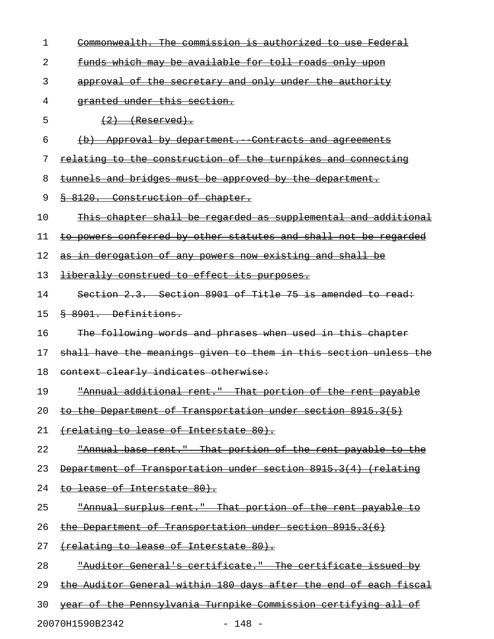| 1  | Commonwealth. The commission is authorized to use Federal        |
|----|------------------------------------------------------------------|
| 2  | funds which may be available for toll roads only upon            |
| 3  | approval of the secretary and only under the authority           |
| 4  | granted under this section.                                      |
| 5  | $(2)$ (Reserved).                                                |
| 6  | (b) Approval by department. Contracts and agreements             |
| 7  | relating to the construction of the turnpikes and connecting     |
| 8  | tunnels and bridges must be approved by the department.          |
| 9  | § 8120. Construction of chapter.                                 |
| 10 | This chapter shall be regarded as supplemental and additional    |
| 11 | to powers conferred by other statutes and shall not be regarded  |
| 12 | as in derogation of any powers now existing and shall be         |
| 13 | liberally construed to effect its purposes.                      |
| 14 | Section 2.3. Section 8901 of Title 75 is amended to read:        |
| 15 | § 8901. Definitions.                                             |
| 16 | The following words and phrases when used in this chapter        |
| 17 | shall have the meanings given to them in this section unless the |
| 18 | context clearly indicates otherwise:                             |
| 19 | "Annual additional rent." That portion of the rent payable       |
| 20 | the Department of Transportation under section 8915.3(5)         |
| 21 | <del>(relating to lease of Interstate 80).</del>                 |
| 22 | "Annual base rent." That portion of the rent payable to the      |
| 23 | Department of Transportation under section 8915.3(4) (relating   |
| 24 | <del>to lease of Interstate 80).</del>                           |
| 25 | "Annual surplus rent." That portion of the rent payable to       |
| 26 | the Department of Transportation under section 8915.3(6)         |
| 27 | (relating to lease of Interstate 80).                            |
| 28 | "Auditor General's certificate." The certificate issued by       |
| 29 | the Auditor General within 180 days after the end of each fiscal |
| 30 | year of the Pennsylvania Turnpike Commission certifying all of   |
|    | 20070H1590B2342<br>$-148 -$                                      |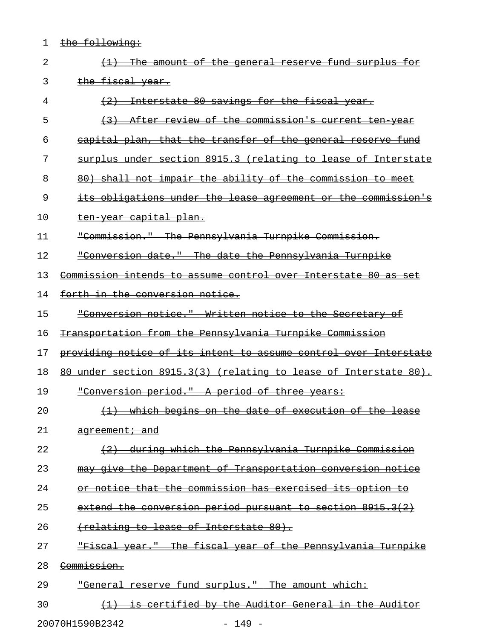1 the following:

| 2  | amount of the general reserve fund surplus for                   |
|----|------------------------------------------------------------------|
| 3  | the fiscal year.                                                 |
| 4  | Interstate 80 savings for the fiscal year.<br>(2)                |
| 5  | After review of the commission's current ten year                |
| 6  | eapital plan, that the transfer of the general reserve fund      |
| 7  | surplus under section 8915.3 (relating to lease of Interstate    |
| 8  | 80) shall not impair the ability of the commission to meet       |
| 9  | its obligations under the lease agreement or the commission's    |
| 10 | ten year capital plan.                                           |
| 11 | "Commission." The Pennsylvania Turnpike Commission.              |
| 12 | "Conversion date." The date the Pennsylvania Turnpike            |
| 13 | Commission intends to assume control over Interstate 80 as set   |
| 14 | forth in the conversion notice.                                  |
| 15 | "Conversion notice." Written notice to the Secretary of          |
| 16 | Transportation from the Pennsylvania Turnpike Commission         |
| 17 | providing notice of its intent to assume control over Interstate |
| 18 | 80 under section 8915.3(3) (relating to lease of Interstate 80). |
| 19 | "Conversion period." A period of three years:                    |
| 20 | (1) which begins on the date of execution of the lease           |
| 21 | <del>agreement; and</del>                                        |
| 22 | during which the Pennsylvania Turnpike Commission                |
| 23 | may give the Department of Transportation conversion notice      |
| 24 | or notice that the commission has exercised its option to        |
| 25 | extend the conversion period pursuant to section $8915.3(2)$     |
| 26 | (relating to lease of Interstate 80).                            |
| 27 | "Fiscal year." The fiscal year of the Pennsylvania Turnpike      |
| 28 | Commission.                                                      |
| 29 | "General reserve fund surplus." The amount which:                |
| 30 | is certified by the Auditor General in the Auditor               |
|    |                                                                  |

20070H1590B2342 - 149 -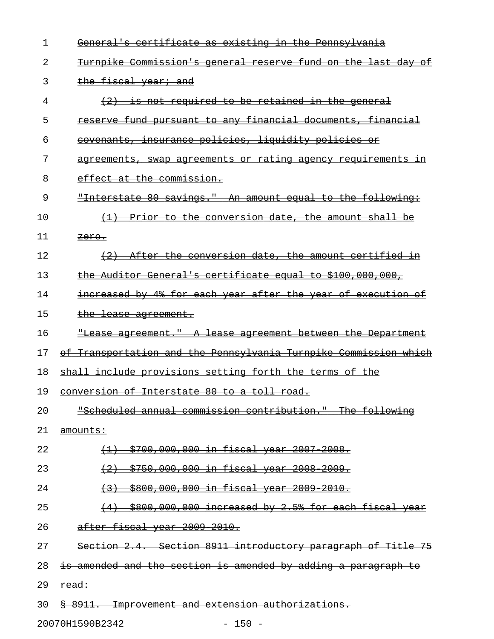| 1  | General's certificate as existing in the Pennsylvania               |
|----|---------------------------------------------------------------------|
| 2  | Turnpike Commission's general reserve fund on the last day of       |
| 3  | the fiscal year; and                                                |
| 4  | $(2)$ is not required to be retained in the general                 |
| 5  | reserve fund pursuant to any financial documents, financial         |
| 6  | covenants, insurance policies, liquidity policies or                |
| 7  | agreements, swap agreements or rating agency requirements in        |
| 8  | effect at the commission.                                           |
| 9  | "Interstate 80 savings." An amount equal to the following:          |
| 10 | (1) Prior to the conversion date, the amount shall be               |
| 11 | <del>zero.</del>                                                    |
| 12 | (2) After the conversion date, the amount certified in              |
| 13 | the Auditor General's certificate equal to \$100,000,000,           |
| 14 | increased by 4% for each year after the year of execution of        |
| 15 | the lease agreement.                                                |
| 16 | <u> "Lease agreement." A lease agreement between the Department</u> |
| 17 | of Transportation and the Pennsylvania Turnpike Commission which    |
| 18 | shall include provisions setting forth the terms of the             |
| 19 | <u>conversion of Interstate 80 to a toll road.</u>                  |
| 20 | "Scheduled annual commission contribution." The following           |
| 21 | amounts:                                                            |
| 22 | <u>(1) \$700,000,000 in fiscal year 2007-2008.</u>                  |
| 23 | (2) \$750,000,000 in fiscal year 2008 2009.                         |
| 24 | (3) \$800,000,000 in fiscal year 2009 2010.                         |
| 25 | $(4)$ \$800,000,000 increased by 2.5% for each fiscal year          |
| 26 | after fiscal year 2009 2010.                                        |
| 27 | Section 2.4. Section 8911 introductory paragraph of Title 75        |
| 28 | is amended and the section is amended by adding a paragraph to      |
| 29 | read:                                                               |
| 30 | § 8911. Improvement and extension authorizations.                   |

20070H1590B2342 - 150 -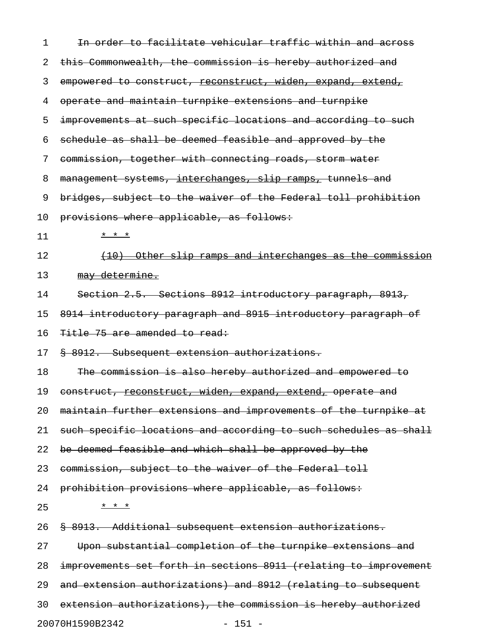| 1  | In order to facilitate vehicular traffic within and across       |
|----|------------------------------------------------------------------|
| 2  | this Commonwealth, the commission is hereby authorized and       |
| 3  | empowered to construct, reconstruct, widen, expand, extend,      |
| 4  | operate and maintain turnpike extensions and turnpike            |
| 5  | improvements at such specific locations and according to such    |
| 6  | schedule as shall be deemed feasible and approved by the         |
| 7  | commission, together with connecting roads, storm water          |
| 8  | management systems, interchanges, slip ramps, tunnels and        |
| 9  | bridges, subject to the waiver of the Federal toll prohibition   |
| 10 | provisions where applicable, as follows:                         |
| 11 | * * *                                                            |
| 12 | (10) Other slip ramps and interchanges as the commission         |
| 13 | may determine.                                                   |
| 14 | Section 2.5. Sections 8912 introductory paragraph, 8913,         |
| 15 | 8914 introductory paragraph and 8915 introductory paragraph of   |
| 16 | Title 75 are amended to read:                                    |
| 17 | § 8912. Subsequent extension authorizations.                     |
| 18 | The commission is also hereby authorized and empowered to        |
| 19 | construct, reconstruct, widen, expand, extend, operate and       |
| 20 | maintain further extensions and improvements of the turnpike at  |
| 21 | such specific locations and according to such schedules as shall |
| 22 | be deemed feasible and which shall be approved by the            |
| 23 | commission, subject to the waiver of the Federal toll            |
| 24 | prohibition provisions where applicable, as follows:             |
| 25 | * * *                                                            |
| 26 | \$ 8913. Additional subsequent extension authorizations.         |
| 27 | Upon substantial completion of the turnpike extensions and       |
| 28 | improvements set forth in sections 8911 (relating to improvement |
| 29 | and extension authorizations) and 8912 (relating to subsequent   |
| 30 | extension authorizations), the commission is hereby authorized   |
|    | 20070H1590B2342<br>$-151 -$                                      |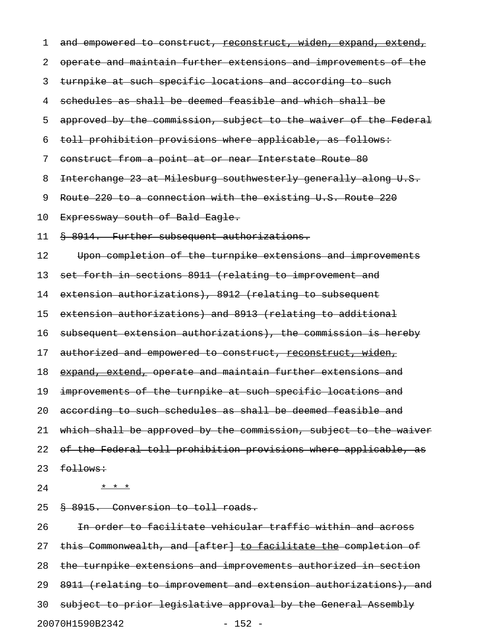| 1  | and empowered to construct, <u>reconstruct, widen, expand, extend,</u> |
|----|------------------------------------------------------------------------|
| 2  | operate and maintain further extensions and improvements of the        |
| 3  | turnpike at such specific locations and according to such              |
| 4  | schedules as shall be deemed feasible and which shall be               |
| 5  | approved by the commission, subject to the waiver of the Federal       |
| 6  | toll prohibition provisions where applicable, as follows:              |
| 7  | construct from a point at or near Interstate Route 80                  |
| 8  | Interchange 23 at Milesburg southwesterly generally along U.S.         |
| 9  | Route 220 to a connection with the existing U.S. Route 220             |
| 10 | Expressway south of Bald Eagle.                                        |
| 11 | § 8914. Further subsequent authorizations.                             |
| 12 | Upon completion of the turnpike extensions and improvements            |
| 13 | set forth in sections 8911 (relating to improvement and                |
| 14 | extension authorizations), 8912 (relating to subsequent                |
| 15 | extension authorizations) and 8913 (relating to additional             |
| 16 | subsequent extension authorizations), the commission is hereby         |
| 17 | authorized and empowered to construct, reconstruct, widen,             |
| 18 | expand, extend, operate and maintain further extensions and            |
| 19 | improvements of the turnpike at such specific locations and            |
| 20 | according to such schedules as shall be deemed feasible and            |
| 21 | which shall be approved by the commission, subject to the waiver       |
| 22 | of the Federal toll prohibition provisions where applicable, as        |
| 23 | follows:                                                               |
| 24 | * * *                                                                  |
| 25 | § 8915. Conversion to toll roads.                                      |
| 26 | In order to facilitate vehicular traffic within and across             |
| 27 | this Commonwealth, and [after] to facilitate the completion of         |
| 28 | the turnpike extensions and improvements authorized in section         |
| 29 | 8911 (relating to improvement and extension authorizations), and       |
| 30 | subject to prior legislative approval by the General Assembly          |
|    | 20070H1590B2342<br>$-152 -$                                            |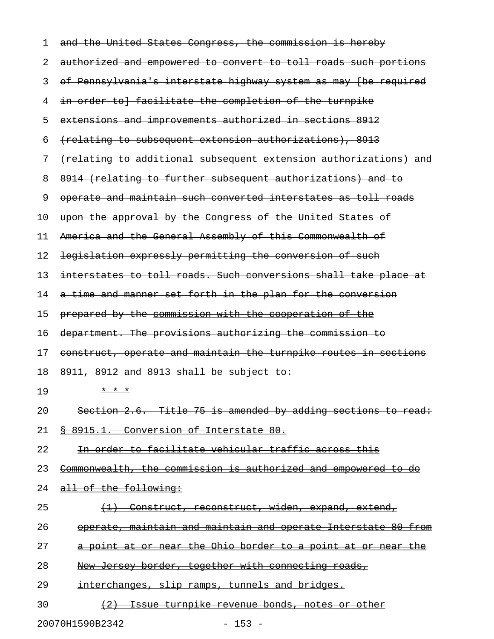| 1  | and the United States Congress, the commission is hereby         |
|----|------------------------------------------------------------------|
| 2  | authorized and empowered to convert to toll roads such portions  |
| 3  | of Pennsylvania's interstate highway system as may (be required  |
| 4  | in order to} facilitate the completion of the turnpike           |
| 5  | extensions and improvements authorized in sections 8912          |
| 6  | (relating to subsequent extension authorizations), 8913          |
| 7  | (relating to additional subsequent extension authorizations) and |
| 8  | 8914 (relating to further subsequent authorizations) and to      |
| 9  | operate and maintain such converted interstates as toll roads    |
| 10 | upon the approval by the Congress of the United States of        |
| 11 | America and the General Assembly of this Commonwealth of         |
| 12 | legislation expressly permitting the conversion of such          |
| 13 | interstates to toll roads. Such conversions shall take place at  |
| 14 | a time and manner set forth in the plan for the conversion       |
| 15 | prepared by the commission with the cooperation of the           |
|    |                                                                  |
| 16 | department. The provisions authorizing the commission to         |
| 17 | construct, operate and maintain the turnpike routes in sections  |
| 18 | $8911, 8912$ and $8913$ shall be subject to:                     |
| 19 | * * *                                                            |
| 20 | Section 2.6. Title 75 is amended by adding sections to read:     |
| 21 | § 8915.1. Conversion of Interstate 80.                           |
| 22 | In order to facilitate vehicular traffic across this             |
| 23 | Commonwealth, the commission is authorized and empowered to do   |
| 24 | all of the following:                                            |
| 25 | (1) Construct, reconstruct, widen, expand, extend,               |
| 26 | operate, maintain and maintain and operate Interstate 80 from    |
| 27 | a point at or near the Ohio border to a point at or near the     |
| 28 | New Jersey border, together with connecting roads,               |
| 29 | interchanges, slip ramps, tunnels and bridges.                   |

20070H1590B2342 - 153 -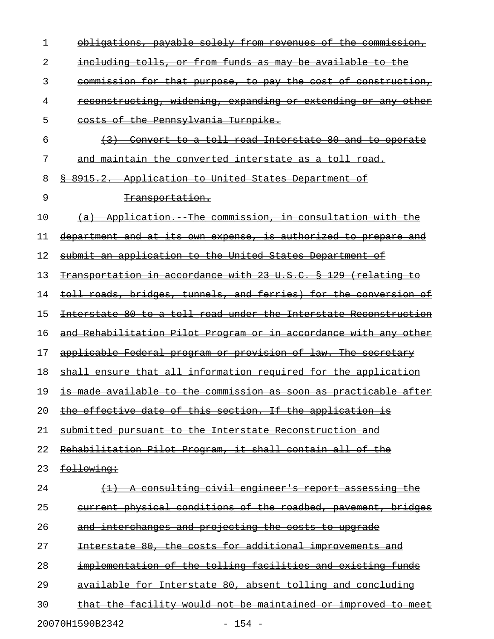| 1  | obligations, payable solely from revenues of the commission,         |
|----|----------------------------------------------------------------------|
| 2  | including tolls, or from funds as may be available to the            |
| 3  | <u>commission for that purpose, to pay the cost of construction,</u> |
| 4  | <u>reconstructing, widening, expanding or extending or any other</u> |
| 5  | costs of the Pennsylvania Turnpike.                                  |
| 6  | (3) Convert to a toll road Interstate 80 and to operate              |
| 7  | <u>and maintain the converted interstate as a toll road.</u>         |
| 8  | \$ 8915.2. Application to United States Department of                |
| 9  | Transportation.                                                      |
| 10 | (a) Application. The commission, in consultation with the            |
| 11 | department and at its own expense, is authorized to prepare and      |
| 12 | submit an application to the United States Department of             |
| 13 | Transportation in accordance with 23 U.S.C. § 129 (relating to       |
| 14 | toll roads, bridges, tunnels, and ferries) for the conversion of     |
| 15 | Interstate 80 to a toll road under the Interstate Reconstruction     |
| 16 | and Rehabilitation Pilot Program or in accordance with any other     |
| 17 | applicable Federal program or provision of law. The secretary        |
| 18 | shall ensure that all information required for the application       |
| 19 | is made available to the commission as soon as practicable after     |
| 20 | the effective date of this section. If the application is            |
| 21 | submitted pursuant to the Interstate Reconstruction and              |
| 22 | Rehabilitation Pilot Program, it shall contain all of the            |
| 23 | following:                                                           |
| 24 | (1) A consulting civil engineer's report assessing the               |
| 25 | current physical conditions of the roadbed, pavement, bridges        |
| 26 | and interchanges and projecting the costs to upgrade                 |
| 27 | Interstate 80, the costs for additional improvements and             |
| 28 | implementation of the tolling facilities and existing funds          |
| 29 | available for Interstate 80, absent tolling and concluding           |
| 30 | that the facility would not be maintained or improved to meet        |
|    | 20070H1590B2342<br>$-154 -$                                          |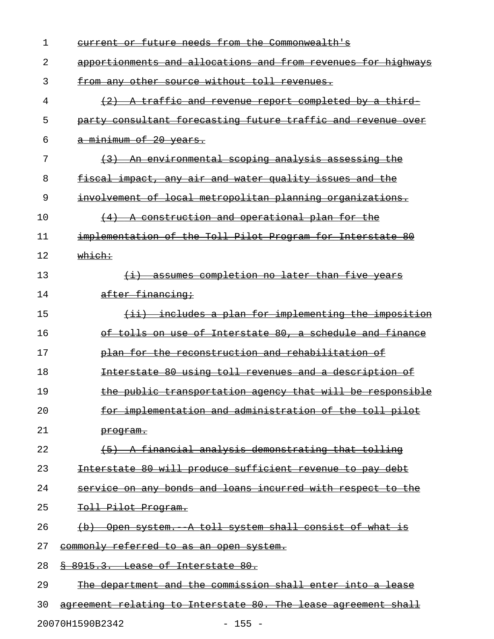| 1  | current or future needs from the Commonwealth's                |
|----|----------------------------------------------------------------|
| 2  | apportionments and allocations and from revenues for highways  |
| 3  | from any other source without toll revenues.                   |
| 4  | (2) A traffic and revenue report completed by a third          |
| 5  | party consultant forecasting future traffic and revenue over   |
| 6  | a minimum of 20 years.                                         |
| 7  | (3) An environmental scoping analysis assessing the            |
| 8  | <u>fiscal impact, any air and water quality issues and the</u> |
| 9  | involvement of local metropolitan planning organizations.      |
| 10 | (4) A construction and operational plan for the                |
| 11 | implementation of the Toll Pilot Program for Interstate 80     |
| 12 | which:                                                         |
| 13 | (i) assumes completion no later than five years                |
| 14 | after financing;                                               |
| 15 | $(i)$ includes a plan for implementing the imposition          |
| 16 | of tolls on use of Interstate 80, a schedule and finance       |
| 17 | plan for the reconstruction and rehabilitation of              |
| 18 | Interstate 80 using toll revenues and a description of         |
| 19 | the public transportation agency that will be responsible      |
| 20 | for implementation and administration of the toll pilot        |
| 21 | program.                                                       |
| 22 | (5) A financial analysis demonstrating that tolling            |
| 23 | Interstate 80 will produce sufficient revenue to pay debt      |
| 24 | service on any bonds and loans incurred with respect to the    |
| 25 | Toll Pilot Program.                                            |
| 26 | (b) Open system. A toll system shall consist of what is        |
| 27 | commonly referred to as an open system.                        |
| 28 | § 8915.3. Lease of Interstate 80.                              |
| 29 | The department and the commission shall enter into a lease     |
| 30 | agreement relating to Interstate 80. The lease agreement shall |
|    |                                                                |

20070H1590B2342 - 155 -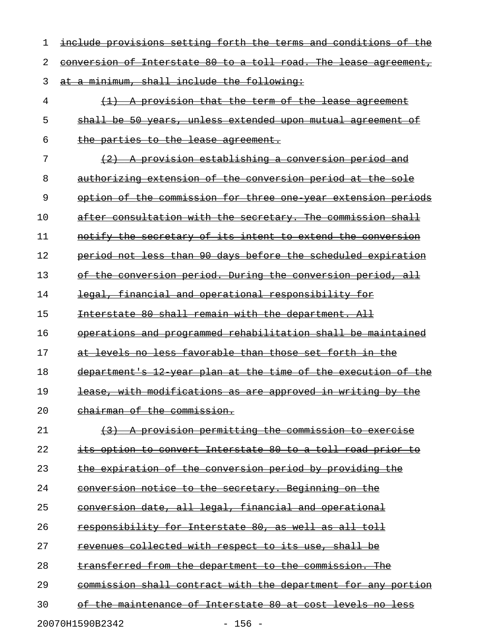| 1  | include provisions setting forth the terms and condit<br><del>10ns</del>       |
|----|--------------------------------------------------------------------------------|
| 2  | conversion of Interstate 80 to a toll road. The lease<br><del>agreement,</del> |
| 3  | minimum, shall include the following:                                          |
| 4  | provision that the term of the lease<br>$\mathbf{A}$<br><del>agreement</del>   |
| 5  | be 50 years, unless extended upon mutual agreement<br><del>shall</del>         |
| 6  | the parties to the lease agreement.                                            |
| 7  | provision establishing a conversion period and                                 |
| 8  | authorizing extension of the conversion period at<br><del>the sole</del>       |
| 9  | option of the commission for three one year extension<br><del>periods</del>    |
| 10 | after consultation with the secretary. The commission shall                    |
| 11 | notify the secretary of its intent to extend the conversion                    |
| 12 | period not less than 90 days before the scheduled expiration                   |
| 13 | conversion period. During the conversion period, all<br><del>the-</del><br>⊖£  |
| 14 | legal, financial and operational responsibility for                            |
| 15 | Interstate 80 shall remain with the department. All                            |
| 16 | operations and programmed rehabilitation shall be maintained                   |
| 17 | levels no less favorable than those set forth in the<br>at                     |
| 18 | department's 12 year plan at the time of the execution of the                  |
| 19 | lease, with modifications as are approved in writing by the                    |
| 20 | chairman of the commission.                                                    |
| 21 | A provision permitting the commission to exercise                              |
| 22 | its option to convert Interstate 80 to a toll road prior to                    |
| 23 | the expiration of the conversion period by providing the                       |
| 24 | conversion notice to the secretary. Beginning on the                           |
| 25 | conversion date, all legal, financial and operational                          |
| 26 | responsibility for Interstate 80, as well as all toll                          |
| 27 | revenues collected with respect to its use, shall be                           |
| 28 | transferred from the department to the commission. The                         |
| 29 | commission shall contract with the department for any portion                  |
| 30 | of the maintenance of Interstate 80 at cost levels no less                     |
|    |                                                                                |

20070H1590B2342 - 156 -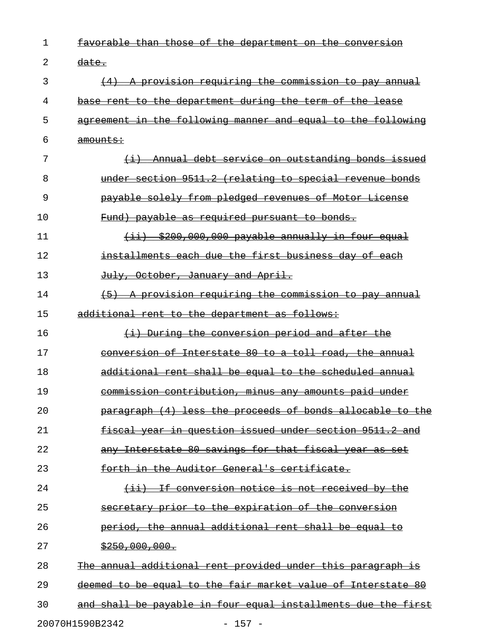| 1  | <u>than</u><br><del>tavorable</del><br>Θŧ<br>the<br><del>department on the</del><br><del>those</del> |
|----|------------------------------------------------------------------------------------------------------|
| 2  | <del>date.</del>                                                                                     |
| 3  | A provision requiring the commission to pay annual                                                   |
| 4  | base rent to the department during the term of the lease                                             |
| 5  | agreement in the following manner and equal to the following                                         |
| 6  | <del>amounts:</del>                                                                                  |
| 7  | Annual debt service on outstanding bonds issued<br>$\overline{+}$                                    |
| 8  | under section 9511.2 (relating to special revenue bonds                                              |
| 9  | payable solely from pledged revenues of Motor License                                                |
| 10 | Fund) payable as required pursuant to bonds.                                                         |
| 11 | (ii) \$200,000,000 payable annually in four equal                                                    |
| 12 | installments each due the first business day of each                                                 |
| 13 | July, October, January and April.                                                                    |
| 14 | A provision requiring the commission to pay annual                                                   |
| 15 | additional rent to the department as follows:                                                        |
| 16 | (i) During the conversion period and after the                                                       |
| 17 | conversion of Interstate 80 to a toll road, the annual                                               |
| 18 | additional rent shall be equal to the scheduled annual                                               |
| 19 | commission contribution, minus any amounts paid under                                                |
| 20 | paragraph (4) less the proceeds of bonds allocable to the                                            |
| 21 | fiscal year in question issued under section 9511.2 and                                              |
| 22 | any Interstate 80 savings for that fiscal year as set                                                |
| 23 | <u>forth in the Auditor General's certificate.</u>                                                   |
| 24 | (ii) If conversion notice is not received by the                                                     |
| 25 | secretary prior to the expiration of the conversion                                                  |
| 26 | period, the annual additional rent shall be equal to                                                 |
| 27 | \$250,000,000.                                                                                       |
| 28 | The annual additional rent provided under this paragraph is                                          |
| 29 | deemed to be equal to the fair market value of Interstate 80                                         |
| 30 | and shall be payable in four equal installments due the first                                        |
|    | 20070H1590B2342<br>$157 -$                                                                           |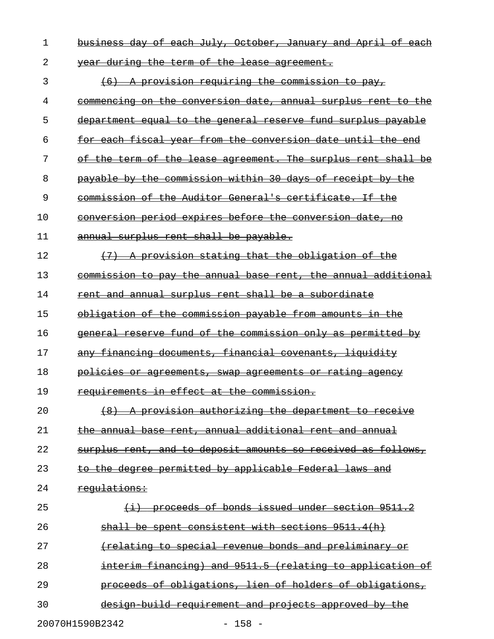| 1  | business day of each July, October, January and April of each    |
|----|------------------------------------------------------------------|
| 2  | year during the term of the lease agreement.                     |
| 3  | (6) A provision requiring the commission to pay,                 |
| 4  | commencing on the conversion date, annual surplus rent to the    |
| 5  | department equal to the general reserve fund surplus payable     |
| 6  | for each fiscal year from the conversion date until the end      |
| 7  | of the term of the lease agreement. The surplus rent shall be    |
| 8  | payable by the commission within 30 days of receipt by the       |
| 9  | commission of the Auditor General's certificate. If the          |
| 10 | conversion period expires before the conversion date, no         |
| 11 | annual surplus rent shall be payable.                            |
| 12 | (7) A provision stating that the obligation of the               |
| 13 | commission to pay the annual base rent, the annual additional    |
| 14 | rent and annual surplus rent shall be a subordinate              |
| 15 | obligation of the commission payable from amounts in the         |
| 16 | general reserve fund of the commission only as permitted by      |
| 17 | any financing documents, financial covenants, liquidity          |
| 18 | <u>policies or agreements, swap agreements or rating agency</u>  |
| 19 | requirements in effect at the commission.                        |
| 20 | A provision authorizing the department to receive                |
| 21 | the annual base rent, annual additional rent and annual          |
| 22 | surplus rent, and to deposit amounts so received as follows,     |
| 23 | to the degree permitted by applicable Federal laws and           |
| 24 | <u>requlations:</u>                                              |
| 25 | <u>proceeds of bonds issued under section 9511.2</u>             |
| 26 | shall be spent consistent with sections 9511.4(h)                |
| 27 | <u>(relating to special revenue bonds and preliminary or</u>     |
| 28 | interim financing) and 9511.5 (relating to application of        |
| 29 | <u>proceeds of obligations, lien of holders of obligations, </u> |
| 30 | <u>design build requirement and projects approved by the</u>     |
|    | $-158 -$<br>20070H1590B2342                                      |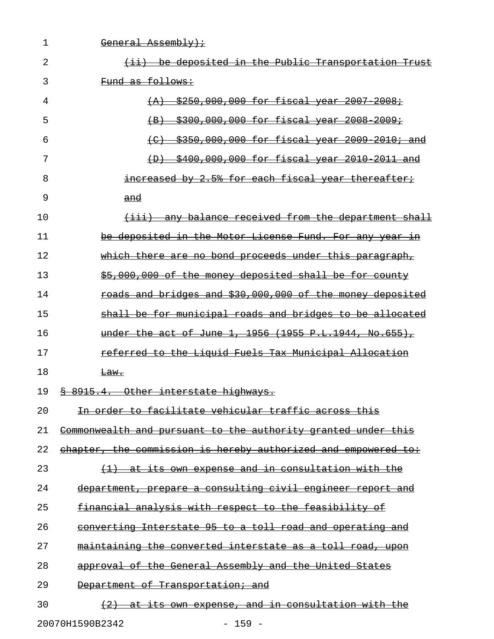| 1  | <del>General Assembly);</del>                                                   |
|----|---------------------------------------------------------------------------------|
| 2  | (ii) be deposited in the Public Transportation Trust                            |
| 3  | Fund as follows:                                                                |
| 4  | $(A)$ \$250,000,000 for fiscal year 2007-2008;                                  |
| 5  | \$300,000,000 for fiscal year 2008 2009;<br>$\left( \mathrm{B} \right)$         |
| 6  | \$350,000,000 for fiscal year 2009 2010; and<br>$\left( \right)$                |
| 7  | \$400,000,000 for fiscal year 2010 2011 and<br>$\leftrightarrow$                |
| 8  | increased by 2.5% for each fiscal year thereafter;                              |
| 9  | and                                                                             |
| 10 | (iii) any balance received from the department shall                            |
| 11 | be deposited in the Motor License Fund. For any year in                         |
| 12 | which there are no bond proceeds under this paragraph,                          |
| 13 | \$5,000,000 of the money deposited shall be for county                          |
| 14 | roads and bridges and \$30,000,000 of the money deposited                       |
| 15 | shall be for municipal roads and bridges to be allocated                        |
| 16 | under the act of June 1, 1956 (1955 P.L.1944, No.655),                          |
| 17 | referred to the Liguid Fuels Tax Municipal Allocation                           |
| 18 | <del>Law.</del>                                                                 |
| 19 | § 8915.4. Other interstate highways.                                            |
| 20 | In order to facilitate vehicular traffic across this                            |
| 21 | <u>Commonwealth and pursuant to the authority granted under this</u>            |
| 22 | chapter, the commission is hereby authorized and empowered to:                  |
| 23 | $(1)$ at its own expense and in consultation with the                           |
| 24 | department, prepare a consulting civil engineer report and                      |
| 25 | financial analysis with respect to the feasibility of                           |
| 26 | converting Interstate 95 to a toll road and operating and                       |
| 27 | <u>maintaining the converted interstate as a toll road, </u><br><del>upon</del> |
| 28 | approval of the General Assembly and the United States                          |
| 29 | Department of Transportation; and                                               |
| 30 | (2) at its own expense, and in consultation with the                            |

20070H1590B2342 - 159 -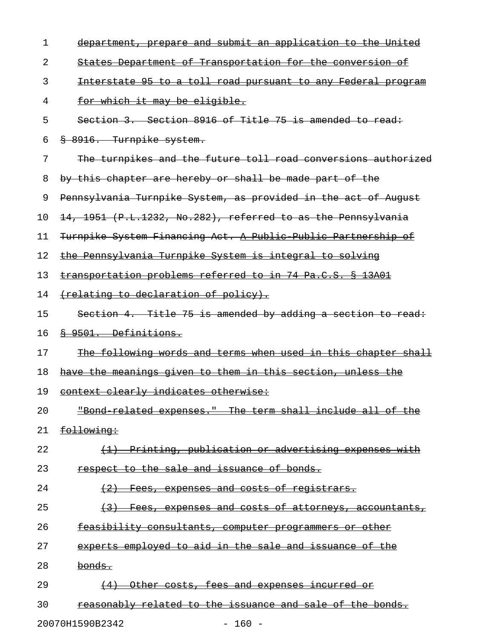| 1  | department, prepare and submit an application to the United                                       |
|----|---------------------------------------------------------------------------------------------------|
| 2  | States Department of Transportation for the conversion of                                         |
| 3  | Interstate 95 to a toll road pursuant to any Federal program                                      |
| 4  | for which it may be eligible.                                                                     |
| 5  | Section 3. Section 8916 of Title 75 is amended to read:                                           |
| 6  | 8 8916. Turnpike system.                                                                          |
| 7  | The turnpikes and the future toll road conversions authorized                                     |
| 8  | by this chapter are hereby or shall be made part of the                                           |
| 9  | Pennsylvania Turnpike System, as provided in the act of August                                    |
| 10 | 14, 1951 (P.L.1232, No.282), referred to as the Pennsylvania                                      |
| 11 | Turnpike System Financing Act. A Public Public Partnership of                                     |
| 12 | the Pennsylvania Turnpike System is integral to solving                                           |
| 13 | transportation problems referred to in 74 Pa.C.S. § 13A01                                         |
| 14 | (relating to declaration of policy).                                                              |
| 15 | Section 4. Title 75 is amended by adding a section to read:                                       |
| 16 | § 9501. Definitions.                                                                              |
| 17 | The following words and terms when used in this chapter shall                                     |
| 18 | have the meanings given to them in this section, unless the                                       |
| 19 | context clearly indicates otherwise:                                                              |
| 20 | "Bond related expenses." The term shall include all of the                                        |
| 21 | following:                                                                                        |
| 22 | Printing, publication or advertising expenses with<br>$\leftarrow \rightarrow$                    |
| 23 | respect to the sale and issuance of bonds.                                                        |
| 24 | expenses and costs of registrars.<br>(2)<br><del>Fees. --</del>                                   |
| 25 | expenses and costs of attorneys, accountants,<br>$\leftarrow$ 3 $\leftarrow$<br><del>Fees .</del> |
| 26 | feasibility consultants, computer programmers or other                                            |
| 27 | experts employed to aid in the sale and issuance of the                                           |
| 28 | bonds.                                                                                            |
| 29 | Other costs, fees and expenses incurred or<br>(4)                                                 |
| 30 | reasonably related to the issuance and sale of the bonds.                                         |
|    | 20070H1590B2342<br>$-160 -$                                                                       |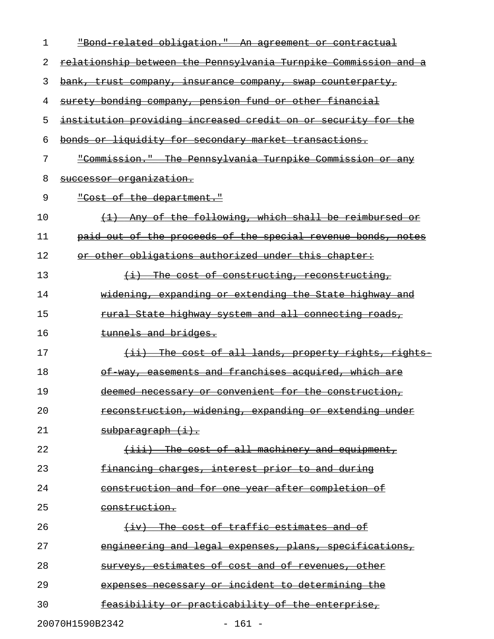| 1  | "Bond related obligation." An agreement or contractual          |
|----|-----------------------------------------------------------------|
| 2  | relationship between the Pennsylvania Turnpike Commission and a |
| 3  | bank, trust company, insurance company, swap counterparty,      |
| 4  | surety bonding company, pension fund or other financial         |
| 5  | institution providing increased credit on or security for the   |
| 6  | bonds or liquidity for secondary market transactions.           |
| 7  | "Commission." The Pennsylvania Turnpike Commission or any       |
| 8  | successor organization.                                         |
| 9  | "Cost of the department."                                       |
| 10 | Any of the following, which shall be reimbursed or              |
| 11 | paid out of the proceeds of the special revenue bonds, notes    |
| 12 | or other obligations authorized under this chapter:             |
| 13 | $\{\pm\}$ The cost of constructing, reconstructing,             |
| 14 | widening, expanding or extending the State highway and          |
| 15 | <u>rural State highway system and all connecting roads,</u>     |
| 16 | tunnels and bridges.                                            |
| 17 | (ii) The cost of all lands, property rights, rights             |
| 18 | of way, easements and franchises acquired, which are            |
| 19 | deemed necessary or convenient for the construction,            |
| 20 | reconstruction, widening, expanding or extending under          |
| 21 | $subparamant$ $(i)$ .                                           |
| 22 | $(iii)$ The cost of all machinery and equipment,                |
| 23 | financing charges, interest prior to and during                 |
| 24 | construction and for one year after completion of               |
| 25 | construction.                                                   |
| 26 | (iv) The cost of traffic estimates and of                       |
| 27 | engineering and legal expenses, plans, specifications,          |
| 28 | surveys, estimates of cost and of revenues, other               |
| 29 | expenses necessary or incident to determining the               |
| 30 | feasibility or practicability of the enterprise,                |
|    | 20070H1590B2342<br>$-161 -$                                     |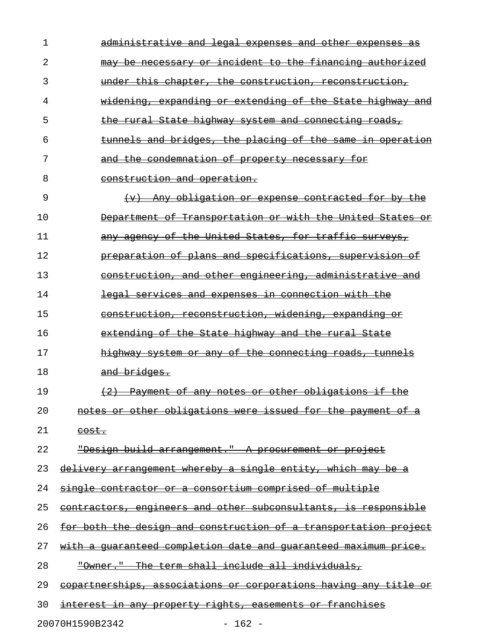| ı  | administrative and legal expenses and other expenses                         |
|----|------------------------------------------------------------------------------|
| 2  | incident to the financing authorized<br><del>necessary or</del>              |
| 3  | this chapter, the construction, reconstruction,<br><del>under</del>          |
| 4  | widening, expanding or extending of the State highway and                    |
| 5  | the rural State highway system and connecting roads,                         |
| 6  | tunnels and bridges, the placing of the same in operation                    |
| 7  | and the condemnation of property necessary for                               |
| 8  | construction and operation.                                                  |
| 9  | Any obligation or expense contracted for by the<br>$\left(\mathbf{v}\right)$ |
| 10 | Department of Transportation or with the United States or                    |
| 11 | any agency of the United States, for traffic surveys,                        |
| 12 | preparation of plans and specifications, supervision of                      |
| 13 | construction, and other engineering, administrative and                      |
| 14 | legal services and expenses in connection with the                           |
| 15 | construction, reconstruction, widening, expanding or                         |
| 16 | extending of the State highway and the rural State                           |
| 17 | highway system or any of the connecting roads, tunnels                       |
| 18 | and bridges.                                                                 |
| 19 | Payment of any notes or other obligations if the                             |
| 20 | notes or other obligations were issued for the payment of a                  |
| 21 | <del>cost.</del>                                                             |
| 22 | "Design build arrangement." A procurement or project                         |
| 23 | delivery arrangement whereby a single entity, which may be a                 |
| 24 | single contractor or a consortium comprised of multiple                      |
| 25 | contractors, engineers and other subconsultants, is responsible              |
| 26 | for both the design and construction of a transportation project             |
| 27 | with a quaranteed completion date and quaranteed maximum price.              |
| 28 | "Owner." The term shall include all individuals,                             |
| 29 | copartnerships, associations or corporations having any title or             |
| 30 | interest in any property rights, easements or franchises                     |
|    | 20070H1590B2342<br>$-162 -$                                                  |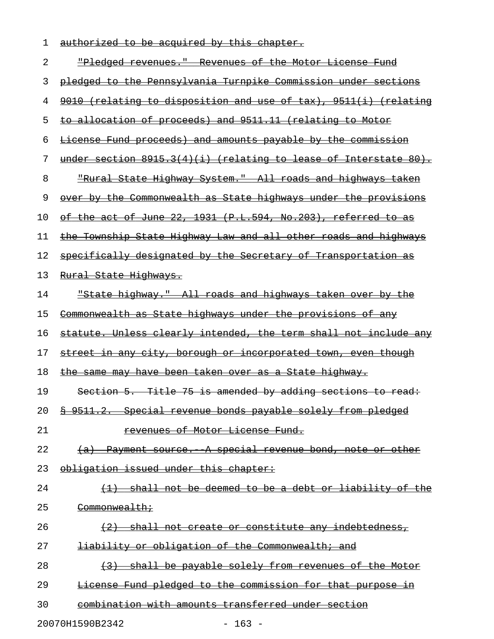| authorized to be acquired by this chapter. |  |  |  |
|--------------------------------------------|--|--|--|

| 2  | "Pledged revenues." Revenues of the Motor License Fund                |
|----|-----------------------------------------------------------------------|
| 3  | pledged to the Pennsylvania Turnpike Commission under sections        |
| 4  | 9010 (relating to disposition and use of tax), 9511(i) (relating      |
| 5  | to allocation of proceeds) and 9511.11 (relating to Motor             |
| 6  | License Fund proceeds) and amounts payable by the commission          |
| 7  | under section $8915.3(4)(i)$ (relating to lease of Interstate $80$ ). |
| 8  | "Rural State Highway System." All roads and highways taken            |
| 9  | over by the Commonwealth as State highways under the provisions       |
| 10 | of the act of June 22, 1931 (P.L.594, No.203), referred to as         |
| 11 | the Township State Highway Law and all other roads and highways       |
| 12 | specifically designated by the Secretary of Transportation as         |
| 13 | Rural State Highways.                                                 |
| 14 | "State highway." All roads and highways taken over by the             |
| 15 | Commonwealth as State highways under the provisions of any            |
| 16 | statute. Unless clearly intended, the term shall not include any      |
| 17 | street in any city, borough or incorporated town, even though         |
| 18 | the same may have been taken over as a State highway.                 |
| 19 | Section 5. Title 75 is amended by adding sections to read:            |
| 20 | Special revenue bonds payable solely from pledged<br>$8 - 9511.2.$    |
| 21 | <del>of Motor License Fund.</del><br><del>revenues</del>              |
| 22 | Payment source. A special revenue bond, note or other                 |
| 23 | obligation issued under this chapter:                                 |
| 24 | shall not be deemed to be a debt or liability of the                  |
| 25 | Commonwealth;                                                         |
| 26 | (2) shall not create or constitute any indebtedness,                  |
| 27 | <del>liability or obligation of the Commonwealth; and</del>           |
| 28 | shall be payable solely from revenues of the Motor                    |
| 29 | License Fund pledged to the commission for that purpose               |
| 30 | combination with amounts transferred under section                    |

20070H1590B2342 - 163 -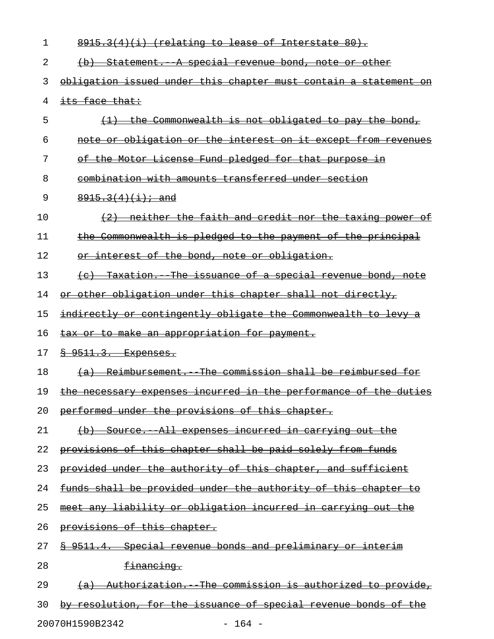| ı  | $8915.3(4)(i)$ (relating to lease of Interstate 80).             |
|----|------------------------------------------------------------------|
| 2  | (b) Statement. A special revenue bond, note or other             |
| 3  | obligation issued under this chapter must contain a statement on |
| 4  | its face that:                                                   |
| 5  | the Commonwealth is not obligated to pay the bond,               |
| 6  | note or obligation or the interest on it except from revenues    |
| 7  | the Motor License Fund pledged for that purpose in<br>ΘĖ         |
| 8  | combination with amounts transferred under section               |
| 9  | $8915.3(4)(i)$ ; and                                             |
| 10 | neither the faith and credit nor the taxing power of             |
| 11 | the Commonwealth is pledged to the payment of the principal      |
| 12 | interest of the bond, note or obligation.<br>⊖r                  |
| 13 | (c) Taxation. The issuance of a special revenue bond, note       |
| 14 | or other obligation under this chapter shall not directly,       |
| 15 | indirectly or contingently obligate the Commonwealth to levy     |
| 16 | tax or to make an appropriation for payment.                     |
| 17 | 8 9511.3. Expenses.                                              |
| 18 | (a) Reimbursement. The commission shall be reimbursed for        |
| 19 | the necessary expenses incurred in the performance of the duties |
| 20 | performed under the provisions of this chapter.                  |
| 21 | (b) Source. All expenses incurred in carrying out the            |
| 22 | provisions of this chapter shall be paid solely from funds       |
| 23 | provided under the authority of this chapter, and sufficient     |
| 24 | funds shall be provided under the authority of this chapter to   |
| 25 | meet any liability or obligation incurred in carrying out the    |
| 26 | provisions of this chapter.                                      |
| 27 | \$ 9511.4. Special revenue bonds and preliminary or interim      |
| 28 | financing.                                                       |
| 29 | (a) Authorization. The commission is authorized to provide,      |
| 30 | by resolution, for the issuance of special revenue bonds of the  |
|    |                                                                  |

20070H1590B2342 - 164 -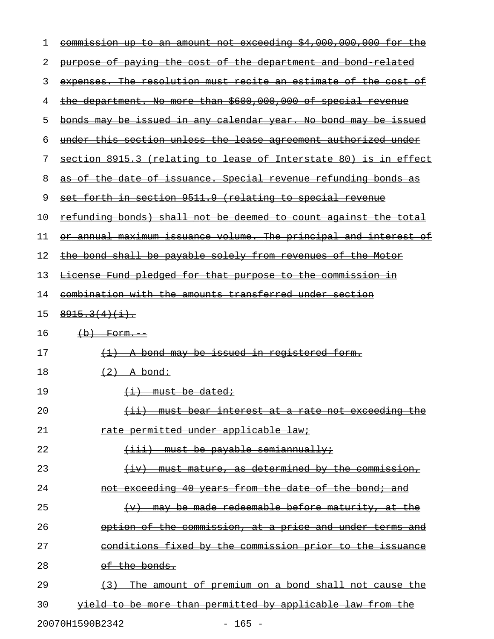| 1  | commission up to an amount not exceeding \$4,000,000,000 for the             |
|----|------------------------------------------------------------------------------|
| 2  | purpose of paying the cost of the department and bond related                |
| 3  | expenses. The resolution must recite an estimate of the cost of              |
| 4  | the department. No more than \$600,000,000 of special revenue                |
| 5  | bonds may be issued in any calendar year. No bond may be issued              |
| 6  | under this section unless the lease agreement authorized under               |
| 7  | section 8915.3 (relating to lease of Interstate 80) is in effect             |
| 8  | as of the date of issuance. Special revenue refunding bonds as               |
| 9  | set forth in section 9511.9 (relating to special revenue                     |
| 10 | refunding bonds) shall not be deemed to count against the total              |
| 11 | or annual maximum issuance volume. The principal and interest of             |
| 12 | the bond shall be payable solely from revenues of the Motor                  |
| 13 | License Fund pledged for that purpose to the commission in                   |
| 14 | combination with the amounts transferred under section                       |
| 15 | $8915.3(4)(1)$ .                                                             |
| 16 | $(b)$ Form.                                                                  |
| 17 | A bond may be issued in registered form.<br>$\leftrightarrow$                |
| 18 | $\left(2\right)$ A bond:                                                     |
| 19 | $(i)$ must be dated;                                                         |
| 20 | <del>bear interest at a rate not exceeding the</del><br><del>must</del>      |
| 21 | rate permitted under applicable law;                                         |
| 22 | must be pavable semiannually;<br><del>(iii) -</del>                          |
| 23 | -must mature, as determined by the commission,<br>$\leftarrow$ iv)           |
| 24 | <u>not exceeding 40 years from the date of the bond; and </u>                |
| 25 | may be made redeemable before maturity, at<br>$\leftarrow$<br><del>the</del> |
| 26 | option of the commission, at a price and under terms and                     |
| 27 | conditions fixed by the commission prior to the<br><del>issuance</del>       |
| 28 | <del>of the bonds.</del>                                                     |
| 29 | <u>The amount of premium on a bond shall not cause the </u>                  |
| 30 | yield to be more than permitted by applicable law from the                   |

20070H1590B2342 - 165 -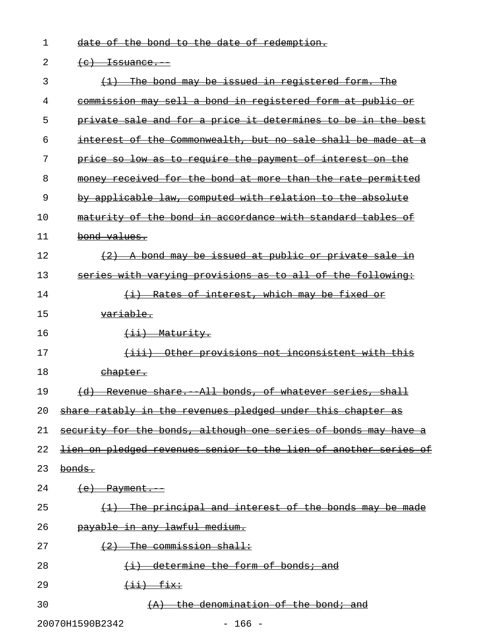|  |  |  |  | $det \circ f$ the bend to the date of redemption |
|--|--|--|--|--------------------------------------------------|
|  |  |  |  | date of the bond to the date of fedemption.      |

## 2  $(e)$  Issuance.

| 3  | (1) The bond may be issued in registered form. The                      |
|----|-------------------------------------------------------------------------|
| 4  | commission may sell a bond in registered form at public or              |
| 5  | private sale and for a price it determines to be in the best            |
| 6  | interest of the Commonwealth, but no sale shall be made at a            |
| 7  | price so low as to require the payment of interest on the               |
| 8  | money received for the bond at more than the rate permitted             |
| 9  | by applicable law, computed with relation to the absolute               |
| 10 | maturity of the bond in accordance with standard tables of              |
| 11 | bond values.                                                            |
| 12 | $(2)$ A bond may be issued at public or private sale in                 |
| 13 | series with varying provisions as to all of the following:              |
| 14 | (i) Rates of interest, which may be fixed or                            |
| 15 | variable.                                                               |
| 16 | $(i)$ Maturity.                                                         |
| 17 | Other provisions not inconsistent with this<br>$\overline{+}$           |
| 18 | <del>chapter.</del>                                                     |
| 19 | (d) Revenue share. All bonds, of whatever series, shall                 |
| 20 | share ratably in the revenues pledged under this chapter as             |
| 21 | security for the bonds, although one series of bonds may have           |
| 22 | <u>lien on pledged revenues senior to the lien of another series of</u> |
| 23 | bonds.                                                                  |
| 24 | $(e)$ Payment.                                                          |
| 25 | The principal and interest of the bonds may be made                     |
| 26 | payable in any lawful medium.                                           |
| 27 | The commission shall:                                                   |
| 28 | (i) determine the form of bonds; and                                    |
| 29 | $\overbrace{\texttt{iii}}$                                              |
| 30 | $(A)$ the denomination of the bond; and                                 |
|    |                                                                         |

20070H1590B2342 - 166 -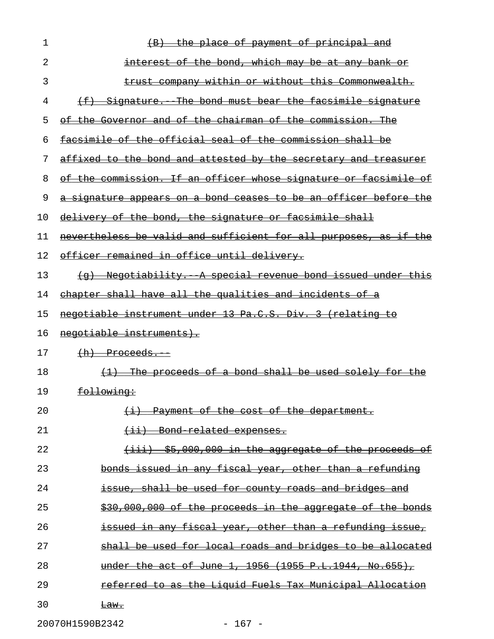| 1  | the place of payment of principal and                            |
|----|------------------------------------------------------------------|
| 2  | interest of the bond, which may be at any bank or                |
| 3  | trust company within or without this Commonwealth.               |
| 4  | (f) Signature. The bond must bear the facsimile signature        |
| 5  | of the Governor and of the chairman of the commission. The       |
| 6  | facsimile of the official seal of the commission shall be        |
| 7  | affixed to the bond and attested by the secretary and treasurer  |
| 8  | of the commission. If an officer whose signature or facsimile of |
| 9  | a signature appears on a bond ceases to be an officer before the |
| 10 | delivery of the bond, the signature or facsimile shall           |
| 11 | nevertheless be valid and sufficient for all purposes, as if the |
| 12 | officer remained in office until delivery.                       |
| 13 | (g) Negotiability. A special revenue bond issued under this      |
| 14 | chapter shall have all the qualities and incidents of a          |
| 15 | negotiable instrument under 13 Pa.C.S. Div. 3 (relating to       |
| 16 | negotiable instruments).                                         |
| 17 | $(h)$ Proceeds.                                                  |
| 18 | (1) The proceeds of a bond shall be used solely for the          |
| 19 | <del>following:</del>                                            |
| 20 | (i) Payment of the cost of the department.                       |
| 21 | $(i)$ Bond related expenses.                                     |
| 22 | $\{$ iii) $$5,000,000$ in the aggregate of the proceeds of       |
| 23 | bonds issued in any fiscal year, other than a refunding          |
| 24 | issue, shall be used for county roads and bridges and            |
| 25 | \$30,000,000 of the proceeds in the aggregate of the bonds       |
| 26 | issued in any fiscal year, other than a refunding issue,         |
| 27 | shall be used for local roads and bridges to be allocated        |
| 28 | under the act of June 1, 1956 (1955 P.L.1944, No.655),           |
| 29 | referred to as the Liquid Fuels Tax Municipal Allocation         |
| 30 | <del>Law.</del>                                                  |

20070H1590B2342 - 167 -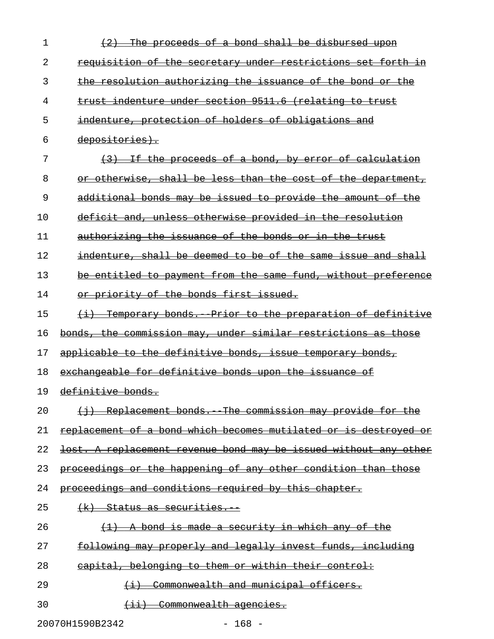| 1  | <del>proceeds of a bond shall be disbursed upon</del>            |
|----|------------------------------------------------------------------|
| 2  | requisition of the secretary under restrictions set forth in     |
| 3  | the resolution authorizing the issuance of the bond or the       |
| 4  | trust indenture under section 9511.6 (relating to trust          |
| 5  | indenture, protection of holders of obligations and              |
| 6  | depositories).                                                   |
| 7  | If the proceeds of a bond, by error of calculation               |
| 8  | otherwise, shall be less than the cost of the department,        |
| 9  | additional bonds may be issued to provide the amount of the      |
| 10 | deficit and, unless otherwise provided in the resolution         |
| 11 | authorizing the issuance of the bonds or in the trust            |
| 12 | indenture, shall be deemed to be of the same issue and shall     |
| 13 | be entitled to payment from the same fund, without preference    |
| 14 | or priority of the bonds first issued.                           |
| 15 | <u> Temporary bonds. Prior to the preparation of definitive</u>  |
| 16 | bonds, the commission may, under similar restrictions as those   |
|    |                                                                  |
| 17 | applicable to the definitive bonds, issue temporary bonds,       |
| 18 | exchangeable for definitive bonds upon the issuance of           |
| 19 | definitive bonds.                                                |
| 20 | (i) Replacement bonds. The commission may provide for the        |
| 21 | replacement of a bond which becomes mutilated or is destroyed or |
| 22 | lost. A replacement revenue bond may be issued without any other |
| 23 | proceedings or the happening of any other condition than those   |
| 24 | proceedings and conditions required by this chapter.             |
| 25 | <del>(k) Status as securities.</del>                             |
| 26 | A bond is made a security in which any of the                    |
| 27 | following may properly and legally invest funds, including       |
| 28 | capital, belonging to them or within their control:              |
| 29 | Commonwealth and municipal officers.                             |

20070H1590B2342 - 168 -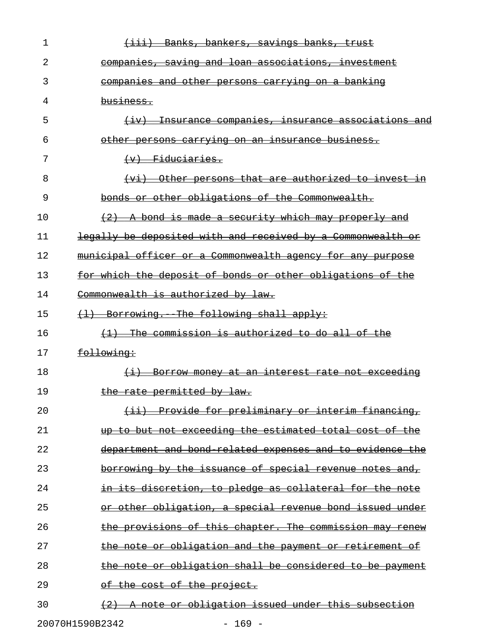| 1  | (iii) Banks, bankers, savings banks, trust                  |
|----|-------------------------------------------------------------|
| 2  | companies, saving and loan associations, investment         |
| 3  | <u>companies and other persons carrying on a banking</u>    |
| 4  | business.                                                   |
| 5  | (iv) Insurance companies, insurance associations and        |
| 6  | other persons carrying on an insurance business.            |
| 7  | $(v)$ Fiduciaries.                                          |
| 8  | (vi) Other persons that are authorized to invest in         |
| 9  | bonds or other obligations of the Commonwealth.             |
| 10 | (2) A bond is made a security which may properly and        |
| 11 | legally be deposited with and received by a Commonwealth or |
| 12 | municipal officer or a Commonwealth agency for any purpose  |
| 13 | for which the deposit of bonds or other obligations of the  |
| 14 | Commonwealth is authorized by law.                          |
| 15 | (1) Borrowing. The following shall apply:                   |
| 16 | <u>The commission is authorized to do all of the </u>       |
| 17 | following:                                                  |
| 18 | <u>(i) Borrow money at an interest rate not exceeding</u>   |
| 19 | the rate permitted by law.                                  |
| 20 | (ii) Provide for preliminary or interim financing,          |
| 21 | up to but not exceeding the estimated total cost of the     |
| 22 | department and bond related expenses and to evidence the    |
| 23 | borrowing by the issuance of special revenue notes and,     |
| 24 | in its discretion, to pledge as collateral for the note     |
| 25 | or other obligation, a special revenue bond issued under    |
| 26 | the provisions of this chapter. The commission may renew    |
| 27 | the note or obligation and the payment or retirement of     |
| 28 | the note or obligation shall be considered to be payment    |
| 29 | of the cost of the project.                                 |
| 30 | (2) A note or obligation issued under this subsection       |

20070H1590B2342 - 169 -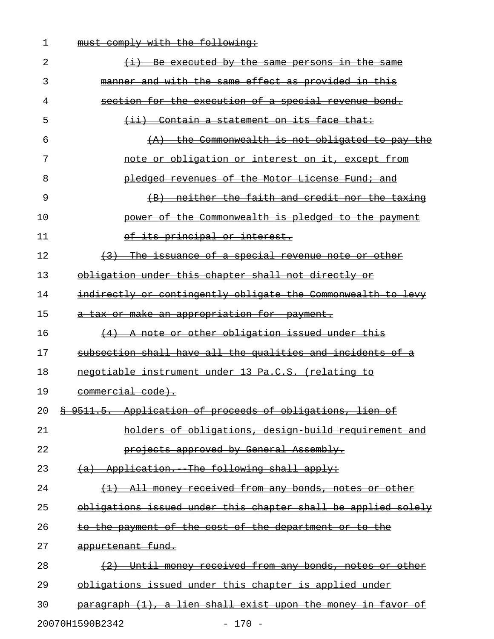| 1  | comply with the following:<br><del>must.</del>                             |
|----|----------------------------------------------------------------------------|
| 2  | Be executed by the same persons in the same                                |
| 3  | manner and with the same effect as provided in this                        |
| 4  | section for the execution of a special revenue bond.                       |
| 5  | Contain a statement on its face that:<br>$\leftarrow$ ii)                  |
| 6  | the Commonwealth is not obligated to pay the<br>$\left( A \right)$         |
| 7  | note or obligation or interest on it, except from                          |
| 8  | pledged revenues of the Motor License Fund; and                            |
| 9  | neither the faith and credit nor the taxing<br>$\left( \mathrm{B} \right)$ |
| 10 | power of the Commonwealth is pledged to the payment                        |
| 11 | of its principal or interest.                                              |
| 12 | The issuance of a special revenue note or other<br>$+3$                    |
| 13 | obligation under this chapter shall not directly or                        |
| 14 | indirectly or contingently obligate the Commonwealth to levy               |
| 15 | a tax or make an appropriation for payment.                                |
| 16 | A note or other obligation issued under this<br>$+4+$                      |
| 17 | subsection shall have all the qualities and incidents of a                 |
| 18 | negotiable instrument under 13 Pa.C.S. (relating to                        |
| 19 | commercial code).                                                          |
| 20 | \$ 9511.5. Application of proceeds of obligations, lien of                 |
| 21 | holders of obligations, design build requirement and                       |
| 22 | projects approved by General Assembly.                                     |
| 23 | (a) Application. The following shall apply:                                |
| 24 | (1) All money received from any bonds, notes or other                      |
| 25 | obligations issued under this chapter shall be applied solely              |
| 26 | to the payment of the cost of the department or to the                     |
| 27 | appurtenant fund.                                                          |
| 28 | (2) Until money received from any bonds, notes or other                    |
| 29 | obligations issued under this chapter is applied under                     |
| 30 | paragraph (1), a lien shall exist upon the money in favor of               |
|    |                                                                            |

20070H1590B2342 - 170 -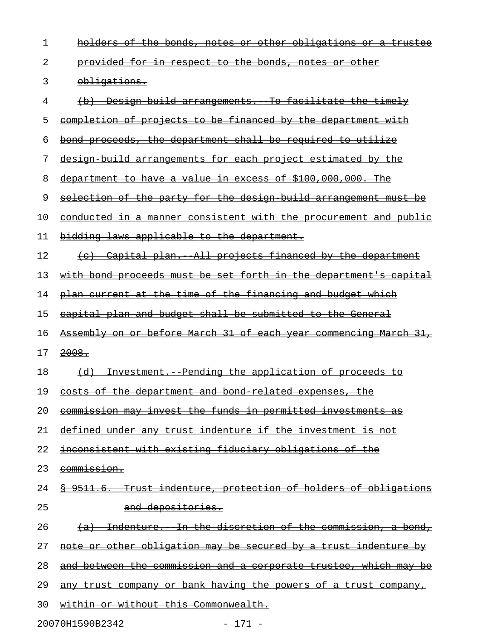| 1  | holders of the bonds, notes or other obligations or a trustee          |
|----|------------------------------------------------------------------------|
| 2  | <u>provided for in respect to the bonds, notes or other</u>            |
| 3  | obligations.                                                           |
| 4  | (b) Design build arrangements. To facilitate the timely                |
| 5  | completion of projects to be financed by the department with           |
| 6  | bond proceeds, the department shall be required to utilize             |
| 7  | design build arrangements for each project estimated by the            |
| 8  | department to have a value in excess of \$100,000,000. The             |
| 9  | selection of the party for the design build arrangement must be        |
| 10 | conducted in a manner consistent with the procurement and public       |
| 11 | bidding laws applicable to the department.                             |
| 12 | (c) Capital plan. All projects financed by the department              |
| 13 | with bond proceeds must be set forth in the department's capital       |
| 14 | plan current at the time of the financing and budget which             |
| 15 | capital plan and budget shall be submitted to the General              |
| 16 | Assembly on or before March 31 of each year commencing March 31,       |
| 17 | 2008.                                                                  |
| 18 | (d) Investment. Pending the application of proceeds to                 |
| 19 | costs of the department and bond related expenses, the                 |
| 20 | commission may invest the funds in permitted investments as            |
| 21 | defined under any trust indenture if the investment is not             |
| 22 | inconsistent with existing fiduciary obligations of the                |
| 23 | commission.                                                            |
| 24 | <u>§ 9511.6. Trust indenture, protection of holders of obligations</u> |
| 25 | and depositories.                                                      |
| 26 | (a) Indenture. In the discretion of the commission, a bond,            |
| 27 | note or other obligation may be secured by a trust indenture by        |
| 28 | and between the commission and a corporate trustee, which may be       |
| 29 | any trust company or bank having the powers of a trust company,        |
| 30 | within or without this Commonwealth.                                   |

20070H1590B2342 - 171 -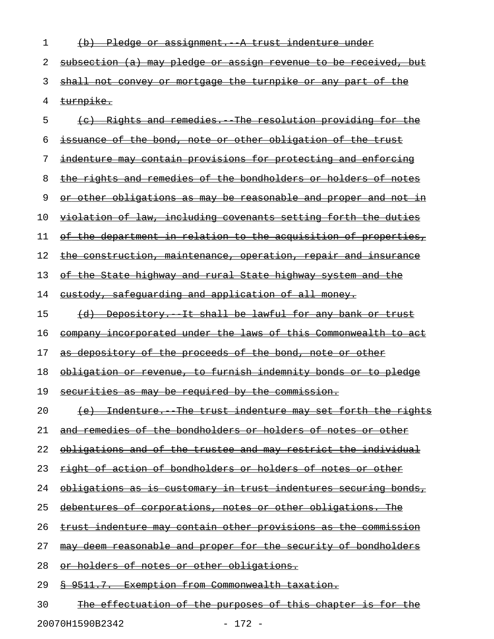| 1  | <del>Pledae</del><br><del>indenture</del><br><del>under</del><br><del>assıqnment. -</del><br>ЮŁ |
|----|-------------------------------------------------------------------------------------------------|
| 2  | subsection (a) may pledge or assign revenue to be received, but                                 |
| 3  | shall not convey or mortgage the turnpike or any part of the                                    |
| 4  | turnpike.                                                                                       |
| 5  | Rights and remedies. The resolution providing for the                                           |
| 6  | issuance of the bond, note or other obligation of the trust                                     |
| 7  | indenture may contain provisions for protecting and enforcing                                   |
| 8  | the rights and remedies of the bondholders or holders of notes                                  |
| 9  | <u>other obligations as may be reasonable and proper and not in</u>                             |
| 10 | violation of law, including covenants setting forth the duties                                  |
| 11 | the department in relation to the acquisition of properties,<br>θŦ                              |
| 12 | <u>the construction, maintenance, operation, repair and insurance</u>                           |
| 13 | the State highway and rural State highway system and the<br>θŧ                                  |
| 14 | eustody, safequarding and application of all money.                                             |
| 15 | (d) Depository. It shall be lawful for any bank or trust                                        |
| 16 | company incorporated under the laws of this Commonwealth to act                                 |
| 17 | as depository of the proceeds of the bond, note or other                                        |
| 18 | obligation or revenue, to furnish indemnity bonds or to pledge                                  |
| 19 | securities as may be required by the commission.                                                |
| 20 | (e) Indenture. The trust indenture may set forth the rights                                     |
| 21 | and remedies of the bondholders or holders of notes or other                                    |
| 22 | obligations and of the trustee and may restrict the individual                                  |
| 23 | right of action of bondholders or holders of notes or other                                     |
| 24 | obligations as is customary in trust indentures securing bonds,                                 |
| 25 | debentures of corporations, notes or other obligations. The                                     |
| 26 | trust indenture may contain other provisions as the commission                                  |
| 27 | may deem reasonable and proper for the security of bondholders                                  |
| 28 | or holders of notes or other obligations.                                                       |
| 29 | \$ 9511.7. Exemption from Commonwealth taxation.                                                |
| 30 | <u>The effectuation of the purposes of this chapter is for the </u>                             |

20070H1590B2342 - 172 -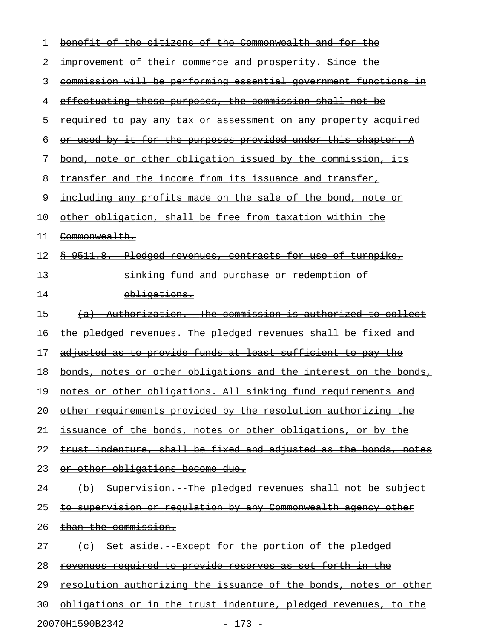| 1  | benefit of the citizens of the Commonwealth and for the                 |
|----|-------------------------------------------------------------------------|
| 2  | <u>improvement of their commerce and prosperity. Since the</u>          |
| 3  | commission will be performing essential government functions in         |
| 4  | <u>effectuating these purposes, the commission shall not be</u>         |
| 5  | <u>required to pay any tax or assessment on any property acquired</u>   |
| 6  | <u>or used by it for the purposes provided under this chapter. A</u>    |
| 7  | bond, note or other obligation issued by the commission, its            |
| 8  | transfer and the income from its issuance and transfer,                 |
| 9  | including any profits made on the sale of the bond, note or             |
| 10 | other obligation, shall be free from taxation within the                |
| 11 | <del>Commonwealth.</del>                                                |
| 12 | \$ 9511.8. Pledged revenues, contracts for use of turnpike,             |
| 13 | sinking fund and purchase or redemption of                              |
| 14 | <del>obligations.</del>                                                 |
| 15 | (a) Authorization. The commission is authorized to collect              |
| 16 | the pledged revenues. The pledged revenues shall be fixed and           |
| 17 | <u>adjusted as to provide funds at least sufficient to pay the </u>     |
| 18 | bonds, notes or other obligations and the interest on the bonds,        |
| 19 | notes or other obligations. All sinking fund requirements and           |
| 20 | other requirements provided by the resolution authorizing the           |
| 21 | issuance of the bonds, notes or other obligations, or by the            |
| 22 | trust indenture, shall be fixed and adjusted as the bonds, notes        |
| 23 | or other obligations become due.                                        |
| 24 | (b) Supervision. The pledged revenues shall not be subject              |
| 25 | <u>to supervision or regulation by any Commonwealth agency other</u>    |
| 26 | than the commission.                                                    |
| 27 | <u>(c) Set aside. Except for the portion of the pledged</u>             |
| 28 | <u>revenues required to provide reserves as set forth in the </u>       |
| 29 | <u>resolution authorizing the issuance of the bonds, notes or other</u> |
| 30 | <u>obligations or in the trust indenture, pledged revenues, to the</u>  |
|    | 20070H1590B2342<br>$-173 -$                                             |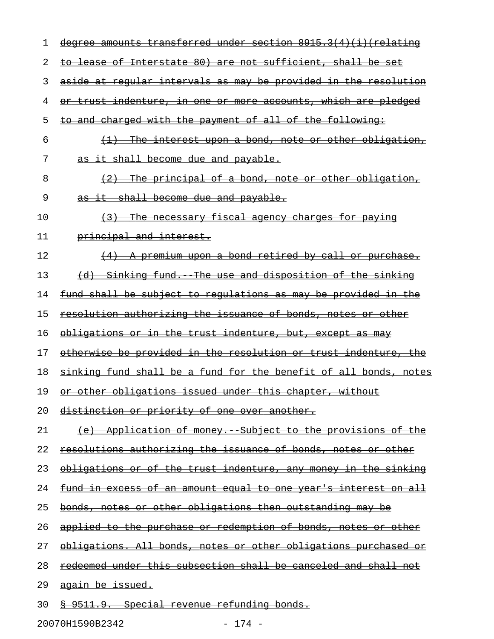| ı  | degree amounts transferred under section 8915.3(4)(i) (relating        |
|----|------------------------------------------------------------------------|
| 2  | to lease of Interstate 80) are not sufficient, shall be set            |
| 3  | aside at regular intervals as may be provided in the resolution        |
| 4  | or trust indenture, in one or more accounts, which are pledged         |
| 5  | to and charged with the payment of all of the following:               |
| 6  | (1) The interest upon a bond, note or other obligation,                |
| 7  | as it shall become due and payable.                                    |
| 8  | (2) The principal of a bond, note or other obligation,                 |
| 9  | as it shall become due and payable.                                    |
| 10 | The necessary fiscal agency charges for paying<br>$\left(3\right)$     |
| 11 | principal and interest.                                                |
| 12 | (4) A premium upon a bond retired by call or purchase.                 |
| 13 | (d) Sinking fund. The use and disposition of the sinking               |
| 14 | fund shall be subject to regulations as may be provided in the         |
| 15 | resolution authorizing the issuance of bonds, notes or other           |
| 16 | obligations or in the trust indenture, but, except as may              |
| 17 | otherwise be provided in the resolution or trust indenture, the        |
| 18 | sinking fund shall be a fund for the benefit of all bonds, notes       |
| 19 | or other obligations issued under this chapter, without                |
| 20 | distinction or priority of one over another.                           |
| 21 | (e) Application of money. Subject to the provisions of the             |
| 22 | resolutions authorizing the issuance of bonds, notes or other          |
| 23 | obligations or of the trust indenture, any money in the sinking        |
| 24 | <u>fund in excess of an amount equal to one year's interest on all</u> |
| 25 | <u>bonds, notes or other obligations then outstanding may be</u>       |
| 26 | applied to the purchase or redemption of bonds, notes or other         |
| 27 | <u>obligations. All bonds, notes or other obligations purchased or</u> |
| 28 | <u>redeemed under this subsection shall be canceled and shall not</u>  |
| 29 | <del>again be issued.</del>                                            |
| 30 | <u> § 9511.9. Special revenue refunding bonds.</u>                     |

20070H1590B2342 - 174 -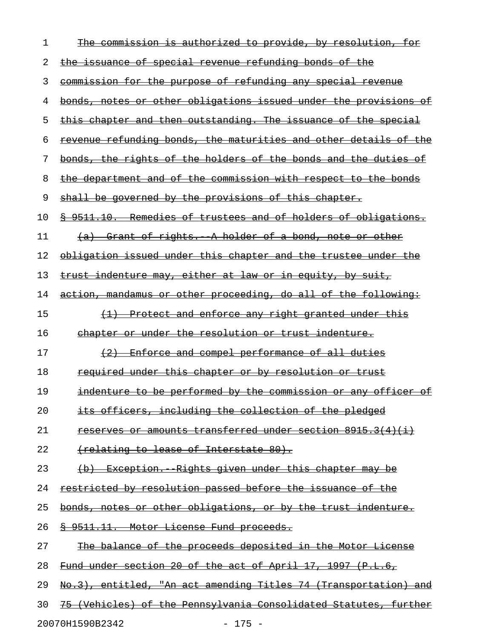| 1  | authorized to provide, by resolution,<br><del>commission is</del>    |
|----|----------------------------------------------------------------------|
| 2  | the issuance of special revenue refunding bonds of the               |
| 3  | commission for the purpose of refunding any special revenue          |
| 4  | bonds, notes or other obligations issued under the provisions of     |
| 5  | this chapter and then outstanding. The issuance of the special       |
| 6  | revenue refunding bonds, the maturities and other details of the     |
| 7  | bonds, the rights of the holders of the bonds and the duties of      |
| 8  | the department and of the commission with respect to the bonds       |
| 9  | shall be governed by the provisions of this chapter.                 |
| 10 | 9511.10. Remedies of trustees and of holders of obligations.         |
| 11 | Grant of rights. A holder of a bond, note or other<br><del>(a)</del> |
| 12 | obligation issued under this chapter and the trustee under the       |
| 13 | trust indenture may, either at law or in equity, by suit,            |
| 14 | action, mandamus or other proceeding, do all of the following:       |
| 15 | Protect and enforce any right granted under this<br>$\left(1\right)$ |
| 16 | chapter or under the resolution or trust indenture.                  |
| 17 | Enforce and compel performance of all duties<br>$\left(2\right)$     |
| 18 | <del>required under this chapter or by resolution or trust</del>     |
| 19 | indenture to be performed by the commission or any officer<br>—o ±   |
| 20 | its officers, including the collection of the pledged                |
| 21 | reserves or amounts transferred under section 8915.3(4)(i)           |
| 22 | (relating to lease of Interstate 80).                                |
| 23 | (b) Exception. Rights given under this chapter may be                |
| 24 | restricted by resolution passed before the issuance of the           |
| 25 | bonds, notes or other obligations, or by the trust indenture.        |
| 26 | § 9511.11. Motor License Fund proceeds.                              |
| 27 | The balance of the proceeds deposited in the Motor License           |
| 28 | Fund under section 20 of the act of April 17, 1997 (P.L.6,           |
| 29 | No.3), entitled, "An act amending Titles 74 (Transportation) and     |
| 30 | 75 (Vehicles) of the Pennsylvania Consolidated Statutes, further     |

20070H1590B2342 - 175 -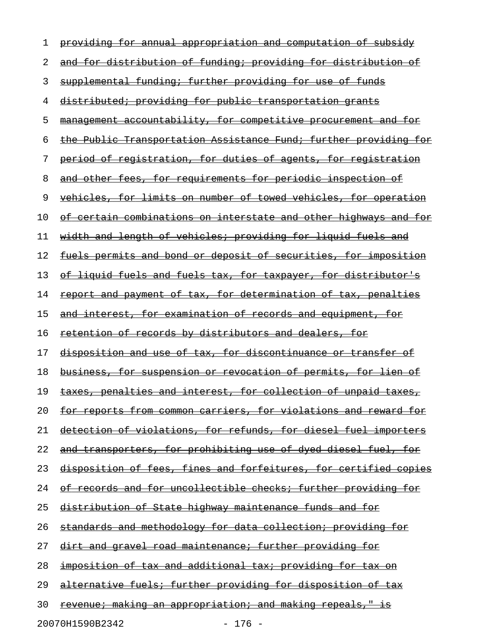| 1  | providing for annual appropriation and computation of subsidy           |
|----|-------------------------------------------------------------------------|
| 2  | and for distribution of funding; providing for distribution of          |
| 3  | supplemental funding; further providing for use of funds                |
| 4  | distributed; providing for public transportation grants                 |
| 5  | management accountability, for competitive procurement and for          |
| 6  | the Public Transportation Assistance Fund; further providing for        |
| 7  | <u>period of registration, for duties of agents, for registration</u>   |
| 8  | and other fees, for requirements for periodic inspection of             |
| 9  | <u>vehicles, for limits on number of towed vehicles, for operation</u>  |
| 10 | <u>of certain combinations on interstate and other highways and for</u> |
| 11 | width and length of vehicles; providing for liquid fuels and            |
| 12 | fuels permits and bond or deposit of securities, for imposition         |
| 13 | <u>of liquid fuels and fuels tax, for taxpayer, for distributor's </u>  |
| 14 | report and payment of tax, for determination of tax, penalties          |
| 15 | and interest, for examination of records and equipment, for             |
| 16 | retention of records by distributors and dealers, for                   |
| 17 | disposition and use of tax, for discontinuance or transfer of           |
| 18 | <u>business, for suspension or revocation of permits, for lien of</u>   |
| 19 | taxes, penalties and interest, for collection of unpaid taxes,          |
| 20 | <u>for reports from common carriers, for violations and reward for </u> |
| 21 | detection of violations, for refunds, for diesel fuel importers         |
| 22 | and transporters, for prohibiting use of dyed diesel fuel, for          |
| 23 | disposition of fees, fines and forfeitures, for certified copies        |
| 24 | of records and for uncollectible checks; further providing for          |
| 25 | distribution of State highway maintenance funds and for                 |
| 26 | standards and methodology for data collection; providing for            |
| 27 | dirt and gravel road maintenance; further providing for                 |
| 28 | <u>imposition of tax and additional tax; providing for tax on</u>       |
| 29 | alternative fuels; further providing for disposition of tax             |
| 30 | <u>revenue; making an appropriation; and making repeals," is</u>        |
|    |                                                                         |

20070H1590B2342 - 176 -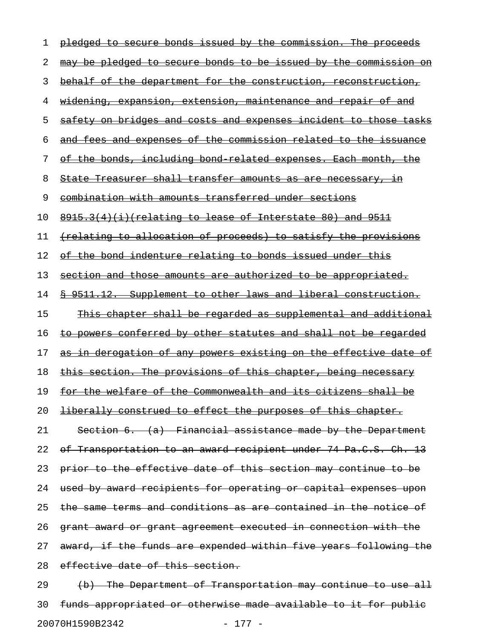| ı  | pledged to secure bonds issued by the commission. The proceeds          |
|----|-------------------------------------------------------------------------|
| 2  | may be pledged to secure bonds to be issued by the commission on        |
| 3  | behalf of the department for the construction, reconstruction,          |
| 4  | <u>widening, expansion, extension, maintenance and repair of and</u>    |
| 5  | <u>safety on bridges and costs and expenses incident to those tasks</u> |
| 6  | <u>and fees and expenses of the commission related to the issuance</u>  |
| 7  | <u>of the bonds, including bond related expenses. Each month, the </u>  |
| 8  | State Treasurer shall transfer amounts as are necessary, in             |
| 9  | combination with amounts transferred under sections                     |
| 10 | $8915.3(4)(i)$ (relating to lease of Interstate 80) and 9511            |
| 11 | (relating to allocation of proceeds) to satisfy the provisions          |
| 12 | <u>of the bond indenture relating to bonds issued under this</u>        |
| 13 | section and those amounts are authorized to be appropriated.            |
| 14 | \$ 9511.12. Supplement to other laws and liberal construction.          |
| 15 | <u>This chapter shall be regarded as supplemental and additional</u>    |
| 16 | to powers conferred by other statutes and shall not be regarded         |
| 17 | as in derogation of any powers existing on the effective date of        |
| 18 | this section. The provisions of this chapter, being necessary           |
| 19 | for the welfare of the Commonwealth and its citizens shall be           |
| 20 | <i>liberally construed to effect the purposes of this chapter.</i>      |
| 21 | Section 6. (a) Financial assistance made by the Department              |
| 22 | of Transportation to an award recipient under 74 Pa.C.S. Ch. 13         |
| 23 | prior to the effective date of this section may continue to be          |
| 24 | used by award recipients for operating or capital expenses upon         |
| 25 | the same terms and conditions as are contained in the notice of         |
| 26 | grant award or grant agreement executed in connection with the          |
| 27 | award, if the funds are expended within five years following the        |
| 28 | effective date of this section.                                         |
| 29 | (b) The Department of Transportation may continue to use all            |
| 30 | funds appropriated or otherwise made available to it for public         |

20070H1590B2342 - 177 -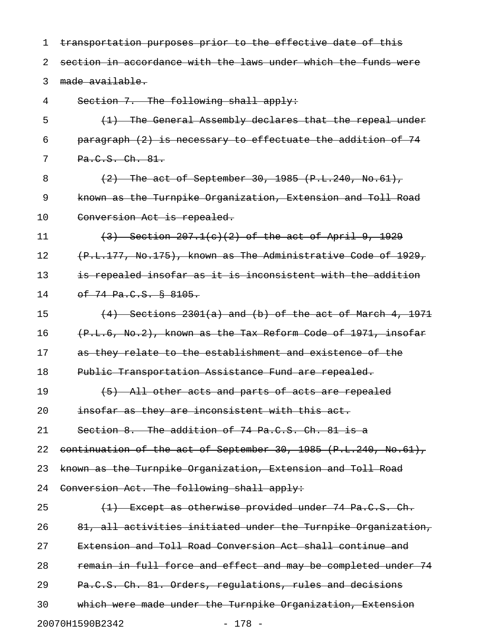1 transportation purposes prior to the effective date of this 2 section in accordance with the laws under which the funds were 3 made available. 4 Section 7. The following shall apply: 5 (1) The General Assembly declares that the repeal under 6 paragraph (2) is necessary to effectuate the addition of 74 7 Pa.C.S. Ch. 81. 8 (2) The act of September 30, 1985 (P.L.240, No.61), 9 known as the Turnpike Organization, Extension and Toll Road 10 Conversion Act is repealed. 11 (3) Section 207.1(c)(2) of the act of April 9, 1929 12 (P.L.177, No.175), known as The Administrative Code of 1929, 13 is repealed insofar as it is inconsistent with the addition 14 of 74 Pa.C.S. § 8105. 15  $(4)$  Sections 2301 $(a)$  and  $(b)$  of the act of March 4, 1971 16 (P.L.6, No.2), known as the Tax Reform Code of 1971, insofar 17 as they relate to the establishment and existence of the 18 Public Transportation Assistance Fund are repealed. 19 (5) All other acts and parts of acts are repealed 20 **insofar as they are inconsistent with this act.** 21 Section 8. The addition of 74 Pa.C.S. Ch. 81 is a 22 continuation of the act of September 30, 1985 (P.L.240, No.61), 23 known as the Turnpike Organization, Extension and Toll Road 24 Conversion Act. The following shall apply: 25 (1) Except as otherwise provided under 74 Pa.C.S. Ch. 26 81, all activities initiated under the Turnpike Organization, 27 Extension and Toll Road Conversion Act shall continue and 28 remain in full force and effect and may be completed under 74 29 Pa.C.S. Ch. 81. Orders, regulations, rules and decisions 30 which were made under the Turnpike Organization, Extension

20070H1590B2342 - 178 -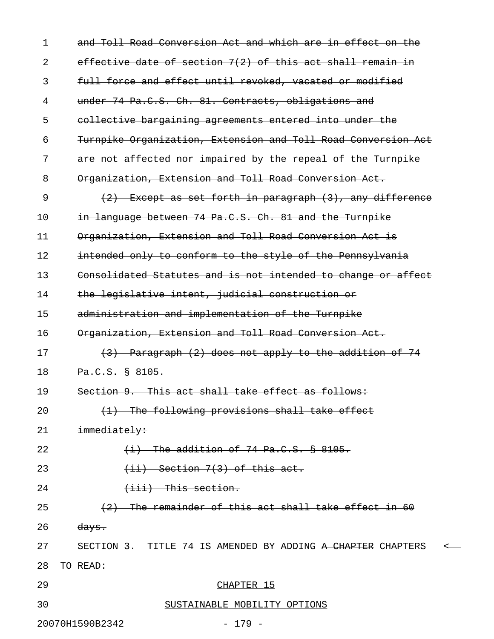| $\mathbf 1$<br>and Toll Road Conversion Act and which are in effect on the |  |
|----------------------------------------------------------------------------|--|
| effective date of section 7(2) of this act shall remain in<br>2            |  |
| full force and effect until revoked, vacated or modified<br>3              |  |
| under 74 Pa.C.S. Ch. 81. Contracts, obligations and<br>4                   |  |
| 5<br>collective bargaining agreements entered into under the               |  |
| Turnpike Organization, Extension and Toll Road Conversion Act<br>6         |  |
| 7<br>are not affected nor impaired by the repeal of the Turnpike           |  |
| 8<br>Organization, Extension and Toll Road Conversion Act.                 |  |
| 9<br>(2) Except as set forth in paragraph (3), any difference              |  |
| in language between 74 Pa.C.S. Ch. 81 and the Turnpike<br>10               |  |
| Organization, Extension and Toll Road Conversion Act is<br>11              |  |
| intended only to conform to the style of the Pennsylvania<br>12            |  |
| Consolidated Statutes and is not intended to change or affect<br>13        |  |
| the legislative intent, judicial construction or<br>14                     |  |
| administration and implementation of the Turnpike<br>15                    |  |
| Organization, Extension and Toll Road Conversion Act.<br>16                |  |
| 17<br>(3) Paragraph (2) does not apply to the addition of 74               |  |
| Pa.C.S. § 8105.<br>18                                                      |  |
| Section 9. This act shall take effect as follows:<br>19                    |  |
| (1) The following provisions shall take effect<br>20                       |  |
| 21<br>immediately:                                                         |  |
| $(i)$ The addition of 74 Pa.C.S. § 8105.<br>22                             |  |
| $(iii)$ Section 7(3) of this act.<br>23                                    |  |
| $\overline{$ iii) This section.<br>24                                      |  |
| (2) The remainder of this act shall take effect in 60<br>25                |  |
| 26<br><del>days.</del>                                                     |  |
| 27<br>SECTION 3. TITLE 74 IS AMENDED BY ADDING A CHAPTER CHAPTERS <        |  |
| TO READ:<br>28                                                             |  |
| 29<br>CHAPTER 15                                                           |  |
| 30<br>SUSTAINABLE MOBILITY OPTIONS                                         |  |
| 20070H1590B2342<br>$-179 -$                                                |  |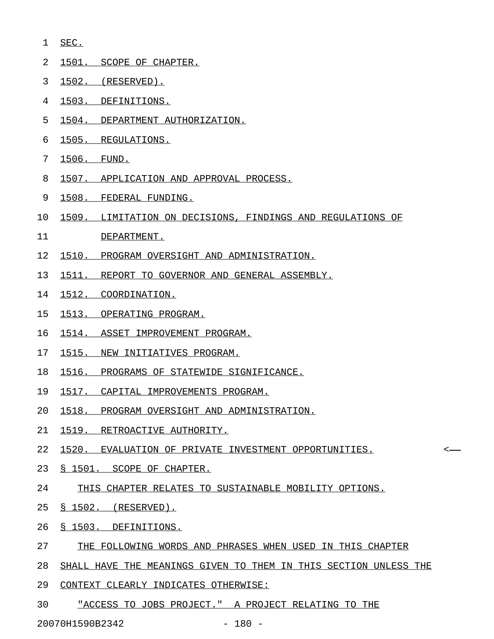- 1 SEC. \_\_\_\_
- 2 1501. SCOPE OF CHAPTER.
- 3 1502. (RESERVED).
- 4 1503. DEFINITIONS.
- 5 1504. DEPARTMENT AUTHORIZATION.
- 6 1505. REGULATIONS.
- 7 1506. FUND. \_\_\_\_\_\_\_\_\_\_\_\_
- 8 1507. APPLICATION AND APPROVAL PROCESS.
- 9 1508. FEDERAL FUNDING. \_\_\_\_\_\_\_\_\_\_\_\_\_\_\_\_\_\_\_\_\_\_\_
- 10 1509. LIMITATION ON DECISIONS, FINDINGS AND REGULATIONS OF
- 11 DEPARTMENT.
- 12 1510. PROGRAM OVERSIGHT AND ADMINISTRATION.
- 13 1511. REPORT TO GOVERNOR AND GENERAL ASSEMBLY.
- 14 1512. COORDINATION.
- 15 1513. OPERATING PROGRAM.
- 16 1514. ASSET IMPROVEMENT PROGRAM.
- 17 1515. NEW INITIATIVES PROGRAM.
- 18 1516. PROGRAMS OF STATEWIDE SIGNIFICANCE.
- 19 1517. CAPITAL IMPROVEMENTS PROGRAM.
- 20 1518. PROGRAM OVERSIGHT AND ADMINISTRATION.
- 21 1519. RETROACTIVE AUTHORITY.
- 22 1520. EVALUATION OF PRIVATE INVESTMENT OPPORTUNITIES.
- 23 § 1501. SCOPE OF CHAPTER.
- 24 THIS CHAPTER RELATES TO SUSTAINABLE MOBILITY OPTIONS.
- 25 § 1502. (RESERVED).
- 26 <u>§ 1503. DEFINITIONS.</u>
- 27 THE FOLLOWING WORDS AND PHRASES WHEN USED IN THIS CHAPTER
- 28 SHALL HAVE THE MEANINGS GIVEN TO THEM IN THIS SECTION UNLESS THE
- 29 CONTEXT CLEARLY INDICATES OTHERWISE:
- 30 "ACCESS TO JOBS PROJECT." A PROJECT RELATING TO THE

20070H1590B2342 - 180 -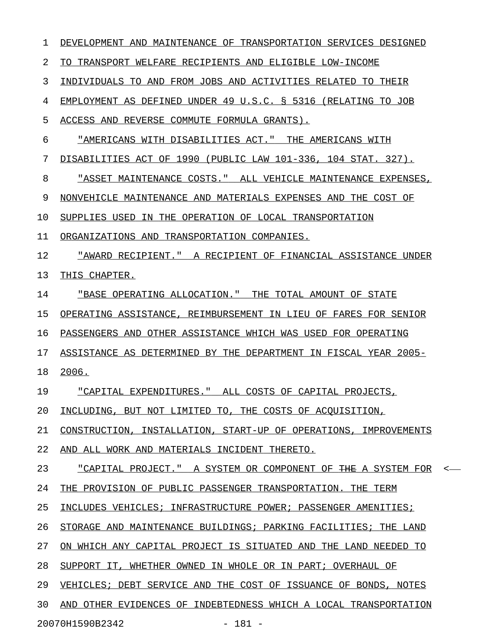1 DEVELOPMENT AND MAINTENANCE OF TRANSPORTATION SERVICES DESIGNED 2 TO TRANSPORT WELFARE RECIPIENTS AND ELIGIBLE LOW-INCOME 3 INDIVIDUALS TO AND FROM JOBS AND ACTIVITIES RELATED TO THEIR 4 EMPLOYMENT AS DEFINED UNDER 49 U.S.C. § 5316 (RELATING TO JOB 5 ACCESS AND REVERSE COMMUTE FORMULA GRANTS). 6 "AMERICANS WITH DISABILITIES ACT." THE AMERICANS WITH 7 DISABILITIES ACT OF 1990 (PUBLIC LAW 101-336, 104 STAT. 327). 8 "ASSET MAINTENANCE COSTS." ALL VEHICLE MAINTENANCE EXPENSES, 9 NONVEHICLE MAINTENANCE AND MATERIALS EXPENSES AND THE COST OF 10 SUPPLIES USED IN THE OPERATION OF LOCAL TRANSPORTATION 11 ORGANIZATIONS AND TRANSPORTATION COMPANIES. 12 "AWARD RECIPIENT." A RECIPIENT OF FINANCIAL ASSISTANCE UNDER \_\_\_\_\_\_\_\_\_\_\_\_\_\_\_\_\_\_\_\_\_\_\_\_\_\_\_\_\_\_\_\_\_\_\_\_\_\_\_\_\_\_\_\_\_\_\_\_\_\_\_\_\_\_\_\_\_\_\_\_\_ 13 THIS CHAPTER. 14 "BASE OPERATING ALLOCATION." THE TOTAL AMOUNT OF STATE 15 OPERATING ASSISTANCE, REIMBURSEMENT IN LIEU OF FARES FOR SENIOR 16 PASSENGERS AND OTHER ASSISTANCE WHICH WAS USED FOR OPERATING 17 ASSISTANCE AS DETERMINED BY THE DEPARTMENT IN FISCAL YEAR 2005-18 2006. \_\_\_\_\_ 19 "CAPITAL EXPENDITURES." ALL COSTS OF CAPITAL PROJECTS, 20 INCLUDING, BUT NOT LIMITED TO, THE COSTS OF ACQUISITION, 21 CONSTRUCTION, INSTALLATION, START-UP OF OPERATIONS, IMPROVEMENTS 22 AND ALL WORK AND MATERIALS INCIDENT THERETO. 23 "CAPITAL PROJECT." A SYSTEM OR COMPONENT OF THE A SYSTEM FOR <-24 THE PROVISION OF PUBLIC PASSENGER TRANSPORTATION. THE TERM 25 INCLUDES VEHICLES; INFRASTRUCTURE POWER; PASSENGER AMENITIES; 26 STORAGE AND MAINTENANCE BUILDINGS; PARKING FACILITIES; THE LAND 27 ON WHICH ANY CAPITAL PROJECT IS SITUATED AND THE LAND NEEDED TO 28 SUPPORT IT, WHETHER OWNED IN WHOLE OR IN PART; OVERHAUL OF 29 VEHICLES; DEBT SERVICE AND THE COST OF ISSUANCE OF BONDS, NOTES 30 AND OTHER EVIDENCES OF INDEBTEDNESS WHICH A LOCAL TRANSPORTATION 20070H1590B2342 - 181 -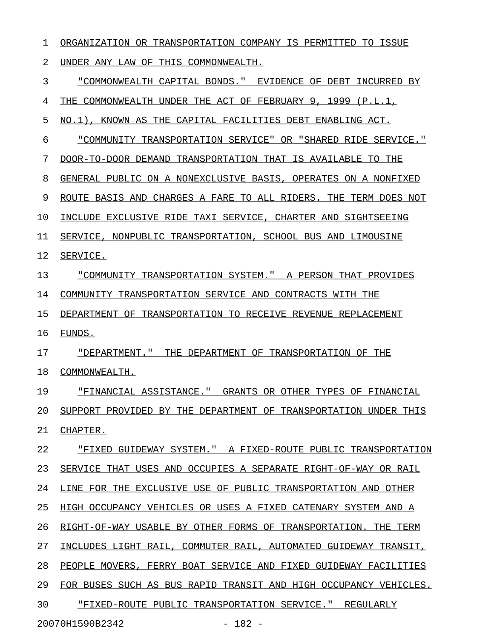1 ORGANIZATION OR TRANSPORTATION COMPANY IS PERMITTED TO ISSUE 2 UNDER ANY LAW OF THIS COMMONWEALTH. 3 "COMMONWEALTH CAPITAL BONDS." EVIDENCE OF DEBT INCURRED BY 4 THE COMMONWEALTH UNDER THE ACT OF FEBRUARY 9, 1999 (P.L.1, 5 NO.1), KNOWN AS THE CAPITAL FACILITIES DEBT ENABLING ACT. 6 "COMMUNITY TRANSPORTATION SERVICE" OR "SHARED RIDE SERVICE." 7 DOOR-TO-DOOR DEMAND TRANSPORTATION THAT IS AVAILABLE TO THE 8 GENERAL PUBLIC ON A NONEXCLUSIVE BASIS, OPERATES ON A NONFIXED 9 ROUTE BASIS AND CHARGES A FARE TO ALL RIDERS. THE TERM DOES NOT 10 INCLUDE EXCLUSIVE RIDE TAXI SERVICE, CHARTER AND SIGHTSEEING 11 SERVICE, NONPUBLIC TRANSPORTATION, SCHOOL BUS AND LIMOUSINE 12 SERVICE. 13 "COMMUNITY TRANSPORTATION SYSTEM." A PERSON THAT PROVIDES 14 COMMUNITY TRANSPORTATION SERVICE AND CONTRACTS WITH THE 15 DEPARTMENT OF TRANSPORTATION TO RECEIVE REVENUE REPLACEMENT 16 FUNDS. 17 "DEPARTMENT." THE DEPARTMENT OF TRANSPORTATION OF THE 18 COMMONWEALTH. 19 • FINANCIAL ASSISTANCE." GRANTS OR OTHER TYPES OF FINANCIAL 20 SUPPORT PROVIDED BY THE DEPARTMENT OF TRANSPORTATION UNDER THIS 21 CHAPTER. 22 "FIXED GUIDEWAY SYSTEM." A FIXED-ROUTE PUBLIC TRANSPORTATION 23 SERVICE THAT USES AND OCCUPIES A SEPARATE RIGHT-OF-WAY OR RAIL 24 LINE FOR THE EXCLUSIVE USE OF PUBLIC TRANSPORTATION AND OTHER 25 HIGH OCCUPANCY VEHICLES OR USES A FIXED CATENARY SYSTEM AND A 26 RIGHT-OF-WAY USABLE BY OTHER FORMS OF TRANSPORTATION. THE TERM 27 INCLUDES LIGHT RAIL, COMMUTER RAIL, AUTOMATED GUIDEWAY TRANSIT, 28 PEOPLE MOVERS, FERRY BOAT SERVICE AND FIXED GUIDEWAY FACILITIES 29 FOR BUSES SUCH AS BUS RAPID TRANSIT AND HIGH OCCUPANCY VEHICLES. 30 FIXED-ROUTE PUBLIC TRANSPORTATION SERVICE." REGULARLY

20070H1590B2342 - 182 -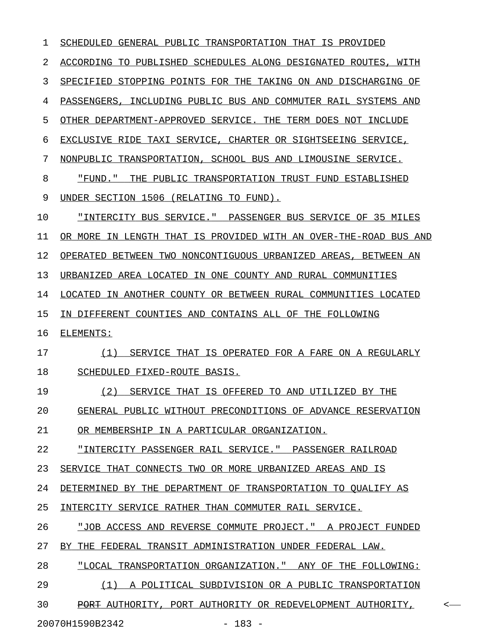1 SCHEDULED GENERAL PUBLIC TRANSPORTATION THAT IS PROVIDED 2 ACCORDING TO PUBLISHED SCHEDULES ALONG DESIGNATED ROUTES, WITH 3 SPECIFIED STOPPING POINTS FOR THE TAKING ON AND DISCHARGING OF 4 PASSENGERS, INCLUDING PUBLIC BUS AND COMMUTER RAIL SYSTEMS AND 5 OTHER DEPARTMENT-APPROVED SERVICE. THE TERM DOES NOT INCLUDE 6 EXCLUSIVE RIDE TAXI SERVICE, CHARTER OR SIGHTSEEING SERVICE, 7 NONPUBLIC TRANSPORTATION, SCHOOL BUS AND LIMOUSINE SERVICE. 8 FUND." THE PUBLIC TRANSPORTATION TRUST FUND ESTABLISHED 9 UNDER SECTION 1506 (RELATING TO FUND). 10 "INTERCITY BUS SERVICE." PASSENGER BUS SERVICE OF 35 MILES \_\_\_\_\_\_\_\_\_\_\_\_\_\_\_\_\_\_\_\_\_\_\_\_\_\_\_\_\_\_\_\_\_\_\_\_\_\_\_\_\_\_\_\_\_\_\_\_\_\_\_\_\_\_\_\_\_\_\_ 11 OR MORE IN LENGTH THAT IS PROVIDED WITH AN OVER-THE-ROAD BUS AND 12 OPERATED BETWEEN TWO NONCONTIGUOUS URBANIZED AREAS, BETWEEN AN 13 URBANIZED AREA LOCATED IN ONE COUNTY AND RURAL COMMUNITIES 14 LOCATED IN ANOTHER COUNTY OR BETWEEN RURAL COMMUNITIES LOCATED 15 IN DIFFERENT COUNTIES AND CONTAINS ALL OF THE FOLLOWING 16 ELEMENTS: 17 (1) SERVICE THAT IS OPERATED FOR A FARE ON A REGULARLY 18 SCHEDULED FIXED-ROUTE BASIS. 19 (2) SERVICE THAT IS OFFERED TO AND UTILIZED BY THE 20 GENERAL PUBLIC WITHOUT PRECONDITIONS OF ADVANCE RESERVATION 21 OR MEMBERSHIP IN A PARTICULAR ORGANIZATION. 22 "INTERCITY PASSENGER RAIL SERVICE." PASSENGER RAILROAD 23 SERVICE THAT CONNECTS TWO OR MORE URBANIZED AREAS AND IS 24 DETERMINED BY THE DEPARTMENT OF TRANSPORTATION TO QUALIFY AS 25 INTERCITY SERVICE RATHER THAN COMMUTER RAIL SERVICE. 26 "JOB ACCESS AND REVERSE COMMUTE PROJECT." A PROJECT FUNDED 27 BY THE FEDERAL TRANSIT ADMINISTRATION UNDER FEDERAL LAW. 28 "LOCAL TRANSPORTATION ORGANIZATION." ANY OF THE FOLLOWING: 29 (1) A POLITICAL SUBDIVISION OR A PUBLIC TRANSPORTATION 30 PORT AUTHORITY, PORT AUTHORITY OR REDEVELOPMENT AUTHORITY,  $\sim$ 

20070H1590B2342 - 183 -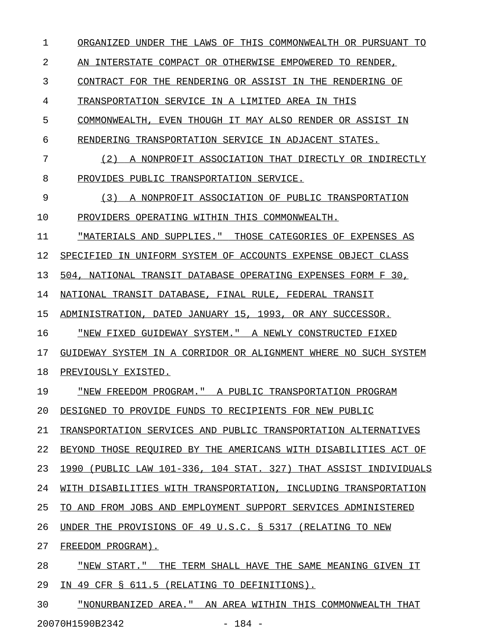1 ORGANIZED UNDER THE LAWS OF THIS COMMONWEALTH OR PURSUANT TO 2 AN INTERSTATE COMPACT OR OTHERWISE EMPOWERED TO RENDER, 3 CONTRACT FOR THE RENDERING OR ASSIST IN THE RENDERING OF 4 TRANSPORTATION SERVICE IN A LIMITED AREA IN THIS 5 COMMONWEALTH, EVEN THOUGH IT MAY ALSO RENDER OR ASSIST IN 6 RENDERING TRANSPORTATION SERVICE IN ADJACENT STATES. 7 (2) A NONPROFIT ASSOCIATION THAT DIRECTLY OR INDIRECTLY 8 PROVIDES PUBLIC TRANSPORTATION SERVICE. 9 (3) A NONPROFIT ASSOCIATION OF PUBLIC TRANSPORTATION 10 PROVIDERS OPERATING WITHIN THIS COMMONWEALTH. 11 "MATERIALS AND SUPPLIES." THOSE CATEGORIES OF EXPENSES AS 12 SPECIFIED IN UNIFORM SYSTEM OF ACCOUNTS EXPENSE OBJECT CLASS 13 504, NATIONAL TRANSIT DATABASE OPERATING EXPENSES FORM F 30, 14 NATIONAL TRANSIT DATABASE, FINAL RULE, FEDERAL TRANSIT 15 ADMINISTRATION, DATED JANUARY 15, 1993, OR ANY SUCCESSOR. 16 "NEW FIXED GUIDEWAY SYSTEM." A NEWLY CONSTRUCTED FIXED 17 GUIDEWAY SYSTEM IN A CORRIDOR OR ALIGNMENT WHERE NO SUCH SYSTEM 18 PREVIOUSLY EXISTED. 19 • "NEW FREEDOM PROGRAM." A PUBLIC TRANSPORTATION PROGRAM 20 DESIGNED TO PROVIDE FUNDS TO RECIPIENTS FOR NEW PUBLIC 21 TRANSPORTATION SERVICES AND PUBLIC TRANSPORTATION ALTERNATIVES 22 BEYOND THOSE REQUIRED BY THE AMERICANS WITH DISABILITIES ACT OF 23 1990 (PUBLIC LAW 101-336, 104 STAT. 327) THAT ASSIST INDIVIDUALS 24 WITH DISABILITIES WITH TRANSPORTATION, INCLUDING TRANSPORTATION 25 TO AND FROM JOBS AND EMPLOYMENT SUPPORT SERVICES ADMINISTERED 26 UNDER THE PROVISIONS OF 49 U.S.C. § 5317 (RELATING TO NEW 27 FREEDOM PROGRAM). 28 "NEW START." THE TERM SHALL HAVE THE SAME MEANING GIVEN IT 29 IN 49 CFR § 611.5 (RELATING TO DEFINITIONS).

30 "NONURBANIZED AREA." AN AREA WITHIN THIS COMMONWEALTH THAT 20070H1590B2342 - 184 -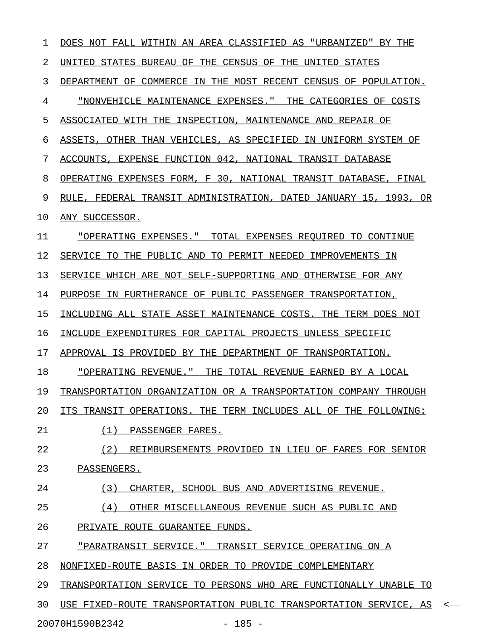| 1  | DOES NOT FALL WITHIN AN AREA CLASSIFIED AS "URBANIZED" BY THE               |
|----|-----------------------------------------------------------------------------|
| 2  | UNITED STATES BUREAU OF THE CENSUS OF THE UNITED STATES                     |
| 3  | DEPARTMENT OF COMMERCE IN THE MOST RECENT CENSUS OF POPULATION.             |
| 4  | <u>"NONVEHICLE MAINTENANCE EXPENSES." THE CATEGORIES OF COSTS</u>           |
| 5  | ASSOCIATED WITH THE INSPECTION, MAINTENANCE AND REPAIR OF                   |
| 6  | ASSETS, OTHER THAN VEHICLES, AS SPECIFIED IN UNIFORM SYSTEM OF              |
| 7  | ACCOUNTS, EXPENSE FUNCTION 042, NATIONAL TRANSIT DATABASE                   |
| 8  | OPERATING EXPENSES FORM, F 30, NATIONAL TRANSIT DATABASE, FINAL             |
| 9  | RULE, FEDERAL TRANSIT ADMINISTRATION, DATED JANUARY 15, 1993, OR            |
| 10 | ANY SUCCESSOR.                                                              |
| 11 | "OPERATING EXPENSES." TOTAL EXPENSES REQUIRED TO CONTINUE                   |
| 12 | SERVICE TO THE PUBLIC AND TO PERMIT NEEDED IMPROVEMENTS IN                  |
| 13 | SERVICE WHICH ARE NOT SELF-SUPPORTING AND OTHERWISE FOR ANY                 |
| 14 | PURPOSE IN FURTHERANCE OF PUBLIC PASSENGER TRANSPORTATION,                  |
| 15 | INCLUDING ALL STATE ASSET MAINTENANCE COSTS. THE TERM DOES NOT              |
| 16 | INCLUDE EXPENDITURES FOR CAPITAL PROJECTS UNLESS SPECIFIC                   |
| 17 | APPROVAL IS PROVIDED BY THE DEPARTMENT OF TRANSPORTATION.                   |
| 18 | "OPERATING REVENUE." THE TOTAL REVENUE EARNED BY A LOCAL                    |
| 19 | TRANSPORTATION ORGANIZATION OR A TRANSPORTATION COMPANY THROUGH             |
| 20 | ITS TRANSIT OPERATIONS. THE TERM INCLUDES ALL OF THE FOLLOWING:             |
| 21 | (1) PASSENGER FARES.                                                        |
| 22 | (2) REIMBURSEMENTS PROVIDED IN LIEU OF FARES FOR SENIOR                     |
| 23 | PASSENGERS.                                                                 |
| 24 | (3)<br>CHARTER, SCHOOL BUS AND ADVERTISING REVENUE.                         |
| 25 | (4) OTHER MISCELLANEOUS REVENUE SUCH AS PUBLIC AND                          |
| 26 | PRIVATE ROUTE GUARANTEE FUNDS.                                              |
| 27 | <u> "PARATRANSIT SERVICE." TRANSIT SERVICE OPERATING ON A</u>               |
| 28 | NONFIXED-ROUTE BASIS IN ORDER TO PROVIDE COMPLEMENTARY                      |
| 29 | TRANSPORTATION SERVICE TO PERSONS WHO ARE FUNCTIONALLY UNABLE TO            |
| 30 | USE FIXED-ROUTE TRANSPORTATION PUBLIC TRANSPORTATION SERVICE, AS<br>$\prec$ |

20070H1590B2342 - 185 -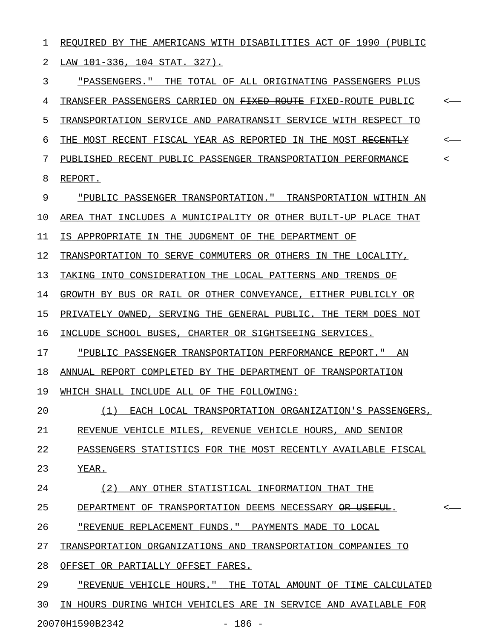1 REQUIRED BY THE AMERICANS WITH DISABILITIES ACT OF 1990 (PUBLIC 2 LAW 101-336, 104 STAT. 327).

3 "PASSENGERS." THE TOTAL OF ALL ORIGINATING PASSENGERS PLUS 4 TRANSFER PASSENGERS CARRIED ON <del>FIXED ROUTE</del> FIXED-ROUTE PUBLIC <-5 TRANSPORTATION SERVICE AND PARATRANSIT SERVICE WITH RESPECT TO 6 THE MOST RECENT FISCAL YEAR AS REPORTED IN THE MOST RECENTLY  $\sim$ 7 PUBLISHED RECENT PUBLIC PASSENGER TRANSPORTATION PERFORMANCE <-8 REPORT.

9 "PUBLIC PASSENGER TRANSPORTATION." TRANSPORTATION WITHIN AN \_\_\_\_\_\_\_\_\_\_\_\_\_\_\_\_\_\_\_\_\_\_\_\_\_\_\_\_\_\_\_\_\_\_\_\_\_\_\_\_\_\_\_\_\_\_\_\_\_\_\_\_\_\_\_\_\_\_\_\_ 10 AREA THAT INCLUDES A MUNICIPALITY OR OTHER BUILT-UP PLACE THAT 11 IS APPROPRIATE IN THE JUDGMENT OF THE DEPARTMENT OF 12 TRANSPORTATION TO SERVE COMMUTERS OR OTHERS IN THE LOCALITY,

13 TAKING INTO CONSIDERATION THE LOCAL PATTERNS AND TRENDS OF

14 GROWTH BY BUS OR RAIL OR OTHER CONVEYANCE, EITHER PUBLICLY OR

15 PRIVATELY OWNED, SERVING THE GENERAL PUBLIC. THE TERM DOES NOT

16 INCLUDE SCHOOL BUSES, CHARTER OR SIGHTSEEING SERVICES.

17 "PUBLIC PASSENGER TRANSPORTATION PERFORMANCE REPORT." AN

18 ANNUAL REPORT COMPLETED BY THE DEPARTMENT OF TRANSPORTATION

19 WHICH SHALL INCLUDE ALL OF THE FOLLOWING:

20  $(1)$  EACH LOCAL TRANSPORTATION ORGANIZATION'S PASSENGERS,

21 REVENUE VEHICLE MILES, REVENUE VEHICLE HOURS, AND SENIOR

22 PASSENGERS STATISTICS FOR THE MOST RECENTLY AVAILABLE FISCAL

23 YEAR.

24 (2) ANY OTHER STATISTICAL INFORMATION THAT THE

25 DEPARTMENT OF TRANSPORTATION DEEMS NECESSARY <del>OR USEFUL</del>.  $\sim$ 

26 TREVENUE REPLACEMENT FUNDS. " PAYMENTS MADE TO LOCAL

27 TRANSPORTATION ORGANIZATIONS AND TRANSPORTATION COMPANIES TO

28 OFFSET OR PARTIALLY OFFSET FARES.

29 "REVENUE VEHICLE HOURS." THE TOTAL AMOUNT OF TIME CALCULATED 30 IN HOURS DURING WHICH VEHICLES ARE IN SERVICE AND AVAILABLE FOR 20070H1590B2342 - 186 -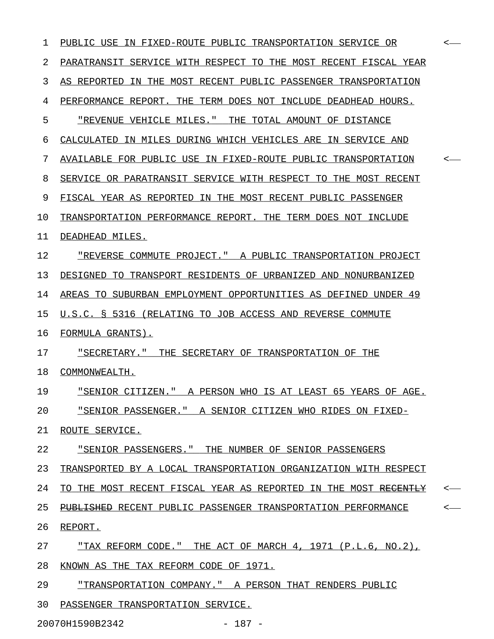| 1  | PUBLIC USE IN FIXED-ROUTE PUBLIC TRANSPORTATION SERVICE OR        | <—           |
|----|-------------------------------------------------------------------|--------------|
| 2  | PARATRANSIT SERVICE WITH RESPECT TO THE MOST RECENT FISCAL YEAR   |              |
| 3  | IN THE MOST RECENT PUBLIC PASSENGER TRANSPORTATION<br>AS REPORTED |              |
| 4  | PERFORMANCE REPORT. THE TERM DOES NOT INCLUDE DEADHEAD HOURS.     |              |
| 5  | "REVENUE VEHICLE MILES."<br>THE TOTAL AMOUNT OF DISTANCE          |              |
| 6  | CALCULATED IN MILES DURING WHICH VEHICLES ARE IN SERVICE AND      |              |
| 7  | AVAILABLE FOR PUBLIC USE IN FIXED-ROUTE PUBLIC TRANSPORTATION     | $\leftarrow$ |
| 8  | SERVICE OR PARATRANSIT SERVICE WITH RESPECT TO THE MOST RECENT    |              |
| 9  | FISCAL YEAR AS REPORTED IN THE MOST RECENT PUBLIC PASSENGER       |              |
| 10 | TRANSPORTATION PERFORMANCE REPORT. THE TERM DOES NOT INCLUDE      |              |
| 11 | DEADHEAD MILES.                                                   |              |
| 12 | "REVERSE COMMUTE PROJECT." A PUBLIC TRANSPORTATION PROJECT        |              |
| 13 | DESIGNED TO TRANSPORT RESIDENTS OF URBANIZED AND NONURBANIZED     |              |
| 14 | AREAS TO SUBURBAN EMPLOYMENT OPPORTUNITIES AS DEFINED UNDER 49    |              |
| 15 | U.S.C. § 5316 (RELATING TO JOB ACCESS AND REVERSE COMMUTE         |              |
| 16 | FORMULA GRANTS).                                                  |              |
| 17 | "SECRETARY."<br>THE SECRETARY OF TRANSPORTATION OF THE            |              |
| 18 | COMMONWEALTH.                                                     |              |
| 19 | "SENIOR CITIZEN." A PERSON WHO IS AT LEAST 65 YEARS OF AGE.       |              |
| 20 | "SENIOR PASSENGER." A SENIOR CITIZEN WHO RIDES ON FIXED-          |              |
| 21 | ROUTE SERVICE.                                                    |              |
| 22 | "SENIOR PASSENGERS." THE NUMBER OF SENIOR PASSENGERS              |              |
| 23 | TRANSPORTED BY A LOCAL TRANSPORTATION ORGANIZATION WITH RESPECT   |              |
| 24 | TO THE MOST RECENT FISCAL YEAR AS REPORTED IN THE MOST RECENTLY   | $\leftarrow$ |
| 25 | PUBLISHED RECENT PUBLIC PASSENGER TRANSPORTATION PERFORMANCE      | $\leftarrow$ |
| 26 | REPORT.                                                           |              |
| 27 | "TAX REFORM CODE." THE ACT OF MARCH 4, 1971 (P.L.6, NO.2),        |              |
| 28 | KNOWN AS THE TAX REFORM CODE OF 1971.                             |              |
| 29 | "TRANSPORTATION COMPANY." A PERSON THAT RENDERS PUBLIC            |              |
| 30 | PASSENGER TRANSPORTATION SERVICE.                                 |              |

20070H1590B2342 - 187 -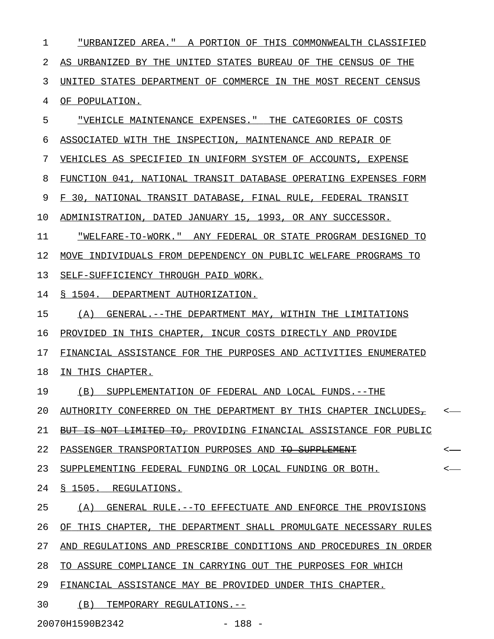1 "URBANIZED AREA." A PORTION OF THIS COMMONWEALTH CLASSIFIED 2 AS URBANIZED BY THE UNITED STATES BUREAU OF THE CENSUS OF THE 3 UNITED STATES DEPARTMENT OF COMMERCE IN THE MOST RECENT CENSUS 4 OF POPULATION. 5 "VEHICLE MAINTENANCE EXPENSES." THE CATEGORIES OF COSTS \_\_\_\_\_\_\_\_\_\_\_\_\_\_\_\_\_\_\_\_\_\_\_\_\_\_\_\_\_\_\_\_\_\_\_\_\_\_\_\_\_\_\_\_\_\_\_\_\_\_\_\_\_\_\_\_ 6 ASSOCIATED WITH THE INSPECTION, MAINTENANCE AND REPAIR OF 7 VEHICLES AS SPECIFIED IN UNIFORM SYSTEM OF ACCOUNTS, EXPENSE 8 FUNCTION 041, NATIONAL TRANSIT DATABASE OPERATING EXPENSES FORM 9 F 30, NATIONAL TRANSIT DATABASE, FINAL RULE, FEDERAL TRANSIT 10 ADMINISTRATION, DATED JANUARY 15, 1993, OR ANY SUCCESSOR. 11 "WELFARE-TO-WORK." ANY FEDERAL OR STATE PROGRAM DESIGNED TO \_\_\_\_\_\_\_\_\_\_\_\_\_\_\_\_\_\_\_\_\_\_\_\_\_\_\_\_\_\_\_\_\_\_\_\_\_\_\_\_\_\_\_\_\_\_\_\_\_\_\_\_\_\_\_\_\_\_\_\_ 12 MOVE INDIVIDUALS FROM DEPENDENCY ON PUBLIC WELFARE PROGRAMS TO 13 SELF-SUFFICIENCY THROUGH PAID WORK. 14 § 1504. DEPARTMENT AUTHORIZATION. 15 (A) GENERAL.--THE DEPARTMENT MAY, WITHIN THE LIMITATIONS 16 PROVIDED IN THIS CHAPTER, INCUR COSTS DIRECTLY AND PROVIDE 17 FINANCIAL ASSISTANCE FOR THE PURPOSES AND ACTIVITIES ENUMERATED 18 IN THIS CHAPTER. 19 (B) SUPPLEMENTATION OF FEDERAL AND LOCAL FUNDS.--THE 20 AUTHORITY CONFERRED ON THE DEPARTMENT BY THIS CHAPTER INCLUDES-  $\sim$ 21 BUT IS NOT LIMITED TO, PROVIDING FINANCIAL ASSISTANCE FOR PUBLIC 22 PASSENGER TRANSPORTATION PURPOSES AND <del>TO SUPPLEMENT</del>  $\sim$ 23 SUPPLEMENTING FEDERAL FUNDING OR LOCAL FUNDING OR BOTH. 24 § 1505. REGULATIONS. 25 (A) GENERAL RULE.--TO EFFECTUATE AND ENFORCE THE PROVISIONS 26 OF THIS CHAPTER, THE DEPARTMENT SHALL PROMULGATE NECESSARY RULES 27 AND REGULATIONS AND PRESCRIBE CONDITIONS AND PROCEDURES IN ORDER 28 TO ASSURE COMPLIANCE IN CARRYING OUT THE PURPOSES FOR WHICH 29 FINANCIAL ASSISTANCE MAY BE PROVIDED UNDER THIS CHAPTER. 30 (B) TEMPORARY REGULATIONS.--

20070H1590B2342 - 188 -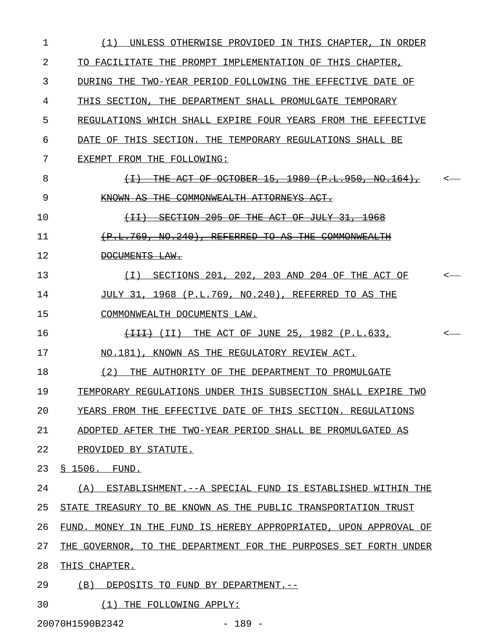| 1  | UNLESS OTHERWISE PROVIDED IN THIS CHAPTER, IN ORDER<br>(1)                                           |         |
|----|------------------------------------------------------------------------------------------------------|---------|
| 2  | TO FACILITATE THE PROMPT IMPLEMENTATION OF THIS CHAPTER,                                             |         |
| 3  | DURING THE TWO-YEAR PERIOD FOLLOWING THE EFFECTIVE DATE OF                                           |         |
| 4  | THIS SECTION, THE DEPARTMENT SHALL PROMULGATE TEMPORARY                                              |         |
| 5  | REGULATIONS WHICH SHALL EXPIRE FOUR YEARS FROM THE EFFECTIVE                                         |         |
| 6  | DATE OF THIS SECTION. THE TEMPORARY REGULATIONS SHALL BE                                             |         |
| 7  | EXEMPT FROM THE FOLLOWING:                                                                           |         |
| 8  | <del>-15. -1980</del><br>(P.L.950, NO.164<br>$\leftarrow$ $\rightarrow$<br>−OF<br><del>OCTOBER</del> | <       |
| 9  | <del>COMMONWEALTH</del><br>KNOWN-                                                                    |         |
| 10 | $+1$<br><del>SECTION</del><br>-205<br>−OF                                                            |         |
| 11 | <del>T. 769</del><br><del>. NO. 240)</del><br><del>REFERRED</del><br>ŦО<br>平开采<br>COMMONWEA          |         |
| 12 | DOCUMENTS LAW.                                                                                       |         |
| 13 | SECTIONS 201, 202, 203 AND 204 OF THE ACT OF<br>(T)                                                  | $\,<\,$ |
| 14 | JULY 31, 1968 (P.L.769, NO.240), REFERRED TO AS THE                                                  |         |
| 15 | COMMONWEALTH DOCUMENTS LAW.                                                                          |         |
| 16 | THE ACT OF JUNE 25, 1982 (P.L.633,<br>$\overline{+I++}$ (II)                                         | $\,<\,$ |
| 17 | NO.181), KNOWN AS THE REGULATORY REVIEW ACT.                                                         |         |
| 18 | (2)<br>THE AUTHORITY OF THE DEPARTMENT TO PROMULGATE                                                 |         |
| 19 | TEMPORARY REGULATIONS UNDER THIS SUBSECTION SHALL EXPIRE TWO                                         |         |
| 20 | YEARS FROM THE EFFECTIVE DATE OF THIS SECTION. REGULATIONS                                           |         |
| 21 | ADOPTED AFTER THE TWO-YEAR PERIOD SHALL BE PROMULGATED AS                                            |         |
| 22 | PROVIDED BY STATUTE.                                                                                 |         |
| 23 | § 1506. FUND.                                                                                        |         |
| 24 | (A) ESTABLISHMENT.--A SPECIAL FUND IS ESTABLISHED WITHIN THE                                         |         |
| 25 | STATE TREASURY TO BE KNOWN AS THE PUBLIC TRANSPORTATION TRUST                                        |         |
| 26 | FUND. MONEY IN THE FUND IS HEREBY APPROPRIATED, UPON APPROVAL OF                                     |         |
| 27 | THE GOVERNOR, TO THE DEPARTMENT FOR THE PURPOSES SET FORTH UNDER                                     |         |
| 28 | THIS CHAPTER.                                                                                        |         |
| 29 | (B) DEPOSITS TO FUND BY DEPARTMENT. --                                                               |         |
| 30 | (1) THE FOLLOWING APPLY:                                                                             |         |

20070H1590B2342 - 189 -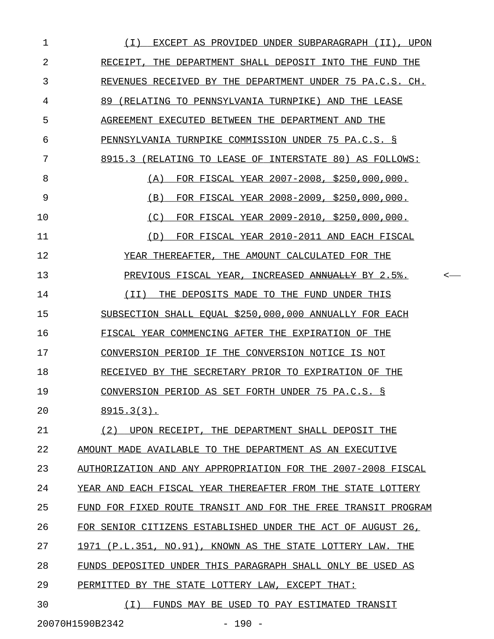| 1  | EXCEPT AS PROVIDED UNDER SUBPARAGRAPH (II), UPON<br>( I )     |
|----|---------------------------------------------------------------|
| 2  | RECEIPT, THE DEPARTMENT SHALL DEPOSIT INTO THE FUND THE       |
| 3  | REVENUES RECEIVED BY THE DEPARTMENT UNDER 75 PA.C.S. CH.      |
| 4  | 89 (RELATING TO PENNSYLVANIA TURNPIKE) AND THE LEASE          |
| 5  | AGREEMENT EXECUTED BETWEEN THE DEPARTMENT AND THE             |
| 6  | PENNSYLVANIA TURNPIKE COMMISSION UNDER 75 PA.C.S. §           |
| 7  | 8915.3 (RELATING TO LEASE OF INTERSTATE 80) AS FOLLOWS:       |
| 8  | FOR FISCAL YEAR 2007-2008, \$250,000,000.<br>(A)              |
| 9  | FOR FISCAL YEAR 2008-2009, \$250,000,000.<br>(B)              |
| 10 | FOR FISCAL YEAR 2009-2010, \$250,000,000.<br>(C)              |
| 11 | FOR FISCAL YEAR 2010-2011 AND EACH FISCAL<br>(D)              |
| 12 | YEAR THEREAFTER, THE AMOUNT CALCULATED FOR THE                |
| 13 | PREVIOUS FISCAL YEAR, INCREASED ANNUALLY BY 2.5%.             |
| 14 | THE DEPOSITS MADE TO THE FUND UNDER THIS<br>( I I )           |
| 15 | SUBSECTION SHALL EQUAL \$250,000,000 ANNUALLY FOR EACH        |
| 16 | FISCAL YEAR COMMENCING AFTER THE EXPIRATION OF THE            |
| 17 | CONVERSION PERIOD IF THE CONVERSION NOTICE IS NOT             |
| 18 | RECEIVED BY THE SECRETARY PRIOR TO EXPIRATION OF THE          |
| 19 | CONVERSION PERIOD AS SET FORTH UNDER 75 PA.C.S. §             |
| 20 | $8915.3(3)$ .                                                 |
| 21 | (2) UPON RECEIPT, THE DEPARTMENT SHALL DEPOSIT THE            |
| 22 | AMOUNT MADE AVAILABLE TO THE DEPARTMENT AS AN EXECUTIVE       |
| 23 | AUTHORIZATION AND ANY APPROPRIATION FOR THE 2007-2008 FISCAL  |
| 24 | YEAR AND EACH FISCAL YEAR THEREAFTER FROM THE STATE LOTTERY   |
| 25 | FUND FOR FIXED ROUTE TRANSIT AND FOR THE FREE TRANSIT PROGRAM |
| 26 | FOR SENIOR CITIZENS ESTABLISHED UNDER THE ACT OF AUGUST 26,   |
| 27 | 1971 (P.L.351, NO.91), KNOWN AS THE STATE LOTTERY LAW. THE    |
| 28 | FUNDS DEPOSITED UNDER THIS PARAGRAPH SHALL ONLY BE USED AS    |
| 29 | PERMITTED BY THE STATE LOTTERY LAW, EXCEPT THAT:              |
| 30 | ( I )<br>FUNDS MAY BE USED TO PAY ESTIMATED TRANSIT           |
|    |                                                               |

20070H1590B2342 - 190 -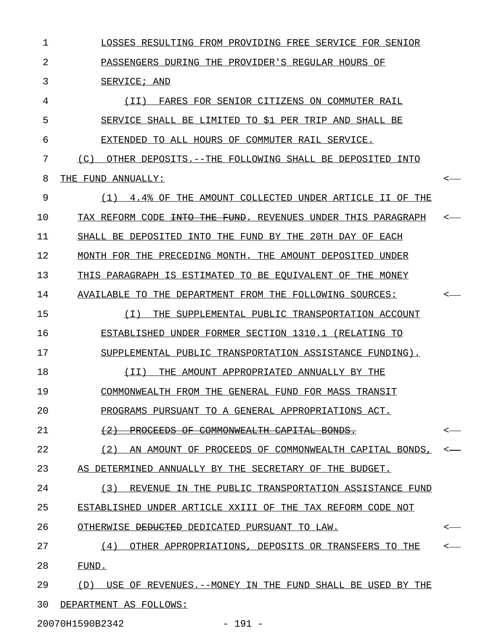1 LOSSES RESULTING FROM PROVIDING FREE SERVICE FOR SENIOR 2 PASSENGERS DURING THE PROVIDER'S REGULAR HOURS OF 3 SERVICE; AND 4 (II) FARES FOR SENIOR CITIZENS ON COMMUTER RAIL \_\_\_\_\_\_\_\_\_\_\_\_\_\_\_\_\_\_\_\_\_\_\_\_\_\_\_\_\_\_\_\_\_\_\_\_\_\_\_\_\_\_\_\_\_\_\_\_ 5 SERVICE SHALL BE LIMITED TO \$1 PER TRIP AND SHALL BE 6 EXTENDED TO ALL HOURS OF COMMUTER RAIL SERVICE. 7 (C) OTHER DEPOSITS.--THE FOLLOWING SHALL BE DEPOSITED INTO 8 THE FUND ANNUALLY:  $\sim$ 9 (1) 4.4% OF THE AMOUNT COLLECTED UNDER ARTICLE II OF THE 10 TAX REFORM CODE <del>INTO THE FUND</del>. REVENUES UNDER THIS PARAGRAPH 11 SHALL BE DEPOSITED INTO THE FUND BY THE 20TH DAY OF EACH 12 MONTH FOR THE PRECEDING MONTH. THE AMOUNT DEPOSITED UNDER 13 THIS PARAGRAPH IS ESTIMATED TO BE EQUIVALENT OF THE MONEY 14 AVAILABLE TO THE DEPARTMENT FROM THE FOLLOWING SOURCES:  $\sim$ 15 (I) THE SUPPLEMENTAL PUBLIC TRANSPORTATION ACCOUNT \_\_\_\_\_\_\_\_\_\_\_\_\_\_\_\_\_\_\_\_\_\_\_\_\_\_\_\_\_\_\_\_\_\_\_\_\_\_\_\_\_\_\_\_\_\_\_\_\_\_\_ 16 ESTABLISHED UNDER FORMER SECTION 1310.1 (RELATING TO 17 SUPPLEMENTAL PUBLIC TRANSPORTATION ASSISTANCE FUNDING). 18 (II) THE AMOUNT APPROPRIATED ANNUALLY BY THE \_\_\_\_\_\_\_\_\_\_\_\_\_\_\_\_\_\_\_\_\_\_\_\_\_\_\_\_\_\_\_\_\_\_\_\_\_\_\_\_\_\_\_\_\_ 19 COMMONWEALTH FROM THE GENERAL FUND FOR MASS TRANSIT 20 PROGRAMS PURSUANT TO A GENERAL APPROPRIATIONS ACT. 21  $(2)$  PROCEEDS OF COMMONWEALTH CAPITAL BONDS. 22 (2) AN AMOUNT OF PROCEEDS OF COMMONWEALTH CAPITAL BONDS, 23 AS DETERMINED ANNUALLY BY THE SECRETARY OF THE BUDGET. 24 (3) REVENUE IN THE PUBLIC TRANSPORTATION ASSISTANCE FUND 25 ESTABLISHED UNDER ARTICLE XXIII OF THE TAX REFORM CODE NOT 26 OTHERWISE <del>DEDUCTED</del> DEDICATED PURSUANT TO LAW. 27 (4) OTHER APPROPRIATIONS, DEPOSITS OR TRANSFERS TO THE  $\sim$ 28 FUND. 29 (D) USE OF REVENUES.--MONEY IN THE FUND SHALL BE USED BY THE 30 DEPARTMENT AS FOLLOWS:

20070H1590B2342 - 191 -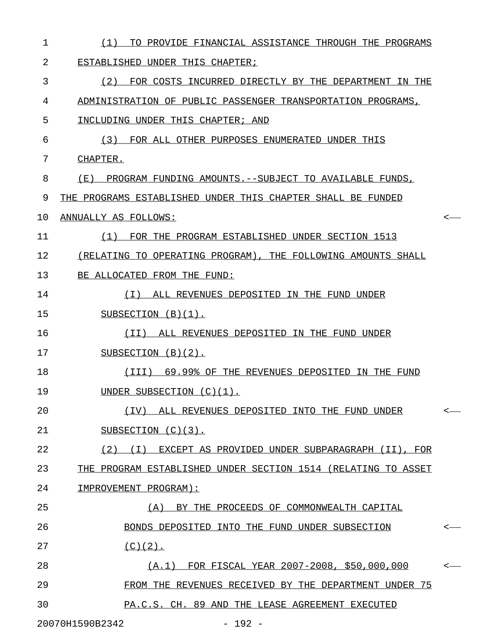| 1  | TO PROVIDE FINANCIAL ASSISTANCE THROUGH THE PROGRAMS<br>(1)   |              |
|----|---------------------------------------------------------------|--------------|
| 2  | ESTABLISHED UNDER THIS CHAPTER;                               |              |
| 3  | (2)<br>FOR COSTS INCURRED DIRECTLY BY THE DEPARTMENT IN THE   |              |
| 4  | ADMINISTRATION OF PUBLIC PASSENGER TRANSPORTATION PROGRAMS,   |              |
| 5  | INCLUDING UNDER THIS CHAPTER; AND                             |              |
| 6  | (3) FOR ALL OTHER PURPOSES ENUMERATED UNDER THIS              |              |
| 7  | CHAPTER.                                                      |              |
| 8  | (E) PROGRAM FUNDING AMOUNTS.--SUBJECT TO AVAILABLE FUNDS,     |              |
| 9  | THE PROGRAMS ESTABLISHED UNDER THIS CHAPTER SHALL BE FUNDED   |              |
| 10 | ANNUALLY AS FOLLOWS:                                          |              |
| 11 | FOR THE PROGRAM ESTABLISHED UNDER SECTION 1513<br>(1)         |              |
| 12 | (RELATING TO OPERATING PROGRAM), THE FOLLOWING AMOUNTS SHALL  |              |
| 13 | BE ALLOCATED FROM THE FUND:                                   |              |
| 14 | ALL REVENUES DEPOSITED IN THE FUND UNDER<br>( I )             |              |
| 15 | SUBSECTION $(B)(1)$ .                                         |              |
| 16 | ALL REVENUES DEPOSITED IN THE FUND UNDER<br>( I I )           |              |
| 17 | SUBSECTION $(B)(2)$ .                                         |              |
| 18 | 69.99% OF THE REVENUES DEPOSITED IN THE FUND<br>(III)         |              |
| 19 | UNDER SUBSECTION (C)(1).                                      |              |
| 20 | (IV)<br>ALL REVENUES DEPOSITED INTO THE FUND UNDER            | $\leftarrow$ |
| 21 | SUBSECTION $(C)(3)$ .                                         |              |
| 22 | (2) (I) EXCEPT AS PROVIDED UNDER SUBPARAGRAPH (II), FOR       |              |
| 23 | THE PROGRAM ESTABLISHED UNDER SECTION 1514 (RELATING TO ASSET |              |
| 24 | IMPROVEMENT PROGRAM):                                         |              |
| 25 | (A)<br>BY THE PROCEEDS OF COMMONWEALTH CAPITAL                |              |
| 26 | BONDS DEPOSITED INTO THE FUND UNDER SUBSECTION                | $\leftarrow$ |
| 27 | $(C)(2)$ .                                                    |              |
| 28 | (A.1) FOR FISCAL YEAR 2007-2008, \$50,000,000                 | $\leftarrow$ |
| 29 | FROM THE REVENUES RECEIVED BY THE DEPARTMENT UNDER 75         |              |
| 30 | PA.C.S. CH. 89 AND THE LEASE AGREEMENT EXECUTED               |              |
|    | 20070H1590B2342<br>$-192 -$                                   |              |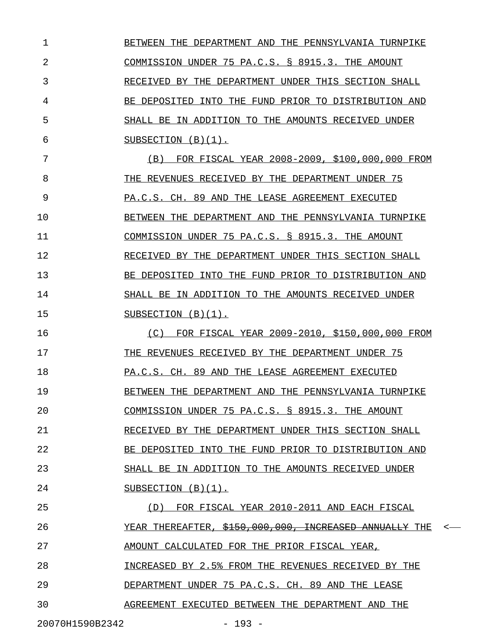1 BETWEEN THE DEPARTMENT AND THE PENNSYLVANIA TURNPIKE 2 COMMISSION UNDER 75 PA.C.S. § 8915.3. THE AMOUNT 3 RECEIVED BY THE DEPARTMENT UNDER THIS SECTION SHALL 4 BE DEPOSITED INTO THE FUND PRIOR TO DISTRIBUTION AND 5 SHALL BE IN ADDITION TO THE AMOUNTS RECEIVED UNDER  $6$  SUBSECTION  $(B)(1)$ . 7 (B) FOR FISCAL YEAR 2008-2009, \$100,000,000 FROM \_\_\_\_\_\_\_\_\_\_\_\_\_\_\_\_\_\_\_\_\_\_\_\_\_\_\_\_\_\_\_\_\_\_\_\_\_\_\_\_\_\_\_\_\_\_\_\_\_ 8 THE REVENUES RECEIVED BY THE DEPARTMENT UNDER 75 9 PA.C.S. CH. 89 AND THE LEASE AGREEMENT EXECUTED 10 BETWEEN THE DEPARTMENT AND THE PENNSYLVANIA TURNPIKE 11 COMMISSION UNDER 75 PA.C.S. § 8915.3. THE AMOUNT 12 RECEIVED BY THE DEPARTMENT UNDER THIS SECTION SHALL 13 BE DEPOSITED INTO THE FUND PRIOR TO DISTRIBUTION AND 14 SHALL BE IN ADDITION TO THE AMOUNTS RECEIVED UNDER 15 SUBSECTION (B)(1). 16 (C) FOR FISCAL YEAR 2009-2010, \$150,000,000 FROM 17 THE REVENUES RECEIVED BY THE DEPARTMENT UNDER 75 18 PA.C.S. CH. 89 AND THE LEASE AGREEMENT EXECUTED 19 BETWEEN THE DEPARTMENT AND THE PENNSYLVANIA TURNPIKE 20 COMMISSION UNDER 75 PA.C.S. § 8915.3. THE AMOUNT 21 RECEIVED BY THE DEPARTMENT UNDER THIS SECTION SHALL 22 BE DEPOSITED INTO THE FUND PRIOR TO DISTRIBUTION AND 23 SHALL BE IN ADDITION TO THE AMOUNTS RECEIVED UNDER 24 SUBSECTION (B)(1). 25 (D) FOR FISCAL YEAR 2010-2011 AND EACH FISCAL \_\_\_\_\_\_\_\_\_\_\_\_\_\_\_\_\_\_\_\_\_\_\_\_\_\_\_\_\_\_\_\_\_\_\_\_\_\_\_\_\_\_\_\_\_\_ 26 YEAR THEREAFTER, \$150,000,000, INCREASED ANNUALLY THE 27 AMOUNT CALCULATED FOR THE PRIOR FISCAL YEAR, 28 INCREASED BY 2.5% FROM THE REVENUES RECEIVED BY THE 29 DEPARTMENT UNDER 75 PA.C.S. CH. 89 AND THE LEASE 30 AGREEMENT EXECUTED BETWEEN THE DEPARTMENT AND THE

20070H1590B2342 - 193 -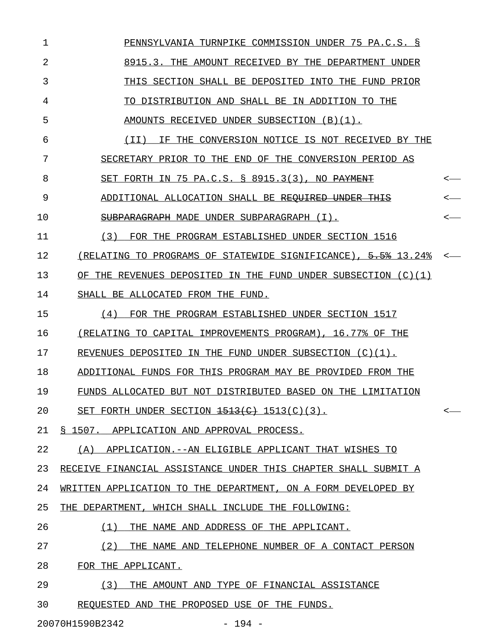| 1  | PENNSYLVANIA TURNPIKE COMMISSION UNDER 75 PA.C.S. S            |  |  |  |
|----|----------------------------------------------------------------|--|--|--|
| 2  | 8915.3. THE AMOUNT RECEIVED BY THE DEPARTMENT UNDER            |  |  |  |
| 3  | THIS SECTION SHALL BE DEPOSITED INTO THE FUND PRIOR            |  |  |  |
| 4  | TO DISTRIBUTION AND SHALL BE IN ADDITION TO THE                |  |  |  |
| 5  | AMOUNTS RECEIVED UNDER SUBSECTION (B)(1).                      |  |  |  |
| 6  | IF THE CONVERSION NOTICE IS NOT RECEIVED BY THE<br>( I I )     |  |  |  |
| 7  | SECRETARY PRIOR TO THE END OF THE CONVERSION PERIOD AS         |  |  |  |
| 8  | SET FORTH IN 75 PA.C.S. § 8915.3(3), NO PAYMENT                |  |  |  |
| 9  | ADDITIONAL ALLOCATION SHALL BE REQUIRED UNDER THIS             |  |  |  |
| 10 | SUBPARAGRAPH MADE UNDER SUBPARAGRAPH (I).                      |  |  |  |
| 11 | (3) FOR THE PROGRAM ESTABLISHED UNDER SECTION 1516             |  |  |  |
| 12 | (RELATING TO PROGRAMS OF STATEWIDE SIGNIFICANCE), 5.5% 13.24%  |  |  |  |
| 13 | OF THE REVENUES DEPOSITED IN THE FUND UNDER SUBSECTION (C)(1)  |  |  |  |
| 14 | SHALL BE ALLOCATED FROM THE FUND.                              |  |  |  |
| 15 | FOR THE PROGRAM ESTABLISHED UNDER SECTION 1517<br>(4)          |  |  |  |
| 16 | (RELATING TO CAPITAL IMPROVEMENTS PROGRAM), 16.77% OF THE      |  |  |  |
| 17 | REVENUES DEPOSITED IN THE FUND UNDER SUBSECTION $(C)(1)$ .     |  |  |  |
| 18 | ADDITIONAL FUNDS FOR THIS PROGRAM MAY BE PROVIDED FROM THE     |  |  |  |
| 19 | FUNDS ALLOCATED BUT NOT DISTRIBUTED BASED ON THE LIMITATION    |  |  |  |
| 20 | SET FORTH UNDER SECTION $\frac{1513(c)}{1513(c)}$ (3).         |  |  |  |
| 21 | § 1507.<br>APPLICATION AND APPROVAL PROCESS.                   |  |  |  |
| 22 | (A)<br>APPLICATION.--AN ELIGIBLE APPLICANT THAT WISHES TO      |  |  |  |
| 23 | RECEIVE FINANCIAL ASSISTANCE UNDER THIS CHAPTER SHALL SUBMIT A |  |  |  |
| 24 | WRITTEN APPLICATION TO THE DEPARTMENT, ON A FORM DEVELOPED BY  |  |  |  |
| 25 | THE DEPARTMENT, WHICH SHALL INCLUDE THE FOLLOWING:             |  |  |  |
| 26 | (1)<br>THE NAME AND ADDRESS OF THE APPLICANT.                  |  |  |  |
| 27 | (2)<br>THE NAME AND TELEPHONE NUMBER OF A CONTACT PERSON       |  |  |  |
| 28 | FOR THE APPLICANT.                                             |  |  |  |
| 29 | (3)<br>THE AMOUNT AND TYPE OF FINANCIAL ASSISTANCE             |  |  |  |
| 30 | REOUESTED AND THE PROPOSED USE OF THE FUNDS.                   |  |  |  |
|    | 20070H1590B2342<br>$-194 -$                                    |  |  |  |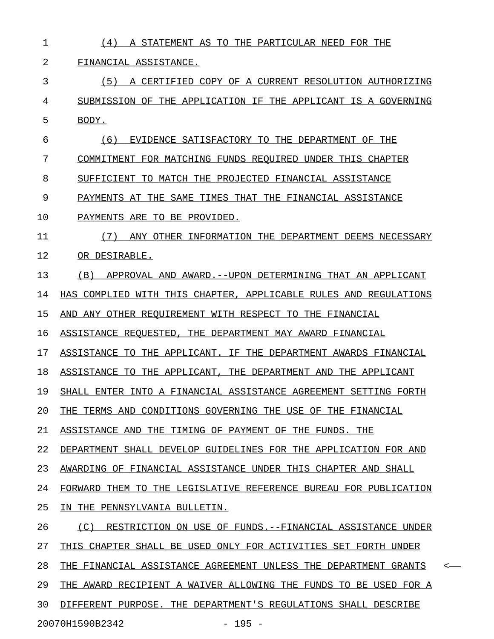| 1  | A STATEMENT AS TO THE PARTICULAR NEED FOR THE<br>(4)                       |
|----|----------------------------------------------------------------------------|
| 2  | FINANCIAL ASSISTANCE.                                                      |
| 3  | (5)<br>A CERTIFIED COPY OF A CURRENT RESOLUTION AUTHORIZING                |
| 4  | SUBMISSION OF THE APPLICATION IF THE APPLICANT IS A GOVERNING              |
| 5  | BODY.                                                                      |
| 6  | EVIDENCE SATISFACTORY TO THE DEPARTMENT OF THE<br>(6)                      |
| 7  | COMMITMENT FOR MATCHING FUNDS REQUIRED UNDER THIS CHAPTER                  |
| 8  | SUFFICIENT TO MATCH THE PROJECTED FINANCIAL ASSISTANCE                     |
| 9  | PAYMENTS AT THE SAME TIMES THAT THE FINANCIAL ASSISTANCE                   |
| 10 | PAYMENTS ARE TO BE PROVIDED.                                               |
| 11 | (7)<br>ANY OTHER INFORMATION THE DEPARTMENT DEEMS NECESSARY                |
| 12 | OR DESIRABLE.                                                              |
| 13 | APPROVAL AND AWARD. -- UPON DETERMINING THAT AN APPLICANT<br>(B)           |
| 14 | HAS COMPLIED WITH THIS CHAPTER, APPLICABLE RULES AND REGULATIONS           |
| 15 | AND ANY OTHER REQUIREMENT WITH RESPECT TO THE FINANCIAL                    |
| 16 | ASSISTANCE REQUESTED, THE DEPARTMENT MAY AWARD FINANCIAL                   |
| 17 | ASSISTANCE TO THE APPLICANT. IF THE DEPARTMENT AWARDS FINANCIAL            |
| 18 | ASSISTANCE TO THE APPLICANT, THE DEPARTMENT AND THE APPLICANT              |
| 19 | SHALL ENTER INTO A FINANCIAL ASSISTANCE AGREEMENT SETTING FORTH            |
| 20 | THE TERMS AND CONDITIONS GOVERNING THE USE OF THE FINANCIAL                |
| 21 | ASSISTANCE AND THE TIMING OF PAYMENT OF THE FUNDS. THE                     |
| 22 | DEPARTMENT SHALL DEVELOP GUIDELINES FOR THE APPLICATION FOR AND            |
| 23 | AWARDING OF FINANCIAL ASSISTANCE UNDER THIS CHAPTER AND SHALL              |
| 24 | FORWARD THEM TO THE LEGISLATIVE REFERENCE BUREAU FOR PUBLICATION           |
| 25 | IN THE PENNSYLVANIA BULLETIN.                                              |
| 26 | (C) RESTRICTION ON USE OF FUNDS.--FINANCIAL ASSISTANCE UNDER               |
| 27 | THIS CHAPTER SHALL BE USED ONLY FOR ACTIVITIES SET FORTH UNDER             |
| 28 | THE FINANCIAL ASSISTANCE AGREEMENT UNLESS THE DEPARTMENT GRANTS<br>$\,<\,$ |
| 29 | THE AWARD RECIPIENT A WAIVER ALLOWING THE FUNDS TO BE USED FOR A           |
| 30 | DIFFERENT PURPOSE. THE DEPARTMENT'S REGULATIONS SHALL DESCRIBE             |
|    | 20070H1590B2342<br>$-195 -$                                                |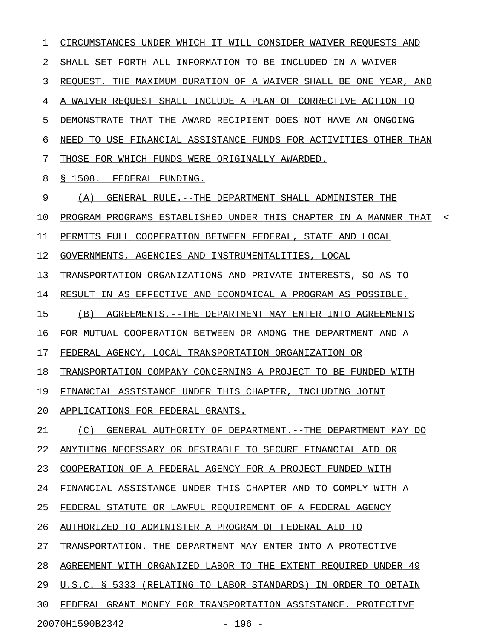1 CIRCUMSTANCES UNDER WHICH IT WILL CONSIDER WAIVER REQUESTS AND 2 SHALL SET FORTH ALL INFORMATION TO BE INCLUDED IN A WAIVER 3 REQUEST. THE MAXIMUM DURATION OF A WAIVER SHALL BE ONE YEAR, AND 4 A WAIVER REQUEST SHALL INCLUDE A PLAN OF CORRECTIVE ACTION TO 5 DEMONSTRATE THAT THE AWARD RECIPIENT DOES NOT HAVE AN ONGOING 6 NEED TO USE FINANCIAL ASSISTANCE FUNDS FOR ACTIVITIES OTHER THAN 7 THOSE FOR WHICH FUNDS WERE ORIGINALLY AWARDED. 8 § 1508. FEDERAL FUNDING. 9 (A) GENERAL RULE.--THE DEPARTMENT SHALL ADMINISTER THE 10 PROGRAM PROGRAMS ESTABLISHED UNDER THIS CHAPTER IN A MANNER THAT <-11 PERMITS FULL COOPERATION BETWEEN FEDERAL, STATE AND LOCAL 12 GOVERNMENTS, AGENCIES AND INSTRUMENTALITIES, LOCAL 13 TRANSPORTATION ORGANIZATIONS AND PRIVATE INTERESTS, SO AS TO 14 RESULT IN AS EFFECTIVE AND ECONOMICAL A PROGRAM AS POSSIBLE. 15 (B) AGREEMENTS. --THE DEPARTMENT MAY ENTER INTO AGREEMENTS 16 FOR MUTUAL COOPERATION BETWEEN OR AMONG THE DEPARTMENT AND A 17 FEDERAL AGENCY, LOCAL TRANSPORTATION ORGANIZATION OR 18 TRANSPORTATION COMPANY CONCERNING A PROJECT TO BE FUNDED WITH 19 FINANCIAL ASSISTANCE UNDER THIS CHAPTER, INCLUDING JOINT 20 APPLICATIONS FOR FEDERAL GRANTS. 21 (C) GENERAL AUTHORITY OF DEPARTMENT. --THE DEPARTMENT MAY DO 22 ANYTHING NECESSARY OR DESIRABLE TO SECURE FINANCIAL AID OR 23 COOPERATION OF A FEDERAL AGENCY FOR A PROJECT FUNDED WITH 24 FINANCIAL ASSISTANCE UNDER THIS CHAPTER AND TO COMPLY WITH A 25 FEDERAL STATUTE OR LAWFUL REQUIREMENT OF A FEDERAL AGENCY 26 AUTHORIZED TO ADMINISTER A PROGRAM OF FEDERAL AID TO 27 TRANSPORTATION. THE DEPARTMENT MAY ENTER INTO A PROTECTIVE 28 AGREEMENT WITH ORGANIZED LABOR TO THE EXTENT REQUIRED UNDER 49 29 U.S.C. § 5333 (RELATING TO LABOR STANDARDS) IN ORDER TO OBTAIN 30 FEDERAL GRANT MONEY FOR TRANSPORTATION ASSISTANCE. PROTECTIVE 20070H1590B2342 - 196 -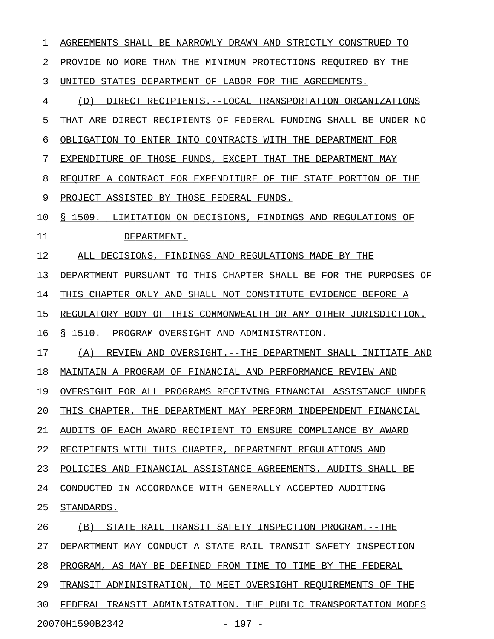| 1  | AGREEMENTS SHALL BE NARROWLY DRAWN AND STRICTLY CONSTRUED<br>TO    |
|----|--------------------------------------------------------------------|
| 2  | PROVIDE NO MORE THAN THE MINIMUM PROTECTIONS REOUIRED BY THE       |
| 3  | STATES DEPARTMENT OF LABOR FOR THE AGREEMENTS.<br>UNITED           |
| 4  | DIRECT RECIPIENTS.--LOCAL TRANSPORTATION ORGANIZATIONS<br>(D)      |
| 5  | THAT ARE DIRECT RECIPIENTS OF FEDERAL FUNDING SHALL BE UNDER NO    |
| 6  | OBLIGATION TO ENTER INTO CONTRACTS WITH THE DEPARTMENT FOR         |
| 7  | EXPENDITURE OF THOSE FUNDS, EXCEPT THAT THE<br>DEPARTMENT MAY      |
| 8  | REQUIRE A CONTRACT FOR EXPENDITURE OF THE STATE PORTION OF<br>THE  |
| 9  | PROJECT ASSISTED BY THOSE FEDERAL FUNDS.                           |
| 10 | S 1509.<br>LIMITATION ON DECISIONS, FINDINGS AND REGULATIONS OF    |
| 11 | DEPARTMENT.                                                        |
| 12 | ALL DECISIONS, FINDINGS AND REGULATIONS MADE BY THE                |
| 13 | DEPARTMENT PURSUANT TO THIS CHAPTER SHALL BE FOR THE PURPOSES OF   |
| 14 | THIS CHAPTER ONLY AND SHALL NOT CONSTITUTE EVIDENCE BEFORE A       |
| 15 | REGULATORY BODY OF THIS COMMONWEALTH OR ANY OTHER JURISDICTION.    |
| 16 | S 1510.<br>PROGRAM OVERSIGHT AND ADMINISTRATION.                   |
| 17 | OVERSIGHT.--THE DEPARTMENT SHALL INITIATE AND<br>(A)<br>REVIEW AND |
| 18 | MAINTAIN A PROGRAM OF FINANCIAL AND PERFORMANCE REVIEW AND         |
| 19 | OVERSIGHT FOR ALL PROGRAMS RECEIVING FINANCIAL ASSISTANCE UNDER    |
| 20 | THIS CHAPTER. THE DEPARTMENT MAY PERFORM INDEPENDENT FINANCIAL     |
| 21 | AUDITS OF EACH AWARD RECIPIENT TO ENSURE COMPLIANCE BY AWARD       |
| 22 | RECIPIENTS WITH THIS CHAPTER, DEPARTMENT REGULATIONS AND           |
| 23 | POLICIES AND FINANCIAL ASSISTANCE AGREEMENTS. AUDITS SHALL BE      |
| 24 | CONDUCTED IN ACCORDANCE WITH GENERALLY ACCEPTED AUDITING           |
| 25 | STANDARDS.                                                         |
| 26 | STATE RAIL TRANSIT SAFETY INSPECTION PROGRAM. -- THE<br>(B)        |
| 27 | DEPARTMENT MAY CONDUCT A STATE RAIL TRANSIT SAFETY INSPECTION      |
| 28 | PROGRAM, AS MAY BE DEFINED FROM TIME TO TIME BY THE FEDERAL        |
| 29 | TRANSIT ADMINISTRATION, TO MEET OVERSIGHT REQUIREMENTS OF THE      |
| 30 | FEDERAL TRANSIT ADMINISTRATION. THE PUBLIC TRANSPORTATION MODES    |
|    | 20070H1590B2342<br>$-197 -$                                        |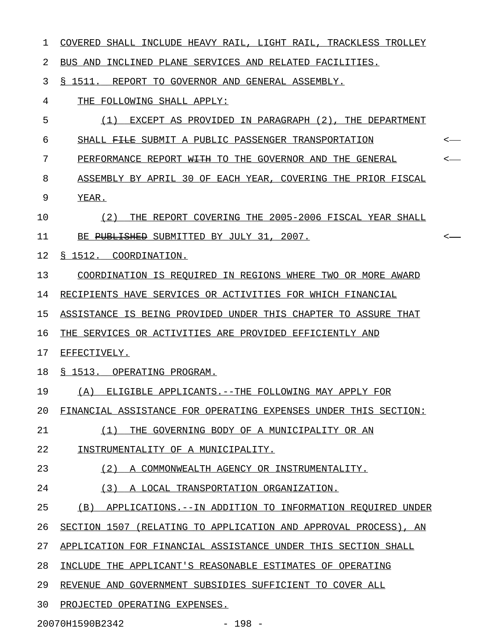| 1  | COVERED SHALL INCLUDE HEAVY RAIL, LIGHT RAIL, TRACKLESS TROLLEY     |                                         |
|----|---------------------------------------------------------------------|-----------------------------------------|
| 2  | BUS AND INCLINED PLANE SERVICES AND RELATED FACILITIES.             |                                         |
| 3  | § 1511. REPORT TO GOVERNOR AND GENERAL ASSEMBLY.                    |                                         |
| 4  | THE FOLLOWING SHALL APPLY:                                          |                                         |
| 5  | (1) EXCEPT AS PROVIDED IN PARAGRAPH (2), THE DEPARTMENT             |                                         |
| 6  | SHALL FILE SUBMIT A PUBLIC PASSENGER TRANSPORTATION                 | $\longleftarrow$                        |
| 7  | PERFORMANCE REPORT W <del>ITH</del> TO THE GOVERNOR AND THE GENERAL | $\hspace{0.1em} <\hspace{0.1em} \cdots$ |
| 8  | ASSEMBLY BY APRIL 30 OF EACH YEAR, COVERING THE PRIOR FISCAL        |                                         |
| 9  | YEAR.                                                               |                                         |
| 10 | (2) THE REPORT COVERING THE 2005-2006 FISCAL YEAR SHALL             |                                         |
| 11 | BE PUBLISHED SUBMITTED BY JULY 31, 2007.                            | $\longleftarrow$                        |
| 12 | § 1512. COORDINATION.                                               |                                         |
| 13 | COORDINATION IS REQUIRED IN REGIONS WHERE TWO OR MORE AWARD         |                                         |
| 14 | RECIPIENTS HAVE SERVICES OR ACTIVITIES FOR WHICH FINANCIAL          |                                         |
| 15 | ASSISTANCE IS BEING PROVIDED UNDER THIS CHAPTER TO ASSURE THAT      |                                         |
| 16 | THE SERVICES OR ACTIVITIES ARE PROVIDED EFFICIENTLY AND             |                                         |
| 17 | EFFECTIVELY.                                                        |                                         |
| 18 | § 1513. OPERATING PROGRAM.                                          |                                         |
| 19 | (A) ELIGIBLE APPLICANTS.--THE FOLLOWING MAY APPLY FOR               |                                         |
| 20 | FINANCIAL ASSISTANCE FOR OPERATING EXPENSES UNDER THIS SECTION:     |                                         |
| 21 | (1)<br>THE GOVERNING BODY OF A MUNICIPALITY OR AN                   |                                         |
| 22 | INSTRUMENTALITY OF A MUNICIPALITY.                                  |                                         |
| 23 | (2)<br>A COMMONWEALTH AGENCY OR INSTRUMENTALITY.                    |                                         |
| 24 | (3)<br>A LOCAL TRANSPORTATION ORGANIZATION.                         |                                         |
| 25 | (B)<br>APPLICATIONS.--IN ADDITION TO INFORMATION REOUIRED UNDER     |                                         |
| 26 | SECTION 1507 (RELATING TO APPLICATION AND APPROVAL PROCESS), AN     |                                         |
| 27 | APPLICATION FOR FINANCIAL ASSISTANCE UNDER THIS SECTION SHALL       |                                         |
| 28 | INCLUDE THE APPLICANT'S REASONABLE ESTIMATES OF OPERATING           |                                         |
| 29 | REVENUE AND GOVERNMENT SUBSIDIES SUFFICIENT TO COVER ALL            |                                         |
| 30 | PROJECTED OPERATING EXPENSES.                                       |                                         |

20070H1590B2342 - 198 -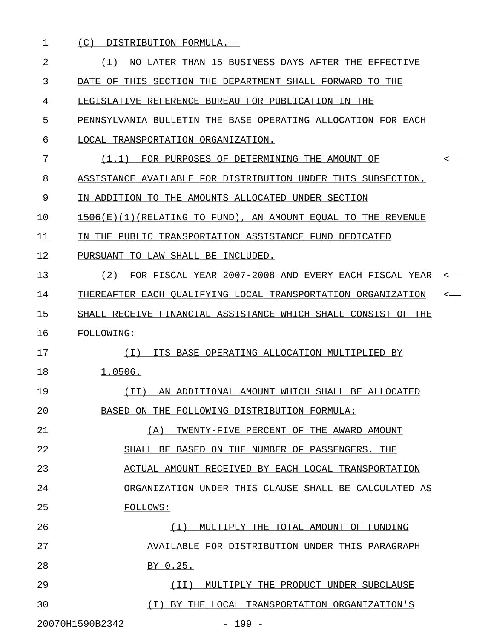| 1  | (C)<br>DISTRIBUTION FORMULA.--                                         |  |
|----|------------------------------------------------------------------------|--|
| 2  | NO LATER THAN 15 BUSINESS DAYS AFTER THE EFFECTIVE<br>(1)              |  |
| 3  | DATE OF THIS SECTION THE DEPARTMENT SHALL FORWARD TO THE               |  |
| 4  | LEGISLATIVE REFERENCE BUREAU FOR PUBLICATION IN THE                    |  |
| 5  | PENNSYLVANIA BULLETIN THE BASE OPERATING ALLOCATION FOR EACH           |  |
| 6  | LOCAL TRANSPORTATION ORGANIZATION.                                     |  |
| 7  | FOR PURPOSES OF DETERMINING THE AMOUNT OF<br>(1.1)                     |  |
| 8  | ASSISTANCE AVAILABLE FOR DISTRIBUTION UNDER THIS SUBSECTION,           |  |
| 9  | IN ADDITION TO THE AMOUNTS ALLOCATED UNDER SECTION                     |  |
| 10 | 1506(E)(1)(RELATING TO FUND), AN AMOUNT EOUAL TO THE REVENUE           |  |
| 11 | IN THE PUBLIC TRANSPORTATION ASSISTANCE FUND DEDICATED                 |  |
| 12 | PURSUANT TO LAW SHALL BE INCLUDED.                                     |  |
| 13 | FOR FISCAL YEAR 2007-2008 AND <del>EVERY</del> EACH FISCAL YEAR<br>(2) |  |
| 14 | THEREAFTER EACH OUALIFYING LOCAL TRANSPORTATION ORGANIZATION           |  |
| 15 | SHALL RECEIVE FINANCIAL ASSISTANCE WHICH SHALL CONSIST OF THE          |  |
| 16 | <b>FOLLOWING:</b>                                                      |  |
| 17 | ITS BASE OPERATING ALLOCATION MULTIPLIED BY<br>(T)                     |  |
| 18 | 1.0506.                                                                |  |
| 19 | AN ADDITIONAL AMOUNT WHICH SHALL BE ALLOCATED<br>(TI)                  |  |
| 20 | BASED ON THE FOLLOWING DISTRIBUTION FORMULA:                           |  |
| 21 | TWENTY-FIVE PERCENT OF THE AWARD AMOUNT<br>(A)                         |  |
| 22 | SHALL BE BASED ON THE NUMBER OF PASSENGERS. THE                        |  |
| 23 | ACTUAL AMOUNT RECEIVED BY EACH LOCAL TRANSPORTATION                    |  |
| 24 | ORGANIZATION UNDER THIS CLAUSE SHALL BE CALCULATED AS                  |  |
| 25 | <b>FOLLOWS:</b>                                                        |  |
| 26 | MULTIPLY THE TOTAL AMOUNT OF FUNDING<br>( I )                          |  |
| 27 | AVAILABLE FOR DISTRIBUTION UNDER THIS PARAGRAPH                        |  |
| 28 | BY 0.25.                                                               |  |
| 29 | MULTIPLY THE PRODUCT UNDER SUBCLAUSE<br>(II)                           |  |
| 30 | (I) BY THE LOCAL TRANSPORTATION ORGANIZATION'S                         |  |
|    | 20070H1590B2342<br>$-199 -$                                            |  |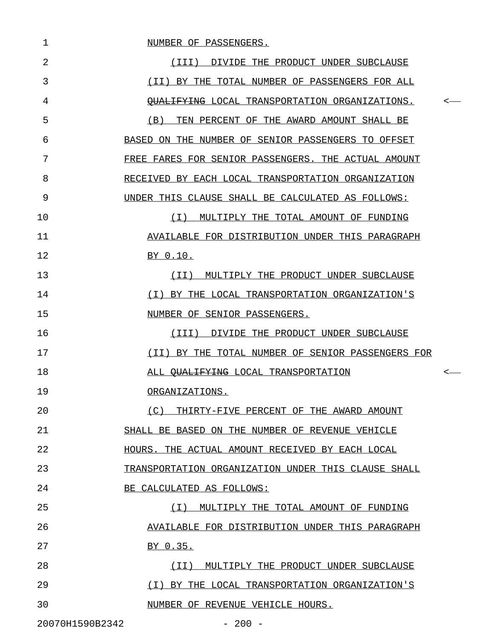1 NUMBER OF PASSENGERS. 2 (III) DIVIDE THE PRODUCT UNDER SUBCLAUSE 3 THE TOTAL NUMBER OF PASSENGERS FOR ALL 4 QUALIFYING LOCAL TRANSPORTATION ORGANIZATIONS. < \_\_\_\_\_\_\_\_\_\_\_\_\_\_\_\_\_\_\_\_\_\_\_\_\_\_\_\_\_\_\_\_\_\_\_\_\_\_\_\_\_\_\_\_\_\_ 5 (B) TEN PERCENT OF THE AWARD AMOUNT SHALL BE 6 BASED ON THE NUMBER OF SENIOR PASSENGERS TO OFFSET 7 FREE FARES FOR SENIOR PASSENGERS. THE ACTUAL AMOUNT 8 RECEIVED BY EACH LOCAL TRANSPORTATION ORGANIZATION 9 UNDER THIS CLAUSE SHALL BE CALCULATED AS FOLLOWS: 10  $(I)$  MULTIPLY THE TOTAL AMOUNT OF FUNDING 11 AVAILABLE FOR DISTRIBUTION UNDER THIS PARAGRAPH \_\_\_\_\_\_\_\_\_\_\_\_\_\_\_\_\_\_\_\_\_\_\_\_\_\_\_\_\_\_\_\_\_\_\_\_\_\_\_\_\_\_\_\_\_\_\_ 12 BY 0.10. 13 (II) MULTIPLY THE PRODUCT UNDER SUBCLAUSE 14 (I) BY THE LOCAL TRANSPORTATION ORGANIZATION'S \_\_\_\_\_\_\_\_\_\_\_\_\_\_\_\_\_\_\_\_\_\_\_\_\_\_\_\_\_\_\_\_\_\_\_\_\_\_\_\_\_\_\_\_\_\_ 15 NUMBER OF SENIOR PASSENGERS. 16 (III) DIVIDE THE PRODUCT UNDER SUBCLAUSE 17 (II) BY THE TOTAL NUMBER OF SENIOR PASSENGERS FOR \_\_\_\_\_\_\_\_\_\_\_\_\_\_\_\_\_\_\_\_\_\_\_\_\_\_\_\_\_\_\_\_\_\_\_\_\_\_\_\_\_\_\_\_\_\_\_\_\_ 18 ALL QUALIFYING LOCAL TRANSPORTATION < \_\_\_\_\_\_\_\_\_\_\_\_\_\_\_\_\_\_\_\_\_\_\_\_\_\_\_\_\_\_\_\_\_\_\_ 19 ORGANIZATIONS. 20  $(C)$  THIRTY-FIVE PERCENT OF THE AWARD AMOUNT 21 SHALL BE BASED ON THE NUMBER OF REVENUE VEHICLE 22 **HOURS. THE ACTUAL AMOUNT RECEIVED BY EACH LOCAL** 23 TRANSPORTATION ORGANIZATION UNDER THIS CLAUSE SHALL 24 BE CALCULATED AS FOLLOWS: 25 (I) MULTIPLY THE TOTAL AMOUNT OF FUNDING \_\_\_\_\_\_\_\_\_\_\_\_\_\_\_\_\_\_\_\_\_\_\_\_\_\_\_\_\_\_\_\_\_\_\_\_\_\_\_\_\_ 26 AVAILABLE FOR DISTRIBUTION UNDER THIS PARAGRAPH 27 BY 0.35. 28 (II) MULTIPLY THE PRODUCT UNDER SUBCLAUSE 29 (I) BY THE LOCAL TRANSPORTATION ORGANIZATION'S \_\_\_\_\_\_\_\_\_\_\_\_\_\_\_\_\_\_\_\_\_\_\_\_\_\_\_\_\_\_\_\_\_\_\_\_\_\_\_\_\_\_\_\_\_\_ 30 NUMBER OF REVENUE VEHICLE HOURS.

20070H1590B2342 - 200 -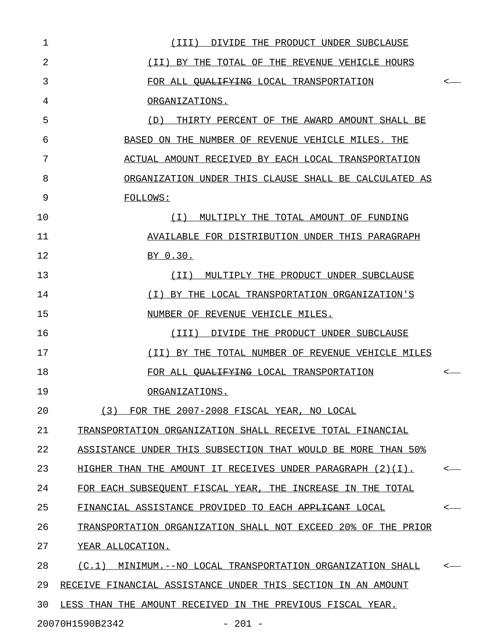| $\mathbf{1}$   | (III) DIVIDE THE PRODUCT UNDER SUBCLAUSE                         |                  |
|----------------|------------------------------------------------------------------|------------------|
| $\overline{2}$ | (II) BY THE TOTAL OF THE REVENUE VEHICLE HOURS                   |                  |
| 3              | FOR ALL <del>OUALIFYING</del> LOCAL TRANSPORTATION               | $\leftarrow$     |
| 4              | ORGANIZATIONS.                                                   |                  |
| 5              | (D) THIRTY PERCENT OF THE AWARD AMOUNT SHALL BE                  |                  |
| 6              | BASED ON THE NUMBER OF REVENUE VEHICLE MILES. THE                |                  |
| 7              | ACTUAL AMOUNT RECEIVED BY EACH LOCAL TRANSPORTATION              |                  |
| 8              | ORGANIZATION UNDER THIS CLAUSE SHALL BE CALCULATED AS            |                  |
| 9              | <b>FOLLOWS:</b>                                                  |                  |
| 10             | (I) MULTIPLY THE TOTAL AMOUNT OF FUNDING                         |                  |
| 11             | AVAILABLE FOR DISTRIBUTION UNDER THIS PARAGRAPH                  |                  |
| 12             | BY 0.30.                                                         |                  |
| 13             | (II) MULTIPLY THE PRODUCT UNDER SUBCLAUSE                        |                  |
| 14             | (I) BY THE LOCAL TRANSPORTATION ORGANIZATION'S                   |                  |
| 15             | NUMBER OF REVENUE VEHICLE MILES.                                 |                  |
| 16             | (III) DIVIDE THE PRODUCT UNDER SUBCLAUSE                         |                  |
| 17             | (II) BY THE TOTAL NUMBER OF REVENUE VEHICLE MILES                |                  |
| 18             | FOR ALL OUALIFYING LOCAL TRANSPORTATION                          | $\longleftarrow$ |
| 19             | ORGANIZATIONS.                                                   |                  |
| 20             | FOR THE 2007-2008 FISCAL YEAR, NO LOCAL<br>(3)                   |                  |
| 21             | TRANSPORTATION ORGANIZATION SHALL RECEIVE TOTAL FINANCIAL        |                  |
| 22             | ASSISTANCE UNDER THIS SUBSECTION THAT WOULD BE MORE THAN 50%     |                  |
| 23             | HIGHER THAN THE AMOUNT IT RECEIVES UNDER PARAGRAPH $(2)(1)$ .    |                  |
| 24             | FOR EACH SUBSEOUENT FISCAL YEAR, THE INCREASE IN THE TOTAL       |                  |
| 25             | FINANCIAL ASSISTANCE PROVIDED TO EACH <del>APPLICANT</del> LOCAL |                  |
| 26             | TRANSPORTATION ORGANIZATION SHALL NOT EXCEED 20% OF THE PRIOR    |                  |
| 27             | YEAR ALLOCATION.                                                 |                  |
| 28             | (C,1)<br>MINIMUM.--NO LOCAL TRANSPORTATION ORGANIZATION SHALL    |                  |
| 29             | RECEIVE FINANCIAL ASSISTANCE UNDER THIS SECTION IN AN AMOUNT     |                  |
| 30             | LESS THAN THE AMOUNT RECEIVED IN THE PREVIOUS FISCAL YEAR.       |                  |
|                | 20070H1590B2342<br>$-201 -$                                      |                  |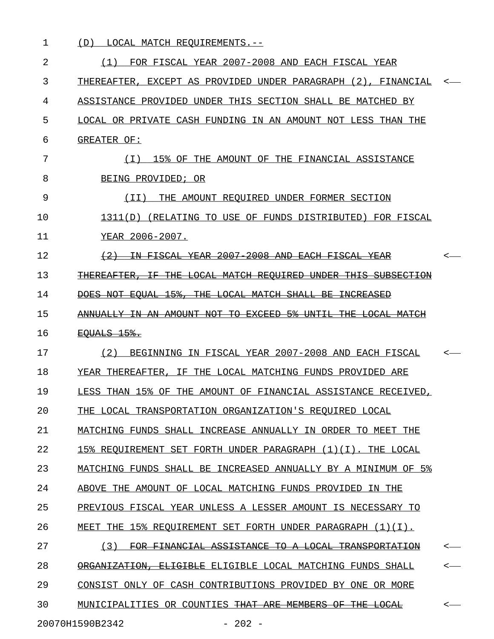| 1  | LOCAL MATCH REQUIREMENTS.--<br>(D)                                                                                               |                  |
|----|----------------------------------------------------------------------------------------------------------------------------------|------------------|
| 2  | FOR FISCAL YEAR 2007-2008 AND EACH FISCAL YEAR<br>(1)                                                                            |                  |
| 3  | THEREAFTER, EXCEPT AS PROVIDED UNDER PARAGRAPH (2), FINANCIAL                                                                    |                  |
| 4  | ASSISTANCE PROVIDED UNDER THIS SECTION SHALL BE MATCHED BY                                                                       |                  |
| 5  | LOCAL OR PRIVATE CASH FUNDING IN AN AMOUNT NOT LESS THAN THE                                                                     |                  |
| 6  | GREATER OF:                                                                                                                      |                  |
| 7  | 15% OF THE AMOUNT OF THE FINANCIAL ASSISTANCE<br>(T)                                                                             |                  |
| 8  | BEING PROVIDED; OR                                                                                                               |                  |
| 9  | THE AMOUNT REOUIRED UNDER FORMER SECTION<br>( I I )                                                                              |                  |
| 10 | (RELATING TO USE OF FUNDS DISTRIBUTED) FOR FISCAL<br>1311(D)                                                                     |                  |
| 11 | YEAR 2006-2007.                                                                                                                  |                  |
| 12 | 2007<br><del>2008</del><br><b>AND</b><br><del>FISCAL</del><br><del>-FACH</del><br>ΞN                                             | <—               |
| 13 | <del>I.OCAL.</del><br>-MATCH<br><del>-REOUIRED</del><br><del>UNDER</del>                                                         |                  |
| 14 | <del>15%,</del><br><del>THE</del><br>-NOT<br>-EOUAL<br><del>LOCAL MATCH</del><br><del>SHALL</del><br>-BE<br><del>TNCREASED</del> |                  |
| 15 | ANNUALLY IN AN AMOUNT NOT TO EXCEED<br>-5*<br><del>UNTIL</del><br><del>THE.</del><br><del>LOCAL.</del><br>-MATCH                 |                  |
| 16 | <del>EQUALS 15%.</del>                                                                                                           |                  |
| 17 | BEGINNING IN FISCAL YEAR 2007-2008 AND EACH FISCAL<br>(2)                                                                        |                  |
| 18 | YEAR THEREAFTER, IF THE LOCAL MATCHING FUNDS PROVIDED ARE                                                                        |                  |
| 19 | LESS THAN 15% OF THE AMOUNT OF FINANCIAL ASSISTANCE RECEIVED,                                                                    |                  |
| 20 | THE LOCAL TRANSPORTATION ORGANIZATION'S REQUIRED LOCAL                                                                           |                  |
| 21 | MATCHING FUNDS SHALL INCREASE ANNUALLY IN ORDER TO MEET THE                                                                      |                  |
| 22 | 15% REQUIREMENT SET FORTH UNDER PARAGRAPH (1)(I). THE LOCAL                                                                      |                  |
| 23 | MATCHING FUNDS SHALL BE INCREASED ANNUALLY BY A MINIMUM OF 5%                                                                    |                  |
| 24 | ABOVE THE AMOUNT OF LOCAL MATCHING FUNDS PROVIDED IN THE                                                                         |                  |
| 25 | PREVIOUS FISCAL YEAR UNLESS A LESSER AMOUNT IS NECESSARY TO                                                                      |                  |
| 26 | MEET THE 15% REQUIREMENT SET FORTH UNDER PARAGRAPH (1)(I).                                                                       |                  |
| 27 | FOR FINANCIAL ASSISTANCE TO A LOCAL TRANSPORTATION<br>(3)                                                                        | $\longleftarrow$ |
| 28 | ORGANIZATION, ELIGIBLE ELIGIBLE LOCAL MATCHING FUNDS SHALL                                                                       | $\longleftarrow$ |
| 29 | CONSIST ONLY OF CASH CONTRIBUTIONS PROVIDED BY ONE OR MORE                                                                       |                  |
| 30 | MUNICIPALITIES OR COUNTIES THAT ARE MEMBERS OF THE LOCAL                                                                         | $\leftarrow$     |
|    | 20070H1590B2342<br>$-202 -$                                                                                                      |                  |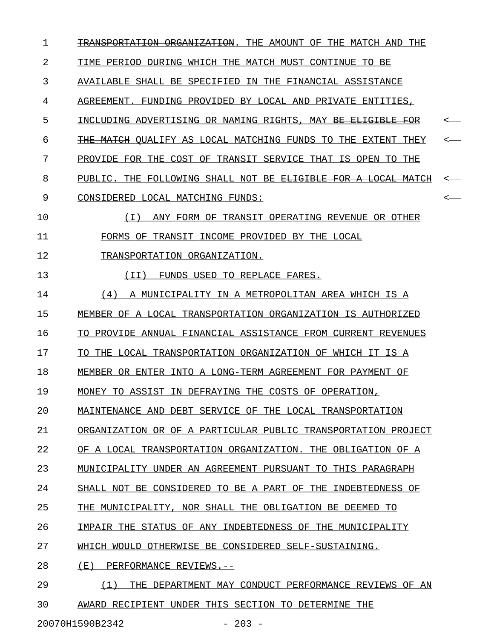| $\mathbf{1}$ | TRANSPORTATION ORGANIZATION. THE AMOUNT OF THE MATCH AND THE             |                          |
|--------------|--------------------------------------------------------------------------|--------------------------|
| 2            | TIME PERIOD DURING WHICH THE MATCH MUST CONTINUE TO BE                   |                          |
| 3            | AVAILABLE SHALL BE SPECIFIED IN THE FINANCIAL ASSISTANCE                 |                          |
| 4            | AGREEMENT. FUNDING PROVIDED BY LOCAL AND PRIVATE ENTITIES,               |                          |
| 5            | INCLUDING ADVERTISING OR NAMING RIGHTS, MAY <del>BE ELIGIBLE FOR</del>   | <—                       |
| 6            | THE MATCH QUALIFY AS LOCAL MATCHING FUNDS TO THE EXTENT THEY             | <—                       |
| 7            | PROVIDE FOR THE COST OF TRANSIT SERVICE THAT IS OPEN TO THE              |                          |
| 8            | PUBLIC. THE FOLLOWING SHALL NOT BE <del>ELIGIBLE FOR A LOCAL MATCH</del> |                          |
| 9            | CONSIDERED LOCAL MATCHING FUNDS:                                         | $\overline{\phantom{a}}$ |
| 10           | (T)<br>ANY FORM OF TRANSIT OPERATING REVENUE OR OTHER                    |                          |
| 11           | FORMS OF TRANSIT INCOME PROVIDED BY THE LOCAL                            |                          |
| 12           | TRANSPORTATION ORGANIZATION.                                             |                          |
| 13           | (II) FUNDS USED TO REPLACE FARES.                                        |                          |
| 14           | (4) A MUNICIPALITY IN A METROPOLITAN AREA WHICH IS A                     |                          |
| 15           | MEMBER OF A LOCAL TRANSPORTATION ORGANIZATION IS AUTHORIZED              |                          |
| 16           | TO PROVIDE ANNUAL FINANCIAL ASSISTANCE FROM CURRENT REVENUES             |                          |
| 17           | TO THE LOCAL TRANSPORTATION ORGANIZATION OF WHICH IT IS A                |                          |
| 18           | MEMBER OR ENTER INTO A LONG-TERM AGREEMENT FOR PAYMENT OF                |                          |
| 19           | MONEY TO ASSIST IN DEFRAYING THE COSTS OF OPERATION,                     |                          |
| 20           | MAINTENANCE AND DEBT SERVICE OF THE LOCAL TRANSPORTATION                 |                          |
| 21           | ORGANIZATION OR OF A PARTICULAR PUBLIC TRANSPORTATION PROJECT            |                          |
| 22           | OF A LOCAL TRANSPORTATION ORGANIZATION. THE OBLIGATION OF A              |                          |
| 23           | MUNICIPALITY UNDER AN AGREEMENT PURSUANT TO<br>THIS PARAGRAPH            |                          |
| 24           | SHALL NOT BE CONSIDERED TO BE A PART OF THE<br>INDEBTEDNESS OF           |                          |
| 25           | THE MUNICIPALITY, NOR SHALL THE OBLIGATION BE DEEMED TO                  |                          |
| 26           | IMPAIR THE STATUS OF ANY INDEBTEDNESS OF THE MUNICIPALITY                |                          |
| 27           | WHICH WOULD OTHERWISE BE CONSIDERED SELF-SUSTAINING.                     |                          |
| 28           | ( E )<br>PERFORMANCE REVIEWS.--                                          |                          |
| 29           | (1)<br>THE DEPARTMENT MAY CONDUCT PERFORMANCE REVIEWS OF AN              |                          |
|              |                                                                          |                          |

30 AWARD RECIPIENT UNDER THIS SECTION TO DETERMINE THE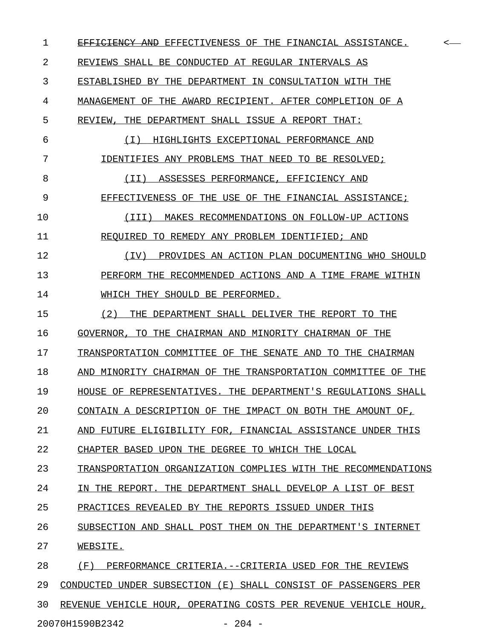1 EFFICIENCY AND EFFECTIVENESS OF THE FINANCIAL ASSISTANCE. 2 REVIEWS SHALL BE CONDUCTED AT REGULAR INTERVALS AS 3 ESTABLISHED BY THE DEPARTMENT IN CONSULTATION WITH THE 4 MANAGEMENT OF THE AWARD RECIPIENT. AFTER COMPLETION OF A 5 REVIEW, THE DEPARTMENT SHALL ISSUE A REPORT THAT: 6 (I) HIGHLIGHTS EXCEPTIONAL PERFORMANCE AND \_\_\_\_\_\_\_\_\_\_\_\_\_\_\_\_\_\_\_\_\_\_\_\_\_\_\_\_\_\_\_\_\_\_\_\_\_\_\_\_\_\_\_ 7 IDENTIFIES ANY PROBLEMS THAT NEED TO BE RESOLVED; 8 (II) ASSESSES PERFORMANCE, EFFICIENCY AND 9 EFFECTIVENESS OF THE USE OF THE FINANCIAL ASSISTANCE; 10 (III) MAKES RECOMMENDATIONS ON FOLLOW-UP ACTIONS \_\_\_\_\_\_\_\_\_\_\_\_\_\_\_\_\_\_\_\_\_\_\_\_\_\_\_\_\_\_\_\_\_\_\_\_\_\_\_\_\_\_\_\_\_\_\_\_\_ 11 REQUIRED TO REMEDY ANY PROBLEM IDENTIFIED; AND 12 (IV) PROVIDES AN ACTION PLAN DOCUMENTING WHO SHOULD \_\_\_\_\_\_\_\_\_\_\_\_\_\_\_\_\_\_\_\_\_\_\_\_\_\_\_\_\_\_\_\_\_\_\_\_\_\_\_\_\_\_\_\_\_\_\_\_\_\_\_\_ 13 PERFORM THE RECOMMENDED ACTIONS AND A TIME FRAME WITHIN 14 WHICH THEY SHOULD BE PERFORMED. 15  $(2)$  THE DEPARTMENT SHALL DELIVER THE REPORT TO THE 16 GOVERNOR, TO THE CHAIRMAN AND MINORITY CHAIRMAN OF THE 17 TRANSPORTATION COMMITTEE OF THE SENATE AND TO THE CHAIRMAN 18 AND MINORITY CHAIRMAN OF THE TRANSPORTATION COMMITTEE OF THE 19 HOUSE OF REPRESENTATIVES. THE DEPARTMENT'S REGULATIONS SHALL 20 CONTAIN A DESCRIPTION OF THE IMPACT ON BOTH THE AMOUNT OF, 21 AND FUTURE ELIGIBILITY FOR, FINANCIAL ASSISTANCE UNDER THIS 22 CHAPTER BASED UPON THE DEGREE TO WHICH THE LOCAL 23 TRANSPORTATION ORGANIZATION COMPLIES WITH THE RECOMMENDATIONS 24 IN THE REPORT. THE DEPARTMENT SHALL DEVELOP A LIST OF BEST 25 PRACTICES REVEALED BY THE REPORTS ISSUED UNDER THIS 26 SUBSECTION AND SHALL POST THEM ON THE DEPARTMENT'S INTERNET 27 WEBSITE. 28 (F) PERFORMANCE CRITERIA.--CRITERIA USED FOR THE REVIEWS 29 CONDUCTED UNDER SUBSECTION (E) SHALL CONSIST OF PASSENGERS PER 30 REVENUE VEHICLE HOUR, OPERATING COSTS PER REVENUE VEHICLE HOUR,

20070H1590B2342 - 204 -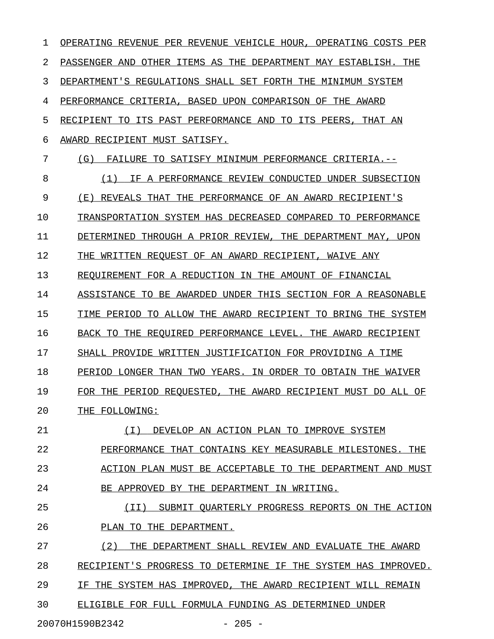| 1  | OPERATING REVENUE PER REVENUE VEHICLE HOUR, OPERATING COSTS PER |
|----|-----------------------------------------------------------------|
| 2  | PASSENGER AND OTHER ITEMS AS THE DEPARTMENT MAY ESTABLISH. THE  |
| 3  | DEPARTMENT'S REGULATIONS SHALL SET FORTH THE MINIMUM SYSTEM     |
| 4  | PERFORMANCE CRITERIA, BASED UPON COMPARISON OF THE AWARD        |
| 5  | RECIPIENT TO ITS PAST PERFORMANCE AND TO ITS PEERS, THAT AN     |
| 6  | AWARD RECIPIENT MUST SATISFY.                                   |
| 7  | (G)<br>FAILURE TO SATISFY MINIMUM PERFORMANCE CRITERIA.--       |
| 8  | IF A PERFORMANCE REVIEW CONDUCTED UNDER SUBSECTION<br>(1)       |
| 9  | (E)<br>REVEALS THAT THE PERFORMANCE OF AN AWARD RECIPIENT'S     |
| 10 | TRANSPORTATION SYSTEM HAS DECREASED COMPARED TO PERFORMANCE     |
| 11 | THROUGH A PRIOR REVIEW, THE DEPARTMENT MAY, UPON<br>DETERMINED  |
| 12 | THE WRITTEN REOUEST OF AN AWARD RECIPIENT, WAIVE ANY            |
| 13 | REOUIREMENT FOR A REDUCTION IN THE AMOUNT OF FINANCIAL          |
| 14 | ASSISTANCE TO BE AWARDED UNDER THIS SECTION FOR A REASONABLE    |
| 15 | TIME PERIOD TO ALLOW THE AWARD RECIPIENT TO BRING THE SYSTEM    |
| 16 | BACK TO THE REQUIRED PERFORMANCE LEVEL. THE AWARD RECIPIENT     |
| 17 | SHALL PROVIDE WRITTEN JUSTIFICATION FOR PROVIDING A TIME        |
| 18 | PERIOD LONGER THAN TWO YEARS. IN ORDER TO OBTAIN THE WAIVER     |
| 19 | FOR THE PERIOD REQUESTED, THE AWARD RECIPIENT MUST DO ALL OF    |
| 20 | THE FOLLOWING:                                                  |
| 21 | (I) DEVELOP AN ACTION PLAN TO IMPROVE SYSTEM                    |
| 22 | PERFORMANCE THAT CONTAINS KEY MEASURABLE MILESTONES. THE        |
| 23 | ACTION PLAN MUST BE ACCEPTABLE TO THE DEPARTMENT AND MUST       |
| 24 | BE APPROVED BY THE DEPARTMENT IN WRITING.                       |
| 25 | (II) SUBMIT QUARTERLY PROGRESS REPORTS ON THE ACTION            |
| 26 | PLAN TO THE DEPARTMENT.                                         |
| 27 | (2)<br>THE DEPARTMENT SHALL REVIEW AND EVALUATE THE AWARD       |
| 28 | RECIPIENT'S PROGRESS TO DETERMINE IF THE SYSTEM HAS IMPROVED.   |
| 29 | IF THE SYSTEM HAS IMPROVED, THE AWARD RECIPIENT WILL REMAIN     |
| 30 | ELIGIBLE FOR FULL FORMULA FUNDING AS DETERMINED UNDER           |
|    |                                                                 |

20070H1590B2342 - 205 -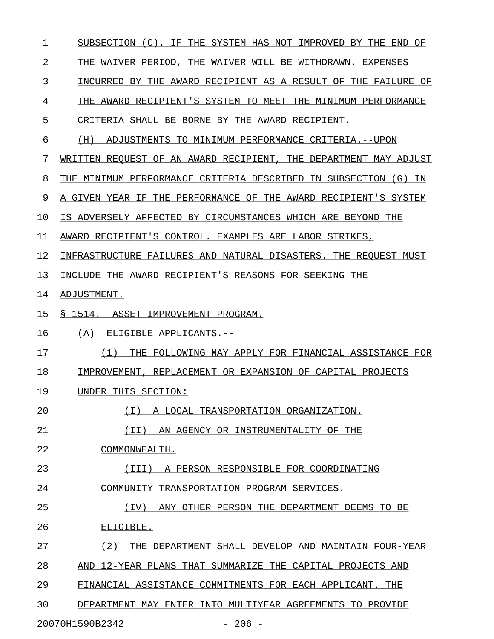| $\mathbf 1$ | SUBSECTION (C). IF THE SYSTEM HAS NOT IMPROVED BY THE END OF     |
|-------------|------------------------------------------------------------------|
| 2           | THE WAIVER PERIOD, THE WAIVER WILL BE WITHDRAWN. EXPENSES        |
| 3           | INCURRED BY THE AWARD RECIPIENT AS A RESULT OF THE FAILURE OF    |
| 4           | THE AWARD RECIPIENT'S SYSTEM TO MEET THE MINIMUM PERFORMANCE     |
| 5           | CRITERIA SHALL BE BORNE BY THE AWARD RECIPIENT.                  |
| 6           | (H) ADJUSTMENTS TO MINIMUM PERFORMANCE CRITERIA.--UPON           |
| 7           | WRITTEN REQUEST OF AN AWARD RECIPIENT, THE DEPARTMENT MAY ADJUST |
| 8           | THE MINIMUM PERFORMANCE CRITERIA DESCRIBED IN SUBSECTION (G) IN  |
| 9           | A GIVEN YEAR IF THE PERFORMANCE OF THE AWARD RECIPIENT'S SYSTEM  |
| 10          | IS ADVERSELY AFFECTED BY CIRCUMSTANCES WHICH ARE BEYOND THE      |
| 11          | AWARD RECIPIENT'S CONTROL. EXAMPLES ARE LABOR STRIKES,           |
| 12          | INFRASTRUCTURE FAILURES AND NATURAL DISASTERS. THE REQUEST MUST  |
| 13          | INCLUDE THE AWARD RECIPIENT'S REASONS FOR SEEKING THE            |
| 14          | ADJUSTMENT.                                                      |
| 15          | § 1514. ASSET IMPROVEMENT PROGRAM.                               |
| 16          | ELIGIBLE APPLICANTS.--<br>(A)                                    |
| 17          | THE FOLLOWING MAY APPLY FOR FINANCIAL ASSISTANCE FOR<br>(1)      |
| 18          | IMPROVEMENT, REPLACEMENT OR EXPANSION OF CAPITAL PROJECTS        |
| 19          | UNDER THIS SECTION:                                              |
| 20          | (T)<br>A LOCAL TRANSPORTATION ORGANIZATION.                      |
| 21          | (II)<br>AN AGENCY OR INSTRUMENTALITY OF THE                      |
| 22          | COMMONWEALTH.                                                    |
| 23          | A PERSON RESPONSIBLE FOR COORDINATING<br>(TTT)                   |
| 24          | COMMUNITY TRANSPORTATION PROGRAM SERVICES.                       |
| 25          | ANY OTHER PERSON THE DEPARTMENT DEEMS TO BE<br>(IV)              |
| 26          | ELIGIBLE.                                                        |
| 27          | (2)<br>THE DEPARTMENT SHALL DEVELOP AND MAINTAIN FOUR-YEAR       |
| 28          | AND 12-YEAR PLANS THAT SUMMARIZE THE CAPITAL PROJECTS AND        |
| 29          | FINANCIAL ASSISTANCE COMMITMENTS FOR EACH APPLICANT. THE         |
| 30          | DEPARTMENT MAY ENTER INTO MULTIYEAR AGREEMENTS TO PROVIDE        |
|             | 20070H1590B2342<br>$-206 -$                                      |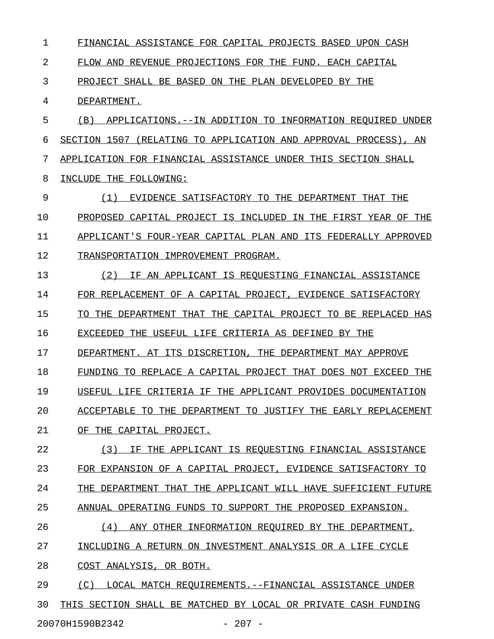1 FINANCIAL ASSISTANCE FOR CAPITAL PROJECTS BASED UPON CASH 2 FLOW AND REVENUE PROJECTIONS FOR THE FUND. EACH CAPITAL 3 PROJECT SHALL BE BASED ON THE PLAN DEVELOPED BY THE 4 DEPARTMENT. 5 (B) APPLICATIONS.--IN ADDITION TO INFORMATION REQUIRED UNDER 6 SECTION 1507 (RELATING TO APPLICATION AND APPROVAL PROCESS), AN 7 APPLICATION FOR FINANCIAL ASSISTANCE UNDER THIS SECTION SHALL 8 INCLUDE THE FOLLOWING: 9 (1) EVIDENCE SATISFACTORY TO THE DEPARTMENT THAT THE \_\_\_\_\_\_\_\_\_\_\_\_\_\_\_\_\_\_\_\_\_\_\_\_\_\_\_\_\_\_\_\_\_\_\_\_\_\_\_\_\_\_\_\_\_\_\_\_\_\_\_\_\_ 10 PROPOSED CAPITAL PROJECT IS INCLUDED IN THE FIRST YEAR OF THE 11 APPLICANT'S FOUR-YEAR CAPITAL PLAN AND ITS FEDERALLY APPROVED 12 TRANSPORTATION IMPROVEMENT PROGRAM. 13 (2) IF AN APPLICANT IS REQUESTING FINANCIAL ASSISTANCE 14 FOR REPLACEMENT OF A CAPITAL PROJECT, EVIDENCE SATISFACTORY 15 TO THE DEPARTMENT THAT THE CAPITAL PROJECT TO BE REPLACED HAS 16 EXCEEDED THE USEFUL LIFE CRITERIA AS DEFINED BY THE 17 DEPARTMENT. AT ITS DISCRETION, THE DEPARTMENT MAY APPROVE 18 FUNDING TO REPLACE A CAPITAL PROJECT THAT DOES NOT EXCEED THE 19 USEFUL LIFE CRITERIA IF THE APPLICANT PROVIDES DOCUMENTATION 20 ACCEPTABLE TO THE DEPARTMENT TO JUSTIFY THE EARLY REPLACEMENT 21 OF THE CAPITAL PROJECT. 22 (3) IF THE APPLICANT IS REQUESTING FINANCIAL ASSISTANCE \_\_\_\_\_\_\_\_\_\_\_\_\_\_\_\_\_\_\_\_\_\_\_\_\_\_\_\_\_\_\_\_\_\_\_\_\_\_\_\_\_\_\_\_\_\_\_\_\_\_\_\_\_\_\_\_ 23 FOR EXPANSION OF A CAPITAL PROJECT, EVIDENCE SATISFACTORY TO 24 THE DEPARTMENT THAT THE APPLICANT WILL HAVE SUFFICIENT FUTURE 25 ANNUAL OPERATING FUNDS TO SUPPORT THE PROPOSED EXPANSION. 26 (4) ANY OTHER INFORMATION REQUIRED BY THE DEPARTMENT, 27 INCLUDING A RETURN ON INVESTMENT ANALYSIS OR A LIFE CYCLE 28 COST ANALYSIS, OR BOTH. 29 (C) LOCAL MATCH REQUIREMENTS.--FINANCIAL ASSISTANCE UNDER 30 THIS SECTION SHALL BE MATCHED BY LOCAL OR PRIVATE CASH FUNDING

20070H1590B2342 - 207 -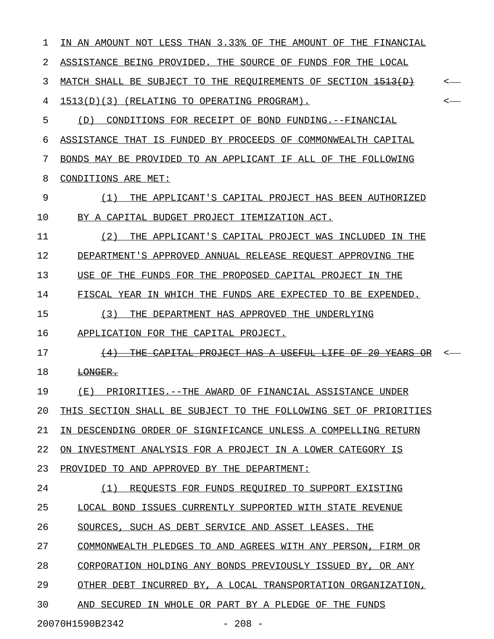| 1  | IN AN AMOUNT NOT LESS THAN 3.33% OF THE AMOUNT OF THE FINANCIAL                                      |     |
|----|------------------------------------------------------------------------------------------------------|-----|
| 2  | ASSISTANCE BEING PROVIDED. THE SOURCE OF FUNDS FOR THE LOCAL                                         |     |
| 3  | MATCH SHALL BE SUBJECT TO THE REOUIREMENTS OF SECTION <del>1513(D)</del>                             |     |
| 4  | 1513(D)(3) (RELATING TO OPERATING PROGRAM).                                                          | < — |
| 5  | CONDITIONS FOR RECEIPT OF BOND FUNDING.--FINANCIAL<br>(D)                                            |     |
| 6  | ASSISTANCE THAT IS FUNDED BY PROCEEDS OF COMMONWEALTH CAPITAL                                        |     |
| 7  | BONDS MAY BE PROVIDED TO AN APPLICANT IF ALL OF THE FOLLOWING                                        |     |
| 8  | CONDITIONS ARE MET:                                                                                  |     |
| 9  | THE APPLICANT'S CAPITAL PROJECT HAS BEEN AUTHORIZED<br>(1)                                           |     |
| 10 | BY A CAPITAL BUDGET PROJECT ITEMIZATION ACT.                                                         |     |
| 11 | (2)<br>THE APPLICANT'S CAPITAL PROJECT WAS INCLUDED IN THE                                           |     |
| 12 | DEPARTMENT'S APPROVED ANNUAL RELEASE REOUEST APPROVING THE                                           |     |
| 13 | USE OF THE FUNDS FOR THE PROPOSED CAPITAL PROJECT IN THE                                             |     |
| 14 | FISCAL YEAR IN WHICH THE FUNDS ARE EXPECTED TO BE EXPENDED.                                          |     |
| 15 | (3)<br>THE DEPARTMENT HAS APPROVED THE UNDERLYING                                                    |     |
| 16 | APPLICATION FOR THE CAPITAL PROJECT.                                                                 |     |
| 17 | 2Α<br>꾸표표<br><del>- PROJECT HAS A</del><br><del>-USEFUL</del><br>CAPTTAT<br>AF-<br>$\leftrightarrow$ |     |
| 18 | LONGER.                                                                                              |     |
| 19 | (E)<br>PRIORITIES.--THE AWARD OF FINANCIAL ASSISTANCE UNDER                                          |     |
| 20 | THIS SECTION SHALL BE SUBJECT TO THE FOLLOWING SET OF PRIORITIES                                     |     |
| 21 | IN DESCENDING ORDER OF SIGNIFICANCE UNLESS A COMPELLING RETURN                                       |     |
| 22 | ON INVESTMENT ANALYSIS FOR A PROJECT IN A LOWER CATEGORY IS                                          |     |
| 23 | PROVIDED TO AND APPROVED BY THE DEPARTMENT:                                                          |     |
| 24 | (1) REQUESTS FOR FUNDS REQUIRED TO SUPPORT EXISTING                                                  |     |
| 25 | LOCAL BOND ISSUES CURRENTLY SUPPORTED WITH STATE REVENUE                                             |     |
| 26 | SOURCES, SUCH AS DEBT SERVICE AND ASSET LEASES. THE                                                  |     |
| 27 | COMMONWEALTH PLEDGES TO AND AGREES WITH ANY PERSON, FIRM OR                                          |     |
| 28 | CORPORATION HOLDING ANY BONDS PREVIOUSLY ISSUED BY, OR ANY                                           |     |
| 29 | OTHER DEBT INCURRED BY, A LOCAL TRANSPORTATION ORGANIZATION,                                         |     |
| 30 | AND SECURED IN WHOLE OR PART BY A PLEDGE OF THE FUNDS                                                |     |
|    | 20070H1590B2342<br>$-208 -$                                                                          |     |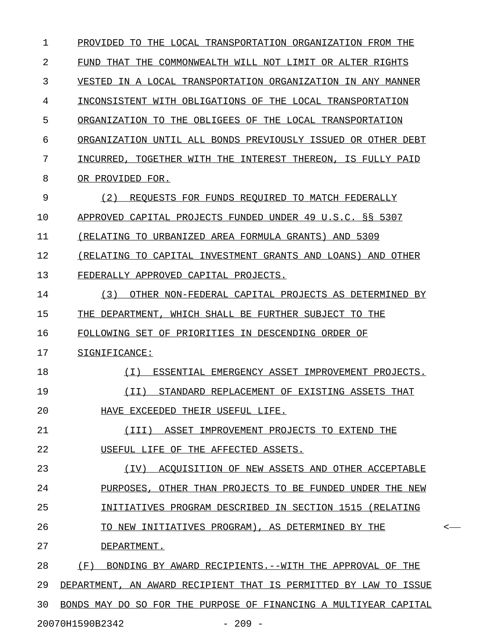| 1  | PROVIDED TO THE LOCAL TRANSPORTATION ORGANIZATION FROM THE       |         |
|----|------------------------------------------------------------------|---------|
| 2  | FUND THAT THE COMMONWEALTH WILL NOT LIMIT OR ALTER RIGHTS        |         |
| 3  | VESTED IN A LOCAL TRANSPORTATION ORGANIZATION IN ANY MANNER      |         |
| 4  | INCONSISTENT WITH OBLIGATIONS OF THE LOCAL TRANSPORTATION        |         |
| 5  | ORGANIZATION TO THE OBLIGEES OF THE LOCAL TRANSPORTATION         |         |
| 6  | ORGANIZATION UNTIL ALL BONDS PREVIOUSLY ISSUED OR OTHER DEBT     |         |
| 7  | INCURRED, TOGETHER WITH THE INTEREST THEREON, IS FULLY PAID      |         |
| 8  | OR PROVIDED FOR.                                                 |         |
| 9  | (2)<br>REQUESTS FOR FUNDS REQUIRED TO MATCH FEDERALLY            |         |
| 10 | APPROVED CAPITAL PROJECTS FUNDED UNDER 49 U.S.C. §§ 5307         |         |
| 11 | (RELATING TO URBANIZED AREA FORMULA GRANTS) AND 5309             |         |
| 12 | (RELATING TO CAPITAL INVESTMENT GRANTS AND LOANS) AND OTHER      |         |
| 13 | FEDERALLY APPROVED CAPITAL PROJECTS.                             |         |
| 14 | (3)<br>OTHER NON-FEDERAL CAPITAL PROJECTS AS DETERMINED BY       |         |
| 15 | THE DEPARTMENT, WHICH SHALL BE FURTHER SUBJECT TO THE            |         |
| 16 | FOLLOWING SET OF PRIORITIES IN DESCENDING ORDER OF               |         |
| 17 | SIGNIFICANCE:                                                    |         |
| 18 | ESSENTIAL EMERGENCY ASSET IMPROVEMENT PROJECTS.<br>( I )         |         |
| 19 | (II)<br>STANDARD REPLACEMENT OF EXISTING ASSETS THAT             |         |
| 20 | HAVE EXCEEDED THEIR USEFUL LIFE.                                 |         |
| 21 | (III) ASSET IMPROVEMENT PROJECTS TO EXTEND THE                   |         |
| 22 | USEFUL LIFE OF THE AFFECTED ASSETS.                              |         |
| 23 | ACOUISITION OF NEW ASSETS AND OTHER ACCEPTABLE<br>(IV)           |         |
| 24 | PURPOSES, OTHER THAN PROJECTS TO BE FUNDED UNDER THE NEW         |         |
| 25 | INITIATIVES PROGRAM DESCRIBED IN SECTION 1515 (RELATING          |         |
| 26 | TO NEW INITIATIVES PROGRAM), AS DETERMINED BY THE                | $\,<\,$ |
| 27 | DEPARTMENT.                                                      |         |
| 28 | (F)<br>BONDING BY AWARD RECIPIENTS. -- WITH THE APPROVAL OF THE  |         |
| 29 | DEPARTMENT, AN AWARD RECIPIENT THAT IS PERMITTED BY LAW TO ISSUE |         |
| 30 | BONDS MAY DO SO FOR THE PURPOSE OF FINANCING A MULTIYEAR CAPITAL |         |
|    | 20070H1590B2342<br>$-209 -$                                      |         |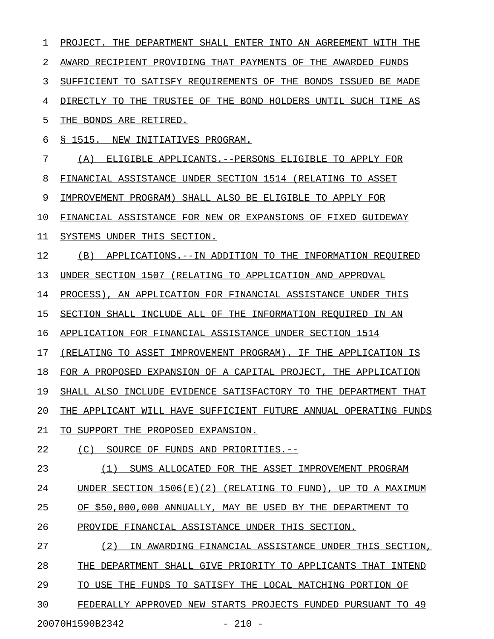1 PROJECT. THE DEPARTMENT SHALL ENTER INTO AN AGREEMENT WITH THE 2 AWARD RECIPIENT PROVIDING THAT PAYMENTS OF THE AWARDED FUNDS 3 SUFFICIENT TO SATISFY REQUIREMENTS OF THE BONDS ISSUED BE MADE 4 DIRECTLY TO THE TRUSTEE OF THE BOND HOLDERS UNTIL SUCH TIME AS 5 THE BONDS ARE RETIRED. 6 § 1515. NEW INITIATIVES PROGRAM. 7 (A) ELIGIBLE APPLICANTS.--PERSONS ELIGIBLE TO APPLY FOR 8 FINANCIAL ASSISTANCE UNDER SECTION 1514 (RELATING TO ASSET 9 IMPROVEMENT PROGRAM) SHALL ALSO BE ELIGIBLE TO APPLY FOR 10 FINANCIAL ASSISTANCE FOR NEW OR EXPANSIONS OF FIXED GUIDEWAY 11 SYSTEMS UNDER THIS SECTION. 12 (B) APPLICATIONS.--IN ADDITION TO THE INFORMATION REQUIRED 13 UNDER SECTION 1507 (RELATING TO APPLICATION AND APPROVAL 14 PROCESS), AN APPLICATION FOR FINANCIAL ASSISTANCE UNDER THIS 15 SECTION SHALL INCLUDE ALL OF THE INFORMATION REQUIRED IN AN 16 APPLICATION FOR FINANCIAL ASSISTANCE UNDER SECTION 1514 17 (RELATING TO ASSET IMPROVEMENT PROGRAM). IF THE APPLICATION IS 18 FOR A PROPOSED EXPANSION OF A CAPITAL PROJECT, THE APPLICATION 19 SHALL ALSO INCLUDE EVIDENCE SATISFACTORY TO THE DEPARTMENT THAT 20 THE APPLICANT WILL HAVE SUFFICIENT FUTURE ANNUAL OPERATING FUNDS 21 TO SUPPORT THE PROPOSED EXPANSION. 22 (C) SOURCE OF FUNDS AND PRIORITIES.--23 (1) SUMS ALLOCATED FOR THE ASSET IMPROVEMENT PROGRAM 24 UNDER SECTION 1506(E)(2) (RELATING TO FUND), UP TO A MAXIMUM 25 OF \$50,000,000 ANNUALLY, MAY BE USED BY THE DEPARTMENT TO 26 PROVIDE FINANCIAL ASSISTANCE UNDER THIS SECTION. 27 (2) IN AWARDING FINANCIAL ASSISTANCE UNDER THIS SECTION, 28 THE DEPARTMENT SHALL GIVE PRIORITY TO APPLICANTS THAT INTEND 29 TO USE THE FUNDS TO SATISFY THE LOCAL MATCHING PORTION OF 30 FEDERALLY APPROVED NEW STARTS PROJECTS FUNDED PURSUANT TO 49 20070H1590B2342 - 210 -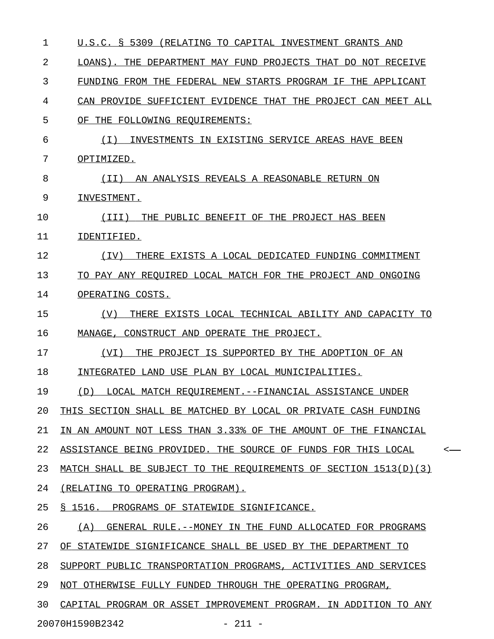| $\mathbf{1}$ | U.S.C. § 5309 (RELATING TO CAPITAL INVESTMENT GRANTS AND         |         |
|--------------|------------------------------------------------------------------|---------|
| 2            | LOANS). THE DEPARTMENT MAY FUND PROJECTS THAT DO NOT RECEIVE     |         |
| 3            | FUNDING FROM THE FEDERAL NEW STARTS PROGRAM IF THE APPLICANT     |         |
| 4            | CAN PROVIDE SUFFICIENT EVIDENCE THAT THE PROJECT CAN MEET ALL    |         |
| 5            | OF THE FOLLOWING REOUIREMENTS:                                   |         |
| 6            | INVESTMENTS IN EXISTING SERVICE AREAS HAVE BEEN<br>( I )         |         |
| 7            | OPTIMIZED.                                                       |         |
| 8            | AN ANALYSIS REVEALS A REASONABLE RETURN ON<br>( I I )            |         |
| 9            | INVESTMENT.                                                      |         |
| 10           | THE PUBLIC BENEFIT OF THE PROJECT HAS BEEN<br>(III)              |         |
| 11           | IDENTIFIED.                                                      |         |
| 12           | THERE EXISTS A LOCAL DEDICATED FUNDING COMMITMENT<br>(IV)        |         |
| 13           | TO PAY ANY REQUIRED LOCAL MATCH FOR THE PROJECT AND ONGOING      |         |
| 14           | OPERATING COSTS.                                                 |         |
| 15           | (V)<br>THERE EXISTS LOCAL TECHNICAL ABILITY AND CAPACITY TO      |         |
| 16           | MANAGE, CONSTRUCT AND OPERATE THE PROJECT.                       |         |
| 17           | THE PROJECT IS SUPPORTED BY THE ADOPTION OF AN<br>(VI)           |         |
| 18           | INTEGRATED LAND USE PLAN BY LOCAL MUNICIPALITIES.                |         |
| 19           | LOCAL MATCH REOUIREMENT.--FINANCIAL ASSISTANCE UNDER<br>(D)      |         |
| 20           | THIS SECTION SHALL BE MATCHED BY LOCAL OR PRIVATE CASH FUNDING   |         |
| 21           | IN AN AMOUNT NOT LESS THAN 3.33% OF THE AMOUNT OF THE FINANCIAL  |         |
| 22           | ASSISTANCE BEING PROVIDED. THE SOURCE OF FUNDS FOR THIS LOCAL    | $\,<\,$ |
| 23           | MATCH SHALL BE SUBJECT TO THE REQUIREMENTS OF SECTION 1513(D)(3) |         |
| 24           | (RELATING TO OPERATING PROGRAM).                                 |         |
| 25           | § 1516. PROGRAMS OF STATEWIDE SIGNIFICANCE.                      |         |
| 26           | GENERAL RULE. -- MONEY IN THE FUND ALLOCATED FOR PROGRAMS<br>(A) |         |
| 27           | OF STATEWIDE SIGNIFICANCE SHALL BE USED BY THE DEPARTMENT TO     |         |
| 28           | SUPPORT PUBLIC TRANSPORTATION PROGRAMS, ACTIVITIES AND SERVICES  |         |
| 29           | NOT OTHERWISE FULLY FUNDED THROUGH THE OPERATING PROGRAM,        |         |
| 30           | CAPITAL PROGRAM OR ASSET IMPROVEMENT PROGRAM. IN ADDITION TO ANY |         |
|              | 20070H1590B2342<br>$-211 -$                                      |         |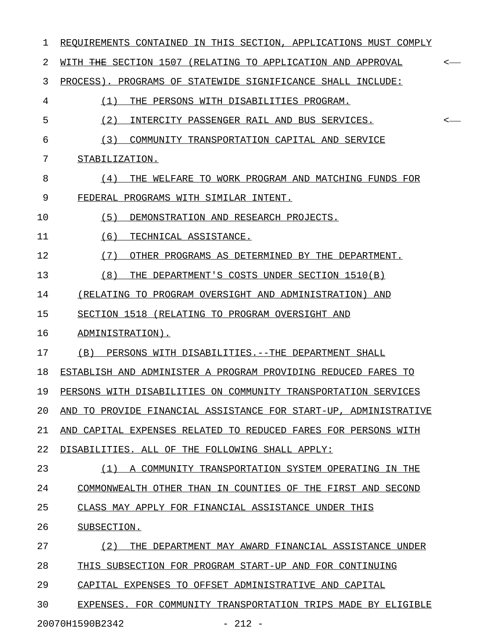| 1  | REQUIREMENTS CONTAINED IN THIS SECTION, APPLICATIONS MUST COMPLY             |
|----|------------------------------------------------------------------------------|
| 2  | WITH <del>THE</del> SECTION 1507 (RELATING TO APPLICATION AND APPROVAL<br><- |
| 3  | PROCESS). PROGRAMS OF STATEWIDE SIGNIFICANCE SHALL INCLUDE:                  |
| 4  | (1)<br>THE PERSONS WITH DISABILITIES PROGRAM.                                |
| 5  | (2)<br>INTERCITY PASSENGER RAIL AND BUS SERVICES.<br><-                      |
| 6  | (3)<br>COMMUNITY TRANSPORTATION CAPITAL AND SERVICE                          |
| 7  | STABILIZATION.                                                               |
| 8  | (4)<br>THE WELFARE TO WORK PROGRAM AND MATCHING FUNDS FOR                    |
| 9  | FEDERAL PROGRAMS WITH SIMILAR INTENT.                                        |
| 10 | (5)<br>DEMONSTRATION AND RESEARCH PROJECTS.                                  |
| 11 | (6)<br>TECHNICAL ASSISTANCE.                                                 |
| 12 | (7)<br>OTHER PROGRAMS AS DETERMINED BY THE DEPARTMENT.                       |
| 13 | (8)<br>THE DEPARTMENT'S COSTS UNDER SECTION 1510(B)                          |
| 14 | (RELATING TO PROGRAM OVERSIGHT AND ADMINISTRATION) AND                       |
| 15 | SECTION 1518 (RELATING TO PROGRAM OVERSIGHT AND                              |
| 16 | ADMINISTRATION).                                                             |
| 17 | (B)<br>PERSONS WITH DISABILITIES. -- THE DEPARTMENT SHALL                    |
| 18 | ESTABLISH AND ADMINISTER A PROGRAM PROVIDING REDUCED FARES TO                |
| 19 | PERSONS WITH DISABILITIES ON COMMUNITY TRANSPORTATION SERVICES               |
| 20 | AND TO PROVIDE FINANCIAL ASSISTANCE FOR START-UP, ADMINISTRATIVE             |
| 21 | AND CAPITAL EXPENSES RELATED TO REDUCED FARES FOR PERSONS WITH               |
| 22 | DISABILITIES. ALL OF THE FOLLOWING SHALL APPLY:                              |
| 23 | (1) A COMMUNITY TRANSPORTATION SYSTEM OPERATING IN THE                       |
| 24 | COMMONWEALTH OTHER THAN IN COUNTIES OF THE FIRST AND SECOND                  |
| 25 | CLASS MAY APPLY FOR FINANCIAL ASSISTANCE UNDER THIS                          |
| 26 | SUBSECTION.                                                                  |
| 27 | THE DEPARTMENT MAY AWARD FINANCIAL ASSISTANCE UNDER<br>(2)                   |
| 28 | THIS SUBSECTION FOR PROGRAM START-UP AND FOR CONTINUING                      |
| 29 | CAPITAL EXPENSES TO OFFSET ADMINISTRATIVE AND CAPITAL                        |
| 30 | EXPENSES. FOR COMMUNITY TRANSPORTATION TRIPS MADE BY ELIGIBLE                |
|    | 20070H1590B2342<br>$-212 -$                                                  |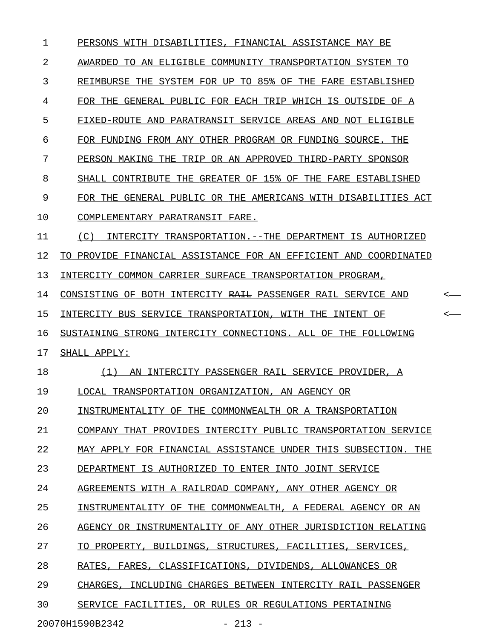| 1  | PERSONS WITH DISABILITIES, FINANCIAL ASSISTANCE MAY BE           |       |
|----|------------------------------------------------------------------|-------|
| 2  | AWARDED TO AN ELIGIBLE COMMUNITY TRANSPORTATION SYSTEM TO        |       |
| 3  | REIMBURSE THE SYSTEM FOR UP TO 85% OF THE FARE ESTABLISHED       |       |
| 4  | FOR THE GENERAL PUBLIC FOR EACH TRIP WHICH IS OUTSIDE OF A       |       |
| 5  | FIXED-ROUTE AND PARATRANSIT SERVICE AREAS AND NOT ELIGIBLE       |       |
| 6  | FOR FUNDING FROM ANY OTHER PROGRAM OR FUNDING SOURCE. THE        |       |
| 7  | PERSON MAKING THE TRIP OR AN APPROVED THIRD-PARTY SPONSOR        |       |
| 8  | SHALL CONTRIBUTE THE GREATER OF 15% OF THE FARE ESTABLISHED      |       |
| 9  | FOR THE GENERAL PUBLIC OR THE AMERICANS WITH DISABILITIES ACT    |       |
| 10 | COMPLEMENTARY PARATRANSIT FARE.                                  |       |
| 11 | (C)<br>INTERCITY TRANSPORTATION.--THE DEPARTMENT IS AUTHORIZED   |       |
| 12 | TO PROVIDE FINANCIAL ASSISTANCE FOR AN EFFICIENT AND COORDINATED |       |
| 13 | INTERCITY COMMON CARRIER SURFACE TRANSPORTATION PROGRAM,         |       |
| 14 | CONSISTING OF BOTH INTERCITY RAIL PASSENGER RAIL SERVICE AND     | <     |
| 15 | INTERCITY BUS SERVICE TRANSPORTATION, WITH THE INTENT OF         | $\,<$ |
| 16 | SUSTAINING STRONG INTERCITY CONNECTIONS. ALL OF THE FOLLOWING    |       |
| 17 | SHALL APPLY:                                                     |       |
| 18 | INTERCITY PASSENGER RAIL SERVICE PROVIDER, A<br>(1)<br>AN        |       |
| 19 | LOCAL TRANSPORTATION ORGANIZATION, AN AGENCY OR                  |       |
| 20 | INSTRUMENTALITY OF THE COMMONWEALTH OR A TRANSPORTATION          |       |
| 21 | COMPANY THAT PROVIDES INTERCITY PUBLIC TRANSPORTATION SERVICE    |       |
| 22 | MAY APPLY FOR FINANCIAL ASSISTANCE UNDER THIS SUBSECTION. THE    |       |
| 23 | DEPARTMENT IS AUTHORIZED TO ENTER INTO JOINT SERVICE             |       |
| 24 | AGREEMENTS WITH A RAILROAD COMPANY, ANY OTHER AGENCY OR          |       |
| 25 | INSTRUMENTALITY OF THE COMMONWEALTH, A FEDERAL AGENCY OR AN      |       |
| 26 | AGENCY OR INSTRUMENTALITY OF ANY OTHER JURISDICTION RELATING     |       |
| 27 | TO PROPERTY, BUILDINGS, STRUCTURES, FACILITIES, SERVICES,        |       |
| 28 | RATES, FARES, CLASSIFICATIONS, DIVIDENDS, ALLOWANCES OR          |       |
| 29 | CHARGES, INCLUDING CHARGES BETWEEN INTERCITY RAIL PASSENGER      |       |
| 30 | SERVICE FACILITIES, OR RULES OR REGULATIONS PERTAINING           |       |
|    |                                                                  |       |

20070H1590B2342 - 213 -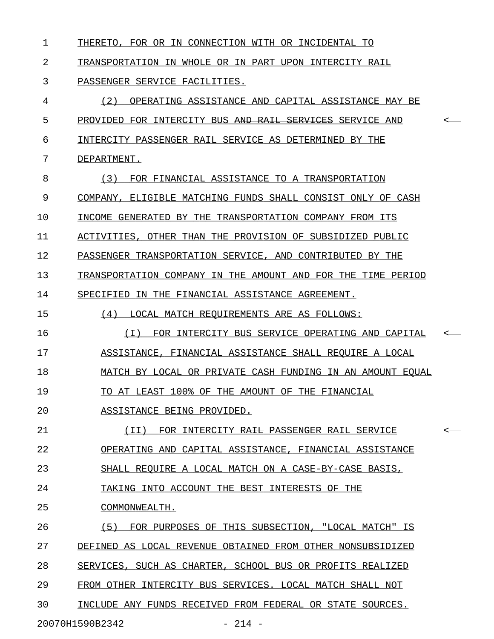| 1  | FOR OR IN CONNECTION WITH OR INCIDENTAL<br>THERETO .<br>TО     |         |
|----|----------------------------------------------------------------|---------|
| 2  | TRANSPORTATION IN WHOLE OR IN PART UPON INTERCITY RAIL         |         |
| 3  | PASSENGER SERVICE FACILITIES.                                  |         |
| 4  | (2)<br>OPERATING ASSISTANCE AND CAPITAL ASSISTANCE MAY BE      |         |
| 5  | PROVIDED FOR INTERCITY BUS AND RAIL SERVICES SERVICE AND       | $\,<\,$ |
| 6  | INTERCITY PASSENGER RAIL SERVICE AS DETERMINED BY THE          |         |
| 7  | DEPARTMENT.                                                    |         |
| 8  | (3)<br>FOR FINANCIAL ASSISTANCE TO A TRANSPORTATION            |         |
| 9  | COMPANY,<br>ELIGIBLE MATCHING FUNDS SHALL CONSIST ONLY OF CASH |         |
| 10 | INCOME GENERATED BY THE TRANSPORTATION COMPANY FROM ITS        |         |
| 11 | ACTIVITIES, OTHER THAN THE PROVISION OF SUBSIDIZED PUBLIC      |         |
| 12 | PASSENGER TRANSPORTATION SERVICE, AND CONTRIBUTED BY THE       |         |
| 13 | TRANSPORTATION COMPANY IN THE AMOUNT AND FOR THE TIME PERIOD   |         |
| 14 | SPECIFIED<br>IN THE FINANCIAL ASSISTANCE AGREEMENT.            |         |
| 15 | (4)<br>LOCAL MATCH REQUIREMENTS ARE AS FOLLOWS:                |         |
| 16 | ( I )<br>FOR INTERCITY BUS SERVICE OPERATING AND CAPITAL       | $\,<\,$ |
| 17 | ASSISTANCE, FINANCIAL ASSISTANCE SHALL REQUIRE A LOCAL         |         |
| 18 | MATCH BY LOCAL OR PRIVATE CASH FUNDING IN AN AMOUNT EQUAL      |         |
| 19 | TO AT LEAST 100% OF THE AMOUNT OF THE FINANCIAL                |         |
| 20 | ASSISTANCE BEING PROVIDED.                                     |         |
| 21 | (II) FOR INTERCITY RAIL PASSENGER RAIL SERVICE                 | $\,<$   |
| 22 | OPERATING AND CAPITAL ASSISTANCE, FINANCIAL ASSISTANCE         |         |
| 23 | SHALL REQUIRE A LOCAL MATCH ON A CASE-BY-CASE BASIS,           |         |
| 24 | TAKING INTO ACCOUNT THE BEST INTERESTS OF THE                  |         |
| 25 | COMMONWEALTH.                                                  |         |
| 26 | (5) FOR PURPOSES OF THIS SUBSECTION, "LOCAL MATCH" IS          |         |
| 27 | DEFINED AS LOCAL REVENUE OBTAINED FROM OTHER NONSUBSIDIZED     |         |
| 28 | SERVICES, SUCH AS CHARTER, SCHOOL BUS OR PROFITS REALIZED      |         |
| 29 | FROM OTHER INTERCITY BUS SERVICES. LOCAL MATCH SHALL NOT       |         |
|    |                                                                |         |

## 30 INCLUDE ANY FUNDS RECEIVED FROM FEDERAL OR STATE SOURCES.

20070H1590B2342 - 214 -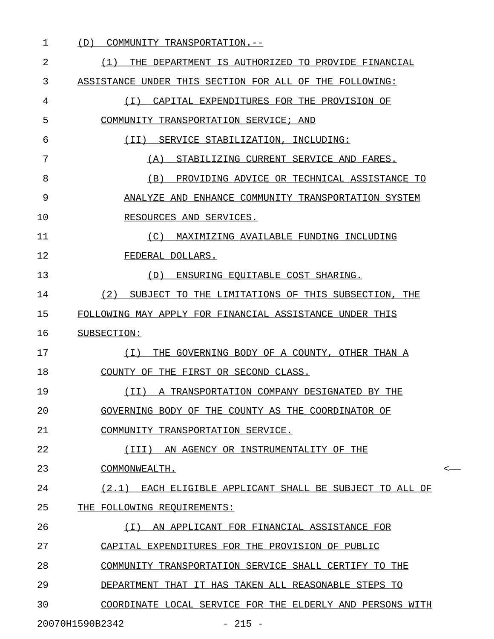| 1  | COMMUNITY TRANSPORTATION.--<br>(D)                          |    |
|----|-------------------------------------------------------------|----|
| 2  | THE DEPARTMENT IS AUTHORIZED TO PROVIDE FINANCIAL<br>(1)    |    |
| 3  | ASSISTANCE UNDER THIS SECTION FOR ALL OF THE FOLLOWING:     |    |
| 4  | (T)<br>CAPITAL EXPENDITURES FOR THE PROVISION OF            |    |
| 5  | COMMUNITY TRANSPORTATION SERVICE; AND                       |    |
| 6  | (II)<br>SERVICE STABILIZATION, INCLUDING:                   |    |
| 7  | STABILIZING CURRENT SERVICE AND FARES.<br>(A)               |    |
| 8  | PROVIDING ADVICE OR TECHNICAL ASSISTANCE TO<br>(B)          |    |
| 9  | ANALYZE AND ENHANCE COMMUNITY TRANSPORTATION SYSTEM         |    |
| 10 | RESOURCES AND SERVICES.                                     |    |
| 11 | MAXIMIZING AVAILABLE FUNDING INCLUDING<br>(C)               |    |
| 12 | FEDERAL DOLLARS.                                            |    |
| 13 | ENSURING EQUITABLE COST SHARING.<br>(D)                     |    |
| 14 | (2) SUBJECT TO THE LIMITATIONS OF THIS SUBSECTION, THE      |    |
| 15 | FOLLOWING MAY APPLY FOR FINANCIAL ASSISTANCE UNDER THIS     |    |
| 16 | SUBSECTION:                                                 |    |
| 17 | ( I )<br>THE GOVERNING BODY OF A COUNTY, OTHER THAN A       |    |
| 18 | COUNTY OF THE FIRST OR SECOND CLASS.                        |    |
| 19 | (II) A TRANSPORTATION COMPANY DESIGNATED BY THE             |    |
| 20 | GOVERNING BODY OF THE COUNTY AS THE COORDINATOR OF          |    |
| 21 | COMMUNITY TRANSPORTATION SERVICE.                           |    |
| 22 | (III)<br>AN AGENCY OR INSTRUMENTALITY OF THE                |    |
| 23 | COMMONWEALTH.                                               | <- |
| 24 | (2.1)<br>EACH ELIGIBLE APPLICANT SHALL BE SUBJECT TO ALL OF |    |
| 25 | THE FOLLOWING REQUIREMENTS:                                 |    |
| 26 | AN APPLICANT FOR FINANCIAL ASSISTANCE FOR<br>( I )          |    |
| 27 | CAPITAL EXPENDITURES FOR THE PROVISION OF PUBLIC            |    |
| 28 | COMMUNITY TRANSPORTATION SERVICE SHALL CERTIFY TO THE       |    |
| 29 | DEPARTMENT THAT IT HAS TAKEN ALL REASONABLE STEPS TO        |    |
| 30 | COORDINATE LOCAL SERVICE FOR THE ELDERLY AND PERSONS WITH   |    |
|    | 20070H1590B2342<br>$-215 -$                                 |    |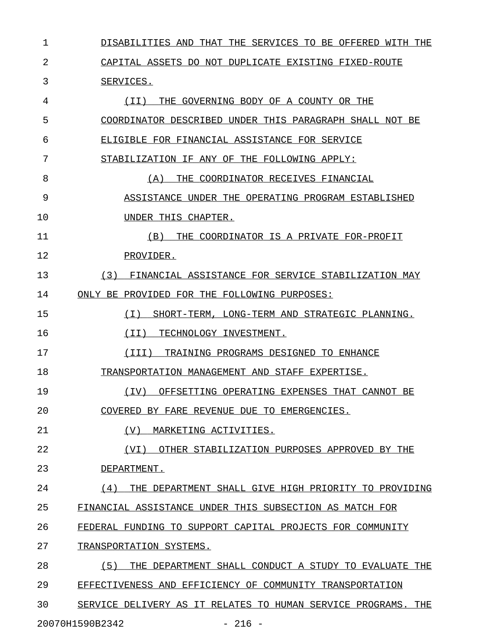1 DISABILITIES AND THAT THE SERVICES TO BE OFFERED WITH THE 2 CAPITAL ASSETS DO NOT DUPLICATE EXISTING FIXED-ROUTE 3 SERVICES. 4  $(II)$  THE GOVERNING BODY OF A COUNTY OR THE 5 COORDINATOR DESCRIBED UNDER THIS PARAGRAPH SHALL NOT BE 6 ELIGIBLE FOR FINANCIAL ASSISTANCE FOR SERVICE 7 STABILIZATION IF ANY OF THE FOLLOWING APPLY: 8 (A) THE COORDINATOR RECEIVES FINANCIAL 9 ASSISTANCE UNDER THE OPERATING PROGRAM ESTABLISHED 10 UNDER THIS CHAPTER. 11 (B) THE COORDINATOR IS A PRIVATE FOR-PROFIT 12 PROVIDER. 13 (3) FINANCIAL ASSISTANCE FOR SERVICE STABILIZATION MAY 14 ONLY BE PROVIDED FOR THE FOLLOWING PURPOSES: 15 (I) SHORT-TERM, LONG-TERM AND STRATEGIC PLANNING. \_\_\_\_\_\_\_\_\_\_\_\_\_\_\_\_\_\_\_\_\_\_\_\_\_\_\_\_\_\_\_\_\_\_\_\_\_\_\_\_\_\_\_\_\_\_\_\_\_\_ 16 (II) TECHNOLOGY INVESTMENT. 17 (III) TRAINING PROGRAMS DESIGNED TO ENHANCE 18 TRANSPORTATION MANAGEMENT AND STAFF EXPERTISE. 19 (IV) OFFSETTING OPERATING EXPENSES THAT CANNOT BE \_\_\_\_\_\_\_\_\_\_\_\_\_\_\_\_\_\_\_\_\_\_\_\_\_\_\_\_\_\_\_\_\_\_\_\_\_\_\_\_\_\_\_\_\_\_\_\_\_\_ 20 COVERED BY FARE REVENUE DUE TO EMERGENCIES. 21 (V) MARKETING ACTIVITIES. 22 (VI) OTHER STABILIZATION PURPOSES APPROVED BY THE 23 DEPARTMENT. 24  $(4)$  THE DEPARTMENT SHALL GIVE HIGH PRIORITY TO PROVIDING 25 FINANCIAL ASSISTANCE UNDER THIS SUBSECTION AS MATCH FOR 26 FEDERAL FUNDING TO SUPPORT CAPITAL PROJECTS FOR COMMUNITY 27 TRANSPORTATION SYSTEMS. 28 (5) THE DEPARTMENT SHALL CONDUCT A STUDY TO EVALUATE THE 29 EFFECTIVENESS AND EFFICIENCY OF COMMUNITY TRANSPORTATION 30 SERVICE DELIVERY AS IT RELATES TO HUMAN SERVICE PROGRAMS. THE

20070H1590B2342 - 216 -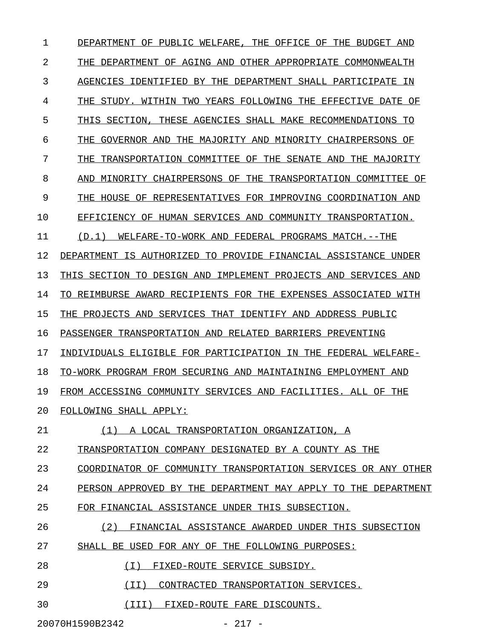1 DEPARTMENT OF PUBLIC WELFARE, THE OFFICE OF THE BUDGET AND 2 THE DEPARTMENT OF AGING AND OTHER APPROPRIATE COMMONWEALTH 3 AGENCIES IDENTIFIED BY THE DEPARTMENT SHALL PARTICIPATE IN 4 THE STUDY. WITHIN TWO YEARS FOLLOWING THE EFFECTIVE DATE OF 5 THIS SECTION, THESE AGENCIES SHALL MAKE RECOMMENDATIONS TO 6 THE GOVERNOR AND THE MAJORITY AND MINORITY CHAIRPERSONS OF 7 THE TRANSPORTATION COMMITTEE OF THE SENATE AND THE MAJORITY 8 AND MINORITY CHAIRPERSONS OF THE TRANSPORTATION COMMITTEE OF 9 THE HOUSE OF REPRESENTATIVES FOR IMPROVING COORDINATION AND 10 EFFICIENCY OF HUMAN SERVICES AND COMMUNITY TRANSPORTATION. 11 (D.1) WELFARE-TO-WORK AND FEDERAL PROGRAMS MATCH.--THE 12 DEPARTMENT IS AUTHORIZED TO PROVIDE FINANCIAL ASSISTANCE UNDER 13 THIS SECTION TO DESIGN AND IMPLEMENT PROJECTS AND SERVICES AND 14 TO REIMBURSE AWARD RECIPIENTS FOR THE EXPENSES ASSOCIATED WITH 15 THE PROJECTS AND SERVICES THAT IDENTIFY AND ADDRESS PUBLIC 16 PASSENGER TRANSPORTATION AND RELATED BARRIERS PREVENTING 17 INDIVIDUALS ELIGIBLE FOR PARTICIPATION IN THE FEDERAL WELFARE-18 TO-WORK PROGRAM FROM SECURING AND MAINTAINING EMPLOYMENT AND 19 FROM ACCESSING COMMUNITY SERVICES AND FACILITIES. ALL OF THE 20 FOLLOWING SHALL APPLY: 21 (1) A LOCAL TRANSPORTATION ORGANIZATION, A 22 TRANSPORTATION COMPANY DESIGNATED BY A COUNTY AS THE 23 COORDINATOR OF COMMUNITY TRANSPORTATION SERVICES OR ANY OTHER 24 PERSON APPROVED BY THE DEPARTMENT MAY APPLY TO THE DEPARTMENT 25 FOR FINANCIAL ASSISTANCE UNDER THIS SUBSECTION. 26 (2) FINANCIAL ASSISTANCE AWARDED UNDER THIS SUBSECTION 27 SHALL BE USED FOR ANY OF THE FOLLOWING PURPOSES: 28 (I) FIXED-ROUTE SERVICE SUBSIDY. 29 (II) CONTRACTED TRANSPORTATION SERVICES. 30  $(III)$  FIXED-ROUTE FARE DISCOUNTS.

20070H1590B2342 - 217 -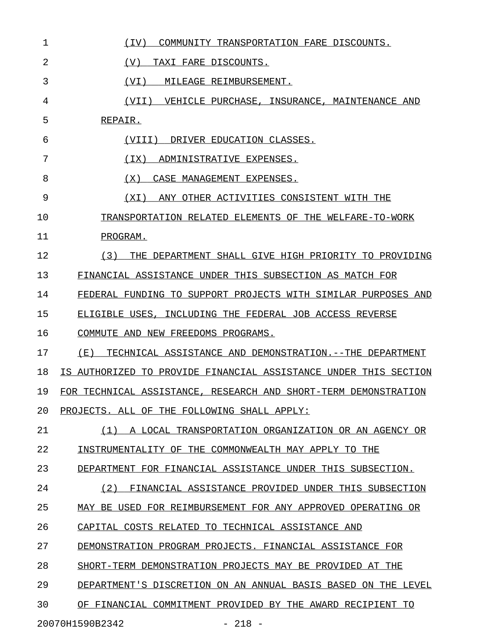| 1  | COMMUNITY TRANSPORTATION FARE DISCOUNTS.<br>(IV)                 |
|----|------------------------------------------------------------------|
| 2  | (V)<br>TAXI FARE DISCOUNTS.                                      |
| 3  | (VI)<br>MILEAGE REIMBURSEMENT.                                   |
| 4  | (VII) VEHICLE PURCHASE, INSURANCE, MAINTENANCE AND               |
| 5  | REPAIR.                                                          |
| 6  | (VIII) DRIVER EDUCATION CLASSES.                                 |
| 7  | (TX)<br>ADMINISTRATIVE EXPENSES.                                 |
| 8  | (X)<br>CASE MANAGEMENT EXPENSES.                                 |
| 9  | ANY OTHER ACTIVITIES CONSISTENT WITH THE<br>(XI)                 |
| 10 | TRANSPORTATION RELATED ELEMENTS OF THE WELFARE-TO-WORK           |
| 11 | PROGRAM.                                                         |
| 12 | THE DEPARTMENT SHALL GIVE HIGH PRIORITY TO PROVIDING<br>(3)      |
| 13 | FINANCIAL ASSISTANCE UNDER THIS SUBSECTION AS MATCH FOR          |
| 14 | FEDERAL FUNDING TO SUPPORT PROJECTS WITH SIMILAR PURPOSES AND    |
| 15 | ELIGIBLE USES, INCLUDING THE FEDERAL JOB ACCESS REVERSE          |
| 16 | COMMUTE AND NEW FREEDOMS PROGRAMS.                               |
| 17 | TECHNICAL ASSISTANCE AND DEMONSTRATION.--THE DEPARTMENT<br>(E)   |
| 18 | IS AUTHORIZED TO PROVIDE FINANCIAL ASSISTANCE UNDER THIS SECTION |
| 19 | FOR TECHNICAL ASSISTANCE, RESEARCH AND SHORT-TERM DEMONSTRATION  |
| 20 | PROJECTS. ALL OF THE FOLLOWING SHALL APPLY:                      |
| 21 | (1) A LOCAL TRANSPORTATION ORGANIZATION OR AN AGENCY OR          |
| 22 | INSTRUMENTALITY OF THE COMMONWEALTH MAY APPLY TO THE             |
| 23 | DEPARTMENT FOR FINANCIAL ASSISTANCE UNDER THIS SUBSECTION.       |
| 24 | FINANCIAL ASSISTANCE PROVIDED UNDER THIS SUBSECTION<br>(2)       |
| 25 | MAY BE USED FOR REIMBURSEMENT FOR ANY APPROVED OPERATING OR      |
| 26 | CAPITAL COSTS RELATED TO TECHNICAL ASSISTANCE AND                |
| 27 | DEMONSTRATION PROGRAM PROJECTS. FINANCIAL ASSISTANCE FOR         |
| 28 | SHORT-TERM DEMONSTRATION PROJECTS MAY BE PROVIDED AT THE         |
| 29 | DEPARTMENT'S DISCRETION ON AN ANNUAL BASIS BASED ON THE LEVEL    |
| 30 | OF FINANCIAL COMMITMENT PROVIDED BY THE AWARD RECIPIENT TO       |
|    | 20070H1590B2342<br>$-218 -$                                      |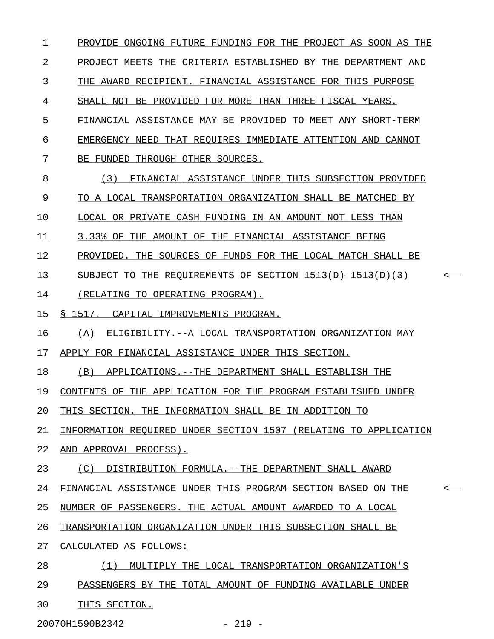1 PROVIDE ONGOING FUTURE FUNDING FOR THE PROJECT AS SOON AS THE 2 PROJECT MEETS THE CRITERIA ESTABLISHED BY THE DEPARTMENT AND 3 THE AWARD RECIPIENT. FINANCIAL ASSISTANCE FOR THIS PURPOSE 4 SHALL NOT BE PROVIDED FOR MORE THAN THREE FISCAL YEARS. 5 FINANCIAL ASSISTANCE MAY BE PROVIDED TO MEET ANY SHORT-TERM 6 EMERGENCY NEED THAT REQUIRES IMMEDIATE ATTENTION AND CANNOT 7 BE FUNDED THROUGH OTHER SOURCES. 8 (3) FINANCIAL ASSISTANCE UNDER THIS SUBSECTION PROVIDED 9 TO A LOCAL TRANSPORTATION ORGANIZATION SHALL BE MATCHED BY 10 LOCAL OR PRIVATE CASH FUNDING IN AN AMOUNT NOT LESS THAN 11 3.33% OF THE AMOUNT OF THE FINANCIAL ASSISTANCE BEING 12 PROVIDED. THE SOURCES OF FUNDS FOR THE LOCAL MATCH SHALL BE 13 SUBJECT TO THE REQUIREMENTS OF SECTION  $\overline{1513(D)(3)}$  <-14 (RELATING TO OPERATING PROGRAM). 15 § 1517. CAPITAL IMPROVEMENTS PROGRAM. 16 (A) ELIGIBILITY.--A LOCAL TRANSPORTATION ORGANIZATION MAY 17 APPLY FOR FINANCIAL ASSISTANCE UNDER THIS SECTION. 18 (B) APPLICATIONS.--THE DEPARTMENT SHALL ESTABLISH THE 19 CONTENTS OF THE APPLICATION FOR THE PROGRAM ESTABLISHED UNDER 20 THIS SECTION. THE INFORMATION SHALL BE IN ADDITION TO 21 INFORMATION REQUIRED UNDER SECTION 1507 (RELATING TO APPLICATION 22 AND APPROVAL PROCESS). 23 (C) DISTRIBUTION FORMULA. --THE DEPARTMENT SHALL AWARD 24 FINANCIAL ASSISTANCE UNDER THIS PROGRAM SECTION BASED ON THE  $\sim$ 25 NUMBER OF PASSENGERS. THE ACTUAL AMOUNT AWARDED TO A LOCAL 26 TRANSPORTATION ORGANIZATION UNDER THIS SUBSECTION SHALL BE 27 CALCULATED AS FOLLOWS: 28 (1) MULTIPLY THE LOCAL TRANSPORTATION ORGANIZATION'S 29 PASSENGERS BY THE TOTAL AMOUNT OF FUNDING AVAILABLE UNDER 30 THIS SECTION.

20070H1590B2342 - 219 -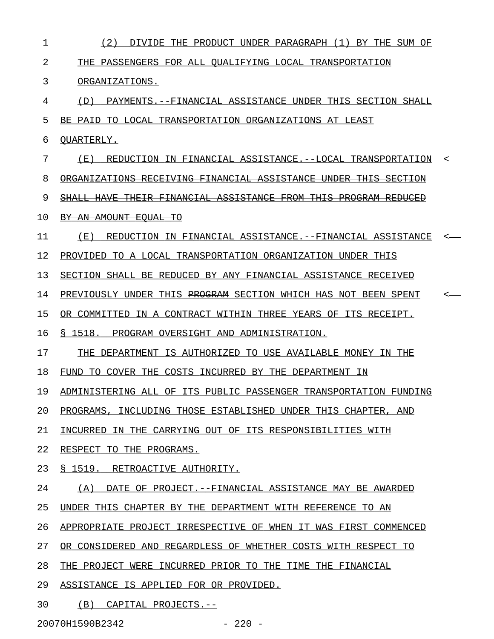| 1  | (2)<br>DIVIDE THE PRODUCT UNDER PARAGRAPH (1) BY THE SUM OF               |  |
|----|---------------------------------------------------------------------------|--|
| 2  | THE PASSENGERS FOR ALL OUALIFYING LOCAL TRANSPORTATION                    |  |
| 3  | ORGANIZATIONS.                                                            |  |
| 4  | PAYMENTS.--FINANCIAL ASSISTANCE UNDER THIS SECTION SHALL<br>(D)           |  |
| 5  | BE PAID TO LOCAL TRANSPORTATION ORGANIZATIONS AT LEAST                    |  |
| 6  | OUARTERLY.                                                                |  |
| 7  |                                                                           |  |
| 8  | <del>FINANCIAL ASSISTANCE</del>                                           |  |
| 9  | THEIR FINANCIAL ASSISTANCE FROM                                           |  |
| 10 | <del>BY AN AMOUNT EOUAL TO</del>                                          |  |
| 11 | (E)<br>REDUCTION IN FINANCIAL ASSISTANCE.--FINANCIAL ASSISTANCE           |  |
| 12 | PROVIDED TO A LOCAL TRANSPORTATION ORGANIZATION UNDER THIS                |  |
| 13 | SECTION SHALL BE REDUCED BY ANY FINANCIAL ASSISTANCE RECEIVED             |  |
| 14 | PREVIOUSLY UNDER THIS <del>PROGRAM</del> SECTION WHICH HAS NOT BEEN SPENT |  |
| 15 | OR COMMITTED IN A CONTRACT WITHIN THREE YEARS OF ITS RECEIPT.             |  |
| 16 | § 1518. PROGRAM OVERSIGHT AND ADMINISTRATION.                             |  |
| 17 | THE DEPARTMENT IS AUTHORIZED TO USE AVAILABLE MONEY IN THE                |  |
| 18 | FUND TO COVER THE COSTS INCURRED BY THE DEPARTMENT IN                     |  |
| 19 | ADMINISTERING ALL OF ITS PUBLIC PASSENGER TRANSPORTATION FUNDING          |  |
| 20 | PROGRAMS, INCLUDING THOSE ESTABLISHED UNDER THIS CHAPTER, AND             |  |
| 21 | INCURRED IN THE CARRYING OUT OF ITS RESPONSIBILITIES WITH                 |  |
| 22 | RESPECT TO THE PROGRAMS.                                                  |  |
| 23 | S 1519. RETROACTIVE AUTHORITY.                                            |  |
| 24 | (A) DATE OF PROJECT.--FINANCIAL ASSISTANCE MAY BE AWARDED                 |  |
| 25 | UNDER THIS CHAPTER BY THE DEPARTMENT WITH REFERENCE TO AN                 |  |
| 26 | APPROPRIATE PROJECT IRRESPECTIVE OF WHEN IT WAS FIRST COMMENCED           |  |
| 27 | OR CONSIDERED AND REGARDLESS OF WHETHER COSTS WITH RESPECT TO             |  |
| 28 | THE PROJECT WERE INCURRED PRIOR TO THE TIME THE FINANCIAL                 |  |
| 29 | ASSISTANCE IS APPLIED FOR OR PROVIDED.                                    |  |
| 30 | (B) CAPITAL PROJECTS.--                                                   |  |

20070H1590B2342 - 220 -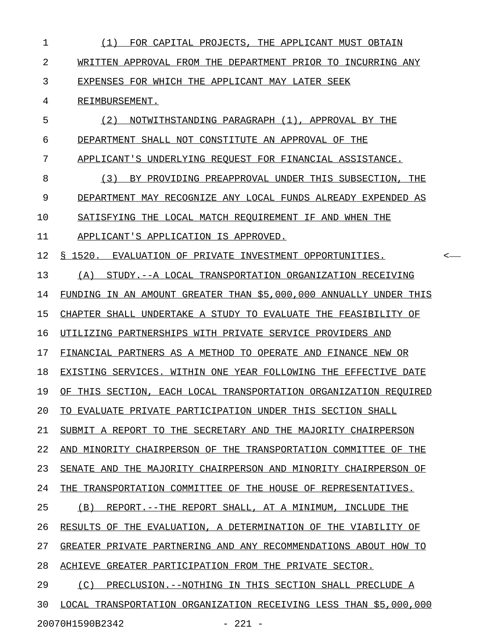| 1  | FOR CAPITAL PROJECTS, THE APPLICANT MUST OBTAIN<br>(1)            |
|----|-------------------------------------------------------------------|
| 2  | WRITTEN APPROVAL FROM THE DEPARTMENT PRIOR TO INCURRING ANY       |
| 3  | EXPENSES FOR WHICH THE APPLICANT MAY LATER SEEK                   |
| 4  | REIMBURSEMENT.                                                    |
| 5  | (2)<br>NOTWITHSTANDING PARAGRAPH (1), APPROVAL BY THE             |
| 6  | DEPARTMENT SHALL NOT CONSTITUTE AN APPROVAL OF THE                |
| 7  | APPLICANT'S UNDERLYING REQUEST FOR FINANCIAL ASSISTANCE.          |
| 8  | (3)<br>BY PROVIDING PREAPPROVAL UNDER THIS SUBSECTION, THE        |
| 9  | DEPARTMENT MAY RECOGNIZE ANY LOCAL FUNDS ALREADY EXPENDED AS      |
| 10 | SATISFYING THE LOCAL MATCH REOUIREMENT IF AND WHEN THE            |
| 11 | APPLICANT'S APPLICATION IS APPROVED.                              |
| 12 | § 1520. EVALUATION OF PRIVATE INVESTMENT OPPORTUNITIES.<br><-     |
| 13 | STUDY.--A LOCAL TRANSPORTATION ORGANIZATION RECEIVING<br>(A)      |
| 14 | FUNDING IN AN AMOUNT GREATER THAN \$5,000,000 ANNUALLY UNDER THIS |
| 15 | CHAPTER SHALL UNDERTAKE A STUDY TO EVALUATE THE FEASIBILITY OF    |
| 16 | UTILIZING PARTNERSHIPS WITH PRIVATE SERVICE PROVIDERS AND         |
| 17 | FINANCIAL PARTNERS AS A METHOD TO OPERATE AND FINANCE NEW OR      |
| 18 | EXISTING SERVICES. WITHIN ONE YEAR FOLLOWING THE EFFECTIVE DATE   |
| 19 | OF THIS SECTION, EACH LOCAL TRANSPORTATION ORGANIZATION REQUIRED  |
| 20 | TO EVALUATE PRIVATE PARTICIPATION UNDER THIS SECTION SHALL        |
| 21 | SUBMIT A REPORT TO THE SECRETARY AND THE MAJORITY CHAIRPERSON     |
| 22 | AND MINORITY CHAIRPERSON OF THE TRANSPORTATION COMMITTEE OF THE   |
| 23 | SENATE AND THE MAJORITY CHAIRPERSON AND MINORITY CHAIRPERSON OF   |
| 24 | THE TRANSPORTATION COMMITTEE OF THE HOUSE OF REPRESENTATIVES.     |
| 25 | (B) REPORT.--THE REPORT SHALL, AT A MINIMUM, INCLUDE THE          |
| 26 | RESULTS OF THE EVALUATION, A DETERMINATION OF THE VIABILITY OF    |
| 27 | GREATER PRIVATE PARTNERING AND ANY RECOMMENDATIONS ABOUT HOW TO   |
| 28 | ACHIEVE GREATER PARTICIPATION FROM THE PRIVATE SECTOR.            |
| 29 | PRECLUSION.--NOTHING IN THIS SECTION SHALL PRECLUDE A<br>(C)      |
| 30 | LOCAL TRANSPORTATION ORGANIZATION RECEIVING LESS THAN \$5,000,000 |
|    | 20070H1590B2342<br>$-221 -$                                       |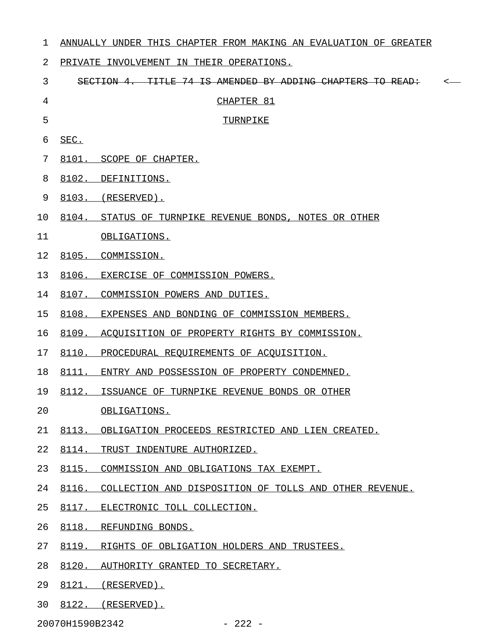| 1  |       | ANNUALLY UNDER THIS CHAPTER FROM MAKING AN EVALUATION OF GREATER |
|----|-------|------------------------------------------------------------------|
| 2  |       | PRIVATE INVOLVEMENT IN THEIR OPERATIONS.                         |
| 3  |       | TITLE 74 IS AMENDED BY ADDING CHAPTERS TO<br>SECTION 4.          |
| 4  |       | CHAPTER 81                                                       |
| 5  |       | TURNPIKE                                                         |
| 6  | SEC.  |                                                                  |
| 7  |       | 8101. SCOPE OF CHAPTER.                                          |
| 8  |       | 8102. DEFINITIONS.                                               |
| 9  |       | 8103. (RESERVED).                                                |
| 10 |       | 8104. STATUS OF TURNPIKE REVENUE BONDS, NOTES OR OTHER           |
| 11 |       | OBLIGATIONS.                                                     |
| 12 |       | 8105. COMMISSION.                                                |
| 13 |       | 8106. EXERCISE OF COMMISSION POWERS.                             |
| 14 |       | 8107. COMMISSION POWERS AND DUTIES.                              |
| 15 |       | 8108. EXPENSES AND BONDING OF COMMISSION MEMBERS.                |
| 16 |       | 8109. ACQUISITION OF PROPERTY RIGHTS BY COMMISSION.              |
| 17 |       | 8110. PROCEDURAL REQUIREMENTS OF ACQUISITION.                    |
| 18 |       | 8111. ENTRY AND POSSESSION OF PROPERTY CONDEMNED.                |
| 19 |       | 8112. ISSUANCE OF TURNPIKE REVENUE BONDS OR OTHER                |
| 20 |       | OBLIGATIONS.                                                     |
| 21 |       | 8113. OBLIGATION PROCEEDS RESTRICTED AND LIEN CREATED.           |
| 22 |       | 8114. TRUST INDENTURE AUTHORIZED.                                |
| 23 | 8115. | COMMISSION AND OBLIGATIONS TAX EXEMPT.                           |
| 24 |       | 8116. COLLECTION AND DISPOSITION OF TOLLS AND OTHER REVENUE.     |
| 25 |       | 8117. ELECTRONIC TOLL COLLECTION.                                |
| 26 |       | 8118. REFUNDING BONDS.                                           |
| 27 |       | 8119. RIGHTS OF OBLIGATION HOLDERS AND TRUSTEES.                 |
| 28 |       | 8120. AUTHORITY GRANTED TO SECRETARY.                            |

- 29 8121. (RESERVED).
- 30 8122. (RESERVED).

20070H1590B2342 - 222 -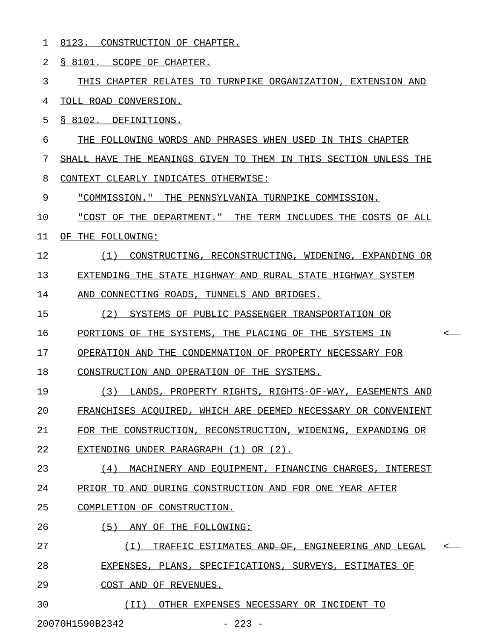1 8123. CONSTRUCTION OF CHAPTER.

2 § 8101. SCOPE OF CHAPTER.

3 THIS CHAPTER RELATES TO TURNPIKE ORGANIZATION, EXTENSION AND 4 TOLL ROAD CONVERSION.

5 § 8102. DEFINITIONS.

6 THE FOLLOWING WORDS AND PHRASES WHEN USED IN THIS CHAPTER

7 SHALL HAVE THE MEANINGS GIVEN TO THEM IN THIS SECTION UNLESS THE

8 CONTEXT CLEARLY INDICATES OTHERWISE:

9 "COMMISSION." THE PENNSYLVANIA TURNPIKE COMMISSION.

10 "COST OF THE DEPARTMENT." THE TERM INCLUDES THE COSTS OF ALL \_\_\_\_\_\_\_\_\_\_\_\_\_\_\_\_\_\_\_\_\_\_\_\_\_\_\_\_\_\_\_\_\_\_\_\_\_\_\_\_\_\_\_\_\_\_\_\_\_\_\_\_\_\_\_\_\_\_\_\_\_

11 OF THE FOLLOWING:

12 (1) CONSTRUCTING, RECONSTRUCTING, WIDENING, EXPANDING OR \_\_\_\_\_\_\_\_\_\_\_\_\_\_\_\_\_\_\_\_\_\_\_\_\_\_\_\_\_\_\_\_\_\_\_\_\_\_\_\_\_\_\_\_\_\_\_\_\_\_\_\_\_\_\_\_\_

13 EXTENDING THE STATE HIGHWAY AND RURAL STATE HIGHWAY SYSTEM

14 AND CONNECTING ROADS, TUNNELS AND BRIDGES.

15 (2) SYSTEMS OF PUBLIC PASSENGER TRANSPORTATION OR

16 PORTIONS OF THE SYSTEMS, THE PLACING OF THE SYSTEMS IN  $\sim$ 

17 OPERATION AND THE CONDEMNATION OF PROPERTY NECESSARY FOR

18 CONSTRUCTION AND OPERATION OF THE SYSTEMS.

19 (3) LANDS, PROPERTY RIGHTS, RIGHTS-OF-WAY, EASEMENTS AND 20 FRANCHISES ACOUIRED, WHICH ARE DEEMED NECESSARY OR CONVENIENT 21 FOR THE CONSTRUCTION, RECONSTRUCTION, WIDENING, EXPANDING OR

22 EXTENDING UNDER PARAGRAPH (1) OR (2).

23 (4) MACHINERY AND EQUIPMENT, FINANCING CHARGES, INTEREST 24 PRIOR TO AND DURING CONSTRUCTION AND FOR ONE YEAR AFTER

25 COMPLETION OF CONSTRUCTION.

26 (5) ANY OF THE FOLLOWING:

27 (I) TRAFFIC ESTIMATES AND OF, ENGINEERING AND LEGAL < \_\_\_\_\_\_\_\_\_\_\_\_\_\_\_\_\_\_\_\_\_\_\_\_\_\_\_\_\_\_\_\_\_\_\_\_\_\_\_\_\_\_\_\_\_\_\_\_\_\_\_\_

28 EXPENSES, PLANS, SPECIFICATIONS, SURVEYS, ESTIMATES OF

29 COST AND OF REVENUES.

30  $(II)$  OTHER EXPENSES NECESSARY OR INCIDENT TO

20070H1590B2342 - 223 -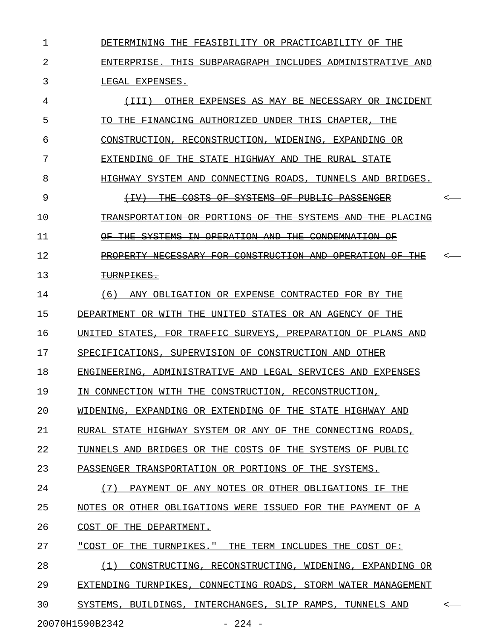1 DETERMINING THE FEASIBILITY OR PRACTICABILITY OF THE 2 ENTERPRISE. THIS SUBPARAGRAPH INCLUDES ADMINISTRATIVE AND 3 LEGAL EXPENSES.

4 (III) OTHER EXPENSES AS MAY BE NECESSARY OR INCIDENT 5 TO THE FINANCING AUTHORIZED UNDER THIS CHAPTER, THE 6 CONSTRUCTION, RECONSTRUCTION, WIDENING, EXPANDING OR 7 EXTENDING OF THE STATE HIGHWAY AND THE RURAL STATE 8 HIGHWAY SYSTEM AND CONNECTING ROADS, TUNNELS AND BRIDGES. 9 (IV) THE COSTS OF SYSTEMS OF PUBLIC PASSENGER < \_\_\_\_\_\_\_\_\_\_\_\_\_\_\_\_\_\_\_\_\_\_\_\_\_\_\_\_\_\_\_\_\_\_\_\_\_\_\_\_\_\_\_\_\_\_ 10 TRANSPORTATION OR PORTIONS OF THE SYSTEMS AND THE PLACING 11 OF THE SYSTEMS IN OPERATION AND THE CONDEMNATION OF 12 PROPERTY NECESSARY FOR CONSTRUCTION AND OPERATION OF THE 13 TURNPIKES. 14 (6) ANY OBLIGATION OR EXPENSE CONTRACTED FOR BY THE 15 DEPARTMENT OR WITH THE UNITED STATES OR AN AGENCY OF THE 16 UNITED STATES, FOR TRAFFIC SURVEYS, PREPARATION OF PLANS AND 17 SPECIFICATIONS, SUPERVISION OF CONSTRUCTION AND OTHER 18 ENGINEERING, ADMINISTRATIVE AND LEGAL SERVICES AND EXPENSES 19 IN CONNECTION WITH THE CONSTRUCTION, RECONSTRUCTION, 20 WIDENING, EXPANDING OR EXTENDING OF THE STATE HIGHWAY AND 21 RURAL STATE HIGHWAY SYSTEM OR ANY OF THE CONNECTING ROADS, 22 TUNNELS AND BRIDGES OR THE COSTS OF THE SYSTEMS OF PUBLIC 23 PASSENGER TRANSPORTATION OR PORTIONS OF THE SYSTEMS. 24 (7) PAYMENT OF ANY NOTES OR OTHER OBLIGATIONS IF THE 25 NOTES OR OTHER OBLIGATIONS WERE ISSUED FOR THE PAYMENT OF A 26 COST OF THE DEPARTMENT. 27 "COST OF THE TURNPIKES." THE TERM INCLUDES THE COST OF: 28 (1) CONSTRUCTING, RECONSTRUCTING, WIDENING, EXPANDING OR 29 EXTENDING TURNPIKES, CONNECTING ROADS, STORM WATER MANAGEMENT 30 SYSTEMS, BUILDINGS, INTERCHANGES, SLIP RAMPS, TUNNELS AND  $\sim$ 

20070H1590B2342 - 224 -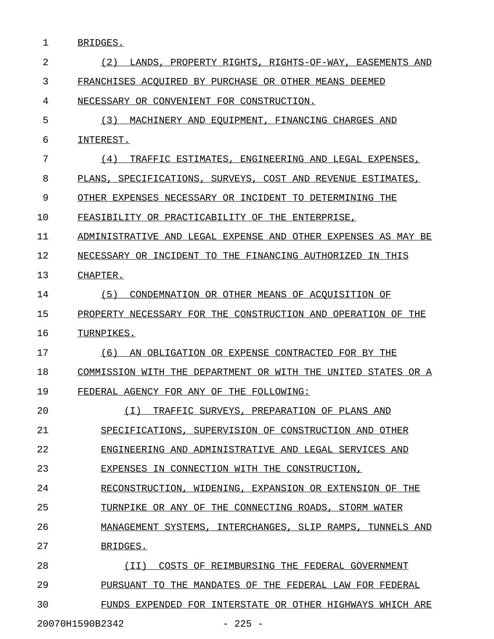1 BRIDGES.

| 2  | LANDS, PROPERTY RIGHTS, RIGHTS-OF-WAY, EASEMENTS AND<br>(2)   |
|----|---------------------------------------------------------------|
| 3  | FRANCHISES ACOUIRED BY PURCHASE OR OTHER MEANS DEEMED         |
| 4  | NECESSARY OR CONVENIENT FOR CONSTRUCTION.                     |
| 5  | MACHINERY AND EQUIPMENT, FINANCING CHARGES AND<br>(3)         |
| 6  | INTEREST.                                                     |
| 7  | TRAFFIC ESTIMATES, ENGINEERING AND LEGAL EXPENSES,<br>(4)     |
| 8  | PLANS, SPECIFICATIONS, SURVEYS, COST AND REVENUE ESTIMATES,   |
| 9  | OTHER EXPENSES NECESSARY OR INCIDENT TO DETERMINING THE       |
| 10 | FEASIBILITY OR PRACTICABILITY OF THE ENTERPRISE,              |
| 11 | ADMINISTRATIVE AND LEGAL EXPENSE AND OTHER EXPENSES AS MAY BE |
| 12 | NECESSARY OR INCIDENT TO THE FINANCING AUTHORIZED IN THIS     |
| 13 | CHAPTER.                                                      |
| 14 | (5)<br>CONDEMNATION OR OTHER MEANS OF ACQUISITION OF          |
| 15 | PROPERTY NECESSARY FOR THE CONSTRUCTION AND OPERATION OF THE  |
| 16 | TURNPIKES.                                                    |
| 17 | AN OBLIGATION OR EXPENSE CONTRACTED FOR BY THE<br>(6)         |
| 18 | COMMISSION WITH THE DEPARTMENT OR WITH THE UNITED STATES OR A |
| 19 | FEDERAL AGENCY FOR ANY OF THE FOLLOWING:                      |
| 20 | ( I )<br>TRAFFIC SURVEYS, PREPARATION OF PLANS AND            |
| 21 | SPECIFICATIONS, SUPERVISION OF CONSTRUCTION AND OTHER         |
| 22 | ENGINEERING AND ADMINISTRATIVE AND LEGAL SERVICES AND         |
| 23 | EXPENSES IN CONNECTION WITH THE CONSTRUCTION,                 |
| 24 | RECONSTRUCTION, WIDENING, EXPANSION OR EXTENSION OF THE       |
| 25 | TURNPIKE OR ANY OF THE CONNECTING ROADS, STORM WATER          |
| 26 | MANAGEMENT SYSTEMS, INTERCHANGES, SLIP RAMPS, TUNNELS AND     |
| 27 | BRIDGES.                                                      |
| 28 | (II)<br>COSTS OF REIMBURSING THE FEDERAL GOVERNMENT           |
| 29 | PURSUANT TO THE MANDATES OF THE FEDERAL LAW FOR FEDERAL       |
| 30 | FUNDS EXPENDED FOR INTERSTATE OR OTHER HIGHWAYS WHICH ARE     |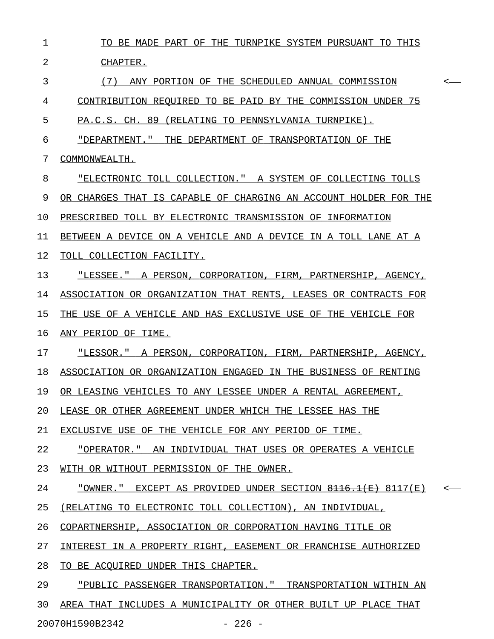| $\mathbf{1}$ | TO BE MADE PART OF THE TURNPIKE SYSTEM PURSUANT TO THIS                            |              |
|--------------|------------------------------------------------------------------------------------|--------------|
| 2            | CHAPTER.                                                                           |              |
| 3            | (7) ANY PORTION OF THE SCHEDULED ANNUAL COMMISSION                                 | $\leftarrow$ |
| 4            | CONTRIBUTION REQUIRED TO BE PAID BY THE COMMISSION UNDER 75                        |              |
| 5            | PA.C.S. CH. 89 (RELATING TO PENNSYLVANIA TURNPIKE).                                |              |
| 6            | "DEPARTMENT." THE DEPARTMENT OF TRANSPORTATION OF THE                              |              |
| 7            | COMMONWEALTH.                                                                      |              |
| 8            | "ELECTRONIC TOLL COLLECTION." A SYSTEM OF COLLECTING TOLLS                         |              |
| 9            | OR CHARGES THAT IS CAPABLE OF CHARGING AN ACCOUNT HOLDER FOR THE                   |              |
| 10           | PRESCRIBED TOLL BY ELECTRONIC TRANSMISSION OF INFORMATION                          |              |
| 11           | BETWEEN A DEVICE ON A VEHICLE AND A DEVICE IN A TOLL LANE AT A                     |              |
| 12           | TOLL COLLECTION FACILITY.                                                          |              |
| 13           | "LESSEE." A PERSON, CORPORATION, FIRM, PARTNERSHIP, AGENCY,                        |              |
| 14           | ASSOCIATION OR ORGANIZATION THAT RENTS, LEASES OR CONTRACTS FOR                    |              |
| 15           | THE USE OF A VEHICLE AND HAS EXCLUSIVE USE OF THE VEHICLE FOR                      |              |
| 16           | ANY PERIOD OF TIME.                                                                |              |
| 17           | "LESSOR." A PERSON, CORPORATION, FIRM, PARTNERSHIP, AGENCY,                        |              |
| 18           | ASSOCIATION OR ORGANIZATION ENGAGED IN THE BUSINESS OF RENTING                     |              |
| 19           | OR LEASING VEHICLES TO ANY LESSEE UNDER A RENTAL AGREEMENT,                        |              |
| 20           | LEASE OR OTHER AGREEMENT UNDER WHICH THE LESSEE HAS THE                            |              |
| 21           | EXCLUSIVE USE OF THE VEHICLE FOR ANY PERIOD OF TIME.                               |              |
| 22           | "OPERATOR."<br>AN INDIVIDUAL THAT USES OR OPERATES A VEHICLE                       |              |
| 23           | WITH OR WITHOUT PERMISSION OF THE OWNER.                                           |              |
| 24           | "OWNER."<br>EXCEPT AS PROVIDED UNDER SECTION $\frac{0.116}{0.116}$ (E) $0.117$ (E) |              |
| 25           | (RELATING TO ELECTRONIC TOLL COLLECTION), AN INDIVIDUAL,                           |              |
| 26           | COPARTNERSHIP, ASSOCIATION OR CORPORATION HAVING TITLE OR                          |              |
| 27           | INTEREST IN A PROPERTY RIGHT, EASEMENT OR FRANCHISE AUTHORIZED                     |              |
| 28           | TO BE ACOUIRED UNDER THIS CHAPTER.                                                 |              |
| 29           | "PUBLIC PASSENGER TRANSPORTATION." TRANSPORTATION WITHIN AN                        |              |
| 30           | AREA THAT INCLUDES A MUNICIPALITY OR OTHER BUILT UP PLACE THAT                     |              |
|              | 20070H1590B2342<br>$-226 -$                                                        |              |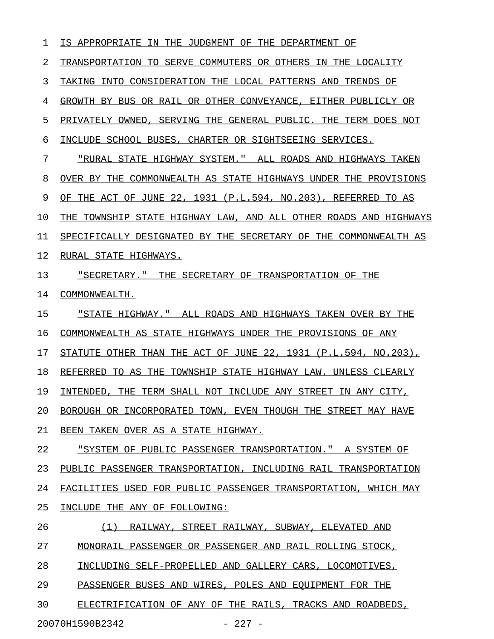1 IS APPROPRIATE IN THE JUDGMENT OF THE DEPARTMENT OF 2 TRANSPORTATION TO SERVE COMMUTERS OR OTHERS IN THE LOCALITY 3 TAKING INTO CONSIDERATION THE LOCAL PATTERNS AND TRENDS OF 4 GROWTH BY BUS OR RAIL OR OTHER CONVEYANCE, EITHER PUBLICLY OR 5 PRIVATELY OWNED, SERVING THE GENERAL PUBLIC. THE TERM DOES NOT 6 INCLUDE SCHOOL BUSES, CHARTER OR SIGHTSEEING SERVICES. 7 "RURAL STATE HIGHWAY SYSTEM." ALL ROADS AND HIGHWAYS TAKEN 8 OVER BY THE COMMONWEALTH AS STATE HIGHWAYS UNDER THE PROVISIONS 9 OF THE ACT OF JUNE 22, 1931 (P.L.594, NO.203), REFERRED TO AS 10 THE TOWNSHIP STATE HIGHWAY LAW, AND ALL OTHER ROADS AND HIGHWAYS 11 SPECIFICALLY DESIGNATED BY THE SECRETARY OF THE COMMONWEALTH AS 12 RURAL STATE HIGHWAYS. 13 "SECRETARY." THE SECRETARY OF TRANSPORTATION OF THE 14 COMMONWEALTH. 15 "STATE HIGHWAY." ALL ROADS AND HIGHWAYS TAKEN OVER BY THE 16 COMMONWEALTH AS STATE HIGHWAYS UNDER THE PROVISIONS OF ANY 17 STATUTE OTHER THAN THE ACT OF JUNE 22, 1931 (P.L.594, NO.203), 18 REFERRED TO AS THE TOWNSHIP STATE HIGHWAY LAW. UNLESS CLEARLY 19 INTENDED, THE TERM SHALL NOT INCLUDE ANY STREET IN ANY CITY, 20 BOROUGH OR INCORPORATED TOWN, EVEN THOUGH THE STREET MAY HAVE 21 BEEN TAKEN OVER AS A STATE HIGHWAY. 22 "SYSTEM OF PUBLIC PASSENGER TRANSPORTATION." A SYSTEM OF 23 PUBLIC PASSENGER TRANSPORTATION, INCLUDING RAIL TRANSPORTATION 24 FACILITIES USED FOR PUBLIC PASSENGER TRANSPORTATION, WHICH MAY 25 INCLUDE THE ANY OF FOLLOWING: 26 (1) RAILWAY, STREET RAILWAY, SUBWAY, ELEVATED AND 27 MONORAIL PASSENGER OR PASSENGER AND RAIL ROLLING STOCK, 28 INCLUDING SELF-PROPELLED AND GALLERY CARS, LOCOMOTIVES, 29 PASSENGER BUSES AND WIRES, POLES AND EQUIPMENT FOR THE 30 ELECTRIFICATION OF ANY OF THE RAILS, TRACKS AND ROADBEDS,

20070H1590B2342 - 227 -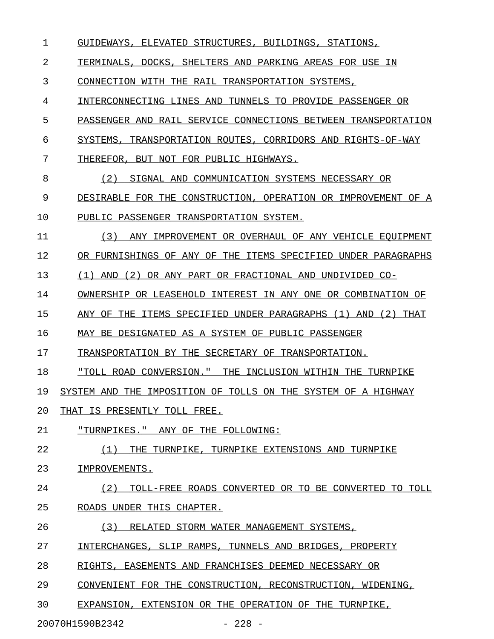1 GUIDEWAYS, ELEVATED STRUCTURES, BUILDINGS, STATIONS,

2 TERMINALS, DOCKS, SHELTERS AND PARKING AREAS FOR USE IN

3 CONNECTION WITH THE RAIL TRANSPORTATION SYSTEMS,

4 INTERCONNECTING LINES AND TUNNELS TO PROVIDE PASSENGER OR

5 PASSENGER AND RAIL SERVICE CONNECTIONS BETWEEN TRANSPORTATION

6 SYSTEMS, TRANSPORTATION ROUTES, CORRIDORS AND RIGHTS-OF-WAY

7 THEREFOR, BUT NOT FOR PUBLIC HIGHWAYS.

8 (2) SIGNAL AND COMMUNICATION SYSTEMS NECESSARY OR

9 DESIRABLE FOR THE CONSTRUCTION, OPERATION OR IMPROVEMENT OF A

10 PUBLIC PASSENGER TRANSPORTATION SYSTEM.

11 (3) ANY IMPROVEMENT OR OVERHAUL OF ANY VEHICLE EOUIPMENT 12 OR FURNISHINGS OF ANY OF THE ITEMS SPECIFIED UNDER PARAGRAPHS

13 (1) AND (2) OR ANY PART OR FRACTIONAL AND UNDIVIDED CO-

14 OWNERSHIP OR LEASEHOLD INTEREST IN ANY ONE OR COMBINATION OF

15 ANY OF THE ITEMS SPECIFIED UNDER PARAGRAPHS (1) AND (2) THAT

16 MAY BE DESIGNATED AS A SYSTEM OF PUBLIC PASSENGER

17 TRANSPORTATION BY THE SECRETARY OF TRANSPORTATION.

18 "TOLL ROAD CONVERSION." THE INCLUSION WITHIN THE TURNPIKE

19 SYSTEM AND THE IMPOSITION OF TOLLS ON THE SYSTEM OF A HIGHWAY

20 THAT IS PRESENTLY TOLL FREE.

21 TURNPIKES. " ANY OF THE FOLLOWING:

22 (1) THE TURNPIKE, TURNPIKE EXTENSIONS AND TURNPIKE

23 IMPROVEMENTS.

24 (2) TOLL-FREE ROADS CONVERTED OR TO BE CONVERTED TO TOLL 25 ROADS UNDER THIS CHAPTER.

26 (3) RELATED STORM WATER MANAGEMENT SYSTEMS,

27 INTERCHANGES, SLIP RAMPS, TUNNELS AND BRIDGES, PROPERTY

28 RIGHTS, EASEMENTS AND FRANCHISES DEEMED NECESSARY OR

29 CONVENIENT FOR THE CONSTRUCTION, RECONSTRUCTION, WIDENING,

30 EXPANSION, EXTENSION OR THE OPERATION OF THE TURNPIKE,

20070H1590B2342 - 228 -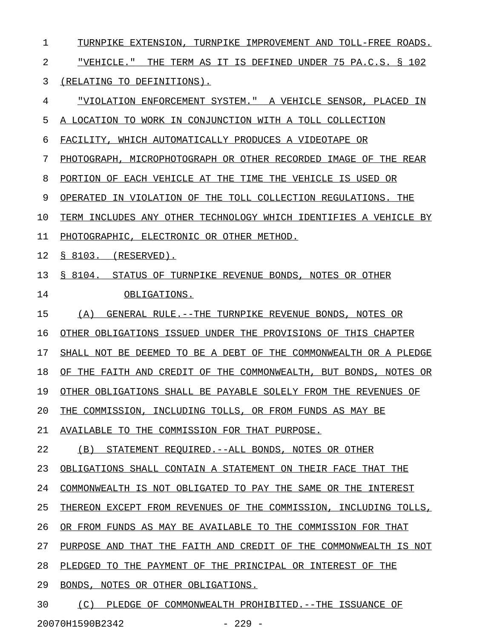1 TURNPIKE EXTENSION, TURNPIKE IMPROVEMENT AND TOLL-FREE ROADS. 2 "VEHICLE." THE TERM AS IT IS DEFINED UNDER 75 PA.C.S. § 102 \_\_\_\_\_\_\_\_\_\_\_\_\_\_\_\_\_\_\_\_\_\_\_\_\_\_\_\_\_\_\_\_\_\_\_\_\_\_\_\_\_\_\_\_\_\_\_\_\_\_\_\_\_\_\_\_\_\_\_\_ 3 (RELATING TO DEFINITIONS). 4 "VIOLATION ENFORCEMENT SYSTEM." A VEHICLE SENSOR, PLACED IN \_\_\_\_\_\_\_\_\_\_\_\_\_\_\_\_\_\_\_\_\_\_\_\_\_\_\_\_\_\_\_\_\_\_\_\_\_\_\_\_\_\_\_\_\_\_\_\_\_\_\_\_\_\_\_\_\_\_\_\_ 5 A LOCATION TO WORK IN CONJUNCTION WITH A TOLL COLLECTION 6 FACILITY, WHICH AUTOMATICALLY PRODUCES A VIDEOTAPE OR 7 PHOTOGRAPH, MICROPHOTOGRAPH OR OTHER RECORDED IMAGE OF THE REAR 8 PORTION OF EACH VEHICLE AT THE TIME THE VEHICLE IS USED OR 9 OPERATED IN VIOLATION OF THE TOLL COLLECTION REGULATIONS. THE 10 TERM INCLUDES ANY OTHER TECHNOLOGY WHICH IDENTIFIES A VEHICLE BY 11 PHOTOGRAPHIC, ELECTRONIC OR OTHER METHOD. 12 <u>§ 8103. (RESERVED).</u> 13 § 8104. STATUS OF TURNPIKE REVENUE BONDS, NOTES OR OTHER 14 OBLIGATIONS. 15 (A) GENERAL RULE.--THE TURNPIKE REVENUE BONDS, NOTES OR 16 OTHER OBLIGATIONS ISSUED UNDER THE PROVISIONS OF THIS CHAPTER 17 SHALL NOT BE DEEMED TO BE A DEBT OF THE COMMONWEALTH OR A PLEDGE 18 OF THE FAITH AND CREDIT OF THE COMMONWEALTH, BUT BONDS, NOTES OR 19 OTHER OBLIGATIONS SHALL BE PAYABLE SOLELY FROM THE REVENUES OF 20 THE COMMISSION, INCLUDING TOLLS, OR FROM FUNDS AS MAY BE 21 AVAILABLE TO THE COMMISSION FOR THAT PURPOSE. 22 (B) STATEMENT REQUIRED. --ALL BONDS, NOTES OR OTHER 23 OBLIGATIONS SHALL CONTAIN A STATEMENT ON THEIR FACE THAT THE 24 COMMONWEALTH IS NOT OBLIGATED TO PAY THE SAME OR THE INTEREST 25 THEREON EXCEPT FROM REVENUES OF THE COMMISSION, INCLUDING TOLLS, 26 OR FROM FUNDS AS MAY BE AVAILABLE TO THE COMMISSION FOR THAT 27 PURPOSE AND THAT THE FAITH AND CREDIT OF THE COMMONWEALTH IS NOT 28 PLEDGED TO THE PAYMENT OF THE PRINCIPAL OR INTEREST OF THE 29 BONDS, NOTES OR OTHER OBLIGATIONS.

30 (C) PLEDGE OF COMMONWEALTH PROHIBITED.--THE ISSUANCE OF

20070H1590B2342 - 229 -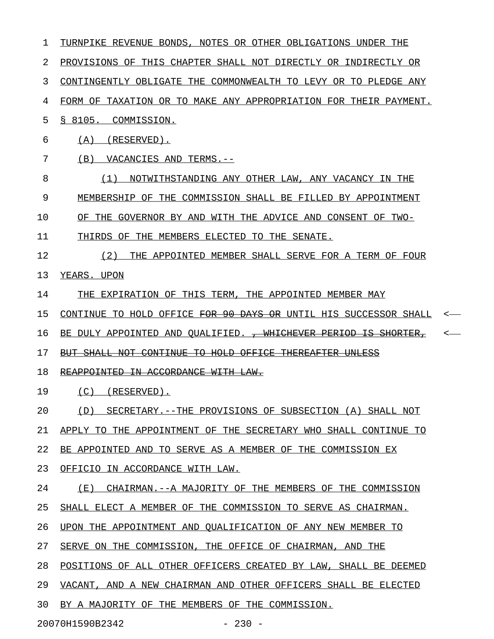| 1  | TURNPIKE REVENUE BONDS, NOTES OR OTHER OBLIGATIONS UNDER THE               |
|----|----------------------------------------------------------------------------|
| 2  | PROVISIONS OF THIS CHAPTER SHALL NOT DIRECTLY OR INDIRECTLY OR             |
| 3  | CONTINGENTLY OBLIGATE THE COMMONWEALTH TO LEVY OR TO PLEDGE ANY            |
| 4  | FORM OF TAXATION OR TO MAKE ANY APPROPRIATION FOR THEIR PAYMENT.           |
| 5  | § 8105.<br>COMMISSION.                                                     |
| 6  | (A)<br>(RESERVED).                                                         |
| 7  | (B)<br>VACANCIES AND TERMS.--                                              |
| 8  | (1)<br>NOTWITHSTANDING ANY OTHER LAW, ANY VACANCY IN THE                   |
| 9  | MEMBERSHIP OF THE COMMISSION SHALL BE FILLED BY APPOINTMENT                |
| 10 | OF THE GOVERNOR BY AND WITH THE ADVICE AND CONSENT OF TWO-                 |
| 11 | THIRDS OF THE MEMBERS ELECTED TO THE SENATE.                               |
| 12 | (2)<br>THE APPOINTED MEMBER SHALL SERVE FOR A TERM OF FOUR                 |
| 13 | YEARS. UPON                                                                |
| 14 | THE EXPIRATION OF THIS TERM, THE APPOINTED MEMBER MAY                      |
| 15 | CONTINUE TO HOLD OFFICE FOR 90 DAYS OR UNTIL HIS SUCCESSOR SHALL           |
| 16 | BE DULY APPOINTED AND QUALIFIED. <del>, WHICHEVER PERIOD IS SHORTER,</del> |
| 17 | BUT SHALL NOT CONTINUE TO HOLD OFFICE THEREAFTER UNLESS                    |
| 18 | REAPPOINTED IN ACCORDANCE WITH LAW.                                        |
| 19 | (C)<br>(RESERVED).                                                         |
| 20 | (D) SECRETARY.--THE PROVISIONS OF SUBSECTION (A) SHALL NOT                 |
| 21 | APPLY TO THE APPOINTMENT OF THE SECRETARY WHO SHALL CONTINUE TO            |
| 22 | BE APPOINTED AND TO SERVE AS A MEMBER OF THE COMMISSION EX                 |
| 23 | OFFICIO IN ACCORDANCE WITH LAW.                                            |
| 24 | (E) CHAIRMAN. -- A MAJORITY OF THE MEMBERS OF THE COMMISSION               |
| 25 | SHALL ELECT A MEMBER OF THE COMMISSION TO SERVE AS CHAIRMAN.               |
| 26 | UPON THE APPOINTMENT AND QUALIFICATION OF ANY NEW MEMBER TO                |
| 27 | SERVE ON THE COMMISSION, THE OFFICE OF CHAIRMAN, AND THE                   |
| 28 | POSITIONS OF ALL OTHER OFFICERS CREATED BY LAW, SHALL BE DEEMED            |
| 29 | VACANT, AND A NEW CHAIRMAN AND OTHER OFFICERS SHALL BE ELECTED             |
| 30 | BY A MAJORITY OF THE MEMBERS OF THE COMMISSION.                            |
|    | 20070H1590B2342<br>$-230 -$                                                |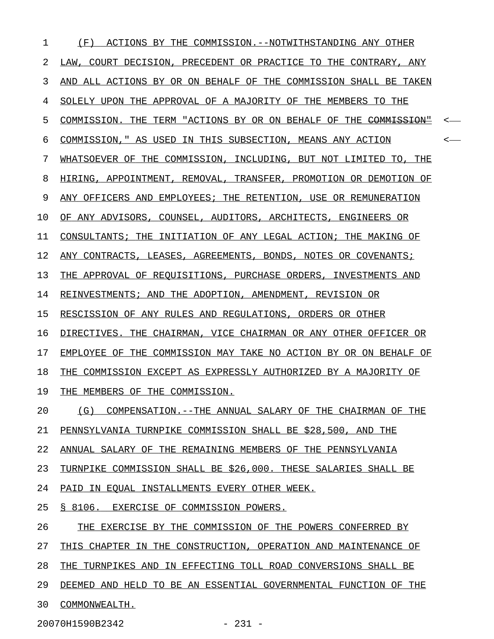1 (F) ACTIONS BY THE COMMISSION.--NOTWITHSTANDING ANY OTHER 2 LAW, COURT DECISION, PRECEDENT OR PRACTICE TO THE CONTRARY, ANY 3 AND ALL ACTIONS BY OR ON BEHALF OF THE COMMISSION SHALL BE TAKEN 4 SOLELY UPON THE APPROVAL OF A MAJORITY OF THE MEMBERS TO THE 5 COMMISSION. THE TERM "ACTIONS BY OR ON BEHALF OF THE COMMISSION" <-6 COMMISSION," AS USED IN THIS SUBSECTION, MEANS ANY ACTION  $\longleftarrow$ 7 WHATSOEVER OF THE COMMISSION, INCLUDING, BUT NOT LIMITED TO, THE 8 HIRING, APPOINTMENT, REMOVAL, TRANSFER, PROMOTION OR DEMOTION OF 9 ANY OFFICERS AND EMPLOYEES; THE RETENTION, USE OR REMUNERATION 10 OF ANY ADVISORS, COUNSEL, AUDITORS, ARCHITECTS, ENGINEERS OR 11 CONSULTANTS; THE INITIATION OF ANY LEGAL ACTION; THE MAKING OF 12 ANY CONTRACTS, LEASES, AGREEMENTS, BONDS, NOTES OR COVENANTS; 13 THE APPROVAL OF REQUISITIONS, PURCHASE ORDERS, INVESTMENTS AND 14 REINVESTMENTS; AND THE ADOPTION, AMENDMENT, REVISION OR 15 RESCISSION OF ANY RULES AND REGULATIONS, ORDERS OR OTHER 16 DIRECTIVES. THE CHAIRMAN, VICE CHAIRMAN OR ANY OTHER OFFICER OR 17 EMPLOYEE OF THE COMMISSION MAY TAKE NO ACTION BY OR ON BEHALF OF 18 THE COMMISSION EXCEPT AS EXPRESSLY AUTHORIZED BY A MAJORITY OF 19 THE MEMBERS OF THE COMMISSION. 20 (G) COMPENSATION.--THE ANNUAL SALARY OF THE CHAIRMAN OF THE 21 PENNSYLVANIA TURNPIKE COMMISSION SHALL BE \$28,500, AND THE 22 ANNUAL SALARY OF THE REMAINING MEMBERS OF THE PENNSYLVANIA 23 TURNPIKE COMMISSION SHALL BE \$26,000. THESE SALARIES SHALL BE 24 PAID IN EQUAL INSTALLMENTS EVERY OTHER WEEK. 25 § 8106. EXERCISE OF COMMISSION POWERS. 26 THE EXERCISE BY THE COMMISSION OF THE POWERS CONFERRED BY 27 THIS CHAPTER IN THE CONSTRUCTION, OPERATION AND MAINTENANCE OF 28 THE TURNPIKES AND IN EFFECTING TOLL ROAD CONVERSIONS SHALL BE 29 DEEMED AND HELD TO BE AN ESSENTIAL GOVERNMENTAL FUNCTION OF THE 30 COMMONWEALTH.

20070H1590B2342 - 231 -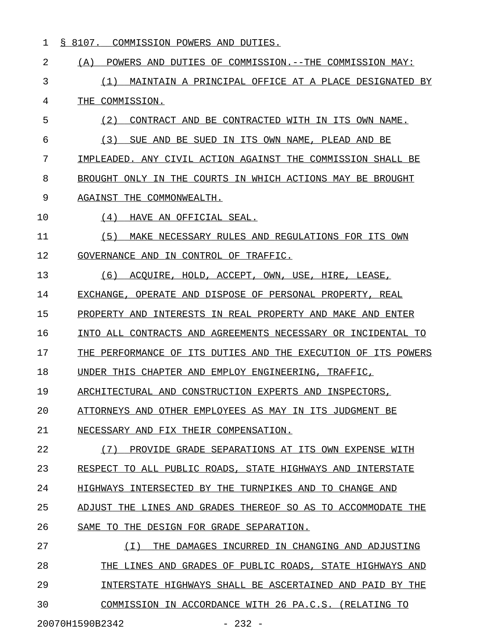1 § 8107. COMMISSION POWERS AND DUTIES.

2 (A) POWERS AND DUTIES OF COMMISSION.--THE COMMISSION MAY: 3 (1) MAINTAIN A PRINCIPAL OFFICE AT A PLACE DESIGNATED BY 4 THE COMMISSION. 5 (2) CONTRACT AND BE CONTRACTED WITH IN ITS OWN NAME. 6 (3) SUE AND BE SUED IN ITS OWN NAME, PLEAD AND BE 7 IMPLEADED. ANY CIVIL ACTION AGAINST THE COMMISSION SHALL BE 8 BROUGHT ONLY IN THE COURTS IN WHICH ACTIONS MAY BE BROUGHT 9 AGAINST THE COMMONWEALTH. 10 (4) HAVE AN OFFICIAL SEAL. 11 (5) MAKE NECESSARY RULES AND REGULATIONS FOR ITS OWN 12 GOVERNANCE AND IN CONTROL OF TRAFFIC. 13 (6) ACQUIRE, HOLD, ACCEPT, OWN, USE, HIRE, LEASE, 14 EXCHANGE, OPERATE AND DISPOSE OF PERSONAL PROPERTY, REAL 15 PROPERTY AND INTERESTS IN REAL PROPERTY AND MAKE AND ENTER 16 INTO ALL CONTRACTS AND AGREEMENTS NECESSARY OR INCIDENTAL TO 17 THE PERFORMANCE OF ITS DUTIES AND THE EXECUTION OF ITS POWERS 18 UNDER THIS CHAPTER AND EMPLOY ENGINEERING, TRAFFIC, 19 ARCHITECTURAL AND CONSTRUCTION EXPERTS AND INSPECTORS, 20 ATTORNEYS AND OTHER EMPLOYEES AS MAY IN ITS JUDGMENT BE 21 NECESSARY AND FIX THEIR COMPENSATION. 22 (7) PROVIDE GRADE SEPARATIONS AT ITS OWN EXPENSE WITH 23 RESPECT TO ALL PUBLIC ROADS, STATE HIGHWAYS AND INTERSTATE 24 HIGHWAYS INTERSECTED BY THE TURNPIKES AND TO CHANGE AND 25 ADJUST THE LINES AND GRADES THEREOF SO AS TO ACCOMMODATE THE 26 SAME TO THE DESIGN FOR GRADE SEPARATION. 27 (I) THE DAMAGES INCURRED IN CHANGING AND ADJUSTING \_\_\_\_\_\_\_\_\_\_\_\_\_\_\_\_\_\_\_\_\_\_\_\_\_\_\_\_\_\_\_\_\_\_\_\_\_\_\_\_\_\_\_\_\_\_\_\_\_\_\_ 28 THE LINES AND GRADES OF PUBLIC ROADS, STATE HIGHWAYS AND 29 INTERSTATE HIGHWAYS SHALL BE ASCERTAINED AND PAID BY THE

30 COMMISSION IN ACCORDANCE WITH 26 PA.C.S. (RELATING TO

20070H1590B2342 - 232 -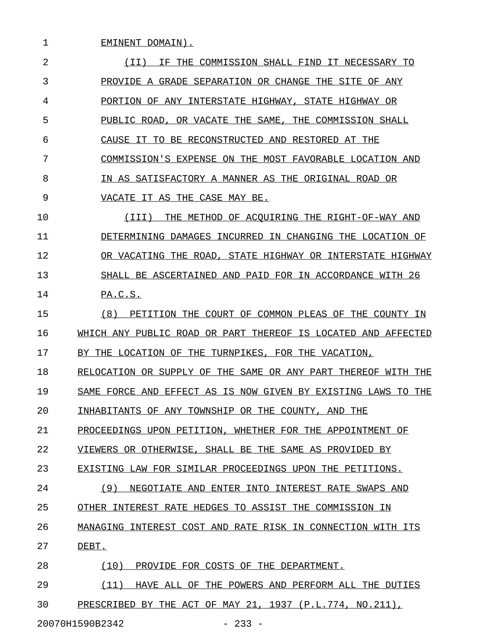1 EMINENT DOMAIN). 2 1I) IF THE COMMISSION SHALL FIND IT NECESSARY TO 3 PROVIDE A GRADE SEPARATION OR CHANGE THE SITE OF ANY 4 PORTION OF ANY INTERSTATE HIGHWAY, STATE HIGHWAY OR 5 PUBLIC ROAD, OR VACATE THE SAME, THE COMMISSION SHALL 6 CAUSE IT TO BE RECONSTRUCTED AND RESTORED AT THE 7 COMMISSION'S EXPENSE ON THE MOST FAVORABLE LOCATION AND 8 IN AS SATISFACTORY A MANNER AS THE ORIGINAL ROAD OR 9 VACATE IT AS THE CASE MAY BE. \_\_\_\_\_\_\_\_\_\_\_\_\_\_\_\_\_\_\_\_\_\_\_\_\_\_\_\_\_ 10  $(III)$  THE METHOD OF ACQUIRING THE RIGHT-OF-WAY AND 11 DETERMINING DAMAGES INCURRED IN CHANGING THE LOCATION OF 12 OR VACATING THE ROAD, STATE HIGHWAY OR INTERSTATE HIGHWAY \_\_\_\_\_\_\_\_\_\_\_\_\_\_\_\_\_\_\_\_\_\_\_\_\_\_\_\_\_\_\_\_\_\_\_\_\_\_\_\_\_\_\_\_\_\_\_\_\_\_\_\_\_\_\_\_\_ 13 SHALL BE ASCERTAINED AND PAID FOR IN ACCORDANCE WITH 26 14 PA.C.S. 15 (8) PETITION THE COURT OF COMMON PLEAS OF THE COUNTY IN 16 WHICH ANY PUBLIC ROAD OR PART THEREOF IS LOCATED AND AFFECTED 17 BY THE LOCATION OF THE TURNPIKES, FOR THE VACATION, 18 RELOCATION OR SUPPLY OF THE SAME OR ANY PART THEREOF WITH THE 19 SAME FORCE AND EFFECT AS IS NOW GIVEN BY EXISTING LAWS TO THE 20 INHABITANTS OF ANY TOWNSHIP OR THE COUNTY, AND THE 21 PROCEEDINGS UPON PETITION, WHETHER FOR THE APPOINTMENT OF 22 VIEWERS OR OTHERWISE, SHALL BE THE SAME AS PROVIDED BY 23 EXISTING LAW FOR SIMILAR PROCEEDINGS UPON THE PETITIONS. 24 (9) NEGOTIATE AND ENTER INTO INTEREST RATE SWAPS AND 25 OTHER INTEREST RATE HEDGES TO ASSIST THE COMMISSION IN 26 MANAGING INTEREST COST AND RATE RISK IN CONNECTION WITH ITS 27 DEBT. 28 (10) PROVIDE FOR COSTS OF THE DEPARTMENT.

29 (11) HAVE ALL OF THE POWERS AND PERFORM ALL THE DUTIES \_\_\_\_\_\_\_\_\_\_\_\_\_\_\_\_\_\_\_\_\_\_\_\_\_\_\_\_\_\_\_\_\_\_\_\_\_\_\_\_\_\_\_\_\_\_\_\_\_\_\_\_\_\_\_ 30 PRESCRIBED BY THE ACT OF MAY 21, 1937 (P.L.774, NO.211),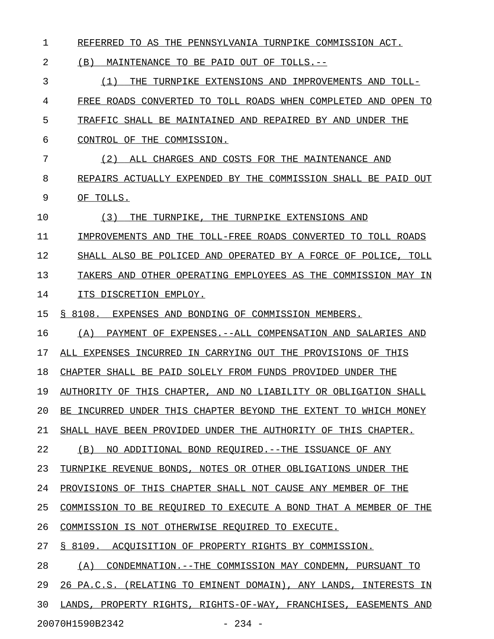1 REFERRED TO AS THE PENNSYLVANIA TURNPIKE COMMISSION ACT.

2 (B) MAINTENANCE TO BE PAID OUT OF TOLLS.--

3 (1) THE TURNPIKE EXTENSIONS AND IMPROVEMENTS AND TOLL-4 FREE ROADS CONVERTED TO TOLL ROADS WHEN COMPLETED AND OPEN TO 5 TRAFFIC SHALL BE MAINTAINED AND REPAIRED BY AND UNDER THE 6 CONTROL OF THE COMMISSION. 7 (2) ALL CHARGES AND COSTS FOR THE MAINTENANCE AND 8 REPAIRS ACTUALLY EXPENDED BY THE COMMISSION SHALL BE PAID OUT 9 OF TOLLS.

10  $(3)$  THE TURNPIKE, THE TURNPIKE EXTENSIONS AND

11 IMPROVEMENTS AND THE TOLL-FREE ROADS CONVERTED TO TOLL ROADS 12 SHALL ALSO BE POLICED AND OPERATED BY A FORCE OF POLICE, TOLL

13 TAKERS AND OTHER OPERATING EMPLOYEES AS THE COMMISSION MAY IN

14 ITS DISCRETION EMPLOY.

15 § 8108. EXPENSES AND BONDING OF COMMISSION MEMBERS.

16 (A) PAYMENT OF EXPENSES.--ALL COMPENSATION AND SALARIES AND

17 ALL EXPENSES INCURRED IN CARRYING OUT THE PROVISIONS OF THIS

18 CHAPTER SHALL BE PAID SOLELY FROM FUNDS PROVIDED UNDER THE

19 AUTHORITY OF THIS CHAPTER, AND NO LIABILITY OR OBLIGATION SHALL

20 BE INCURRED UNDER THIS CHAPTER BEYOND THE EXTENT TO WHICH MONEY

21 SHALL HAVE BEEN PROVIDED UNDER THE AUTHORITY OF THIS CHAPTER.

22 (B) NO ADDITIONAL BOND REQUIRED.--THE ISSUANCE OF ANY

23 TURNPIKE REVENUE BONDS, NOTES OR OTHER OBLIGATIONS UNDER THE

24 PROVISIONS OF THIS CHAPTER SHALL NOT CAUSE ANY MEMBER OF THE

25 COMMISSION TO BE REQUIRED TO EXECUTE A BOND THAT A MEMBER OF THE

26 COMMISSION IS NOT OTHERWISE REQUIRED TO EXECUTE.

27 § 8109. ACOUISITION OF PROPERTY RIGHTS BY COMMISSION.

28 (A) CONDEMNATION.--THE COMMISSION MAY CONDEMN, PURSUANT TO 29 26 PA.C.S. (RELATING TO EMINENT DOMAIN), ANY LANDS, INTERESTS IN 30 LANDS, PROPERTY RIGHTS, RIGHTS-OF-WAY, FRANCHISES, EASEMENTS AND 20070H1590B2342 - 234 -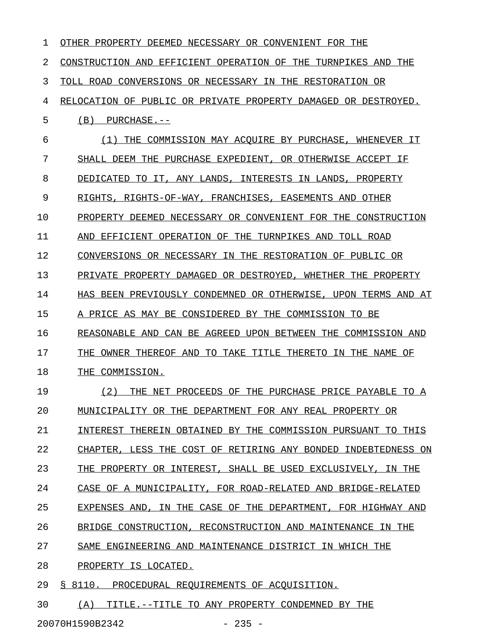| 1  | OTHER PROPERTY DEEMED NECESSARY OR CONVENIENT FOR THE                        |
|----|------------------------------------------------------------------------------|
| 2  | THE<br>CONSTRUCTION AND<br>EFFICIENT OPERATION OF<br>TURNPIKES<br>AND<br>THE |
| 3  | TOLL ROAD CONVERSIONS OR NECESSARY IN THE<br>RESTORATION OR                  |
| 4  | RELOCATION OF PUBLIC OR PRIVATE PROPERTY DAMAGED OR DESTROYED.               |
| 5  | (B)<br>PURCHASE.--                                                           |
| 6  | COMMISSION MAY ACOUIRE BY PURCHASE.<br>(1)<br>THE<br>WHENEVER IT             |
| 7  | SHALL DEEM THE PURCHASE EXPEDIENT,<br>OR OTHERWISE<br>ACCEPT IF              |
| 8  | ANY LANDS, INTERESTS IN LANDS,<br>DEDICATED<br>TO.<br>TT.<br>PROPERTY        |
| 9  | RIGHTS-OF-WAY, FRANCHISES,<br>RIGHTS.<br>EASEMENTS AND<br>OTHER              |
| 10 | PROPERTY DEEMED NECESSARY OR CONVENIENT FOR THE CONSTRUCTION                 |
| 11 | EFFICIENT OPERATION OF<br>THE<br>TURNPIKES AND<br>TOLL ROAD<br>AND           |
| 12 | CONVERSIONS OR NECESSARY IN THE RESTORATION OF PUBLIC OR                     |
| 13 | PRIVATE PROPERTY DAMAGED OR DESTROYED, WHETHER<br><b>THEIR</b><br>PROPERTY   |
| 14 | HAS BEEN PREVIOUSLY CONDEMNED OR OTHERWISE, UPON<br>TERMS AND<br>AT          |
| 15 | A PRICE AS MAY BE CONSIDERED BY THE COMMISSION TO BE                         |
| 16 | UPON BETWEEN THE<br>COMMISSION AND<br>REASONABLE AND<br>CAN BE AGREED        |
| 17 | TAKE TITLE THERETO IN<br>THE<br>OWNER<br>THEREOF AND<br>TO<br>THE NAME<br>ΟF |
| 18 | COMMISSION.<br>THE                                                           |
| 19 | (2)<br>THE NET PROCEEDS OF THE PURCHASE PRICE PAYABLE<br>TO A                |
| 20 | MUNICIPALITY OR THE DEPARTMENT FOR ANY REAL PROPERTY OR                      |
| 21 | INTEREST THEREIN OBTAINED BY THE COMMISSION PURSUANT TO THIS                 |
| 22 | CHAPTER, LESS THE COST OF RETIRING ANY BONDED INDEBTEDNESS ON                |
| 23 | THE PROPERTY OR INTEREST, SHALL BE USED EXCLUSIVELY, IN THE                  |
| 24 | CASE OF A MUNICIPALITY, FOR ROAD-RELATED AND BRIDGE-RELATED                  |
| 25 | EXPENSES AND, IN THE CASE OF THE DEPARTMENT, FOR HIGHWAY AND                 |
| 26 | BRIDGE CONSTRUCTION, RECONSTRUCTION AND MAINTENANCE IN THE                   |
| 27 | SAME ENGINEERING AND MAINTENANCE DISTRICT IN WHICH THE                       |
| 28 | PROPERTY IS LOCATED.                                                         |
| 29 | § 8110. PROCEDURAL REQUIREMENTS OF ACOUISITION.                              |
|    |                                                                              |

30 (A) TITLE.--TITLE TO ANY PROPERTY CONDEMNED BY THE

20070H1590B2342 - 235 -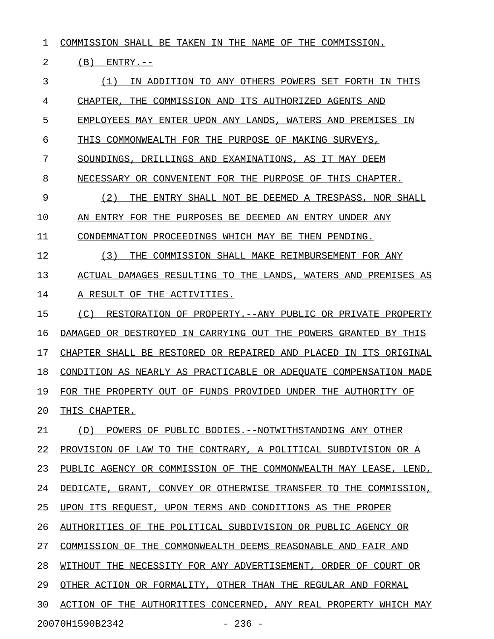1 COMMISSION SHALL BE TAKEN IN THE NAME OF THE COMMISSION.

2 (B) ENTRY.--

3 (1) IN ADDITION TO ANY OTHERS POWERS SET FORTH IN THIS 4 CHAPTER, THE COMMISSION AND ITS AUTHORIZED AGENTS AND 5 EMPLOYEES MAY ENTER UPON ANY LANDS, WATERS AND PREMISES IN 6 THIS COMMONWEALTH FOR THE PURPOSE OF MAKING SURVEYS, 7 SOUNDINGS, DRILLINGS AND EXAMINATIONS, AS IT MAY DEEM 8 NECESSARY OR CONVENIENT FOR THE PURPOSE OF THIS CHAPTER. 9 (2) THE ENTRY SHALL NOT BE DEEMED A TRESPASS, NOR SHALL 10 AN ENTRY FOR THE PURPOSES BE DEEMED AN ENTRY UNDER ANY 11 CONDEMNATION PROCEEDINGS WHICH MAY BE THEN PENDING. 12 (3) THE COMMISSION SHALL MAKE REIMBURSEMENT FOR ANY 13 ACTUAL DAMAGES RESULTING TO THE LANDS, WATERS AND PREMISES AS 14 A RESULT OF THE ACTIVITIES. 15 (C) RESTORATION OF PROPERTY.--ANY PUBLIC OR PRIVATE PROPERTY 16 DAMAGED OR DESTROYED IN CARRYING OUT THE POWERS GRANTED BY THIS 17 CHAPTER SHALL BE RESTORED OR REPAIRED AND PLACED IN ITS ORIGINAL 18 CONDITION AS NEARLY AS PRACTICABLE OR ADEQUATE COMPENSATION MADE 19 FOR THE PROPERTY OUT OF FUNDS PROVIDED UNDER THE AUTHORITY OF 20 THIS CHAPTER. 21 (D) POWERS OF PUBLIC BODIES. --NOTWITHSTANDING ANY OTHER 22 PROVISION OF LAW TO THE CONTRARY, A POLITICAL SUBDIVISION OR A 23 PUBLIC AGENCY OR COMMISSION OF THE COMMONWEALTH MAY LEASE, LEND, 24 DEDICATE, GRANT, CONVEY OR OTHERWISE TRANSFER TO THE COMMISSION, 25 UPON ITS REQUEST, UPON TERMS AND CONDITIONS AS THE PROPER 26 AUTHORITIES OF THE POLITICAL SUBDIVISION OR PUBLIC AGENCY OR 27 COMMISSION OF THE COMMONWEALTH DEEMS REASONABLE AND FAIR AND 28 WITHOUT THE NECESSITY FOR ANY ADVERTISEMENT, ORDER OF COURT OR 29 OTHER ACTION OR FORMALITY, OTHER THAN THE REGULAR AND FORMAL 30 ACTION OF THE AUTHORITIES CONCERNED, ANY REAL PROPERTY WHICH MAY 20070H1590B2342 - 236 -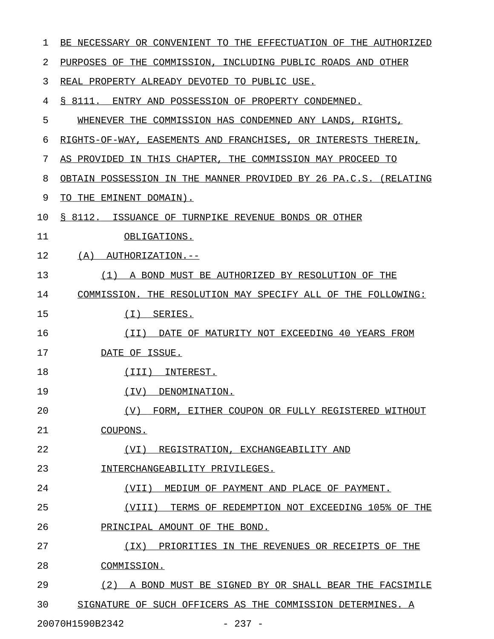| 1  | BE NECESSARY OR CONVENIENT TO THE EFFECTUATION OF THE AUTHORIZED |
|----|------------------------------------------------------------------|
| 2  | PURPOSES OF THE COMMISSION, INCLUDING PUBLIC ROADS AND OTHER     |
| 3  | REAL PROPERTY ALREADY DEVOTED TO PUBLIC USE.                     |
| 4  | S 8111.<br>ENTRY AND POSSESSION OF PROPERTY CONDEMNED.           |
| 5  | WHENEVER THE COMMISSION HAS CONDEMNED ANY LANDS, RIGHTS,         |
| 6  | RIGHTS-OF-WAY, EASEMENTS AND FRANCHISES, OR INTERESTS THEREIN,   |
| 7  | AS PROVIDED IN THIS CHAPTER, THE COMMISSION MAY PROCEED TO       |
| 8  | OBTAIN POSSESSION IN THE MANNER PROVIDED BY 26 PA.C.S. (RELATING |
| 9  | TO THE EMINENT DOMAIN).                                          |
| 10 | \$ 8112. ISSUANCE OF TURNPIKE REVENUE BONDS OR OTHER             |
| 11 | OBLIGATIONS.                                                     |
| 12 | (A)<br>AUTHORIZATION.--                                          |
| 13 | (1)<br>A BOND MUST BE AUTHORIZED BY RESOLUTION OF THE            |
| 14 | COMMISSION. THE RESOLUTION MAY SPECIFY ALL OF THE FOLLOWING:     |
| 15 | ( I )<br>SERIES.                                                 |
| 16 | DATE OF MATURITY NOT EXCEEDING 40 YEARS FROM<br>(II)             |
| 17 | DATE OF ISSUE.                                                   |
| 18 | (III)<br>INTEREST.                                               |
| 19 | (TV)<br>DENOMINATION.                                            |
| 20 | (V) FORM, EITHER COUPON OR FULLY REGISTERED WITHOUT              |
| 21 | COUPONS.                                                         |
| 22 | (VI) REGISTRATION, EXCHANGEABILITY AND                           |
| 23 | INTERCHANGEABILITY PRIVILEGES.                                   |
| 24 | (VII) MEDIUM OF PAYMENT AND PLACE OF PAYMENT.                    |
| 25 | TERMS OF REDEMPTION NOT EXCEEDING 105% OF THE<br>(VIII)          |
| 26 | PRINCIPAL AMOUNT OF THE BOND.                                    |
| 27 | (IX) PRIORITIES IN THE REVENUES OR RECEIPTS OF THE               |
| 28 | COMMISSION.                                                      |
| 29 | (2) A BOND MUST BE SIGNED BY OR SHALL BEAR THE FACSIMILE         |
| 30 | SIGNATURE OF SUCH OFFICERS AS THE COMMISSION DETERMINES. A       |
|    |                                                                  |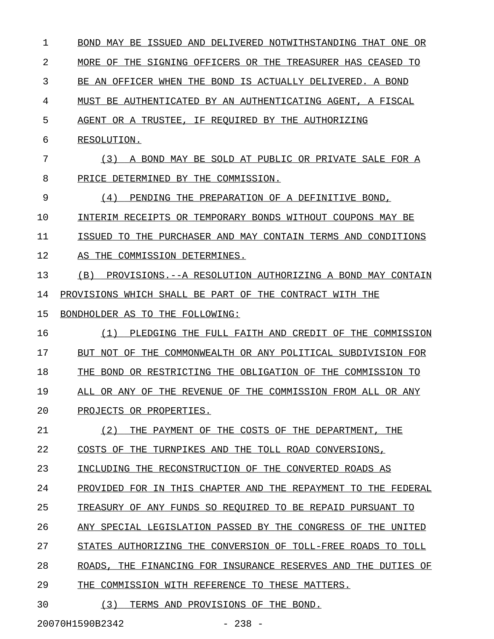1 BOND MAY BE ISSUED AND DELIVERED NOTWITHSTANDING THAT ONE OR 2 MORE OF THE SIGNING OFFICERS OR THE TREASURER HAS CEASED TO 3 BE AN OFFICER WHEN THE BOND IS ACTUALLY DELIVERED. A BOND 4 MUST BE AUTHENTICATED BY AN AUTHENTICATING AGENT, A FISCAL 5 AGENT OR A TRUSTEE, IF REQUIRED BY THE AUTHORIZING 6 RESOLUTION. 7 (3) A BOND MAY BE SOLD AT PUBLIC OR PRIVATE SALE FOR A 8 PRICE DETERMINED BY THE COMMISSION. 9 (4) PENDING THE PREPARATION OF A DEFINITIVE BOND, 10 INTERIM RECEIPTS OR TEMPORARY BONDS WITHOUT COUPONS MAY BE 11 ISSUED TO THE PURCHASER AND MAY CONTAIN TERMS AND CONDITIONS 12 AS THE COMMISSION DETERMINES. 13 (B) PROVISIONS.--A RESOLUTION AUTHORIZING A BOND MAY CONTAIN 14 PROVISIONS WHICH SHALL BE PART OF THE CONTRACT WITH THE 15 BONDHOLDER AS TO THE FOLLOWING: 16 (1) PLEDGING THE FULL FAITH AND CREDIT OF THE COMMISSION \_\_\_\_\_\_\_\_\_\_\_\_\_\_\_\_\_\_\_\_\_\_\_\_\_\_\_\_\_\_\_\_\_\_\_\_\_\_\_\_\_\_\_\_\_\_\_\_\_\_\_\_\_\_\_\_\_ 17 BUT NOT OF THE COMMONWEALTH OR ANY POLITICAL SUBDIVISION FOR 18 THE BOND OR RESTRICTING THE OBLIGATION OF THE COMMISSION TO 19 ALL OR ANY OF THE REVENUE OF THE COMMISSION FROM ALL OR ANY 20 PROJECTS OR PROPERTIES. 21 (2) THE PAYMENT OF THE COSTS OF THE DEPARTMENT, THE 22 COSTS OF THE TURNPIKES AND THE TOLL ROAD CONVERSIONS, 23 INCLUDING THE RECONSTRUCTION OF THE CONVERTED ROADS AS 24 PROVIDED FOR IN THIS CHAPTER AND THE REPAYMENT TO THE FEDERAL 25 TREASURY OF ANY FUNDS SO REQUIRED TO BE REPAID PURSUANT TO 26 ANY SPECIAL LEGISLATION PASSED BY THE CONGRESS OF THE UNITED 27 STATES AUTHORIZING THE CONVERSION OF TOLL-FREE ROADS TO TOLL 28 ROADS, THE FINANCING FOR INSURANCE RESERVES AND THE DUTIES OF 29 THE COMMISSION WITH REFERENCE TO THESE MATTERS. 30 (3) TERMS AND PROVISIONS OF THE BOND.

20070H1590B2342 - 238 -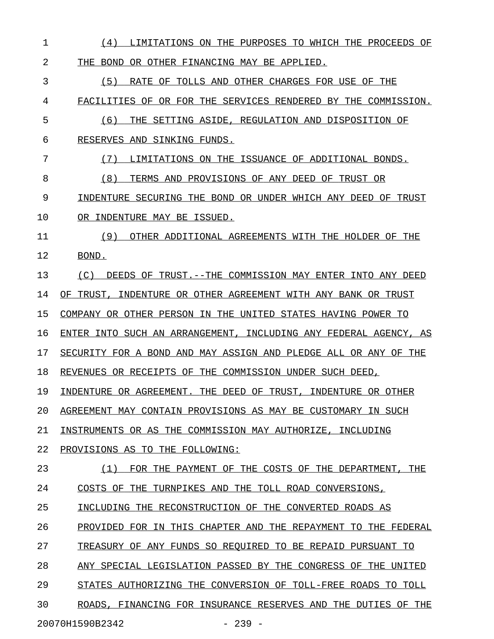| 1  | LIMITATIONS ON THE PURPOSES TO WHICH THE PROCEEDS OF<br>(4)      |
|----|------------------------------------------------------------------|
| 2  | THE<br>BOND OR OTHER FINANCING MAY BE APPLIED.                   |
| 3  | (5)<br>RATE OF TOLLS AND OTHER CHARGES FOR USE OF THE            |
| 4  | FACILITIES OF OR FOR THE SERVICES RENDERED BY THE COMMISSION.    |
| 5  | THE SETTING ASIDE, REGULATION AND DISPOSITION OF<br>(6)          |
| 6  | RESERVES AND SINKING FUNDS.                                      |
| 7  | (7)<br>LIMITATIONS ON THE ISSUANCE OF ADDITIONAL BONDS.          |
| 8  | (8)<br>TERMS AND PROVISIONS OF ANY DEED OF TRUST OR              |
| 9  | INDENTURE SECURING THE BOND OR UNDER WHICH ANY DEED OF TRUST     |
| 10 | OR INDENTURE MAY BE ISSUED.                                      |
| 11 | (9)<br>OTHER ADDITIONAL AGREEMENTS WITH THE HOLDER OF THE        |
| 12 | BOND.                                                            |
| 13 | DEEDS OF TRUST. --THE COMMISSION MAY ENTER INTO ANY DEED<br>(C)  |
| 14 | OF TRUST, INDENTURE OR OTHER AGREEMENT WITH ANY BANK OR TRUST    |
| 15 | COMPANY OR OTHER PERSON IN THE UNITED STATES HAVING POWER TO     |
| 16 | ENTER INTO SUCH AN ARRANGEMENT, INCLUDING ANY FEDERAL AGENCY, AS |
| 17 | SECURITY FOR A BOND AND MAY ASSIGN AND PLEDGE ALL OR ANY OF THE  |
| 18 | REVENUES OR RECEIPTS OF THE COMMISSION UNDER SUCH DEED,          |
| 19 | INDENTURE OR AGREEMENT. THE DEED OF TRUST, INDENTURE OR OTHER    |
| 20 | AGREEMENT MAY CONTAIN PROVISIONS AS MAY BE CUSTOMARY IN SUCH     |
| 21 | INSTRUMENTS OR AS THE COMMISSION MAY AUTHORIZE, INCLUDING        |
| 22 | PROVISIONS AS TO THE FOLLOWING:                                  |
| 23 | FOR THE PAYMENT OF THE COSTS OF THE DEPARTMENT, THE<br>(1)       |
| 24 | COSTS OF THE TURNPIKES AND THE TOLL ROAD CONVERSIONS,            |
| 25 | INCLUDING THE RECONSTRUCTION OF THE CONVERTED ROADS AS           |
| 26 | PROVIDED FOR IN THIS CHAPTER AND THE REPAYMENT TO THE FEDERAL    |
| 27 | TREASURY OF ANY FUNDS SO REQUIRED TO BE REPAID PURSUANT TO       |
| 28 | ANY SPECIAL LEGISLATION PASSED BY THE CONGRESS OF THE UNITED     |
| 29 | STATES AUTHORIZING THE CONVERSION OF TOLL-FREE ROADS TO TOLL     |
| 30 | ROADS, FINANCING FOR INSURANCE RESERVES AND THE DUTIES OF THE    |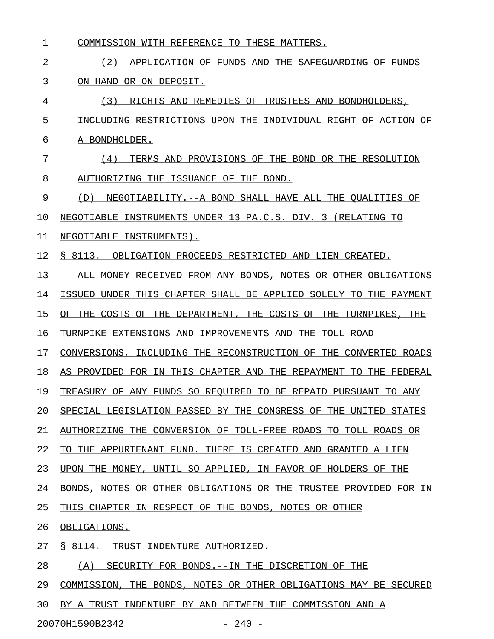- 1 COMMISSION WITH REFERENCE TO THESE MATTERS.
- 2 (2) APPLICATION OF FUNDS AND THE SAFEGUARDING OF FUNDS 3 ON HAND OR ON DEPOSIT.
- 4 (3) RIGHTS AND REMEDIES OF TRUSTEES AND BONDHOLDERS, 5 INCLUDING RESTRICTIONS UPON THE INDIVIDUAL RIGHT OF ACTION OF 6 A BONDHOLDER.
- 7 (4) TERMS AND PROVISIONS OF THE BOND OR THE RESOLUTION \_\_\_\_\_\_\_\_\_\_\_\_\_\_\_\_\_\_\_\_\_\_\_\_\_\_\_\_\_\_\_\_\_\_\_\_\_\_\_\_\_\_\_\_\_\_\_\_\_\_\_\_\_\_\_ 8 AUTHORIZING THE ISSUANCE OF THE BOND.
- 9 (D) NEGOTIABILITY.--A BOND SHALL HAVE ALL THE QUALITIES OF
- 10 NEGOTIABLE INSTRUMENTS UNDER 13 PA.C.S. DIV. 3 (RELATING TO
- 11 NEGOTIABLE INSTRUMENTS).
- 12 § 8113. OBLIGATION PROCEEDS RESTRICTED AND LIEN CREATED.
- 13 ALL MONEY RECEIVED FROM ANY BONDS, NOTES OR OTHER OBLIGATIONS
- 14 ISSUED UNDER THIS CHAPTER SHALL BE APPLIED SOLELY TO THE PAYMENT
- 15 OF THE COSTS OF THE DEPARTMENT, THE COSTS OF THE TURNPIKES, THE
- 16 TURNPIKE EXTENSIONS AND IMPROVEMENTS AND THE TOLL ROAD
- 17 CONVERSIONS, INCLUDING THE RECONSTRUCTION OF THE CONVERTED ROADS
- 18 AS PROVIDED FOR IN THIS CHAPTER AND THE REPAYMENT TO THE FEDERAL
- 19 TREASURY OF ANY FUNDS SO REQUIRED TO BE REPAID PURSUANT TO ANY
- 20 SPECIAL LEGISLATION PASSED BY THE CONGRESS OF THE UNITED STATES
- 21 AUTHORIZING THE CONVERSION OF TOLL-FREE ROADS TO TOLL ROADS OR
- 22 TO THE APPURTENANT FUND. THERE IS CREATED AND GRANTED A LIEN
- 23 UPON THE MONEY, UNTIL SO APPLIED, IN FAVOR OF HOLDERS OF THE
- 24 BONDS, NOTES OR OTHER OBLIGATIONS OR THE TRUSTEE PROVIDED FOR IN
- 25 THIS CHAPTER IN RESPECT OF THE BONDS, NOTES OR OTHER
- 26 OBLIGATIONS.
- 27 § 8114. TRUST INDENTURE AUTHORIZED.
- 28 (A) SECURITY FOR BONDS.--IN THE DISCRETION OF THE
- 29 COMMISSION, THE BONDS, NOTES OR OTHER OBLIGATIONS MAY BE SECURED
- 30 BY A TRUST INDENTURE BY AND BETWEEN THE COMMISSION AND A

20070H1590B2342 - 240 -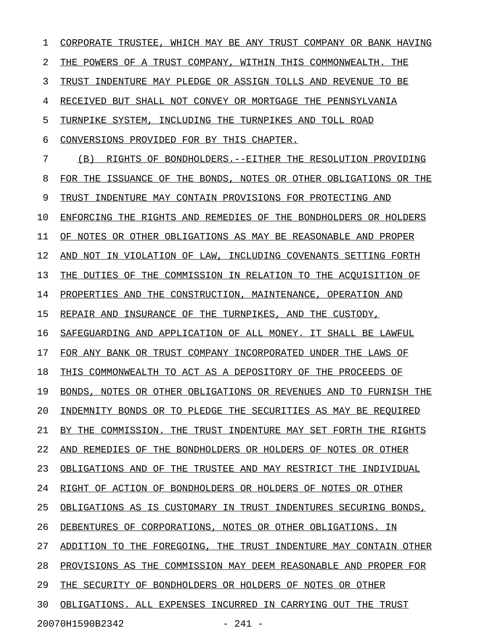1 CORPORATE TRUSTEE, WHICH MAY BE ANY TRUST COMPANY OR BANK HAVING 2 THE POWERS OF A TRUST COMPANY, WITHIN THIS COMMONWEALTH. THE 3 TRUST INDENTURE MAY PLEDGE OR ASSIGN TOLLS AND REVENUE TO BE 4 RECEIVED BUT SHALL NOT CONVEY OR MORTGAGE THE PENNSYLVANIA 5 TURNPIKE SYSTEM, INCLUDING THE TURNPIKES AND TOLL ROAD 6 CONVERSIONS PROVIDED FOR BY THIS CHAPTER. 7 (B) RIGHTS OF BONDHOLDERS. --EITHER THE RESOLUTION PROVIDING 8 FOR THE ISSUANCE OF THE BONDS, NOTES OR OTHER OBLIGATIONS OR THE 9 TRUST INDENTURE MAY CONTAIN PROVISIONS FOR PROTECTING AND 10 ENFORCING THE RIGHTS AND REMEDIES OF THE BONDHOLDERS OR HOLDERS 11 OF NOTES OR OTHER OBLIGATIONS AS MAY BE REASONABLE AND PROPER 12 AND NOT IN VIOLATION OF LAW, INCLUDING COVENANTS SETTING FORTH 13 THE DUTIES OF THE COMMISSION IN RELATION TO THE ACQUISITION OF 14 PROPERTIES AND THE CONSTRUCTION, MAINTENANCE, OPERATION AND 15 REPAIR AND INSURANCE OF THE TURNPIKES, AND THE CUSTODY, 16 SAFEGUARDING AND APPLICATION OF ALL MONEY. IT SHALL BE LAWFUL 17 FOR ANY BANK OR TRUST COMPANY INCORPORATED UNDER THE LAWS OF 18 THIS COMMONWEALTH TO ACT AS A DEPOSITORY OF THE PROCEEDS OF 19 BONDS, NOTES OR OTHER OBLIGATIONS OR REVENUES AND TO FURNISH THE 20 INDEMNITY BONDS OR TO PLEDGE THE SECURITIES AS MAY BE REQUIRED 21 BY THE COMMISSION. THE TRUST INDENTURE MAY SET FORTH THE RIGHTS 22 AND REMEDIES OF THE BONDHOLDERS OR HOLDERS OF NOTES OR OTHER 23 OBLIGATIONS AND OF THE TRUSTEE AND MAY RESTRICT THE INDIVIDUAL 24 RIGHT OF ACTION OF BONDHOLDERS OR HOLDERS OF NOTES OR OTHER 25 OBLIGATIONS AS IS CUSTOMARY IN TRUST INDENTURES SECURING BONDS, 26 DEBENTURES OF CORPORATIONS, NOTES OR OTHER OBLIGATIONS. IN 27 ADDITION TO THE FOREGOING, THE TRUST INDENTURE MAY CONTAIN OTHER 28 PROVISIONS AS THE COMMISSION MAY DEEM REASONABLE AND PROPER FOR 29 THE SECURITY OF BONDHOLDERS OR HOLDERS OF NOTES OR OTHER 30 OBLIGATIONS. ALL EXPENSES INCURRED IN CARRYING OUT THE TRUST 20070H1590B2342 - 241 -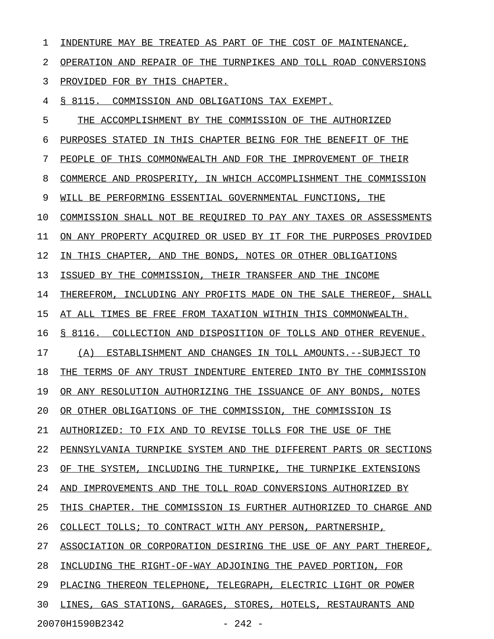1 INDENTURE MAY BE TREATED AS PART OF THE COST OF MAINTENANCE, 2 OPERATION AND REPAIR OF THE TURNPIKES AND TOLL ROAD CONVERSIONS 3 PROVIDED FOR BY THIS CHAPTER. 4 § 8115. COMMISSION AND OBLIGATIONS TAX EXEMPT. 5 THE ACCOMPLISHMENT BY THE COMMISSION OF THE AUTHORIZED 6 PURPOSES STATED IN THIS CHAPTER BEING FOR THE BENEFIT OF THE 7 PEOPLE OF THIS COMMONWEALTH AND FOR THE IMPROVEMENT OF THEIR 8 COMMERCE AND PROSPERITY, IN WHICH ACCOMPLISHMENT THE COMMISSION 9 WILL BE PERFORMING ESSENTIAL GOVERNMENTAL FUNCTIONS, THE 10 COMMISSION SHALL NOT BE REQUIRED TO PAY ANY TAXES OR ASSESSMENTS 11 ON ANY PROPERTY ACOUIRED OR USED BY IT FOR THE PURPOSES PROVIDED 12 IN THIS CHAPTER, AND THE BONDS, NOTES OR OTHER OBLIGATIONS 13 ISSUED BY THE COMMISSION, THEIR TRANSFER AND THE INCOME 14 THEREFROM, INCLUDING ANY PROFITS MADE ON THE SALE THEREOF, SHALL 15 AT ALL TIMES BE FREE FROM TAXATION WITHIN THIS COMMONWEALTH. 16 § 8116. COLLECTION AND DISPOSITION OF TOLLS AND OTHER REVENUE. 17 (A) ESTABLISHMENT AND CHANGES IN TOLL AMOUNTS. --SUBJECT TO 18 THE TERMS OF ANY TRUST INDENTURE ENTERED INTO BY THE COMMISSION 19 OR ANY RESOLUTION AUTHORIZING THE ISSUANCE OF ANY BONDS, NOTES 20 OR OTHER OBLIGATIONS OF THE COMMISSION, THE COMMISSION IS 21 AUTHORIZED: TO FIX AND TO REVISE TOLLS FOR THE USE OF THE 22 PENNSYLVANIA TURNPIKE SYSTEM AND THE DIFFERENT PARTS OR SECTIONS 23 OF THE SYSTEM, INCLUDING THE TURNPIKE, THE TURNPIKE EXTENSIONS 24 AND IMPROVEMENTS AND THE TOLL ROAD CONVERSIONS AUTHORIZED BY 25 THIS CHAPTER. THE COMMISSION IS FURTHER AUTHORIZED TO CHARGE AND 26 COLLECT TOLLS; TO CONTRACT WITH ANY PERSON, PARTNERSHIP, 27 ASSOCIATION OR CORPORATION DESIRING THE USE OF ANY PART THEREOF, 28 INCLUDING THE RIGHT-OF-WAY ADJOINING THE PAVED PORTION, FOR 29 PLACING THEREON TELEPHONE, TELEGRAPH, ELECTRIC LIGHT OR POWER 30 LINES, GAS STATIONS, GARAGES, STORES, HOTELS, RESTAURANTS AND

20070H1590B2342 - 242 -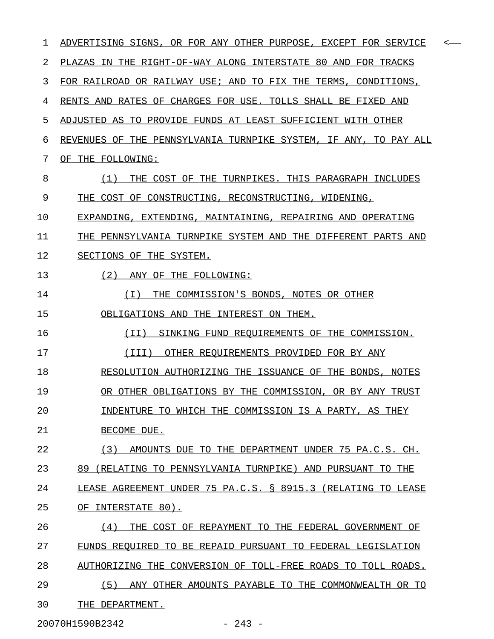| ı  | ADVERTISING SIGNS, OR FOR ANY OTHER PURPOSE, EXCEPT FOR SERVICE<br>< |
|----|----------------------------------------------------------------------|
| 2  | PLAZAS IN THE RIGHT-OF-WAY ALONG INTERSTATE 80 AND FOR TRACKS        |
| 3  | FOR RAILROAD OR RAILWAY USE; AND TO FIX THE TERMS, CONDITIONS,       |
| 4  | RENTS AND RATES OF CHARGES FOR USE. TOLLS SHALL BE FIXED AND         |
| 5  | ADJUSTED AS TO PROVIDE FUNDS AT LEAST SUFFICIENT WITH OTHER          |
| 6  | REVENUES OF THE PENNSYLVANIA TURNPIKE SYSTEM, IF ANY, TO PAY ALL     |
| 7  | OF THE FOLLOWING:                                                    |
| 8  | THE COST OF THE TURNPIKES. THIS PARAGRAPH INCLUDES<br>(1)            |
| 9  | THE COST OF CONSTRUCTING, RECONSTRUCTING, WIDENING,                  |
| 10 | EXPANDING, EXTENDING, MAINTAINING, REPAIRING AND OPERATING           |
| 11 | THE PENNSYLVANIA TURNPIKE SYSTEM AND THE DIFFERENT PARTS AND         |
| 12 | SECTIONS OF THE SYSTEM.                                              |
| 13 | (2)<br>ANY OF THE FOLLOWING:                                         |
| 14 | THE COMMISSION'S BONDS, NOTES OR OTHER<br>( I )                      |
| 15 | OBLIGATIONS AND THE INTEREST ON THEM.                                |
| 16 | SINKING FUND REQUIREMENTS OF THE COMMISSION.<br>(TI)                 |
| 17 | OTHER REOUIREMENTS PROVIDED FOR BY ANY<br>(III)                      |
| 18 | RESOLUTION AUTHORIZING THE ISSUANCE OF THE BONDS, NOTES              |
| 19 | OR OTHER OBLIGATIONS BY THE COMMISSION, OR BY ANY TRUST              |
| 20 | INDENTURE TO WHICH THE COMMISSION IS A PARTY, AS THEY                |
| 21 | BECOME DUE.                                                          |
| 22 | (3)<br>AMOUNTS DUE TO THE DEPARTMENT UNDER 75 PA.C.S. CH.            |
| 23 | 89 (RELATING TO PENNSYLVANIA TURNPIKE) AND PURSUANT TO THE           |
| 24 | LEASE AGREEMENT UNDER 75 PA.C.S. § 8915.3 (RELATING TO LEASE         |
| 25 | OF INTERSTATE 80).                                                   |
| 26 | THE COST OF REPAYMENT TO THE FEDERAL GOVERNMENT OF<br>(4)            |
| 27 | FUNDS REQUIRED TO BE REPAID PURSUANT TO FEDERAL LEGISLATION          |
| 28 | AUTHORIZING THE CONVERSION OF TOLL-FREE ROADS TO TOLL ROADS.         |
| 29 | (5)<br>ANY OTHER AMOUNTS PAYABLE TO THE COMMONWEALTH OR TO           |
| 30 | THE DEPARTMENT.                                                      |
|    | 20070H1590B2342<br>$-243 -$                                          |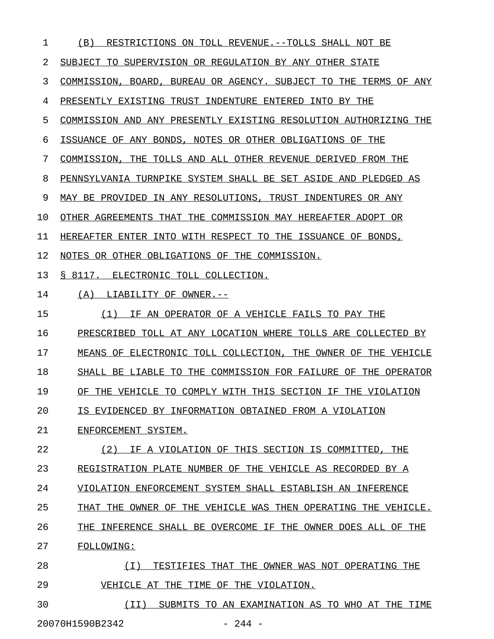| $\mathbf 1$ | (B)<br>RESTRICTIONS ON TOLL REVENUE.--TOLLS SHALL NOT BE         |
|-------------|------------------------------------------------------------------|
| 2           | SUBJECT TO SUPERVISION OR REGULATION BY ANY OTHER STATE          |
| 3           | COMMISSION, BOARD, BUREAU OR AGENCY. SUBJECT TO THE TERMS OF ANY |
| 4           | PRESENTLY EXISTING TRUST INDENTURE ENTERED INTO BY THE           |
| 5           | COMMISSION AND ANY PRESENTLY EXISTING RESOLUTION AUTHORIZING THE |
| 6           | ISSUANCE OF ANY BONDS, NOTES OR OTHER OBLIGATIONS OF THE         |
| 7           | COMMISSION, THE TOLLS AND ALL OTHER REVENUE DERIVED FROM THE     |
| 8           | PENNSYLVANIA TURNPIKE SYSTEM SHALL BE SET ASIDE AND PLEDGED AS   |
| 9           | MAY BE PROVIDED IN ANY RESOLUTIONS, TRUST INDENTURES OR ANY      |
| 10          | OTHER AGREEMENTS THAT THE COMMISSION MAY HEREAFTER ADOPT OR      |
| 11          | HEREAFTER ENTER INTO WITH RESPECT TO THE ISSUANCE OF BONDS,      |
| 12          | NOTES OR OTHER OBLIGATIONS OF THE COMMISSION.                    |
| 13          | S 8117.<br>ELECTRONIC TOLL COLLECTION.                           |
| 14          | LIABILITY OF OWNER.--<br>(A)                                     |
| 15          | IF AN OPERATOR OF A VEHICLE FAILS TO PAY THE<br>(1)              |
| 16          | PRESCRIBED TOLL AT ANY LOCATION WHERE TOLLS ARE COLLECTED BY     |
| 17          | MEANS OF ELECTRONIC TOLL COLLECTION, THE OWNER OF THE VEHICLE    |
| 18          | SHALL BE LIABLE TO THE COMMISSION FOR FAILURE OF THE OPERATOR    |
| 19          | OF THE VEHICLE TO COMPLY WITH THIS SECTION IF THE VIOLATION      |
| 20          | IS EVIDENCED BY INFORMATION OBTAINED FROM A VIOLATION            |
| 21          | ENFORCEMENT SYSTEM.                                              |
| 22          | (2)<br>IF A VIOLATION OF THIS SECTION IS COMMITTED, THE          |
| 23          | REGISTRATION PLATE NUMBER OF THE VEHICLE AS RECORDED BY A        |
| 24          | VIOLATION ENFORCEMENT SYSTEM SHALL ESTABLISH AN INFERENCE        |
| 25          | THAT THE OWNER OF THE VEHICLE WAS THEN OPERATING THE VEHICLE.    |
| 26          | THE INFERENCE SHALL BE OVERCOME IF THE OWNER DOES ALL OF THE     |
| 27          | FOLLOWING:                                                       |
| 28          | ( I )<br>TESTIFIES THAT THE OWNER WAS NOT OPERATING THE          |
| 29          | VEHICLE AT THE TIME OF THE VIOLATION.                            |
|             |                                                                  |

30 (II) SUBMITS TO AN EXAMINATION AS TO WHO AT THE TIME 20070H1590B2342 - 244 -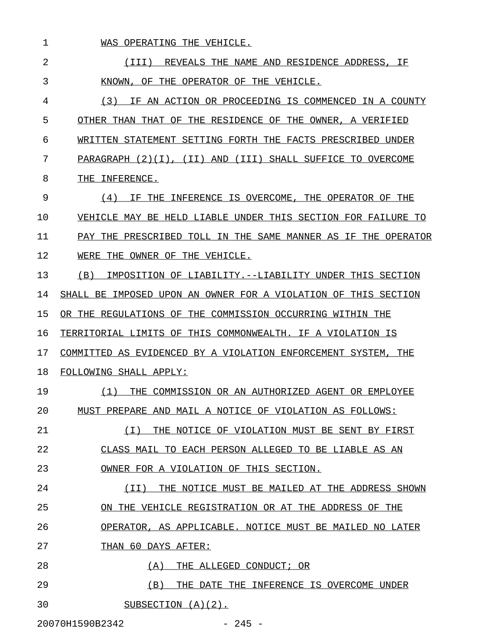| $\mathbf 1$                 | WAS OPERATING THE VEHICLE.                                        |  |
|-----------------------------|-------------------------------------------------------------------|--|
| 2                           | REVEALS THE NAME AND RESIDENCE ADDRESS, IF<br>(TTT)               |  |
| 3                           | KNOWN.<br>OF.<br>THE OPERATOR OF THE VEHICLE.                     |  |
| 4                           | (3)<br>AN ACTION OR PROCEEDING IS COMMENCED IN A COUNTY<br>TF.    |  |
| 5                           | OTHER THAN THAT OF THE RESIDENCE OF THE OWNER, A VERIFIED         |  |
| 6                           | WRITTEN STATEMENT SETTING FORTH THE FACTS PRESCRIBED UNDER        |  |
| 7                           | PARAGRAPH (2)(I), (II) AND<br>(III)<br>SHALL SUFFICE TO OVERCOME  |  |
| 8                           | THE<br>INFERENCE.                                                 |  |
| 9                           | (4)<br>INFERENCE IS OVERCOME.<br>THE OPERATOR OF THE<br>ΤF<br>THE |  |
| 10                          | VEHICLE MAY BE HELD LIABLE UNDER THIS SECTION FOR FAILURE TO      |  |
| 11                          | PAY THE PRESCRIBED TOLL IN THE SAME MANNER AS IF<br>THE OPERATOR  |  |
| 12                          | WERE<br>THE OWNER OF THE VEHICLE.                                 |  |
| 13                          | (B)<br>IMPOSITION OF LIABILITY.--LIABILITY UNDER THIS SECTION     |  |
| 14                          | SHALL BE IMPOSED UPON AN OWNER FOR A VIOLATION OF THIS SECTION    |  |
| 15                          | OR THE REGULATIONS OF THE COMMISSION OCCURRING WITHIN THE         |  |
| 16                          | TERRITORIAL LIMITS OF THIS COMMONWEALTH. IF A VIOLATION IS        |  |
| 17                          | COMMITTED AS EVIDENCED BY A VIOLATION ENFORCEMENT SYSTEM.<br>THE  |  |
| 18                          | FOLLOWING SHALL APPLY:                                            |  |
| 19                          | (1)<br>THE COMMISSION OR AN AUTHORIZED AGENT OR EMPLOYEE          |  |
| 20                          | MUST PREPARE AND MAIL A NOTICE OF VIOLATION AS FOLLOWS:           |  |
| 21                          | (T)<br>THE NOTICE OF VIOLATION MUST BE SENT BY FIRST              |  |
| 22                          | CLASS MAIL TO EACH PERSON ALLEGED TO BE LIABLE AS AN              |  |
| 23                          | OWNER FOR A VIOLATION OF THIS SECTION.                            |  |
| 24                          | (II)<br>THE NOTICE MUST BE MAILED AT THE ADDRESS SHOWN            |  |
| 25                          | ON THE VEHICLE REGISTRATION OR AT THE ADDRESS OF THE              |  |
| 26                          | OPERATOR, AS APPLICABLE. NOTICE MUST BE MAILED NO LATER           |  |
| 27                          | THAN 60 DAYS AFTER:                                               |  |
| 28                          | (A)<br>THE ALLEGED CONDUCT; OR                                    |  |
| 29                          | (B)<br>THE DATE THE INFERENCE IS OVERCOME UNDER                   |  |
| 30                          | SUBSECTION $(A)(2)$ .                                             |  |
| 20070H1590B2342<br>$-245 -$ |                                                                   |  |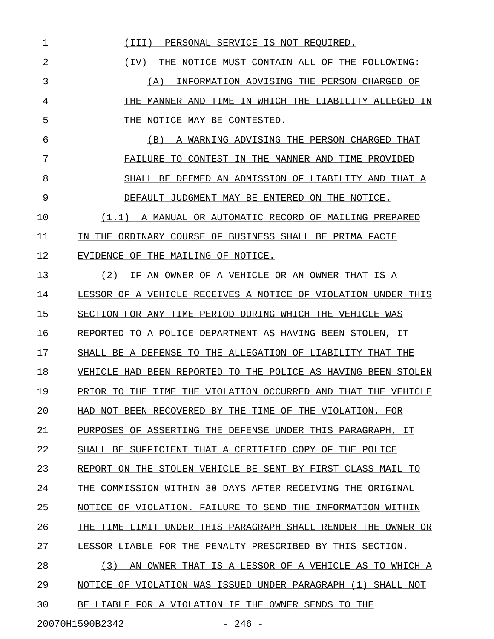1 (III) PERSONAL SERVICE IS NOT REQUIRED. 2 1 (IV) THE NOTICE MUST CONTAIN ALL OF THE FOLLOWING: 3 (A) INFORMATION ADVISING THE PERSON CHARGED OF 4 THE MANNER AND TIME IN WHICH THE LIABILITY ALLEGED IN 5 THE NOTICE MAY BE CONTESTED. 6 (B) A WARNING ADVISING THE PERSON CHARGED THAT \_\_\_\_\_\_\_\_\_\_\_\_\_\_\_\_\_\_\_\_\_\_\_\_\_\_\_\_\_\_\_\_\_\_\_\_\_\_\_\_\_\_\_\_\_\_\_ 7 FAILURE TO CONTEST IN THE MANNER AND TIME PROVIDED 8 SHALL BE DEEMED AN ADMISSION OF LIABILITY AND THAT A 9 DEFAULT JUDGMENT MAY BE ENTERED ON THE NOTICE. 10  $(1.1)$  A MANUAL OR AUTOMATIC RECORD OF MAILING PREPARED 11 IN THE ORDINARY COURSE OF BUSINESS SHALL BE PRIMA FACIE 12 EVIDENCE OF THE MAILING OF NOTICE. 13 (2) IF AN OWNER OF A VEHICLE OR AN OWNER THAT IS A 14 LESSOR OF A VEHICLE RECEIVES A NOTICE OF VIOLATION UNDER THIS 15 SECTION FOR ANY TIME PERIOD DURING WHICH THE VEHICLE WAS 16 REPORTED TO A POLICE DEPARTMENT AS HAVING BEEN STOLEN, IT 17 SHALL BE A DEFENSE TO THE ALLEGATION OF LIABILITY THAT THE 18 VEHICLE HAD BEEN REPORTED TO THE POLICE AS HAVING BEEN STOLEN 19 PRIOR TO THE TIME THE VIOLATION OCCURRED AND THAT THE VEHICLE 20 HAD NOT BEEN RECOVERED BY THE TIME OF THE VIOLATION. FOR 21 PURPOSES OF ASSERTING THE DEFENSE UNDER THIS PARAGRAPH, IT 22 SHALL BE SUFFICIENT THAT A CERTIFIED COPY OF THE POLICE 23 REPORT ON THE STOLEN VEHICLE BE SENT BY FIRST CLASS MAIL TO 24 THE COMMISSION WITHIN 30 DAYS AFTER RECEIVING THE ORIGINAL 25 NOTICE OF VIOLATION. FAILURE TO SEND THE INFORMATION WITHIN 26 THE TIME LIMIT UNDER THIS PARAGRAPH SHALL RENDER THE OWNER OR 27 LESSOR LIABLE FOR THE PENALTY PRESCRIBED BY THIS SECTION. 28 (3) AN OWNER THAT IS A LESSOR OF A VEHICLE AS TO WHICH A 29 NOTICE OF VIOLATION WAS ISSUED UNDER PARAGRAPH (1) SHALL NOT 30 BE LIABLE FOR A VIOLATION IF THE OWNER SENDS TO THE 20070H1590B2342 - 246 -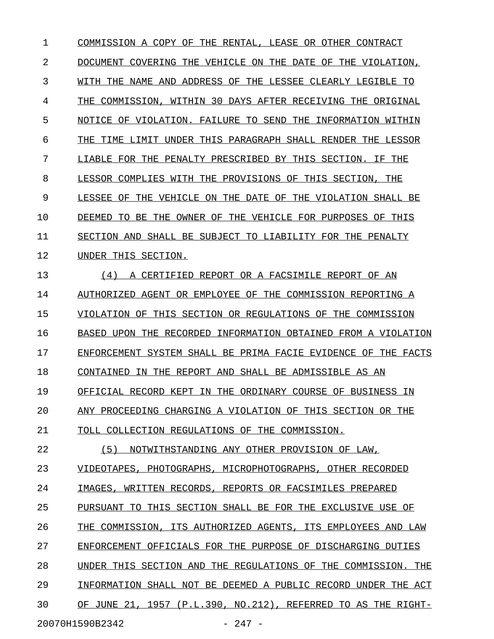1 COMMISSION A COPY OF THE RENTAL, LEASE OR OTHER CONTRACT 2 DOCUMENT COVERING THE VEHICLE ON THE DATE OF THE VIOLATION, 3 WITH THE NAME AND ADDRESS OF THE LESSEE CLEARLY LEGIBLE TO 4 THE COMMISSION, WITHIN 30 DAYS AFTER RECEIVING THE ORIGINAL 5 NOTICE OF VIOLATION. FAILURE TO SEND THE INFORMATION WITHIN 6 THE TIME LIMIT UNDER THIS PARAGRAPH SHALL RENDER THE LESSOR 7 LIABLE FOR THE PENALTY PRESCRIBED BY THIS SECTION. IF THE 8 LESSOR COMPLIES WITH THE PROVISIONS OF THIS SECTION, THE 9 LESSEE OF THE VEHICLE ON THE DATE OF THE VIOLATION SHALL BE 10 DEEMED TO BE THE OWNER OF THE VEHICLE FOR PURPOSES OF THIS 11 SECTION AND SHALL BE SUBJECT TO LIABILITY FOR THE PENALTY 12 UNDER THIS SECTION. 13 (4) A CERTIFIED REPORT OR A FACSIMILE REPORT OF AN 14 AUTHORIZED AGENT OR EMPLOYEE OF THE COMMISSION REPORTING A 15 VIOLATION OF THIS SECTION OR REGULATIONS OF THE COMMISSION 16 BASED UPON THE RECORDED INFORMATION OBTAINED FROM A VIOLATION 17 ENFORCEMENT SYSTEM SHALL BE PRIMA FACIE EVIDENCE OF THE FACTS 18 CONTAINED IN THE REPORT AND SHALL BE ADMISSIBLE AS AN 19 OFFICIAL RECORD KEPT IN THE ORDINARY COURSE OF BUSINESS IN 20 ANY PROCEEDING CHARGING A VIOLATION OF THIS SECTION OR THE 21 TOLL COLLECTION REGULATIONS OF THE COMMISSION. 22 (5) NOTWITHSTANDING ANY OTHER PROVISION OF LAW, 23 VIDEOTAPES, PHOTOGRAPHS, MICROPHOTOGRAPHS, OTHER RECORDED 24 IMAGES, WRITTEN RECORDS, REPORTS OR FACSIMILES PREPARED 25 PURSUANT TO THIS SECTION SHALL BE FOR THE EXCLUSIVE USE OF 26 THE COMMISSION, ITS AUTHORIZED AGENTS, ITS EMPLOYEES AND LAW 27 ENFORCEMENT OFFICIALS FOR THE PURPOSE OF DISCHARGING DUTIES 28 UNDER THIS SECTION AND THE REGULATIONS OF THE COMMISSION. THE 29 INFORMATION SHALL NOT BE DEEMED A PUBLIC RECORD UNDER THE ACT 30 OF JUNE 21, 1957 (P.L.390, NO.212), REFERRED TO AS THE RIGHT-20070H1590B2342 - 247 -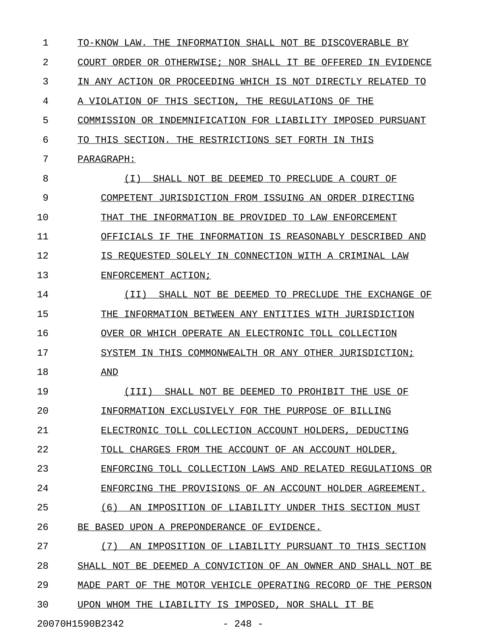$1$  TO-KNOW LAW. THE INFORMATION SHALL NOT BE DISCOVERABLE BY 2 COURT ORDER OR OTHERWISE; NOR SHALL IT BE OFFERED IN EVIDENCE 3 IN ANY ACTION OR PROCEEDING WHICH IS NOT DIRECTLY RELATED TO 4 A VIOLATION OF THIS SECTION, THE REGULATIONS OF THE 5 COMMISSION OR INDEMNIFICATION FOR LIABILITY IMPOSED PURSUANT 6 TO THIS SECTION. THE RESTRICTIONS SET FORTH IN THIS 7 PARAGRAPH: 8 (I) SHALL NOT BE DEEMED TO PRECLUDE A COURT OF \_\_\_\_\_\_\_\_\_\_\_\_\_\_\_\_\_\_\_\_\_\_\_\_\_\_\_\_\_\_\_\_\_\_\_\_\_\_\_\_\_\_\_\_\_\_\_ 9 COMPETENT JURISDICTION FROM ISSUING AN ORDER DIRECTING 10 THAT THE INFORMATION BE PROVIDED TO LAW ENFORCEMENT 11 OFFICIALS IF THE INFORMATION IS REASONABLY DESCRIBED AND \_\_\_\_\_\_\_\_\_\_\_\_\_\_\_\_\_\_\_\_\_\_\_\_\_\_\_\_\_\_\_\_\_\_\_\_\_\_\_\_\_\_\_\_\_\_\_\_\_\_\_\_\_\_\_\_ 12 **IS REQUESTED SOLELY IN CONNECTION WITH A CRIMINAL LAW** 13 ENFORCEMENT ACTION; 14 (II) SHALL NOT BE DEEMED TO PRECLUDE THE EXCHANGE OF 15 THE INFORMATION BETWEEN ANY ENTITIES WITH JURISDICTION 16 OVER OR WHICH OPERATE AN ELECTRONIC TOLL COLLECTION 17 SYSTEM IN THIS COMMONWEALTH OR ANY OTHER JURISDICTION; 18 AND \_\_\_ 19 (III) SHALL NOT BE DEEMED TO PROHIBIT THE USE OF \_\_\_\_\_\_\_\_\_\_\_\_\_\_\_\_\_\_\_\_\_\_\_\_\_\_\_\_\_\_\_\_\_\_\_\_\_\_\_\_\_\_\_\_\_\_\_\_\_ 20 INFORMATION EXCLUSIVELY FOR THE PURPOSE OF BILLING 21 ELECTRONIC TOLL COLLECTION ACCOUNT HOLDERS, DEDUCTING 22 TOLL CHARGES FROM THE ACCOUNT OF AN ACCOUNT HOLDER, 23 ENFORCING TOLL COLLECTION LAWS AND RELATED REGULATIONS OR 24 ENFORCING THE PROVISIONS OF AN ACCOUNT HOLDER AGREEMENT. 25 (6) AN IMPOSITION OF LIABILITY UNDER THIS SECTION MUST 26 BE BASED UPON A PREPONDERANCE OF EVIDENCE. 27 (7) AN IMPOSITION OF LIABILITY PURSUANT TO THIS SECTION 28 SHALL NOT BE DEEMED A CONVICTION OF AN OWNER AND SHALL NOT BE 29 MADE PART OF THE MOTOR VEHICLE OPERATING RECORD OF THE PERSON 30 UPON WHOM THE LIABILITY IS IMPOSED, NOR SHALL IT BE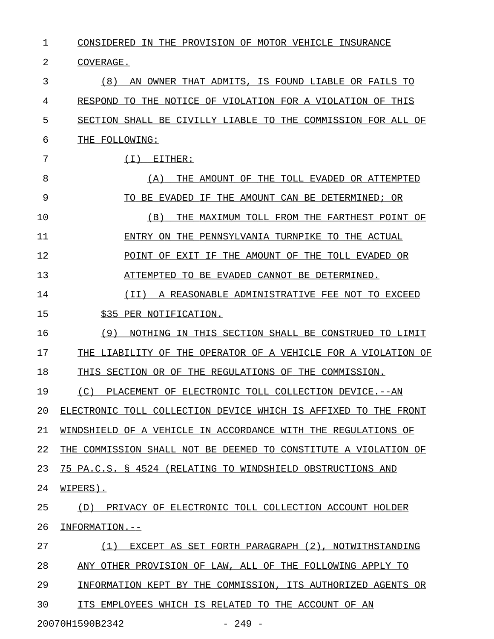1 CONSIDERED IN THE PROVISION OF MOTOR VEHICLE INSURANCE 2 COVERAGE. 3 6 (8) AN OWNER THAT ADMITS, IS FOUND LIABLE OR FAILS TO 4 RESPOND TO THE NOTICE OF VIOLATION FOR A VIOLATION OF THIS 5 SECTION SHALL BE CIVILLY LIABLE TO THE COMMISSION FOR ALL OF 6 THE FOLLOWING: 7 (I) EITHER: 8 (A) THE AMOUNT OF THE TOLL EVADED OR ATTEMPTED 9 TO BE EVADED IF THE AMOUNT CAN BE DETERMINED; OR 10 (B) THE MAXIMUM TOLL FROM THE FARTHEST POINT OF 11 ENTRY ON THE PENNSYLVANIA TURNPIKE TO THE ACTUAL \_\_\_\_\_\_\_\_\_\_\_\_\_\_\_\_\_\_\_\_\_\_\_\_\_\_\_\_\_\_\_\_\_\_\_\_\_\_\_\_\_\_\_\_\_\_\_\_ 12 POINT OF EXIT IF THE AMOUNT OF THE TOLL EVADED OR 13 ATTEMPTED TO BE EVADED CANNOT BE DETERMINED. 14 (II) A REASONABLE ADMINISTRATIVE FEE NOT TO EXCEED \_\_\_\_\_\_\_\_\_\_\_\_\_\_\_\_\_\_\_\_\_\_\_\_\_\_\_\_\_\_\_\_\_\_\_\_\_\_\_\_\_\_\_\_\_\_\_\_\_\_\_ 15 \$35 PER NOTIFICATION. 16 (9) NOTHING IN THIS SECTION SHALL BE CONSTRUED TO LIMIT 17 THE LIABILITY OF THE OPERATOR OF A VEHICLE FOR A VIOLATION OF 18 THIS SECTION OR OF THE REGULATIONS OF THE COMMISSION. 19 (C) PLACEMENT OF ELECTRONIC TOLL COLLECTION DEVICE.--AN 20 ELECTRONIC TOLL COLLECTION DEVICE WHICH IS AFFIXED TO THE FRONT 21 WINDSHIELD OF A VEHICLE IN ACCORDANCE WITH THE REGULATIONS OF 22 THE COMMISSION SHALL NOT BE DEEMED TO CONSTITUTE A VIOLATION OF 23 75 PA.C.S. § 4524 (RELATING TO WINDSHIELD OBSTRUCTIONS AND 24 WIPERS). 25 (D) PRIVACY OF ELECTRONIC TOLL COLLECTION ACCOUNT HOLDER 26 INFORMATION.--27 (1) EXCEPT AS SET FORTH PARAGRAPH (2), NOTWITHSTANDING \_\_\_\_\_\_\_\_\_\_\_\_\_\_\_\_\_\_\_\_\_\_\_\_\_\_\_\_\_\_\_\_\_\_\_\_\_\_\_\_\_\_\_\_\_\_\_\_\_\_\_\_\_\_\_ 28 ANY OTHER PROVISION OF LAW, ALL OF THE FOLLOWING APPLY TO 29 INFORMATION KEPT BY THE COMMISSION, ITS AUTHORIZED AGENTS OR 30 ITS EMPLOYEES WHICH IS RELATED TO THE ACCOUNT OF AN

20070H1590B2342 - 249 -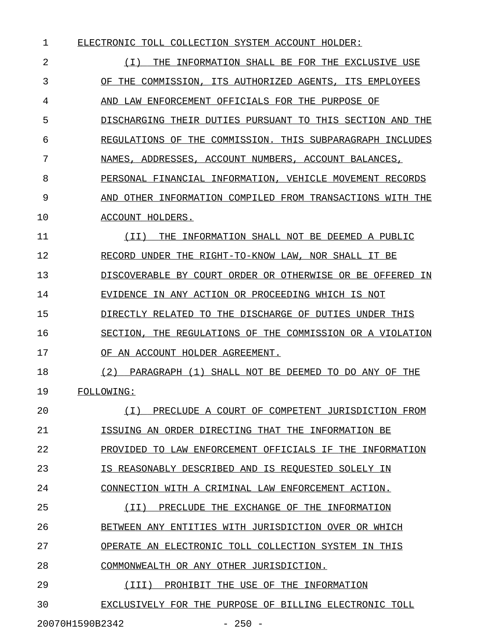| 1  | ELECTRONIC TOLL COLLECTION SYSTEM ACCOUNT HOLDER:               |
|----|-----------------------------------------------------------------|
| 2  | ( I )<br>INFORMATION SHALL BE FOR THE EXCLUSIVE USE<br>THE.     |
| 3  | OF THE COMMISSION, ITS AUTHORIZED AGENTS,<br>ITS EMPLOYEES      |
| 4  | ENFORCEMENT OFFICIALS FOR THE PURPOSE OF<br>AND LAW             |
| 5  | DISCHARGING THEIR DUTIES PURSUANT TO THIS SECTION AND THE       |
| 6  | REGULATIONS OF<br>COMMISSION. THIS SUBPARAGRAPH INCLUDES<br>THE |
| 7  | NAMES, ADDRESSES, ACCOUNT NUMBERS, ACCOUNT BALANCES,            |
| 8  | PERSONAL FINANCIAL INFORMATION, VEHICLE MOVEMENT RECORDS        |
| 9  | OTHER INFORMATION COMPILED FROM TRANSACTIONS WITH THE<br>AND    |
| 10 | ACCOUNT HOLDERS.                                                |
| 11 | INFORMATION SHALL NOT BE DEEMED A PUBLIC<br>(TT)<br>THE         |
| 12 | RECORD UNDER THE RIGHT-TO-KNOW LAW, NOR SHALL IT BE             |
| 13 | DISCOVERABLE BY COURT ORDER OR OTHERWISE OR BE OFFERED IN       |
| 14 | EVIDENCE IN ANY ACTION OR PROCEEDING WHICH IS NOT               |
| 15 | THE DISCHARGE OF DUTIES UNDER THIS<br>DIRECTLY RELATED<br>TO.   |
| 16 | REGULATIONS OF THE COMMISSION OR A VIOLATION<br>SECTION.<br>THE |
| 17 | OF AN ACCOUNT HOLDER AGREEMENT.                                 |
| 18 | (2)<br>PARAGRAPH (1) SHALL NOT BE DEEMED TO DO ANY OF THE       |
| 19 | FOLLOWING:                                                      |
| 20 | PRECLUDE A COURT OF COMPETENT JURISDICTION FROM<br>(T)          |
| 21 | ISSUING AN ORDER DIRECTING THAT THE INFORMATION BE              |
| 22 | PROVIDED TO LAW ENFORCEMENT OFFICIALS IF THE INFORMATION        |
| 23 | IS REASONABLY DESCRIBED AND IS REQUESTED SOLELY IN              |
| 24 | CONNECTION WITH A CRIMINAL LAW ENFORCEMENT ACTION.              |
| 25 | (II) PRECLUDE THE EXCHANGE OF THE INFORMATION                   |
| 26 | BETWEEN ANY ENTITIES WITH JURISDICTION OVER OR WHICH            |
| 27 | OPERATE AN ELECTRONIC TOLL COLLECTION SYSTEM IN THIS            |
| 28 | COMMONWEALTH OR ANY OTHER JURISDICTION.                         |
| 29 | (III) PROHIBIT THE USE OF THE INFORMATION                       |
| 30 | EXCLUSIVELY FOR THE PURPOSE OF BILLING ELECTRONIC TOLL          |
|    | 20070H1590B2342<br>$-250 -$                                     |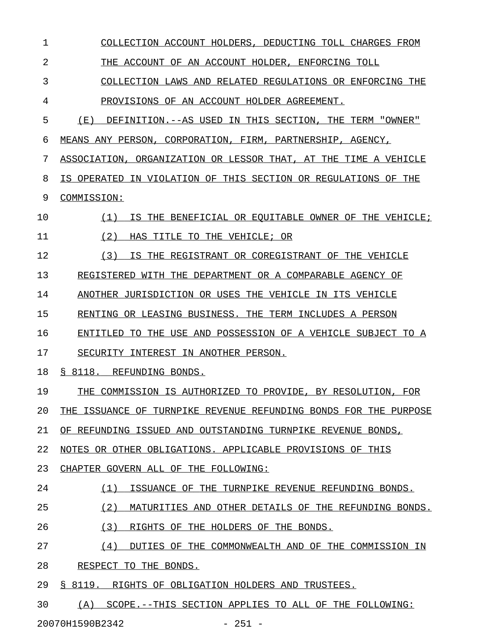1 COLLECTION ACCOUNT HOLDERS, DEDUCTING TOLL CHARGES FROM 2 THE ACCOUNT OF AN ACCOUNT HOLDER, ENFORCING TOLL 3 COLLECTION LAWS AND RELATED REGULATIONS OR ENFORCING THE 4 PROVISIONS OF AN ACCOUNT HOLDER AGREEMENT. 5 (E) DEFINITION.--AS USED IN THIS SECTION, THE TERM "OWNER" 6 MEANS ANY PERSON, CORPORATION, FIRM, PARTNERSHIP, AGENCY, 7 ASSOCIATION, ORGANIZATION OR LESSOR THAT, AT THE TIME A VEHICLE 8 IS OPERATED IN VIOLATION OF THIS SECTION OR REGULATIONS OF THE 9 COMMISSION: 10 (1) IS THE BENEFICIAL OR EQUITABLE OWNER OF THE VEHICLE; \_\_\_\_\_\_\_\_\_\_\_\_\_\_\_\_\_\_\_\_\_\_\_\_\_\_\_\_\_\_\_\_\_\_\_\_\_\_\_\_\_\_\_\_\_\_\_\_\_\_\_\_\_\_\_\_\_ 11 (2) HAS TITLE TO THE VEHICLE; OR 12 (3) IS THE REGISTRANT OR COREGISTRANT OF THE VEHICLE 13 REGISTERED WITH THE DEPARTMENT OR A COMPARABLE AGENCY OF 14 ANOTHER JURISDICTION OR USES THE VEHICLE IN ITS VEHICLE 15 RENTING OR LEASING BUSINESS. THE TERM INCLUDES A PERSON 16 ENTITLED TO THE USE AND POSSESSION OF A VEHICLE SUBJECT TO A 17 SECURITY INTEREST IN ANOTHER PERSON. 18 § 8118. REFUNDING BONDS. 19 THE COMMISSION IS AUTHORIZED TO PROVIDE, BY RESOLUTION, FOR 20 THE ISSUANCE OF TURNPIKE REVENUE REFUNDING BONDS FOR THE PURPOSE 21 OF REFUNDING ISSUED AND OUTSTANDING TURNPIKE REVENUE BONDS, 22 NOTES OR OTHER OBLIGATIONS. APPLICABLE PROVISIONS OF THIS 23 CHAPTER GOVERN ALL OF THE FOLLOWING: 24 (1) ISSUANCE OF THE TURNPIKE REVENUE REFUNDING BONDS. 25 (2) MATURITIES AND OTHER DETAILS OF THE REFUNDING BONDS. 26 (3) RIGHTS OF THE HOLDERS OF THE BONDS. 27 (4) DUTIES OF THE COMMONWEALTH AND OF THE COMMISSION IN 28 RESPECT TO THE BONDS. 29 § 8119. RIGHTS OF OBLIGATION HOLDERS AND TRUSTEES. 30 (A) SCOPE.--THIS SECTION APPLIES TO ALL OF THE FOLLOWING:

20070H1590B2342 - 251 -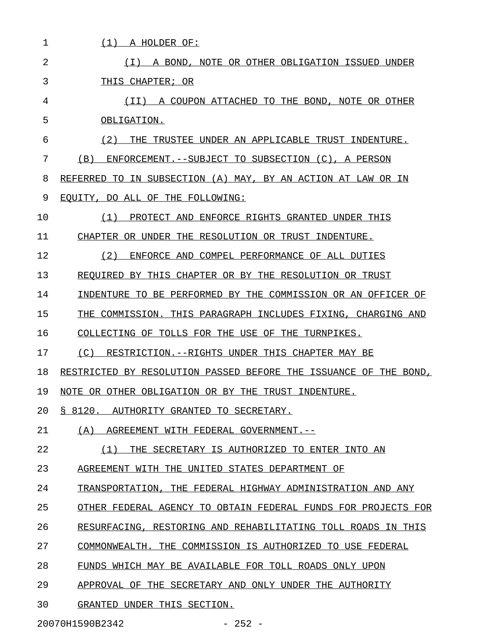| 1  | (1)<br>A HOLDER OF:                                              |
|----|------------------------------------------------------------------|
| 2  | A BOND, NOTE OR OTHER OBLIGATION ISSUED UNDER<br>( I )           |
| 3  | THIS CHAPTER; OR                                                 |
| 4  | (II) A COUPON ATTACHED TO THE BOND, NOTE OR OTHER                |
| 5  | OBLIGATION.                                                      |
| 6  | (2)<br>TRUSTEE UNDER AN APPLICABLE TRUST INDENTURE.<br>THE       |
| 7  | (B)<br>ENFORCEMENT.--SUBJECT TO SUBSECTION (C), A PERSON         |
| 8  | REFERRED TO IN SUBSECTION (A) MAY, BY AN ACTION AT LAW OR IN     |
| 9  | EOUITY, DO ALL OF THE FOLLOWING:                                 |
| 10 | PROTECT AND ENFORCE RIGHTS GRANTED UNDER THIS<br>(1)             |
| 11 | CHAPTER OR UNDER THE RESOLUTION OR TRUST INDENTURE.              |
| 12 | (2)<br>ENFORCE AND COMPEL PERFORMANCE OF ALL DUTIES              |
| 13 | REOUIRED BY THIS CHAPTER OR BY THE RESOLUTION OR TRUST           |
| 14 | INDENTURE TO BE PERFORMED BY THE COMMISSION OR AN OFFICER OF     |
| 15 | THE COMMISSION. THIS PARAGRAPH INCLUDES FIXING, CHARGING AND     |
| 16 | COLLECTING OF TOLLS FOR THE USE OF THE TURNPIKES.                |
| 17 | (C) RESTRICTION.--RIGHTS UNDER THIS CHAPTER MAY BE               |
| 18 | RESTRICTED BY RESOLUTION PASSED BEFORE THE ISSUANCE OF THE BOND, |
| 19 | NOTE OR OTHER OBLIGATION OR BY THE TRUST INDENTURE.              |
| 20 | § 8120. AUTHORITY GRANTED TO SECRETARY.                          |
| 21 | (A) AGREEMENT WITH FEDERAL GOVERNMENT.--                         |
| 22 | (1)<br>THE SECRETARY IS AUTHORIZED TO ENTER INTO AN              |
| 23 | AGREEMENT WITH THE UNITED STATES DEPARTMENT OF                   |
| 24 | TRANSPORTATION, THE FEDERAL HIGHWAY ADMINISTRATION AND ANY       |
| 25 | OTHER FEDERAL AGENCY TO OBTAIN FEDERAL FUNDS FOR PROJECTS FOR    |
| 26 | RESURFACING, RESTORING AND REHABILITATING TOLL ROADS IN THIS     |
| 27 | COMMONWEALTH. THE COMMISSION IS AUTHORIZED TO USE FEDERAL        |
| 28 | FUNDS WHICH MAY BE AVAILABLE FOR TOLL ROADS ONLY UPON            |
| 29 | APPROVAL OF THE SECRETARY AND ONLY UNDER THE AUTHORITY           |
| 30 | GRANTED UNDER THIS SECTION.                                      |
|    |                                                                  |

20070H1590B2342 - 252 -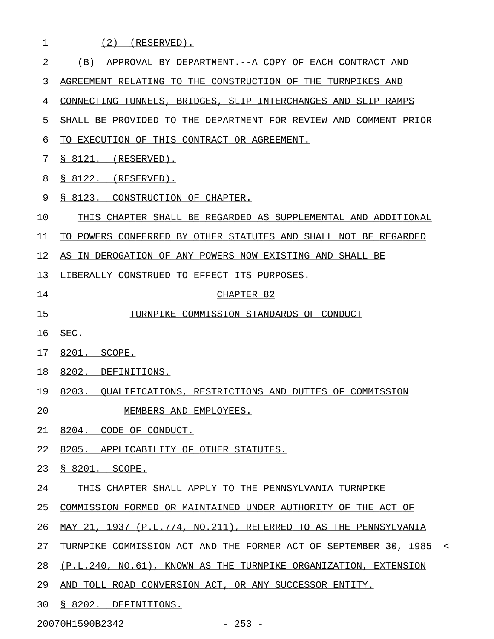| $\mathbf{1}$ | $(2)$ (RESERVED).                                                           |
|--------------|-----------------------------------------------------------------------------|
| 2            | APPROVAL BY DEPARTMENT. -- A COPY OF EACH CONTRACT AND<br>(B)               |
| 3            | AGREEMENT RELATING TO THE CONSTRUCTION OF THE TURNPIKES AND                 |
| 4            | CONNECTING TUNNELS, BRIDGES, SLIP INTERCHANGES AND SLIP RAMPS               |
| 5            | SHALL BE PROVIDED TO THE DEPARTMENT FOR REVIEW AND COMMENT PRIOR            |
| 6            | TO EXECUTION OF THIS CONTRACT OR AGREEMENT.                                 |
| 7            | $\S$ 8121. (RESERVED).                                                      |
| 8            | \$8122. (RESERVED).                                                         |
| 9            | S 8123. CONSTRUCTION OF CHAPTER.                                            |
| 10           | THIS CHAPTER SHALL BE REGARDED AS SUPPLEMENTAL AND ADDITIONAL               |
| 11           | TO POWERS CONFERRED BY OTHER STATUTES AND SHALL NOT BE REGARDED             |
| 12           | AS IN DEROGATION OF ANY POWERS NOW EXISTING AND SHALL BE                    |
| 13           | LIBERALLY CONSTRUED TO EFFECT ITS PURPOSES.                                 |
| 14           | CHAPTER 82                                                                  |
| 15           | TURNPIKE COMMISSION STANDARDS OF CONDUCT                                    |
| 16           | SEC.                                                                        |
| 17           | 8201. SCOPE.                                                                |
| 18           | 8202. DEFINITIONS.                                                          |
| 19           | 8203. QUALIFICATIONS, RESTRICTIONS AND DUTIES OF COMMISSION                 |
| 20           | MEMBERS AND EMPLOYEES.                                                      |
| 21           | 8204. CODE OF CONDUCT.                                                      |
| 22           | 8205. APPLICABILITY OF OTHER STATUTES.                                      |
| 23           | S 8201. SCOPE.                                                              |
| 24           | THIS CHAPTER SHALL APPLY TO THE PENNSYLVANIA TURNPIKE                       |
| 25           | COMMISSION FORMED OR MAINTAINED UNDER AUTHORITY OF THE ACT OF               |
| 26           | MAY 21, 1937 (P.L.774, NO.211), REFERRED TO AS THE PENNSYLVANIA             |
| 27           | TURNPIKE COMMISSION ACT AND THE FORMER ACT OF SEPTEMBER 30, 1985<br>$\,<\,$ |
| 28           | (P.L.240, NO.61), KNOWN AS THE TURNPIKE ORGANIZATION, EXTENSION             |
| 29           | AND TOLL ROAD CONVERSION ACT, OR ANY SUCCESSOR ENTITY.                      |
| 30           | § 8202. DEFINITIONS.                                                        |

20070H1590B2342 - 253 -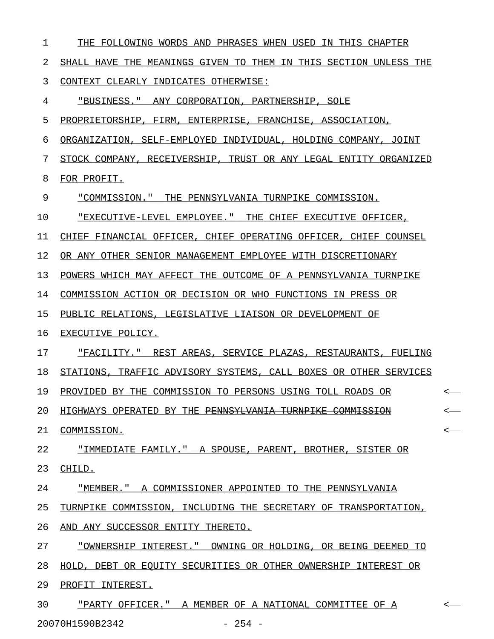| 1  | THE FOLLOWING WORDS AND PHRASES WHEN USED IN THIS CHAPTER        |         |
|----|------------------------------------------------------------------|---------|
| 2  | SHALL HAVE THE MEANINGS GIVEN TO THEM IN THIS SECTION UNLESS THE |         |
| 3  | CONTEXT CLEARLY INDICATES OTHERWISE:                             |         |
| 4  | "BUSINESS." ANY CORPORATION, PARTNERSHIP, SOLE                   |         |
| 5  | PROPRIETORSHIP, FIRM, ENTERPRISE, FRANCHISE, ASSOCIATION,        |         |
| 6  | ORGANIZATION, SELF-EMPLOYED INDIVIDUAL, HOLDING COMPANY, JOINT   |         |
| 7  | STOCK COMPANY, RECEIVERSHIP, TRUST OR ANY LEGAL ENTITY ORGANIZED |         |
| 8  | FOR PROFIT.                                                      |         |
| 9  | "COMMISSION." THE PENNSYLVANIA TURNPIKE COMMISSION.              |         |
| 10 | "EXECUTIVE-LEVEL EMPLOYEE." THE CHIEF EXECUTIVE OFFICER,         |         |
| 11 | CHIEF FINANCIAL OFFICER, CHIEF OPERATING OFFICER, CHIEF COUNSEL  |         |
| 12 | OR ANY OTHER SENIOR MANAGEMENT EMPLOYEE WITH DISCRETIONARY       |         |
| 13 | POWERS WHICH MAY AFFECT THE OUTCOME OF A PENNSYLVANIA TURNPIKE   |         |
| 14 | COMMISSION ACTION OR DECISION OR WHO FUNCTIONS IN PRESS OR       |         |
| 15 | PUBLIC RELATIONS, LEGISLATIVE LIAISON OR DEVELOPMENT OF          |         |
| 16 | EXECUTIVE POLICY.                                                |         |
| 17 | "FACILITY." REST AREAS, SERVICE PLAZAS, RESTAURANTS, FUELING     |         |
| 18 | STATIONS, TRAFFIC ADVISORY SYSTEMS, CALL BOXES OR OTHER SERVICES |         |
| 19 | PROVIDED BY THE COMMISSION TO PERSONS USING TOLL ROADS OR        | <       |
| 20 | HIGHWAYS OPERATED BY THE PENNSYLVANIA TURNPIKE COMMISSION        | $\,<\,$ |
| 21 | COMMISSION.                                                      | $\,<\,$ |
| 22 | "IMMEDIATE FAMILY." A SPOUSE, PARENT, BROTHER, SISTER OR         |         |
| 23 | CHILD.                                                           |         |
| 24 | "MEMBER." A COMMISSIONER APPOINTED TO THE PENNSYLVANIA           |         |
| 25 | TURNPIKE COMMISSION, INCLUDING THE SECRETARY OF TRANSPORTATION,  |         |
| 26 | AND ANY SUCCESSOR ENTITY THERETO.                                |         |
| 27 | "OWNERSHIP INTEREST." OWNING OR HOLDING, OR BEING DEEMED TO      |         |
| 28 | HOLD, DEBT OR EQUITY SECURITIES OR OTHER OWNERSHIP INTEREST OR   |         |
| 29 | PROFIT INTEREST.                                                 |         |
| 30 | "PARTY OFFICER." A MEMBER OF A NATIONAL COMMITTEE OF A           | $\,<\,$ |

20070H1590B2342 - 254 -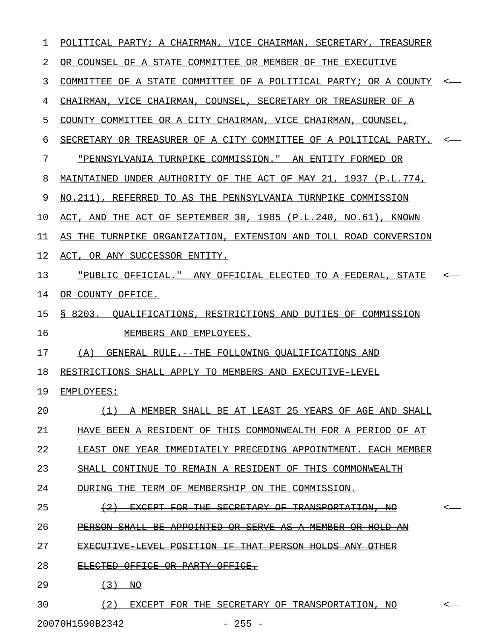| 1  | POLITICAL PARTY; A CHAIRMAN, VICE CHAIRMAN, SECRETARY, TREASURER |                  |
|----|------------------------------------------------------------------|------------------|
| 2  | OR COUNSEL OF A STATE COMMITTEE OR MEMBER OF THE EXECUTIVE       |                  |
| 3  | COMMITTEE OF A STATE COMMITTEE OF A POLITICAL PARTY; OR A COUNTY |                  |
| 4  | CHAIRMAN, VICE CHAIRMAN, COUNSEL, SECRETARY OR TREASURER OF A    |                  |
| 5  | COUNTY COMMITTEE OR A CITY CHAIRMAN, VICE CHAIRMAN, COUNSEL,     |                  |
| 6  | SECRETARY OR TREASURER OF A CITY COMMITTEE OF A POLITICAL PARTY. |                  |
| 7  | <u> "PENNSYLVANIA TURNPIKE COMMISSION." AN ENTITY FORMED OR</u>  |                  |
| 8  | MAINTAINED UNDER AUTHORITY OF THE ACT OF MAY 21, 1937 (P.L.774,  |                  |
| 9  | NO.211), REFERRED TO AS THE PENNSYLVANIA TURNPIKE COMMISSION     |                  |
| 10 | ACT, AND THE ACT OF SEPTEMBER 30, 1985 (P.L.240, NO.61), KNOWN   |                  |
| 11 | AS THE TURNPIKE ORGANIZATION, EXTENSION AND TOLL ROAD CONVERSION |                  |
| 12 | ACT, OR ANY SUCCESSOR ENTITY.                                    |                  |
| 13 | "PUBLIC OFFICIAL." ANY OFFICIAL ELECTED TO A FEDERAL, STATE      |                  |
| 14 | OR COUNTY OFFICE.                                                |                  |
| 15 | § 8203. QUALIFICATIONS, RESTRICTIONS AND DUTIES OF COMMISSION    |                  |
| 16 | MEMBERS AND EMPLOYEES.                                           |                  |
| 17 | GENERAL RULE. -- THE FOLLOWING OUALIFICATIONS AND<br>(A)         |                  |
| 18 | RESTRICTIONS SHALL APPLY TO MEMBERS AND EXECUTIVE-LEVEL          |                  |
| 19 | EMPLOYEES:                                                       |                  |
| 20 | (1) A MEMBER SHALL BE AT LEAST 25 YEARS OF AGE AND SHALL         |                  |
| 21 | HAVE BEEN A RESIDENT OF THIS COMMONWEALTH FOR A PERIOD OF AT     |                  |
| 22 | LEAST ONE YEAR IMMEDIATELY PRECEDING APPOINTMENT. EACH MEMBER    |                  |
| 23 | SHALL CONTINUE TO REMAIN A RESIDENT OF THIS COMMONWEALTH         |                  |
| 24 | DURING THE TERM OF MEMBERSHIP ON THE COMMISSION.                 |                  |
| 25 | (2) EXCEPT FOR THE SECRETARY OF TRANSPORTATION, NO               |                  |
| 26 | PERSON SHALL BE APPOINTED OR SERVE AS A MEMBER OR HOLD AN        |                  |
| 27 | EXECUTIVE LEVEL POSITION IF THAT PERSON HOLDS ANY OTHER          |                  |
| 28 | ELECTED OFFICE OR PARTY OFFICE.                                  |                  |
| 29 | $\left(3\right)$ NO                                              |                  |
| 30 | (2)<br>EXCEPT FOR THE SECRETARY OF TRANSPORTATION, NO            | $\longleftarrow$ |

20070H1590B2342 - 255 -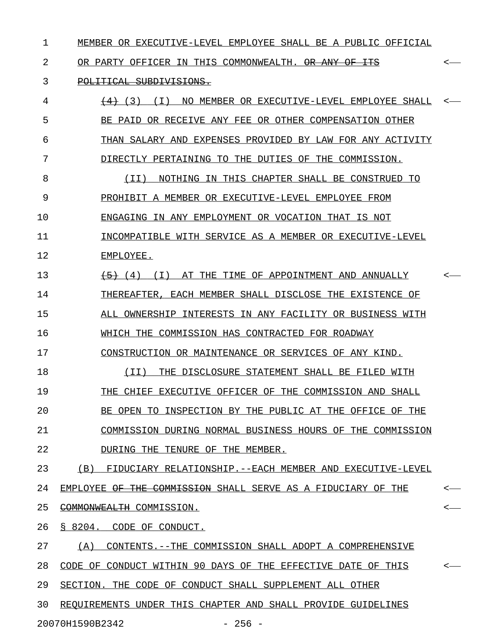1 MEMBER OR EXECUTIVE-LEVEL EMPLOYEE SHALL BE A PUBLIC OFFICIAL

2 OR PARTY OFFICER IN THIS COMMONWEALTH. OR ANY OF ITS  $\sim$ 

## 3 POLITICAL SUBDIVISIONS.

| 4  | <del>(4)</del> (3)<br>(T)<br>NO MEMBER OR EXECUTIVE-LEVEL EMPLOYEE SHALL |                  |
|----|--------------------------------------------------------------------------|------------------|
| 5  | BE PAID OR RECEIVE ANY FEE OR OTHER COMPENSATION OTHER                   |                  |
| 6  | THAN SALARY AND EXPENSES PROVIDED BY LAW FOR ANY ACTIVITY                |                  |
| 7  | DIRECTLY PERTAINING TO THE DUTIES OF THE COMMISSION.                     |                  |
| 8  | NOTHING IN THIS CHAPTER SHALL BE CONSTRUED TO<br>( I I )                 |                  |
| 9  | PROHIBIT A MEMBER OR EXECUTIVE-LEVEL EMPLOYEE FROM                       |                  |
| 10 | ENGAGING IN ANY EMPLOYMENT OR VOCATION THAT IS NOT                       |                  |
| 11 | INCOMPATIBLE WITH SERVICE AS A MEMBER OR EXECUTIVE-LEVEL                 |                  |
| 12 | EMPLOYEE.                                                                |                  |
| 13 | $\overline{5}$ (4) (I) AT THE TIME OF APPOINTMENT AND ANNUALLY           | $\longleftarrow$ |
| 14 | THEREAFTER, EACH MEMBER SHALL DISCLOSE THE EXISTENCE OF                  |                  |
| 15 | ALL OWNERSHIP INTERESTS IN ANY FACILITY OR BUSINESS WITH                 |                  |
| 16 | WHICH THE COMMISSION HAS CONTRACTED FOR ROADWAY                          |                  |
| 17 | CONSTRUCTION OR MAINTENANCE OR SERVICES OF ANY KIND.                     |                  |
| 18 | THE DISCLOSURE STATEMENT SHALL BE FILED WITH<br>( I I )                  |                  |
| 19 | THE CHIEF EXECUTIVE OFFICER OF THE COMMISSION AND SHALL                  |                  |
| 20 | BE OPEN TO INSPECTION BY THE PUBLIC AT THE OFFICE OF THE                 |                  |
| 21 | COMMISSION DURING NORMAL BUSINESS HOURS OF THE COMMISSION                |                  |
| 22 | DURING THE TENURE OF THE MEMBER.                                         |                  |
| 23 | (B) FIDUCIARY RELATIONSHIP.--EACH MEMBER AND EXECUTIVE-LEVEL             |                  |
| 24 | EMPLOYEE OF THE COMMISSION SHALL SERVE AS A FIDUCIARY OF THE             | $\longleftarrow$ |
| 25 | COMMONWEALTH COMMISSION.                                                 | $\leftarrow$     |
| 26 | § 8204. CODE OF CONDUCT.                                                 |                  |
| 27 | (A)<br>CONTENTS. -- THE COMMISSION SHALL ADOPT A COMPREHENSIVE           |                  |
| 28 | CODE OF CONDUCT WITHIN 90 DAYS OF THE EFFECTIVE DATE OF THIS             | $\leftarrow$     |
| 29 | SECTION. THE CODE OF CONDUCT SHALL SUPPLEMENT ALL OTHER                  |                  |
| 30 | REQUIREMENTS UNDER THIS CHAPTER AND SHALL PROVIDE GUIDELINES             |                  |
|    | $-256 -$<br>20070H1590B2342                                              |                  |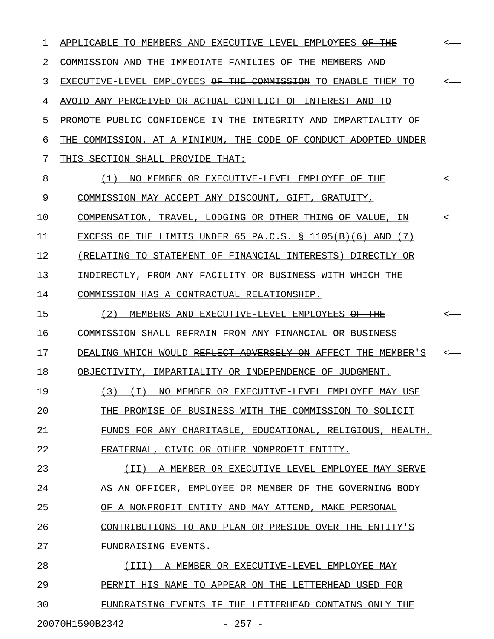1 APPLICABLE TO MEMBERS AND EXECUTIVE-LEVEL EMPLOYEES <del>OF THE</del>  $\sim$ 2 COMMISSION AND THE IMMEDIATE FAMILIES OF THE MEMBERS AND 3 EXECUTIVE-LEVEL EMPLOYEES <del>OF THE COMMISSION</del> TO ENABLE THEM TO  $\sim$ 4 AVOID ANY PERCEIVED OR ACTUAL CONFLICT OF INTEREST AND TO 5 PROMOTE PUBLIC CONFIDENCE IN THE INTEGRITY AND IMPARTIALITY OF 6 THE COMMISSION. AT A MINIMUM, THE CODE OF CONDUCT ADOPTED UNDER 7 THIS SECTION SHALL PROVIDE THAT: 8 (1) NO MEMBER OR EXECUTIVE-LEVEL EMPLOYEE <del>OF THE</del> <-9 COMMISSION MAY ACCEPT ANY DISCOUNT, GIFT, GRATUITY, 10 COMPENSATION, TRAVEL, LODGING OR OTHER THING OF VALUE, IN <-11 EXCESS OF THE LIMITS UNDER 65 PA.C.S. § 1105(B)(6) AND (7) 12 (RELATING TO STATEMENT OF FINANCIAL INTERESTS) DIRECTLY OR 13 INDIRECTLY, FROM ANY FACILITY OR BUSINESS WITH WHICH THE 14 COMMISSION HAS A CONTRACTUAL RELATIONSHIP. 15 (2) MEMBERS AND EXECUTIVE-LEVEL EMPLOYEES  $\overline{\text{OF\_THE}}$ 16 COMMISSION SHALL REFRAIN FROM ANY FINANCIAL OR BUSINESS 17 DEALING WHICH WOULD REFLECT ADVERSELY ON AFFECT THE MEMBER'S 18 OBJECTIVITY, IMPARTIALITY OR INDEPENDENCE OF JUDGMENT. 19 (3) (I) NO MEMBER OR EXECUTIVE-LEVEL EMPLOYEE MAY USE 20 THE PROMISE OF BUSINESS WITH THE COMMISSION TO SOLICIT 21 FUNDS FOR ANY CHARITABLE, EDUCATIONAL, RELIGIOUS, HEALTH, 22 FRATERNAL, CIVIC OR OTHER NONPROFIT ENTITY. 23 (II) A MEMBER OR EXECUTIVE-LEVEL EMPLOYEE MAY SERVE 24 AS AN OFFICER, EMPLOYEE OR MEMBER OF THE GOVERNING BODY 25 OF A NONPROFIT ENTITY AND MAY ATTEND, MAKE PERSONAL 26 CONTRIBUTIONS TO AND PLAN OR PRESIDE OVER THE ENTITY'S 27 FUNDRAISING EVENTS. 28 (III) A MEMBER OR EXECUTIVE-LEVEL EMPLOYEE MAY \_\_\_\_\_\_\_\_\_\_\_\_\_\_\_\_\_\_\_\_\_\_\_\_\_\_\_\_\_\_\_\_\_\_\_\_\_\_\_\_\_\_\_\_\_\_\_ 29 PERMIT HIS NAME TO APPEAR ON THE LETTERHEAD USED FOR 30 FUNDRAISING EVENTS IF THE LETTERHEAD CONTAINS ONLY THE

20070H1590B2342 - 257 -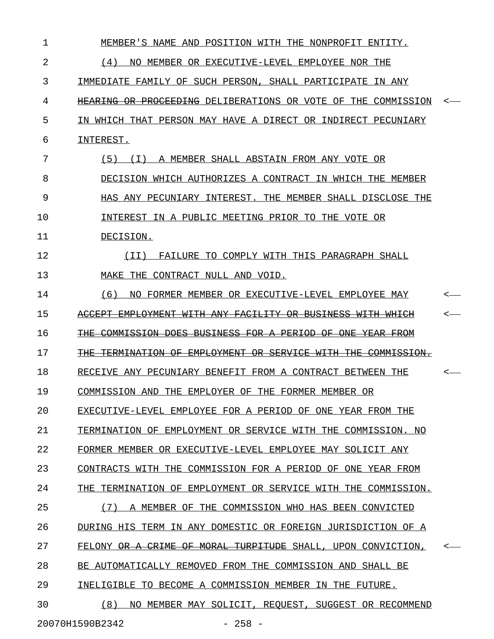| 1  | MEMBER'S NAME AND POSITION WITH THE NONPROFIT ENTITY.         |              |
|----|---------------------------------------------------------------|--------------|
| 2  | (4)<br>NO MEMBER OR EXECUTIVE-LEVEL EMPLOYEE NOR THE          |              |
| 3  | IMMEDIATE FAMILY OF SUCH PERSON, SHALL PARTICIPATE IN ANY     |              |
| 4  | HEARING OR PROCEEDING DELIBERATIONS OR VOTE OF THE COMMISSION |              |
| 5  | IN WHICH THAT PERSON MAY HAVE A DIRECT OR INDIRECT PECUNIARY  |              |
| 6  | INTEREST.                                                     |              |
| 7  | (5) (I) A MEMBER SHALL ABSTAIN FROM ANY VOTE OR               |              |
| 8  | DECISION WHICH AUTHORIZES A CONTRACT IN WHICH THE MEMBER      |              |
| 9  | HAS ANY PECUNIARY INTEREST. THE MEMBER SHALL DISCLOSE THE     |              |
| 10 | INTEREST IN A PUBLIC MEETING PRIOR TO THE VOTE OR             |              |
| 11 | DECISION.                                                     |              |
| 12 | FAILURE TO COMPLY WITH THIS PARAGRAPH SHALL<br>( I I )        |              |
| 13 | MAKE THE CONTRACT NULL AND VOID.                              |              |
| 14 | (6)<br>NO FORMER MEMBER OR EXECUTIVE-LEVEL EMPLOYEE MAY       |              |
| 15 | ACCEPT EMPLOYMENT WITH ANY FACILITY OR BUSINESS WITH WHICH    |              |
| 16 | THE COMMISSION DOES BUSINESS FOR A PERIOD OF ONE YEAR FROM    |              |
| 17 | THE TERMINATION OF EMPLOYMENT OR SERVICE WITH THE COMMISSION. |              |
| 18 | RECEIVE ANY PECUNIARY BENEFIT FROM A CONTRACT BETWEEN THE     | <—           |
| 19 | COMMISSION AND THE EMPLOYER OF THE FORMER MEMBER OR           |              |
| 20 | EXECUTIVE-LEVEL EMPLOYEE FOR A PERIOD OF ONE YEAR FROM THE    |              |
| 21 | TERMINATION OF EMPLOYMENT OR SERVICE WITH THE COMMISSION. NO  |              |
| 22 | FORMER MEMBER OR EXECUTIVE-LEVEL EMPLOYEE MAY SOLICIT ANY     |              |
| 23 | CONTRACTS WITH THE COMMISSION FOR A PERIOD OF ONE YEAR FROM   |              |
| 24 | THE TERMINATION OF EMPLOYMENT OR SERVICE WITH THE COMMISSION. |              |
| 25 | (7)<br>A MEMBER OF THE COMMISSION WHO HAS BEEN CONVICTED      |              |
| 26 | DURING HIS TERM IN ANY DOMESTIC OR FOREIGN JURISDICTION OF A  |              |
| 27 | FELONY OR A CRIME OF MORAL TURPITUDE SHALL, UPON CONVICTION,  | $\leftarrow$ |
| 28 | BE AUTOMATICALLY REMOVED FROM THE COMMISSION AND SHALL BE     |              |
| 29 | INELIGIBLE TO BECOME A COMMISSION MEMBER IN THE FUTURE.       |              |
| 30 | (8)<br>NO MEMBER MAY SOLICIT, REQUEST, SUGGEST OR RECOMMEND   |              |
|    |                                                               |              |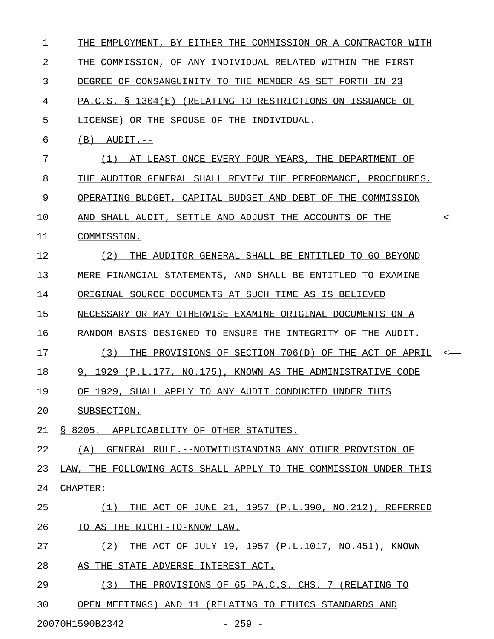| ı  | THE EMPLOYMENT, BY EITHER THE COMMISSION OR A CONTRACTOR WITH      |  |
|----|--------------------------------------------------------------------|--|
| 2  | THE COMMISSION, OF ANY INDIVIDUAL RELATED WITHIN THE FIRST         |  |
| 3  | DEGREE OF CONSANGUINITY TO THE MEMBER AS SET FORTH IN 23           |  |
| 4  | PA.C.S. § 1304(E) (RELATING TO RESTRICTIONS ON ISSUANCE OF         |  |
| 5  | LICENSE) OR THE SPOUSE OF THE INDIVIDUAL.                          |  |
| 6  | $(B)$ AUDIT.--                                                     |  |
| 7  | (1) AT LEAST ONCE EVERY FOUR YEARS, THE DEPARTMENT OF              |  |
| 8  | THE AUDITOR GENERAL SHALL REVIEW THE PERFORMANCE, PROCEDURES,      |  |
| 9  | OPERATING BUDGET, CAPITAL BUDGET AND DEBT OF THE COMMISSION        |  |
| 10 | AND SHALL AUDIT <del>, SETTLE AND ADJUST</del> THE ACCOUNTS OF THE |  |
| 11 | COMMISSION.                                                        |  |
| 12 | THE AUDITOR GENERAL SHALL BE ENTITLED TO GO BEYOND<br>(2)          |  |
| 13 | MERE FINANCIAL STATEMENTS, AND SHALL BE ENTITLED TO EXAMINE        |  |
| 14 | ORIGINAL SOURCE DOCUMENTS AT SUCH TIME AS IS BELIEVED              |  |
| 15 | NECESSARY OR MAY OTHERWISE EXAMINE ORIGINAL DOCUMENTS ON A         |  |
| 16 | RANDOM BASIS DESIGNED TO ENSURE THE INTEGRITY OF THE AUDIT.        |  |
| 17 | (3)<br>THE PROVISIONS OF SECTION 706(D) OF THE ACT OF APRIL        |  |
| 18 | 9, 1929 (P.L.177, NO.175), KNOWN AS THE ADMINISTRATIVE CODE        |  |
| 19 | OF 1929, SHALL APPLY TO ANY AUDIT CONDUCTED UNDER THIS             |  |
| 20 | SUBSECTION.                                                        |  |
| 21 | § 8205. APPLICABILITY OF OTHER STATUTES.                           |  |
| 22 | (A) GENERAL RULE. -- NOTWITHSTANDING ANY OTHER PROVISION OF        |  |
| 23 | LAW, THE FOLLOWING ACTS SHALL APPLY TO THE COMMISSION UNDER THIS   |  |
| 24 | CHAPTER:                                                           |  |
| 25 | THE ACT OF JUNE 21, 1957 (P.L.390, NO.212), REFERRED<br>(1)        |  |
| 26 | TO AS THE RIGHT-TO-KNOW LAW.                                       |  |
| 27 | THE ACT OF JULY 19, 1957 (P.L.1017, NO.451), KNOWN<br>(2)          |  |
| 28 | AS THE STATE ADVERSE INTEREST ACT.                                 |  |
| 29 | THE PROVISIONS OF 65 PA.C.S. CHS. 7 (RELATING TO<br>(3)            |  |
| 30 | OPEN MEETINGS) AND 11 (RELATING TO ETHICS STANDARDS AND            |  |
|    |                                                                    |  |

20070H1590B2342 - 259 -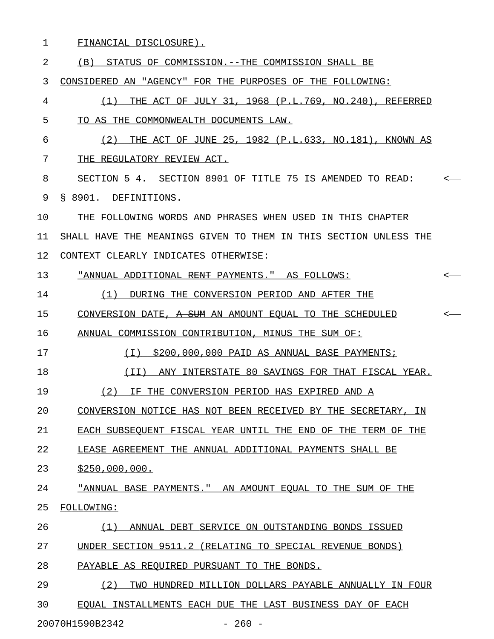1 FINANCIAL DISCLOSURE).

|  |  |  |  |  | (B) STATUS OF COMMISSION.--THE COMMISSION SHALL BE |  |  |  |  |
|--|--|--|--|--|----------------------------------------------------|--|--|--|--|
|--|--|--|--|--|----------------------------------------------------|--|--|--|--|

3 CONSIDERED AN "AGENCY" FOR THE PURPOSES OF THE FOLLOWING:

- 4 (1) THE ACT OF JULY 31, 1968 (P.L.769, NO.240), REFERRED 5 TO AS THE COMMONWEALTH DOCUMENTS LAW.
- 6 (2) THE ACT OF JUNE 25, 1982 (P.L.633, NO.181), KNOWN AS 7 THE REGULATORY REVIEW ACT.
- 8 SECTION 5 4. SECTION 8901 OF TITLE 75 IS AMENDED TO READ: < 9 § 8901. DEFINITIONS.

10 THE FOLLOWING WORDS AND PHRASES WHEN USED IN THIS CHAPTER 11 SHALL HAVE THE MEANINGS GIVEN TO THEM IN THIS SECTION UNLESS THE 12 CONTEXT CLEARLY INDICATES OTHERWISE:

13 "<u>ANNUAL ADDITIONAL <del>RENT</del> PAYMENTS." AS FOLLOWS:</u> <-

- 14 (1) DURING THE CONVERSION PERIOD AND AFTER THE \_\_\_\_\_\_\_\_\_\_\_\_\_\_\_\_\_\_\_\_\_\_\_\_\_\_\_\_\_\_\_\_\_\_\_\_\_\_\_\_\_\_\_\_\_\_\_
- 15 CONVERSION DATE, A SUM AN AMOUNT EQUAL TO THE SCHEDULED

16 ANNUAL COMMISSION CONTRIBUTION, MINUS THE SUM OF:

- 17 (I) \$200,000,000 PAID AS ANNUAL BASE PAYMENTS; \_\_\_\_\_\_\_\_\_\_\_\_\_\_\_\_\_\_\_\_\_\_\_\_\_\_\_\_\_\_\_\_\_\_\_\_\_\_\_\_\_\_\_\_\_\_\_
- 18 (II) ANY INTERSTATE 80 SAVINGS FOR THAT FISCAL YEAR.
- 19 (2) IF THE CONVERSION PERIOD HAS EXPIRED AND A
- 20 CONVERSION NOTICE HAS NOT BEEN RECEIVED BY THE SECRETARY, IN
- 21 EACH SUBSEQUENT FISCAL YEAR UNTIL THE END OF THE TERM OF THE
- 22 LEASE AGREEMENT THE ANNUAL ADDITIONAL PAYMENTS SHALL BE
- 23 \$250,000,000.
- 24 **MEX ANNUAL BASE PAYMENTS." AN AMOUNT EQUAL TO THE SUM OF THE** 25 FOLLOWING: \_\_\_\_\_\_\_\_\_\_
- 26 (1) ANNUAL DEBT SERVICE ON OUTSTANDING BONDS ISSUED
- 27 UNDER SECTION 9511.2 (RELATING TO SPECIAL REVENUE BONDS)
- 28 PAYABLE AS REQUIRED PURSUANT TO THE BONDS.
- 29 (2) TWO HUNDRED MILLION DOLLARS PAYABLE ANNUALLY IN FOUR 30 EQUAL INSTALLMENTS EACH DUE THE LAST BUSINESS DAY OF EACH

20070H1590B2342 - 260 -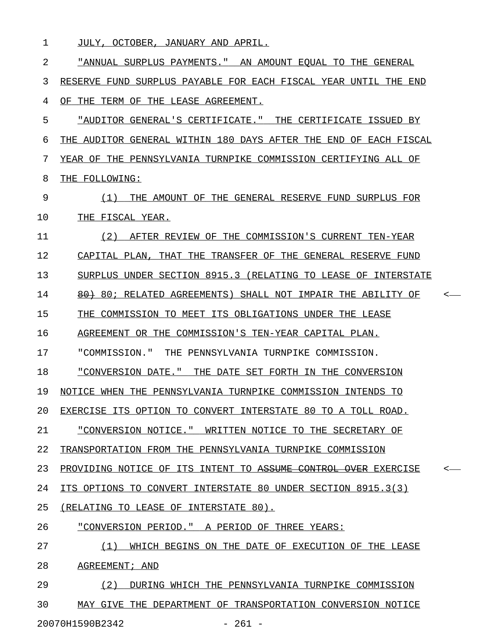1 JULY, OCTOBER, JANUARY AND APRIL.

2 "ANNUAL SURPLUS PAYMENTS." AN AMOUNT EQUAL TO THE GENERAL \_\_\_\_\_\_\_\_\_\_\_\_\_\_\_\_\_\_\_\_\_\_\_\_\_\_\_\_\_\_\_\_\_\_\_\_\_\_\_\_\_\_\_\_\_\_\_\_\_\_\_\_\_\_\_\_\_\_ 3 RESERVE FUND SURPLUS PAYABLE FOR EACH FISCAL YEAR UNTIL THE END 4 OF THE TERM OF THE LEASE AGREEMENT. 5 "AUDITOR GENERAL'S CERTIFICATE." THE CERTIFICATE ISSUED BY 6 THE AUDITOR GENERAL WITHIN 180 DAYS AFTER THE END OF EACH FISCAL

7 YEAR OF THE PENNSYLVANIA TURNPIKE COMMISSION CERTIFYING ALL OF 8 THE FOLLOWING:

9 (1) THE AMOUNT OF THE GENERAL RESERVE FUND SURPLUS FOR \_\_\_\_\_\_\_\_\_\_\_\_\_\_\_\_\_\_\_\_\_\_\_\_\_\_\_\_\_\_\_\_\_\_\_\_\_\_\_\_\_\_\_\_\_\_\_\_\_\_\_\_\_\_\_ 10 THE FISCAL YEAR.

11 (2) AFTER REVIEW OF THE COMMISSION'S CURRENT TEN-YEAR 12 CAPITAL PLAN, THAT THE TRANSFER OF THE GENERAL RESERVE FUND

13 SURPLUS UNDER SECTION 8915.3 (RELATING TO LEASE OF INTERSTATE

14 60; RELATED AGREEMENTS) SHALL NOT IMPAIR THE ABILITY OF  $\sim$ 

15 THE COMMISSION TO MEET ITS OBLIGATIONS UNDER THE LEASE

16 AGREEMENT OR THE COMMISSION'S TEN-YEAR CAPITAL PLAN.

17 "COMMISSION." THE PENNSYLVANIA TURNPIKE COMMISSION.

18 "CONVERSION DATE." THE DATE SET FORTH IN THE CONVERSION

19 NOTICE WHEN THE PENNSYLVANIA TURNPIKE COMMISSION INTENDS TO

20 EXERCISE ITS OPTION TO CONVERT INTERSTATE 80 TO A TOLL ROAD.

21 "CONVERSION NOTICE." WRITTEN NOTICE TO THE SECRETARY OF \_\_\_\_\_\_\_\_\_\_\_\_\_\_\_\_\_\_\_\_\_\_\_\_\_\_\_\_\_\_\_\_\_\_\_\_\_\_\_\_\_\_\_\_\_\_\_\_\_\_\_\_\_\_\_\_

22 TRANSPORTATION FROM THE PENNSYLVANIA TURNPIKE COMMISSION

23 PROVIDING NOTICE OF ITS INTENT TO <del>ASSUME CONTROL OVER</del> EXERCISE

24 ITS OPTIONS TO CONVERT INTERSTATE 80 UNDER SECTION 8915.3(3)

25 (RELATING TO LEASE OF INTERSTATE 80).

26 "CONVERSION PERIOD." A PERIOD OF THREE YEARS:

27 (1) WHICH BEGINS ON THE DATE OF EXECUTION OF THE LEASE \_\_\_\_\_\_\_\_\_\_\_\_\_\_\_\_\_\_\_\_\_\_\_\_\_\_\_\_\_\_\_\_\_\_\_\_\_\_\_\_\_\_\_\_\_\_\_\_\_\_\_\_\_\_\_

28 AGREEMENT; AND

29 (2) DURING WHICH THE PENNSYLVANIA TURNPIKE COMMISSION 30 MAY GIVE THE DEPARTMENT OF TRANSPORTATION CONVERSION NOTICE 20070H1590B2342 - 261 -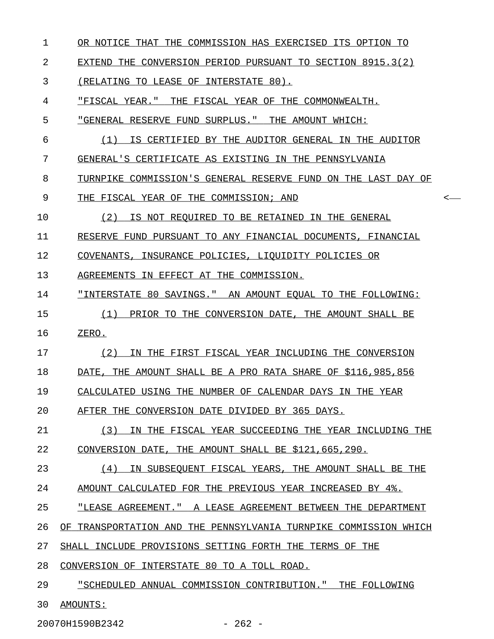- 1 OR NOTICE THAT THE COMMISSION HAS EXERCISED ITS OPTION TO
- 2 EXTEND THE CONVERSION PERIOD PURSUANT TO SECTION 8915.3(2)

3 (RELATING TO LEASE OF INTERSTATE 80).

4 "FISCAL YEAR." THE FISCAL YEAR OF THE COMMONWEALTH.

- 5 "GENERAL RESERVE FUND SURPLUS." THE AMOUNT WHICH:
- 6 (1) IS CERTIFIED BY THE AUDITOR GENERAL IN THE AUDITOR 7 GENERAL'S CERTIFICATE AS EXISTING IN THE PENNSYLVANIA
- 8 TURNPIKE COMMISSION'S GENERAL RESERVE FUND ON THE LAST DAY OF

9 THE FISCAL YEAR OF THE COMMISSION; AND  $\leftarrow$ 

10 (2) IS NOT REQUIRED TO BE RETAINED IN THE GENERAL

11 RESERVE FUND PURSUANT TO ANY FINANCIAL DOCUMENTS, FINANCIAL

12 COVENANTS, INSURANCE POLICIES, LIQUIDITY POLICIES OR

13 AGREEMENTS IN EFFECT AT THE COMMISSION.

- 14 "INTERSTATE 80 SAVINGS." AN AMOUNT EQUAL TO THE FOLLOWING:
- 15  $(1)$  PRIOR TO THE CONVERSION DATE, THE AMOUNT SHALL BE 16 ZERO.
- 17 (2) IN THE FIRST FISCAL YEAR INCLUDING THE CONVERSION

18 DATE, THE AMOUNT SHALL BE A PRO RATA SHARE OF \$116,985,856

19 CALCULATED USING THE NUMBER OF CALENDAR DAYS IN THE YEAR

20 AFTER THE CONVERSION DATE DIVIDED BY 365 DAYS.

21 (3) IN THE FISCAL YEAR SUCCEEDING THE YEAR INCLUDING THE 22 CONVERSION DATE, THE AMOUNT SHALL BE \$121,665,290.

23 (4) IN SUBSEQUENT FISCAL YEARS, THE AMOUNT SHALL BE THE \_\_\_\_\_\_\_\_\_\_\_\_\_\_\_\_\_\_\_\_\_\_\_\_\_\_\_\_\_\_\_\_\_\_\_\_\_\_\_\_\_\_\_\_\_\_\_\_\_\_\_\_\_\_\_\_ 24 AMOUNT CALCULATED FOR THE PREVIOUS YEAR INCREASED BY 4%.

25 "LEASE AGREEMENT." A LEASE AGREEMENT BETWEEN THE DEPARTMENT

26 OF TRANSPORTATION AND THE PENNSYLVANIA TURNPIKE COMMISSION WHICH

27 SHALL INCLUDE PROVISIONS SETTING FORTH THE TERMS OF THE

28 CONVERSION OF INTERSTATE 80 TO A TOLL ROAD.

29 "SCHEDULED ANNUAL COMMISSION CONTRIBUTION." THE FOLLOWING

30 AMOUNTS: \_\_\_\_\_\_\_\_

20070H1590B2342 - 262 -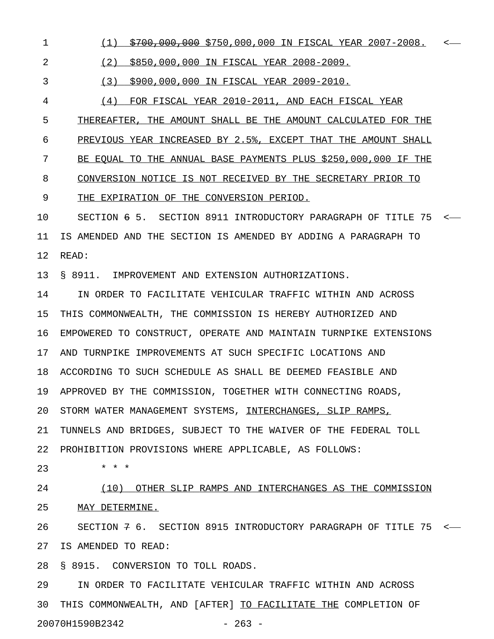1 (1) \$700,000,000 \$750,000,000 IN FISCAL YEAR 2007-2008. < \_\_\_\_\_\_\_\_\_\_\_\_\_\_\_\_\_\_\_\_\_\_\_\_\_\_\_\_\_\_\_\_\_\_\_\_\_\_\_\_\_\_\_\_\_\_\_\_\_\_\_\_\_\_\_\_

2 (2) \$850,000,000 IN FISCAL YEAR 2008-2009.

3 (3) \$900,000,000 IN FISCAL YEAR 2009-2010.

4 (4) FOR FISCAL YEAR 2010-2011, AND EACH FISCAL YEAR

5 THEREAFTER, THE AMOUNT SHALL BE THE AMOUNT CALCULATED FOR THE

6 PREVIOUS YEAR INCREASED BY 2.5%, EXCEPT THAT THE AMOUNT SHALL

7 BE EQUAL TO THE ANNUAL BASE PAYMENTS PLUS \$250,000,000 IF THE

8 CONVERSION NOTICE IS NOT RECEIVED BY THE SECRETARY PRIOR TO

9 THE EXPIRATION OF THE CONVERSION PERIOD.

10 SECTION 6 5. SECTION 8911 INTRODUCTORY PARAGRAPH OF TITLE 75 < 11 IS AMENDED AND THE SECTION IS AMENDED BY ADDING A PARAGRAPH TO 12 READ:

13 § 8911. IMPROVEMENT AND EXTENSION AUTHORIZATIONS.

14 IN ORDER TO FACILITATE VEHICULAR TRAFFIC WITHIN AND ACROSS 15 THIS COMMONWEALTH, THE COMMISSION IS HEREBY AUTHORIZED AND 16 EMPOWERED TO CONSTRUCT, OPERATE AND MAINTAIN TURNPIKE EXTENSIONS 17 AND TURNPIKE IMPROVEMENTS AT SUCH SPECIFIC LOCATIONS AND 18 ACCORDING TO SUCH SCHEDULE AS SHALL BE DEEMED FEASIBLE AND 19 APPROVED BY THE COMMISSION, TOGETHER WITH CONNECTING ROADS, 20 STORM WATER MANAGEMENT SYSTEMS, INTERCHANGES, SLIP RAMPS, 21 TUNNELS AND BRIDGES, SUBJECT TO THE WAIVER OF THE FEDERAL TOLL

22 PROHIBITION PROVISIONS WHERE APPLICABLE, AS FOLLOWS:

23 \* \* \*

24 (10) OTHER SLIP RAMPS AND INTERCHANGES AS THE COMMISSION 25 MAY DETERMINE.

26 SECTION 7 6. SECTION 8915 INTRODUCTORY PARAGRAPH OF TITLE 75 < 27 IS AMENDED TO READ:

28 § 8915. CONVERSION TO TOLL ROADS.

29 IN ORDER TO FACILITATE VEHICULAR TRAFFIC WITHIN AND ACROSS 30 THIS COMMONWEALTH, AND [AFTER] TO FACILITATE THE COMPLETION OF 20070H1590B2342 - 263 -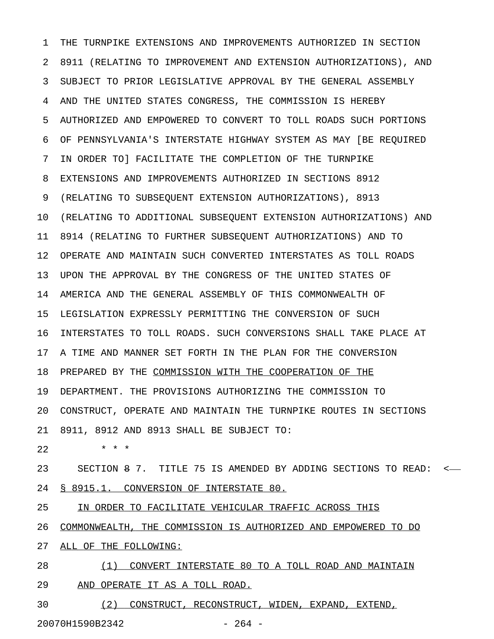1 THE TURNPIKE EXTENSIONS AND IMPROVEMENTS AUTHORIZED IN SECTION 2 8911 (RELATING TO IMPROVEMENT AND EXTENSION AUTHORIZATIONS), AND 3 SUBJECT TO PRIOR LEGISLATIVE APPROVAL BY THE GENERAL ASSEMBLY 4 AND THE UNITED STATES CONGRESS, THE COMMISSION IS HEREBY 5 AUTHORIZED AND EMPOWERED TO CONVERT TO TOLL ROADS SUCH PORTIONS 6 OF PENNSYLVANIA'S INTERSTATE HIGHWAY SYSTEM AS MAY [BE REQUIRED 7 IN ORDER TO] FACILITATE THE COMPLETION OF THE TURNPIKE 8 EXTENSIONS AND IMPROVEMENTS AUTHORIZED IN SECTIONS 8912 9 (RELATING TO SUBSEQUENT EXTENSION AUTHORIZATIONS), 8913 10 (RELATING TO ADDITIONAL SUBSEQUENT EXTENSION AUTHORIZATIONS) AND 11 8914 (RELATING TO FURTHER SUBSEQUENT AUTHORIZATIONS) AND TO 12 OPERATE AND MAINTAIN SUCH CONVERTED INTERSTATES AS TOLL ROADS 13 UPON THE APPROVAL BY THE CONGRESS OF THE UNITED STATES OF 14 AMERICA AND THE GENERAL ASSEMBLY OF THIS COMMONWEALTH OF 15 LEGISLATION EXPRESSLY PERMITTING THE CONVERSION OF SUCH 16 INTERSTATES TO TOLL ROADS. SUCH CONVERSIONS SHALL TAKE PLACE AT 17 A TIME AND MANNER SET FORTH IN THE PLAN FOR THE CONVERSION 18 PREPARED BY THE COMMISSION WITH THE COOPERATION OF THE 19 DEPARTMENT. THE PROVISIONS AUTHORIZING THE COMMISSION TO 20 CONSTRUCT, OPERATE AND MAINTAIN THE TURNPIKE ROUTES IN SECTIONS 21 8911, 8912 AND 8913 SHALL BE SUBJECT TO: 22 \* \* \*

23 SECTION 8 7. TITLE 75 IS AMENDED BY ADDING SECTIONS TO READ: < 24 § 8915.1. CONVERSION OF INTERSTATE 80.

25 IN ORDER TO FACILITATE VEHICULAR TRAFFIC ACROSS THIS

26 COMMONWEALTH, THE COMMISSION IS AUTHORIZED AND EMPOWERED TO DO

27 ALL OF THE FOLLOWING:

28 (1) CONVERT INTERSTATE 80 TO A TOLL ROAD AND MAINTAIN 29 AND OPERATE IT AS A TOLL ROAD.

30 (2) CONSTRUCT, RECONSTRUCT, WIDEN, EXPAND, EXTEND, 20070H1590B2342 - 264 -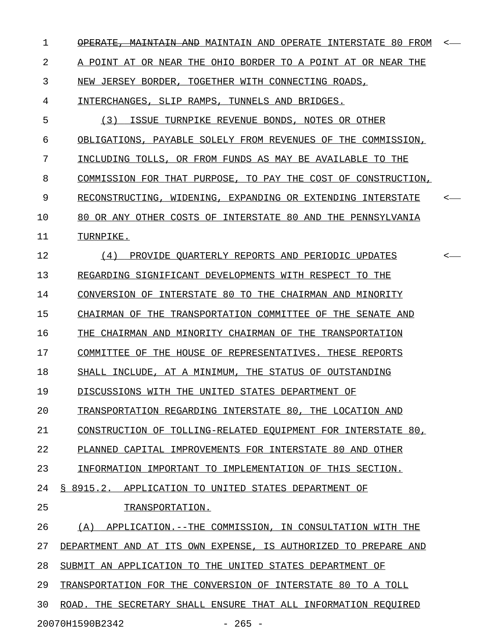| 1  | <del>- MAINTAIN AND</del> MAINTAIN AND OPERATE INTERSTATE 80 FROM | $\leftarrow$ |
|----|-------------------------------------------------------------------|--------------|
| 2  | A POINT AT OR NEAR THE OHIO BORDER TO A POINT AT OR NEAR THE      |              |
| 3  | NEW JERSEY BORDER, TOGETHER WITH CONNECTING ROADS,                |              |
| 4  | INTERCHANGES, SLIP RAMPS, TUNNELS AND BRIDGES.                    |              |
| 5  | ISSUE TURNPIKE REVENUE BONDS, NOTES OR OTHER<br>(3)               |              |
| 6  | OBLIGATIONS, PAYABLE SOLELY FROM REVENUES OF THE COMMISSION,      |              |
| 7  | INCLUDING TOLLS, OR FROM FUNDS AS MAY BE AVAILABLE TO THE         |              |
| 8  | COMMISSION FOR THAT PURPOSE, TO PAY THE COST OF CONSTRUCTION,     |              |
| 9  | RECONSTRUCTING, WIDENING, EXPANDING OR EXTENDING INTERSTATE       | $\leftarrow$ |
| 10 | 80 OR ANY OTHER COSTS OF INTERSTATE 80 AND THE PENNSYLVANIA       |              |
| 11 | TURNPIKE.                                                         |              |
| 12 | PROVIDE QUARTERLY REPORTS AND PERIODIC UPDATES<br>(4)             | $\leftarrow$ |
| 13 | REGARDING SIGNIFICANT DEVELOPMENTS WITH RESPECT TO THE            |              |
| 14 | CONVERSION OF INTERSTATE 80 TO THE CHAIRMAN AND MINORITY          |              |
| 15 | CHAIRMAN OF THE TRANSPORTATION COMMITTEE OF THE SENATE AND        |              |
| 16 | THE CHAIRMAN AND MINORITY CHAIRMAN OF THE TRANSPORTATION          |              |
| 17 | COMMITTEE OF THE HOUSE OF REPRESENTATIVES. THESE REPORTS          |              |
| 18 | SHALL INCLUDE, AT A MINIMUM, THE STATUS OF OUTSTANDING            |              |
| 19 | DISCUSSIONS WITH THE UNITED STATES DEPARTMENT OF                  |              |
| 20 | TRANSPORTATION REGARDING INTERSTATE 80, THE LOCATION AND          |              |
| 21 | CONSTRUCTION OF TOLLING-RELATED EQUIPMENT FOR INTERSTATE 80,      |              |
| 22 | PLANNED CAPITAL IMPROVEMENTS FOR INTERSTATE 80 AND OTHER          |              |
| 23 | INFORMATION IMPORTANT TO IMPLEMENTATION OF THIS SECTION.          |              |
| 24 | § 8915.2. APPLICATION TO UNITED STATES DEPARTMENT OF              |              |
| 25 | TRANSPORTATION.                                                   |              |
| 26 | (A) APPLICATION. -- THE COMMISSION, IN CONSULTATION WITH THE      |              |
| 27 | DEPARTMENT AND AT ITS OWN EXPENSE, IS AUTHORIZED TO PREPARE AND   |              |
| 28 | SUBMIT AN APPLICATION TO THE UNITED STATES DEPARTMENT OF          |              |
| 29 | TRANSPORTATION FOR THE CONVERSION OF INTERSTATE 80 TO A TOLL      |              |
| 30 | ROAD. THE SECRETARY SHALL ENSURE THAT ALL INFORMATION REQUIRED    |              |
|    | 20070H1590B2342<br>$-265 -$                                       |              |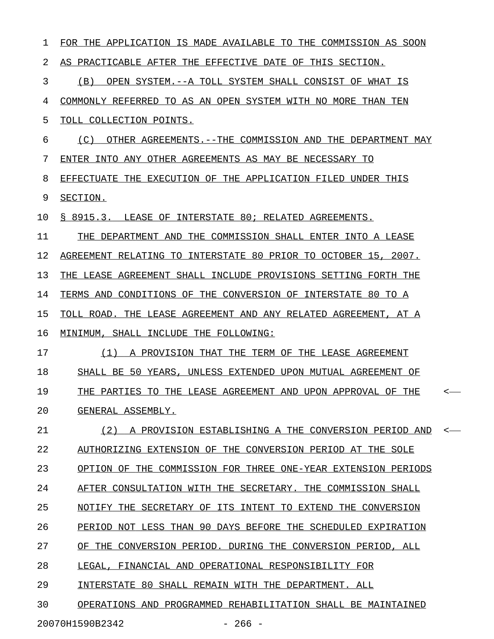| ı  | FOR THE APPLICATION IS MADE AVAILABLE TO THE COMMISSION AS SOON |         |
|----|-----------------------------------------------------------------|---------|
| 2  | AS PRACTICABLE AFTER THE EFFECTIVE DATE OF THIS SECTION.        |         |
| 3  | (B)<br>OPEN SYSTEM.--A TOLL SYSTEM SHALL CONSIST OF WHAT IS     |         |
| 4  | COMMONLY REFERRED TO AS AN OPEN SYSTEM WITH NO MORE THAN TEN    |         |
| 5  | TOLL COLLECTION POINTS.                                         |         |
| 6  | (C)<br>OTHER AGREEMENTS.--THE COMMISSION AND THE DEPARTMENT MAY |         |
| 7  | ENTER INTO ANY OTHER AGREEMENTS AS MAY BE NECESSARY TO          |         |
| 8  | EFFECTUATE THE EXECUTION OF THE APPLICATION FILED UNDER THIS    |         |
| 9  | SECTION.                                                        |         |
| 10 | § 8915.3. LEASE OF INTERSTATE 80; RELATED AGREEMENTS.           |         |
| 11 | THE DEPARTMENT AND THE COMMISSION SHALL ENTER INTO A LEASE      |         |
| 12 | AGREEMENT RELATING TO INTERSTATE 80 PRIOR TO OCTOBER 15, 2007.  |         |
| 13 | THE LEASE AGREEMENT SHALL INCLUDE PROVISIONS SETTING FORTH THE  |         |
| 14 | TERMS AND CONDITIONS OF THE CONVERSION OF INTERSTATE 80 TO A    |         |
| 15 | TOLL ROAD. THE LEASE AGREEMENT AND ANY RELATED AGREEMENT, AT A  |         |
| 16 | MINIMUM, SHALL INCLUDE THE FOLLOWING:                           |         |
| 17 | (1)<br>A PROVISION THAT THE TERM OF THE LEASE AGREEMENT         |         |
| 18 | SHALL BE 50 YEARS, UNLESS EXTENDED UPON MUTUAL AGREEMENT OF     |         |
| 19 | THE PARTIES TO THE LEASE AGREEMENT AND UPON APPROVAL OF THE     | <       |
| 20 | GENERAL ASSEMBLY.                                               |         |
| 21 | (2) A PROVISION ESTABLISHING A THE CONVERSION PERIOD AND        | $\,<\,$ |
| 22 | AUTHORIZING EXTENSION OF THE CONVERSION PERIOD AT THE SOLE      |         |
| 23 | OPTION OF THE COMMISSION FOR THREE ONE-YEAR EXTENSION PERIODS   |         |
| 24 | AFTER CONSULTATION WITH THE SECRETARY. THE COMMISSION SHALL     |         |
| 25 | NOTIFY THE SECRETARY OF ITS INTENT TO EXTEND THE CONVERSION     |         |
| 26 | PERIOD NOT LESS THAN 90 DAYS BEFORE THE SCHEDULED EXPIRATION    |         |
| 27 | OF THE CONVERSION PERIOD. DURING THE CONVERSION PERIOD, ALL     |         |
| 28 | LEGAL, FINANCIAL AND OPERATIONAL RESPONSIBILITY FOR             |         |
| 29 | INTERSTATE 80 SHALL REMAIN WITH THE DEPARTMENT. ALL             |         |
| 30 | OPERATIONS AND PROGRAMMED REHABILITATION SHALL BE MAINTAINED    |         |
|    |                                                                 |         |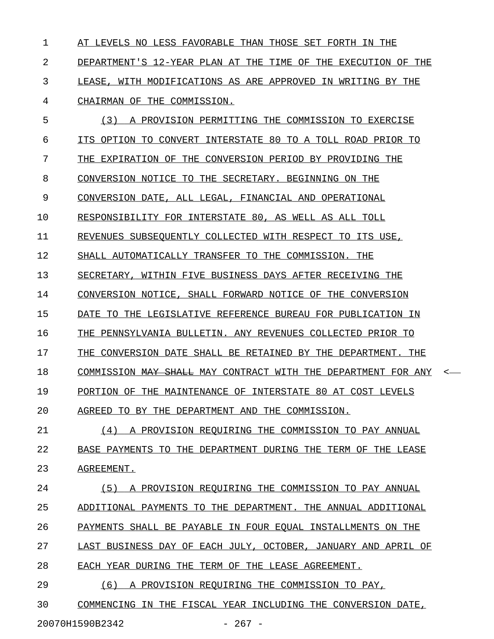1 AT LEVELS NO LESS FAVORABLE THAN THOSE SET FORTH IN THE 2 DEPARTMENT'S 12-YEAR PLAN AT THE TIME OF THE EXECUTION OF THE 3 LEASE, WITH MODIFICATIONS AS ARE APPROVED IN WRITING BY THE 4 CHAIRMAN OF THE COMMISSION.

5 (3) A PROVISION PERMITTING THE COMMISSION TO EXERCISE  $6$  ITS OPTION TO CONVERT INTERSTATE 80 TO A TOLL ROAD PRIOR TO 7 THE EXPIRATION OF THE CONVERSION PERIOD BY PROVIDING THE 8 CONVERSION NOTICE TO THE SECRETARY. BEGINNING ON THE 9 CONVERSION DATE, ALL LEGAL, FINANCIAL AND OPERATIONAL 10 RESPONSIBILITY FOR INTERSTATE 80, AS WELL AS ALL TOLL 11 REVENUES SUBSEQUENTLY COLLECTED WITH RESPECT TO ITS USE, 12 SHALL AUTOMATICALLY TRANSFER TO THE COMMISSION. THE 13 SECRETARY, WITHIN FIVE BUSINESS DAYS AFTER RECEIVING THE 14 CONVERSION NOTICE, SHALL FORWARD NOTICE OF THE CONVERSION 15 DATE TO THE LEGISLATIVE REFERENCE BUREAU FOR PUBLICATION IN 16 THE PENNSYLVANIA BULLETIN. ANY REVENUES COLLECTED PRIOR TO 17 THE CONVERSION DATE SHALL BE RETAINED BY THE DEPARTMENT. THE 18 COMMISSION <del>MAY SHALL</del> MAY CONTRACT WITH THE DEPARTMENT FOR ANY 19 PORTION OF THE MAINTENANCE OF INTERSTATE 80 AT COST LEVELS 20 AGREED TO BY THE DEPARTMENT AND THE COMMISSION. 21 (4) A PROVISION REQUIRING THE COMMISSION TO PAY ANNUAL 22 BASE PAYMENTS TO THE DEPARTMENT DURING THE TERM OF THE LEASE 23 AGREEMENT. 24 (5) A PROVISION REQUIRING THE COMMISSION TO PAY ANNUAL 25 ADDITIONAL PAYMENTS TO THE DEPARTMENT. THE ANNUAL ADDITIONAL 26 PAYMENTS SHALL BE PAYABLE IN FOUR EQUAL INSTALLMENTS ON THE 27 LAST BUSINESS DAY OF EACH JULY, OCTOBER, JANUARY AND APRIL OF 28 EACH YEAR DURING THE TERM OF THE LEASE AGREEMENT.

29 (6) A PROVISION REQUIRING THE COMMISSION TO PAY,

30 COMMENCING IN THE FISCAL YEAR INCLUDING THE CONVERSION DATE,

20070H1590B2342 - 267 -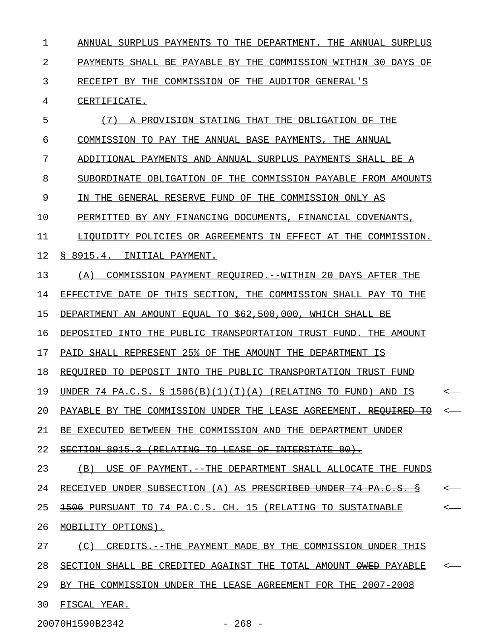1 ANNUAL SURPLUS PAYMENTS TO THE DEPARTMENT. THE ANNUAL SURPLUS 2 PAYMENTS SHALL BE PAYABLE BY THE COMMISSION WITHIN 30 DAYS OF 3 RECEIPT BY THE COMMISSION OF THE AUDITOR GENERAL'S 4 CERTIFICATE. 5 (7) A PROVISION STATING THAT THE OBLIGATION OF THE \_\_\_\_\_\_\_\_\_\_\_\_\_\_\_\_\_\_\_\_\_\_\_\_\_\_\_\_\_\_\_\_\_\_\_\_\_\_\_\_\_\_\_\_\_\_\_\_\_\_\_ 6 COMMISSION TO PAY THE ANNUAL BASE PAYMENTS, THE ANNUAL 7 ADDITIONAL PAYMENTS AND ANNUAL SURPLUS PAYMENTS SHALL BE A 8 SUBORDINATE OBLIGATION OF THE COMMISSION PAYABLE FROM AMOUNTS 9 IN THE GENERAL RESERVE FUND OF THE COMMISSION ONLY AS 10 PERMITTED BY ANY FINANCING DOCUMENTS, FINANCIAL COVENANTS, 11 LIQUIDITY POLICIES OR AGREEMENTS IN EFFECT AT THE COMMISSION. 12 § 8915.4. INITIAL PAYMENT. 13 (A) COMMISSION PAYMENT REQUIRED. -- WITHIN 20 DAYS AFTER THE 14 EFFECTIVE DATE OF THIS SECTION, THE COMMISSION SHALL PAY TO THE 15 DEPARTMENT AN AMOUNT EQUAL TO \$62,500,000, WHICH SHALL BE 16 DEPOSITED INTO THE PUBLIC TRANSPORTATION TRUST FUND. THE AMOUNT 17 PAID SHALL REPRESENT 25% OF THE AMOUNT THE DEPARTMENT IS 18 REQUIRED TO DEPOSIT INTO THE PUBLIC TRANSPORTATION TRUST FUND 19 UNDER 74 PA.C.S. § 1506(B)(1)(I)(A) (RELATING TO FUND) AND IS <-20 PAYABLE BY THE COMMISSION UNDER THE LEASE AGREEMENT. REOUIRED TO <-21 BE EXECUTED BETWEEN THE COMMISSION AND THE DEPARTMENT UNDER 22 SECTION 8915.3 (RELATING TO LEASE OF INTERSTATE 80). 23 (B) USE OF PAYMENT. --THE DEPARTMENT SHALL ALLOCATE THE FUNDS 24 RECEIVED UNDER SUBSECTION (A) AS PRESCRIBED UNDER 74 PA.C.S. § < 25 <del>1506</del> PURSUANT TO 74 PA.C.S. CH. 15 (RELATING TO SUSTAINABLE  $\sim$ 26 MOBILITY OPTIONS). 27 (C) CREDITS.--THE PAYMENT MADE BY THE COMMISSION UNDER THIS 28 SECTION SHALL BE CREDITED AGAINST THE TOTAL AMOUNT  $\Theta$ W<del>ED</del> PAYABLE <-29 BY THE COMMISSION UNDER THE LEASE AGREEMENT FOR THE 2007-2008 30 FISCAL YEAR.

20070H1590B2342 - 268 -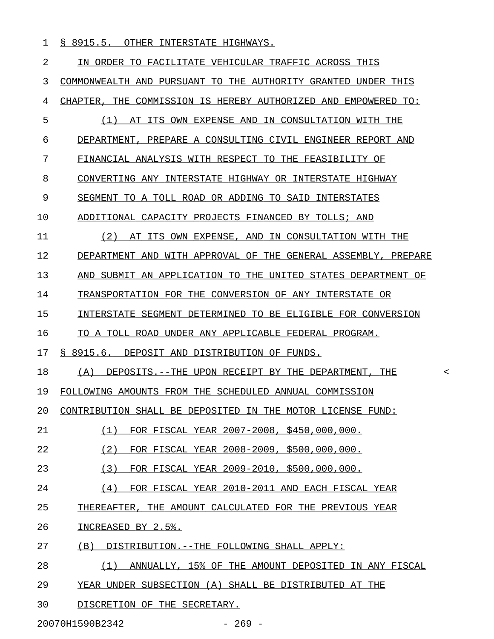1 § 8915.5. OTHER INTERSTATE HIGHWAYS.

| 2  | IN ORDER TO FACILITATE VEHICULAR TRAFFIC ACROSS THIS                       |
|----|----------------------------------------------------------------------------|
| 3  | COMMONWEALTH AND PURSUANT TO THE AUTHORITY GRANTED UNDER THIS              |
| 4  | CHAPTER, THE COMMISSION IS HEREBY AUTHORIZED AND EMPOWERED TO:             |
| 5  | AT ITS OWN EXPENSE AND IN CONSULTATION WITH THE<br>(1)                     |
| 6  | DEPARTMENT, PREPARE A CONSULTING CIVIL ENGINEER REPORT AND                 |
| 7  | FINANCIAL ANALYSIS WITH RESPECT TO THE FEASIBILITY OF                      |
| 8  | CONVERTING ANY INTERSTATE HIGHWAY OR INTERSTATE HIGHWAY                    |
| 9  | SEGMENT TO A TOLL ROAD OR ADDING TO SAID INTERSTATES                       |
| 10 | ADDITIONAL CAPACITY PROJECTS FINANCED BY TOLLS; AND                        |
| 11 | (2)<br>AT ITS OWN EXPENSE, AND IN CONSULTATION WITH THE                    |
| 12 | DEPARTMENT AND WITH APPROVAL OF THE GENERAL ASSEMBLY, PREPARE              |
| 13 | AND SUBMIT AN APPLICATION TO THE UNITED STATES DEPARTMENT OF               |
| 14 | TRANSPORTATION FOR THE CONVERSION OF ANY INTERSTATE OR                     |
| 15 | INTERSTATE SEGMENT DETERMINED TO BE ELIGIBLE FOR CONVERSION                |
| 16 | TO A TOLL ROAD UNDER ANY APPLICABLE FEDERAL PROGRAM.                       |
| 17 | § 8915.6. DEPOSIT AND DISTRIBUTION OF FUNDS.                               |
| 18 | DEPOSITS.-- <del>THE</del> UPON RECEIPT BY THE DEPARTMENT, THE<br>(A)<br>< |
| 19 | FOLLOWING AMOUNTS FROM THE SCHEDULED ANNUAL COMMISSION                     |
| 20 | CONTRIBUTION SHALL BE DEPOSITED IN THE MOTOR LICENSE FUND:                 |
| 21 | (1)<br>FOR FISCAL YEAR 2007-2008, \$450,000,000.                           |
| 22 | (2)<br>FOR FISCAL YEAR 2008-2009, \$500,000,000.                           |
| 23 | (3)<br>FOR FISCAL YEAR 2009-2010, \$500,000,000.                           |
| 24 | (4)<br>FOR FISCAL YEAR 2010-2011 AND EACH FISCAL YEAR                      |
| 25 | THEREAFTER, THE AMOUNT CALCULATED FOR THE PREVIOUS YEAR                    |
| 26 | INCREASED BY 2.5%.                                                         |
| 27 | DISTRIBUTION. -- THE FOLLOWING SHALL APPLY:<br>(B)                         |
| 28 | ANNUALLY, 15% OF THE AMOUNT DEPOSITED IN ANY FISCAL<br>(1)                 |
| 29 | YEAR UNDER SUBSECTION (A) SHALL BE DISTRIBUTED AT THE                      |
| 30 | DISCRETION OF THE SECRETARY.                                               |

20070H1590B2342 - 269 -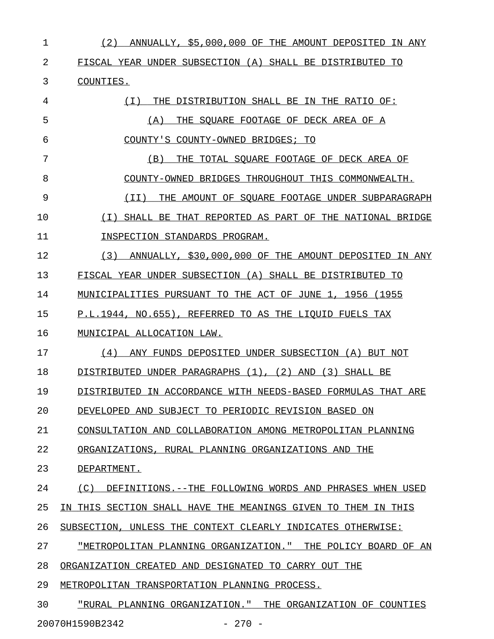| 1  | (2)<br>ANNUALLY, \$5,000,000 OF THE AMOUNT DEPOSITED<br>IN ANY |
|----|----------------------------------------------------------------|
| 2  | FISCAL YEAR UNDER SUBSECTION (A) SHALL BE DISTRIBUTED TO       |
| 3  | COUNTIES.                                                      |
| 4  | THE DISTRIBUTION SHALL BE IN THE RATIO OF:<br>( I )            |
| 5  | THE SOUARE FOOTAGE OF DECK AREA OF A<br>(A)                    |
| 6  | COUNTY'S COUNTY-OWNED BRIDGES; TO                              |
| 7  | THE TOTAL SOUARE FOOTAGE OF DECK AREA OF<br>(B)                |
| 8  | COUNTY-OWNED BRIDGES THROUGHOUT THIS COMMONWEALTH.             |
| 9  | THE AMOUNT OF SOUARE FOOTAGE UNDER SUBPARAGRAPH<br>( I I )     |
| 10 | SHALL BE THAT REPORTED AS PART OF THE NATIONAL BRIDGE<br>( I ) |
| 11 | INSPECTION STANDARDS PROGRAM.                                  |
| 12 | (3)<br>ANNUALLY, \$30,000,000 OF THE AMOUNT DEPOSITED IN ANY   |
| 13 | FISCAL YEAR UNDER SUBSECTION (A) SHALL BE DISTRIBUTED TO       |
| 14 | MUNICIPALITIES PURSUANT TO THE ACT OF JUNE 1, 1956 (1955       |
| 15 | P.L.1944, NO.655), REFERRED TO AS THE LIOUID FUELS TAX         |
| 16 | MUNICIPAL ALLOCATION LAW.                                      |
| 17 | ANY FUNDS DEPOSITED UNDER SUBSECTION (A) BUT NOT<br>(4)        |
| 18 | DISTRIBUTED UNDER PARAGRAPHS (1), (2) AND<br>(3) SHALL BE      |
| 19 | DISTRIBUTED IN ACCORDANCE WITH NEEDS-BASED FORMULAS THAT ARE   |
| 20 | DEVELOPED AND SUBJECT TO PERIODIC REVISION BASED ON            |
| 21 | CONSULTATION AND COLLABORATION AMONG METROPOLITAN PLANNING     |
| 22 | ORGANIZATIONS, RURAL PLANNING ORGANIZATIONS AND THE            |
| 23 | DEPARTMENT.                                                    |
| 24 | (C)<br>DEFINITIONS.--THE FOLLOWING WORDS AND PHRASES WHEN USED |
| 25 | IN THIS SECTION SHALL HAVE THE MEANINGS GIVEN TO THEM IN THIS  |
| 26 | SUBSECTION, UNLESS THE CONTEXT CLEARLY INDICATES OTHERWISE:    |
| 27 | "METROPOLITAN PLANNING ORGANIZATION." THE POLICY BOARD OF AN   |
| 28 | ORGANIZATION CREATED AND DESIGNATED TO CARRY OUT THE           |
| 29 | METROPOLITAN TRANSPORTATION PLANNING PROCESS.                  |
| 30 | "RURAL PLANNING ORGANIZATION." THE ORGANIZATION OF COUNTIES    |

20070H1590B2342 - 270 -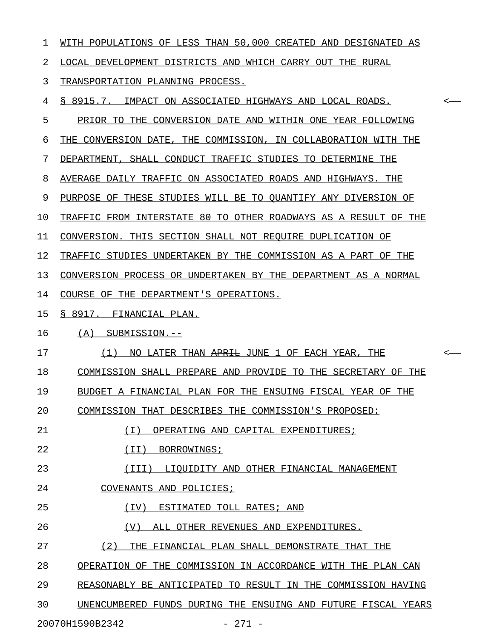| 1  | WITH POPULATIONS OF LESS THAN 50,000 CREATED AND DESIGNATED AS                       |
|----|--------------------------------------------------------------------------------------|
| 2  | LOCAL DEVELOPMENT DISTRICTS AND WHICH CARRY OUT THE RURAL                            |
| 3  | TRANSPORTATION PLANNING PROCESS.                                                     |
| 4  | § 8915.7. IMPACT ON ASSOCIATED HIGHWAYS AND LOCAL ROADS.<br>$\overline{\phantom{a}}$ |
| 5  | PRIOR TO THE CONVERSION DATE AND WITHIN ONE YEAR FOLLOWING                           |
| 6  | THE CONVERSION DATE, THE COMMISSION, IN COLLABORATION WITH THE                       |
| 7  | DEPARTMENT, SHALL CONDUCT TRAFFIC STUDIES TO DETERMINE THE                           |
| 8  | AVERAGE DAILY TRAFFIC ON ASSOCIATED ROADS AND HIGHWAYS. THE                          |
| 9  | PURPOSE OF THESE STUDIES WILL BE TO QUANTIFY ANY DIVERSION OF                        |
| 10 | TRAFFIC FROM INTERSTATE 80 TO OTHER ROADWAYS AS A RESULT OF THE                      |
| 11 | CONVERSION. THIS SECTION SHALL NOT REQUIRE DUPLICATION OF                            |
| 12 | TRAFFIC STUDIES UNDERTAKEN BY THE COMMISSION AS A PART OF THE                        |
| 13 | CONVERSION PROCESS OR UNDERTAKEN BY THE DEPARTMENT AS A NORMAL                       |
| 14 | COURSE OF THE DEPARTMENT'S OPERATIONS.                                               |
| 15 | § 8917. FINANCIAL PLAN.                                                              |
| 16 | (A) SUBMISSION.--                                                                    |
| 17 | (1)<br>NO LATER THAN APRIL JUNE 1 OF EACH YEAR, THE<br>$\overline{\phantom{a}}$      |
| 18 | COMMISSION SHALL PREPARE AND PROVIDE TO THE SECRETARY OF THE                         |
| 19 | BUDGET A FINANCIAL PLAN FOR THE ENSUING FISCAL YEAR OF THE                           |
| 20 | COMMISSION THAT DESCRIBES THE COMMISSION'S PROPOSED:                                 |
| 21 | ( I )<br>OPERATING AND CAPITAL EXPENDITURES;                                         |
| 22 | (II)<br>BORROWINGS;                                                                  |
| 23 | (III)<br>LIQUIDITY AND OTHER FINANCIAL MANAGEMENT                                    |
| 24 | COVENANTS AND POLICIES;                                                              |
| 25 | ESTIMATED TOLL RATES; AND<br>(TV)                                                    |
| 26 | (V)<br>ALL OTHER REVENUES AND EXPENDITURES.                                          |
| 27 | (2)<br>THE FINANCIAL PLAN SHALL DEMONSTRATE THAT THE                                 |
| 28 | OPERATION OF THE COMMISSION IN ACCORDANCE WITH THE PLAN CAN                          |
| 29 | REASONABLY BE ANTICIPATED TO RESULT IN THE COMMISSION HAVING                         |
| 30 |                                                                                      |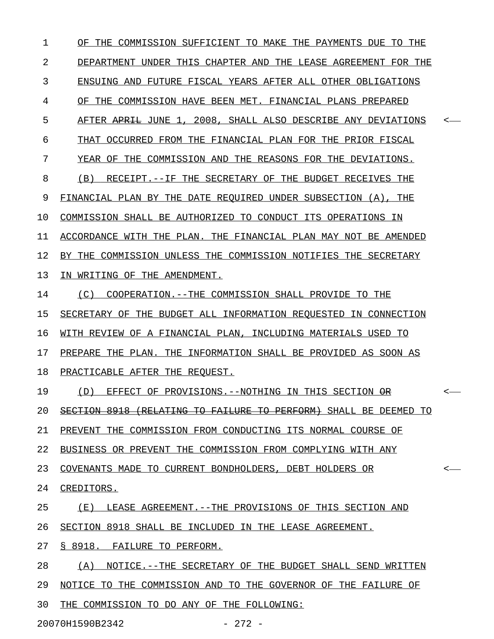1 OF THE COMMISSION SUFFICIENT TO MAKE THE PAYMENTS DUE TO THE 2 DEPARTMENT UNDER THIS CHAPTER AND THE LEASE AGREEMENT FOR THE 3 ENSUING AND FUTURE FISCAL YEARS AFTER ALL OTHER OBLIGATIONS 4 OF THE COMMISSION HAVE BEEN MET. FINANCIAL PLANS PREPARED 5 AFTER APRIL JUNE 1, 2008, SHALL ALSO DESCRIBE ANY DEVIATIONS 6 THAT OCCURRED FROM THE FINANCIAL PLAN FOR THE PRIOR FISCAL 7 YEAR OF THE COMMISSION AND THE REASONS FOR THE DEVIATIONS. 8 (B) RECEIPT.--IF THE SECRETARY OF THE BUDGET RECEIVES THE 9 FINANCIAL PLAN BY THE DATE REQUIRED UNDER SUBSECTION (A), THE 10 COMMISSION SHALL BE AUTHORIZED TO CONDUCT ITS OPERATIONS IN 11 ACCORDANCE WITH THE PLAN. THE FINANCIAL PLAN MAY NOT BE AMENDED 12 BY THE COMMISSION UNLESS THE COMMISSION NOTIFIES THE SECRETARY 13 IN WRITING OF THE AMENDMENT. 14 (C) COOPERATION.--THE COMMISSION SHALL PROVIDE TO THE 15 SECRETARY OF THE BUDGET ALL INFORMATION REQUESTED IN CONNECTION 16 WITH REVIEW OF A FINANCIAL PLAN, INCLUDING MATERIALS USED TO 17 PREPARE THE PLAN. THE INFORMATION SHALL BE PROVIDED AS SOON AS 18 PRACTICABLE AFTER THE REQUEST. 19 (D) EFFECT OF PROVISIONS.--NOTHING IN THIS SECTION  $\Theta$ R <-20 SECTION 8918 (RELATING TO FAILURE TO PERFORM) SHALL BE DEEMED TO 21 PREVENT THE COMMISSION FROM CONDUCTING ITS NORMAL COURSE OF 22 BUSINESS OR PREVENT THE COMMISSION FROM COMPLYING WITH ANY 23 COVENANTS MADE TO CURRENT BONDHOLDERS, DEBT HOLDERS OR <-24 CREDITORS. 25 (E) LEASE AGREEMENT. --THE PROVISIONS OF THIS SECTION AND 26 SECTION 8918 SHALL BE INCLUDED IN THE LEASE AGREEMENT. 27 § 8918. FAILURE TO PERFORM. 28 (A) NOTICE.--THE SECRETARY OF THE BUDGET SHALL SEND WRITTEN 29 NOTICE TO THE COMMISSION AND TO THE GOVERNOR OF THE FAILURE OF 30 THE COMMISSION TO DO ANY OF THE FOLLOWING: 20070H1590B2342 - 272 -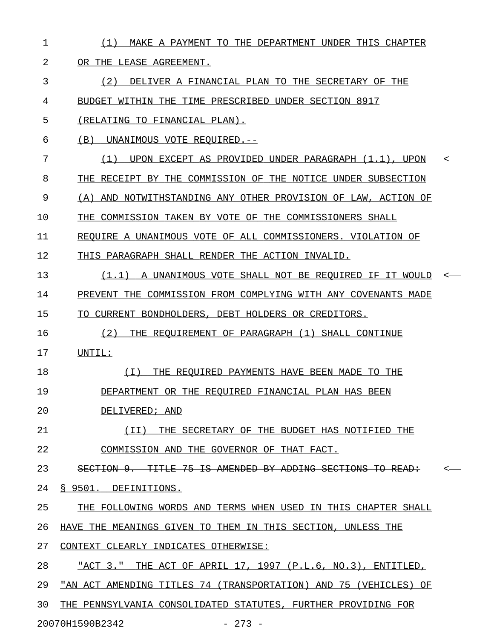| $\mathbf{1}$ | MAKE A PAYMENT TO THE DEPARTMENT UNDER THIS CHAPTER<br>(1)               |              |
|--------------|--------------------------------------------------------------------------|--------------|
| 2            | OR THE LEASE AGREEMENT.                                                  |              |
| 3            | (2) DELIVER A FINANCIAL PLAN TO THE SECRETARY OF THE                     |              |
| 4            | BUDGET WITHIN THE TIME PRESCRIBED UNDER SECTION 8917                     |              |
| 5            | (RELATING TO FINANCIAL PLAN).                                            |              |
| 6            | (B) UNANIMOUS VOTE REQUIRED.--                                           |              |
| 7            | $(1)$ UPON EXCEPT AS PROVIDED UNDER PARAGRAPH $(1.1)$ , UPON             | $\leftarrow$ |
| 8            | THE RECEIPT BY THE COMMISSION OF THE NOTICE UNDER SUBSECTION             |              |
| 9            | (A) AND NOTWITHSTANDING ANY OTHER PROVISION OF LAW, ACTION OF            |              |
| 10           | THE COMMISSION TAKEN BY VOTE OF THE COMMISSIONERS SHALL                  |              |
| 11           | REQUIRE A UNANIMOUS VOTE OF ALL COMMISSIONERS. VIOLATION OF              |              |
| 12           | THIS PARAGRAPH SHALL RENDER THE ACTION INVALID.                          |              |
| 13           | (1.1) A UNANIMOUS VOTE SHALL NOT BE REQUIRED IF IT WOULD                 |              |
| 14           | PREVENT THE COMMISSION FROM COMPLYING WITH ANY COVENANTS MADE            |              |
| 15           | TO CURRENT BONDHOLDERS, DEBT HOLDERS OR CREDITORS.                       |              |
| 16           | THE REQUIREMENT OF PARAGRAPH (1) SHALL CONTINUE<br>(2)                   |              |
| 17           | UNTIL:                                                                   |              |
| 18           | THE REQUIRED PAYMENTS HAVE BEEN MADE TO THE<br>(T)                       |              |
| 19           | DEPARTMENT OR THE REQUIRED FINANCIAL PLAN HAS BEEN                       |              |
| 20           | DELIVERED; AND                                                           |              |
| 21           | THE SECRETARY OF THE BUDGET HAS NOTIFIED THE<br>(II)                     |              |
| 22           | COMMISSION AND THE GOVERNOR OF THAT FACT.                                |              |
| 23           | SECTION 9. TITLE 75 IS AMENDED BY ADDING SECTIONS TO<br><del>READ:</del> |              |
| 24           | § 9501. DEFINITIONS.                                                     |              |
| 25           | THE FOLLOWING WORDS AND TERMS WHEN USED IN THIS CHAPTER SHALL            |              |
| 26           | HAVE THE MEANINGS GIVEN TO THEM IN THIS SECTION, UNLESS THE              |              |
| 27           | CONTEXT CLEARLY INDICATES OTHERWISE:                                     |              |
| 28           | "ACT 3." THE ACT OF APRIL 17, 1997 (P.L.6, NO.3), ENTITLED,              |              |
| 29           | "AN ACT AMENDING TITLES 74 (TRANSPORTATION) AND 75 (VEHICLES) OF         |              |
| 30           | THE PENNSYLVANIA CONSOLIDATED STATUTES, FURTHER PROVIDING FOR            |              |
|              | 20070H1590B2342<br>$-273 -$                                              |              |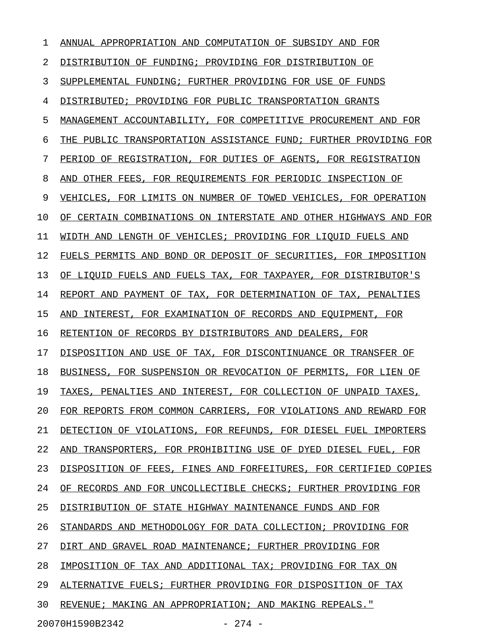| ı  | ANNUAL APPROPRIATION AND COMPUTATION OF SUBSIDY AND FOR          |
|----|------------------------------------------------------------------|
| 2  | DISTRIBUTION OF FUNDING; PROVIDING FOR DISTRIBUTION OF           |
| 3  | SUPPLEMENTAL FUNDING; FURTHER PROVIDING FOR USE OF FUNDS         |
| 4  | DISTRIBUTED; PROVIDING FOR PUBLIC TRANSPORTATION GRANTS          |
| 5  | MANAGEMENT ACCOUNTABILITY, FOR COMPETITIVE PROCUREMENT AND FOR   |
| 6  | THE PUBLIC TRANSPORTATION ASSISTANCE FUND; FURTHER PROVIDING FOR |
| 7  | PERIOD OF REGISTRATION, FOR DUTIES OF AGENTS, FOR REGISTRATION   |
| 8  | OTHER FEES, FOR REQUIREMENTS FOR PERIODIC INSPECTION OF<br>AND   |
| 9  | VEHICLES, FOR LIMITS ON NUMBER OF TOWED VEHICLES, FOR OPERATION  |
| 10 | OF CERTAIN COMBINATIONS ON INTERSTATE AND OTHER HIGHWAYS AND FOR |
| 11 | WIDTH AND LENGTH OF VEHICLES; PROVIDING FOR LIQUID FUELS AND     |
| 12 | FUELS PERMITS AND BOND OR DEPOSIT OF SECURITIES, FOR IMPOSITION  |
| 13 | OF LIOUID FUELS AND FUELS TAX, FOR TAXPAYER, FOR DISTRIBUTOR'S   |
| 14 | REPORT AND PAYMENT OF TAX, FOR DETERMINATION OF TAX, PENALTIES   |
| 15 | INTEREST, FOR EXAMINATION OF RECORDS AND EOUIPMENT, FOR<br>AND   |
| 16 | RETENTION OF RECORDS BY DISTRIBUTORS AND DEALERS, FOR            |
| 17 | DISPOSITION AND USE OF TAX, FOR DISCONTINUANCE OR TRANSFER OF    |
| 18 | BUSINESS, FOR SUSPENSION OR REVOCATION OF PERMITS, FOR LIEN OF   |
| 19 | TAXES, PENALTIES AND INTEREST, FOR COLLECTION OF UNPAID TAXES,   |
| 20 | FOR REPORTS FROM COMMON CARRIERS, FOR VIOLATIONS AND REWARD FOR  |
| 21 | DETECTION OF VIOLATIONS, FOR REFUNDS, FOR DIESEL FUEL IMPORTERS  |
| 22 | AND TRANSPORTERS, FOR PROHIBITING USE OF DYED DIESEL FUEL, FOR   |
| 23 | DISPOSITION OF FEES, FINES AND FORFEITURES, FOR CERTIFIED COPIES |
| 24 | OF RECORDS AND FOR UNCOLLECTIBLE CHECKS; FURTHER PROVIDING FOR   |
| 25 | DISTRIBUTION OF STATE HIGHWAY MAINTENANCE FUNDS AND FOR          |
| 26 | STANDARDS AND METHODOLOGY FOR DATA COLLECTION; PROVIDING FOR     |
| 27 | DIRT AND GRAVEL ROAD MAINTENANCE; FURTHER PROVIDING FOR          |
| 28 | IMPOSITION OF TAX AND ADDITIONAL TAX; PROVIDING FOR TAX ON       |
| 29 | ALTERNATIVE FUELS; FURTHER PROVIDING FOR DISPOSITION OF TAX      |
| 30 | REVENUE; MAKING AN APPROPRIATION; AND MAKING REPEALS."           |
|    |                                                                  |

20070H1590B2342 - 274 -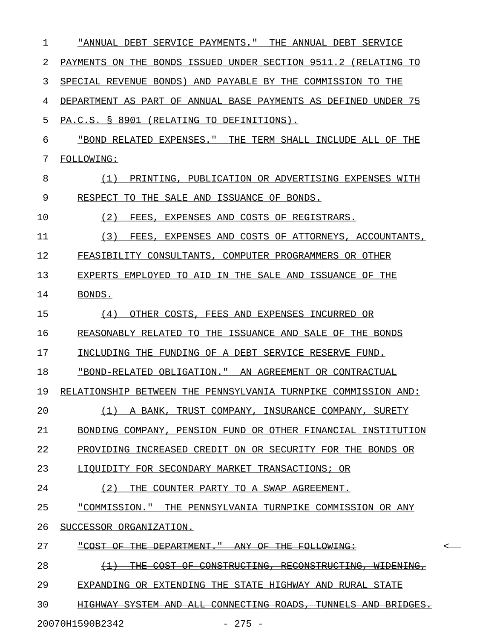| 1  | "ANNUAL DEBT SERVICE PAYMENTS." THE ANNUAL DEBT SERVICE                                       |  |
|----|-----------------------------------------------------------------------------------------------|--|
| 2  | PAYMENTS ON THE BONDS ISSUED UNDER SECTION 9511.2 (RELATING TO                                |  |
| 3  | SPECIAL REVENUE BONDS) AND PAYABLE BY THE COMMISSION TO THE                                   |  |
| 4  | DEPARTMENT AS PART OF ANNUAL BASE PAYMENTS AS DEFINED UNDER 75                                |  |
| 5  | PA.C.S. § 8901 (RELATING TO DEFINITIONS).                                                     |  |
| 6  | "BOND RELATED EXPENSES." THE TERM SHALL INCLUDE ALL OF THE                                    |  |
| 7  | <b>FOLLOWING:</b>                                                                             |  |
| 8  | (1)<br>PRINTING, PUBLICATION OR ADVERTISING EXPENSES WITH                                     |  |
| 9  | RESPECT TO THE SALE AND ISSUANCE OF BONDS.                                                    |  |
| 10 | (2)<br>FEES, EXPENSES AND COSTS OF REGISTRARS.                                                |  |
| 11 | (3)<br>FEES, EXPENSES AND COSTS OF ATTORNEYS, ACCOUNTANTS,                                    |  |
| 12 | FEASIBILITY CONSULTANTS, COMPUTER PROGRAMMERS OR OTHER                                        |  |
| 13 | EXPERTS EMPLOYED TO AID IN THE SALE AND ISSUANCE OF THE                                       |  |
| 14 | BONDS.                                                                                        |  |
| 15 | OTHER COSTS, FEES AND EXPENSES INCURRED OR<br>(4)                                             |  |
| 16 | REASONABLY RELATED TO THE ISSUANCE AND SALE OF THE BONDS                                      |  |
| 17 | INCLUDING THE FUNDING OF A DEBT SERVICE RESERVE FUND.                                         |  |
| 18 | "BOND-RELATED OBLIGATION." AN AGREEMENT OR CONTRACTUAL                                        |  |
| 19 | RELATIONSHIP BETWEEN THE PENNSYLVANIA TURNPIKE COMMISSION AND:                                |  |
| 20 | (1)<br>A BANK, TRUST COMPANY, INSURANCE COMPANY, SURETY                                       |  |
| 21 | BONDING COMPANY, PENSION FUND OR OTHER FINANCIAL INSTITUTION                                  |  |
| 22 | PROVIDING INCREASED CREDIT ON OR SECURITY FOR THE BONDS OR                                    |  |
| 23 | LIQUIDITY FOR SECONDARY MARKET TRANSACTIONS; OR                                               |  |
| 24 | (2)<br>THE COUNTER PARTY TO A SWAP AGREEMENT.                                                 |  |
| 25 | "COMMISSION." THE PENNSYLVANIA TURNPIKE COMMISSION OR ANY                                     |  |
| 26 | SUCCESSOR ORGANIZATION.                                                                       |  |
| 27 | THE DEPARTMENT." ANY OF THE FOLLOWING:<br><del>"COST-</del><br>$\Theta$ F $-$                 |  |
| 28 | COST OF CONSTRUCTING,<br>$\leftrightarrow$<br><del>THE.</del><br>RECONSTRUCTING,<br>WIDENING. |  |
| 29 | EXPANDING OR EXTENDING THE STATE HIGHWAY AND RURAL<br><del>STATE</del>                        |  |
| 30 | <b>HIGHWAY SYSTEM AND ALL CONNECTING ROADS.</b><br>TUNNELS AND BRIDGES.                       |  |
|    | $-275 -$<br>20070H1590B2342                                                                   |  |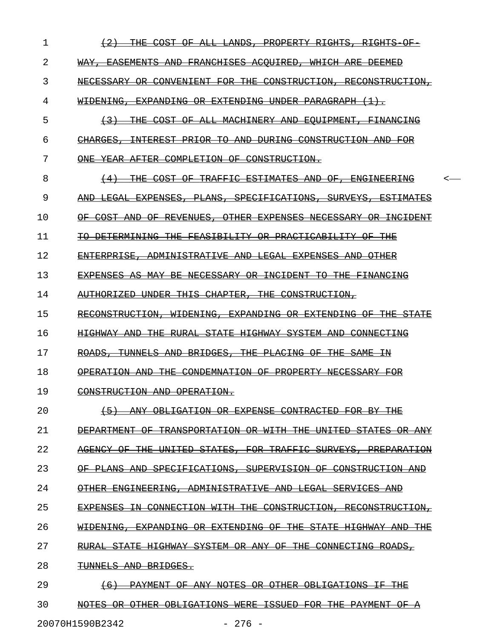| 1  | 平田民<br>COST<br><del>R T GHT S</del><br><del>RTGHTS</del>                                                                                                                     |
|----|------------------------------------------------------------------------------------------------------------------------------------------------------------------------------|
| 2  | <b>EASEMENTS</b><br>FRANCHISES<br>WHICH<br>AND<br><del>ACOUIRED.</del><br>ARE<br>WAY<br><del>DEEMED</del>                                                                    |
| 3  | CONSTRUCTION,<br><b>NECESSARY</b><br>FOR<br><del>THE</del><br>RECONSTRUCTION<br><del>CONVENIENT</del>                                                                        |
| 4  | <b>EXTENDING</b><br>PARAGRAPH<br>WIDENING.<br><del>EXPANDING</del><br><del>UNDER</del><br>ÐR                                                                                 |
| 5  | <del>THE</del><br>COST<br>ΑF<br>$\overline{\mathrm{A}}\mathrm{L}\mathrm{L}$<br><del>MACHINERY</del><br>AND<br><del>EOU PMENT</del><br><del>FINANCING</del><br><del>(3)</del> |
| 6  | ŦА<br>CONSTRUCTION<br>CHARGES<br><del>TNTEREST</del><br><del>PRIAR</del><br>AND<br><del>DHR TNG</del><br>AN∓                                                                 |
| 7  | COMPLETTON<br>CONSTRUCTION.<br>AFTER<br>-OF-<br><del>ONF.</del>                                                                                                              |
| 8  | <del>THE.</del><br>COST<br><del>TRAFFIC</del><br><b>ESTIMATES</b><br>ΑF<br>AND<br><del>ENGINEER ING</del><br>θË                                                              |
| 9  | EXPENSES.<br>SPECIFICATIONS,<br><b>SURVEYS</b><br><b>ESTIMATES</b><br>PŦ<br>ANS<br><b>ANE</b><br><del>LEGAL</del>                                                            |
| 10 | REVENUES.<br><b>OTHER</b><br><b>EXPENSES</b><br><b>NECESSARY</b><br><del>INCTD</del><br>θË                                                                                   |
| 11 | 꾸표표<br><b>FEASTBIL</b><br><del>PRACTICABILITY</del><br><b>DETERMINING</b><br>ŦŦ¥<br><del>THE</del><br>θR                                                                     |
| 12 | ADMINISTRATIVE<br><del>ENTERPRISE</del><br>AND<br><del>LEGAL</del><br><del>FXPENSES</del><br>AND<br><b>OTHER</b>                                                             |
| 13 | ŦА<br>꾸HE<br><b>EXPENSES</b><br>MAY<br>₽F.<br><b>NECESSARY</b><br><del>INCIDENT</del><br><del>FINANCING</del><br><del>AS</del>                                               |
| 14 | CHAPTER<br><b>THE</b><br>CONSTRUCTION,<br>AUTHORIZED<br><del>UNDER</del><br><del>THT S</del>                                                                                 |
| 15 | RECONSTRUCTION<br>平田民<br>WIDENING,<br><del>EXPANDING</del>                                                                                                                   |
| 16 | <b>STATE</b><br><del>SYSTEM</del><br>CONNECTING<br>ᇚᅚᅚ<br><del>RHR AT</del><br><del>HIGHWAY</del><br>ANE<br>ANE                                                              |
| 17 | ŦĦE<br>ŦĦE<br><del>TIJNNEI</del><br>GES<br><u>SAME</u><br>ΞN                                                                                                                 |
| 18 | <b>THE</b><br><b>NECESSARY</b><br><b>OPERATION</b><br>CONDEMNATION<br>ANF                                                                                                    |
| 19 | CONSTRUCTION<br>OPERATION.<br>AND                                                                                                                                            |
| 20 | CONTRA<br><b>CTEE</b><br><b>TGATION</b><br><b>EXPENSE</b><br>ANY<br>ABI<br>ΘR<br>FOR<br><del>THE</del>                                                                       |
| 21 | <b>STATES</b><br><b>DEPARTMENT</b><br><b>TRANSPORTATION</b><br>W <del>ITH</del><br><b>THE</b><br><b>UNITED</b><br>θF<br>ΘR<br>ΘR<br><u>ANY</u>                               |
| 22 | STATES,<br>TRAFFIC<br>SURVEYS,<br><b>AGENCY</b><br>THE<br><b>UNITED</b><br>FOR<br>PREPARATION<br>θ₽                                                                          |
| 23 | CONSTRUCTION<br>SPECIFICATIONS,<br><b>SUPERVISION</b><br><b>PLANS</b><br><del>AND</del><br>θF<br>ΘF<br>AND                                                                   |
| 24 | <b>ADMINISTRATIVE</b><br><b>OTHER</b><br><del>ENGINEERING,</del><br><del>LEGAL</del><br><b>SERVICES</b><br>AND<br><del>AND</del>                                             |
| 25 | CONSTRUCTION<br>CONNECTION<br>W <del>ITH</del><br><b>THE</b><br>RECONSTRUCTION,<br><b>EXPENSES</b><br>ΞN                                                                     |
| 26 | <b>EXTENDING</b><br><b>STATE</b><br><b>EXPANDING</b><br><del>THE</del><br><b>HIGHWAY</b><br>WIDENING,<br>θR<br>θF<br><del>AND</del><br><del>THE</del>                        |
| 27 | <b>SYSTEM</b><br><b>STATE</b><br><b>HIGHWAY</b><br><b>THE</b><br>CONNECTING<br><del>OR</del><br>θ₽<br>ROADS,<br><del>RURAL</del><br><del>ANY</del>                           |
| 28 | <b>TUNNELS</b><br>AND BRIDGES.                                                                                                                                               |
| 29 | OTHER<br><b>OBLIGATIONS</b><br>$\left(6\right)$<br><del>PAYMENT</del><br>θ₽<br><b>NOTES</b><br>ŦĦE<br>ANY<br>ΘR<br>ΞŦ                                                        |
| 30 | NOTES OR OTHER OBLIGATIONS<br><b>ISSUED</b><br><b>THE</b><br><b>PAYMENT</b><br><del>WERE</del><br>$_{\rm FOR}$<br>ΘF<br>Α                                                    |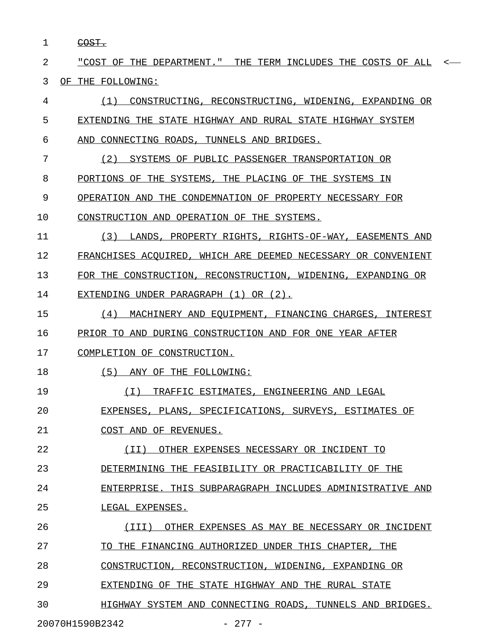1 COST. \_\_\_\_\_

2 "COST OF THE DEPARTMENT." THE TERM INCLUDES THE COSTS OF ALL < \_\_\_\_\_\_\_\_\_\_\_\_\_\_\_\_\_\_\_\_\_\_\_\_\_\_\_\_\_\_\_\_\_\_\_\_\_\_\_\_\_\_\_\_\_\_\_\_\_\_\_\_\_\_\_\_\_\_\_\_\_ 3 OF THE FOLLOWING:

4 (1) CONSTRUCTING, RECONSTRUCTING, WIDENING, EXPANDING OR 5 EXTENDING THE STATE HIGHWAY AND RURAL STATE HIGHWAY SYSTEM 6 AND CONNECTING ROADS, TUNNELS AND BRIDGES. 7 (2) SYSTEMS OF PUBLIC PASSENGER TRANSPORTATION OR 8 PORTIONS OF THE SYSTEMS, THE PLACING OF THE SYSTEMS IN 9 OPERATION AND THE CONDEMNATION OF PROPERTY NECESSARY FOR 10 CONSTRUCTION AND OPERATION OF THE SYSTEMS. 11 (3) LANDS, PROPERTY RIGHTS, RIGHTS-OF-WAY, EASEMENTS AND 12 FRANCHISES ACQUIRED, WHICH ARE DEEMED NECESSARY OR CONVENIENT 13 FOR THE CONSTRUCTION, RECONSTRUCTION, WIDENING, EXPANDING OR 14 EXTENDING UNDER PARAGRAPH (1) OR (2). 15 (4) MACHINERY AND EQUIPMENT, FINANCING CHARGES, INTEREST 16 PRIOR TO AND DURING CONSTRUCTION AND FOR ONE YEAR AFTER 17 COMPLETION OF CONSTRUCTION. 18 (5) ANY OF THE FOLLOWING: 19 (I) TRAFFIC ESTIMATES, ENGINEERING AND LEGAL \_\_\_\_\_\_\_\_\_\_\_\_\_\_\_\_\_\_\_\_\_\_\_\_\_\_\_\_\_\_\_\_\_\_\_\_\_\_\_\_\_\_\_\_\_ 20 EXPENSES, PLANS, SPECIFICATIONS, SURVEYS, ESTIMATES OF 21 COST AND OF REVENUES. 22 (II) OTHER EXPENSES NECESSARY OR INCIDENT TO \_\_\_\_\_\_\_\_\_\_\_\_\_\_\_\_\_\_\_\_\_\_\_\_\_\_\_\_\_\_\_\_\_\_\_\_\_\_\_\_\_\_\_\_\_ 23 DETERMINING THE FEASIBILITY OR PRACTICABILITY OF THE 24 ENTERPRISE. THIS SUBPARAGRAPH INCLUDES ADMINISTRATIVE AND 25 LEGAL EXPENSES. 26 (III) OTHER EXPENSES AS MAY BE NECESSARY OR INCIDENT \_\_\_\_\_\_\_\_\_\_\_\_\_\_\_\_\_\_\_\_\_\_\_\_\_\_\_\_\_\_\_\_\_\_\_\_\_\_\_\_\_\_\_\_\_\_\_\_\_\_\_\_\_ 27 TO THE FINANCING AUTHORIZED UNDER THIS CHAPTER, THE 28 CONSTRUCTION, RECONSTRUCTION, WIDENING, EXPANDING OR 29 EXTENDING OF THE STATE HIGHWAY AND THE RURAL STATE 30 HIGHWAY SYSTEM AND CONNECTING ROADS, TUNNELS AND BRIDGES.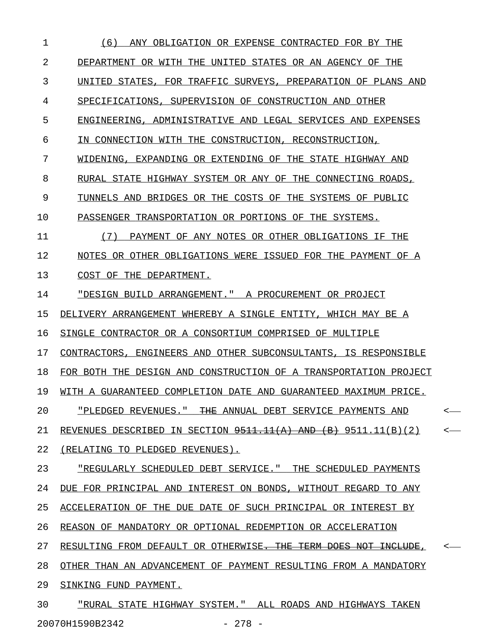1 (6) ANY OBLIGATION OR EXPENSE CONTRACTED FOR BY THE 2 DEPARTMENT OR WITH THE UNITED STATES OR AN AGENCY OF THE 3 UNITED STATES, FOR TRAFFIC SURVEYS, PREPARATION OF PLANS AND 4 SPECIFICATIONS, SUPERVISION OF CONSTRUCTION AND OTHER 5 ENGINEERING, ADMINISTRATIVE AND LEGAL SERVICES AND EXPENSES 6 IN CONNECTION WITH THE CONSTRUCTION, RECONSTRUCTION, 7 WIDENING, EXPANDING OR EXTENDING OF THE STATE HIGHWAY AND 8 RURAL STATE HIGHWAY SYSTEM OR ANY OF THE CONNECTING ROADS, 9 TUNNELS AND BRIDGES OR THE COSTS OF THE SYSTEMS OF PUBLIC 10 PASSENGER TRANSPORTATION OR PORTIONS OF THE SYSTEMS. 11 (7) PAYMENT OF ANY NOTES OR OTHER OBLIGATIONS IF THE 12 NOTES OR OTHER OBLIGATIONS WERE ISSUED FOR THE PAYMENT OF A 13 COST OF THE DEPARTMENT. 14 "DESIGN BUILD ARRANGEMENT." A PROCUREMENT OR PROJECT 15 DELIVERY ARRANGEMENT WHEREBY A SINGLE ENTITY, WHICH MAY BE A 16 SINGLE CONTRACTOR OR A CONSORTIUM COMPRISED OF MULTIPLE 17 CONTRACTORS, ENGINEERS AND OTHER SUBCONSULTANTS, IS RESPONSIBLE 18 FOR BOTH THE DESIGN AND CONSTRUCTION OF A TRANSPORTATION PROJECT 19 WITH A GUARANTEED COMPLETION DATE AND GUARANTEED MAXIMUM PRICE. 20 <u>"PLEDGED REVENUES." THE ANNUAL DEBT SERVICE PAYMENTS AND</u> <-21 REVENUES DESCRIBED IN SECTION  $9511.11(A)$  AND (B) 9511.11(B)(2) <-22 (RELATING TO PLEDGED REVENUES). 23 TREGULARLY SCHEDULED DEBT SERVICE. " THE SCHEDULED PAYMENTS 24 DUE FOR PRINCIPAL AND INTEREST ON BONDS, WITHOUT REGARD TO ANY 25 ACCELERATION OF THE DUE DATE OF SUCH PRINCIPAL OR INTEREST BY 26 REASON OF MANDATORY OR OPTIONAL REDEMPTION OR ACCELERATION 27 RESULTING FROM DEFAULT OR OTHERWISE<del>. THE TERM DOES NOT INCLUDE</del>, 28 OTHER THAN AN ADVANCEMENT OF PAYMENT RESULTING FROM A MANDATORY 29 SINKING FUND PAYMENT. 30 "RURAL STATE HIGHWAY SYSTEM." ALL ROADS AND HIGHWAYS TAKEN

20070H1590B2342 - 278 -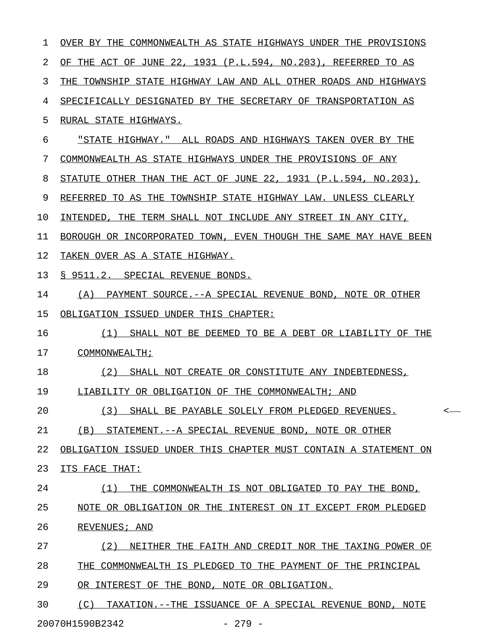| 1  | OVER BY THE COMMONWEALTH AS STATE HIGHWAYS UNDER THE PROVISIONS  |
|----|------------------------------------------------------------------|
| 2  | OF THE ACT OF JUNE 22, 1931 (P.L.594, NO.203), REFERRED TO AS    |
| 3  | THE TOWNSHIP STATE HIGHWAY LAW AND ALL OTHER ROADS AND HIGHWAYS  |
| 4  | SPECIFICALLY DESIGNATED BY THE SECRETARY OF TRANSPORTATION AS    |
| 5  | RURAL STATE HIGHWAYS.                                            |
| 6  | "STATE HIGHWAY." ALL ROADS AND HIGHWAYS TAKEN OVER BY THE        |
| 7  | COMMONWEALTH AS STATE HIGHWAYS UNDER THE PROVISIONS OF ANY       |
| 8  | STATUTE OTHER THAN THE ACT OF JUNE 22, 1931 (P.L.594, NO.203),   |
| 9  | REFERRED TO AS THE TOWNSHIP STATE HIGHWAY LAW. UNLESS CLEARLY    |
| 10 | INTENDED, THE TERM SHALL NOT INCLUDE ANY STREET IN ANY CITY,     |
| 11 | BOROUGH OR INCORPORATED TOWN, EVEN THOUGH THE SAME MAY HAVE BEEN |
| 12 | TAKEN OVER AS A STATE HIGHWAY.                                   |
| 13 | S 9511.2. SPECIAL REVENUE BONDS.                                 |
| 14 | (A) PAYMENT SOURCE.--A SPECIAL REVENUE BOND, NOTE OR OTHER       |
| 15 | OBLIGATION ISSUED UNDER THIS CHAPTER:                            |
| 16 | (1) SHALL NOT BE DEEMED TO BE A DEBT OR LIABILITY OF THE         |
| 17 | COMMONWEALTH;                                                    |
| 18 | (2)<br>SHALL NOT CREATE OR CONSTITUTE ANY INDEBTEDNESS,          |
| 19 | LIABILITY OR OBLIGATION OF THE COMMONWEALTH; AND                 |
| 20 | (3) SHALL BE PAYABLE SOLELY FROM PLEDGED REVENUES.<br>$\,<\,$    |
| 21 | (B) STATEMENT.--A SPECIAL REVENUE BOND, NOTE OR OTHER            |
| 22 | OBLIGATION ISSUED UNDER THIS CHAPTER MUST CONTAIN A STATEMENT ON |
| 23 | ITS FACE THAT:                                                   |
| 24 | (1)<br>THE COMMONWEALTH IS NOT OBLIGATED TO PAY THE BOND,        |
| 25 | NOTE OR OBLIGATION OR THE INTEREST ON IT EXCEPT FROM PLEDGED     |
| 26 | REVENUES; AND                                                    |
| 27 | (2)<br>NEITHER THE FAITH AND CREDIT NOR THE TAXING POWER OF      |
| 28 | THE COMMONWEALTH IS PLEDGED TO THE PAYMENT OF THE PRINCIPAL      |
| 29 | OR INTEREST OF THE BOND, NOTE OR OBLIGATION.                     |
| 30 | (C)<br>TAXATION. --THE ISSUANCE OF A SPECIAL REVENUE BOND, NOTE  |
|    | 20070H1590B2342<br>$-279 -$                                      |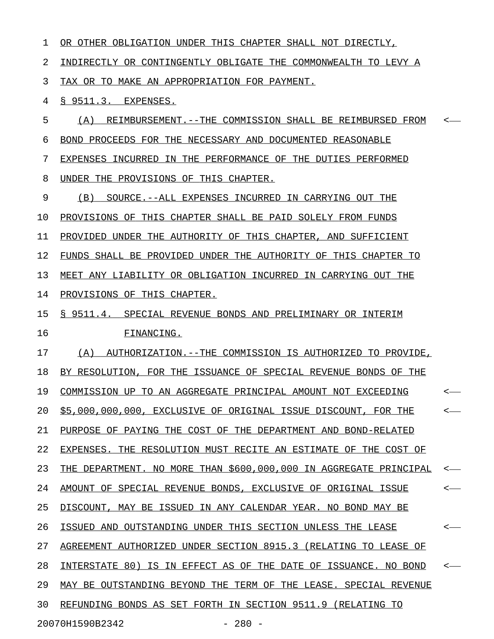| $\mathbf 1$ | OR OTHER OBLIGATION UNDER THIS CHAPTER SHALL NOT DIRECTLY,         |                  |
|-------------|--------------------------------------------------------------------|------------------|
| 2           | INDIRECTLY OR CONTINGENTLY OBLIGATE THE COMMONWEALTH TO LEVY A     |                  |
| 3           | TAX OR TO MAKE AN APPROPRIATION FOR PAYMENT.                       |                  |
| 4           | § 9511.3. EXPENSES.                                                |                  |
| 5           | (A) REIMBURSEMENT. -- THE COMMISSION SHALL BE REIMBURSED FROM <-   |                  |
| 6           | BOND PROCEEDS FOR THE NECESSARY AND DOCUMENTED REASONABLE          |                  |
| 7           | EXPENSES INCURRED IN THE PERFORMANCE OF THE DUTIES PERFORMED       |                  |
| 8           | UNDER THE PROVISIONS OF THIS CHAPTER.                              |                  |
| 9           | (B) SOURCE. -- ALL EXPENSES INCURRED IN CARRYING OUT THE           |                  |
| 10          | PROVISIONS OF THIS CHAPTER SHALL BE PAID SOLELY FROM FUNDS         |                  |
| 11          | PROVIDED UNDER THE AUTHORITY OF THIS CHAPTER, AND SUFFICIENT       |                  |
| 12          | FUNDS SHALL BE PROVIDED UNDER THE AUTHORITY OF THIS CHAPTER TO     |                  |
| 13          | MEET ANY LIABILITY OR OBLIGATION INCURRED IN CARRYING OUT THE      |                  |
| 14          | PROVISIONS OF THIS CHAPTER.                                        |                  |
| 15          | § 9511.4. SPECIAL REVENUE BONDS AND PRELIMINARY OR INTERIM         |                  |
| 16          | FINANCING.                                                         |                  |
| 17          | (A) AUTHORIZATION.--THE COMMISSION IS AUTHORIZED TO PROVIDE,       |                  |
| 18          | BY RESOLUTION, FOR THE ISSUANCE OF SPECIAL REVENUE BONDS OF THE    |                  |
| 19          | COMMISSION UP TO AN AGGREGATE PRINCIPAL AMOUNT NOT EXCEEDING       | $\longleftarrow$ |
| 20          | \$5,000,000,000, EXCLUSIVE OF ORIGINAL ISSUE DISCOUNT,<br>FOR THE  |                  |
| 21          | PURPOSE OF PAYING THE COST OF THE DEPARTMENT AND BOND-RELATED      |                  |
| 22          | EXPENSES. THE RESOLUTION MUST RECITE AN ESTIMATE OF THE COST OF    |                  |
| 23          | THE DEPARTMENT. NO MORE THAN \$600,000,000 IN AGGREGATE PRINCIPAL  |                  |
| 24          | AMOUNT OF SPECIAL REVENUE BONDS, EXCLUSIVE OF ORIGINAL<br>ISSUE    |                  |
| 25          | DISCOUNT, MAY BE ISSUED IN ANY CALENDAR YEAR. NO BOND MAY BE       |                  |
| 26          | ISSUED AND OUTSTANDING UNDER THIS SECTION UNLESS THE LEASE         |                  |
| 27          | AGREEMENT AUTHORIZED UNDER SECTION 8915.3 (RELATING TO LEASE OF    |                  |
| 28          | INTERSTATE 80) IS IN EFFECT AS OF THE DATE OF ISSUANCE.<br>NO BOND |                  |
| 29          | MAY BE OUTSTANDING BEYOND THE TERM OF THE LEASE. SPECIAL REVENUE   |                  |
| 30          | REFUNDING BONDS AS SET FORTH IN SECTION 9511.9 (RELATING TO        |                  |
|             | 20070H1590B2342<br>$-280 -$                                        |                  |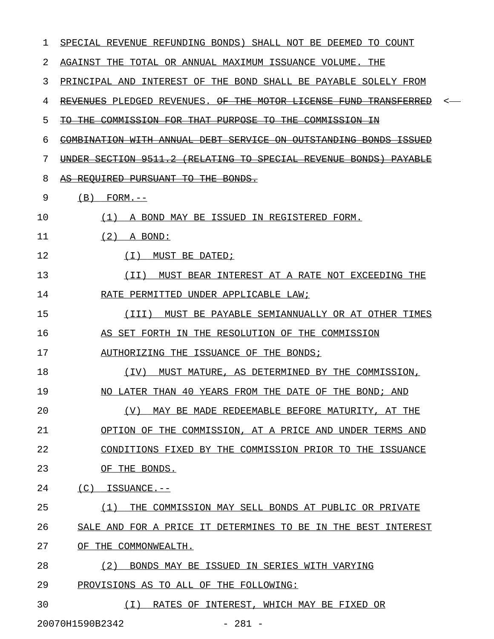| 1  | SPECIAL REVENUE REFUNDING BONDS) SHALL NOT BE DEEMED TO COUNT                  |
|----|--------------------------------------------------------------------------------|
| 2  | AGAINST THE TOTAL OR ANNUAL MAXIMUM ISSUANCE VOLUME. THE                       |
| 3  | PRINCIPAL AND INTEREST OF THE BOND SHALL BE PAYABLE SOLELY FROM                |
| 4  | REVENUES PLEDGED REVENUES. OF THE MOTOR LICENSE FUND TRANSFERRED<br><          |
| 5  | COMMISSION FOR THAT PURPOSE TO THE COMMISSION IN<br><del>TO THE</del>          |
| 6  | COMBINATION WITH ANNUAL DEBT SERVICE ON OUTSTANDING BONDS ISSUED               |
| 7  | UNDER SECTION 9511.2 (RELATING TO SPECIAL REVENUE BONDS)<br><del>PAYABLE</del> |
| 8  | AS REQUIRED PURSUANT TO THE BONDS.                                             |
| 9  | (B)<br>$FORM. --$                                                              |
| 10 | (1)<br>A BOND MAY BE ISSUED IN REGISTERED FORM.                                |
| 11 | (2)<br>A BOND:                                                                 |
| 12 | (T)<br>MUST BE DATED;                                                          |
| 13 | MUST BEAR INTEREST AT A RATE NOT EXCEEDING THE<br>(II)                         |
| 14 | RATE PERMITTED UNDER APPLICABLE LAW;                                           |
| 15 | (III)<br>MUST BE PAYABLE SEMIANNUALLY OR AT OTHER TIMES                        |
| 16 | AS SET FORTH IN THE RESOLUTION OF THE COMMISSION                               |
| 17 | AUTHORIZING THE ISSUANCE OF THE BONDS;                                         |
| 18 | (TV)<br>MUST MATURE, AS DETERMINED BY THE COMMISSION,                          |
| 19 | NO LATER THAN 40 YEARS FROM THE DATE OF THE BOND; AND                          |
| 20 | (V)<br>MAY BE MADE REDEEMABLE BEFORE MATURITY, AT THE                          |
| 21 | OPTION OF THE COMMISSION, AT A PRICE AND UNDER TERMS AND                       |
| 22 | CONDITIONS FIXED BY THE COMMISSION PRIOR TO THE ISSUANCE                       |
| 23 | OF THE BONDS.                                                                  |
| 24 | $(C)$ ISSUANCE.--                                                              |
| 25 | THE COMMISSION MAY SELL BONDS AT PUBLIC OR PRIVATE<br>(1)                      |
| 26 | SALE AND FOR A PRICE IT DETERMINES TO BE IN THE BEST INTEREST                  |
| 27 | OF THE COMMONWEALTH.                                                           |
| 28 | (2)<br>BONDS MAY BE ISSUED IN SERIES WITH VARYING                              |
| 29 | PROVISIONS AS TO ALL OF THE FOLLOWING:                                         |
| 30 | RATES OF INTEREST, WHICH MAY BE FIXED OR<br>( I )                              |
|    | 20070H1590B2342<br>$-281 -$                                                    |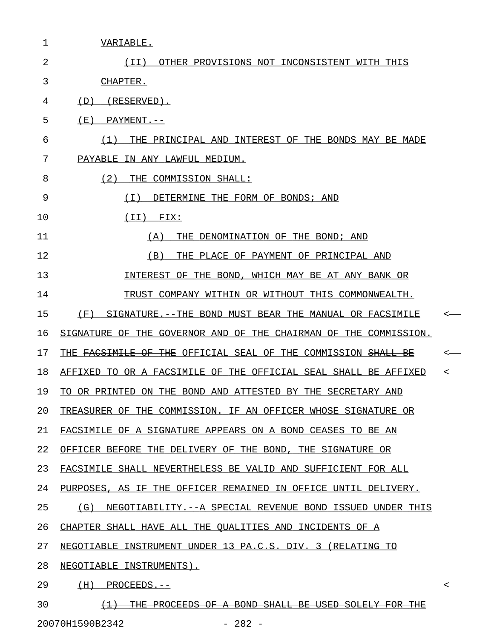| 1  | VARIABLE.                                                                           |              |
|----|-------------------------------------------------------------------------------------|--------------|
| 2  | OTHER PROVISIONS NOT INCONSISTENT WITH THIS<br>(II)                                 |              |
| 3  | CHAPTER.                                                                            |              |
| 4  | (D)<br>(RESERVED).                                                                  |              |
| 5  | ( E )<br>PAYMENT.--                                                                 |              |
| 6  | THE PRINCIPAL AND INTEREST OF THE BONDS MAY BE MADE<br>(1)                          |              |
| 7  | PAYABLE IN ANY LAWFUL MEDIUM.                                                       |              |
| 8  | (2)<br>THE COMMISSION SHALL:                                                        |              |
| 9  | ( I )<br>DETERMINE THE FORM OF BONDS; AND                                           |              |
| 10 | (TI)<br>FIX:                                                                        |              |
| 11 | THE DENOMINATION OF THE BOND; AND<br>(A)                                            |              |
| 12 | THE PLACE OF PAYMENT OF PRINCIPAL AND<br>(B)                                        |              |
| 13 | INTEREST OF THE BOND, WHICH MAY BE AT ANY BANK OR                                   |              |
| 14 | TRUST COMPANY WITHIN OR WITHOUT THIS COMMONWEALTH.                                  |              |
| 15 | (F)<br>SIGNATURE.--THE BOND MUST BEAR THE MANUAL OR FACSIMILE                       | $\leftarrow$ |
| 16 | SIGNATURE OF THE GOVERNOR AND OF THE CHAIRMAN OF THE COMMISSION.                    |              |
| 17 | THE <del>FACSIMILE OF THE</del> OFFICIAL SEAL OF THE COMMISSION <del>SHALL BE</del> | $\leftarrow$ |
| 18 | <del>AFFIXED TO</del> OR A FACSIMILE OF THE OFFICIAL SEAL SHALL BE AFFIXED          | $\leftarrow$ |
| 19 | TO OR PRINTED ON THE BOND AND ATTESTED BY THE SECRETARY AND                         |              |
| 20 | TREASURER OF THE COMMISSION. IF AN OFFICER WHOSE SIGNATURE OR                       |              |
| 21 | FACSIMILE OF A SIGNATURE APPEARS ON A BOND CEASES TO BE AN                          |              |
| 22 | OFFICER BEFORE THE DELIVERY OF THE BOND, THE SIGNATURE OR                           |              |
| 23 | FACSIMILE SHALL NEVERTHELESS BE VALID AND SUFFICIENT FOR ALL                        |              |
| 24 | PURPOSES, AS IF THE OFFICER REMAINED IN OFFICE UNTIL DELIVERY.                      |              |
| 25 | (G) NEGOTIABILITY.--A SPECIAL REVENUE BOND ISSUED UNDER THIS                        |              |
| 26 | CHAPTER SHALL HAVE ALL THE QUALITIES AND INCIDENTS OF A                             |              |
| 27 | NEGOTIABLE INSTRUMENT UNDER 13 PA.C.S. DIV. 3 (RELATING TO                          |              |
| 28 | NEGOTIABLE INSTRUMENTS).                                                            |              |
| 29 | $\overline{+H}$ PROCEEDS.                                                           | <—           |
| 30 | (1) THE PROCEEDS OF A BOND SHALL BE USED SOLELY FOR THE                             |              |

20070H1590B2342 - 282 -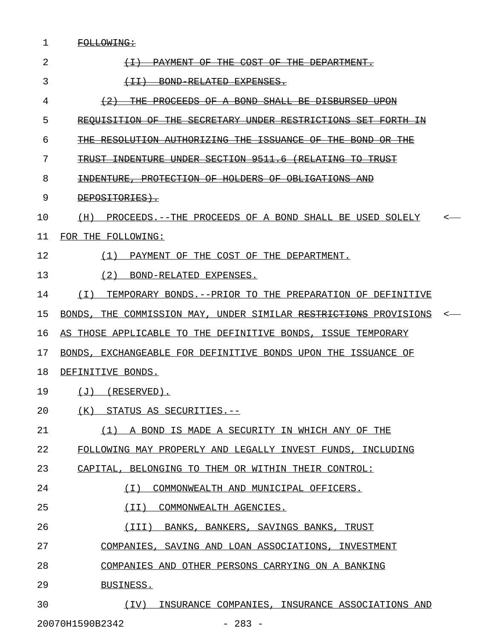| 1  | FOLLOWING:                                                                                              |  |
|----|---------------------------------------------------------------------------------------------------------|--|
| 2  | PAYMENT OF THE COST OF THE DEPARTMENT.                                                                  |  |
| 3  | BOND RELATED EXPENSES.<br>$\leftarrow$ $\leftarrow$ $\leftarrow$ $\leftarrow$ $\leftarrow$ $\leftarrow$ |  |
| 4  | <u>PROCEEDS OF A BOND SHALL BE DISBURSED.</u>                                                           |  |
| 5  | REQUISITION OF THE<br>SECRETARY UNDER RESTRICTIONS SET                                                  |  |
| 6  | THE RESOLUTION AUTHORIZING THE ISSUANCE OF THE BOND<br>-OR-                                             |  |
| 7  | TRUST INDENTURE UNDER SECTION 9511.6 (RELATING TO TRUST                                                 |  |
| 8  | <del>INDENTURE, PROTECTION OF HOLDERS OF OBLIGATIONS AND</del>                                          |  |
| 9  | DEPOSITORIES).                                                                                          |  |
| 10 | (H) PROCEEDS.--THE PROCEEDS OF A BOND SHALL BE USED SOLELY                                              |  |
| 11 | FOR THE FOLLOWING:                                                                                      |  |
| 12 | (1) PAYMENT OF THE COST OF THE DEPARTMENT.                                                              |  |
| 13 | (2) BOND-RELATED EXPENSES.                                                                              |  |
| 14 | (I) TEMPORARY BONDS.--PRIOR TO THE PREPARATION OF DEFINITIVE                                            |  |
| 15 | BONDS, THE COMMISSION MAY, UNDER SIMILAR RESTRICTIONS PROVISIONS                                        |  |
| 16 | AS THOSE APPLICABLE TO THE DEFINITIVE BONDS, ISSUE TEMPORARY                                            |  |
| 17 | BONDS, EXCHANGEABLE FOR DEFINITIVE BONDS UPON THE ISSUANCE OF                                           |  |
| 18 | DEFINITIVE BONDS.                                                                                       |  |
| 19 | $(J)$ (RESERVED).                                                                                       |  |
| 20 | (K) STATUS AS SECURITIES.--                                                                             |  |
| 21 | (1) A BOND IS MADE A SECURITY IN WHICH ANY OF THE                                                       |  |
| 22 | FOLLOWING MAY PROPERLY AND LEGALLY INVEST FUNDS, INCLUDING                                              |  |
| 23 | CAPITAL, BELONGING TO THEM OR WITHIN THEIR CONTROL:                                                     |  |
| 24 | COMMONWEALTH AND MUNICIPAL OFFICERS.<br>( I )                                                           |  |
| 25 | (II)<br>COMMONWEALTH AGENCIES.                                                                          |  |
| 26 | (III) BANKS, BANKERS, SAVINGS BANKS, TRUST                                                              |  |
| 27 | COMPANIES, SAVING AND LOAN ASSOCIATIONS, INVESTMENT                                                     |  |
| 28 | COMPANIES AND OTHER PERSONS CARRYING ON A BANKING                                                       |  |
| 29 | BUSINESS.                                                                                               |  |
| 30 | INSURANCE COMPANIES, INSURANCE ASSOCIATIONS AND<br>(IV)                                                 |  |

20070H1590B2342 - 283 -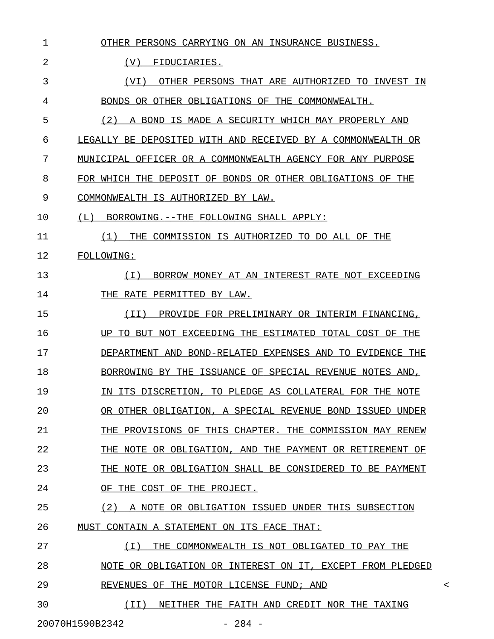| 1  | OTHER PERSONS CARRYING ON AN INSURANCE BUSINESS.            |         |
|----|-------------------------------------------------------------|---------|
| 2  | (V)<br>FIDUCIARIES.                                         |         |
| 3  | OTHER PERSONS THAT ARE AUTHORIZED TO INVEST IN<br>(VI)      |         |
| 4  | BONDS OR OTHER OBLIGATIONS OF THE COMMONWEALTH.             |         |
| 5  | (2) A BOND IS MADE A SECURITY WHICH MAY PROPERLY AND        |         |
| 6  | LEGALLY BE DEPOSITED WITH AND RECEIVED BY A COMMONWEALTH OR |         |
| 7  | MUNICIPAL OFFICER OR A COMMONWEALTH AGENCY FOR ANY PURPOSE  |         |
| 8  | FOR WHICH THE DEPOSIT OF BONDS OR OTHER OBLIGATIONS OF THE  |         |
| 9  | COMMONWEALTH IS AUTHORIZED BY LAW.                          |         |
| 10 | BORROWING. -- THE FOLLOWING SHALL APPLY:<br>(L)             |         |
| 11 | (1) THE COMMISSION IS AUTHORIZED TO DO ALL OF THE           |         |
| 12 | FOLLOWING:                                                  |         |
| 13 | BORROW MONEY AT AN INTEREST RATE NOT EXCEEDING<br>(T)       |         |
| 14 | THE RATE PERMITTED BY LAW.                                  |         |
| 15 | ( I I )<br>PROVIDE FOR PRELIMINARY OR INTERIM FINANCING,    |         |
| 16 | UP TO BUT NOT EXCEEDING THE ESTIMATED TOTAL COST OF THE     |         |
| 17 | DEPARTMENT AND BOND-RELATED EXPENSES AND TO EVIDENCE THE    |         |
| 18 | BORROWING BY THE ISSUANCE OF SPECIAL REVENUE NOTES AND,     |         |
| 19 | IN ITS DISCRETION, TO PLEDGE AS COLLATERAL FOR THE NOTE     |         |
| 20 | OR OTHER OBLIGATION, A SPECIAL REVENUE BOND ISSUED UNDER    |         |
| 21 | THE PROVISIONS OF THIS CHAPTER. THE COMMISSION MAY RENEW    |         |
| 22 | THE NOTE OR OBLIGATION, AND THE PAYMENT OR RETIREMENT OF    |         |
| 23 | THE NOTE OR OBLIGATION SHALL BE CONSIDERED TO BE PAYMENT    |         |
| 24 | OF THE COST OF THE PROJECT.                                 |         |
| 25 | A NOTE OR OBLIGATION ISSUED UNDER THIS SUBSECTION<br>(2)    |         |
| 26 | MUST CONTAIN A STATEMENT ON ITS FACE THAT:                  |         |
| 27 | THE COMMONWEALTH IS NOT OBLIGATED TO PAY THE<br>(T)         |         |
| 28 | NOTE OR OBLIGATION OR INTEREST ON IT, EXCEPT FROM PLEDGED   |         |
| 29 | REVENUES OF THE MOTOR LICENSE FUND; AND                     | $\,<\,$ |
| 30 | (II) NEITHER THE FAITH AND CREDIT NOR THE TAXING            |         |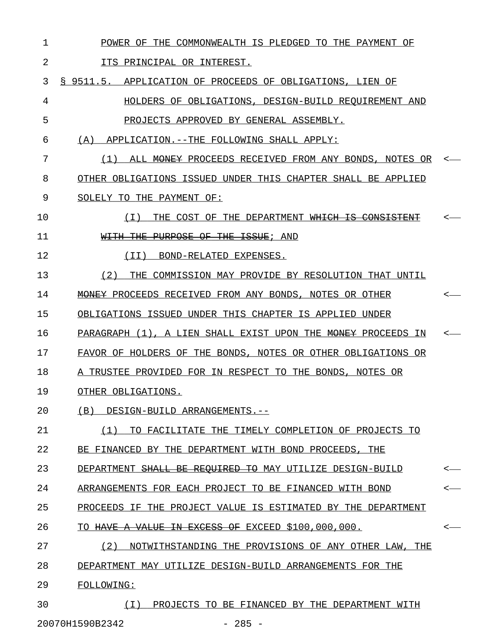1 POWER OF THE COMMONWEALTH IS PLEDGED TO THE PAYMENT OF 2 ITS PRINCIPAL OR INTEREST. 3 § 9511.5. APPLICATION OF PROCEEDS OF OBLIGATIONS, LIEN OF 4 HOLDERS OF OBLIGATIONS, DESIGN-BUILD REQUIREMENT AND 5 PROJECTS APPROVED BY GENERAL ASSEMBLY. 6 (A) APPLICATION.--THE FOLLOWING SHALL APPLY: 7 (1) ALL <del>MONEY</del> PROCEEDS RECEIVED FROM ANY BONDS, NOTES OR 8 OTHER OBLIGATIONS ISSUED UNDER THIS CHAPTER SHALL BE APPLIED 9 SOLELY TO THE PAYMENT OF: 10  $(1)$  THE COST OF THE DEPARTMENT WHICH IS CONSISTENT <-11 WITH THE PURPOSE OF THE ISSUE; AND 12 (II) BOND-RELATED EXPENSES. 13 (2) THE COMMISSION MAY PROVIDE BY RESOLUTION THAT UNTIL 14 MONEY PROCEEDS RECEIVED FROM ANY BONDS, NOTES OR OTHER  $\sim$ 15 OBLIGATIONS ISSUED UNDER THIS CHAPTER IS APPLIED UNDER 16 PARAGRAPH (1), A LIEN SHALL EXIST UPON THE MONEY PROCEEDS IN 17 FAVOR OF HOLDERS OF THE BONDS, NOTES OR OTHER OBLIGATIONS OR 18 A TRUSTEE PROVIDED FOR IN RESPECT TO THE BONDS, NOTES OR 19 OTHER OBLIGATIONS. 20 (B) DESIGN-BUILD ARRANGEMENTS.--21 (1) TO FACILITATE THE TIMELY COMPLETION OF PROJECTS TO 22 BE FINANCED BY THE DEPARTMENT WITH BOND PROCEEDS, THE 23 DEPARTMENT <del>SHALL BE REQUIRED TO</del> MAY UTILIZE DESIGN-BUILD 24 ARRANGEMENTS FOR EACH PROJECT TO BE FINANCED WITH BOND  $\leftarrow$ 25 PROCEEDS IF THE PROJECT VALUE IS ESTIMATED BY THE DEPARTMENT 26 TO HAVE A VALUE IN EXCESS OF EXCEED \$100,000,000. 27 (2) NOTWITHSTANDING THE PROVISIONS OF ANY OTHER LAW, THE 28 DEPARTMENT MAY UTILIZE DESIGN-BUILD ARRANGEMENTS FOR THE 29 FOLLOWING: \_\_\_\_\_\_\_\_\_\_ 30  $(I)$  PROJECTS TO BE FINANCED BY THE DEPARTMENT WITH

20070H1590B2342 - 285 -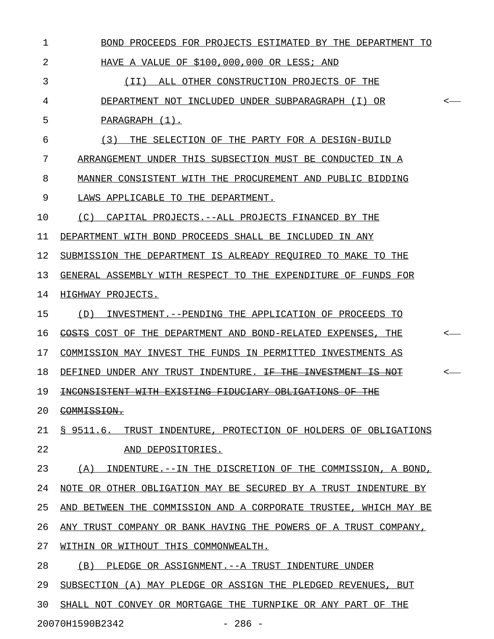| $\mathbf 1$ | BOND PROCEEDS FOR PROJECTS ESTIMATED BY THE DEPARTMENT TO                    |
|-------------|------------------------------------------------------------------------------|
| 2           | HAVE A VALUE OF \$100,000,000 OR LESS; AND                                   |
| 3           | (II) ALL OTHER CONSTRUCTION PROJECTS OF THE                                  |
| 4           | DEPARTMENT NOT INCLUDED UNDER SUBPARAGRAPH (I) OR<br><-                      |
| 5           | PARAGRAPH (1).                                                               |
| 6           | (3) THE SELECTION OF THE PARTY FOR A DESIGN-BUILD                            |
| 7           | ARRANGEMENT UNDER THIS SUBSECTION MUST BE CONDUCTED IN A                     |
| 8           | MANNER CONSISTENT WITH THE PROCUREMENT AND PUBLIC BIDDING                    |
| 9           | LAWS APPLICABLE TO THE DEPARTMENT.                                           |
| 10          | (C) CAPITAL PROJECTS.--ALL PROJECTS FINANCED BY THE                          |
| 11          | DEPARTMENT WITH BOND PROCEEDS SHALL BE INCLUDED IN ANY                       |
| 12          | SUBMISSION THE DEPARTMENT IS ALREADY REQUIRED TO MAKE TO THE                 |
| 13          | GENERAL ASSEMBLY WITH RESPECT TO THE EXPENDITURE OF FUNDS FOR                |
| 14          | HIGHWAY PROJECTS.                                                            |
| 15          | (D) INVESTMENT. -- PENDING THE APPLICATION OF PROCEEDS TO                    |
| 16          | COSTS COST OF THE DEPARTMENT AND BOND-RELATED EXPENSES, THE<br><-            |
| 17          | COMMISSION MAY INVEST THE FUNDS IN PERMITTED INVESTMENTS AS                  |
| 18          | DEFINED UNDER ANY TRUST INDENTURE. <del>IF THE INVESTMENT IS NOT</del><br><- |
| 19          | INCONSISTENT WITH EXISTING FIDUCIARY OBLIGATIONS OF THE                      |
| 20          | <del>COMMISSION.</del>                                                       |
| 21          | \$9511.6.<br>TRUST INDENTURE, PROTECTION OF HOLDERS OF OBLIGATIONS           |
| 22          | AND DEPOSITORIES.                                                            |
| 23          | (A)<br>INDENTURE.--IN THE DISCRETION OF THE COMMISSION, A BOND,              |
| 24          | NOTE OR OTHER OBLIGATION MAY BE SECURED BY A TRUST INDENTURE BY              |
| 25          | BETWEEN THE COMMISSION AND A CORPORATE TRUSTEE, WHICH MAY BE<br>AND          |
| 26          | ANY TRUST COMPANY OR BANK HAVING THE POWERS OF A TRUST COMPANY,              |
| 27          | WITHIN OR WITHOUT THIS COMMONWEALTH.                                         |
| 28          | (B)<br>PLEDGE OR ASSIGNMENT. -- A TRUST INDENTURE UNDER                      |
| 29          | SUBSECTION (A) MAY PLEDGE OR ASSIGN THE PLEDGED REVENUES, BUT                |
| 30          | SHALL NOT CONVEY OR MORTGAGE THE TURNPIKE OR ANY PART OF THE                 |

20070H1590B2342 - 286 -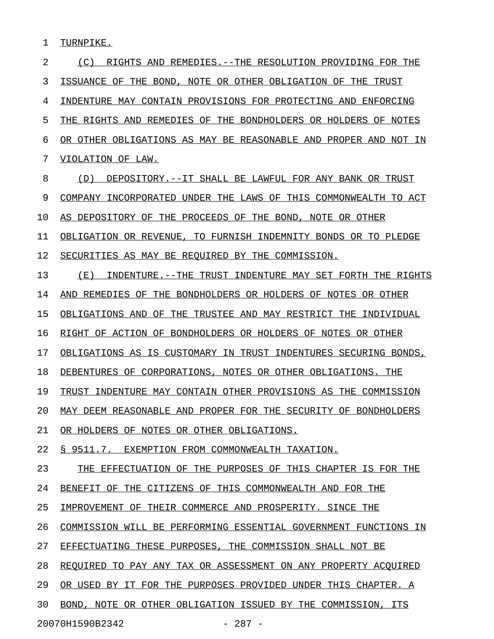1 TURNPIKE.

2 (C) RIGHTS AND REMEDIES.--THE RESOLUTION PROVIDING FOR THE 3 ISSUANCE OF THE BOND, NOTE OR OTHER OBLIGATION OF THE TRUST 4 INDENTURE MAY CONTAIN PROVISIONS FOR PROTECTING AND ENFORCING 5 THE RIGHTS AND REMEDIES OF THE BONDHOLDERS OR HOLDERS OF NOTES 6 OR OTHER OBLIGATIONS AS MAY BE REASONABLE AND PROPER AND NOT IN 7 VIOLATION OF LAW. 8 (D) DEPOSITORY.--IT SHALL BE LAWFUL FOR ANY BANK OR TRUST 9 COMPANY INCORPORATED UNDER THE LAWS OF THIS COMMONWEALTH TO ACT 10 AS DEPOSITORY OF THE PROCEEDS OF THE BOND, NOTE OR OTHER 11 OBLIGATION OR REVENUE, TO FURNISH INDEMNITY BONDS OR TO PLEDGE 12 SECURITIES AS MAY BE REQUIRED BY THE COMMISSION. 13 (E) INDENTURE.--THE TRUST INDENTURE MAY SET FORTH THE RIGHTS 14 AND REMEDIES OF THE BONDHOLDERS OR HOLDERS OF NOTES OR OTHER 15 OBLIGATIONS AND OF THE TRUSTEE AND MAY RESTRICT THE INDIVIDUAL 16 RIGHT OF ACTION OF BONDHOLDERS OR HOLDERS OF NOTES OR OTHER 17 OBLIGATIONS AS IS CUSTOMARY IN TRUST INDENTURES SECURING BONDS, 18 DEBENTURES OF CORPORATIONS, NOTES OR OTHER OBLIGATIONS. THE 19 TRUST INDENTURE MAY CONTAIN OTHER PROVISIONS AS THE COMMISSION 20 MAY DEEM REASONABLE AND PROPER FOR THE SECURITY OF BONDHOLDERS 21 OR HOLDERS OF NOTES OR OTHER OBLIGATIONS. 22 § 9511.7. EXEMPTION FROM COMMONWEALTH TAXATION. 23 THE EFFECTUATION OF THE PURPOSES OF THIS CHAPTER IS FOR THE 24 BENEFIT OF THE CITIZENS OF THIS COMMONWEALTH AND FOR THE 25 IMPROVEMENT OF THEIR COMMERCE AND PROSPERITY. SINCE THE 26 COMMISSION WILL BE PERFORMING ESSENTIAL GOVERNMENT FUNCTIONS IN 27 EFFECTUATING THESE PURPOSES, THE COMMISSION SHALL NOT BE 28 REQUIRED TO PAY ANY TAX OR ASSESSMENT ON ANY PROPERTY ACOUIRED 29 OR USED BY IT FOR THE PURPOSES PROVIDED UNDER THIS CHAPTER. A 30 BOND, NOTE OR OTHER OBLIGATION ISSUED BY THE COMMISSION, ITS 20070H1590B2342 - 287 -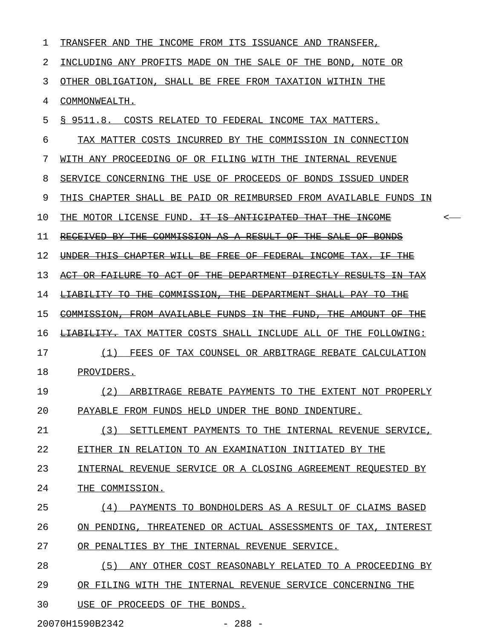| 1  | TRANSFER AND THE INCOME FROM ITS ISSUANCE AND TRANSFER,                         |
|----|---------------------------------------------------------------------------------|
| 2  | INCLUDING ANY PROFITS MADE ON THE SALE OF THE BOND, NOTE OR                     |
| 3  | OTHER OBLIGATION, SHALL BE FREE FROM TAXATION WITHIN THE                        |
| 4  | COMMONWEALTH.                                                                   |
| 5  | S 9511.8.<br>COSTS RELATED TO FEDERAL INCOME TAX MATTERS.                       |
| 6  | TAX MATTER COSTS INCURRED BY THE COMMISSION IN CONNECTION                       |
| 7  | WITH ANY PROCEEDING OF OR FILING WITH THE INTERNAL REVENUE                      |
| 8  | SERVICE CONCERNING THE USE OF PROCEEDS OF BONDS ISSUED UNDER                    |
| 9  | THIS CHAPTER SHALL BE PAID OR REIMBURSED FROM AVAILABLE FUNDS IN                |
| 10 | THE MOTOR LICENSE FUND. <del>IT IS ANTICIPATED THAT THE INCOME</del>            |
| 11 | RECEIVED BY THE COMMISSION AS A RESULT<br>OF THE SALE OF BONDS                  |
| 12 | UNDER THIS CHAPTER WILL BE FREE OF FEDERAL INCOME TAX.<br><del>-THE</del><br>—⊞ |
| 13 | ACT OR FAILURE TO ACT OF THE DEPARTMENT DIRECTLY RESULTS IN TAX                 |
| 14 | LIABILITY TO THE COMMISSION, THE DEPARTMENT SHALL PAY<br><del>TO THE</del>      |
| 15 | COMMISSION, FROM AVAILABLE FUNDS IN THE FUND, THE AMOUNT OF THE                 |
| 16 | <b>LIABILITY.</b> TAX MATTER COSTS SHALL INCLUDE ALL OF THE FOLLOWING:          |
| 17 | (1)<br>FEES OF TAX COUNSEL OR ARBITRAGE REBATE CALCULATION                      |
| 18 | PROVIDERS.                                                                      |
| 19 | (2)<br>ARBITRAGE REBATE PAYMENTS TO THE EXTENT NOT PROPERLY                     |
| 20 | PAYABLE FROM FUNDS HELD UNDER THE BOND INDENTURE.                               |
| 21 | (3) SETTLEMENT PAYMENTS TO THE INTERNAL REVENUE SERVICE,                        |
| 22 | EITHER IN RELATION TO AN EXAMINATION INITIATED BY THE                           |
| 23 | INTERNAL REVENUE SERVICE OR A CLOSING AGREEMENT REQUESTED BY                    |
| 24 | THE COMMISSION.                                                                 |
| 25 | (4) PAYMENTS TO BONDHOLDERS AS A RESULT OF CLAIMS BASED                         |
| 26 | ON PENDING, THREATENED OR ACTUAL ASSESSMENTS OF TAX, INTEREST                   |
| 27 | OR PENALTIES BY THE INTERNAL REVENUE SERVICE.                                   |
| 28 | (5) ANY OTHER COST REASONABLY RELATED TO A PROCEEDING BY                        |
| 29 | OR FILING WITH THE INTERNAL REVENUE SERVICE CONCERNING THE                      |
| 30 | USE OF PROCEEDS OF THE BONDS.                                                   |

20070H1590B2342 - 288 -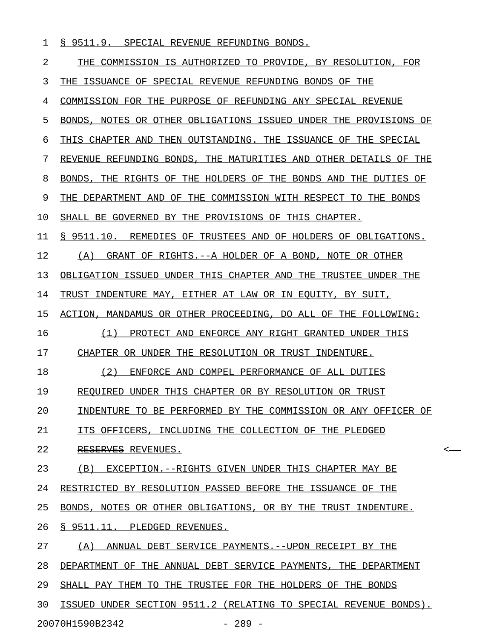|  |  |  |  |  |  |  | § 9511.9. SPECIAL REVENUE REFUNDING BONDS. |  |
|--|--|--|--|--|--|--|--------------------------------------------|--|
|--|--|--|--|--|--|--|--------------------------------------------|--|

| 2  | THE COMMISSION IS AUTHORIZED TO PROVIDE, BY RESOLUTION, FOR      |
|----|------------------------------------------------------------------|
| 3  | THE ISSUANCE OF SPECIAL REVENUE REFUNDING BONDS OF THE           |
| 4  | COMMISSION FOR THE PURPOSE OF REFUNDING ANY SPECIAL REVENUE      |
| 5  | BONDS, NOTES OR OTHER OBLIGATIONS ISSUED UNDER THE PROVISIONS OF |
| 6  | THIS CHAPTER AND THEN OUTSTANDING. THE ISSUANCE OF THE SPECIAL   |
| 7  | REVENUE REFUNDING BONDS, THE MATURITIES AND OTHER DETAILS OF THE |
| 8  | BONDS, THE RIGHTS OF THE HOLDERS OF THE BONDS AND THE DUTIES OF  |
| 9  | THE DEPARTMENT AND OF THE COMMISSION WITH RESPECT TO THE BONDS   |
| 10 | SHALL BE GOVERNED BY THE PROVISIONS OF THIS CHAPTER.             |
| 11 | § 9511.10. REMEDIES OF TRUSTEES AND OF HOLDERS OF OBLIGATIONS.   |
| 12 | (A)<br>GRANT OF RIGHTS.--A HOLDER OF A BOND, NOTE OR OTHER       |
| 13 | OBLIGATION ISSUED UNDER THIS CHAPTER AND THE TRUSTEE UNDER THE   |
| 14 | TRUST INDENTURE MAY, EITHER AT LAW OR IN EQUITY, BY SUIT,        |
| 15 | ACTION, MANDAMUS OR OTHER PROCEEDING, DO ALL OF THE FOLLOWING:   |
| 16 | PROTECT AND ENFORCE ANY RIGHT GRANTED UNDER THIS<br>(1)          |
| 17 | CHAPTER OR UNDER THE RESOLUTION OR TRUST INDENTURE.              |
| 18 | ENFORCE AND COMPEL PERFORMANCE OF ALL DUTIES<br>(2)              |
| 19 | REQUIRED UNDER THIS CHAPTER OR BY RESOLUTION OR TRUST            |
| 20 | INDENTURE TO BE PERFORMED BY THE COMMISSION OR ANY OFFICER OF    |
| 21 | ITS OFFICERS. INCLUDING THE COLLECTION OF THE PLEDGED            |
| 22 | RESERVES REVENUES.<br><                                          |
| 23 | (B)<br>EXCEPTION.--RIGHTS GIVEN UNDER THIS CHAPTER MAY BE        |
| 24 | RESTRICTED BY RESOLUTION PASSED BEFORE THE ISSUANCE OF THE       |
| 25 | BONDS. NOTES OR OTHER OBLIGATIONS, OR BY THE TRUST INDENTURE.    |
| 26 | § 9511.11. PLEDGED REVENUES.                                     |
| 27 | ANNUAL DEBT SERVICE PAYMENTS.--UPON RECEIPT BY THE<br>(A)        |
| 28 | DEPARTMENT OF THE ANNUAL DEBT SERVICE PAYMENTS, THE DEPARTMENT   |
| 29 | SHALL PAY THEM TO THE TRUSTEE FOR THE HOLDERS OF THE BONDS       |
| 30 | ISSUED UNDER SECTION 9511.2 (RELATING TO SPECIAL REVENUE BONDS). |

20070H1590B2342 - 289 -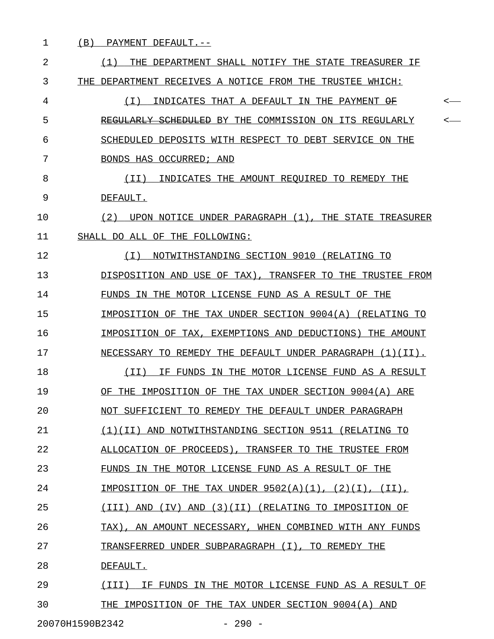1 (B) PAYMENT DEFAULT.--

| 2  | (1)<br>THE DEPARTMENT SHALL NOTIFY THE STATE TREASURER IF            |
|----|----------------------------------------------------------------------|
| 3  | THE DEPARTMENT RECEIVES A NOTICE FROM THE TRUSTEE WHICH:             |
| 4  | INDICATES THAT A DEFAULT IN THE PAYMENT OF<br>( I )<br>$\,<\,$       |
| 5  | REGULARLY SCHEDULED BY THE COMMISSION ON ITS REGULARLY<br>$\,<\,$    |
| 6  | SCHEDULED DEPOSITS WITH RESPECT TO DEBT SERVICE ON THE               |
| 7  | BONDS HAS OCCURRED; AND                                              |
| 8  | INDICATES THE AMOUNT REOUIRED TO REMEDY THE<br>( I I )               |
| 9  | DEFAULT.                                                             |
| 10 | UPON NOTICE UNDER PARAGRAPH (1), THE STATE TREASURER<br>(2)          |
| 11 | SHALL DO ALL OF THE FOLLOWING:                                       |
| 12 | NOTWITHSTANDING SECTION 9010 (RELATING TO<br>( I )                   |
| 13 | DISPOSITION AND USE OF TAX), TRANSFER TO THE TRUSTEE FROM            |
| 14 | FUNDS IN THE MOTOR LICENSE FUND AS A RESULT OF THE                   |
| 15 | IMPOSITION OF THE TAX UNDER SECTION 9004(A) (RELATING TO             |
| 16 | IMPOSITION OF TAX, EXEMPTIONS AND DEDUCTIONS) THE AMOUNT             |
| 17 | NECESSARY TO REMEDY THE DEFAULT UNDER PARAGRAPH (1)(II).             |
| 18 | (II)<br>IF FUNDS IN THE MOTOR LICENSE FUND AS A RESULT               |
| 19 | THE IMPOSITION OF THE TAX UNDER SECTION 9004(A) ARE<br>OF            |
| 20 | NOT SUFFICIENT TO REMEDY THE DEFAULT UNDER PARAGRAPH                 |
| 21 | (1)(II) AND NOTWITHSTANDING SECTION 9511 (RELATING TO                |
| 22 | ALLOCATION OF PROCEEDS), TRANSFER TO THE TRUSTEE FROM                |
| 23 | FUNDS IN THE MOTOR LICENSE FUND AS A RESULT OF THE                   |
| 24 | IMPOSITION OF THE TAX UNDER $9502(A)(1)$ , $(2)(I)$ , $(II)$ ,       |
| 25 | (3)(II)<br>(III)<br>AND<br>(TV)<br>AND<br>(RELATING TO IMPOSITION OF |
| 26 | AN AMOUNT NECESSARY, WHEN COMBINED WITH ANY FUNDS<br>TAX).           |
| 27 | TRANSFERRED UNDER SUBPARAGRAPH (I), TO REMEDY THE                    |
| 28 | DEFAULT.                                                             |
| 29 | IF FUNDS IN THE MOTOR LICENSE FUND AS A RESULT OF<br>(TTT)           |
| 30 | THE IMPOSITION OF THE TAX UNDER SECTION 9004(A) AND                  |
|    |                                                                      |

 $\overline{\phantom{0}}$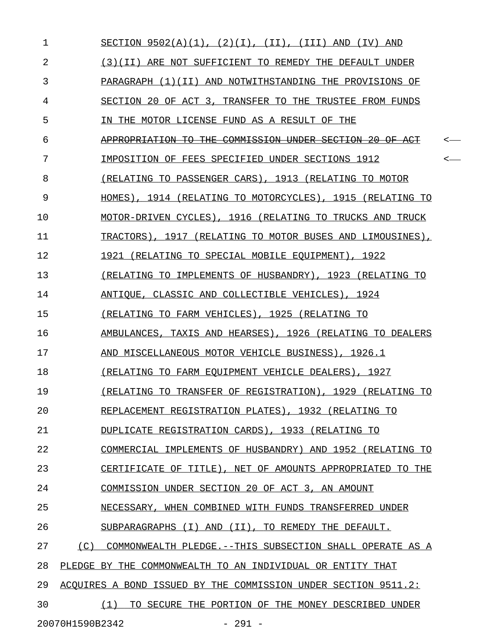| $\mathbf{1}$ |                 | SECTION $9502(A)(1)$ , $(2)(I)$ , $(II)$ , $(III)$ AND $(IV)$ AND |   |
|--------------|-----------------|-------------------------------------------------------------------|---|
| 2            |                 | (3)(II) ARE NOT SUFFICIENT TO REMEDY THE DEFAULT UNDER            |   |
| 3            |                 | PARAGRAPH (1)(II) AND NOTWITHSTANDING THE PROVISIONS OF           |   |
| 4            |                 | SECTION 20 OF ACT 3, TRANSFER TO THE TRUSTEE FROM FUNDS           |   |
| 5            |                 | IN THE MOTOR LICENSE FUND AS A RESULT OF THE                      |   |
| 6            |                 | APPROPRIATION TO THE COMMISSION UNDER SECTION 20 OF ACT           | < |
| 7            |                 | IMPOSITION OF FEES SPECIFIED UNDER SECTIONS 1912                  | < |
| 8            |                 | (RELATING TO PASSENGER CARS), 1913 (RELATING TO MOTOR             |   |
| 9            |                 | HOMES), 1914 (RELATING TO MOTORCYCLES), 1915 (RELATING TO         |   |
| 10           |                 | MOTOR-DRIVEN CYCLES), 1916 (RELATING TO TRUCKS AND TRUCK          |   |
| 11           |                 | TRACTORS), 1917 (RELATING TO MOTOR BUSES AND LIMOUSINES),         |   |
| 12           |                 | 1921 (RELATING TO SPECIAL MOBILE EQUIPMENT), 1922                 |   |
| 13           |                 | (RELATING TO IMPLEMENTS OF HUSBANDRY), 1923 (RELATING TO          |   |
| 14           |                 | ANTIQUE, CLASSIC AND COLLECTIBLE VEHICLES), 1924                  |   |
| 15           |                 | (RELATING TO FARM VEHICLES), 1925 (RELATING TO                    |   |
| 16           |                 | AMBULANCES, TAXIS AND HEARSES), 1926 (RELATING TO DEALERS         |   |
| 17           |                 | AND MISCELLANEOUS MOTOR VEHICLE BUSINESS), 1926.1                 |   |
| 18           |                 | (RELATING TO FARM EQUIPMENT VEHICLE DEALERS), 1927                |   |
| 19           |                 | (RELATING TO TRANSFER OF REGISTRATION), 1929 (RELATING TO         |   |
| 20           |                 | REPLACEMENT REGISTRATION PLATES), 1932 (RELATING TO               |   |
| 21           |                 | DUPLICATE REGISTRATION CARDS), 1933 (RELATING TO                  |   |
| 22           |                 | COMMERCIAL IMPLEMENTS OF HUSBANDRY) AND 1952 (RELATING TO         |   |
| 23           |                 | CERTIFICATE OF TITLE), NET OF AMOUNTS APPROPRIATED TO THE         |   |
| 24           |                 | COMMISSION UNDER SECTION 20 OF ACT 3, AN AMOUNT                   |   |
| 25           |                 | NECESSARY, WHEN COMBINED WITH FUNDS TRANSFERRED UNDER             |   |
| 26           |                 | SUBPARAGRAPHS (I) AND (II), TO REMEDY THE DEFAULT.                |   |
| 27           | (C)             | COMMONWEALTH PLEDGE. --THIS SUBSECTION SHALL OPERATE AS A         |   |
| 28           |                 | PLEDGE BY THE COMMONWEALTH TO AN INDIVIDUAL OR ENTITY THAT        |   |
| 29           |                 | ACOUIRES A BOND ISSUED BY THE COMMISSION UNDER SECTION 9511.2:    |   |
| 30           |                 | TO SECURE THE PORTION OF THE MONEY DESCRIBED UNDER<br>(1)         |   |
|              | 20070H1590B2342 | $-291 -$                                                          |   |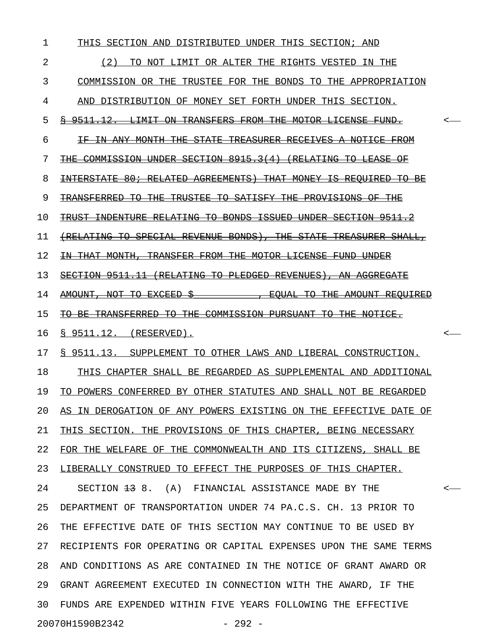| 1  | THIS SECTION AND DISTRIBUTED UNDER THIS SECTION; AND                          |  |
|----|-------------------------------------------------------------------------------|--|
| 2  | (2)<br>TO NOT LIMIT OR ALTER THE RIGHTS VESTED IN THE                         |  |
| 3  | COMMISSION OR THE TRUSTEE FOR THE BONDS TO THE APPROPRIATION                  |  |
| 4  | AND DISTRIBUTION OF MONEY SET FORTH UNDER THIS SECTION.                       |  |
| 5  | <del>§ 9511.12. LIMIT ON TRANSFERS FROM THE MOTOR LICENSE FUND.</del>         |  |
| 6  | <del>IF IN ANY MONTH THE STATE TREASURER RECEIVES A NOTICE FROM</del>         |  |
| 7  | <del>THE COMMISSION UNDER SECTION 8915.3(4) (RELATING TO LEASE OF</del>       |  |
| 8  | <del>INTERSTATE 80; RELATED AGREEMENTS) THAT MONEY IS REOUIRED TO BE</del>    |  |
| 9  | <u>THE TRUSTEE TO SATISFY THE PROVISIONS OF THE </u>                          |  |
| 10 | <del>TRUST INDENTURE RELATING TO BONDS ISSUED UNDER SECTION 9511.2</del>      |  |
| 11 | <u>(RELATING TO SPECIAL REVENUE BONDS), THE STATE TREASURER SHALL,</u>        |  |
| 12 | <del>IN THAT MONTH, TRANSFER FROM THE MOTOR LICENSE FUND UNDER</del>          |  |
| 13 | SECTION 9511.11 (RELATING TO PLEDGED REVENUES), AN AGGREGATE                  |  |
| 14 | <del>AMOUNT, NOT TO EXCEED</del><br><del>. EQUAL TO THE AMOUNT REQUIRED</del> |  |
| 15 | TO BE TRANSFERRED TO THE COMMISSION PURSUANT TO THE NOTICE.                   |  |
| 16 | $\S$ 9511.12. (RESERVED).                                                     |  |
| 17 | § 9511.13. SUPPLEMENT TO OTHER LAWS AND LIBERAL CONSTRUCTION.                 |  |
| 18 | THIS CHAPTER SHALL BE REGARDED AS SUPPLEMENTAL AND ADDITIONAL                 |  |
| 19 | TO POWERS CONFERRED BY OTHER STATUTES AND SHALL NOT BE REGARDED               |  |
| 20 | AS IN DEROGATION OF ANY POWERS EXISTING ON THE EFFECTIVE DATE OF              |  |
| 21 | THIS SECTION. THE PROVISIONS OF THIS CHAPTER, BEING NECESSARY                 |  |
| 22 | FOR THE WELFARE OF THE COMMONWEALTH AND ITS CITIZENS, SHALL BE                |  |
| 23 | LIBERALLY CONSTRUED TO EFFECT THE PURPOSES OF THIS CHAPTER.                   |  |
| 24 | SECTION 13 8. (A) FINANCIAL ASSISTANCE MADE BY THE                            |  |
| 25 | DEPARTMENT OF TRANSPORTATION UNDER 74 PA.C.S. CH. 13 PRIOR TO                 |  |
| 26 | THE EFFECTIVE DATE OF THIS SECTION MAY CONTINUE TO BE USED BY                 |  |
| 27 | RECIPIENTS FOR OPERATING OR CAPITAL EXPENSES UPON THE SAME TERMS              |  |
| 28 | AND CONDITIONS AS ARE CONTAINED IN THE NOTICE OF GRANT AWARD OR               |  |
| 29 | GRANT AGREEMENT EXECUTED IN CONNECTION WITH THE AWARD, IF THE                 |  |
| 30 | FUNDS ARE EXPENDED WITHIN FIVE YEARS FOLLOWING THE EFFECTIVE                  |  |
|    | 20070H1590B2342<br>$-292 -$                                                   |  |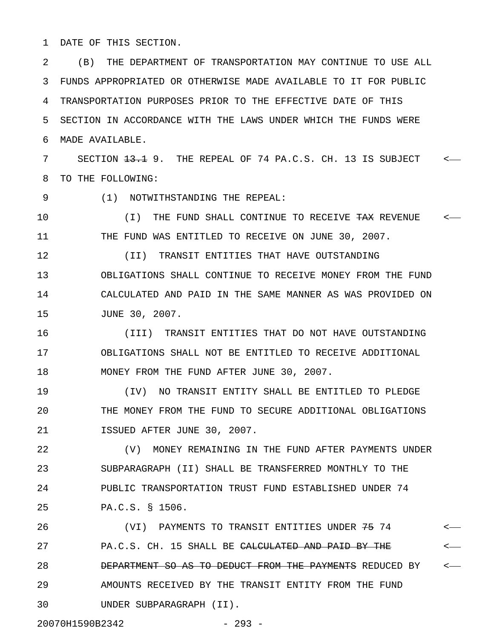1 DATE OF THIS SECTION.

2 (B) THE DEPARTMENT OF TRANSPORTATION MAY CONTINUE TO USE ALL 3 FUNDS APPROPRIATED OR OTHERWISE MADE AVAILABLE TO IT FOR PUBLIC 4 TRANSPORTATION PURPOSES PRIOR TO THE EFFECTIVE DATE OF THIS 5 SECTION IN ACCORDANCE WITH THE LAWS UNDER WHICH THE FUNDS WERE 6 MADE AVAILABLE.

7 SECTION  $\frac{13.1}{13.1}$  9. THE REPEAL OF 74 PA.C.S. CH. 13 IS SUBJECT <-8 TO THE FOLLOWING:

9 (1) NOTWITHSTANDING THE REPEAL:

10  $(1)$  THE FUND SHALL CONTINUE TO RECEIVE TAX REVENUE  $\leftarrow$ 11 THE FUND WAS ENTITLED TO RECEIVE ON JUNE 30, 2007.

12 (II) TRANSIT ENTITIES THAT HAVE OUTSTANDING 13 OBLIGATIONS SHALL CONTINUE TO RECEIVE MONEY FROM THE FUND 14 CALCULATED AND PAID IN THE SAME MANNER AS WAS PROVIDED ON 15 JUNE 30, 2007.

16 (III) TRANSIT ENTITIES THAT DO NOT HAVE OUTSTANDING 17 OBLIGATIONS SHALL NOT BE ENTITLED TO RECEIVE ADDITIONAL 18 MONEY FROM THE FUND AFTER JUNE 30, 2007.

19 (IV) NO TRANSIT ENTITY SHALL BE ENTITLED TO PLEDGE 20 THE MONEY FROM THE FUND TO SECURE ADDITIONAL OBLIGATIONS 21 ISSUED AFTER JUNE 30, 2007.

22 (V) MONEY REMAINING IN THE FUND AFTER PAYMENTS UNDER 23 SUBPARAGRAPH (II) SHALL BE TRANSFERRED MONTHLY TO THE 24 PUBLIC TRANSPORTATION TRUST FUND ESTABLISHED UNDER 74 25 PA.C.S. § 1506.

26 (VI) PAYMENTS TO TRANSIT ENTITIES UNDER 75 74 < 27 PA.C.S. CH. 15 SHALL BE <del>CALCULATED AND PAID BY THE</del>  $\leftarrow$ 28 **DEPARTMENT SO AS TO DEDUCT FROM THE PAYMENTS** REDUCED BY  $\longleftarrow$ 29 AMOUNTS RECEIVED BY THE TRANSIT ENTITY FROM THE FUND 30 UNDER SUBPARAGRAPH (II).

20070H1590B2342 - 293 -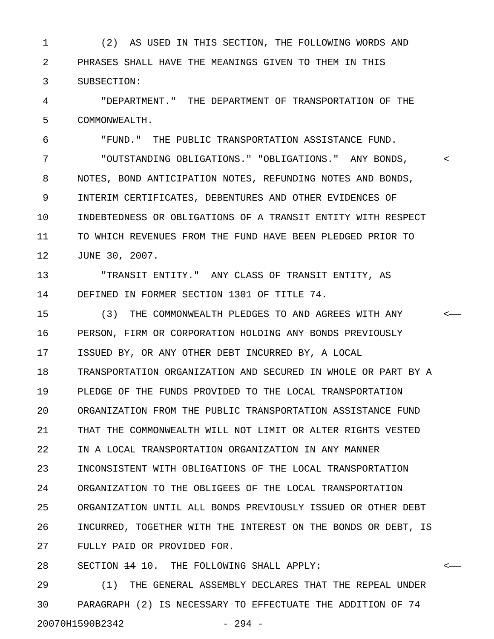1 (2) AS USED IN THIS SECTION, THE FOLLOWING WORDS AND 2 PHRASES SHALL HAVE THE MEANINGS GIVEN TO THEM IN THIS 3 SUBSECTION:

4 "DEPARTMENT." THE DEPARTMENT OF TRANSPORTATION OF THE 5 COMMONWEALTH.

6 "FUND." THE PUBLIC TRANSPORTATION ASSISTANCE FUND. 7 "OUTSTANDING OBLIGATIONS." "OBLIGATIONS." ANY BONDS, < 8 NOTES, BOND ANTICIPATION NOTES, REFUNDING NOTES AND BONDS, 9 INTERIM CERTIFICATES, DEBENTURES AND OTHER EVIDENCES OF 10 INDEBTEDNESS OR OBLIGATIONS OF A TRANSIT ENTITY WITH RESPECT 11 TO WHICH REVENUES FROM THE FUND HAVE BEEN PLEDGED PRIOR TO 12 JUNE 30, 2007.

13 "TRANSIT ENTITY." ANY CLASS OF TRANSIT ENTITY, AS 14 DEFINED IN FORMER SECTION 1301 OF TITLE 74.

15 (3) THE COMMONWEALTH PLEDGES TO AND AGREES WITH ANY < 16 PERSON, FIRM OR CORPORATION HOLDING ANY BONDS PREVIOUSLY 17 ISSUED BY, OR ANY OTHER DEBT INCURRED BY, A LOCAL 18 TRANSPORTATION ORGANIZATION AND SECURED IN WHOLE OR PART BY A 19 PLEDGE OF THE FUNDS PROVIDED TO THE LOCAL TRANSPORTATION 20 ORGANIZATION FROM THE PUBLIC TRANSPORTATION ASSISTANCE FUND 21 THAT THE COMMONWEALTH WILL NOT LIMIT OR ALTER RIGHTS VESTED 22 IN A LOCAL TRANSPORTATION ORGANIZATION IN ANY MANNER 23 INCONSISTENT WITH OBLIGATIONS OF THE LOCAL TRANSPORTATION 24 ORGANIZATION TO THE OBLIGEES OF THE LOCAL TRANSPORTATION 25 ORGANIZATION UNTIL ALL BONDS PREVIOUSLY ISSUED OR OTHER DEBT 26 INCURRED, TOGETHER WITH THE INTEREST ON THE BONDS OR DEBT, IS 27 FULLY PAID OR PROVIDED FOR.

28 SECTION <del>14</del> 10. THE FOLLOWING SHALL APPLY:  $\leftarrow$ 

29 (1) THE GENERAL ASSEMBLY DECLARES THAT THE REPEAL UNDER 30 PARAGRAPH (2) IS NECESSARY TO EFFECTUATE THE ADDITION OF 74 20070H1590B2342 - 294 -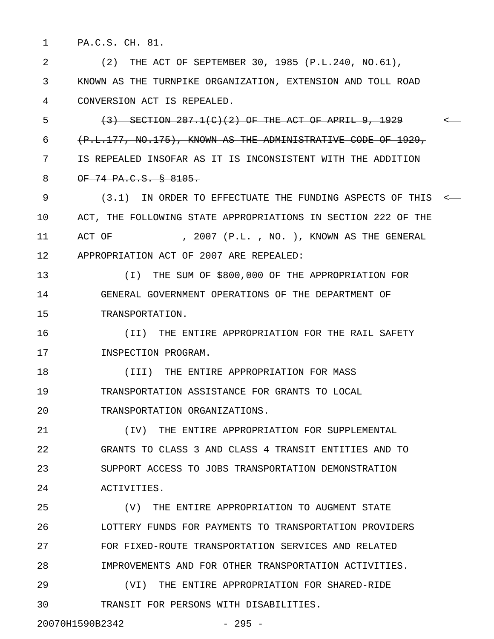1 PA.C.S. CH. 81.

2 (2) THE ACT OF SEPTEMBER 30, 1985 (P.L.240, NO.61), 3 KNOWN AS THE TURNPIKE ORGANIZATION, EXTENSION AND TOLL ROAD 4 CONVERSION ACT IS REPEALED.

5 (3) SECTION 207.1(C)(2) OF THE ACT OF APRIL 9, 1929 < 6 (P.L.177, NO.175), KNOWN AS THE ADMINISTRATIVE CODE OF 1929, 7 IS REPEALED INSOFAR AS IT IS INCONSISTENT WITH THE ADDITION 8 OF 74 PA.C.S. § 8105.

9 (3.1) IN ORDER TO EFFECTUATE THE FUNDING ASPECTS OF THIS < 10 ACT, THE FOLLOWING STATE APPROPRIATIONS IN SECTION 222 OF THE 11 ACT OF , 2007 (P.L., NO.), KNOWN AS THE GENERAL 12 APPROPRIATION ACT OF 2007 ARE REPEALED:

13 (I) THE SUM OF \$800,000 OF THE APPROPRIATION FOR 14 GENERAL GOVERNMENT OPERATIONS OF THE DEPARTMENT OF 15 TRANSPORTATION.

16 (II) THE ENTIRE APPROPRIATION FOR THE RAIL SAFETY 17 INSPECTION PROGRAM.

18 (III) THE ENTIRE APPROPRIATION FOR MASS 19 TRANSPORTATION ASSISTANCE FOR GRANTS TO LOCAL 20 TRANSPORTATION ORGANIZATIONS.

21 (IV) THE ENTIRE APPROPRIATION FOR SUPPLEMENTAL 22 GRANTS TO CLASS 3 AND CLASS 4 TRANSIT ENTITIES AND TO 23 SUPPORT ACCESS TO JOBS TRANSPORTATION DEMONSTRATION 24 ACTIVITIES.

25 (V) THE ENTIRE APPROPRIATION TO AUGMENT STATE 26 LOTTERY FUNDS FOR PAYMENTS TO TRANSPORTATION PROVIDERS 27 FOR FIXED-ROUTE TRANSPORTATION SERVICES AND RELATED 28 IMPROVEMENTS AND FOR OTHER TRANSPORTATION ACTIVITIES.

29 (VI) THE ENTIRE APPROPRIATION FOR SHARED-RIDE 30 TRANSIT FOR PERSONS WITH DISABILITIES.

20070H1590B2342 - 295 -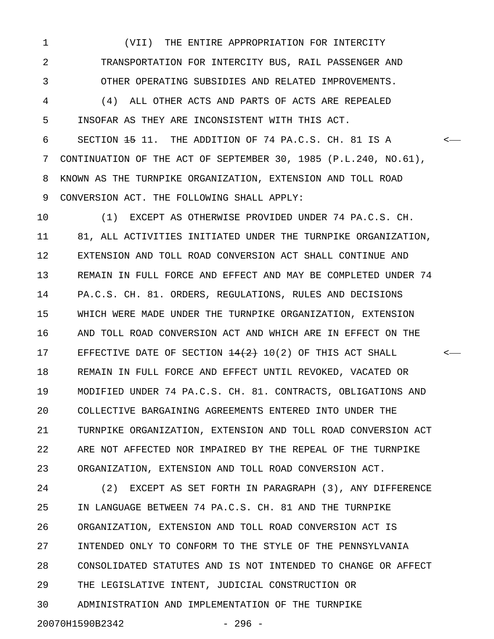1 (VII) THE ENTIRE APPROPRIATION FOR INTERCITY 2 TRANSPORTATION FOR INTERCITY BUS, RAIL PASSENGER AND 3 OTHER OPERATING SUBSIDIES AND RELATED IMPROVEMENTS. 4 (4) ALL OTHER ACTS AND PARTS OF ACTS ARE REPEALED

5 INSOFAR AS THEY ARE INCONSISTENT WITH THIS ACT.

6 SECTION 15 11. THE ADDITION OF 74 PA.C.S. CH. 81 IS A < 7 CONTINUATION OF THE ACT OF SEPTEMBER 30, 1985 (P.L.240, NO.61), 8 KNOWN AS THE TURNPIKE ORGANIZATION, EXTENSION AND TOLL ROAD 9 CONVERSION ACT. THE FOLLOWING SHALL APPLY:

10 (1) EXCEPT AS OTHERWISE PROVIDED UNDER 74 PA.C.S. CH. 11 81, ALL ACTIVITIES INITIATED UNDER THE TURNPIKE ORGANIZATION, 12 EXTENSION AND TOLL ROAD CONVERSION ACT SHALL CONTINUE AND 13 REMAIN IN FULL FORCE AND EFFECT AND MAY BE COMPLETED UNDER 74 14 PA.C.S. CH. 81. ORDERS, REGULATIONS, RULES AND DECISIONS 15 WHICH WERE MADE UNDER THE TURNPIKE ORGANIZATION, EXTENSION 16 AND TOLL ROAD CONVERSION ACT AND WHICH ARE IN EFFECT ON THE 17 EFFECTIVE DATE OF SECTION  $\frac{14(2)}{2}$  10(2) OF THIS ACT SHALL  $\longleftarrow$ 18 REMAIN IN FULL FORCE AND EFFECT UNTIL REVOKED, VACATED OR 19 MODIFIED UNDER 74 PA.C.S. CH. 81. CONTRACTS, OBLIGATIONS AND 20 COLLECTIVE BARGAINING AGREEMENTS ENTERED INTO UNDER THE 21 TURNPIKE ORGANIZATION, EXTENSION AND TOLL ROAD CONVERSION ACT 22 ARE NOT AFFECTED NOR IMPAIRED BY THE REPEAL OF THE TURNPIKE 23 ORGANIZATION, EXTENSION AND TOLL ROAD CONVERSION ACT.

24 (2) EXCEPT AS SET FORTH IN PARAGRAPH (3), ANY DIFFERENCE 25 IN LANGUAGE BETWEEN 74 PA.C.S. CH. 81 AND THE TURNPIKE 26 ORGANIZATION, EXTENSION AND TOLL ROAD CONVERSION ACT IS 27 INTENDED ONLY TO CONFORM TO THE STYLE OF THE PENNSYLVANIA 28 CONSOLIDATED STATUTES AND IS NOT INTENDED TO CHANGE OR AFFECT 29 THE LEGISLATIVE INTENT, JUDICIAL CONSTRUCTION OR 30 ADMINISTRATION AND IMPLEMENTATION OF THE TURNPIKE 20070H1590B2342 - 296 -